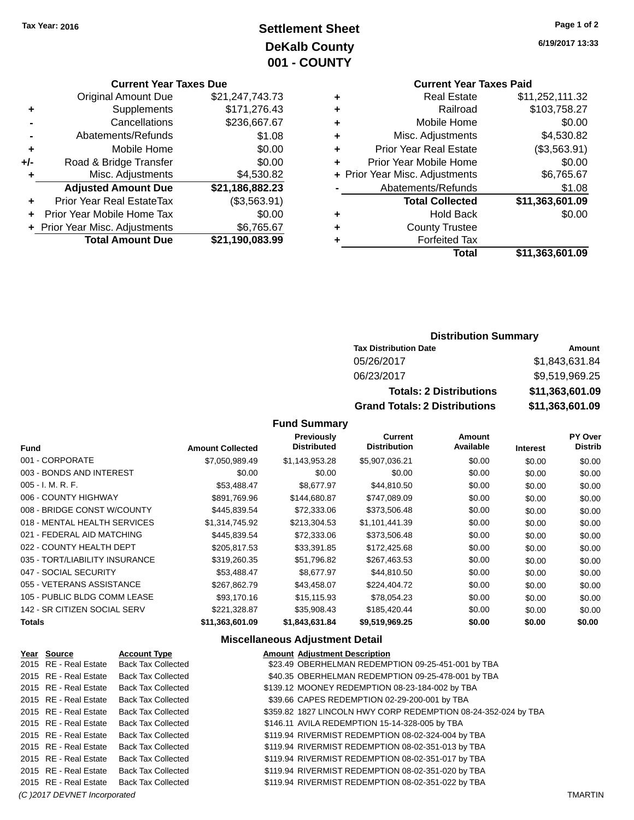# **Settlement Sheet Tax Year: 2016 Page 1 of 2 DeKalb County 001 - COUNTY**

### **Current Year Taxes Due**

|     | <b>Original Amount Due</b>     | \$21,247,743.73 |
|-----|--------------------------------|-----------------|
| ٠   | Supplements                    | \$171,276.43    |
|     | Cancellations                  | \$236,667.67    |
|     | Abatements/Refunds             | \$1.08          |
| ٠   | Mobile Home                    | \$0.00          |
| +/- | Road & Bridge Transfer         | \$0.00          |
| ٠   | Misc. Adjustments              | \$4,530.82      |
|     | <b>Adjusted Amount Due</b>     | \$21,186,882.23 |
| ÷   | Prior Year Real EstateTax      | (\$3,563.91)    |
|     | Prior Year Mobile Home Tax     | \$0.00          |
|     | + Prior Year Misc. Adjustments | \$6,765.67      |
|     | <b>Total Amount Due</b>        | \$21,190,083.99 |

**6/19/2017 13:33**

# **Current Year Taxes Paid**

| ٠ | <b>Real Estate</b>             | \$11,252,111.32 |
|---|--------------------------------|-----------------|
| ٠ | Railroad                       | \$103,758.27    |
| ٠ | Mobile Home                    | \$0.00          |
| ٠ | Misc. Adjustments              | \$4,530.82      |
| ٠ | <b>Prior Year Real Estate</b>  | (\$3,563.91)    |
| ٠ | Prior Year Mobile Home         | \$0.00          |
|   | + Prior Year Misc. Adjustments | \$6,765.67      |
|   | Abatements/Refunds             | \$1.08          |
|   | <b>Total Collected</b>         | \$11,363,601.09 |
| ٠ | <b>Hold Back</b>               | \$0.00          |
| ٠ | <b>County Trustee</b>          |                 |
|   | <b>Forfeited Tax</b>           |                 |
|   | Total                          | \$11,363,601.09 |
|   |                                |                 |

## **Distribution Summary**

| <b>Tax Distribution Date</b>         | Amount          |
|--------------------------------------|-----------------|
| 05/26/2017                           | \$1,843,631.84  |
| 06/23/2017                           | \$9.519,969.25  |
| <b>Totals: 2 Distributions</b>       | \$11,363,601.09 |
| <b>Grand Totals: 2 Distributions</b> | \$11,363,601.09 |

## **Fund Summary**

| <b>Fund</b>                    | <b>Amount Collected</b> | <b>Previously</b><br><b>Distributed</b> | <b>Current</b><br><b>Distribution</b> | <b>Amount</b><br>Available | <b>Interest</b> | PY Over<br><b>Distrib</b> |
|--------------------------------|-------------------------|-----------------------------------------|---------------------------------------|----------------------------|-----------------|---------------------------|
| 001 - CORPORATE                | \$7.050.989.49          | \$1.143.953.28                          | \$5,907,036.21                        | \$0.00                     | \$0.00          | \$0.00                    |
| 003 - BONDS AND INTEREST       | \$0.00                  | \$0.00                                  | \$0.00                                | \$0.00                     | \$0.00          | \$0.00                    |
| $005 - I. M. R. F.$            | \$53,488.47             | \$8,677.97                              | \$44,810.50                           | \$0.00                     | \$0.00          | \$0.00                    |
| 006 - COUNTY HIGHWAY           | \$891,769.96            | \$144,680.87                            | \$747,089.09                          | \$0.00                     | \$0.00          | \$0.00                    |
| 008 - BRIDGE CONST W/COUNTY    | \$445,839.54            | \$72,333.06                             | \$373,506.48                          | \$0.00                     | \$0.00          | \$0.00                    |
| 018 - MENTAL HEALTH SERVICES   | \$1,314,745.92          | \$213.304.53                            | \$1,101,441.39                        | \$0.00                     | \$0.00          | \$0.00                    |
| 021 - FEDERAL AID MATCHING     | \$445,839.54            | \$72,333.06                             | \$373,506.48                          | \$0.00                     | \$0.00          | \$0.00                    |
| 022 - COUNTY HEALTH DEPT       | \$205.817.53            | \$33.391.85                             | \$172,425.68                          | \$0.00                     | \$0.00          | \$0.00                    |
| 035 - TORT/LIABILITY INSURANCE | \$319,260.35            | \$51,796.82                             | \$267,463.53                          | \$0.00                     | \$0.00          | \$0.00                    |
| 047 - SOCIAL SECURITY          | \$53,488.47             | \$8,677.97                              | \$44,810.50                           | \$0.00                     | \$0.00          | \$0.00                    |
| 055 - VETERANS ASSISTANCE      | \$267,862.79            | \$43,458.07                             | \$224,404.72                          | \$0.00                     | \$0.00          | \$0.00                    |
| 105 - PUBLIC BLDG COMM LEASE   | \$93,170.16             | \$15,115.93                             | \$78,054.23                           | \$0.00                     | \$0.00          | \$0.00                    |
| 142 - SR CITIZEN SOCIAL SERV   | \$221,328.87            | \$35,908.43                             | \$185,420.44                          | \$0.00                     | \$0.00          | \$0.00                    |
| <b>Totals</b>                  | \$11,363,601.09         | \$1,843,631.84                          | \$9,519,969.25                        | \$0.00                     | \$0.00          | \$0.00                    |

## **Miscellaneous Adjustment Detail**

| Year Source           | <b>Account Type</b>       | <b>Amount Adjustment Description</b>                           |
|-----------------------|---------------------------|----------------------------------------------------------------|
| 2015 RE - Real Estate | <b>Back Tax Collected</b> | \$23.49 OBERHELMAN REDEMPTION 09-25-451-001 by TBA             |
| 2015 RE - Real Estate | <b>Back Tax Collected</b> | \$40.35 OBERHELMAN REDEMPTION 09-25-478-001 by TBA             |
| 2015 RE - Real Estate | <b>Back Tax Collected</b> | \$139.12 MOONEY REDEMPTION 08-23-184-002 by TBA                |
| 2015 RE - Real Estate | <b>Back Tax Collected</b> | \$39.66 CAPES REDEMPTION 02-29-200-001 by TBA                  |
| 2015 RE - Real Estate | <b>Back Tax Collected</b> | \$359.82 1827 LINCOLN HWY CORP REDEMPTION 08-24-352-024 by TBA |
| 2015 RE - Real Estate | <b>Back Tax Collected</b> | \$146.11 AVILA REDEMPTION 15-14-328-005 by TBA                 |
| 2015 RE - Real Estate | Back Tax Collected        | \$119.94 RIVERMIST REDEMPTION 08-02-324-004 by TBA             |
| 2015 RE - Real Estate | Back Tax Collected        | \$119.94 RIVERMIST REDEMPTION 08-02-351-013 by TBA             |
| 2015 RE - Real Estate | <b>Back Tax Collected</b> | \$119.94 RIVERMIST REDEMPTION 08-02-351-017 by TBA             |
| 2015 RE - Real Estate | <b>Back Tax Collected</b> | \$119.94 RIVERMIST REDEMPTION 08-02-351-020 by TBA             |
| 2015 RE - Real Estate | <b>Back Tax Collected</b> | \$119.94 RIVERMIST REDEMPTION 08-02-351-022 by TBA             |

*(C )2017 DEVNET Incorporated* TMARTIN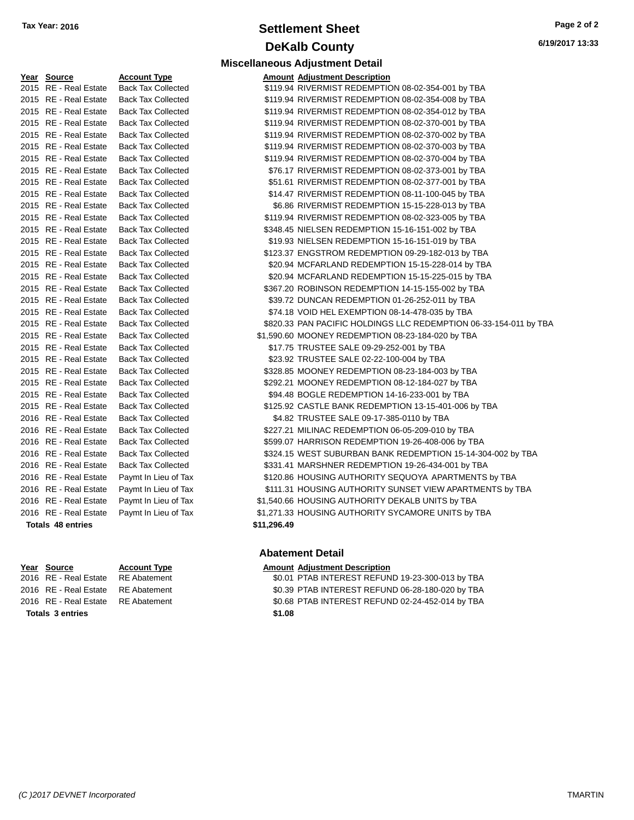# **Settlement Sheet Tax Year: 2016 Page 2 of 2 DeKalb County**

**Miscellaneous Adjustment Detail**

**6/19/2017 13:33**

| Year Source           | <b>Account Type</b>       |             | <b>Amount Adjustment Description</b> |
|-----------------------|---------------------------|-------------|--------------------------------------|
| 2015 RE - Real Estate | <b>Back Tax Collected</b> |             | \$119.94 RIVERMIST REDEMPTIO         |
| 2015 RE - Real Estate | <b>Back Tax Collected</b> |             | \$119.94 RIVERMIST REDEMPTIO         |
| 2015 RE - Real Estate | <b>Back Tax Collected</b> |             | \$119.94 RIVERMIST REDEMPTIO         |
| 2015 RE - Real Estate | <b>Back Tax Collected</b> |             | \$119.94 RIVERMIST REDEMPTIO         |
| 2015 RE - Real Estate | <b>Back Tax Collected</b> |             | \$119.94 RIVERMIST REDEMPTIO         |
| 2015 RE - Real Estate | <b>Back Tax Collected</b> |             | \$119.94 RIVERMIST REDEMPTIO         |
| 2015 RE - Real Estate | <b>Back Tax Collected</b> |             | \$119.94 RIVERMIST REDEMPTIO         |
| 2015 RE - Real Estate | <b>Back Tax Collected</b> |             | \$76.17 RIVERMIST REDEMPTIO          |
| 2015 RE - Real Estate | <b>Back Tax Collected</b> |             | \$51.61 RIVERMIST REDEMPTIO          |
| 2015 RE - Real Estate | <b>Back Tax Collected</b> |             | \$14.47 RIVERMIST REDEMPTIO          |
| 2015 RE - Real Estate | <b>Back Tax Collected</b> |             | \$6.86 RIVERMIST REDEMPTIO           |
| 2015 RE - Real Estate | <b>Back Tax Collected</b> |             | \$119.94 RIVERMIST REDEMPTIO         |
| 2015 RE - Real Estate | <b>Back Tax Collected</b> |             | \$348.45 NIELSEN REDEMPTION          |
| 2015 RE - Real Estate | <b>Back Tax Collected</b> |             | \$19.93 NIELSEN REDEMPTION           |
| 2015 RE - Real Estate | <b>Back Tax Collected</b> |             | \$123.37 ENGSTROM REDEMPTI           |
| 2015 RE - Real Estate | <b>Back Tax Collected</b> |             | \$20.94 MCFARLAND REDEMPT            |
| 2015 RE - Real Estate | <b>Back Tax Collected</b> |             | \$20.94 MCFARLAND REDEMPT            |
| 2015 RE - Real Estate | <b>Back Tax Collected</b> |             | \$367.20 ROBINSON REDEMPTIO          |
| 2015 RE - Real Estate | <b>Back Tax Collected</b> |             | \$39.72 DUNCAN REDEMPTION            |
| 2015 RE - Real Estate | <b>Back Tax Collected</b> |             | \$74.18 VOID HEL EXEMPTION           |
| 2015 RE - Real Estate | <b>Back Tax Collected</b> |             | \$820.33 PAN PACIFIC HOLDINGS        |
| 2015 RE - Real Estate | <b>Back Tax Collected</b> |             | \$1,590.60 MOONEY REDEMPTION         |
| 2015 RE - Real Estate | <b>Back Tax Collected</b> |             | \$17.75 TRUSTEE SALE 09-29-2         |
| 2015 RE - Real Estate | <b>Back Tax Collected</b> |             | \$23.92 TRUSTEE SALE 02-22-1         |
| 2015 RE - Real Estate | <b>Back Tax Collected</b> |             | \$328.85 MOONEY REDEMPTION           |
| 2015 RE - Real Estate | <b>Back Tax Collected</b> |             | \$292.21 MOONEY REDEMPTION           |
| 2015 RE - Real Estate | <b>Back Tax Collected</b> |             | \$94.48 BOGLE REDEMPTION 1           |
| 2015 RE - Real Estate | <b>Back Tax Collected</b> |             | \$125.92 CASTLE BANK REDEMF          |
| 2016 RE - Real Estate | <b>Back Tax Collected</b> |             | \$4.82 TRUSTEE SALE 09-17-3          |
| 2016 RE - Real Estate | <b>Back Tax Collected</b> |             | \$227.21 MILINAC REDEMPTION          |
| 2016 RE - Real Estate | <b>Back Tax Collected</b> |             | \$599.07 HARRISON REDEMPTIC          |
| 2016 RE - Real Estate | <b>Back Tax Collected</b> |             | \$324.15 WEST SUBURBAN BANI          |
| 2016 RE - Real Estate | <b>Back Tax Collected</b> |             | \$331.41 MARSHNER REDEMPTI           |
| 2016 RE - Real Estate | Paymt In Lieu of Tax      |             | \$120.86 HOUSING AUTHORITY \$        |
| 2016 RE - Real Estate | Paymt In Lieu of Tax      |             | \$111.31 HOUSING AUTHORITY \$        |
| 2016 RE - Real Estate | Paymt In Lieu of Tax      |             | \$1,540.66 HOUSING AUTHORITY I       |
| 2016 RE - Real Estate | Paymt In Lieu of Tax      |             | \$1,271.33 HOUSING AUTHORITY \$      |
| Totals 48 entries     |                           | \$11,296.49 |                                      |

# Tax Collected Tax Collected Tax Collected Tax Collected Tax Collected Tax Collected Tax Collected Tax Collected Tax Collected Tax Collected nt In Lieu of Tax <sup>1</sup> Real of Tax <sup>1</sup> In Lieu of Tax

**Totals \$1.08 3 entries**

| 2015 RE - Real Estate    | <b>Back Tax Collected</b> |             | \$119.94 RIVERMIST REDEMPTION 08-02-354-001 by TBA                |
|--------------------------|---------------------------|-------------|-------------------------------------------------------------------|
| 2015 RE - Real Estate    | <b>Back Tax Collected</b> |             | \$119.94 RIVERMIST REDEMPTION 08-02-354-008 by TBA                |
| 2015 RE - Real Estate    | <b>Back Tax Collected</b> |             | \$119.94 RIVERMIST REDEMPTION 08-02-354-012 by TBA                |
| 2015 RE - Real Estate    | <b>Back Tax Collected</b> |             | \$119.94 RIVERMIST REDEMPTION 08-02-370-001 by TBA                |
| 2015 RE - Real Estate    | <b>Back Tax Collected</b> |             | \$119.94 RIVERMIST REDEMPTION 08-02-370-002 by TBA                |
| 2015 RE - Real Estate    | <b>Back Tax Collected</b> |             | \$119.94 RIVERMIST REDEMPTION 08-02-370-003 by TBA                |
| 2015 RE - Real Estate    | <b>Back Tax Collected</b> |             | \$119.94 RIVERMIST REDEMPTION 08-02-370-004 by TBA                |
| 2015 RE - Real Estate    | <b>Back Tax Collected</b> |             | \$76.17 RIVERMIST REDEMPTION 08-02-373-001 by TBA                 |
| 2015 RE - Real Estate    | <b>Back Tax Collected</b> |             | \$51.61 RIVERMIST REDEMPTION 08-02-377-001 by TBA                 |
| 2015 RE - Real Estate    | <b>Back Tax Collected</b> |             | \$14.47 RIVERMIST REDEMPTION 08-11-100-045 by TBA                 |
| 2015 RE - Real Estate    | <b>Back Tax Collected</b> |             | \$6.86 RIVERMIST REDEMPTION 15-15-228-013 by TBA                  |
| 2015 RE - Real Estate    | <b>Back Tax Collected</b> |             | \$119.94 RIVERMIST REDEMPTION 08-02-323-005 by TBA                |
| 2015 RE - Real Estate    | <b>Back Tax Collected</b> |             | \$348.45 NIELSEN REDEMPTION 15-16-151-002 by TBA                  |
| 2015 RE - Real Estate    | <b>Back Tax Collected</b> |             | \$19.93 NIELSEN REDEMPTION 15-16-151-019 by TBA                   |
| 2015 RE - Real Estate    | <b>Back Tax Collected</b> |             | \$123.37 ENGSTROM REDEMPTION 09-29-182-013 by TBA                 |
| 2015 RE - Real Estate    | <b>Back Tax Collected</b> |             | \$20.94 MCFARLAND REDEMPTION 15-15-228-014 by TBA                 |
| 2015 RE - Real Estate    | <b>Back Tax Collected</b> |             | \$20.94 MCFARLAND REDEMPTION 15-15-225-015 by TBA                 |
| 2015 RE - Real Estate    | <b>Back Tax Collected</b> |             | \$367.20 ROBINSON REDEMPTION 14-15-155-002 by TBA                 |
| 2015 RE - Real Estate    | <b>Back Tax Collected</b> |             | \$39.72 DUNCAN REDEMPTION 01-26-252-011 by TBA                    |
| 2015 RE - Real Estate    | <b>Back Tax Collected</b> |             | \$74.18 VOID HEL EXEMPTION 08-14-478-035 by TBA                   |
| 2015 RE - Real Estate    | <b>Back Tax Collected</b> |             | \$820.33 PAN PACIFIC HOLDINGS LLC REDEMPTION 06-33-154-011 by TBA |
| 2015 RE - Real Estate    | <b>Back Tax Collected</b> |             | \$1,590.60 MOONEY REDEMPTION 08-23-184-020 by TBA                 |
| 2015 RE - Real Estate    | <b>Back Tax Collected</b> |             | \$17.75 TRUSTEE SALE 09-29-252-001 by TBA                         |
| 2015 RE - Real Estate    | <b>Back Tax Collected</b> |             | \$23.92 TRUSTEE SALE 02-22-100-004 by TBA                         |
| 2015 RE - Real Estate    | <b>Back Tax Collected</b> |             | \$328.85 MOONEY REDEMPTION 08-23-184-003 by TBA                   |
| 2015 RE - Real Estate    | <b>Back Tax Collected</b> |             | \$292.21 MOONEY REDEMPTION 08-12-184-027 by TBA                   |
| 2015 RE - Real Estate    | <b>Back Tax Collected</b> |             | \$94.48 BOGLE REDEMPTION 14-16-233-001 by TBA                     |
| 2015 RE - Real Estate    | <b>Back Tax Collected</b> |             | \$125.92 CASTLE BANK REDEMPTION 13-15-401-006 by TBA              |
| 2016 RE - Real Estate    | <b>Back Tax Collected</b> |             | \$4.82 TRUSTEE SALE 09-17-385-0110 by TBA                         |
| 2016 RE - Real Estate    | <b>Back Tax Collected</b> |             | \$227.21 MILINAC REDEMPTION 06-05-209-010 by TBA                  |
| 2016 RE - Real Estate    | <b>Back Tax Collected</b> |             | \$599.07 HARRISON REDEMPTION 19-26-408-006 by TBA                 |
| 2016 RE - Real Estate    | <b>Back Tax Collected</b> |             | \$324.15 WEST SUBURBAN BANK REDEMPTION 15-14-304-002 by TBA       |
| 2016 RE - Real Estate    | <b>Back Tax Collected</b> |             | \$331.41 MARSHNER REDEMPTION 19-26-434-001 by TBA                 |
| 2016 RE - Real Estate    | Paymt In Lieu of Tax      |             | \$120.86 HOUSING AUTHORITY SEQUOYA APARTMENTS by TBA              |
| 2016 RE - Real Estate    | Paymt In Lieu of Tax      |             | \$111.31 HOUSING AUTHORITY SUNSET VIEW APARTMENTS by TBA          |
| 2016 RE - Real Estate    | Paymt In Lieu of Tax      |             | \$1,540.66 HOUSING AUTHORITY DEKALB UNITS by TBA                  |
| 2016 RE - Real Estate    | Paymt In Lieu of Tax      |             | \$1,271.33 HOUSING AUTHORITY SYCAMORE UNITS by TBA                |
| <b>Totals 48 entries</b> |                           | \$11,296.49 |                                                                   |
|                          |                           |             |                                                                   |

## **Abatement Detail**

### **Year Source Account Type Amount Adjustment Description**

2016 RE - Real Estate RE Abatement \$0.01 PTAB INTEREST REFUND 19-23-300-013 by TBA 2016 RE - Real Estate RE Abatement \$0.39 PTAB INTEREST REFUND 06-28-180-020 by TBA 2016 RE - Real Estate \$0.68 PTAB INTEREST REFUND 02-24-452-014 by TBA RE Abatement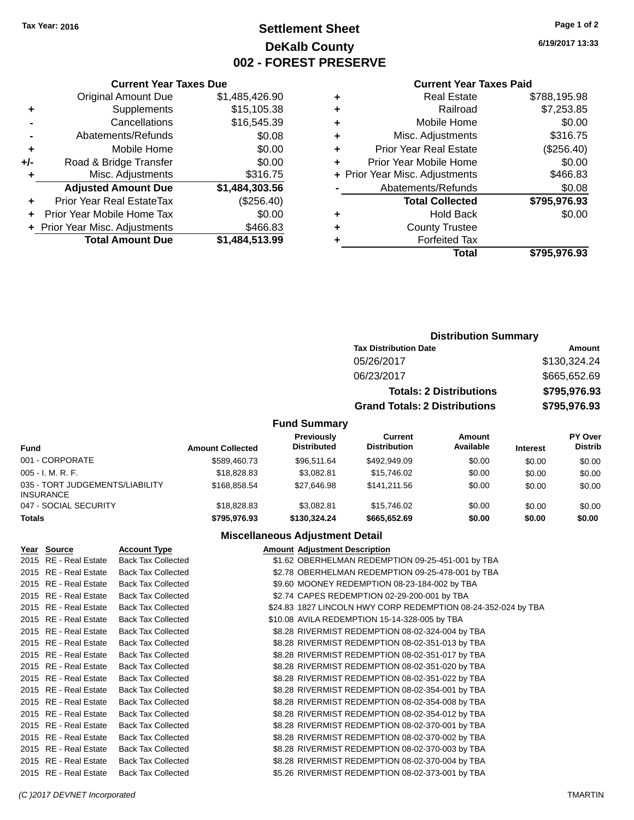Original Amount Due

**Adjusted Amount Due** 

**Total Amount Due** 

**+** Supplements **-** Cancellations **-** Abatements/Refunds  $+$  Mobile Home **+/-** Road & Bridge Transfer **+** Misc. Adjustments

**+** Prior Year Real EstateTax **+** Prior Year Mobile Home Tax **+ Prior Year Misc. Adjustments** 

# **Settlement Sheet Tax Year: 2016 Page 1 of 2 DeKalb County 002 - FOREST PRESERVE**

**6/19/2017 13:33**

## **Current Year Taxes Paid**

| <b>Current Year Taxes Due</b> |                |   | <b>Current Year Taxes Paid</b> |              |  |
|-------------------------------|----------------|---|--------------------------------|--------------|--|
| ่<br>เl Amount Due            | \$1,485,426.90 | ٠ | <b>Real Estate</b>             | \$788,195.98 |  |
| Supplements                   | \$15,105.38    | ٠ | Railroad                       | \$7,253.85   |  |
| Cancellations                 | \$16,545.39    | ٠ | Mobile Home                    | \$0.00       |  |
| าents/Refunds                 | \$0.08         | ٠ | Misc. Adjustments              | \$316.75     |  |
| Mobile Home                   | \$0.00         | ٠ | <b>Prior Year Real Estate</b>  | (\$256.40)   |  |
| ridge Transfer                | \$0.00         | ÷ | Prior Year Mobile Home         | \$0.00       |  |
| :. Adjustments                | \$316.75       |   | + Prior Year Misc. Adjustments | \$466.83     |  |
| <b>Amount Due</b>             | \$1,484,303.56 |   | Abatements/Refunds             | \$0.08       |  |
| leal EstateTax≀               | (\$256.40)     |   | <b>Total Collected</b>         | \$795,976.93 |  |
| bile Home Tax                 | \$0.00         | ٠ | <b>Hold Back</b>               | \$0.00       |  |
| . Adjustments                 | \$466.83       | ÷ | <b>County Trustee</b>          |              |  |
| <b>Amount Due</b>             | \$1,484,513.99 |   | <b>Forfeited Tax</b>           |              |  |
|                               |                |   | <b>Total</b>                   | \$795,976.93 |  |

| ÷  | <b>Real Estate</b>             | \$788,195.98 |
|----|--------------------------------|--------------|
| Ŧ. | Railroad                       | \$7,253.85   |
| ÷. | Mobile Home                    | \$0.00       |
| ÷  | Misc. Adjustments              | \$316.75     |
| ÷. | <b>Prior Year Real Estate</b>  | (\$256.40)   |
| ÷  | Prior Year Mobile Home         | \$0.00       |
|    | + Prior Year Misc. Adjustments | \$466.83     |
|    | Abatements/Refunds             | \$0.08       |
|    | <b>Total Collected</b>         | \$795,976.93 |
| ÷  | <b>Hold Back</b>               | \$0.00       |
| ÷. | <b>County Trustee</b>          |              |
|    |                                |              |

| <b>Distribution Summary</b>          |              |
|--------------------------------------|--------------|
| <b>Tax Distribution Date</b>         | Amount       |
| 05/26/2017                           | \$130,324.24 |
| 06/23/2017                           | \$665,652.69 |
| <b>Totals: 2 Distributions</b>       | \$795,976.93 |
| <b>Grand Totals: 2 Distributions</b> | \$795,976.93 |

### **Fund Summary**

| <b>Fund</b>                                         | <b>Amount Collected</b> | <b>Previously</b><br><b>Distributed</b> | Current<br><b>Distribution</b> | Amount<br>Available | <b>Interest</b> | PY Over<br>Distrib |
|-----------------------------------------------------|-------------------------|-----------------------------------------|--------------------------------|---------------------|-----------------|--------------------|
| 001 - CORPORATE                                     | \$589,460.73            | \$96,511.64                             | \$492.949.09                   | \$0.00              | \$0.00          | \$0.00             |
| $005 - I. M. R. F.$                                 | \$18,828,83             | \$3.082.81                              | \$15,746.02                    | \$0.00              | \$0.00          | \$0.00             |
| 035 - TORT JUDGEMENTS/LIABILITY<br><b>INSURANCE</b> | \$168,858,54            | \$27.646.98                             | \$141.211.56                   | \$0.00              | \$0.00          | \$0.00             |
| 047 - SOCIAL SECURITY                               | \$18,828.83             | \$3.082.81                              | \$15,746.02                    | \$0.00              | \$0.00          | \$0.00             |
| <b>Totals</b>                                       | \$795,976,93            | \$130,324,24                            | \$665.652.69                   | \$0.00              | \$0.00          | \$0.00             |

### **Miscellaneous Adjustment Detail**

| Year Source           | <b>Account Type</b>       | <b>Amount Adjustment Description</b>                          |
|-----------------------|---------------------------|---------------------------------------------------------------|
| 2015 RE - Real Estate | <b>Back Tax Collected</b> | \$1.62 OBERHELMAN REDEMPTION 09-25-451-001 by TBA             |
| 2015 RE - Real Estate | <b>Back Tax Collected</b> | \$2.78 OBERHELMAN REDEMPTION 09-25-478-001 by TBA             |
| 2015 RE - Real Estate | <b>Back Tax Collected</b> | \$9.60 MOONEY REDEMPTION 08-23-184-002 by TBA                 |
| 2015 RE - Real Estate | <b>Back Tax Collected</b> | \$2.74 CAPES REDEMPTION 02-29-200-001 by TBA                  |
| 2015 RE - Real Estate | <b>Back Tax Collected</b> | \$24.83 1827 LINCOLN HWY CORP REDEMPTION 08-24-352-024 by TBA |
| 2015 RE - Real Estate | <b>Back Tax Collected</b> | \$10.08 AVILA REDEMPTION 15-14-328-005 by TBA                 |
| 2015 RE - Real Estate | <b>Back Tax Collected</b> | \$8.28 RIVERMIST REDEMPTION 08-02-324-004 by TBA              |
| 2015 RE - Real Estate | <b>Back Tax Collected</b> | \$8.28 RIVERMIST REDEMPTION 08-02-351-013 by TBA              |
| 2015 RE - Real Estate | <b>Back Tax Collected</b> | \$8.28 RIVERMIST REDEMPTION 08-02-351-017 by TBA              |
| 2015 RE - Real Estate | <b>Back Tax Collected</b> | \$8.28 RIVERMIST REDEMPTION 08-02-351-020 by TBA              |
| 2015 RE - Real Estate | <b>Back Tax Collected</b> | \$8.28 RIVERMIST REDEMPTION 08-02-351-022 by TBA              |
| 2015 RE - Real Estate | <b>Back Tax Collected</b> | \$8.28 RIVERMIST REDEMPTION 08-02-354-001 by TBA              |
| 2015 RE - Real Estate | <b>Back Tax Collected</b> | \$8.28 RIVERMIST REDEMPTION 08-02-354-008 by TBA              |
| 2015 RE - Real Estate | <b>Back Tax Collected</b> | \$8.28 RIVERMIST REDEMPTION 08-02-354-012 by TBA              |
| 2015 RE - Real Estate | <b>Back Tax Collected</b> | \$8.28 RIVERMIST REDEMPTION 08-02-370-001 by TBA              |
| 2015 RE - Real Estate | <b>Back Tax Collected</b> | \$8.28 RIVERMIST REDEMPTION 08-02-370-002 by TBA              |
| 2015 RE - Real Estate | <b>Back Tax Collected</b> | \$8.28 RIVERMIST REDEMPTION 08-02-370-003 by TBA              |
| 2015 RE - Real Estate | <b>Back Tax Collected</b> | \$8.28 RIVERMIST REDEMPTION 08-02-370-004 by TBA              |
| 2015 RE - Real Estate | <b>Back Tax Collected</b> | \$5.26 RIVERMIST REDEMPTION 08-02-373-001 by TBA              |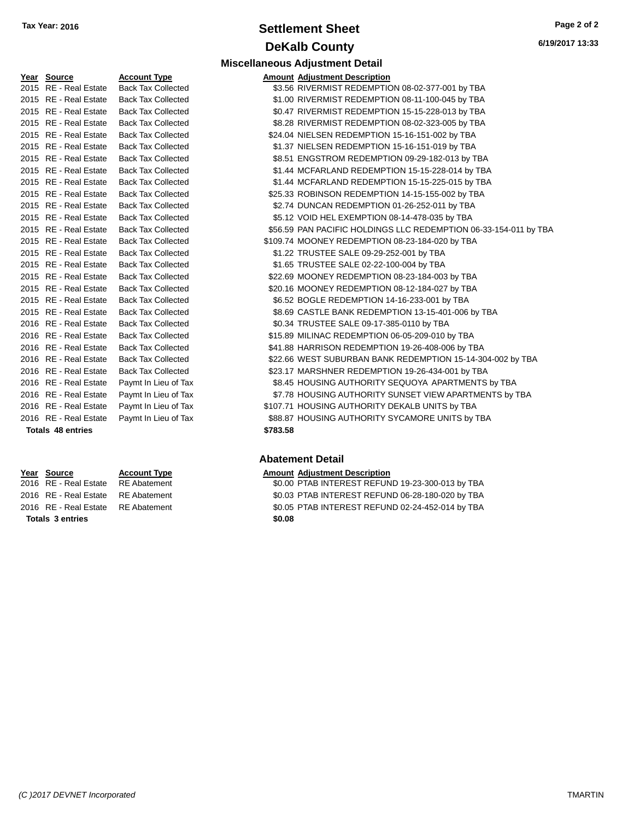# **Settlement Sheet Tax Year: 2016 Page 2 of 2 DeKalb County**

**Miscellaneous Adjustment Detail**

**Type Amount Adjustment Description** 

| <u>Year</u> | Source                  | <u>Accoun</u> |
|-------------|-------------------------|---------------|
| 2015        | RE - Real Estate        | Back Ta:      |
| 2015        | RE - Real Estate        | Back Ta       |
| 2015        | RE - Real Estate        | Back Ta:      |
| 2015        | <b>RE</b> - Real Estate | Back Ta:      |
| 2015        | RE - Real Estate        | Back Ta:      |
| 2015        | <b>RE</b> - Real Estate | Back Ta:      |
| 2015        | <b>RE</b> - Real Estate | Back Ta       |
| 2015        | <b>RE</b> - Real Estate | Back Ta:      |
| 2015        | RE - Real Estate        | Back Ta:      |
| 2015        | RE - Real Estate        | Back Ta:      |
| 2015        | <b>RE</b> - Real Estate | Back Ta:      |
| 2015        | <b>RE</b> - Real Estate | Back Ta:      |
| 2015        | <b>RE</b> - Real Estate | Back Ta:      |
| 2015        | <b>RE</b> - Real Estate | Back Ta:      |
| 2015        | <b>RE</b> - Real Estate | Back Ta       |
| 2015        | <b>RE</b> - Real Estate | Back Ta:      |
| 2015        | <b>RE</b> - Real Estate | Back Ta:      |
| 2015        | <b>RE</b> - Real Estate | Back Ta:      |
| 2015        | <b>RE</b> - Real Estate | Back Ta       |
| 2015        | <b>RE</b> - Real Estate | Back Ta:      |
| 2016        | <b>RE</b> - Real Estate | Back Ta:      |
| 2016        | <b>RE</b> - Real Estate | Back Ta:      |
| 2016        | <b>RE</b> - Real Estate | Back Ta:      |
| 2016        | RE - Real Estate        | Back Ta:      |
| 2016        | <b>RE</b> - Real Estate | Back Ta       |
| 2016        | <b>RE</b> - Real Estate | Paymt Ir      |
| 2016        | <b>RE</b> - Real Estate | Paymt Ir      |
| 2016        | <b>RE</b> - Real Estate | Paymt Ir      |
| 2016        | RE - Real Estate        | Paymt Ir      |

**Totals \$0.08 3 entries**

### 2021 x Collected  $$3.56$  RIVERMIST REDEMPTION 08-02-377-001 by TBA x Collected **2015 COLLECTE COLLECTE S1.00 RIVERMIST REDEMPTION 08-11-100-045 by TBA** 2020-x Collected **2015 REAL ESTATE SOLATE REAL ESTATE REDEMPTION 15-15-228-013 by TBA** 2015 x Collected Tax Collected S8.28 RIVERMIST REDEMPTION 08-02-323-005 by TBA x Collected **324.04 NIELSEN REDEMPTION 15-16-151-002 by TBA** 2020 x Collected **Example 2015** 81.37 NIELSEN REDEMPTION 15-16-151-019 by TBA 202016 x Collected  $$8.51$  ENGSTROM REDEMPTION 09-29-182-013 by TBA 2020-x Collected **31.44 MCFARLAND REDEMPTION 15-15-228-014 by TBA** 2020 x Collected **31.44 MCFARLAND REDEMPTION 15-15-225-015 by TBA** 2020 x Collected **825.33 ROBINSON REDEMPTION 14-15-155-002 by TBA** x Collected **2015 82.74 DUNCAN REDEMPTION 01-26-252-011 by TBA** 2022 x Collected Tax Collected S5.12 VOID HEL EXEMPTION 08-14-478-035 by TBA 202016 x Collected  $$56.59$  PAN PACIFIC HOLDINGS LLC REDEMPTION 06-33-154-011 by TBA 2020 x Collected **3109.74 MOONEY REDEMPTION 08-23-184-020 by TBA** 2015 x Collected TRUSTEE SALE 09-29-252-001 by TBA 2022 x Collected TRUSTEE SALE 02-22-100-004 by TBA 22.69 MOONEY REDEMPTION 08-23-184-003 by TBA 20.16 MOONEY REDEMPTION 08-12-184-027 by TBA 2022 x Collected Tax Collected S6.52 BOGLE REDEMPTION 14-16-233-001 by TBA 2021 x Collected Tax Collected S8.69 CASTLE BANK REDEMPTION 13-15-401-006 by TBA 2016 x Collected **2016 REAL ESTATE SALE 09-17-385-0110 by TBA** 20216 x Collected  $$15.89$  MILINAC REDEMPTION 06-05-209-010 by TBA 2020 x Collected **2016 REAL ESTATE STATE STATE STATE STATE SETATE STATE STATE STATE STATE STATE STATE STATE ST** 22.66 WEST SUBURBAN BANK REDEMPTION 15-14-304-002 by TBA x Collected **2006 823.17 MARSHNER REDEMPTION 19-26-434-001 by TBA** 1 Lieu of Tax \$8.45 HOUSING AUTHORITY SEQUOYA APARTMENTS by TBA n Lieu of Tax \$7.78 HOUSING AUTHORITY SUNSET VIEW APARTMENTS by TBA n Lieu of Tax  $$107.71$  HOUSING AUTHORITY DEKALB UNITS by TBA n Lieu of Tax  $$88.87$  HOUSING AUTHORITY SYCAMORE UNITS by TBA **Totals \$783.58 48 entries**

### **Abatement Detail**

**Year Source Account Type Amount Adjustment Description** 2016 RE - Real Estate RE Abatement \$0.00 PTAB INTEREST REFUND 19-23-300-013 by TBA 2016 RE - Real Estate RE Abatement \$0.03 PTAB INTEREST REFUND 06-28-180-020 by TBA 2016 RE - Real Estate RE Abatement \$0.05 PTAB INTEREST REFUND 02-24-452-014 by TBA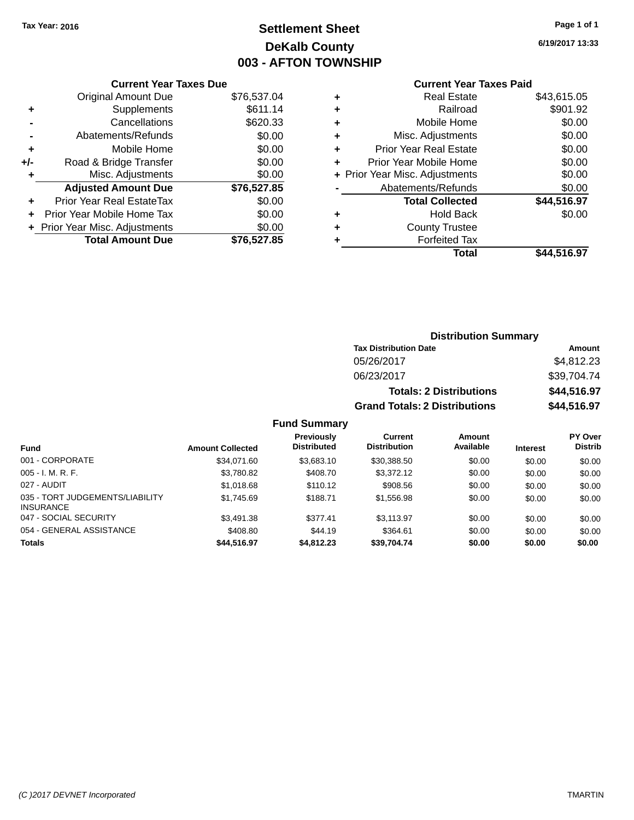# **Settlement Sheet Tax Year: 2016 Page 1 of 1 DeKalb County 003 - AFTON TOWNSHIP**

**6/19/2017 13:33**

## **Current Year Taxes Paid**

|       | <b>Current Year Taxes Due</b>  |             |  |  |
|-------|--------------------------------|-------------|--|--|
|       | <b>Original Amount Due</b>     | \$76,537.04 |  |  |
| ٠     | Supplements                    | \$611.14    |  |  |
|       | Cancellations                  | \$620.33    |  |  |
|       | Abatements/Refunds             | \$0.00      |  |  |
| ٠     | Mobile Home                    | \$0.00      |  |  |
| $+/-$ | Road & Bridge Transfer         | \$0.00      |  |  |
| ٠     | Misc. Adjustments              | \$0.00      |  |  |
|       | <b>Adjusted Amount Due</b>     | \$76,527.85 |  |  |
| ٠     | Prior Year Real EstateTax      | \$0.00      |  |  |
|       | Prior Year Mobile Home Tax     | \$0.00      |  |  |
|       | + Prior Year Misc. Adjustments | \$0.00      |  |  |
|       | <b>Total Amount Due</b>        | \$76,527.85 |  |  |
|       |                                |             |  |  |

|   | <b>Real Estate</b>             | \$43,615.05 |
|---|--------------------------------|-------------|
| ٠ | Railroad                       | \$901.92    |
| ٠ | Mobile Home                    | \$0.00      |
| ٠ | Misc. Adjustments              | \$0.00      |
| ٠ | <b>Prior Year Real Estate</b>  | \$0.00      |
| ٠ | Prior Year Mobile Home         | \$0.00      |
|   | + Prior Year Misc. Adjustments | \$0.00      |
|   | Abatements/Refunds             | \$0.00      |
|   | <b>Total Collected</b>         | \$44,516.97 |
| ٠ | Hold Back                      | \$0.00      |
| ٠ | <b>County Trustee</b>          |             |
| ٠ | <b>Forfeited Tax</b>           |             |
|   | Total                          | \$44,516.97 |
|   |                                |             |

## **Distribution Summary Tax Distribution Date Amount** 05/26/2017 \$4,812.23 06/23/2017 \$39,704.74 **Totals: 2 Distributions \$44,516.97 Grand Totals: 2 Distributions \$44,516.97**

| <b>Fund</b>                                         | <b>Amount Collected</b> | Previously<br><b>Distributed</b> | Current<br><b>Distribution</b> | Amount<br>Available | <b>Interest</b> | <b>PY Over</b><br><b>Distrib</b> |
|-----------------------------------------------------|-------------------------|----------------------------------|--------------------------------|---------------------|-----------------|----------------------------------|
| 001 - CORPORATE                                     | \$34,071.60             | \$3.683.10                       | \$30,388.50                    | \$0.00              | \$0.00          | \$0.00                           |
| $005 - I. M. R. F.$                                 | \$3,780.82              | \$408.70                         | \$3,372.12                     | \$0.00              | \$0.00          | \$0.00                           |
| 027 - AUDIT                                         | \$1,018.68              | \$110.12                         | \$908.56                       | \$0.00              | \$0.00          | \$0.00                           |
| 035 - TORT JUDGEMENTS/LIABILITY<br><b>INSURANCE</b> | \$1,745.69              | \$188.71                         | \$1,556.98                     | \$0.00              | \$0.00          | \$0.00                           |
| 047 - SOCIAL SECURITY                               | \$3.491.38              | \$377.41                         | \$3.113.97                     | \$0.00              | \$0.00          | \$0.00                           |
| 054 - GENERAL ASSISTANCE                            | \$408.80                | \$44.19                          | \$364.61                       | \$0.00              | \$0.00          | \$0.00                           |
| <b>Totals</b>                                       | \$44,516.97             | \$4,812.23                       | \$39,704.74                    | \$0.00              | \$0.00          | \$0.00                           |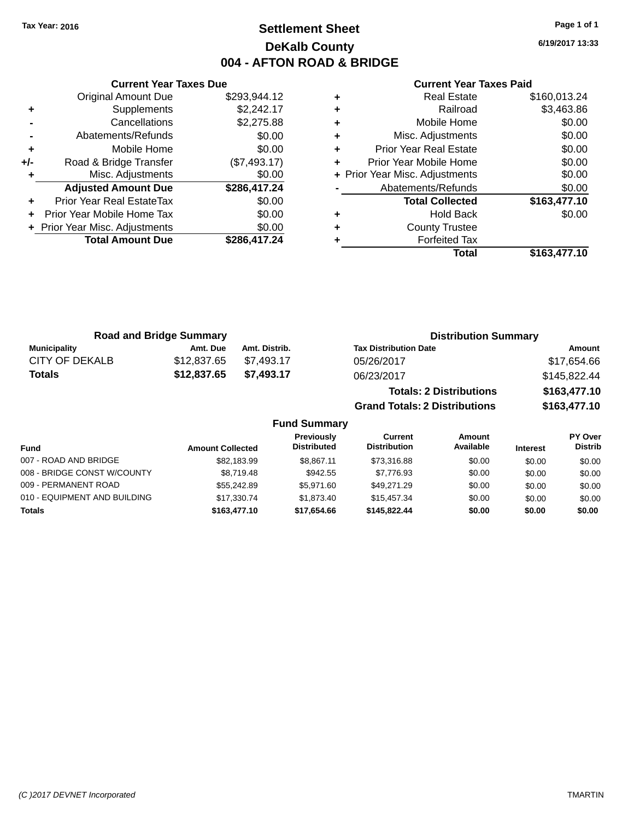# **Settlement Sheet Tax Year: 2016 Page 1 of 1 DeKalb County 004 - AFTON ROAD & BRIDGE**

**6/19/2017 13:33**

### **Current Year Taxes Paid**

|     | <b>Original Amount Due</b>     | \$293,944.12 |
|-----|--------------------------------|--------------|
| ٠   | Supplements                    | \$2,242.17   |
|     | Cancellations                  | \$2,275.88   |
|     | Abatements/Refunds             | \$0.00       |
| ٠   | Mobile Home                    | \$0.00       |
| +/- | Road & Bridge Transfer         | (\$7,493.17) |
|     | Misc. Adjustments              | \$0.00       |
|     | <b>Adjusted Amount Due</b>     | \$286,417.24 |
| ÷   | Prior Year Real EstateTax      | \$0.00       |
| ÷   | Prior Year Mobile Home Tax     | \$0.00       |
|     | + Prior Year Misc. Adjustments | \$0.00       |
|     | <b>Total Amount Due</b>        | \$286,417.24 |
|     |                                |              |

**Current Year Taxes Due**

|   | Total                          | \$163,477.10 |
|---|--------------------------------|--------------|
| ٠ | <b>Forfeited Tax</b>           |              |
| ٠ | <b>County Trustee</b>          |              |
| ٠ | <b>Hold Back</b>               | \$0.00       |
|   | <b>Total Collected</b>         | \$163,477.10 |
|   | Abatements/Refunds             | \$0.00       |
|   | + Prior Year Misc. Adjustments | \$0.00       |
| ٠ | Prior Year Mobile Home         | \$0.00       |
| ٠ | <b>Prior Year Real Estate</b>  | \$0.00       |
| ٠ | Misc. Adjustments              | \$0.00       |
| ٠ | Mobile Home                    | \$0.00       |
| ٠ | Railroad                       | \$3,463.86   |
| ٠ | <b>Real Estate</b>             | \$160,013.24 |

**Grand Totals: 2 Distributions \$163,477.10**

| <b>Road and Bridge Summary</b> |             | <b>Distribution Summary</b> |                                |              |
|--------------------------------|-------------|-----------------------------|--------------------------------|--------------|
| Municipality                   | Amt. Due    | Amt. Distrib.               | <b>Tax Distribution Date</b>   | Amount       |
| CITY OF DEKALB                 | \$12,837,65 | \$7.493.17                  | 05/26/2017                     | \$17,654.66  |
| <b>Totals</b>                  | \$12,837.65 | \$7.493.17                  | 06/23/2017                     | \$145,822.44 |
|                                |             |                             | <b>Totals: 2 Distributions</b> | \$163,477.10 |

**Fund Summary Fund Interest Amount Collected Distributed PY Over Distrib Amount Available Current Distribution Previously** 007 - ROAD AND BRIDGE 60.00 \$82,183.99 \$8,867.11 \$73,316.88 \$0.00 \$0.00 \$0.00 \$0.00 008 - BRIDGE CONST W/COUNTY  $$8,719.48$   $$942.55$   $$7,776.93$  \$0.00 \$0.00 \$0.00 \$0.00 009 - PERMANENT ROAD \$55,242.89 \$5,971.60 \$49,271.29 \$0.00 \$0.00 \$0.00 010 - EQUIPMENT AND BUILDING \$17,330.74 \$1,873.40 \$15,457.34 \$0.00 \$0.00 \$0.00 **Totals \$163,477.10 \$17,654.66 \$145,822.44 \$0.00 \$0.00 \$0.00**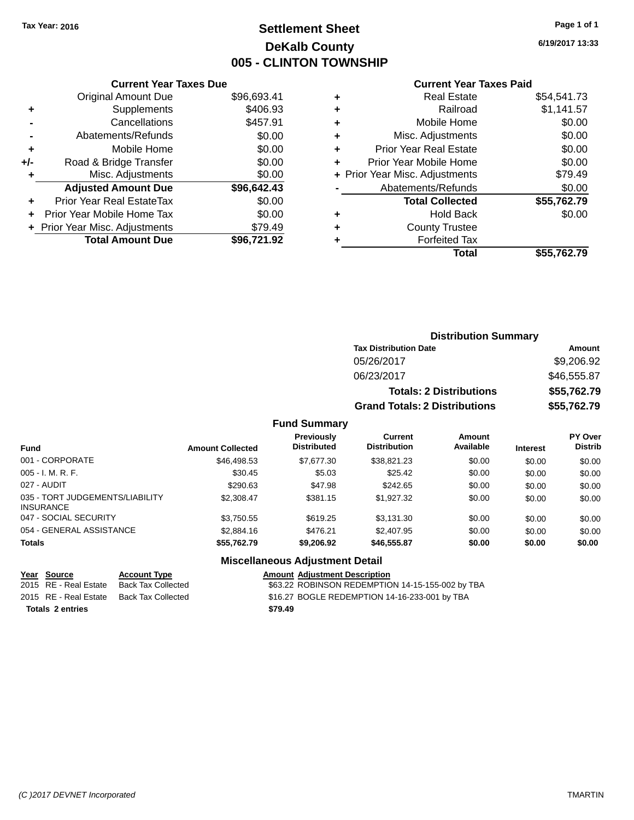# **Settlement Sheet Tax Year: 2016 Page 1 of 1 DeKalb County 005 - CLINTON TOWNSHIP**

**6/19/2017 13:33**

| \$96,693.41 |
|-------------|
|             |
| \$406.93    |
| \$457.91    |
| \$0.00      |
| \$0.00      |
| \$0.00      |
| \$0.00      |
| \$96,642.43 |
| \$0.00      |
| \$0.00      |
| \$79.49     |
|             |
|             |

## **Current Year Taxes Paid**

|   | <b>Real Estate</b>             | \$54,541.73 |
|---|--------------------------------|-------------|
| ÷ | Railroad                       | \$1,141.57  |
| ٠ | Mobile Home                    | \$0.00      |
| ٠ | Misc. Adjustments              | \$0.00      |
| ٠ | <b>Prior Year Real Estate</b>  | \$0.00      |
| ٠ | Prior Year Mobile Home         | \$0.00      |
|   | + Prior Year Misc. Adjustments | \$79.49     |
|   | Abatements/Refunds             | \$0.00      |
|   | <b>Total Collected</b>         | \$55,762.79 |
| ٠ | Hold Back                      | \$0.00      |
| ٠ | <b>County Trustee</b>          |             |
| ٠ | <b>Forfeited Tax</b>           |             |
|   | Total                          | \$55,762.79 |
|   |                                |             |

## **Distribution Summary Tax Distribution Date Amount** 05/26/2017 \$9,206.92 06/23/2017 \$46,555.87 **Totals: 2 Distributions \$55,762.79 Grand Totals: 2 Distributions \$55,762.79**

### **Fund Summary**

| <b>Fund</b>                                         | <b>Amount Collected</b> | Previously<br><b>Distributed</b> | Current<br><b>Distribution</b> | Amount<br>Available | <b>Interest</b> | PY Over<br><b>Distrib</b> |
|-----------------------------------------------------|-------------------------|----------------------------------|--------------------------------|---------------------|-----------------|---------------------------|
| 001 - CORPORATE                                     | \$46,498.53             | \$7,677.30                       | \$38,821.23                    | \$0.00              | \$0.00          | \$0.00                    |
| $005 - I. M. R. F.$                                 | \$30.45                 | \$5.03                           | \$25.42                        | \$0.00              | \$0.00          | \$0.00                    |
| 027 - AUDIT                                         | \$290.63                | \$47.98                          | \$242.65                       | \$0.00              | \$0.00          | \$0.00                    |
| 035 - TORT JUDGEMENTS/LIABILITY<br><b>INSURANCE</b> | \$2,308.47              | \$381.15                         | \$1,927,32                     | \$0.00              | \$0.00          | \$0.00                    |
| 047 - SOCIAL SECURITY                               | \$3,750.55              | \$619.25                         | \$3.131.30                     | \$0.00              | \$0.00          | \$0.00                    |
| 054 - GENERAL ASSISTANCE                            | \$2,884.16              | \$476.21                         | \$2.407.95                     | \$0.00              | \$0.00          | \$0.00                    |
| Totals                                              | \$55,762.79             | \$9,206.92                       | \$46,555.87                    | \$0.00              | \$0.00          | \$0.00                    |

## **Miscellaneous Adjustment Detail**

| Year Source             | <b>Account Type</b>                      | <b>Amount Adiustment Description</b>             |
|-------------------------|------------------------------------------|--------------------------------------------------|
| 2015 RE - Real Estate   | Back Tax Collected                       | \$63.22 ROBINSON REDEMPTION 14-15-155-002 by TBA |
|                         | 2015 RE - Real Estate Back Tax Collected | \$16.27 BOGLE REDEMPTION 14-16-233-001 by TBA    |
| <b>Totals 2 entries</b> |                                          | \$79.49                                          |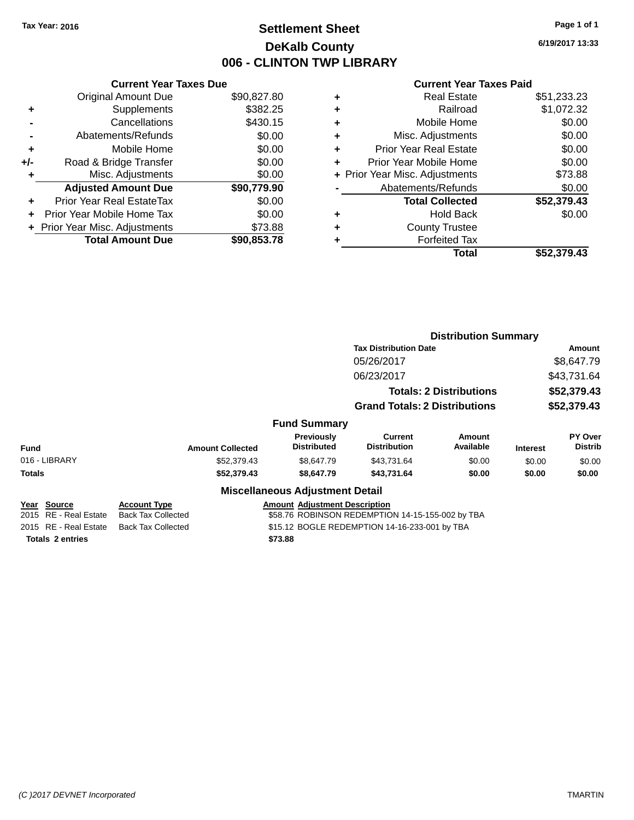# **Settlement Sheet Tax Year: 2016 Page 1 of 1 DeKalb County 006 - CLINTON TWP LIBRARY**

**6/19/2017 13:33**

| <b>Current Year Taxes Due</b> |             |  |  |  |
|-------------------------------|-------------|--|--|--|
| <b>Original Amount Due</b>    | \$90,827.80 |  |  |  |
| \$382.25<br>Supplements<br>٠  |             |  |  |  |
| Cancellations                 | \$430.15    |  |  |  |
| Abatements/Refunds            | \$0.00      |  |  |  |
| Mobile Home                   | \$0.00      |  |  |  |
| Road & Bridge Transfer        | \$0.00      |  |  |  |
| Misc. Adjustments             | \$0.00      |  |  |  |
| <b>Adjusted Amount Due</b>    | \$90,779.90 |  |  |  |
| Prior Year Real EstateTax     | \$0.00      |  |  |  |
| Prior Year Mobile Home Tax    | \$0.00      |  |  |  |
| Prior Year Misc. Adjustments  | \$73.88     |  |  |  |
| <b>Total Amount Due</b>       | \$90.853.78 |  |  |  |
|                               |             |  |  |  |

|   | Real Estate                    | \$51,233.23 |
|---|--------------------------------|-------------|
| ٠ | Railroad                       | \$1,072.32  |
| ٠ | Mobile Home                    | \$0.00      |
| ٠ | Misc. Adjustments              | \$0.00      |
| ٠ | <b>Prior Year Real Estate</b>  | \$0.00      |
| ٠ | Prior Year Mobile Home         | \$0.00      |
|   | + Prior Year Misc. Adjustments | \$73.88     |
|   | Abatements/Refunds             | \$0.00      |
|   | <b>Total Collected</b>         | \$52,379.43 |
| ٠ | Hold Back                      | \$0.00      |
| ٠ | <b>County Trustee</b>          |             |
| ٠ | <b>Forfeited Tax</b>           |             |
|   | Total                          | \$52,379.43 |
|   |                                |             |

|                         |                                      |                                        | <b>Distribution Summary</b>                      |                                |                 |                           |  |
|-------------------------|--------------------------------------|----------------------------------------|--------------------------------------------------|--------------------------------|-----------------|---------------------------|--|
|                         |                                      |                                        | <b>Tax Distribution Date</b>                     | <b>Amount</b>                  |                 |                           |  |
|                         |                                      |                                        | 05/26/2017                                       |                                |                 | \$8,647.79                |  |
|                         | 06/23/2017                           |                                        |                                                  | \$43,731.64                    |                 |                           |  |
|                         |                                      |                                        |                                                  | <b>Totals: 2 Distributions</b> | \$52,379.43     |                           |  |
|                         | <b>Grand Totals: 2 Distributions</b> |                                        | \$52,379.43                                      |                                |                 |                           |  |
|                         |                                      | <b>Fund Summary</b>                    |                                                  |                                |                 |                           |  |
| <b>Fund</b>             | <b>Amount Collected</b>              | Previously<br><b>Distributed</b>       | <b>Current</b><br><b>Distribution</b>            | Amount<br>Available            | <b>Interest</b> | PY Over<br><b>Distrib</b> |  |
| 016 - LIBRARY           | \$52,379.43                          | \$8,647.79                             | \$43,731.64                                      | \$0.00                         | \$0.00          | \$0.00                    |  |
| Totals                  | \$52,379.43                          | \$8,647.79                             | \$43,731.64                                      | \$0.00                         | \$0.00          | \$0.00                    |  |
|                         |                                      | <b>Miscellaneous Adjustment Detail</b> |                                                  |                                |                 |                           |  |
| Year Source             | <b>Account Type</b>                  | <b>Amount Adjustment Description</b>   |                                                  |                                |                 |                           |  |
| 2015 RE - Real Estate   | <b>Back Tax Collected</b>            |                                        | \$58.76 ROBINSON REDEMPTION 14-15-155-002 by TBA |                                |                 |                           |  |
| 2015 RE - Real Estate   | <b>Back Tax Collected</b>            |                                        | \$15.12 BOGLE REDEMPTION 14-16-233-001 by TBA    |                                |                 |                           |  |
| <b>Totals 2 entries</b> |                                      | \$73.88                                |                                                  |                                |                 |                           |  |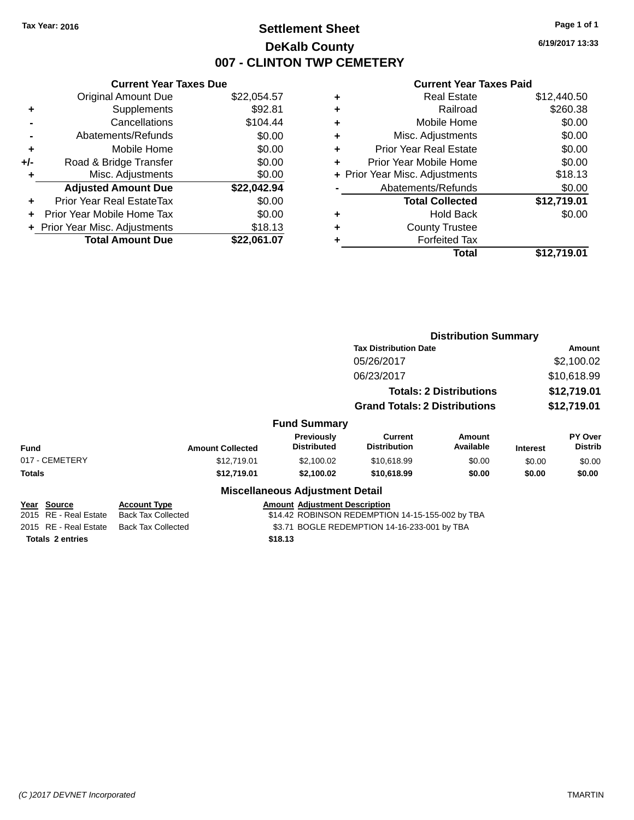# **Settlement Sheet Tax Year: 2016 Page 1 of 1 DeKalb County 007 - CLINTON TWP CEMETERY**

**6/19/2017 13:33**

|     | <b>Current Year Taxes Due</b> |             |  |  |  |  |  |
|-----|-------------------------------|-------------|--|--|--|--|--|
|     | <b>Original Amount Due</b>    | \$22,054.57 |  |  |  |  |  |
| ٠   | Supplements                   | \$92.81     |  |  |  |  |  |
|     | Cancellations                 | \$104.44    |  |  |  |  |  |
|     | Abatements/Refunds            | \$0.00      |  |  |  |  |  |
| ٠   | Mobile Home                   | \$0.00      |  |  |  |  |  |
| +/- | Road & Bridge Transfer        | \$0.00      |  |  |  |  |  |
| ٠   | Misc. Adjustments             | \$0.00      |  |  |  |  |  |
|     | <b>Adjusted Amount Due</b>    | \$22,042.94 |  |  |  |  |  |
| ÷   | Prior Year Real EstateTax     | \$0.00      |  |  |  |  |  |
| ÷   | Prior Year Mobile Home Tax    | \$0.00      |  |  |  |  |  |
|     | Prior Year Misc. Adjustments  | \$18.13     |  |  |  |  |  |
|     | <b>Total Amount Due</b>       | \$22.061.07 |  |  |  |  |  |

| ٠ | <b>Real Estate</b>             | \$12,440.50 |
|---|--------------------------------|-------------|
| ٠ | Railroad                       | \$260.38    |
| ٠ | Mobile Home                    | \$0.00      |
| ٠ | Misc. Adjustments              | \$0.00      |
| ٠ | <b>Prior Year Real Estate</b>  | \$0.00      |
| ٠ | Prior Year Mobile Home         | \$0.00      |
|   | + Prior Year Misc. Adjustments | \$18.13     |
|   | Abatements/Refunds             | \$0.00      |
|   | <b>Total Collected</b>         | \$12,719.01 |
| ٠ | <b>Hold Back</b>               | \$0.00      |
| ٠ | <b>County Trustee</b>          |             |
| ٠ | <b>Forfeited Tax</b>           |             |
|   | Total                          | \$12,719.01 |
|   |                                |             |

|                         |                           |                                        | <b>Distribution Summary</b>                      |                                |                 |                           |  |
|-------------------------|---------------------------|----------------------------------------|--------------------------------------------------|--------------------------------|-----------------|---------------------------|--|
|                         |                           |                                        | <b>Tax Distribution Date</b>                     |                                |                 | Amount                    |  |
|                         |                           |                                        | 05/26/2017                                       |                                |                 | \$2,100.02                |  |
|                         | 06/23/2017                |                                        |                                                  | \$10,618.99                    |                 |                           |  |
|                         |                           |                                        |                                                  | <b>Totals: 2 Distributions</b> | \$12,719.01     |                           |  |
|                         |                           | <b>Grand Totals: 2 Distributions</b>   |                                                  | \$12,719.01                    |                 |                           |  |
|                         |                           | <b>Fund Summary</b>                    |                                                  |                                |                 |                           |  |
| <b>Fund</b>             | <b>Amount Collected</b>   | Previously<br><b>Distributed</b>       | <b>Current</b><br><b>Distribution</b>            | Amount<br>Available            | <b>Interest</b> | PY Over<br><b>Distrib</b> |  |
| 017 - CEMETERY          | \$12,719.01               | \$2,100.02                             | \$10,618.99                                      | \$0.00                         | \$0.00          | \$0.00                    |  |
| Totals                  | \$12,719.01               | \$2,100.02                             | \$10,618.99                                      | \$0.00                         | \$0.00          | \$0.00                    |  |
|                         |                           | <b>Miscellaneous Adjustment Detail</b> |                                                  |                                |                 |                           |  |
| Year Source             | <b>Account Type</b>       | <b>Amount Adjustment Description</b>   |                                                  |                                |                 |                           |  |
| 2015 RE - Real Estate   | <b>Back Tax Collected</b> |                                        | \$14.42 ROBINSON REDEMPTION 14-15-155-002 by TBA |                                |                 |                           |  |
| 2015 RE - Real Estate   | <b>Back Tax Collected</b> |                                        | \$3.71 BOGLE REDEMPTION 14-16-233-001 by TBA     |                                |                 |                           |  |
| <b>Totals 2 entries</b> |                           | \$18.13                                |                                                  |                                |                 |                           |  |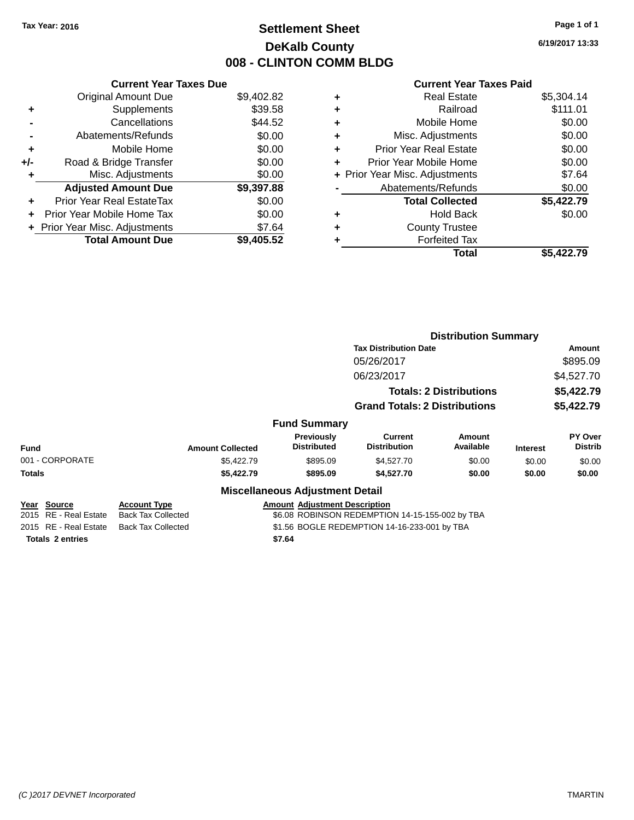# **Settlement Sheet Tax Year: 2016 Page 1 of 1 DeKalb County 008 - CLINTON COMM BLDG**

**6/19/2017 13:33**

| <b>Current Year Taxes Due</b>  |            |
|--------------------------------|------------|
| <b>Original Amount Due</b>     | \$9,402.82 |
| Supplements                    | \$39.58    |
| Cancellations                  | \$44.52    |
| Abatements/Refunds             | \$0.00     |
| Mobile Home                    | \$0.00     |
| Road & Bridge Transfer         | \$0.00     |
| Misc. Adjustments              | \$0.00     |
| <b>Adjusted Amount Due</b>     | \$9,397.88 |
| Prior Year Real EstateTax      | \$0.00     |
| Prior Year Mobile Home Tax     | \$0.00     |
| + Prior Year Misc. Adjustments | \$7.64     |
| <b>Total Amount Due</b>        | \$9,405.52 |
|                                |            |

|   | <b>Real Estate</b>             | \$5,304.14 |
|---|--------------------------------|------------|
| ٠ | Railroad                       | \$111.01   |
| ٠ | Mobile Home                    | \$0.00     |
| ٠ | Misc. Adjustments              | \$0.00     |
| ٠ | <b>Prior Year Real Estate</b>  | \$0.00     |
| ٠ | Prior Year Mobile Home         | \$0.00     |
|   | + Prior Year Misc. Adjustments | \$7.64     |
|   | Abatements/Refunds             | \$0.00     |
|   | <b>Total Collected</b>         | \$5,422.79 |
| ٠ | <b>Hold Back</b>               | \$0.00     |
| ٠ | <b>County Trustee</b>          |            |
| ٠ | <b>Forfeited Tax</b>           |            |
|   | Total                          | \$5,422.79 |
|   |                                |            |

|                         |                           |                                         | <b>Distribution Summary</b>                     |                                |                 |                           |
|-------------------------|---------------------------|-----------------------------------------|-------------------------------------------------|--------------------------------|-----------------|---------------------------|
|                         |                           |                                         | <b>Tax Distribution Date</b>                    |                                |                 | Amount                    |
|                         |                           |                                         | 05/26/2017                                      |                                |                 | \$895.09                  |
|                         |                           |                                         | 06/23/2017                                      |                                |                 | \$4,527.70                |
|                         |                           |                                         |                                                 | <b>Totals: 2 Distributions</b> |                 | \$5,422.79                |
|                         |                           |                                         | <b>Grand Totals: 2 Distributions</b>            |                                |                 | \$5,422.79                |
|                         |                           | <b>Fund Summary</b>                     |                                                 |                                |                 |                           |
| <b>Fund</b>             | <b>Amount Collected</b>   | <b>Previously</b><br><b>Distributed</b> | <b>Current</b><br><b>Distribution</b>           | <b>Amount</b><br>Available     | <b>Interest</b> | PY Over<br><b>Distrib</b> |
| 001 - CORPORATE         | \$5,422.79                | \$895.09                                | \$4,527.70                                      | \$0.00                         | \$0.00          | \$0.00                    |
| Totals                  | \$5,422.79                | \$895.09                                | \$4,527.70                                      | \$0.00                         | \$0.00          | \$0.00                    |
|                         |                           | <b>Miscellaneous Adjustment Detail</b>  |                                                 |                                |                 |                           |
| Year Source             | <b>Account Type</b>       | <b>Amount Adjustment Description</b>    |                                                 |                                |                 |                           |
| 2015 RE - Real Estate   | <b>Back Tax Collected</b> |                                         | \$6.08 ROBINSON REDEMPTION 14-15-155-002 by TBA |                                |                 |                           |
| 2015 RE - Real Estate   | <b>Back Tax Collected</b> |                                         | \$1.56 BOGLE REDEMPTION 14-16-233-001 by TBA    |                                |                 |                           |
| <b>Totals 2 entries</b> |                           | \$7.64                                  |                                                 |                                |                 |                           |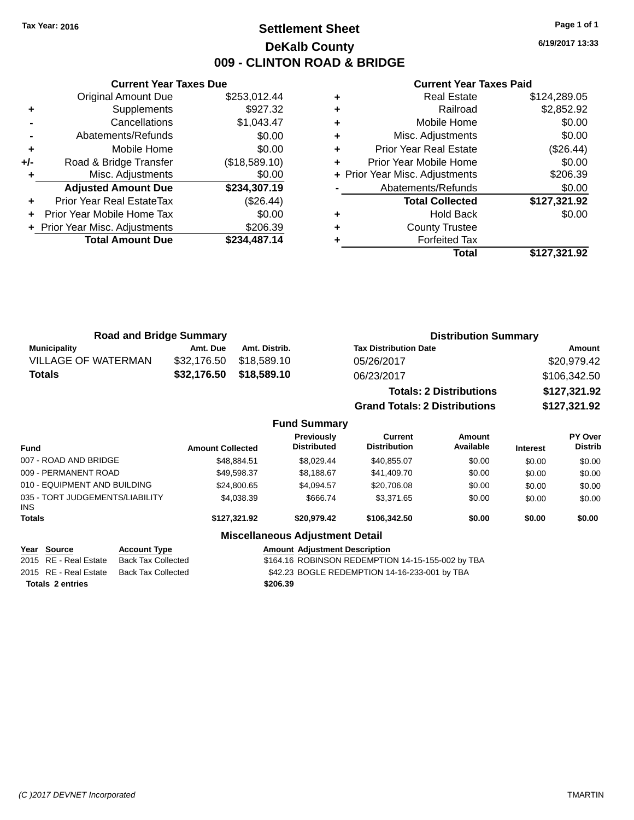# **Settlement Sheet Tax Year: 2016 Page 1 of 1 DeKalb County 009 - CLINTON ROAD & BRIDGE**

**6/19/2017 13:33**

|     | <b>Current Year Taxes Due</b>    |               |  |  |  |  |
|-----|----------------------------------|---------------|--|--|--|--|
|     | <b>Original Amount Due</b>       | \$253,012.44  |  |  |  |  |
| ٠   | Supplements                      | \$927.32      |  |  |  |  |
|     | Cancellations                    | \$1,043.47    |  |  |  |  |
|     | Abatements/Refunds               | \$0.00        |  |  |  |  |
| ٠   | Mobile Home                      | \$0.00        |  |  |  |  |
| +/- | Road & Bridge Transfer           | (\$18,589.10) |  |  |  |  |
|     | Misc. Adjustments                | \$0.00        |  |  |  |  |
|     | <b>Adjusted Amount Due</b>       | \$234,307.19  |  |  |  |  |
|     | <b>Prior Year Real EstateTax</b> | (\$26.44)     |  |  |  |  |
|     | Prior Year Mobile Home Tax       | \$0.00        |  |  |  |  |
|     | + Prior Year Misc. Adjustments   | \$206.39      |  |  |  |  |
|     | <b>Total Amount Due</b>          | \$234,487.14  |  |  |  |  |
|     |                                  |               |  |  |  |  |

### **Current Year Taxes Paid**

|   | <b>Real Estate</b>             | \$124,289.05 |
|---|--------------------------------|--------------|
| ٠ | Railroad                       | \$2,852.92   |
| ٠ | Mobile Home                    | \$0.00       |
| ٠ | Misc. Adjustments              | \$0.00       |
| ٠ | Prior Year Real Estate         | (\$26.44)    |
|   | Prior Year Mobile Home         | \$0.00       |
|   | + Prior Year Misc. Adjustments | \$206.39     |
|   | Abatements/Refunds             | \$0.00       |
|   | <b>Total Collected</b>         | \$127,321.92 |
| ٠ | <b>Hold Back</b>               | \$0.00       |
|   | <b>County Trustee</b>          |              |
|   | <b>Forfeited Tax</b>           |              |
|   | Total                          | \$127,321.92 |
|   |                                |              |

| <b>Road and Bridge Summary</b> |             |               | <b>Distribution Summary</b>          |              |  |  |
|--------------------------------|-------------|---------------|--------------------------------------|--------------|--|--|
| <b>Municipality</b>            | Amt. Due    | Amt. Distrib. | <b>Tax Distribution Date</b>         | Amount       |  |  |
| <b>VILLAGE OF WATERMAN</b>     | \$32,176.50 | \$18,589.10   | 05/26/2017                           | \$20,979.42  |  |  |
| \$32,176.50<br><b>Totals</b>   |             | \$18,589.10   | 06/23/2017                           | \$106,342.50 |  |  |
|                                |             |               | <b>Totals: 2 Distributions</b>       | \$127,321.92 |  |  |
|                                |             |               | <b>Grand Totals: 2 Distributions</b> | \$127,321.92 |  |  |

## **Fund Summary**

| <b>Fund</b>                                   | <b>Amount Collected</b> | Previously<br><b>Distributed</b> | Current<br><b>Distribution</b> | Amount<br>Available | <b>Interest</b> | <b>PY Over</b><br><b>Distrib</b> |
|-----------------------------------------------|-------------------------|----------------------------------|--------------------------------|---------------------|-----------------|----------------------------------|
| 007 - ROAD AND BRIDGE                         | \$48,884.51             | \$8.029.44                       | \$40,855.07                    | \$0.00              | \$0.00          | \$0.00                           |
| 009 - PERMANENT ROAD                          | \$49,598.37             | \$8,188.67                       | \$41,409.70                    | \$0.00              | \$0.00          | \$0.00                           |
| 010 - EQUIPMENT AND BUILDING                  | \$24,800.65             | \$4.094.57                       | \$20,706.08                    | \$0.00              | \$0.00          | \$0.00                           |
| 035 - TORT JUDGEMENTS/LIABILITY<br><b>INS</b> | \$4,038.39              | \$666.74                         | \$3.371.65                     | \$0.00              | \$0.00          | \$0.00                           |
| <b>Totals</b>                                 | \$127.321.92            | \$20,979.42                      | \$106,342,50                   | \$0.00              | \$0.00          | \$0.00                           |
|                                               |                         |                                  |                                |                     |                 |                                  |

### **Miscellaneous Adjustment Detail**

Year Source **Account Type Account Adjustment Description** 

2015 RE - Real Estate Back Tax Collected **\$164.16 ROBINSON REDEMPTION 14-15-155-002** by TBA 2015 RE - Real Estate Back Tax Collected \$42.23 BOGLE REDEMPTION 14-16-233-001 by TBA

**Totals \$206.39 2 entries**

*(C )2017 DEVNET Incorporated* TMARTIN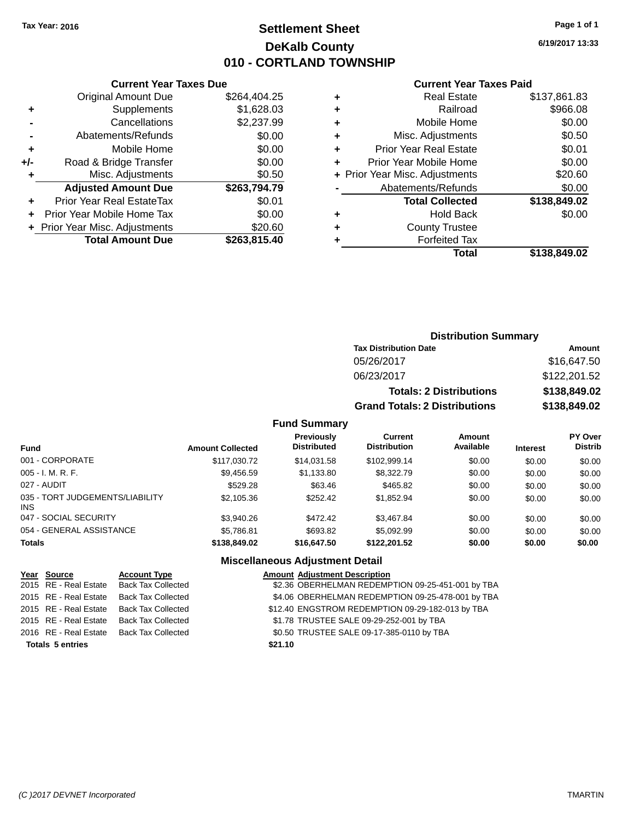# **Settlement Sheet Tax Year: 2016 Page 1 of 1 DeKalb County 010 - CORTLAND TOWNSHIP**

**6/19/2017 13:33**

### **Current Year Taxes Paid**

|       | <b>Current Year Taxes Due</b>  |              |
|-------|--------------------------------|--------------|
|       | <b>Original Amount Due</b>     | \$264,404.25 |
| ٠     | Supplements                    | \$1,628.03   |
|       | Cancellations                  | \$2,237.99   |
|       | Abatements/Refunds             | \$0.00       |
| ٠     | Mobile Home                    | \$0.00       |
| $+/-$ | Road & Bridge Transfer         | \$0.00       |
| ÷     | Misc. Adjustments              | \$0.50       |
|       | <b>Adjusted Amount Due</b>     | \$263,794.79 |
| ٠     | Prior Year Real EstateTax      | \$0.01       |
|       | Prior Year Mobile Home Tax     | \$0.00       |
|       | + Prior Year Misc. Adjustments | \$20.60      |
|       | <b>Total Amount Due</b>        | \$263,815.40 |
|       |                                |              |

|   | <b>Real Estate</b>             | \$137,861.83 |
|---|--------------------------------|--------------|
| ٠ | Railroad                       | \$966.08     |
| ٠ | Mobile Home                    | \$0.00       |
| ٠ | Misc. Adjustments              | \$0.50       |
| ٠ | <b>Prior Year Real Estate</b>  | \$0.01       |
| ÷ | Prior Year Mobile Home         | \$0.00       |
|   | + Prior Year Misc. Adjustments | \$20.60      |
|   | Abatements/Refunds             | \$0.00       |
|   | <b>Total Collected</b>         | \$138,849.02 |
| ٠ | <b>Hold Back</b>               | \$0.00       |
| ٠ | <b>County Trustee</b>          |              |
| ٠ | <b>Forfeited Tax</b>           |              |
|   | Total                          | \$138,849.02 |
|   |                                |              |

## **Distribution Summary Tax Distribution Date Amount** 05/26/2017 \$16,647.50 06/23/2017 \$122,201.52 **Totals: 2 Distributions \$138,849.02 Grand Totals: 2 Distributions \$138,849.02**

### **Fund Summary**

| <b>Fund</b>                             | <b>Amount Collected</b> | Previously<br><b>Distributed</b> | <b>Current</b><br><b>Distribution</b> | Amount<br>Available | <b>Interest</b> | PY Over<br><b>Distrib</b> |
|-----------------------------------------|-------------------------|----------------------------------|---------------------------------------|---------------------|-----------------|---------------------------|
| 001 - CORPORATE                         | \$117.030.72            | \$14.031.58                      | \$102.999.14                          | \$0.00              | \$0.00          | \$0.00                    |
| $005 - I. M. R. F.$                     | \$9,456.59              | \$1,133.80                       | \$8,322.79                            | \$0.00              | \$0.00          | \$0.00                    |
| 027 - AUDIT                             | \$529.28                | \$63.46                          | \$465.82                              | \$0.00              | \$0.00          | \$0.00                    |
| 035 - TORT JUDGEMENTS/LIABILITY<br>INS. | \$2,105.36              | \$252.42                         | \$1,852.94                            | \$0.00              | \$0.00          | \$0.00                    |
| 047 - SOCIAL SECURITY                   | \$3.940.26              | \$472.42                         | \$3,467.84                            | \$0.00              | \$0.00          | \$0.00                    |
| 054 - GENERAL ASSISTANCE                | \$5,786.81              | \$693.82                         | \$5.092.99                            | \$0.00              | \$0.00          | \$0.00                    |
| <b>Totals</b>                           | \$138,849.02            | \$16,647.50                      | \$122,201.52                          | \$0.00              | \$0.00          | \$0.00                    |

## **Miscellaneous Adjustment Detail**

|                         | Year Source           | <b>Account Type</b>       | <b>Amount Adjustment Description</b>              |
|-------------------------|-----------------------|---------------------------|---------------------------------------------------|
|                         | 2015 RE - Real Estate | <b>Back Tax Collected</b> | \$2.36 OBERHELMAN REDEMPTION 09-25-451-001 by TBA |
|                         | 2015 RE - Real Estate | <b>Back Tax Collected</b> | \$4.06 OBERHELMAN REDEMPTION 09-25-478-001 by TBA |
|                         | 2015 RE - Real Estate | <b>Back Tax Collected</b> | \$12.40 ENGSTROM REDEMPTION 09-29-182-013 by TBA  |
|                         | 2015 RE - Real Estate | <b>Back Tax Collected</b> | \$1.78 TRUSTEE SALE 09-29-252-001 by TBA          |
|                         | 2016 RE - Real Estate | <b>Back Tax Collected</b> | \$0.50 TRUSTEE SALE 09-17-385-0110 by TBA         |
| <b>Totals 5 entries</b> |                       |                           | \$21.10                                           |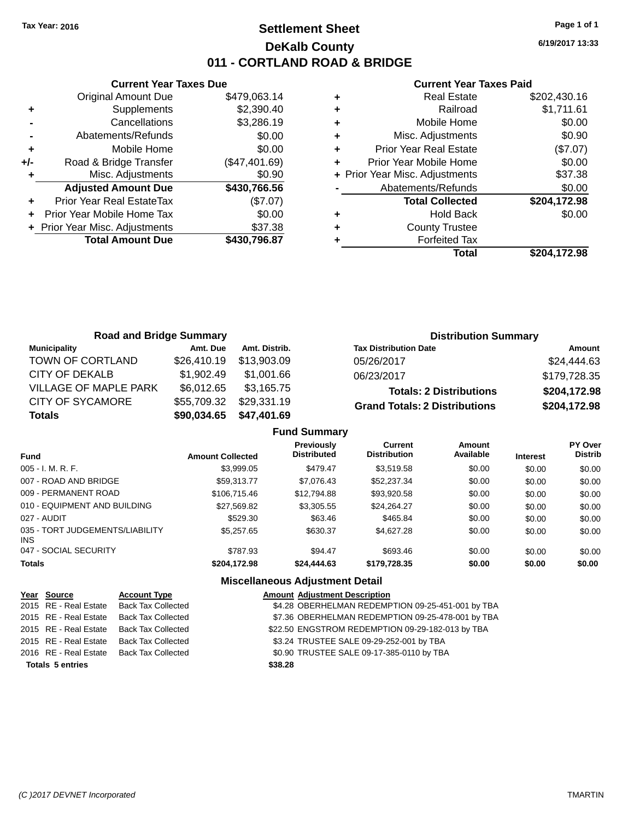# **Settlement Sheet Tax Year: 2016 Page 1 of 1 DeKalb County 011 - CORTLAND ROAD & BRIDGE**

**6/19/2017 13:33**

### **Current Year Taxes Paid**

|     | <b>Current Year Taxes Due</b>  |               |
|-----|--------------------------------|---------------|
|     | <b>Original Amount Due</b>     | \$479,063.14  |
| ٠   | Supplements                    | \$2,390.40    |
|     | Cancellations                  | \$3,286.19    |
|     | Abatements/Refunds             | \$0.00        |
| ٠   | Mobile Home                    | \$0.00        |
| +/- | Road & Bridge Transfer         | (\$47,401.69) |
|     | Misc. Adjustments              | \$0.90        |
|     | <b>Adjusted Amount Due</b>     | \$430,766.56  |
| ٠   | Prior Year Real EstateTax      | (\$7.07)      |
|     | Prior Year Mobile Home Tax     | \$0.00        |
|     | + Prior Year Misc. Adjustments | \$37.38       |
|     | <b>Total Amount Due</b>        | \$430,796.87  |
|     |                                |               |

|   | <b>Real Estate</b>             | \$202,430.16 |
|---|--------------------------------|--------------|
| ÷ | Railroad                       | \$1,711.61   |
| ٠ | Mobile Home                    | \$0.00       |
| ٠ | Misc. Adjustments              | \$0.90       |
| ٠ | <b>Prior Year Real Estate</b>  | (\$7.07)     |
| ٠ | Prior Year Mobile Home         | \$0.00       |
|   | + Prior Year Misc. Adjustments | \$37.38      |
|   | Abatements/Refunds             | \$0.00       |
|   | <b>Total Collected</b>         | \$204,172.98 |
| ٠ | <b>Hold Back</b>               | \$0.00       |
| ٠ | <b>County Trustee</b>          |              |
|   | <b>Forfeited Tax</b>           |              |
|   | Total                          | \$204.172.98 |

| <b>Road and Bridge Summary</b> |             |               | <b>Distribution Summary</b>          |              |  |
|--------------------------------|-------------|---------------|--------------------------------------|--------------|--|
| Municipality                   | Amt. Due    | Amt. Distrib. | <b>Tax Distribution Date</b>         | Amount       |  |
| TOWN OF CORTLAND               | \$26,410.19 | \$13.903.09   | 05/26/2017                           | \$24,444.63  |  |
| CITY OF DEKALB                 | \$1,902.49  | \$1,001.66    | 06/23/2017                           | \$179,728.35 |  |
| <b>VILLAGE OF MAPLE PARK</b>   | \$6,012.65  | \$3,165.75    | <b>Totals: 2 Distributions</b>       | \$204,172.98 |  |
| <b>CITY OF SYCAMORE</b>        | \$55,709.32 | \$29,331.19   | <b>Grand Totals: 2 Distributions</b> | \$204,172.98 |  |
| <b>Totals</b>                  | \$90,034.65 | \$47,401.69   |                                      |              |  |

| <b>Fund Summary</b> |  |  |
|---------------------|--|--|
|---------------------|--|--|

| <b>Fund</b>                             | <b>Amount Collected</b> | <b>Previously</b><br><b>Distributed</b> | Current<br><b>Distribution</b> | Amount<br>Available | <b>Interest</b> | <b>PY Over</b><br><b>Distrib</b> |
|-----------------------------------------|-------------------------|-----------------------------------------|--------------------------------|---------------------|-----------------|----------------------------------|
| $005 - I. M. R. F.$                     | \$3.999.05              | \$479.47                                | \$3.519.58                     | \$0.00              | \$0.00          | \$0.00                           |
| 007 - ROAD AND BRIDGE                   | \$59.313.77             | \$7,076.43                              | \$52,237.34                    | \$0.00              | \$0.00          | \$0.00                           |
| 009 - PERMANENT ROAD                    | \$106,715.46            | \$12,794.88                             | \$93,920.58                    | \$0.00              | \$0.00          | \$0.00                           |
| 010 - EQUIPMENT AND BUILDING            | \$27,569.82             | \$3,305.55                              | \$24.264.27                    | \$0.00              | \$0.00          | \$0.00                           |
| 027 - AUDIT                             | \$529.30                | \$63.46                                 | \$465.84                       | \$0.00              | \$0.00          | \$0.00                           |
| 035 - TORT JUDGEMENTS/LIABILITY<br>INS. | \$5,257.65              | \$630.37                                | \$4,627.28                     | \$0.00              | \$0.00          | \$0.00                           |
| 047 - SOCIAL SECURITY                   | \$787.93                | \$94.47                                 | \$693.46                       | \$0.00              | \$0.00          | \$0.00                           |
| <b>Totals</b>                           | \$204,172.98            | \$24,444.63                             | \$179,728.35                   | \$0.00              | \$0.00          | \$0.00                           |

## **Miscellaneous Adjustment Detail**

|                         | Year Source           | <b>Account Type</b>       | <b>Amount Adjustment Description</b>              |
|-------------------------|-----------------------|---------------------------|---------------------------------------------------|
|                         | 2015 RE - Real Estate | <b>Back Tax Collected</b> | \$4.28 OBERHELMAN REDEMPTION 09-25-451-001 by TBA |
|                         | 2015 RE - Real Estate | <b>Back Tax Collected</b> | \$7.36 OBERHELMAN REDEMPTION 09-25-478-001 by TBA |
|                         | 2015 RE - Real Estate | <b>Back Tax Collected</b> | \$22.50 ENGSTROM REDEMPTION 09-29-182-013 by TBA  |
|                         | 2015 RE - Real Estate | <b>Back Tax Collected</b> | \$3.24 TRUSTEE SALE 09-29-252-001 by TBA          |
|                         | 2016 RE - Real Estate | <b>Back Tax Collected</b> | \$0.90 TRUSTEE SALE 09-17-385-0110 by TBA         |
| <b>Totals 5 entries</b> |                       |                           | \$38.28                                           |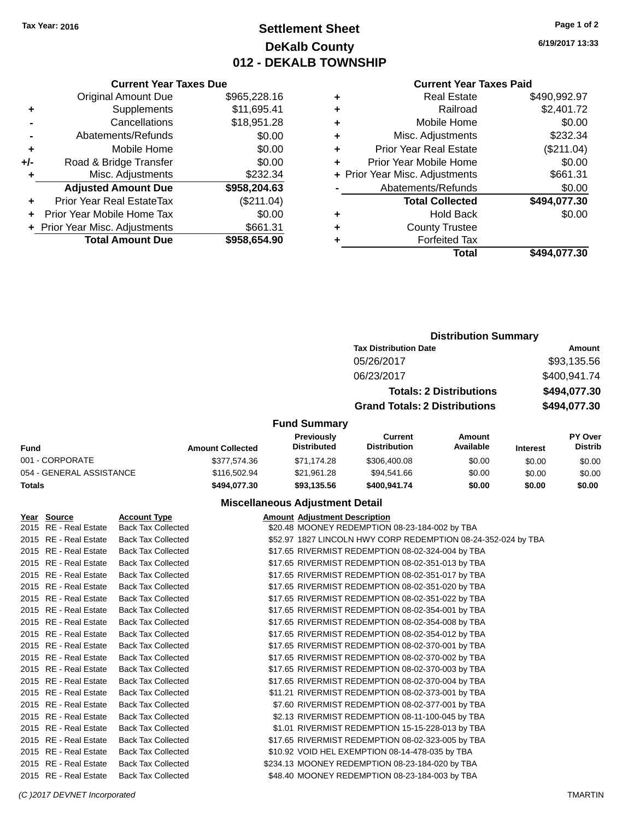# **Settlement Sheet Tax Year: 2016 Page 1 of 2 DeKalb County 012 - DEKALB TOWNSHIP**

**6/19/2017 13:33**

|  | Curre |
|--|-------|
|  |       |

|     | <b>Current Year Taxes Due</b>  |              |
|-----|--------------------------------|--------------|
|     | <b>Original Amount Due</b>     | \$965,228.16 |
| ٠   | Supplements                    | \$11,695.41  |
|     | Cancellations                  | \$18,951.28  |
|     | Abatements/Refunds             | \$0.00       |
| ٠   | Mobile Home                    | \$0.00       |
| +/- | Road & Bridge Transfer         | \$0.00       |
|     | Misc. Adjustments              | \$232.34     |
|     | <b>Adjusted Amount Due</b>     | \$958,204.63 |
| ÷   | Prior Year Real EstateTax      | (\$211.04)   |
|     | Prior Year Mobile Home Tax     | \$0.00       |
|     | + Prior Year Misc. Adjustments | \$661.31     |
|     | <b>Total Amount Due</b>        | \$958.654.90 |

|   | <b>Current Year Taxes Paid</b> |              |
|---|--------------------------------|--------------|
| ٠ | <b>Real Estate</b>             | \$490,992.97 |
| ٠ | Railroad                       | \$2,401.72   |
| ٠ | Mobile Home                    | \$0.00       |
| ٠ | Misc. Adjustments              | \$232.34     |
| ٠ | <b>Prior Year Real Estate</b>  | (\$211.04)   |
| ٠ | Prior Year Mobile Home         | \$0.00       |
|   | + Prior Year Misc. Adjustments | \$661.31     |
|   | Abatements/Refunds             | \$0.00       |
|   | <b>Total Collected</b>         | \$494,077.30 |
| ٠ | <b>Hold Back</b>               | \$0.00       |
|   | <b>County Trustee</b>          |              |
|   | <b>Forfeited Tax</b>           |              |
|   | Total                          | \$494,077.30 |
|   |                                |              |

|                          |                         | <b>Distribution Summary</b>      |                                       |                                |                 |                           |
|--------------------------|-------------------------|----------------------------------|---------------------------------------|--------------------------------|-----------------|---------------------------|
|                          |                         |                                  | <b>Tax Distribution Date</b>          |                                |                 | Amount                    |
|                          |                         |                                  | 05/26/2017                            |                                |                 | \$93,135.56               |
|                          |                         |                                  | 06/23/2017                            |                                |                 | \$400,941.74              |
|                          |                         |                                  |                                       | <b>Totals: 2 Distributions</b> |                 | \$494,077.30              |
|                          |                         |                                  | <b>Grand Totals: 2 Distributions</b>  |                                |                 | \$494,077.30              |
|                          |                         | <b>Fund Summary</b>              |                                       |                                |                 |                           |
| <b>Fund</b>              | <b>Amount Collected</b> | Previously<br><b>Distributed</b> | <b>Current</b><br><b>Distribution</b> | Amount<br>Available            | <b>Interest</b> | PY Over<br><b>Distrib</b> |
| 001 - CORPORATE          | \$377,574.36            | \$71.174.28                      | \$306,400.08                          | \$0.00                         | \$0.00          | \$0.00                    |
| 054 - GENERAL ASSISTANCE | \$116,502.94            | \$21.961.28                      | \$94,541.66                           | \$0.00                         | \$0.00          | \$0.00                    |

## **Miscellaneous Adjustment Detail**

**Totals \$494,077.30 \$93,135.56 \$400,941.74 \$0.00 \$0.00 \$0.00**

| Year Source           | <b>Account Type</b>       | <b>Amount Adjustment Description</b>                          |
|-----------------------|---------------------------|---------------------------------------------------------------|
| 2015 RE - Real Estate | <b>Back Tax Collected</b> | \$20.48 MOONEY REDEMPTION 08-23-184-002 by TBA                |
| 2015 RE - Real Estate | <b>Back Tax Collected</b> | \$52.97 1827 LINCOLN HWY CORP REDEMPTION 08-24-352-024 by TBA |
| 2015 RE - Real Estate | <b>Back Tax Collected</b> | \$17.65 RIVERMIST REDEMPTION 08-02-324-004 by TBA             |
| 2015 RE - Real Estate | <b>Back Tax Collected</b> | \$17.65 RIVERMIST REDEMPTION 08-02-351-013 by TBA             |
| 2015 RE - Real Estate | <b>Back Tax Collected</b> | \$17.65 RIVERMIST REDEMPTION 08-02-351-017 by TBA             |
| 2015 RE - Real Estate | <b>Back Tax Collected</b> | \$17.65 RIVERMIST REDEMPTION 08-02-351-020 by TBA             |
| 2015 RE - Real Estate | <b>Back Tax Collected</b> | \$17.65 RIVERMIST REDEMPTION 08-02-351-022 by TBA             |
| 2015 RE - Real Estate | <b>Back Tax Collected</b> | \$17.65 RIVERMIST REDEMPTION 08-02-354-001 by TBA             |
| 2015 RE - Real Estate | <b>Back Tax Collected</b> | \$17.65 RIVERMIST REDEMPTION 08-02-354-008 by TBA             |
| 2015 RE - Real Estate | <b>Back Tax Collected</b> | \$17.65 RIVERMIST REDEMPTION 08-02-354-012 by TBA             |
| 2015 RE - Real Estate | <b>Back Tax Collected</b> | \$17.65 RIVERMIST REDEMPTION 08-02-370-001 by TBA             |
| 2015 RE - Real Estate | <b>Back Tax Collected</b> | \$17.65 RIVERMIST REDEMPTION 08-02-370-002 by TBA             |
| 2015 RE - Real Estate | <b>Back Tax Collected</b> | \$17.65 RIVERMIST REDEMPTION 08-02-370-003 by TBA             |
| 2015 RE - Real Estate | <b>Back Tax Collected</b> | \$17.65 RIVERMIST REDEMPTION 08-02-370-004 by TBA             |
| 2015 RE - Real Estate | <b>Back Tax Collected</b> | \$11.21 RIVERMIST REDEMPTION 08-02-373-001 by TBA             |
| 2015 RE - Real Estate | <b>Back Tax Collected</b> | \$7.60 RIVERMIST REDEMPTION 08-02-377-001 by TBA              |
| 2015 RE - Real Estate | <b>Back Tax Collected</b> | \$2.13 RIVERMIST REDEMPTION 08-11-100-045 by TBA              |
| 2015 RE - Real Estate | <b>Back Tax Collected</b> | \$1.01 RIVERMIST REDEMPTION 15-15-228-013 by TBA              |
| 2015 RE - Real Estate | <b>Back Tax Collected</b> | \$17.65 RIVERMIST REDEMPTION 08-02-323-005 by TBA             |
| 2015 RE - Real Estate | <b>Back Tax Collected</b> | \$10.92 VOID HEL EXEMPTION 08-14-478-035 by TBA               |
| 2015 RE - Real Estate | <b>Back Tax Collected</b> | \$234.13 MOONEY REDEMPTION 08-23-184-020 by TBA               |
| 2015 RE - Real Estate | <b>Back Tax Collected</b> | \$48.40 MOONEY REDEMPTION 08-23-184-003 by TBA                |

### *(C )2017 DEVNET Incorporated* TMARTIN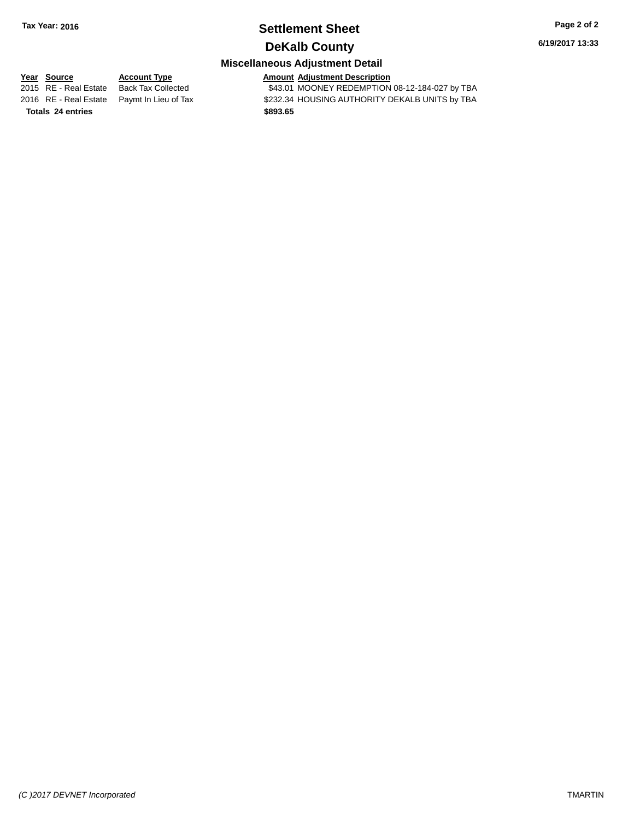## **Settlement Sheet Tax Year: 2016 Page 2 of 2 DeKalb County**

**6/19/2017 13:33**

# **Miscellaneous Adjustment Detail**

**Year Source Account Type Amount Adjustment Description** \$43.01 MOONEY REDEMPTION 08-12-184-027 by TBA 2016 RE - Real Estate Paymt In Lieu of Tax S232.34 HOUSING AUTHORITY DEKALB UNITS by TBA **Totals \$893.65 24 entries**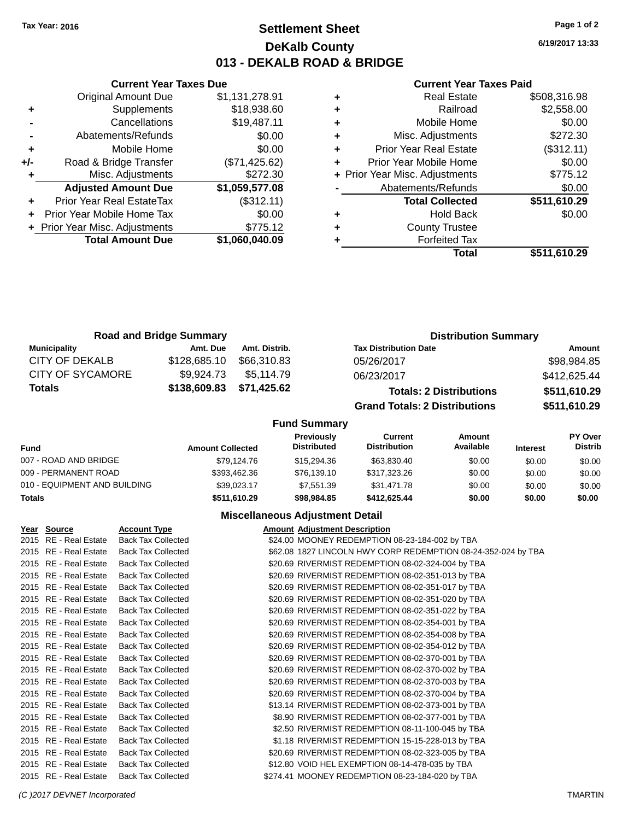# **Settlement Sheet Tax Year: 2016 Page 1 of 2 DeKalb County 013 - DEKALB ROAD & BRIDGE**

**6/19/2017 13:33**

### **Current Year Taxes Paid**

|     | <b>Current Year Taxes Due</b>  |                |         |
|-----|--------------------------------|----------------|---------|
|     | <b>Original Amount Due</b>     | \$1,131,278.91 | ٠       |
|     | Supplements                    | \$18,938.60    | ÷       |
|     | Cancellations                  | \$19,487.11    | ٠       |
|     | Abatements/Refunds             | \$0.00         | ٠       |
|     | Mobile Home                    | \$0.00         | ٠       |
| +/- | Road & Bridge Transfer         | (\$71,425.62)  | ٠       |
|     | Misc. Adjustments              | \$272.30       | + Prior |
|     | <b>Adjusted Amount Due</b>     | \$1,059,577.08 |         |
|     | Prior Year Real EstateTax      | (\$312.11)     |         |
|     | Prior Year Mobile Home Tax     | \$0.00         | ٠       |
|     | + Prior Year Misc. Adjustments | \$775.12       | ٠       |
|     | <b>Total Amount Due</b>        | \$1,060,040.09 |         |
|     |                                |                |         |

|   | Real Estate                    | \$508,316.98 |
|---|--------------------------------|--------------|
| ٠ | Railroad                       | \$2,558.00   |
| ٠ | Mobile Home                    | \$0.00       |
| ٠ | Misc. Adjustments              | \$272.30     |
| ٠ | <b>Prior Year Real Estate</b>  | (\$312.11)   |
| ٠ | Prior Year Mobile Home         | \$0.00       |
|   | + Prior Year Misc. Adjustments | \$775.12     |
|   | Abatements/Refunds             | \$0.00       |
|   | <b>Total Collected</b>         | \$511,610.29 |
|   | Hold Back                      | \$0.00       |
|   | <b>County Trustee</b>          |              |
|   | <b>Forfeited Tax</b>           |              |
|   | Total                          | \$511,610.29 |
|   |                                |              |

| <b>Road and Bridge Summary</b> |              |               | <b>Distribution Summary</b>          |              |  |  |
|--------------------------------|--------------|---------------|--------------------------------------|--------------|--|--|
| <b>Municipality</b>            | Amt. Due     | Amt. Distrib. | <b>Tax Distribution Date</b>         | Amount       |  |  |
| CITY OF DEKALB                 | \$128,685.10 | \$66,310.83   | 05/26/2017                           | \$98,984.85  |  |  |
| <b>CITY OF SYCAMORE</b>        | \$9.924.73   | \$5.114.79    | 06/23/2017                           | \$412,625.44 |  |  |
| <b>Totals</b>                  | \$138,609.83 | \$71,425.62   | <b>Totals: 2 Distributions</b>       | \$511,610.29 |  |  |
|                                |              |               | <b>Grand Totals: 2 Distributions</b> | \$511,610.29 |  |  |

## **Fund Summary**

| <b>Fund</b>                  | <b>Amount Collected</b> | Previously<br><b>Distributed</b> | Current<br><b>Distribution</b> | Amount<br>Available | <b>Interest</b> | <b>PY Over</b><br><b>Distrib</b> |
|------------------------------|-------------------------|----------------------------------|--------------------------------|---------------------|-----------------|----------------------------------|
| 007 - ROAD AND BRIDGE        | \$79.124.76             | \$15,294.36                      | \$63,830,40                    | \$0.00              | \$0.00          | \$0.00                           |
| 009 - PERMANENT ROAD         | \$393,462.36            | \$76.139.10                      | \$317,323,26                   | \$0.00              | \$0.00          | \$0.00                           |
| 010 - EQUIPMENT AND BUILDING | \$39.023.17             | \$7.551.39                       | \$31,471.78                    | \$0.00              | \$0.00          | \$0.00                           |
| <b>Totals</b>                | \$511.610.29            | \$98,984.85                      | \$412,625,44                   | \$0.00              | \$0.00          | \$0.00                           |

## **Miscellaneous Adjustment Detail**

| Year Source           | <b>Account Type</b>       | <b>Amount Adjustment Description</b>                          |  |
|-----------------------|---------------------------|---------------------------------------------------------------|--|
| 2015 RE - Real Estate | <b>Back Tax Collected</b> | \$24.00 MOONEY REDEMPTION 08-23-184-002 by TBA                |  |
| 2015 RE - Real Estate | <b>Back Tax Collected</b> | \$62.08 1827 LINCOLN HWY CORP REDEMPTION 08-24-352-024 by TBA |  |
| 2015 RE - Real Estate | <b>Back Tax Collected</b> | \$20.69 RIVERMIST REDEMPTION 08-02-324-004 by TBA             |  |
| 2015 RE - Real Estate | <b>Back Tax Collected</b> | \$20.69 RIVERMIST REDEMPTION 08-02-351-013 by TBA             |  |
| 2015 RE - Real Estate | <b>Back Tax Collected</b> | \$20.69 RIVERMIST REDEMPTION 08-02-351-017 by TBA             |  |
| 2015 RE - Real Estate | <b>Back Tax Collected</b> | \$20.69 RIVERMIST REDEMPTION 08-02-351-020 by TBA             |  |
| 2015 RE - Real Estate | <b>Back Tax Collected</b> | \$20.69 RIVERMIST REDEMPTION 08-02-351-022 by TBA             |  |
| 2015 RE - Real Estate | <b>Back Tax Collected</b> | \$20.69 RIVERMIST REDEMPTION 08-02-354-001 by TBA             |  |
| 2015 RE - Real Estate | <b>Back Tax Collected</b> | \$20.69 RIVERMIST REDEMPTION 08-02-354-008 by TBA             |  |
| 2015 RE - Real Estate | <b>Back Tax Collected</b> | \$20.69 RIVERMIST REDEMPTION 08-02-354-012 by TBA             |  |
| 2015 RE - Real Estate | <b>Back Tax Collected</b> | \$20.69 RIVERMIST REDEMPTION 08-02-370-001 by TBA             |  |
| 2015 RE - Real Estate | <b>Back Tax Collected</b> | \$20.69 RIVERMIST REDEMPTION 08-02-370-002 by TBA             |  |
| 2015 RE - Real Estate | <b>Back Tax Collected</b> | \$20.69 RIVERMIST REDEMPTION 08-02-370-003 by TBA             |  |
| 2015 RE - Real Estate | <b>Back Tax Collected</b> | \$20.69 RIVERMIST REDEMPTION 08-02-370-004 by TBA             |  |
| 2015 RE - Real Estate | <b>Back Tax Collected</b> | \$13.14 RIVERMIST REDEMPTION 08-02-373-001 by TBA             |  |
| 2015 RE - Real Estate | <b>Back Tax Collected</b> | \$8.90 RIVERMIST REDEMPTION 08-02-377-001 by TBA              |  |
| 2015 RE - Real Estate | <b>Back Tax Collected</b> | \$2.50 RIVERMIST REDEMPTION 08-11-100-045 by TBA              |  |
| 2015 RE - Real Estate | <b>Back Tax Collected</b> | \$1.18 RIVERMIST REDEMPTION 15-15-228-013 by TBA              |  |
| 2015 RE - Real Estate | <b>Back Tax Collected</b> | \$20.69 RIVERMIST REDEMPTION 08-02-323-005 by TBA             |  |
| 2015 RE - Real Estate | <b>Back Tax Collected</b> | \$12.80 VOID HEL EXEMPTION 08-14-478-035 by TBA               |  |
| 2015 RE - Real Estate | <b>Back Tax Collected</b> | \$274.41 MOONEY REDEMPTION 08-23-184-020 by TBA               |  |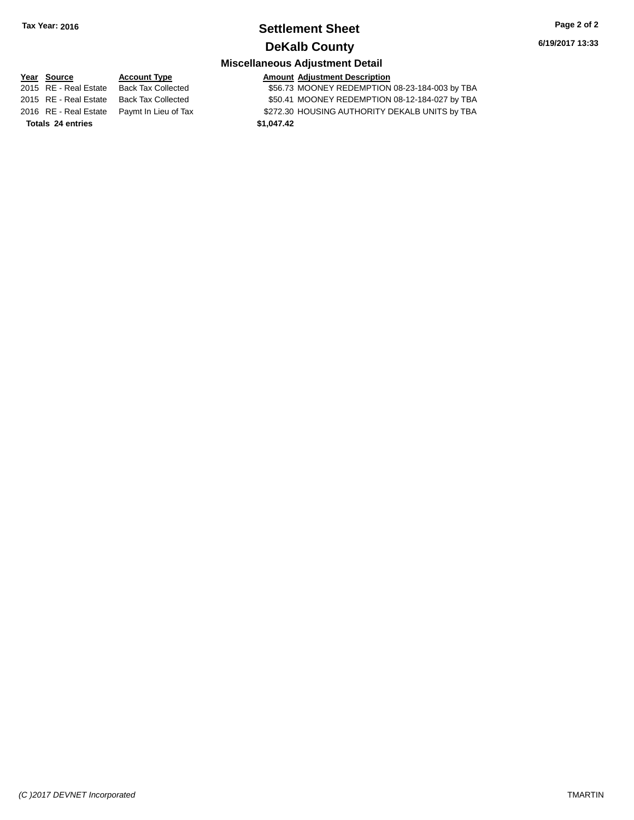## **Settlement Sheet Tax Year: 2016 Page 2 of 2 DeKalb County**

**6/19/2017 13:33**

## **Miscellaneous Adjustment Detail**

**Year** Source **Account Type Account Adjustment Description** 

2015 RE - Real Estate Back Tax Collected \$56.73 MOONEY REDEMPTION 08-23-184-003 by TBA 2015 RE - Real Estate Back Tax Collected \$50.41 MOONEY REDEMPTION 08-12-184-027 by TBA 2016 RE - Real Estate Paymt In Lieu of Tax S272.30 HOUSING AUTHORITY DEKALB UNITS by TBA **Totals \$1,047.42 24 entries**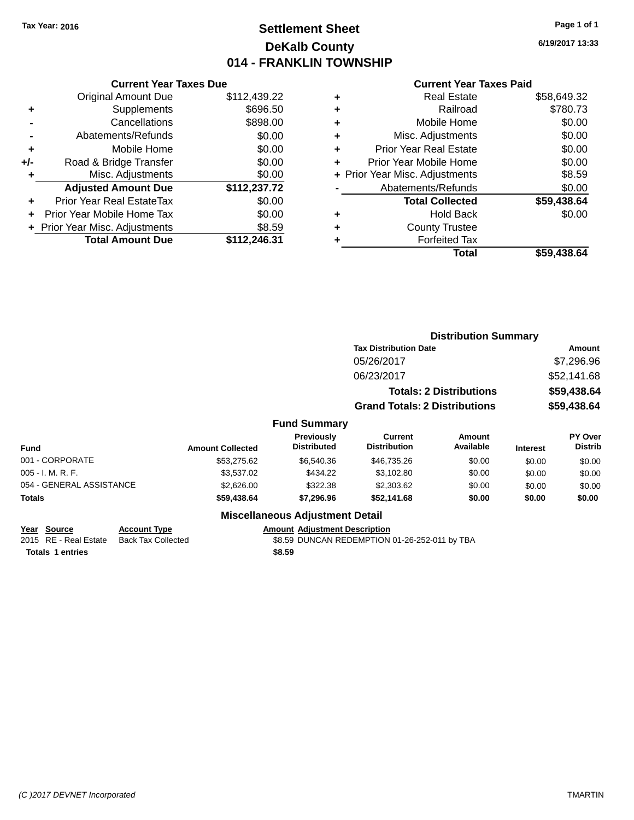# **Settlement Sheet Tax Year: 2016 Page 1 of 1 DeKalb County 014 - FRANKLIN TOWNSHIP**

**6/19/2017 13:33**

### **Current Year Taxes Paid**

|     | <b>Current Year Taxes Due</b>  |              |  |  |  |
|-----|--------------------------------|--------------|--|--|--|
|     | <b>Original Amount Due</b>     | \$112,439.22 |  |  |  |
| ٠   | Supplements                    | \$696.50     |  |  |  |
|     | Cancellations                  | \$898.00     |  |  |  |
|     | Abatements/Refunds             | \$0.00       |  |  |  |
| ٠   | Mobile Home                    | \$0.00       |  |  |  |
| +/- | Road & Bridge Transfer         | \$0.00       |  |  |  |
| ٠   | Misc. Adjustments              | \$0.00       |  |  |  |
|     | <b>Adjusted Amount Due</b>     | \$112,237.72 |  |  |  |
| ÷   | Prior Year Real EstateTax      | \$0.00       |  |  |  |
|     | Prior Year Mobile Home Tax     | \$0.00       |  |  |  |
|     | + Prior Year Misc. Adjustments | \$8.59       |  |  |  |
|     | <b>Total Amount Due</b>        | \$112,246.31 |  |  |  |
|     |                                |              |  |  |  |

| <b>Real Estate</b>            | \$58,649.32                    |
|-------------------------------|--------------------------------|
| Railroad                      | \$780.73                       |
| Mobile Home                   | \$0.00                         |
| Misc. Adjustments             | \$0.00                         |
| <b>Prior Year Real Estate</b> | \$0.00                         |
| Prior Year Mobile Home        | \$0.00                         |
|                               | \$8.59                         |
| Abatements/Refunds            | \$0.00                         |
| <b>Total Collected</b>        | \$59,438.64                    |
| <b>Hold Back</b>              | \$0.00                         |
| <b>County Trustee</b>         |                                |
| <b>Forfeited Tax</b>          |                                |
| Total                         | \$59.438.64                    |
|                               | + Prior Year Misc. Adjustments |

|         |                                         |                                       | <b>Distribution Summary</b>    |                 |                                  |
|---------|-----------------------------------------|---------------------------------------|--------------------------------|-----------------|----------------------------------|
|         |                                         | <b>Tax Distribution Date</b>          |                                |                 | Amount                           |
|         |                                         | 05/26/2017                            |                                |                 | \$7,296.96                       |
|         |                                         | 06/23/2017                            |                                |                 | \$52,141.68                      |
|         |                                         |                                       | <b>Totals: 2 Distributions</b> |                 | \$59,438.64                      |
|         |                                         | <b>Grand Totals: 2 Distributions</b>  |                                |                 | \$59,438.64                      |
|         | <b>Fund Summary</b>                     |                                       |                                |                 |                                  |
| llected | <b>Previously</b><br><b>Distributed</b> | <b>Current</b><br><b>Distribution</b> | Amount<br>Available            | <b>Interest</b> | <b>PY Over</b><br><b>Distrib</b> |
| 275.22  | 00000000                                | 0.1070500                             | $\sim$ $\sim$                  | $\cdots$        | $\cdots$                         |

| <b>Amount Collected</b> | Γισνιναδιν<br><b>Distributed</b> | <b>VULLEIR</b><br><b>Distribution</b> | Allivulit<br>Available | <b>Interest</b> | וסיטו<br><b>Distrib</b> |
|-------------------------|----------------------------------|---------------------------------------|------------------------|-----------------|-------------------------|
| \$53,275.62             | \$6,540.36                       | \$46.735.26                           | \$0.00                 | \$0.00          | \$0.00                  |
| \$3,537.02              | \$434.22                         | \$3.102.80                            | \$0.00                 | \$0.00          | \$0.00                  |
| \$2,626,00              | \$322.38                         | \$2,303.62                            | \$0.00                 | \$0.00          | \$0.00                  |
| \$59,438,64             | \$7,296.96                       | \$52.141.68                           | \$0.00                 | \$0.00          | \$0.00                  |
|                         |                                  |                                       |                        |                 |                         |

## **Miscellaneous Adjustment Detail**

| Year Source | <b>Account Type</b>                      | <b>Amount Adiustment Description</b>          |
|-------------|------------------------------------------|-----------------------------------------------|
|             | 2015 RE - Real Estate Back Tax Collected | \$8.59 DUNCAN REDEMPTION 01-26-252-011 by TBA |

**Totals \$8.59 1 entries**

*(C )2017 DEVNET Incorporated* TMARTIN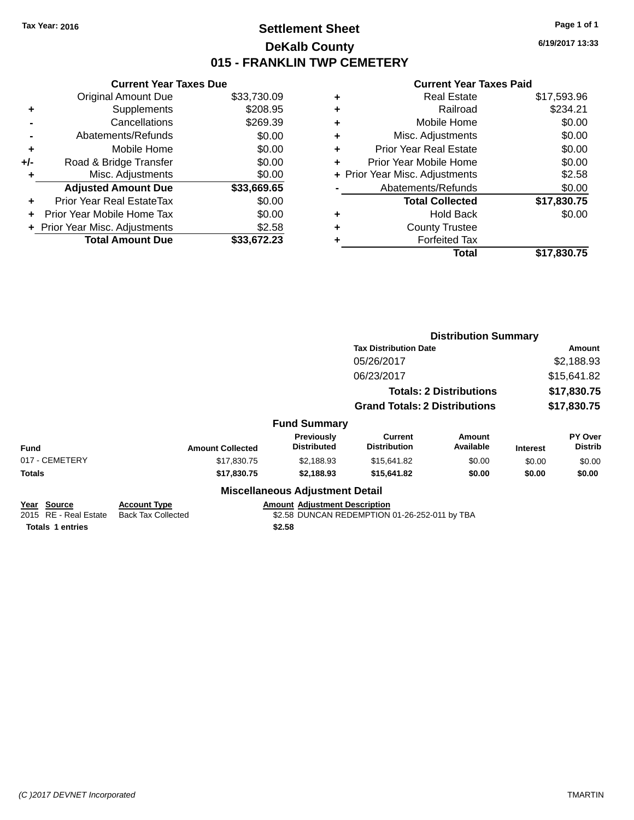# **Settlement Sheet Tax Year: 2016 Page 1 of 1 DeKalb County 015 - FRANKLIN TWP CEMETERY**

**6/19/2017 13:33**

|     | <b>Current Year Taxes Due</b>  |             |  |  |  |
|-----|--------------------------------|-------------|--|--|--|
|     | <b>Original Amount Due</b>     | \$33,730.09 |  |  |  |
| ٠   | Supplements                    | \$208.95    |  |  |  |
|     | Cancellations                  | \$269.39    |  |  |  |
|     | Abatements/Refunds             | \$0.00      |  |  |  |
| ٠   | Mobile Home                    | \$0.00      |  |  |  |
| +/- | Road & Bridge Transfer         | \$0.00      |  |  |  |
| ٠   | Misc. Adjustments              | \$0.00      |  |  |  |
|     | <b>Adjusted Amount Due</b>     | \$33,669.65 |  |  |  |
| ÷   | Prior Year Real EstateTax      | \$0.00      |  |  |  |
|     | Prior Year Mobile Home Tax     | \$0.00      |  |  |  |
|     | + Prior Year Misc. Adjustments | \$2.58      |  |  |  |
|     | <b>Total Amount Due</b>        | \$33,672.23 |  |  |  |

|   | <b>Real Estate</b>             | \$17,593.96 |
|---|--------------------------------|-------------|
| ٠ | Railroad                       | \$234.21    |
| ٠ | Mobile Home                    | \$0.00      |
| ٠ | Misc. Adjustments              | \$0.00      |
| ٠ | <b>Prior Year Real Estate</b>  | \$0.00      |
| ٠ | Prior Year Mobile Home         | \$0.00      |
|   | + Prior Year Misc. Adjustments | \$2.58      |
|   | Abatements/Refunds             | \$0.00      |
|   | <b>Total Collected</b>         | \$17,830.75 |
| ٠ | <b>Hold Back</b>               | \$0.00      |
| ٠ | <b>County Trustee</b>          |             |
| ٠ | <b>Forfeited Tax</b>           |             |
|   | Total                          | \$17,830.75 |
|   |                                |             |

|                                                                 |                                                                                                                                                     |                                        | <b>Distribution Summary</b>           |                                |                 |                           |
|-----------------------------------------------------------------|-----------------------------------------------------------------------------------------------------------------------------------------------------|----------------------------------------|---------------------------------------|--------------------------------|-----------------|---------------------------|
|                                                                 |                                                                                                                                                     |                                        | <b>Tax Distribution Date</b>          |                                | Amount          |                           |
|                                                                 |                                                                                                                                                     |                                        | 05/26/2017                            |                                |                 | \$2,188.93                |
|                                                                 |                                                                                                                                                     |                                        | 06/23/2017                            |                                |                 | \$15,641.82               |
|                                                                 |                                                                                                                                                     |                                        |                                       | <b>Totals: 2 Distributions</b> | \$17,830.75     |                           |
|                                                                 |                                                                                                                                                     |                                        | <b>Grand Totals: 2 Distributions</b>  |                                | \$17,830.75     |                           |
|                                                                 |                                                                                                                                                     | <b>Fund Summary</b>                    |                                       |                                |                 |                           |
| <b>Fund</b>                                                     | <b>Amount Collected</b>                                                                                                                             | Previously<br><b>Distributed</b>       | <b>Current</b><br><b>Distribution</b> | <b>Amount</b><br>Available     | <b>Interest</b> | PY Over<br><b>Distrib</b> |
| 017 - CEMETERY                                                  | \$17,830.75                                                                                                                                         | \$2,188.93                             | \$15,641.82                           | \$0.00                         | \$0.00          | \$0.00                    |
| Totals                                                          | \$17,830.75                                                                                                                                         | \$2,188.93                             | \$15,641.82                           | \$0.00                         | \$0.00          | \$0.00                    |
|                                                                 |                                                                                                                                                     | <b>Miscellaneous Adjustment Detail</b> |                                       |                                |                 |                           |
| Year Source<br>2015 RE - Real Estate<br><b>Totals 1 entries</b> | <b>Amount Adjustment Description</b><br><b>Account Type</b><br><b>Back Tax Collected</b><br>\$2.58 DUNCAN REDEMPTION 01-26-252-011 by TBA<br>\$2.58 |                                        |                                       |                                |                 |                           |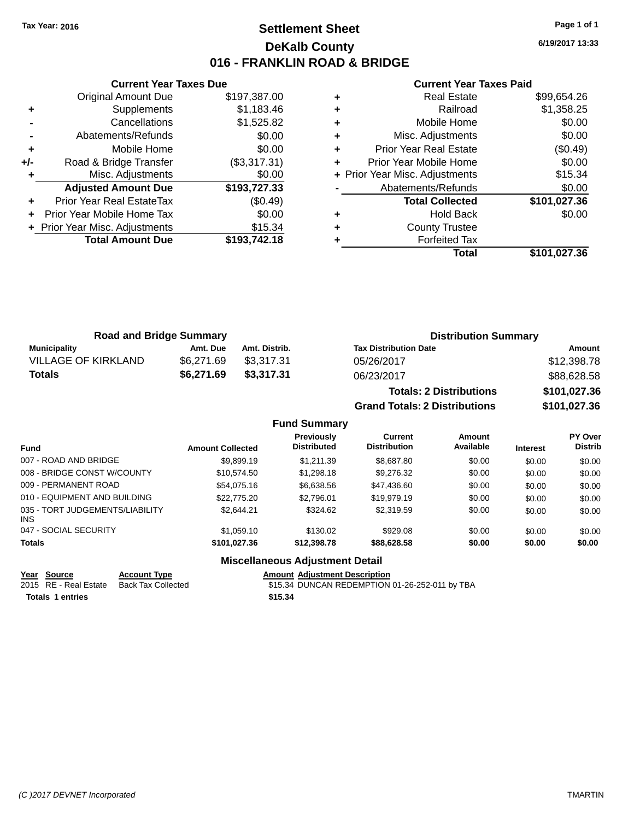# **Settlement Sheet Tax Year: 2016 Page 1 of 1 DeKalb County 016 - FRANKLIN ROAD & BRIDGE**

**6/19/2017 13:33**

### **Current Year Taxes Paid**

|     | <b>Current Year Taxes Due</b>  |              |  |  |  |
|-----|--------------------------------|--------------|--|--|--|
|     | <b>Original Amount Due</b>     | \$197,387.00 |  |  |  |
| ٠   | Supplements                    | \$1,183.46   |  |  |  |
|     | Cancellations                  | \$1,525.82   |  |  |  |
|     | Abatements/Refunds             | \$0.00       |  |  |  |
| ÷   | Mobile Home                    | \$0.00       |  |  |  |
| +/- | Road & Bridge Transfer         | (\$3,317.31) |  |  |  |
|     | Misc. Adjustments              | \$0.00       |  |  |  |
|     | <b>Adjusted Amount Due</b>     | \$193,727.33 |  |  |  |
| ٠   | Prior Year Real EstateTax      | (\$0.49)     |  |  |  |
|     | Prior Year Mobile Home Tax     | \$0.00       |  |  |  |
|     | + Prior Year Misc. Adjustments | \$15.34      |  |  |  |
|     | <b>Total Amount Due</b>        | \$193.742.18 |  |  |  |
|     |                                |              |  |  |  |

| \$1,358.25   |
|--------------|
| \$0.00       |
| \$0.00       |
| (\$0.49)     |
| \$0.00       |
| \$15.34      |
| \$0.00       |
| \$101,027.36 |
| \$0.00       |
|              |
|              |
| \$101,027.36 |
|              |

| <b>Road and Bridge Summary</b> |            |               | <b>Distribution Summary</b>  |             |  |
|--------------------------------|------------|---------------|------------------------------|-------------|--|
| <b>Municipality</b>            | Amt. Due   | Amt. Distrib. | <b>Tax Distribution Date</b> | Amount      |  |
| <b>VILLAGE OF KIRKLAND</b>     | \$6.271.69 | \$3.317.31    | 05/26/2017                   | \$12,398.78 |  |
| Totals                         | \$6,271.69 | \$3,317,31    | 06/23/2017                   | \$88,628.58 |  |
|                                |            |               |                              |             |  |

| <b>Totals: 2 Distributions</b> | \$101,027.36 |
|--------------------------------|--------------|
| Grand Totals: 2 Distributions  | \$101,027.36 |

## **Fund Summary**

| <b>Fund</b>                                   | <b>Amount Collected</b> | Previously<br><b>Distributed</b> | <b>Current</b><br><b>Distribution</b> | <b>Amount</b><br>Available | <b>Interest</b> | PY Over<br><b>Distrib</b> |
|-----------------------------------------------|-------------------------|----------------------------------|---------------------------------------|----------------------------|-----------------|---------------------------|
| 007 - ROAD AND BRIDGE                         | \$9,899.19              | \$1.211.39                       | \$8,687.80                            | \$0.00                     | \$0.00          | \$0.00                    |
| 008 - BRIDGE CONST W/COUNTY                   | \$10.574.50             | \$1,298.18                       | \$9,276.32                            | \$0.00                     | \$0.00          | \$0.00                    |
| 009 - PERMANENT ROAD                          | \$54,075.16             | \$6,638,56                       | \$47,436.60                           | \$0.00                     | \$0.00          | \$0.00                    |
| 010 - EQUIPMENT AND BUILDING                  | \$22,775.20             | \$2.796.01                       | \$19,979.19                           | \$0.00                     | \$0.00          | \$0.00                    |
| 035 - TORT JUDGEMENTS/LIABILITY<br><b>INS</b> | \$2.644.21              | \$324.62                         | \$2,319.59                            | \$0.00                     | \$0.00          | \$0.00                    |
| 047 - SOCIAL SECURITY                         | \$1,059.10              | \$130.02                         | \$929.08                              | \$0.00                     | \$0.00          | \$0.00                    |
| <b>Totals</b>                                 | \$101,027.36            | \$12,398.78                      | \$88,628,58                           | \$0.00                     | \$0.00          | \$0.00                    |

## **Miscellaneous Adjustment Detail**

|                         | Year Source | <b>Account Type</b>                      |  | <b>Amount Adiustment Description</b>           |
|-------------------------|-------------|------------------------------------------|--|------------------------------------------------|
|                         |             | 2015 RE - Real Estate Back Tax Collected |  | \$15.34 DUNCAN REDEMPTION 01-26-252-011 by TBA |
| <b>Totals 1 entries</b> |             | \$15.34                                  |  |                                                |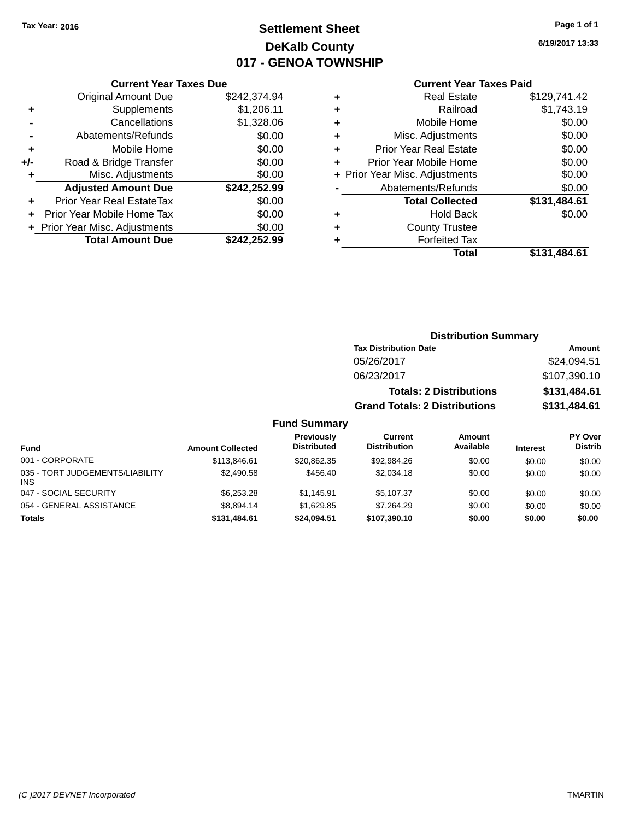# **Settlement Sheet Tax Year: 2016 Page 1 of 1 DeKalb County 017 - GENOA TOWNSHIP**

**6/19/2017 13:33**

### **Current Year Taxes Paid**

|       | <b>Current Year Taxes Due</b>  |              |  |  |  |
|-------|--------------------------------|--------------|--|--|--|
|       | <b>Original Amount Due</b>     | \$242,374.94 |  |  |  |
| ٠     | Supplements                    | \$1,206.11   |  |  |  |
|       | Cancellations                  | \$1,328.06   |  |  |  |
|       | Abatements/Refunds             | \$0.00       |  |  |  |
| ٠     | Mobile Home                    | \$0.00       |  |  |  |
| $+/-$ | Road & Bridge Transfer         | \$0.00       |  |  |  |
| ٠     | Misc. Adjustments              | \$0.00       |  |  |  |
|       | <b>Adjusted Amount Due</b>     | \$242,252.99 |  |  |  |
| ٠     | Prior Year Real EstateTax      | \$0.00       |  |  |  |
|       | Prior Year Mobile Home Tax     | \$0.00       |  |  |  |
|       | + Prior Year Misc. Adjustments | \$0.00       |  |  |  |
|       | <b>Total Amount Due</b>        | \$242,252.99 |  |  |  |
|       |                                |              |  |  |  |

| ٠ | <b>Real Estate</b>             | \$129,741.42 |
|---|--------------------------------|--------------|
| ٠ | Railroad                       | \$1,743.19   |
| ٠ | Mobile Home                    | \$0.00       |
| ٠ | Misc. Adjustments              | \$0.00       |
| ٠ | <b>Prior Year Real Estate</b>  | \$0.00       |
| ٠ | Prior Year Mobile Home         | \$0.00       |
|   | + Prior Year Misc. Adjustments | \$0.00       |
|   | Abatements/Refunds             | \$0.00       |
|   | <b>Total Collected</b>         | \$131,484.61 |
| ٠ | Hold Back                      | \$0.00       |
| ٠ | <b>County Trustee</b>          |              |
|   | <b>Forfeited Tax</b>           |              |
|   | Total                          | \$131.484.61 |
|   |                                |              |

| <b>Distribution Summary</b>          |              |  |  |  |  |  |  |
|--------------------------------------|--------------|--|--|--|--|--|--|
| <b>Tax Distribution Date</b>         | Amount       |  |  |  |  |  |  |
| 05/26/2017                           | \$24,094.51  |  |  |  |  |  |  |
| 06/23/2017                           | \$107,390.10 |  |  |  |  |  |  |
| <b>Totals: 2 Distributions</b>       | \$131,484.61 |  |  |  |  |  |  |
| <b>Grand Totals: 2 Distributions</b> | \$131,484.61 |  |  |  |  |  |  |
|                                      |              |  |  |  |  |  |  |

| <b>Fund</b>                             | <b>Amount Collected</b> | Previously<br><b>Distributed</b> | Current<br><b>Distribution</b> | Amount<br>Available | <b>Interest</b> | PY Over<br><b>Distrib</b> |
|-----------------------------------------|-------------------------|----------------------------------|--------------------------------|---------------------|-----------------|---------------------------|
| 001 - CORPORATE                         | \$113,846.61            | \$20.862.35                      | \$92,984.26                    | \$0.00              | \$0.00          | \$0.00                    |
| 035 - TORT JUDGEMENTS/LIABILITY<br>INS. | \$2,490.58              | \$456.40                         | \$2,034.18                     | \$0.00              | \$0.00          | \$0.00                    |
| 047 - SOCIAL SECURITY                   | \$6,253.28              | \$1.145.91                       | \$5.107.37                     | \$0.00              | \$0.00          | \$0.00                    |
| 054 - GENERAL ASSISTANCE                | \$8.894.14              | \$1.629.85                       | \$7.264.29                     | \$0.00              | \$0.00          | \$0.00                    |
| <b>Totals</b>                           | \$131,484.61            | \$24.094.51                      | \$107,390.10                   | \$0.00              | \$0.00          | \$0.00                    |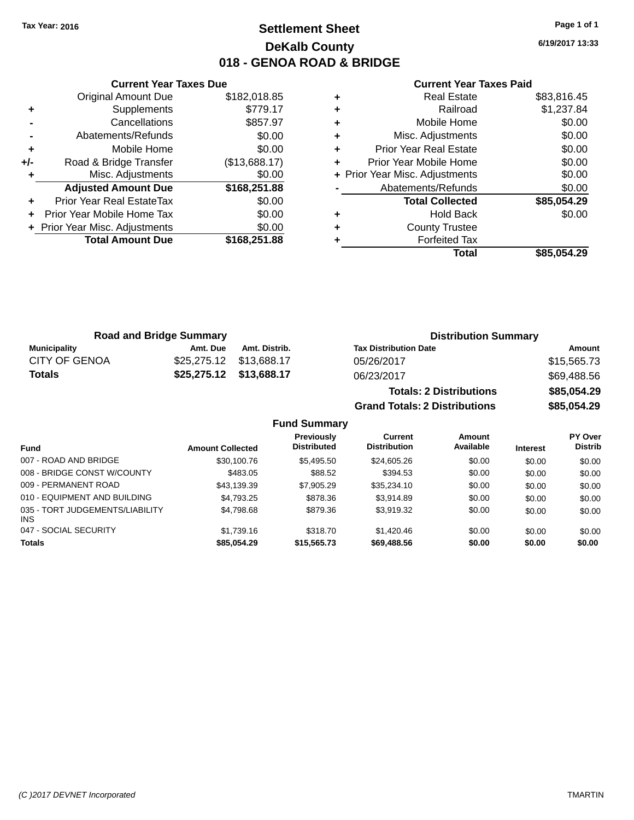# **Settlement Sheet Tax Year: 2016 Page 1 of 1 DeKalb County 018 - GENOA ROAD & BRIDGE**

**6/19/2017 13:33**

## **Current Year Taxes Paid**

|     | <b>Original Amount Due</b>     | \$182,018.85  |
|-----|--------------------------------|---------------|
| ٠   | Supplements                    | \$779.17      |
|     | Cancellations                  | \$857.97      |
|     | Abatements/Refunds             | \$0.00        |
| ÷   | Mobile Home                    | \$0.00        |
| +/- | Road & Bridge Transfer         | (\$13,688.17) |
| ٠   | Misc. Adjustments              | \$0.00        |
|     | <b>Adjusted Amount Due</b>     | \$168,251.88  |
| ÷   | Prior Year Real EstateTax      | \$0.00        |
| ÷   | Prior Year Mobile Home Tax     | \$0.00        |
|     | + Prior Year Misc. Adjustments | \$0.00        |
|     | <b>Total Amount Due</b>        | \$168,251.88  |
|     |                                |               |

**Current Year Taxes Due**

| ٠ | <b>County Trustee</b><br><b>Forfeited Tax</b> |                       |
|---|-----------------------------------------------|-----------------------|
| ٠ | <b>Total Collected</b><br><b>Hold Back</b>    | \$85,054.29<br>\$0.00 |
|   | Abatements/Refunds                            | \$0.00                |
|   | + Prior Year Misc. Adjustments                | \$0.00                |
| ٠ | Prior Year Mobile Home                        | \$0.00                |
| ٠ | <b>Prior Year Real Estate</b>                 | \$0.00                |
| ٠ | Misc. Adjustments                             | \$0.00                |
| ٠ | Mobile Home                                   | \$0.00                |
| ٠ | Railroad                                      | \$1,237.84            |
| ٠ | <b>Real Estate</b>                            | \$83,816.45           |

**Grand Totals: 2 Distributions \$85,054.29**

|               | <b>Road and Bridge Summary</b> |                         | <b>Distribution Summary</b>    |             |
|---------------|--------------------------------|-------------------------|--------------------------------|-------------|
| Municipality  | Amt. Due                       | Amt. Distrib.           | <b>Tax Distribution Date</b>   | Amount      |
| CITY OF GENOA |                                | \$25,275.12 \$13,688.17 | 05/26/2017                     | \$15,565.73 |
| <b>Totals</b> |                                | \$25,275.12 \$13,688.17 | 06/23/2017                     | \$69,488.56 |
|               |                                |                         | <b>Totals: 2 Distributions</b> | \$85,054.29 |

**Fund Summary Fund Interest Amount Collected Distributed PY Over Distrib Amount Available Current Distribution Previously** 007 - ROAD AND BRIDGE 60.00 \$30,100.76 \$5,495.50 \$24,605.26 \$0.00 \$0.00 \$0.00 \$0.00 008 - BRIDGE CONST W/COUNTY  $$483.05$   $$88.52$   $$394.53$   $$0.00$   $$0.00$   $$0.00$ 009 - PERMANENT ROAD \$43,139.39 \$7,905.29 \$35,234.10 \$0.00 \$0.00 \$0.00 010 - EQUIPMENT AND BUILDING \$4,793.25 \$878.36 \$3,914.89 \$0.00 \$0.00 \$0.00 \$0.00 035 - TORT JUDGEMENTS/LIABILITY INS \$4,798.68 \$879.36 \$3,919.32 \$0.00 \$0.00 \$0.00 047 - SOCIAL SECURITY \$1,739.16 \$318.70 \$1,420.46 \$0.00 \$0.00 \$0.00 **Totals \$85,054.29 \$15,565.73 \$69,488.56 \$0.00 \$0.00 \$0.00**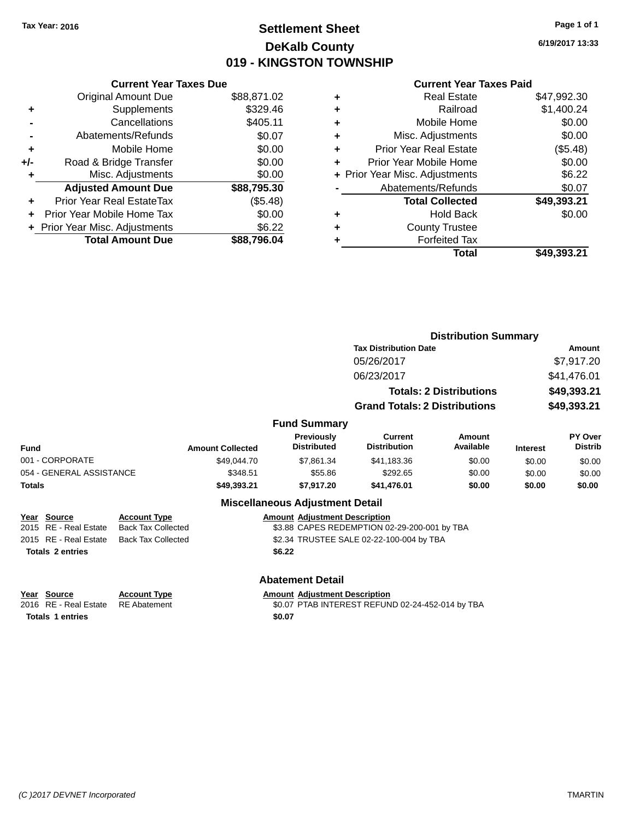# **Settlement Sheet Tax Year: 2016 Page 1 of 1 DeKalb County 019 - KINGSTON TOWNSHIP**

**6/19/2017 13:33**

## **Current Year Taxes Paid**

| <b>Original Amount Due</b> | \$88,871.02                                                     |
|----------------------------|-----------------------------------------------------------------|
| Supplements                | \$329.46                                                        |
| Cancellations              | \$405.11                                                        |
| Abatements/Refunds         | \$0.07                                                          |
| Mobile Home                | \$0.00                                                          |
| Road & Bridge Transfer     | \$0.00                                                          |
| Misc. Adjustments          | \$0.00                                                          |
| <b>Adjusted Amount Due</b> | \$88,795.30                                                     |
| Prior Year Real EstateTax  | (\$5.48)                                                        |
| Prior Year Mobile Home Tax | \$0.00                                                          |
|                            | \$6.22                                                          |
| <b>Total Amount Due</b>    | \$88.796.04                                                     |
|                            | <b>Current Year Taxes Due</b><br>+ Prior Year Misc. Adjustments |

|   | <b>Real Estate</b>             | \$47,992.30 |
|---|--------------------------------|-------------|
| ٠ | Railroad                       | \$1,400.24  |
| ٠ | Mobile Home                    | \$0.00      |
| ٠ | Misc. Adjustments              | \$0.00      |
| ٠ | <b>Prior Year Real Estate</b>  | (\$5.48)    |
| ٠ | Prior Year Mobile Home         | \$0.00      |
|   | + Prior Year Misc. Adjustments | \$6.22      |
|   | Abatements/Refunds             | \$0.07      |
|   | <b>Total Collected</b>         | \$49,393.21 |
| ٠ | <b>Hold Back</b>               | \$0.00      |
| ٠ | <b>County Trustee</b>          |             |
| ٠ | <b>Forfeited Tax</b>           |             |
|   | Total                          | \$49,393.21 |
|   |                                |             |

|                          |                           |                         |                                        |                                              | <b>Distribution Summary</b>    |                 |                           |
|--------------------------|---------------------------|-------------------------|----------------------------------------|----------------------------------------------|--------------------------------|-----------------|---------------------------|
|                          |                           |                         |                                        | <b>Tax Distribution Date</b>                 |                                |                 | Amount                    |
|                          |                           |                         |                                        | 05/26/2017                                   |                                |                 | \$7,917.20                |
|                          |                           |                         |                                        | 06/23/2017                                   |                                | \$41,476.01     |                           |
|                          |                           |                         |                                        |                                              | <b>Totals: 2 Distributions</b> |                 | \$49,393.21               |
|                          |                           |                         |                                        | <b>Grand Totals: 2 Distributions</b>         |                                |                 | \$49,393.21               |
|                          |                           |                         | <b>Fund Summary</b>                    |                                              |                                |                 |                           |
| <b>Fund</b>              |                           | <b>Amount Collected</b> | Previously<br><b>Distributed</b>       | <b>Current</b><br><b>Distribution</b>        | Amount<br>Available            | <b>Interest</b> | PY Over<br><b>Distrib</b> |
| 001 - CORPORATE          |                           | \$49,044.70             | \$7,861.34                             | \$41,183.36                                  | \$0.00                         | \$0.00          | \$0.00                    |
| 054 - GENERAL ASSISTANCE |                           | \$348.51                | \$55.86                                | \$292.65                                     | \$0.00                         | \$0.00          | \$0.00                    |
| <b>Totals</b>            |                           | \$49,393.21             | \$7,917.20                             | \$41,476.01                                  | \$0.00                         | \$0.00          | \$0.00                    |
|                          |                           |                         | <b>Miscellaneous Adjustment Detail</b> |                                              |                                |                 |                           |
| Year<br>Source           | <b>Account Type</b>       |                         | <b>Amount Adjustment Description</b>   |                                              |                                |                 |                           |
| 2015 RE - Real Estate    | <b>Back Tax Collected</b> |                         |                                        | \$3.88 CAPES REDEMPTION 02-29-200-001 by TBA |                                |                 |                           |
| 2015 RE - Real Estate    | <b>Back Tax Collected</b> |                         |                                        | \$2.34 TRUSTEE SALE 02-22-100-004 by TBA     |                                |                 |                           |
| <b>Totals 2 entries</b>  |                           |                         | \$6.22                                 |                                              |                                |                 |                           |
|                          |                           |                         |                                        |                                              |                                |                 |                           |
|                          |                           |                         | Ahatamant Datail                       |                                              |                                |                 |                           |

**Totals 1 entries** \$0.07

**Abatement Detail Year Source Account Type Account Adjustment Description** 

2016 RE - Real Estate RE Abatement \$0.07 PTAB INTEREST REFUND 02-24-452-014 by TBA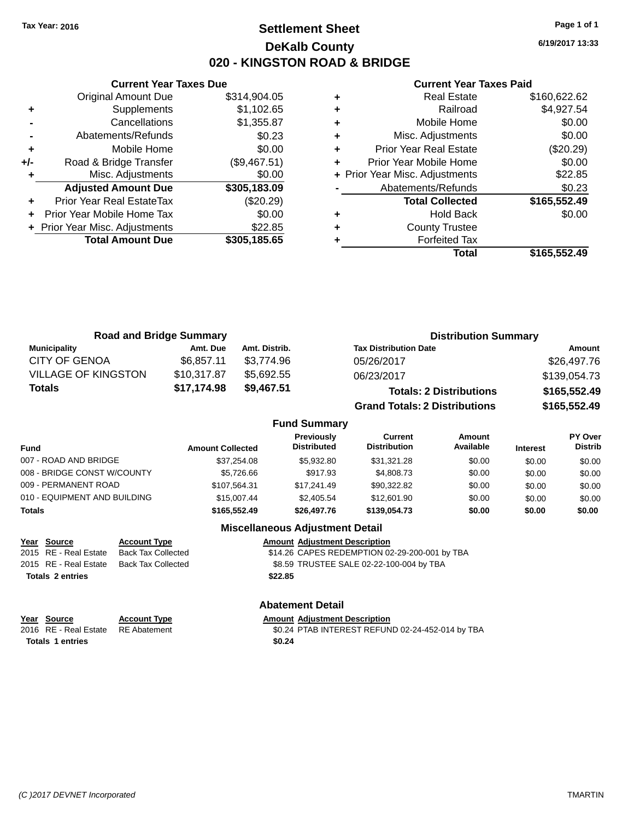# **Settlement Sheet Tax Year: 2016 Page 1 of 1 DeKalb County 020 - KINGSTON ROAD & BRIDGE**

**6/19/2017 13:33**

### **Current Year Taxes Paid**

|       | <b>Current Year Taxes Due</b>  |              |
|-------|--------------------------------|--------------|
|       | <b>Original Amount Due</b>     | \$314,904.05 |
| ٠     | Supplements                    | \$1,102.65   |
|       | Cancellations                  | \$1,355.87   |
|       | Abatements/Refunds             | \$0.23       |
| ٠     | Mobile Home                    | \$0.00       |
| $+/-$ | Road & Bridge Transfer         | (\$9,467.51) |
|       | Misc. Adjustments              | \$0.00       |
|       | <b>Adjusted Amount Due</b>     | \$305,183.09 |
|       | Prior Year Real EstateTax      | (\$20.29)    |
|       | Prior Year Mobile Home Tax     | \$0.00       |
|       | + Prior Year Misc. Adjustments | \$22.85      |
|       | <b>Total Amount Due</b>        | \$305,185.65 |
|       |                                |              |

|   | <b>Real Estate</b>             | \$160,622.62 |
|---|--------------------------------|--------------|
| ٠ | Railroad                       | \$4,927.54   |
| ٠ | Mobile Home                    | \$0.00       |
| ٠ | Misc. Adjustments              | \$0.00       |
| ٠ | Prior Year Real Estate         | (\$20.29)    |
|   | Prior Year Mobile Home         | \$0.00       |
|   | + Prior Year Misc. Adjustments | \$22.85      |
|   | Abatements/Refunds             | \$0.23       |
|   | <b>Total Collected</b>         | \$165,552.49 |
|   | Hold Back                      | \$0.00       |
| ٠ | <b>County Trustee</b>          |              |
|   | <b>Forfeited Tax</b>           |              |
|   | Total                          | \$165,552.49 |

| <b>Road and Bridge Summary</b> |             |               | <b>Distribution Summary</b>          |              |  |  |
|--------------------------------|-------------|---------------|--------------------------------------|--------------|--|--|
| <b>Municipality</b>            | Amt. Due    | Amt. Distrib. | <b>Tax Distribution Date</b>         | Amount       |  |  |
| <b>CITY OF GENOA</b>           | \$6.857.11  | \$3.774.96    | 05/26/2017                           | \$26,497.76  |  |  |
| <b>VILLAGE OF KINGSTON</b>     | \$10,317.87 | \$5,692.55    | 06/23/2017                           | \$139,054.73 |  |  |
| Totals                         | \$17,174.98 | \$9,467.51    | <b>Totals: 2 Distributions</b>       | \$165,552.49 |  |  |
|                                |             |               | <b>Grand Totals: 2 Distributions</b> | \$165,552.49 |  |  |

## **Fund Summary**

| Fund                         | <b>Amount Collected</b> | Previously<br><b>Distributed</b> | Current<br><b>Distribution</b> | Amount<br>Available | <b>Interest</b> | <b>PY Over</b><br><b>Distrib</b> |
|------------------------------|-------------------------|----------------------------------|--------------------------------|---------------------|-----------------|----------------------------------|
| 007 - ROAD AND BRIDGE        | \$37.254.08             | \$5,932.80                       | \$31.321.28                    | \$0.00              | \$0.00          | \$0.00                           |
| 008 - BRIDGE CONST W/COUNTY  | \$5.726.66              | \$917.93                         | \$4,808.73                     | \$0.00              | \$0.00          | \$0.00                           |
| 009 - PERMANENT ROAD         | \$107.564.31            | \$17.241.49                      | \$90,322.82                    | \$0.00              | \$0.00          | \$0.00                           |
| 010 - EQUIPMENT AND BUILDING | \$15,007.44             | \$2,405.54                       | \$12,601.90                    | \$0.00              | \$0.00          | \$0.00                           |
| <b>Totals</b>                | \$165,552,49            | \$26,497.76                      | \$139,054.73                   | \$0.00              | \$0.00          | \$0.00                           |

## **Miscellaneous Adjustment Detail**

| <u>Year Source</u>      | <b>Account Type</b> | <b>Amount Adiustment Description</b>          |
|-------------------------|---------------------|-----------------------------------------------|
| 2015 RE - Real Estate   | Back Tax Collected  | \$14.26 CAPES REDEMPTION 02-29-200-001 by TBA |
| 2015 RE - Real Estate   | Back Tax Collected  | \$8.59 TRUSTEE SALE 02-22-100-004 by TBA      |
| <b>Totals 2 entries</b> |                     | \$22.85                                       |

## **Abatement Detail**

| Year Source                        | <b>Account Type</b> | <b>Amount Adiustment Description</b>             |
|------------------------------------|---------------------|--------------------------------------------------|
| 2016 RE - Real Estate RE Abatement |                     | \$0.24 PTAB INTEREST REFUND 02-24-452-014 by TBA |
| Totals 1 entries                   |                     | \$0.24                                           |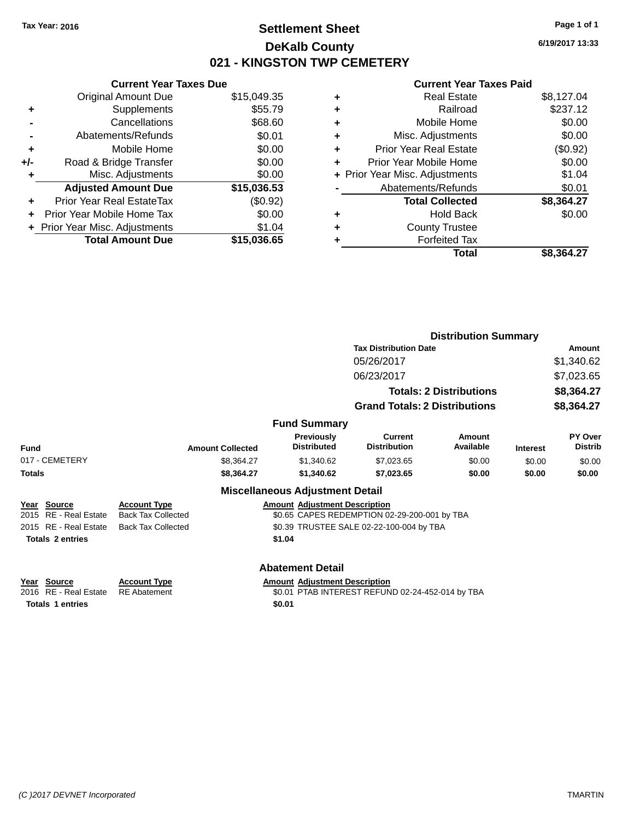# **Settlement Sheet Tax Year: 2016 Page 1 of 1 DeKalb County 021 - KINGSTON TWP CEMETERY**

**6/19/2017 13:33**

|     | <b>Current Year Taxes Due</b>  |             |
|-----|--------------------------------|-------------|
|     | <b>Original Amount Due</b>     | \$15,049.35 |
| ٠   | Supplements                    | \$55.79     |
|     | Cancellations                  | \$68.60     |
|     | Abatements/Refunds             | \$0.01      |
| ٠   | Mobile Home                    | \$0.00      |
| +/- | Road & Bridge Transfer         | \$0.00      |
|     | Misc. Adjustments              | \$0.00      |
|     | <b>Adjusted Amount Due</b>     | \$15,036.53 |
| ÷   | Prior Year Real EstateTax      | (\$0.92)    |
|     | Prior Year Mobile Home Tax     | \$0.00      |
|     | + Prior Year Misc. Adjustments | \$1.04      |
|     | <b>Total Amount Due</b>        | \$15,036,65 |
|     |                                |             |

| ٠ | <b>Real Estate</b>             | \$8,127.04 |
|---|--------------------------------|------------|
| ٠ | Railroad                       | \$237.12   |
| ٠ | Mobile Home                    | \$0.00     |
| ٠ | Misc. Adjustments              | \$0.00     |
| ٠ | <b>Prior Year Real Estate</b>  | (\$0.92)   |
| ٠ | Prior Year Mobile Home         | \$0.00     |
|   | + Prior Year Misc. Adjustments | \$1.04     |
|   | Abatements/Refunds             | \$0.01     |
|   | <b>Total Collected</b>         | \$8,364.27 |
| ٠ | <b>Hold Back</b>               | \$0.00     |
| ٠ | <b>County Trustee</b>          |            |
| ٠ | <b>Forfeited Tax</b>           |            |
|   | Total                          | \$8.364.27 |
|   |                                |            |

|               |                         |                           |                                         |                                                  | <b>Distribution Summary</b>    |                 |                           |
|---------------|-------------------------|---------------------------|-----------------------------------------|--------------------------------------------------|--------------------------------|-----------------|---------------------------|
|               |                         |                           |                                         | <b>Tax Distribution Date</b>                     |                                |                 | Amount                    |
|               |                         |                           |                                         | 05/26/2017                                       |                                |                 | \$1,340.62                |
|               |                         |                           |                                         | 06/23/2017                                       |                                |                 | \$7,023.65                |
|               |                         |                           |                                         |                                                  | <b>Totals: 2 Distributions</b> |                 | \$8,364.27                |
|               |                         |                           |                                         | <b>Grand Totals: 2 Distributions</b>             |                                |                 | \$8,364.27                |
|               |                         |                           | <b>Fund Summary</b>                     |                                                  |                                |                 |                           |
| Fund          |                         | <b>Amount Collected</b>   | <b>Previously</b><br><b>Distributed</b> | <b>Current</b><br><b>Distribution</b>            | Amount<br>Available            | <b>Interest</b> | PY Over<br><b>Distrib</b> |
|               | 017 - CEMETERY          | \$8,364.27                | \$1,340.62                              | \$7,023.65                                       | \$0.00                         | \$0.00          | \$0.00                    |
| <b>Totals</b> |                         | \$8,364.27                | \$1,340.62                              | \$7,023.65                                       | \$0.00                         | \$0.00          | \$0.00                    |
|               |                         |                           | <b>Miscellaneous Adjustment Detail</b>  |                                                  |                                |                 |                           |
|               | Year Source             | <b>Account Type</b>       | <b>Amount Adjustment Description</b>    |                                                  |                                |                 |                           |
|               | 2015 RE - Real Estate   | <b>Back Tax Collected</b> |                                         | \$0.65 CAPES REDEMPTION 02-29-200-001 by TBA     |                                |                 |                           |
|               | 2015 RE - Real Estate   | <b>Back Tax Collected</b> |                                         | \$0.39 TRUSTEE SALE 02-22-100-004 by TBA         |                                |                 |                           |
|               | <b>Totals 2 entries</b> |                           | \$1.04                                  |                                                  |                                |                 |                           |
|               |                         |                           | <b>Abatement Detail</b>                 |                                                  |                                |                 |                           |
|               | Year Source             | <b>Account Type</b>       | <b>Amount Adjustment Description</b>    |                                                  |                                |                 |                           |
|               | 2016 RE - Real Estate   | <b>RE</b> Abatement       |                                         | \$0.01 PTAB INTEREST REFUND 02-24-452-014 by TBA |                                |                 |                           |
|               | <b>Totals 1 entries</b> |                           | \$0.01                                  |                                                  |                                |                 |                           |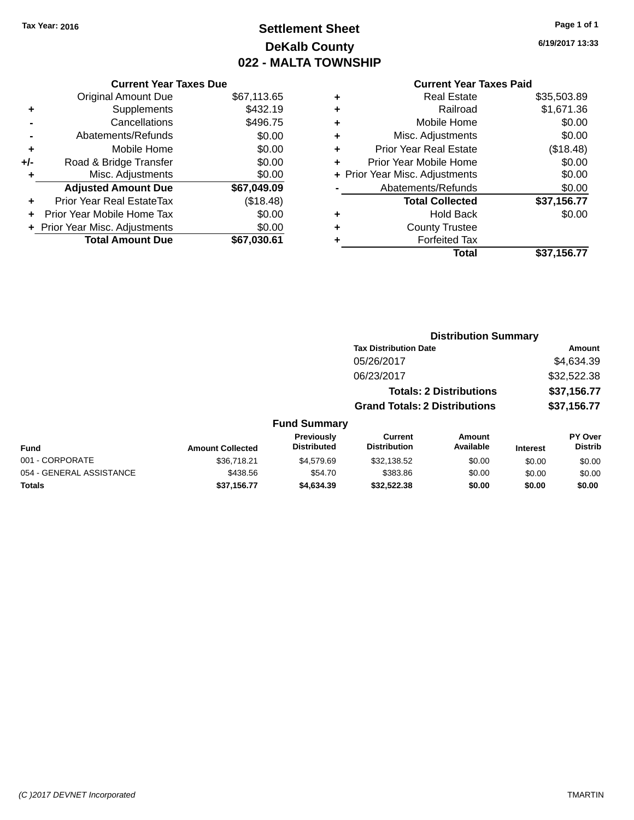# **Settlement Sheet Tax Year: 2016 Page 1 of 1 DeKalb County 022 - MALTA TOWNSHIP**

054 - GENERAL ASSISTANCE \$438.56 \$54.70 \$0.00 \$0.00 \$0.00 \$0.00 \$0.00 **Totals \$37,156.77 \$4,634.39 \$32,522.38 \$0.00 \$0.00 \$0.00**

**6/19/2017 13:33**

## **Current Year Taxes Paid**

|     | <b>Current Year Taxes Due</b>  |             |
|-----|--------------------------------|-------------|
|     | <b>Original Amount Due</b>     | \$67,113.65 |
| ٠   | Supplements                    | \$432.19    |
|     | Cancellations                  | \$496.75    |
|     | Abatements/Refunds             | \$0.00      |
| ٠   | Mobile Home                    | \$0.00      |
| +/- | Road & Bridge Transfer         | \$0.00      |
|     | Misc. Adjustments              | \$0.00      |
|     | <b>Adjusted Amount Due</b>     | \$67,049.09 |
| ÷   | Prior Year Real EstateTax      | (\$18.48)   |
|     | Prior Year Mobile Home Tax     | \$0.00      |
|     | + Prior Year Misc. Adjustments | \$0.00      |
|     | <b>Total Amount Due</b>        | \$67,030.61 |

| ٠ | <b>Real Estate</b>             | \$35,503.89 |
|---|--------------------------------|-------------|
| ٠ | Railroad                       | \$1,671.36  |
| ٠ | Mobile Home                    | \$0.00      |
| ٠ | Misc. Adjustments              | \$0.00      |
| ٠ | <b>Prior Year Real Estate</b>  | (\$18.48)   |
| ٠ | Prior Year Mobile Home         | \$0.00      |
|   | + Prior Year Misc. Adjustments | \$0.00      |
|   | Abatements/Refunds             | \$0.00      |
|   | <b>Total Collected</b>         | \$37,156.77 |
| ٠ | <b>Hold Back</b>               | \$0.00      |
| ٠ | <b>County Trustee</b>          |             |
|   | <b>Forfeited Tax</b>           |             |
|   | Total                          | \$37,156.77 |
|   |                                |             |

|                 |                         |                                  |                                       | <b>Distribution Summary</b>    |                 |                                  |
|-----------------|-------------------------|----------------------------------|---------------------------------------|--------------------------------|-----------------|----------------------------------|
|                 |                         |                                  | <b>Tax Distribution Date</b>          |                                |                 | Amount                           |
|                 |                         |                                  | 05/26/2017                            |                                |                 | \$4,634.39                       |
|                 |                         |                                  | 06/23/2017                            |                                |                 | \$32,522.38                      |
|                 |                         |                                  |                                       | <b>Totals: 2 Distributions</b> |                 | \$37,156.77                      |
|                 |                         |                                  | <b>Grand Totals: 2 Distributions</b>  |                                |                 | \$37,156.77                      |
|                 |                         | <b>Fund Summary</b>              |                                       |                                |                 |                                  |
| <b>Fund</b>     | <b>Amount Collected</b> | Previously<br><b>Distributed</b> | <b>Current</b><br><b>Distribution</b> | Amount<br>Available            | <b>Interest</b> | <b>PY Over</b><br><b>Distrib</b> |
| 001 - CORPORATE | \$36,718.21             | \$4,579.69                       | \$32.138.52                           | \$0.00                         | \$0.00          | \$0.00                           |

001 - CORPORATE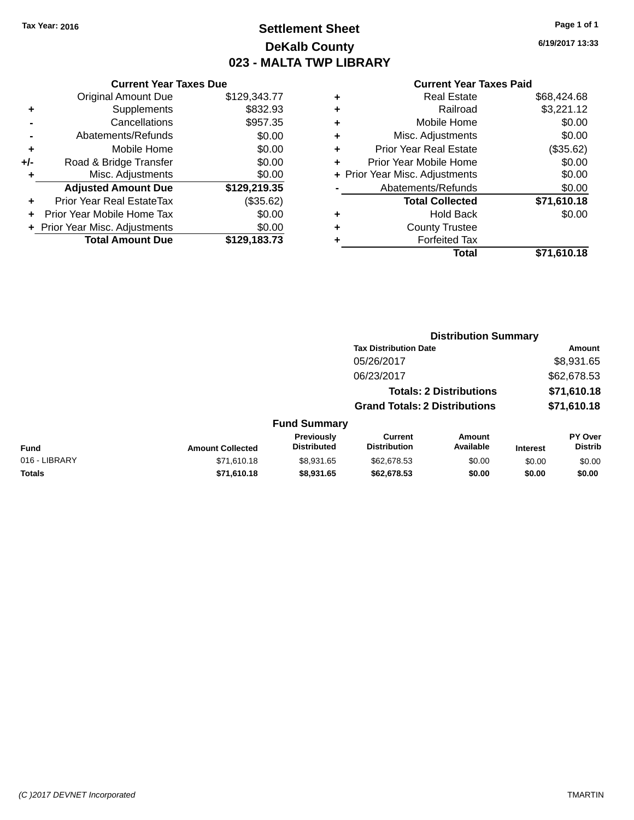# **Settlement Sheet Tax Year: 2016 Page 1 of 1 DeKalb County 023 - MALTA TWP LIBRARY**

**6/19/2017 13:33**

|     | <b>Current Year Taxes Due</b>  |              |
|-----|--------------------------------|--------------|
|     | <b>Original Amount Due</b>     | \$129,343.77 |
| ٠   | Supplements                    | \$832.93     |
|     | Cancellations                  | \$957.35     |
|     | Abatements/Refunds             | \$0.00       |
| ٠   | Mobile Home                    | \$0.00       |
| +/- | Road & Bridge Transfer         | \$0.00       |
| ٠   | Misc. Adjustments              | \$0.00       |
|     | <b>Adjusted Amount Due</b>     | \$129,219.35 |
| ٠   | Prior Year Real EstateTax      | (\$35.62)    |
| ÷   | Prior Year Mobile Home Tax     | \$0.00       |
|     | + Prior Year Misc. Adjustments | \$0.00       |
|     | <b>Total Amount Due</b>        | \$129,183.73 |

| ٠ | <b>Real Estate</b>             | \$68,424.68 |
|---|--------------------------------|-------------|
| ٠ | Railroad                       | \$3,221.12  |
| ٠ | Mobile Home                    | \$0.00      |
| ٠ | Misc. Adjustments              | \$0.00      |
| ٠ | <b>Prior Year Real Estate</b>  | (\$35.62)   |
| ٠ | Prior Year Mobile Home         | \$0.00      |
|   | + Prior Year Misc. Adjustments | \$0.00      |
|   | Abatements/Refunds             | \$0.00      |
|   | <b>Total Collected</b>         | \$71,610.18 |
| ٠ | Hold Back                      | \$0.00      |
|   | <b>County Trustee</b>          |             |
| ٠ | <b>Forfeited Tax</b>           |             |
|   | Total                          | \$71,610.18 |
|   |                                |             |

|                         |                                         |                                       |                     |                                                                                                        | Amount                      |
|-------------------------|-----------------------------------------|---------------------------------------|---------------------|--------------------------------------------------------------------------------------------------------|-----------------------------|
|                         |                                         | 05/26/2017                            |                     |                                                                                                        | \$8,931.65                  |
|                         |                                         | 06/23/2017                            |                     |                                                                                                        | \$62,678.53                 |
|                         |                                         |                                       |                     |                                                                                                        | \$71,610.18                 |
|                         |                                         |                                       |                     |                                                                                                        | \$71,610.18                 |
|                         |                                         |                                       |                     |                                                                                                        |                             |
| <b>Amount Collected</b> | <b>Previously</b><br><b>Distributed</b> | <b>Current</b><br><b>Distribution</b> | Amount<br>Available | <b>Interest</b>                                                                                        | PY Over<br><b>Distrib</b>   |
| \$71,610.18             | \$8,931.65                              | \$62,678.53                           | \$0.00              | \$0.00                                                                                                 | \$0.00                      |
| \$71,610.18             | \$8,931.65                              | \$62,678.53                           | \$0.00              | \$0.00                                                                                                 | \$0.00                      |
|                         |                                         |                                       | <b>Fund Summary</b> | <b>Tax Distribution Date</b><br><b>Totals: 2 Distributions</b><br><b>Grand Totals: 2 Distributions</b> | <b>Distribution Summary</b> |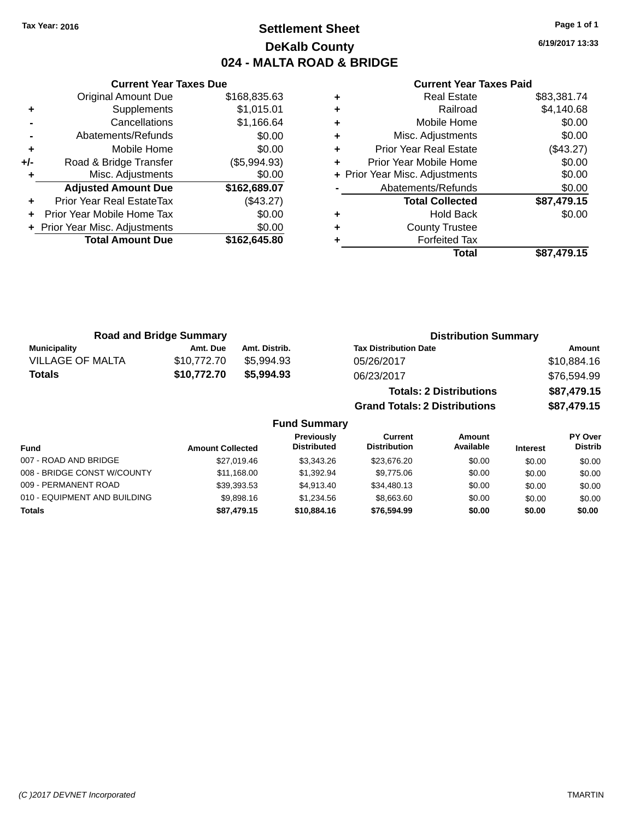# **Settlement Sheet Tax Year: 2016 Page 1 of 1 DeKalb County 024 - MALTA ROAD & BRIDGE**

**6/19/2017 13:33**

|     | <b>Current Year Taxes Due</b>    |              |
|-----|----------------------------------|--------------|
|     | Original Amount Due              | \$168,835.63 |
| ٠   | Supplements                      | \$1,015.01   |
|     | Cancellations                    | \$1,166.64   |
|     | Abatements/Refunds               | \$0.00       |
| ٠   | Mobile Home                      | \$0.00       |
| +/- | Road & Bridge Transfer           | (\$5,994.93) |
| ٠   | Misc. Adjustments                | \$0.00       |
|     | <b>Adjusted Amount Due</b>       | \$162,689.07 |
|     | <b>Prior Year Real EstateTax</b> | (\$43.27)    |
| ÷   | Prior Year Mobile Home Tax       | \$0.00       |
|     | + Prior Year Misc. Adjustments   | \$0.00       |
|     | <b>Total Amount Due</b>          | \$162,645.80 |
|     |                                  |              |

### **Current Year Taxes Paid**

|   | <b>Real Estate</b>             | \$83,381.74 |
|---|--------------------------------|-------------|
| ٠ | Railroad                       | \$4,140.68  |
| ٠ | Mobile Home                    | \$0.00      |
| ٠ | Misc. Adjustments              | \$0.00      |
| ٠ | <b>Prior Year Real Estate</b>  | (\$43.27)   |
|   | Prior Year Mobile Home         | \$0.00      |
|   | + Prior Year Misc. Adjustments | \$0.00      |
|   | Abatements/Refunds             | \$0.00      |
|   | <b>Total Collected</b>         | \$87,479.15 |
| ٠ | Hold Back                      | \$0.00      |
|   | <b>County Trustee</b>          |             |
|   | <b>Forfeited Tax</b>           |             |
|   | Total                          | \$87,479.15 |
|   |                                |             |

**Grand Totals: 2 Distributions \$87,479.15**

| <b>Road and Bridge Summary</b> |             |               | <b>Distribution Summary</b>    |             |
|--------------------------------|-------------|---------------|--------------------------------|-------------|
| <b>Municipality</b>            | Amt. Due    | Amt. Distrib. | <b>Tax Distribution Date</b>   | Amount      |
| VILLAGE OF MALTA               | \$10,772.70 | \$5.994.93    | 05/26/2017                     | \$10,884.16 |
| Totals                         | \$10,772.70 | \$5,994.93    | 06/23/2017                     | \$76,594.99 |
|                                |             |               | <b>Totals: 2 Distributions</b> | \$87,479.15 |

**Fund Summary Fund Interest Amount Collected Distributed PY Over Distrib Amount Available Current Distribution Previously** 007 - ROAD AND BRIDGE 60.00 \$27,019.46 \$3,343.26 \$23,676.20 \$0.00 \$0.00 \$0.00 \$0.00 008 - BRIDGE CONST W/COUNTY  $$11,168.00$   $$1,392.94$   $$9,775.06$   $$0.00$   $$0.00$   $$0.00$ 009 - PERMANENT ROAD \$39,393.53 \$4,913.40 \$34,480.13 \$0.00 \$0.00 \$0.00 010 - EQUIPMENT AND BUILDING \$9,898.16 \$1,234.56 \$8,663.60 \$0.00 \$0.00 \$0.00 \$0.00 **Totals \$87,479.15 \$10,884.16 \$76,594.99 \$0.00 \$0.00 \$0.00**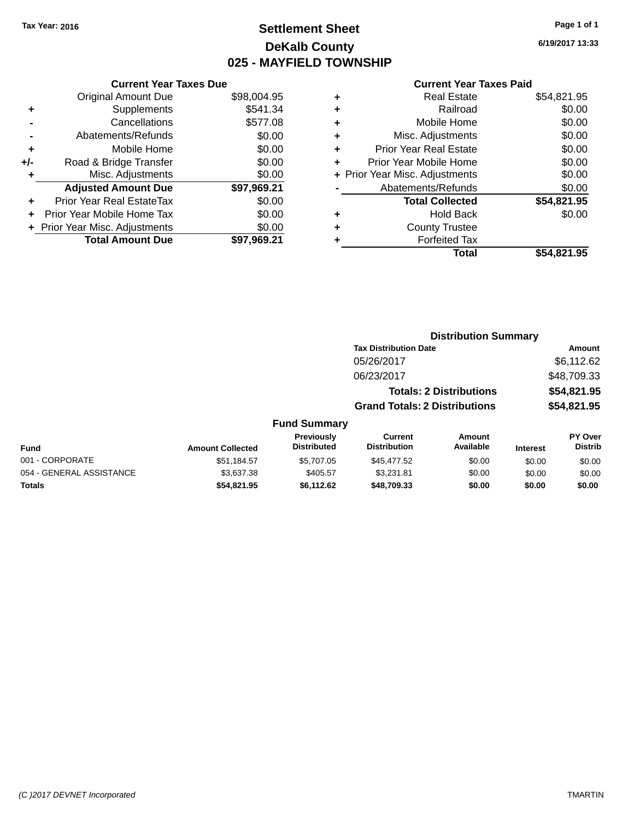# **Settlement Sheet Tax Year: 2016 Page 1 of 1 DeKalb County 025 - MAYFIELD TOWNSHIP**

**6/19/2017 13:33**

| <b>Current Year Taxes Due</b> |                         |  |  |  |
|-------------------------------|-------------------------|--|--|--|
| <b>Original Amount Due</b>    | \$98,004.95             |  |  |  |
| Supplements                   | \$541.34                |  |  |  |
| Cancellations                 | \$577.08                |  |  |  |
| Abatements/Refunds            | \$0.00                  |  |  |  |
| Mobile Home                   | \$0.00                  |  |  |  |
| Road & Bridge Transfer        | \$0.00                  |  |  |  |
| Misc. Adjustments             | \$0.00                  |  |  |  |
| <b>Adjusted Amount Due</b>    | \$97,969.21             |  |  |  |
| Prior Year Real EstateTax     | \$0.00                  |  |  |  |
| Prior Year Mobile Home Tax    | \$0.00                  |  |  |  |
| Prior Year Misc. Adjustments  | \$0.00                  |  |  |  |
|                               | \$97.969.21             |  |  |  |
|                               | <b>Total Amount Due</b> |  |  |  |

| ٠ | <b>Real Estate</b>             | \$54,821.95 |
|---|--------------------------------|-------------|
| ٠ | Railroad                       | \$0.00      |
| ٠ | Mobile Home                    | \$0.00      |
| ٠ | Misc. Adjustments              | \$0.00      |
| ٠ | <b>Prior Year Real Estate</b>  | \$0.00      |
| ٠ | Prior Year Mobile Home         | \$0.00      |
|   | + Prior Year Misc. Adjustments | \$0.00      |
|   | Abatements/Refunds             | \$0.00      |
|   | <b>Total Collected</b>         | \$54,821.95 |
| ٠ | Hold Back                      | \$0.00      |
| ٠ | <b>County Trustee</b>          |             |
|   | <b>Forfeited Tax</b>           |             |
|   | Total                          | \$54.821.95 |
|   |                                |             |

|                         |                     |                                      | <b>Distribution Summary</b>    |                 |                |
|-------------------------|---------------------|--------------------------------------|--------------------------------|-----------------|----------------|
|                         |                     | <b>Tax Distribution Date</b>         |                                |                 | Amount         |
|                         |                     | 05/26/2017                           |                                |                 | \$6,112.62     |
|                         |                     | 06/23/2017                           |                                |                 | \$48,709.33    |
|                         |                     |                                      | <b>Totals: 2 Distributions</b> |                 | \$54,821.95    |
|                         |                     | <b>Grand Totals: 2 Distributions</b> |                                |                 | \$54,821.95    |
|                         | <b>Fund Summary</b> |                                      |                                |                 |                |
|                         | Previously          | <b>Current</b>                       | Amount                         |                 | <b>PY Over</b> |
| <b>Amount Collected</b> | <b>Distributed</b>  | <b>Distribution</b>                  | Available                      | <b>Interest</b> | <b>Distrib</b> |
|                         | $- - - - - - -$     | $ - - - -$                           | $\cdots$                       |                 |                |

| <b>Fund</b>              | <b>Amount Collected</b> | .<br><b>Distributed</b> | -------<br><b>Distribution</b> | , ,,,,,,,,,,<br>Available | <b>Interest</b> | .<br>Distrib |
|--------------------------|-------------------------|-------------------------|--------------------------------|---------------------------|-----------------|--------------|
| 001 - CORPORATE          | \$51.184.57             | \$5,707.05              | \$45,477.52                    | \$0.00                    | \$0.00          | \$0.00       |
| 054 - GENERAL ASSISTANCE | \$3,637,38              | \$405.57                | \$3.231.81                     | \$0.00                    | \$0.00          | \$0.00       |
| Totals                   | \$54.821.95             | \$6.112.62              | \$48,709.33                    | \$0.00                    | \$0.00          | \$0.00       |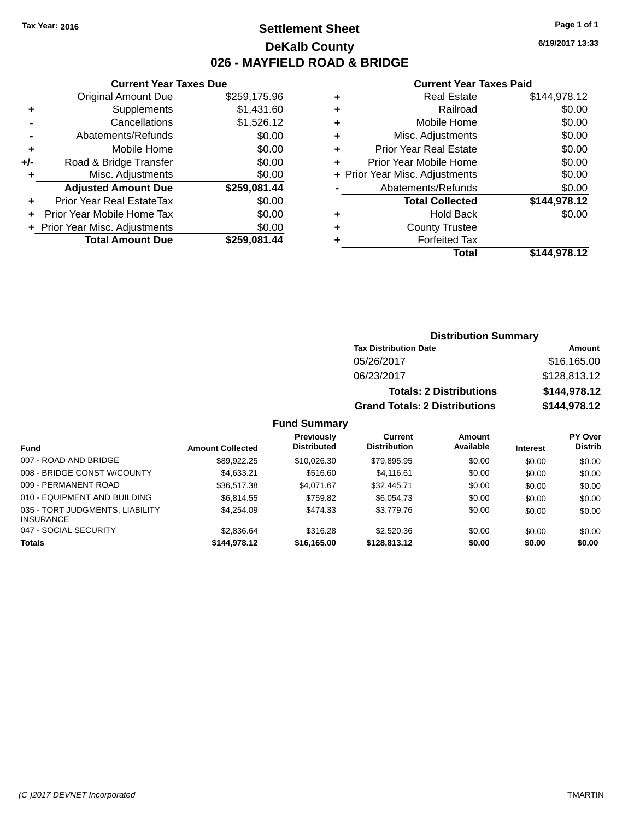# **Settlement Sheet Tax Year: 2016 Page 1 of 1 DeKalb County 026 - MAYFIELD ROAD & BRIDGE**

**6/19/2017 13:33**

### **Current Year Taxes Paid**

|     | <b>Current Year Taxes Due</b>  |              |   |
|-----|--------------------------------|--------------|---|
|     | <b>Original Amount Due</b>     | \$259,175.96 | ٠ |
|     | Supplements                    | \$1,431.60   | ٠ |
|     | Cancellations                  | \$1,526.12   | ٠ |
|     | Abatements/Refunds             | \$0.00       | ٠ |
|     | Mobile Home                    | \$0.00       | ٠ |
| +/- | Road & Bridge Transfer         | \$0.00       | ٠ |
| ٠   | Misc. Adjustments              | \$0.00       | ٠ |
|     | <b>Adjusted Amount Due</b>     | \$259,081.44 |   |
|     | Prior Year Real EstateTax      | \$0.00       |   |
|     | Prior Year Mobile Home Tax     | \$0.00       |   |
|     | + Prior Year Misc. Adjustments | \$0.00       | ٠ |
|     | <b>Total Amount Due</b>        | \$259.081.44 |   |
|     |                                |              |   |

|   | <b>Real Estate</b>             | \$144,978.12 |
|---|--------------------------------|--------------|
| ÷ | Railroad                       | \$0.00       |
| ٠ | Mobile Home                    | \$0.00       |
| ٠ | Misc. Adjustments              | \$0.00       |
| ٠ | <b>Prior Year Real Estate</b>  | \$0.00       |
|   | Prior Year Mobile Home         | \$0.00       |
|   | + Prior Year Misc. Adjustments | \$0.00       |
|   | Abatements/Refunds             | \$0.00       |
|   | <b>Total Collected</b>         | \$144,978.12 |
|   | <b>Hold Back</b>               | \$0.00       |
| ٠ | <b>County Trustee</b>          |              |
|   | <b>Forfeited Tax</b>           |              |
|   | Total                          | \$144,978.12 |
|   |                                |              |

## **Distribution Summary Tax Distribution Date Amount** 05/26/2017 \$16,165.00 06/23/2017 \$128,813.12 **Totals: 2 Distributions \$144,978.12 Grand Totals: 2 Distributions \$144,978.12**

| <b>Fund</b>                                         | <b>Amount Collected</b> | <b>Previously</b><br><b>Distributed</b> | Current<br><b>Distribution</b> | Amount<br>Available | <b>Interest</b> | PY Over<br><b>Distrib</b> |
|-----------------------------------------------------|-------------------------|-----------------------------------------|--------------------------------|---------------------|-----------------|---------------------------|
| 007 - ROAD AND BRIDGE                               | \$89.922.25             | \$10.026.30                             | \$79.895.95                    | \$0.00              | \$0.00          | \$0.00                    |
| 008 - BRIDGE CONST W/COUNTY                         | \$4,633.21              | \$516.60                                | \$4,116.61                     | \$0.00              | \$0.00          | \$0.00                    |
| 009 - PERMANENT ROAD                                | \$36,517.38             | \$4.071.67                              | \$32,445.71                    | \$0.00              | \$0.00          | \$0.00                    |
| 010 - EQUIPMENT AND BUILDING                        | \$6.814.55              | \$759.82                                | \$6,054.73                     | \$0.00              | \$0.00          | \$0.00                    |
| 035 - TORT JUDGMENTS, LIABILITY<br><b>INSURANCE</b> | \$4.254.09              | \$474.33                                | \$3,779.76                     | \$0.00              | \$0.00          | \$0.00                    |
| 047 - SOCIAL SECURITY                               | \$2,836.64              | \$316.28                                | \$2,520.36                     | \$0.00              | \$0.00          | \$0.00                    |
| <b>Totals</b>                                       | \$144.978.12            | \$16,165.00                             | \$128,813.12                   | \$0.00              | \$0.00          | \$0.00                    |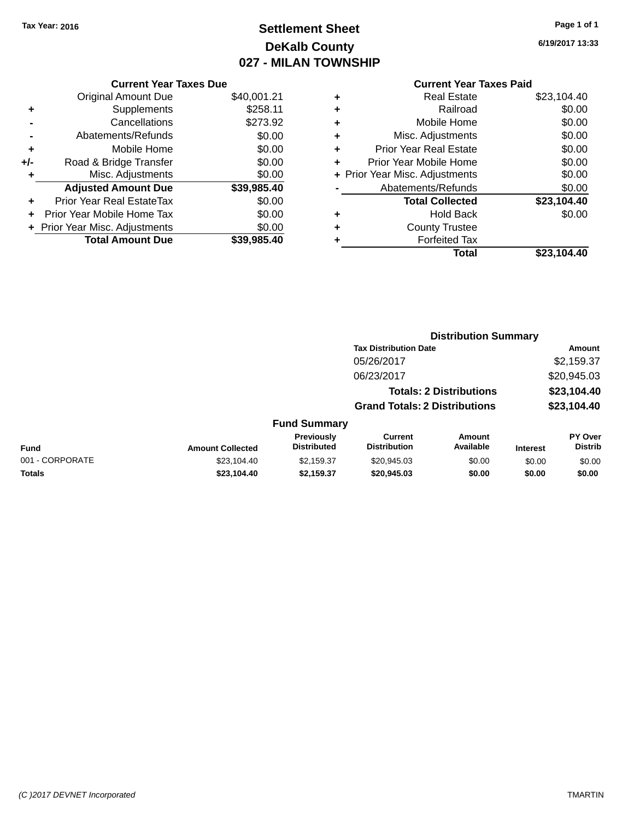# **Settlement Sheet Tax Year: 2016 Page 1 of 1 DeKalb County 027 - MILAN TOWNSHIP**

**6/19/2017 13:33**

|       | <b>Current Year Taxes Due</b> |             |
|-------|-------------------------------|-------------|
|       | <b>Original Amount Due</b>    | \$40,001.21 |
| ٠     | Supplements                   | \$258.11    |
|       | Cancellations                 | \$273.92    |
|       | Abatements/Refunds            | \$0.00      |
| ÷     | Mobile Home                   | \$0.00      |
| $+/-$ | Road & Bridge Transfer        | \$0.00      |
|       | Misc. Adjustments             | \$0.00      |
|       | <b>Adjusted Amount Due</b>    | \$39,985.40 |
| ÷     | Prior Year Real EstateTax     | \$0.00      |
|       | Prior Year Mobile Home Tax    | \$0.00      |
|       | Prior Year Misc. Adjustments  | \$0.00      |
|       | <b>Total Amount Due</b>       | \$39.985.40 |
|       |                               |             |

| ٠ | <b>Real Estate</b>             | \$23,104.40 |
|---|--------------------------------|-------------|
| ٠ | Railroad                       | \$0.00      |
| ٠ | Mobile Home                    | \$0.00      |
| ٠ | Misc. Adjustments              | \$0.00      |
| ٠ | <b>Prior Year Real Estate</b>  | \$0.00      |
| ٠ | Prior Year Mobile Home         | \$0.00      |
|   | + Prior Year Misc. Adjustments | \$0.00      |
|   | Abatements/Refunds             | \$0.00      |
|   | <b>Total Collected</b>         | \$23,104.40 |
| ٠ | Hold Back                      | \$0.00      |
| ٠ | <b>County Trustee</b>          |             |
| ٠ | <b>Forfeited Tax</b>           |             |
|   | Total                          | \$23,104.40 |
|   |                                |             |

|                 |                         |                                         | <b>Distribution Summary</b>           |                                |                 |                           |
|-----------------|-------------------------|-----------------------------------------|---------------------------------------|--------------------------------|-----------------|---------------------------|
|                 |                         |                                         | <b>Tax Distribution Date</b>          |                                |                 | <b>Amount</b>             |
|                 |                         |                                         | 05/26/2017                            |                                |                 | \$2,159.37                |
|                 |                         |                                         | 06/23/2017                            |                                |                 | \$20,945.03               |
|                 |                         |                                         |                                       | <b>Totals: 2 Distributions</b> |                 | \$23,104.40               |
|                 |                         |                                         | <b>Grand Totals: 2 Distributions</b>  |                                |                 | \$23,104.40               |
|                 |                         | <b>Fund Summary</b>                     |                                       |                                |                 |                           |
| Fund            | <b>Amount Collected</b> | <b>Previously</b><br><b>Distributed</b> | <b>Current</b><br><b>Distribution</b> | Amount<br>Available            | <b>Interest</b> | PY Over<br><b>Distrib</b> |
| 001 - CORPORATE | \$23,104.40             | \$2,159.37                              | \$20,945.03                           | \$0.00                         | \$0.00          | \$0.00                    |
| <b>Totals</b>   | \$23,104.40             | \$2,159.37                              | \$20,945.03                           | \$0.00                         | \$0.00          | \$0.00                    |
|                 |                         |                                         |                                       |                                |                 |                           |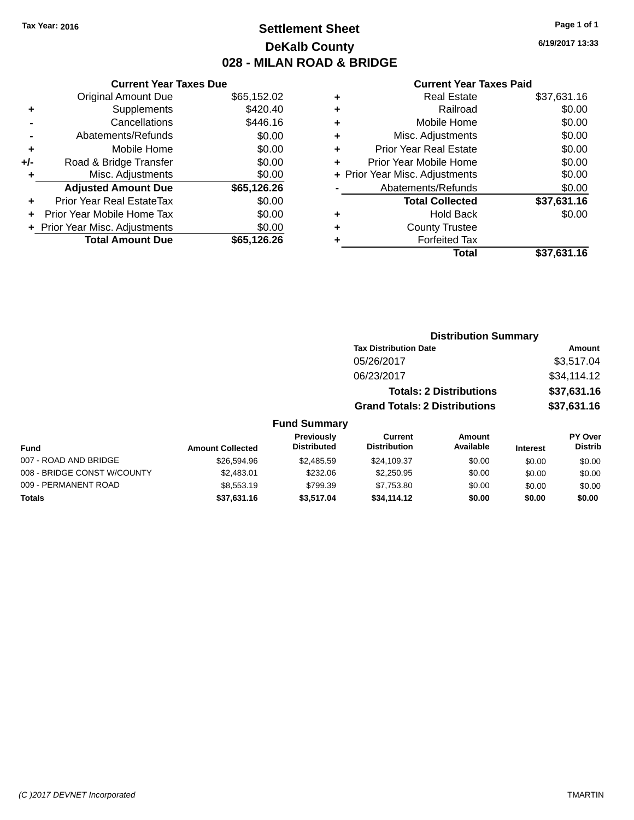# **Settlement Sheet Tax Year: 2016 Page 1 of 1 DeKalb County 028 - MILAN ROAD & BRIDGE**

**6/19/2017 13:33**

|     | <b>Current Year Taxes Due</b>  |             |
|-----|--------------------------------|-------------|
|     | <b>Original Amount Due</b>     | \$65,152.02 |
| ٠   | Supplements                    | \$420.40    |
|     | Cancellations                  | \$446.16    |
|     | Abatements/Refunds             | \$0.00      |
| ٠   | Mobile Home                    | \$0.00      |
| +/- | Road & Bridge Transfer         | \$0.00      |
|     | Misc. Adjustments              | \$0.00      |
|     | <b>Adjusted Amount Due</b>     | \$65,126.26 |
| ٠   | Prior Year Real EstateTax      | \$0.00      |
|     | Prior Year Mobile Home Tax     | \$0.00      |
|     | + Prior Year Misc. Adjustments | \$0.00      |
|     | <b>Total Amount Due</b>        | \$65,126.26 |
|     |                                |             |

|   | <b>Real Estate</b>             | \$37,631.16 |
|---|--------------------------------|-------------|
| ٠ | Railroad                       | \$0.00      |
| ٠ | Mobile Home                    | \$0.00      |
| ٠ | Misc. Adjustments              | \$0.00      |
| ٠ | <b>Prior Year Real Estate</b>  | \$0.00      |
| ÷ | Prior Year Mobile Home         | \$0.00      |
|   | + Prior Year Misc. Adjustments | \$0.00      |
|   | Abatements/Refunds             | \$0.00      |
|   | <b>Total Collected</b>         | \$37,631.16 |
| ٠ | Hold Back                      | \$0.00      |
|   | <b>County Trustee</b>          |             |
| ٠ | <b>Forfeited Tax</b>           |             |
|   | Total                          | \$37,631.16 |
|   |                                |             |

|                     | <b>Distribution Summary</b>          |             |
|---------------------|--------------------------------------|-------------|
|                     | <b>Tax Distribution Date</b>         | Amount      |
|                     | 05/26/2017                           | \$3,517.04  |
|                     | 06/23/2017                           | \$34,114.12 |
|                     | <b>Totals: 2 Distributions</b>       | \$37,631.16 |
|                     | <b>Grand Totals: 2 Distributions</b> | \$37,631.16 |
| <b>Fund Summary</b> |                                      |             |

| <b>Fund</b>                 | <b>Amount Collected</b> | Previously<br><b>Distributed</b> | Current<br><b>Distribution</b> | Amount<br>Available | <b>Interest</b> | <b>PY Over</b><br><b>Distrib</b> |
|-----------------------------|-------------------------|----------------------------------|--------------------------------|---------------------|-----------------|----------------------------------|
| 007 - ROAD AND BRIDGE       | \$26,594.96             | \$2,485.59                       | \$24.109.37                    | \$0.00              | \$0.00          | \$0.00                           |
| 008 - BRIDGE CONST W/COUNTY | \$2,483.01              | \$232.06                         | \$2,250.95                     | \$0.00              | \$0.00          | \$0.00                           |
| 009 - PERMANENT ROAD        | \$8,553.19              | \$799.39                         | \$7.753.80                     | \$0.00              | \$0.00          | \$0.00                           |
| <b>Totals</b>               | \$37,631.16             | \$3.517.04                       | \$34,114.12                    | \$0.00              | \$0.00          | \$0.00                           |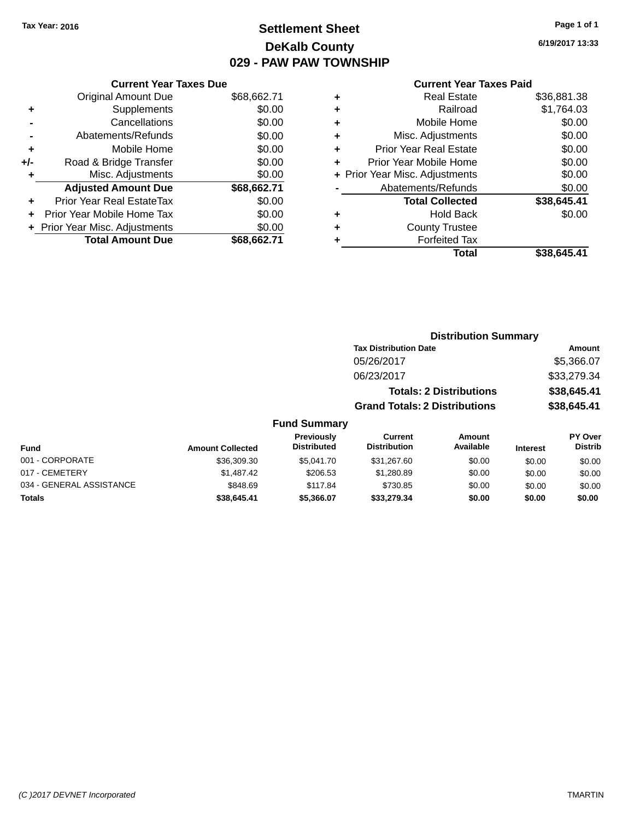# **Settlement Sheet Tax Year: 2016 Page 1 of 1 DeKalb County 029 - PAW PAW TOWNSHIP**

**6/19/2017 13:33**

|  | <b>Current Year Taxes Paid</b> |  |  |  |
|--|--------------------------------|--|--|--|
|--|--------------------------------|--|--|--|

|       | <b>Current Year Taxes Due</b> |             |
|-------|-------------------------------|-------------|
|       | <b>Original Amount Due</b>    | \$68,662.71 |
| ٠     | Supplements                   | \$0.00      |
|       | Cancellations                 | \$0.00      |
|       | Abatements/Refunds            | \$0.00      |
| ٠     | Mobile Home                   | \$0.00      |
| $+/-$ | Road & Bridge Transfer        | \$0.00      |
| ٠     | Misc. Adjustments             | \$0.00      |
|       | <b>Adjusted Amount Due</b>    | \$68,662.71 |
| ÷     | Prior Year Real EstateTax     | \$0.00      |
|       | Prior Year Mobile Home Tax    | \$0.00      |
|       | Prior Year Misc. Adjustments  | \$0.00      |
|       | <b>Total Amount Due</b>       | \$68.662.71 |

| ٠ | <b>Real Estate</b>             | \$36,881.38 |
|---|--------------------------------|-------------|
| ٠ | Railroad                       | \$1,764.03  |
| ٠ | Mobile Home                    | \$0.00      |
| ٠ | Misc. Adjustments              | \$0.00      |
| ٠ | <b>Prior Year Real Estate</b>  | \$0.00      |
| ÷ | Prior Year Mobile Home         | \$0.00      |
|   | + Prior Year Misc. Adjustments | \$0.00      |
|   | Abatements/Refunds             | \$0.00      |
|   | <b>Total Collected</b>         | \$38,645.41 |
| ٠ | Hold Back                      | \$0.00      |
| ٠ | <b>County Trustee</b>          |             |
| ٠ | <b>Forfeited Tax</b>           |             |
|   | Total                          | \$38,645.41 |
|   |                                |             |

|                   |                                      | <b>Distribution Summary</b>    |                |
|-------------------|--------------------------------------|--------------------------------|----------------|
|                   | <b>Tax Distribution Date</b>         |                                | Amount         |
|                   | 05/26/2017                           |                                | \$5,366.07     |
|                   | 06/23/2017                           |                                | \$33,279.34    |
|                   |                                      | <b>Totals: 2 Distributions</b> | \$38,645.41    |
|                   | <b>Grand Totals: 2 Distributions</b> |                                | \$38,645.41    |
| Fund Summary      |                                      |                                |                |
| <b>Previously</b> | Current                              | Amount                         | <b>PY Over</b> |

| <b>Fund</b>              | <b>Amount Collected</b> | <b>Previously</b><br><b>Distributed</b> | Current<br><b>Distribution</b> | Amount<br>Available | <b>Interest</b> | <b>PY Over</b><br><b>Distrib</b> |
|--------------------------|-------------------------|-----------------------------------------|--------------------------------|---------------------|-----------------|----------------------------------|
| 001 - CORPORATE          | \$36,309.30             | \$5,041.70                              | \$31,267.60                    | \$0.00              | \$0.00          | \$0.00                           |
| 017 - CEMETERY           | \$1,487.42              | \$206.53                                | \$1,280.89                     | \$0.00              | \$0.00          | \$0.00                           |
| 034 - GENERAL ASSISTANCE | \$848.69                | \$117.84                                | \$730.85                       | \$0.00              | \$0.00          | \$0.00                           |
| Totals                   | \$38,645.41             | \$5,366,07                              | \$33,279.34                    | \$0.00              | \$0.00          | \$0.00                           |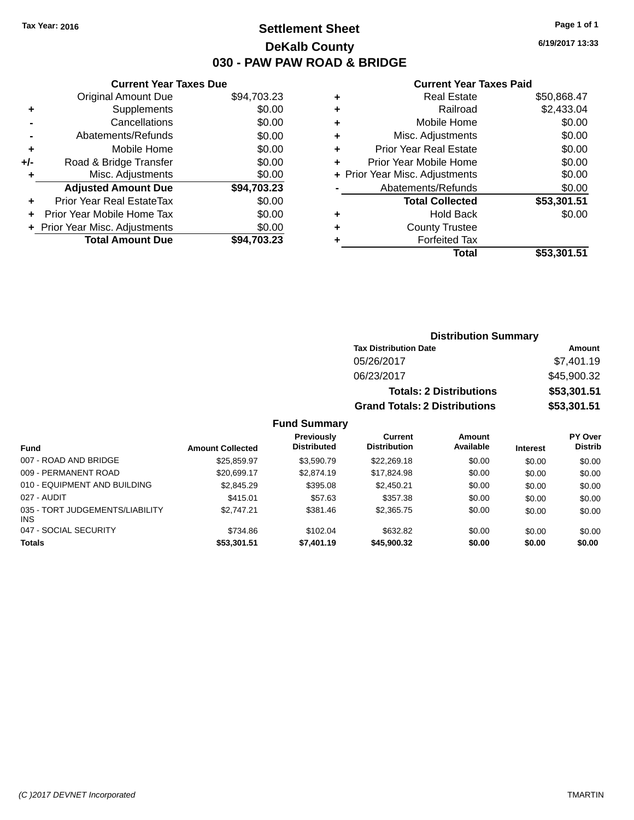# **Settlement Sheet Tax Year: 2016 Page 1 of 1 DeKalb County 030 - PAW PAW ROAD & BRIDGE**

**6/19/2017 13:33**

### **Current Year Taxes Paid**

|     | <b>Current Year Taxes Due</b>  |             |
|-----|--------------------------------|-------------|
|     | <b>Original Amount Due</b>     | \$94,703.23 |
| ٠   | Supplements                    | \$0.00      |
|     | Cancellations                  | \$0.00      |
|     | Abatements/Refunds             | \$0.00      |
| ٠   | Mobile Home                    | \$0.00      |
| +/- | Road & Bridge Transfer         | \$0.00      |
|     | Misc. Adjustments              | \$0.00      |
|     | <b>Adjusted Amount Due</b>     | \$94,703.23 |
| ٠   | Prior Year Real EstateTax      | \$0.00      |
|     | Prior Year Mobile Home Tax     | \$0.00      |
|     | + Prior Year Misc. Adjustments | \$0.00      |
|     | <b>Total Amount Due</b>        | \$94.703.23 |
|     |                                |             |

| \$2,433.04  |
|-------------|
|             |
| \$0.00      |
| \$0.00      |
| \$0.00      |
| \$0.00      |
| \$0.00      |
| \$0.00      |
| \$53,301.51 |
| \$0.00      |
|             |
|             |
| \$53,301.51 |
|             |

| <b>Distribution Summary</b>          |             |
|--------------------------------------|-------------|
| <b>Tax Distribution Date</b>         | Amount      |
| 05/26/2017                           | \$7,401.19  |
| 06/23/2017                           | \$45,900.32 |
| <b>Totals: 2 Distributions</b>       | \$53,301.51 |
| <b>Grand Totals: 2 Distributions</b> | \$53,301.51 |

| <b>Fund</b>                                   | <b>Amount Collected</b> | <b>Previously</b><br><b>Distributed</b> | Current<br><b>Distribution</b> | Amount<br>Available | <b>Interest</b> | <b>PY Over</b><br><b>Distrib</b> |
|-----------------------------------------------|-------------------------|-----------------------------------------|--------------------------------|---------------------|-----------------|----------------------------------|
| 007 - ROAD AND BRIDGE                         | \$25,859.97             | \$3.590.79                              | \$22,269.18                    | \$0.00              | \$0.00          | \$0.00                           |
| 009 - PERMANENT ROAD                          | \$20,699.17             | \$2,874.19                              | \$17.824.98                    | \$0.00              | \$0.00          | \$0.00                           |
| 010 - EQUIPMENT AND BUILDING                  | \$2,845.29              | \$395.08                                | \$2,450.21                     | \$0.00              | \$0.00          | \$0.00                           |
| 027 - AUDIT                                   | \$415.01                | \$57.63                                 | \$357.38                       | \$0.00              | \$0.00          | \$0.00                           |
| 035 - TORT JUDGEMENTS/LIABILITY<br><b>INS</b> | \$2,747.21              | \$381.46                                | \$2,365.75                     | \$0.00              | \$0.00          | \$0.00                           |
| 047 - SOCIAL SECURITY                         | \$734.86                | \$102.04                                | \$632.82                       | \$0.00              | \$0.00          | \$0.00                           |
| <b>Totals</b>                                 | \$53,301.51             | \$7,401.19                              | \$45,900.32                    | \$0.00              | \$0.00          | \$0.00                           |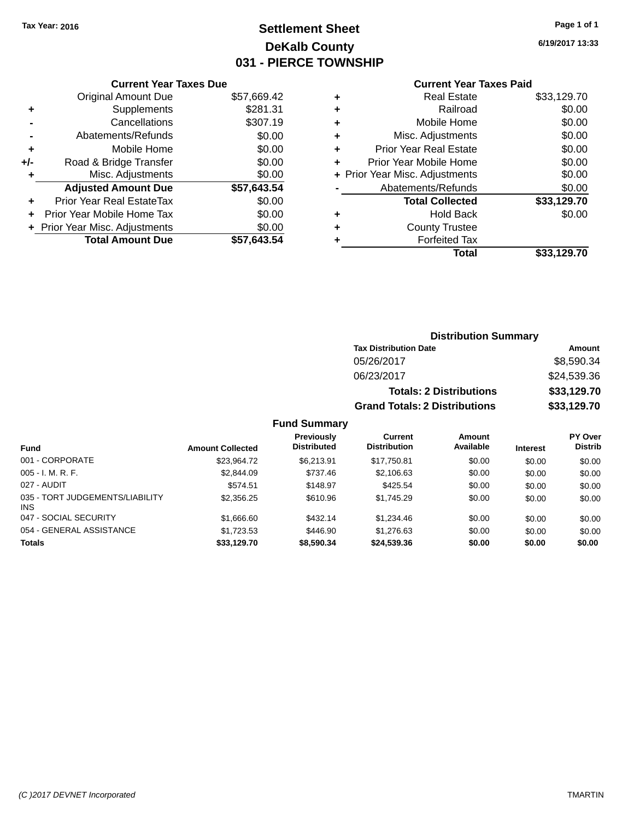# **Settlement Sheet Tax Year: 2016 Page 1 of 1 DeKalb County 031 - PIERCE TOWNSHIP**

**6/19/2017 13:33**

## **Current Year Taxes Paid**

| <b>Current Year Taxes Due</b> |             |
|-------------------------------|-------------|
| <b>Original Amount Due</b>    | \$57,669.42 |
| Supplements                   | \$281.31    |
| Cancellations                 | \$307.19    |
| Abatements/Refunds            | \$0.00      |
| Mobile Home                   | \$0.00      |
| Road & Bridge Transfer        | \$0.00      |
| Misc. Adjustments             | \$0.00      |
| <b>Adjusted Amount Due</b>    | \$57,643.54 |
| Prior Year Real EstateTax     | \$0.00      |
| Prior Year Mobile Home Tax    | \$0.00      |
| Prior Year Misc. Adjustments  | \$0.00      |
| <b>Total Amount Due</b>       | \$57.643.54 |
|                               |             |

|   | <b>Real Estate</b>             | \$33,129.70 |
|---|--------------------------------|-------------|
| ٠ | Railroad                       | \$0.00      |
| ٠ | Mobile Home                    | \$0.00      |
| ٠ | Misc. Adjustments              | \$0.00      |
| ٠ | <b>Prior Year Real Estate</b>  | \$0.00      |
| ٠ | Prior Year Mobile Home         | \$0.00      |
|   | + Prior Year Misc. Adjustments | \$0.00      |
|   | Abatements/Refunds             | \$0.00      |
|   | <b>Total Collected</b>         | \$33,129.70 |
| ٠ | Hold Back                      | \$0.00      |
| ٠ | <b>County Trustee</b>          |             |
|   | <b>Forfeited Tax</b>           |             |
|   | Total                          | \$33,129.70 |
|   |                                |             |

| <b>Distribution Summary</b>          |             |  |  |  |
|--------------------------------------|-------------|--|--|--|
| <b>Tax Distribution Date</b>         | Amount      |  |  |  |
| 05/26/2017                           | \$8,590.34  |  |  |  |
| 06/23/2017                           | \$24,539.36 |  |  |  |
| <b>Totals: 2 Distributions</b>       | \$33,129.70 |  |  |  |
| <b>Grand Totals: 2 Distributions</b> | \$33,129.70 |  |  |  |

| <b>Fund</b>                                   | <b>Amount Collected</b> | <b>Previously</b><br><b>Distributed</b> | Current<br><b>Distribution</b> | <b>Amount</b><br>Available | <b>Interest</b> | <b>PY Over</b><br><b>Distrib</b> |
|-----------------------------------------------|-------------------------|-----------------------------------------|--------------------------------|----------------------------|-----------------|----------------------------------|
| 001 - CORPORATE                               | \$23.964.72             | \$6.213.91                              | \$17,750.81                    | \$0.00                     | \$0.00          | \$0.00                           |
| $005 - I. M. R. F.$                           | \$2,844.09              | \$737.46                                | \$2,106.63                     | \$0.00                     | \$0.00          | \$0.00                           |
| 027 - AUDIT                                   | \$574.51                | \$148.97                                | \$425.54                       | \$0.00                     | \$0.00          | \$0.00                           |
| 035 - TORT JUDGEMENTS/LIABILITY<br><b>INS</b> | \$2,356.25              | \$610.96                                | \$1,745.29                     | \$0.00                     | \$0.00          | \$0.00                           |
| 047 - SOCIAL SECURITY                         | \$1,666.60              | \$432.14                                | \$1,234.46                     | \$0.00                     | \$0.00          | \$0.00                           |
| 054 - GENERAL ASSISTANCE                      | \$1,723.53              | \$446.90                                | \$1,276.63                     | \$0.00                     | \$0.00          | \$0.00                           |
| <b>Totals</b>                                 | \$33,129.70             | \$8,590.34                              | \$24,539.36                    | \$0.00                     | \$0.00          | \$0.00                           |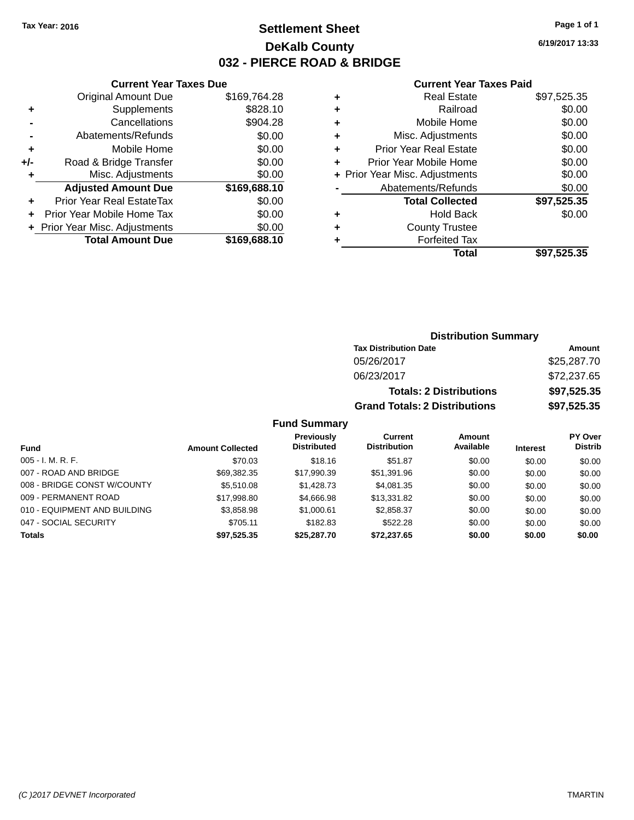# **Settlement Sheet Tax Year: 2016 Page 1 of 1 DeKalb County 032 - PIERCE ROAD & BRIDGE**

**6/19/2017 13:33**

## **Current Year Taxes Paid**

|       | <b>Current Year Taxes Due</b>  |              |
|-------|--------------------------------|--------------|
|       | <b>Original Amount Due</b>     | \$169,764.28 |
| ٠     | Supplements                    | \$828.10     |
|       | Cancellations                  | \$904.28     |
|       | Abatements/Refunds             | \$0.00       |
| ٠     | Mobile Home                    | \$0.00       |
| $+/-$ | Road & Bridge Transfer         | \$0.00       |
|       | Misc. Adjustments              | \$0.00       |
|       | <b>Adjusted Amount Due</b>     | \$169,688.10 |
| ٠     | Prior Year Real EstateTax      | \$0.00       |
|       | Prior Year Mobile Home Tax     | \$0.00       |
|       | + Prior Year Misc. Adjustments | \$0.00       |
|       | <b>Total Amount Due</b>        | \$169,688.10 |
|       |                                |              |

| ٠ | <b>Real Estate</b>             | \$97,525.35 |
|---|--------------------------------|-------------|
| ٠ | Railroad                       | \$0.00      |
| ÷ | Mobile Home                    | \$0.00      |
| ٠ | Misc. Adjustments              | \$0.00      |
| ٠ | <b>Prior Year Real Estate</b>  | \$0.00      |
| ٠ | Prior Year Mobile Home         | \$0.00      |
|   | + Prior Year Misc. Adjustments | \$0.00      |
|   | Abatements/Refunds             | \$0.00      |
|   | <b>Total Collected</b>         | \$97,525.35 |
| ٠ | <b>Hold Back</b>               | \$0.00      |
| ٠ | <b>County Trustee</b>          |             |
| ٠ | <b>Forfeited Tax</b>           |             |
|   | Total                          | \$97,525.35 |
|   |                                |             |

| <b>Distribution Summary</b>          |             |  |  |  |
|--------------------------------------|-------------|--|--|--|
| <b>Tax Distribution Date</b>         | Amount      |  |  |  |
| 05/26/2017                           | \$25,287.70 |  |  |  |
| 06/23/2017                           | \$72,237.65 |  |  |  |
| <b>Totals: 2 Distributions</b>       | \$97,525.35 |  |  |  |
| <b>Grand Totals: 2 Distributions</b> | \$97,525.35 |  |  |  |

|                              |                         | <b>Previously</b>  | Current             | <b>Amount</b> |                 | <b>PY Over</b> |
|------------------------------|-------------------------|--------------------|---------------------|---------------|-----------------|----------------|
| <b>Fund</b>                  | <b>Amount Collected</b> | <b>Distributed</b> | <b>Distribution</b> | Available     | <b>Interest</b> | <b>Distrib</b> |
| $005 - I. M. R. F.$          | \$70.03                 | \$18.16            | \$51.87             | \$0.00        | \$0.00          | \$0.00         |
| 007 - ROAD AND BRIDGE        | \$69,382.35             | \$17.990.39        | \$51.391.96         | \$0.00        | \$0.00          | \$0.00         |
| 008 - BRIDGE CONST W/COUNTY  | \$5,510.08              | \$1,428.73         | \$4,081.35          | \$0.00        | \$0.00          | \$0.00         |
| 009 - PERMANENT ROAD         | \$17.998.80             | \$4,666.98         | \$13.331.82         | \$0.00        | \$0.00          | \$0.00         |
| 010 - EQUIPMENT AND BUILDING | \$3,858.98              | \$1,000.61         | \$2.858.37          | \$0.00        | \$0.00          | \$0.00         |
| 047 - SOCIAL SECURITY        | \$705.11                | \$182.83           | \$522.28            | \$0.00        | \$0.00          | \$0.00         |
| <b>Totals</b>                | \$97,525.35             | \$25,287.70        | \$72.237.65         | \$0.00        | \$0.00          | \$0.00         |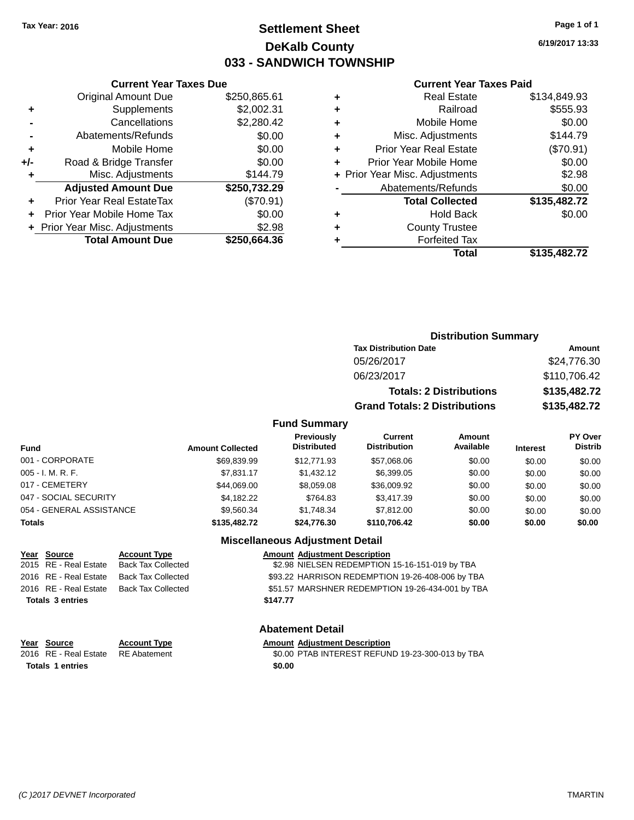# **Settlement Sheet Tax Year: 2016 Page 1 of 1 DeKalb County 033 - SANDWICH TOWNSHIP**

**6/19/2017 13:33**

#### **Current Year Taxes Paid**

| <b>Current Year Taxes Due</b> |                                |  |  |  |
|-------------------------------|--------------------------------|--|--|--|
| <b>Original Amount Due</b>    | \$250,865.61                   |  |  |  |
| Supplements                   | \$2,002.31                     |  |  |  |
| Cancellations                 | \$2,280.42                     |  |  |  |
| Abatements/Refunds            | \$0.00                         |  |  |  |
| Mobile Home                   | \$0.00                         |  |  |  |
| Road & Bridge Transfer        | \$0.00                         |  |  |  |
| Misc. Adjustments             | \$144.79                       |  |  |  |
| <b>Adjusted Amount Due</b>    | \$250,732.29                   |  |  |  |
| Prior Year Real EstateTax     | (\$70.91)                      |  |  |  |
| Prior Year Mobile Home Tax    | \$0.00                         |  |  |  |
|                               | \$2.98                         |  |  |  |
| <b>Total Amount Due</b>       | \$250,664.36                   |  |  |  |
|                               | + Prior Year Misc. Adjustments |  |  |  |

|   | <b>Real Estate</b>             | \$134,849.93 |
|---|--------------------------------|--------------|
| ٠ | Railroad                       | \$555.93     |
| ٠ | Mobile Home                    | \$0.00       |
| ٠ | Misc. Adjustments              | \$144.79     |
| ٠ | <b>Prior Year Real Estate</b>  | (\$70.91)    |
| ÷ | Prior Year Mobile Home         | \$0.00       |
|   | + Prior Year Misc. Adjustments | \$2.98       |
|   | Abatements/Refunds             | \$0.00       |
|   | <b>Total Collected</b>         | \$135,482.72 |
| ٠ | <b>Hold Back</b>               | \$0.00       |
| ٠ | <b>County Trustee</b>          |              |
| ٠ | <b>Forfeited Tax</b>           |              |
|   | Total                          | \$135,482.72 |
|   |                                |              |

| <b>Distribution Summary</b>          |              |  |
|--------------------------------------|--------------|--|
| <b>Tax Distribution Date</b>         | Amount       |  |
| 05/26/2017                           | \$24,776.30  |  |
| 06/23/2017                           | \$110,706.42 |  |
| <b>Totals: 2 Distributions</b>       | \$135,482.72 |  |
| <b>Grand Totals: 2 Distributions</b> | \$135,482.72 |  |

## **Fund Summary**

| <b>Fund</b>              | <b>Amount Collected</b> | Previously<br><b>Distributed</b> | Current<br><b>Distribution</b> | Amount<br>Available | <b>Interest</b> | PY Over<br><b>Distrib</b> |
|--------------------------|-------------------------|----------------------------------|--------------------------------|---------------------|-----------------|---------------------------|
| 001 - CORPORATE          | \$69,839.99             | \$12,771.93                      | \$57.068.06                    | \$0.00              | \$0.00          | \$0.00                    |
| $005 - I. M. R. F.$      | \$7,831.17              | \$1,432.12                       | \$6,399.05                     | \$0.00              | \$0.00          | \$0.00                    |
| 017 - CEMETERY           | \$44.069.00             | \$8,059.08                       | \$36,009.92                    | \$0.00              | \$0.00          | \$0.00                    |
| 047 - SOCIAL SECURITY    | \$4,182.22              | \$764.83                         | \$3,417.39                     | \$0.00              | \$0.00          | \$0.00                    |
| 054 - GENERAL ASSISTANCE | \$9,560,34              | \$1.748.34                       | \$7.812.00                     | \$0.00              | \$0.00          | \$0.00                    |
| <b>Totals</b>            | \$135,482.72            | \$24.776.30                      | \$110,706.42                   | \$0.00              | \$0.00          | \$0.00                    |

## **Miscellaneous Adjustment Detail**

| <b>Account Type</b>       | <b>Amount Adjustment Description</b>             |
|---------------------------|--------------------------------------------------|
| <b>Back Tax Collected</b> | \$2.98 NIELSEN REDEMPTION 15-16-151-019 by TBA   |
| <b>Back Tax Collected</b> | \$93.22 HARRISON REDEMPTION 19-26-408-006 by TBA |
| <b>Back Tax Collected</b> | \$51.57 MARSHNER REDEMPTION 19-26-434-001 by TBA |
|                           | \$147.77                                         |
|                           |                                                  |

#### **Abatement Detail**

## **Year** Source **Account Type Account Adjustment Description**

| 2016 RE - Real Estate RE Abatement | \$0.00 PTAB INTEREST REFUND 19-23-300-013 by TBA |
|------------------------------------|--------------------------------------------------|
| <b>Totals 1 entries</b>            | \$0.00                                           |

**Year Source**  $\overline{2015}$  RE - Real Estate 2016 RE - Real Estate 2016 RE - Real Estate **Totals 3 entries**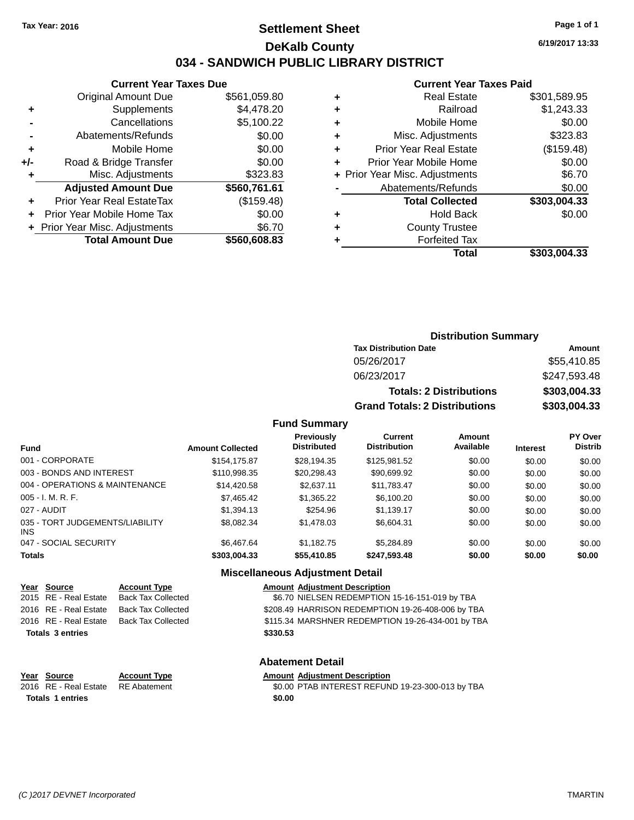# **Settlement Sheet Tax Year: 2016 Page 1 of 1 DeKalb County 034 - SANDWICH PUBLIC LIBRARY DISTRICT**

**6/19/2017 13:33**

# **Current Year Taxes Paid**

|     | <b>Current Year Taxes Due</b>  |              |  |  |
|-----|--------------------------------|--------------|--|--|
|     | <b>Original Amount Due</b>     | \$561,059.80 |  |  |
| ٠   | Supplements                    | \$4,478.20   |  |  |
|     | Cancellations                  | \$5,100.22   |  |  |
|     | Abatements/Refunds             | \$0.00       |  |  |
| ٠   | Mobile Home                    | \$0.00       |  |  |
| +/- | Road & Bridge Transfer         | \$0.00       |  |  |
|     | Misc. Adjustments              | \$323.83     |  |  |
|     | <b>Adjusted Amount Due</b>     | \$560,761.61 |  |  |
|     | Prior Year Real EstateTax      | (\$159.48)   |  |  |
|     | Prior Year Mobile Home Tax     | \$0.00       |  |  |
|     | + Prior Year Misc. Adjustments | \$6.70       |  |  |
|     | <b>Total Amount Due</b>        | \$560,608.83 |  |  |
|     |                                |              |  |  |

|   | <b>Real Estate</b>             | \$301,589.95 |
|---|--------------------------------|--------------|
| ٠ | Railroad                       | \$1,243.33   |
| ٠ | Mobile Home                    | \$0.00       |
| ٠ | Misc. Adjustments              | \$323.83     |
| ٠ | <b>Prior Year Real Estate</b>  | (\$159.48)   |
| ٠ | Prior Year Mobile Home         | \$0.00       |
|   | + Prior Year Misc. Adjustments | \$6.70       |
|   | Abatements/Refunds             | \$0.00       |
|   | <b>Total Collected</b>         | \$303,004.33 |
| ٠ | <b>Hold Back</b>               | \$0.00       |
| ٠ | <b>County Trustee</b>          |              |
| ٠ | <b>Forfeited Tax</b>           |              |
|   | Total                          | \$303,004.33 |
|   |                                |              |

| <b>Distribution Summary</b>          |              |  |
|--------------------------------------|--------------|--|
| <b>Tax Distribution Date</b>         | Amount       |  |
| 05/26/2017                           | \$55,410.85  |  |
| 06/23/2017                           | \$247,593.48 |  |
| <b>Totals: 2 Distributions</b>       | \$303,004.33 |  |
| <b>Grand Totals: 2 Distributions</b> | \$303,004.33 |  |

#### **Fund Summary**

| <b>Fund</b>                             | <b>Amount Collected</b> | <b>Previously</b><br><b>Distributed</b> | Current<br><b>Distribution</b> | Amount<br>Available | <b>Interest</b> | PY Over<br><b>Distrib</b> |
|-----------------------------------------|-------------------------|-----------------------------------------|--------------------------------|---------------------|-----------------|---------------------------|
| 001 - CORPORATE                         | \$154,175.87            | \$28,194.35                             | \$125,981.52                   | \$0.00              | \$0.00          | \$0.00                    |
| 003 - BONDS AND INTEREST                | \$110,998.35            | \$20,298.43                             | \$90,699.92                    | \$0.00              | \$0.00          | \$0.00                    |
| 004 - OPERATIONS & MAINTENANCE          | \$14,420.58             | \$2,637.11                              | \$11,783.47                    | \$0.00              | \$0.00          | \$0.00                    |
| $005 - I. M. R. F.$                     | \$7,465.42              | \$1,365.22                              | \$6,100.20                     | \$0.00              | \$0.00          | \$0.00                    |
| 027 - AUDIT                             | \$1,394.13              | \$254.96                                | \$1,139.17                     | \$0.00              | \$0.00          | \$0.00                    |
| 035 - TORT JUDGEMENTS/LIABILITY<br>INS. | \$8.082.34              | \$1,478.03                              | \$6,604.31                     | \$0.00              | \$0.00          | \$0.00                    |
| 047 - SOCIAL SECURITY                   | \$6,467.64              | \$1.182.75                              | \$5,284.89                     | \$0.00              | \$0.00          | \$0.00                    |
| <b>Totals</b>                           | \$303,004.33            | \$55,410.85                             | \$247,593.48                   | \$0.00              | \$0.00          | \$0.00                    |

## **Miscellaneous Adjustment Detail**

| Year Source             | <b>Account Type</b>       | <b>Amount Adjustment Description</b>              |
|-------------------------|---------------------------|---------------------------------------------------|
| 2015 RE - Real Estate   | <b>Back Tax Collected</b> | \$6.70 NIELSEN REDEMPTION 15-16-151-019 by TBA    |
| 2016 RE - Real Estate   | Back Tax Collected        | \$208.49 HARRISON REDEMPTION 19-26-408-006 by TBA |
| 2016 RE - Real Estate   | Back Tax Collected        | \$115.34 MARSHNER REDEMPTION 19-26-434-001 by TBA |
| <b>Totals 3 entries</b> |                           | \$330.53                                          |
|                         |                           |                                                   |
|                         |                           |                                                   |

## **Abatement Detail**

## **Year** Source **Account Type Account Adjustment Description**

2016 RE - Real Estate RE Abatement \$0.00 PTAB INTEREST REFUND 19-23-300-013 by TBA **Totals 1 entries** \$0.00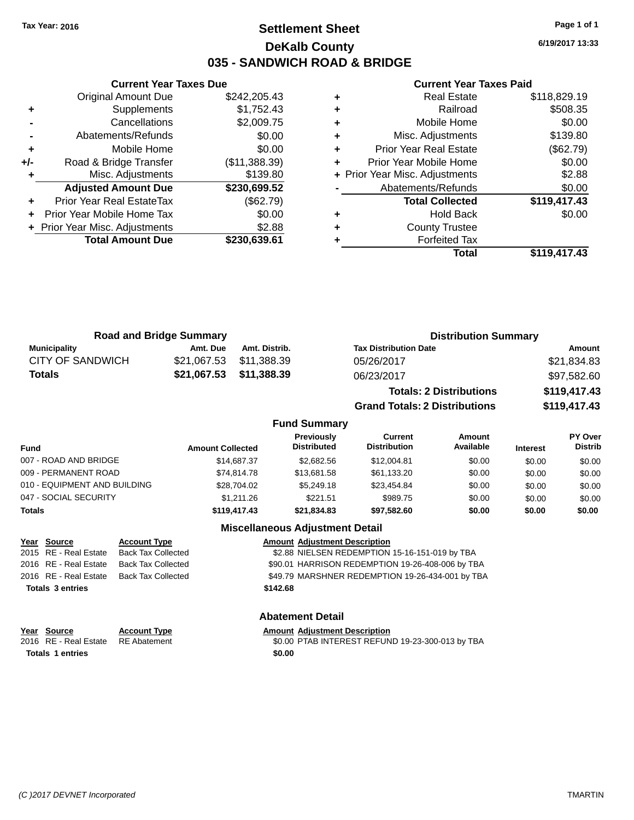# **Settlement Sheet Tax Year: 2016 Page 1 of 1 DeKalb County 035 - SANDWICH ROAD & BRIDGE**

**6/19/2017 13:33**

#### **Current Year Taxes Paid**

|     | <b>Current Year Taxes Due</b>  |               |
|-----|--------------------------------|---------------|
|     | Original Amount Due            | \$242,205.43  |
| ٠   | Supplements                    | \$1,752.43    |
|     | Cancellations                  | \$2,009.75    |
|     | Abatements/Refunds             | \$0.00        |
| ٠   | Mobile Home                    | \$0.00        |
| +/- | Road & Bridge Transfer         | (\$11,388.39) |
|     | Misc. Adjustments              | \$139.80      |
|     | <b>Adjusted Amount Due</b>     | \$230,699.52  |
| ٠   | Prior Year Real EstateTax      | (\$62.79)     |
|     | Prior Year Mobile Home Tax     | \$0.00        |
|     | + Prior Year Misc. Adjustments | \$2.88        |
|     | <b>Total Amount Due</b>        | \$230,639.61  |
|     |                                |               |

| ٠ | <b>Real Estate</b>             | \$118,829.19 |
|---|--------------------------------|--------------|
| ٠ | Railroad                       | \$508.35     |
| ٠ | Mobile Home                    | \$0.00       |
| ٠ | Misc. Adjustments              | \$139.80     |
| ٠ | <b>Prior Year Real Estate</b>  | (\$62.79)    |
| ٠ | Prior Year Mobile Home         | \$0.00       |
|   | + Prior Year Misc. Adjustments | \$2.88       |
|   | Abatements/Refunds             | \$0.00       |
|   | <b>Total Collected</b>         | \$119,417.43 |
| ٠ | <b>Hold Back</b>               | \$0.00       |
| ٠ | <b>County Trustee</b>          |              |
| ٠ | <b>Forfeited Tax</b>           |              |
|   | Total                          | \$119,417.43 |
|   |                                |              |

| <b>Road and Bridge Summary</b> |          |                         | <b>Distribution Summary</b>    |              |
|--------------------------------|----------|-------------------------|--------------------------------|--------------|
| Municipality                   | Amt. Due | Amt. Distrib.           | <b>Tax Distribution Date</b>   | Amount       |
| <b>CITY OF SANDWICH</b>        |          | \$21,067.53 \$11,388.39 | 05/26/2017                     | \$21,834.83  |
| <b>Totals</b>                  |          | \$21,067.53 \$11,388.39 | 06/23/2017                     | \$97,582.60  |
|                                |          |                         | <b>Totals: 2 Distributions</b> | \$119,417.43 |

**Grand Totals: 2 Distributions \$119,417.43**

#### **Fund Summary**

| Fund                         | <b>Amount Collected</b> | Previously<br><b>Distributed</b> | Current<br><b>Distribution</b> | Amount<br>Available | <b>Interest</b> | PY Over<br><b>Distrib</b> |
|------------------------------|-------------------------|----------------------------------|--------------------------------|---------------------|-----------------|---------------------------|
| 007 - ROAD AND BRIDGE        | \$14,687.37             | \$2,682.56                       | \$12,004.81                    | \$0.00              | \$0.00          | \$0.00                    |
| 009 - PERMANENT ROAD         | \$74.814.78             | \$13,681.58                      | \$61,133.20                    | \$0.00              | \$0.00          | \$0.00                    |
| 010 - EQUIPMENT AND BUILDING | \$28,704.02             | \$5,249.18                       | \$23,454.84                    | \$0.00              | \$0.00          | \$0.00                    |
| 047 - SOCIAL SECURITY        | \$1.211.26              | \$221.51                         | \$989.75                       | \$0.00              | \$0.00          | \$0.00                    |
| Totals                       | \$119,417.43            | \$21.834.83                      | \$97.582.60                    | \$0.00              | \$0.00          | \$0.00                    |

## **Miscellaneous Adjustment Detail**

| Year Source             | <b>Account Type</b>       |          | <b>Amount Adjustment Description</b>             |
|-------------------------|---------------------------|----------|--------------------------------------------------|
| 2015 RE - Real Estate   | <b>Back Tax Collected</b> |          | \$2.88 NIELSEN REDEMPTION 15-16-151-019 by TBA   |
| 2016 RE - Real Estate   | Back Tax Collected        |          | \$90.01 HARRISON REDEMPTION 19-26-408-006 by TBA |
| 2016 RE - Real Estate   | Back Tax Collected        |          | \$49.79 MARSHNER REDEMPTION 19-26-434-001 by TBA |
| <b>Totals 3 entries</b> |                           | \$142.68 |                                                  |
|                         |                           |          |                                                  |

# **Year Source Account Type Amount Adjustment Description**<br>2016 RE - Real Estate RE Abatement **Amount Adjustment Description Totals 1 entries** \$0.00

#### **Abatement Detail**

\$0.00 PTAB INTEREST REFUND 19-23-300-013 by TBA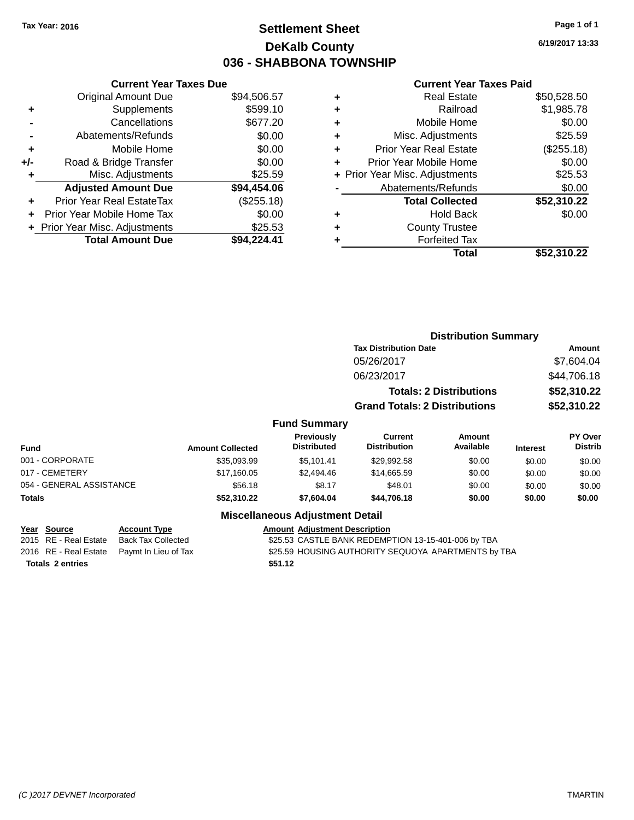# **Settlement Sheet Tax Year: 2016 Page 1 of 1 DeKalb County 036 - SHABBONA TOWNSHIP**

**6/19/2017 13:33**

#### **Current Year Taxes Paid**

|       | <b>Original Amount Due</b>     | \$94,506.57 |
|-------|--------------------------------|-------------|
| ٠     | Supplements                    | \$599.10    |
|       | Cancellations                  | \$677.20    |
|       | Abatements/Refunds             | \$0.00      |
| ÷     | Mobile Home                    | \$0.00      |
| $+/-$ | Road & Bridge Transfer         | \$0.00      |
| ٠     | Misc. Adjustments              | \$25.59     |
|       | <b>Adjusted Amount Due</b>     | \$94,454.06 |
| ÷     | Prior Year Real EstateTax      | (\$255.18)  |
| ٠     | Prior Year Mobile Home Tax     | \$0.00      |
|       | + Prior Year Misc. Adjustments | \$25.53     |
|       | <b>Total Amount Due</b>        | \$94,224.41 |
|       |                                |             |

**Current Year Taxes Due**

|   | <b>Real Estate</b>             | \$50,528.50 |
|---|--------------------------------|-------------|
| ٠ | Railroad                       | \$1,985.78  |
| ٠ | Mobile Home                    | \$0.00      |
| ٠ | Misc. Adjustments              | \$25.59     |
| ٠ | <b>Prior Year Real Estate</b>  | (\$255.18)  |
| ٠ | Prior Year Mobile Home         | \$0.00      |
|   | + Prior Year Misc. Adjustments | \$25.53     |
|   | Abatements/Refunds             | \$0.00      |
|   | <b>Total Collected</b>         | \$52,310.22 |
| ٠ | <b>Hold Back</b>               | \$0.00      |
| ٠ | <b>County Trustee</b>          |             |
| ٠ | <b>Forfeited Tax</b>           |             |
|   | Total                          | \$52,310.22 |
|   |                                |             |

|                          |                         |                                  |                                       | <b>Distribution Summary</b>    |                 |                                  |
|--------------------------|-------------------------|----------------------------------|---------------------------------------|--------------------------------|-----------------|----------------------------------|
|                          |                         |                                  | <b>Tax Distribution Date</b>          |                                | <b>Amount</b>   |                                  |
|                          |                         |                                  | 05/26/2017                            |                                |                 | \$7,604.04                       |
|                          |                         |                                  | 06/23/2017                            |                                |                 | \$44,706.18                      |
|                          |                         |                                  |                                       | <b>Totals: 2 Distributions</b> |                 | \$52,310.22                      |
|                          |                         |                                  | <b>Grand Totals: 2 Distributions</b>  |                                |                 | \$52,310.22                      |
|                          |                         | <b>Fund Summary</b>              |                                       |                                |                 |                                  |
| <b>Fund</b>              | <b>Amount Collected</b> | Previously<br><b>Distributed</b> | <b>Current</b><br><b>Distribution</b> | Amount<br>Available            | <b>Interest</b> | <b>PY Over</b><br><b>Distrib</b> |
| 001 - CORPORATE          | \$35,093.99             | \$5,101.41                       | \$29,992.58                           | \$0.00                         | \$0.00          | \$0.00                           |
| 017 - CEMETERY           | \$17,160.05             | \$2,494.46                       | \$14,665.59                           | \$0.00                         | \$0.00          | \$0.00                           |
| 054 - GENERAL ASSISTANCE | \$56.18                 | \$8.17                           | \$48.01                               | \$0.00                         | \$0.00          | \$0.00                           |
| <b>Totals</b>            | \$52,310.22             | \$7,604.04                       | \$44,706.18                           | \$0.00                         | \$0.00          | \$0.00                           |

## **Miscellaneous Adjustment Detail**

| Year Source             | <b>Account Type</b>                        | <b>Amount</b> |
|-------------------------|--------------------------------------------|---------------|
| 2015 RE - Real Estate   | <b>Back Tax Collected</b>                  | \$25.53       |
|                         | 2016 RE - Real Estate Paymt In Lieu of Tax | \$25.59       |
| <b>Totals 2 entries</b> |                                            | \$51.12       |

**<u>Amount Adjustment Description</u>** d **2015** S25.53 CASTLE BANK REDEMPTION 13-15-401-006 by TBA ax 525.59 HOUSING AUTHORITY SEQUOYA APARTMENTS by TBA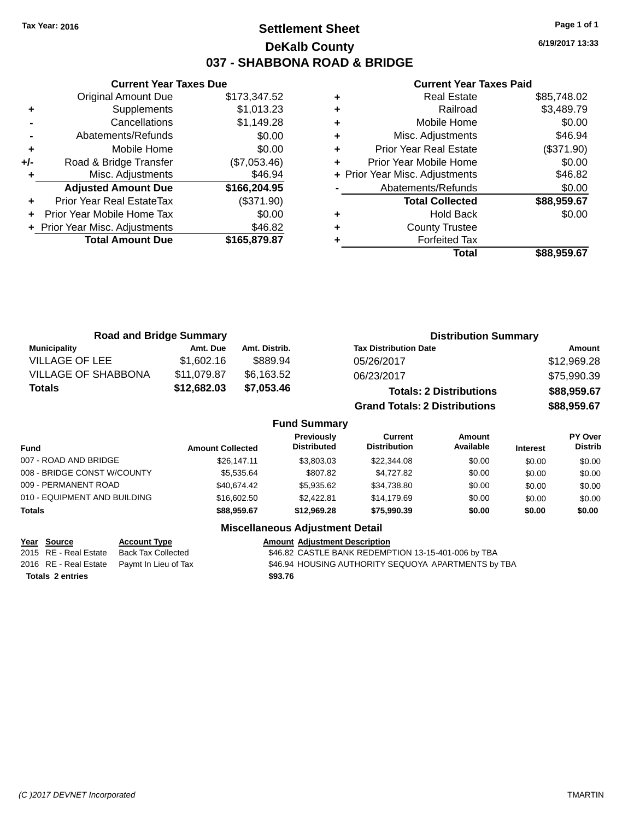# **Settlement Sheet Tax Year: 2016 Page 1 of 1 DeKalb County 037 - SHABBONA ROAD & BRIDGE**

**6/19/2017 13:33**

#### **Current Year Taxes Paid**

|     | <b>Current Year Taxes Due</b>  |              |  |  |  |
|-----|--------------------------------|--------------|--|--|--|
|     | <b>Original Amount Due</b>     | \$173,347.52 |  |  |  |
| ٠   | Supplements                    | \$1,013.23   |  |  |  |
|     | Cancellations                  | \$1,149.28   |  |  |  |
|     | Abatements/Refunds             | \$0.00       |  |  |  |
| ٠   | Mobile Home                    | \$0.00       |  |  |  |
| +/- | Road & Bridge Transfer         | (\$7,053.46) |  |  |  |
|     | Misc. Adjustments              | \$46.94      |  |  |  |
|     | <b>Adjusted Amount Due</b>     | \$166,204.95 |  |  |  |
| ٠   | Prior Year Real EstateTax      | (\$371.90)   |  |  |  |
|     | Prior Year Mobile Home Tax     | \$0.00       |  |  |  |
|     | + Prior Year Misc. Adjustments | \$46.82      |  |  |  |
|     | <b>Total Amount Due</b>        | \$165,879.87 |  |  |  |
|     |                                |              |  |  |  |

| \$3,489.79<br>Railroad<br>٠<br>\$0.00<br>Mobile Home<br>٠<br>\$46.94<br>Misc. Adjustments<br>٠<br>(\$371.90)<br><b>Prior Year Real Estate</b><br>٠<br>\$0.00<br>Prior Year Mobile Home<br>٠<br>\$46.82<br>+ Prior Year Misc. Adjustments<br>\$0.00<br>Abatements/Refunds<br>\$88,959.67<br><b>Total Collected</b><br>\$0.00<br><b>Hold Back</b><br>٠<br><b>County Trustee</b><br>٠<br><b>Forfeited Tax</b> | <b>Real Estate</b> | \$85,748.02 |
|------------------------------------------------------------------------------------------------------------------------------------------------------------------------------------------------------------------------------------------------------------------------------------------------------------------------------------------------------------------------------------------------------------|--------------------|-------------|
|                                                                                                                                                                                                                                                                                                                                                                                                            |                    |             |
|                                                                                                                                                                                                                                                                                                                                                                                                            |                    |             |
|                                                                                                                                                                                                                                                                                                                                                                                                            |                    |             |
|                                                                                                                                                                                                                                                                                                                                                                                                            |                    |             |
|                                                                                                                                                                                                                                                                                                                                                                                                            |                    |             |
|                                                                                                                                                                                                                                                                                                                                                                                                            |                    |             |
|                                                                                                                                                                                                                                                                                                                                                                                                            |                    |             |
|                                                                                                                                                                                                                                                                                                                                                                                                            |                    |             |
|                                                                                                                                                                                                                                                                                                                                                                                                            |                    |             |
|                                                                                                                                                                                                                                                                                                                                                                                                            |                    |             |
|                                                                                                                                                                                                                                                                                                                                                                                                            |                    |             |
|                                                                                                                                                                                                                                                                                                                                                                                                            | Total              | \$88,959.67 |

| <b>Road and Bridge Summary</b> |             |               | <b>Distribution Summary</b>          |             |
|--------------------------------|-------------|---------------|--------------------------------------|-------------|
| <b>Municipality</b>            | Amt. Due    | Amt. Distrib. | <b>Tax Distribution Date</b>         | Amount      |
| <b>VILLAGE OF LEE</b>          | \$1,602.16  | \$889.94      | 05/26/2017                           | \$12,969.28 |
| <b>VILLAGE OF SHABBONA</b>     | \$11,079.87 | \$6.163.52    | 06/23/2017                           | \$75,990.39 |
| <b>Totals</b>                  | \$12,682.03 | \$7,053.46    | <b>Totals: 2 Distributions</b>       | \$88,959.67 |
|                                |             |               | <b>Grand Totals: 2 Distributions</b> | \$88,959.67 |

## **Fund Summary**

| <b>Fund</b>                  | <b>Amount Collected</b> | Previously<br><b>Distributed</b> | Current<br><b>Distribution</b> | Amount<br>Available | <b>Interest</b> | PY Over<br><b>Distrib</b> |
|------------------------------|-------------------------|----------------------------------|--------------------------------|---------------------|-----------------|---------------------------|
| 007 - ROAD AND BRIDGE        | \$26,147.11             | \$3,803,03                       | \$22,344.08                    | \$0.00              | \$0.00          | \$0.00                    |
| 008 - BRIDGE CONST W/COUNTY  | \$5.535.64              | \$807.82                         | \$4.727.82                     | \$0.00              | \$0.00          | \$0.00                    |
| 009 - PERMANENT ROAD         | \$40.674.42             | \$5,935.62                       | \$34.738.80                    | \$0.00              | \$0.00          | \$0.00                    |
| 010 - EQUIPMENT AND BUILDING | \$16,602.50             | \$2,422.81                       | \$14,179.69                    | \$0.00              | \$0.00          | \$0.00                    |
| <b>Totals</b>                | \$88,959.67             | \$12,969,28                      | \$75.990.39                    | \$0.00              | \$0.00          | \$0.00                    |

| Year Source             | <b>Account Type</b>                        | <b>Amount Adiustment Description</b>                |
|-------------------------|--------------------------------------------|-----------------------------------------------------|
| 2015 RE - Real Estate   | Back Tax Collected                         | \$46.82 CASTLE BANK REDEMPTION 13-15-401-006 by TBA |
|                         | 2016 RE - Real Estate Pavmt In Lieu of Tax | \$46.94 HOUSING AUTHORITY SEQUOYA APARTMENTS by TBA |
| <b>Totals 2 entries</b> |                                            | \$93.76                                             |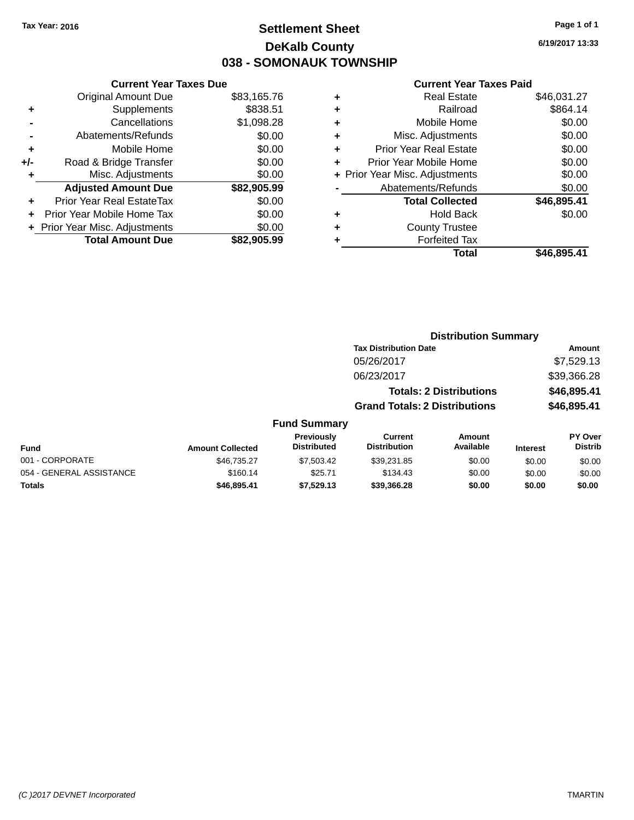# **Settlement Sheet Tax Year: 2016 Page 1 of 1 DeKalb County 038 - SOMONAUK TOWNSHIP**

**6/19/2017 13:33**

#### **Current Year Taxes Paid**

| <b>Current Year Taxes Due</b>  |             |
|--------------------------------|-------------|
| <b>Original Amount Due</b>     | \$83,165.76 |
| Supplements                    | \$838.51    |
| Cancellations                  | \$1,098.28  |
| Abatements/Refunds             | \$0.00      |
| Mobile Home                    | \$0.00      |
| Road & Bridge Transfer         | \$0.00      |
| Misc. Adjustments              | \$0.00      |
| <b>Adjusted Amount Due</b>     | \$82,905.99 |
| Prior Year Real EstateTax      | \$0.00      |
| Prior Year Mobile Home Tax     | \$0.00      |
| + Prior Year Misc. Adjustments | \$0.00      |
| <b>Total Amount Due</b>        | \$82.905.99 |
|                                |             |

| ٠ | <b>Real Estate</b>             | \$46,031.27 |
|---|--------------------------------|-------------|
| ٠ | Railroad                       | \$864.14    |
| ٠ | Mobile Home                    | \$0.00      |
| ٠ | Misc. Adjustments              | \$0.00      |
| ٠ | <b>Prior Year Real Estate</b>  | \$0.00      |
| ٠ | Prior Year Mobile Home         | \$0.00      |
|   | + Prior Year Misc. Adjustments | \$0.00      |
|   | Abatements/Refunds             | \$0.00      |
|   | <b>Total Collected</b>         | \$46,895.41 |
| ٠ | <b>Hold Back</b>               | \$0.00      |
| ٠ | <b>County Trustee</b>          |             |
| ٠ | <b>Forfeited Tax</b>           |             |
|   | Total                          | \$46,895.41 |
|   |                                |             |

|                          |                         |                                  | <b>Distribution Summary</b>          |                                |                 |                                  |  |
|--------------------------|-------------------------|----------------------------------|--------------------------------------|--------------------------------|-----------------|----------------------------------|--|
|                          |                         |                                  | <b>Tax Distribution Date</b>         |                                | Amount          |                                  |  |
|                          |                         |                                  | 05/26/2017                           |                                | \$7,529.13      |                                  |  |
|                          |                         |                                  | 06/23/2017                           |                                |                 | \$39,366.28                      |  |
|                          |                         |                                  |                                      | <b>Totals: 2 Distributions</b> |                 | \$46,895.41                      |  |
|                          |                         |                                  | <b>Grand Totals: 2 Distributions</b> |                                |                 | \$46,895.41                      |  |
|                          |                         | <b>Fund Summary</b>              |                                      |                                |                 |                                  |  |
| <b>Fund</b>              | <b>Amount Collected</b> | Previously<br><b>Distributed</b> | Current<br><b>Distribution</b>       | Amount<br>Available            | <b>Interest</b> | <b>PY Over</b><br><b>Distrib</b> |  |
| 001 - CORPORATE          | \$46.735.27             | \$7,503.42                       | \$39,231.85                          | \$0.00                         | \$0.00          | \$0.00                           |  |
| 054 - GENERAL ASSISTANCE | \$160.14                | \$25.71                          | \$134.43                             | \$0.00                         | \$0.00          | \$0.00                           |  |

**Totals \$46,895.41 \$7,529.13 \$39,366.28 \$0.00 \$0.00 \$0.00**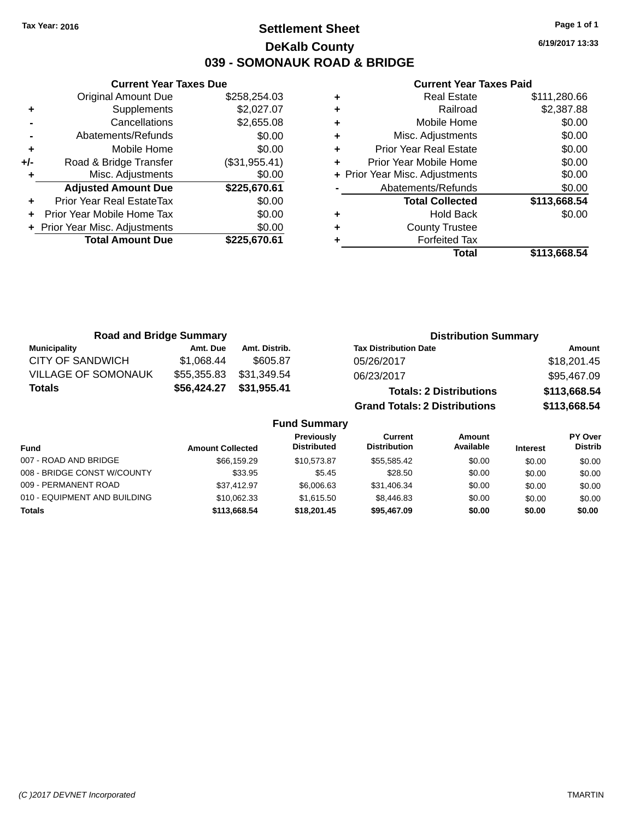# **Settlement Sheet Tax Year: 2016 Page 1 of 1 DeKalb County 039 - SOMONAUK ROAD & BRIDGE**

**6/19/2017 13:33**

## **Current Year Taxes Paid**

|       | <b>Current Year Taxes Due</b>  |               |  |  |  |  |
|-------|--------------------------------|---------------|--|--|--|--|
|       | <b>Original Amount Due</b>     | \$258,254.03  |  |  |  |  |
| ٠     | Supplements                    | \$2,027.07    |  |  |  |  |
|       | Cancellations                  | \$2,655.08    |  |  |  |  |
|       | Abatements/Refunds             | \$0.00        |  |  |  |  |
| ٠     | Mobile Home                    | \$0.00        |  |  |  |  |
| $+/-$ | Road & Bridge Transfer         | (\$31,955.41) |  |  |  |  |
|       | Misc. Adjustments              | \$0.00        |  |  |  |  |
|       | <b>Adjusted Amount Due</b>     | \$225,670.61  |  |  |  |  |
| ٠     | Prior Year Real EstateTax      | \$0.00        |  |  |  |  |
|       | Prior Year Mobile Home Tax     | \$0.00        |  |  |  |  |
|       | + Prior Year Misc. Adjustments | \$0.00        |  |  |  |  |
|       | <b>Total Amount Due</b>        | \$225.670.61  |  |  |  |  |
|       |                                |               |  |  |  |  |

|   | <b>Real Estate</b>             | \$111,280.66 |
|---|--------------------------------|--------------|
| ÷ | Railroad                       | \$2,387.88   |
| ÷ | Mobile Home                    | \$0.00       |
| ٠ | Misc. Adjustments              | \$0.00       |
| ٠ | <b>Prior Year Real Estate</b>  | \$0.00       |
|   | Prior Year Mobile Home         | \$0.00       |
|   | + Prior Year Misc. Adjustments | \$0.00       |
|   | Abatements/Refunds             | \$0.00       |
|   | <b>Total Collected</b>         | \$113,668.54 |
| ٠ | <b>Hold Back</b>               | \$0.00       |
| ٠ | <b>County Trustee</b>          |              |
|   | <b>Forfeited Tax</b>           |              |
|   | Total                          | \$113,668.54 |
|   |                                |              |

| <b>Road and Bridge Summary</b> |             |               | <b>Distribution Summary</b>          |              |
|--------------------------------|-------------|---------------|--------------------------------------|--------------|
| <b>Municipality</b>            | Amt. Due    | Amt. Distrib. | <b>Tax Distribution Date</b>         | Amount       |
| <b>CITY OF SANDWICH</b>        | \$1,068.44  | \$605.87      | 05/26/2017                           | \$18,201.45  |
| <b>VILLAGE OF SOMONAUK</b>     | \$55,355.83 | \$31,349.54   | 06/23/2017                           | \$95,467.09  |
| <b>Totals</b>                  | \$56,424.27 | \$31,955.41   | <b>Totals: 2 Distributions</b>       | \$113,668.54 |
|                                |             |               | <b>Grand Totals: 2 Distributions</b> | \$113,668.54 |

## **Fund Summary**

| Fund                         | <b>Amount Collected</b> | Previously<br><b>Distributed</b> | Current<br><b>Distribution</b> | Amount<br>Available | <b>Interest</b> | PY Over<br><b>Distrib</b> |
|------------------------------|-------------------------|----------------------------------|--------------------------------|---------------------|-----------------|---------------------------|
| 007 - ROAD AND BRIDGE        | \$66,159.29             | \$10.573.87                      | \$55.585.42                    | \$0.00              | \$0.00          | \$0.00                    |
| 008 - BRIDGE CONST W/COUNTY  | \$33.95                 | \$5.45                           | \$28.50                        | \$0.00              | \$0.00          | \$0.00                    |
| 009 - PERMANENT ROAD         | \$37.412.97             | \$6,006.63                       | \$31,406.34                    | \$0.00              | \$0.00          | \$0.00                    |
| 010 - EQUIPMENT AND BUILDING | \$10.062.33             | \$1.615.50                       | \$8,446.83                     | \$0.00              | \$0.00          | \$0.00                    |
| Totals                       | \$113,668.54            | \$18,201,45                      | \$95,467.09                    | \$0.00              | \$0.00          | \$0.00                    |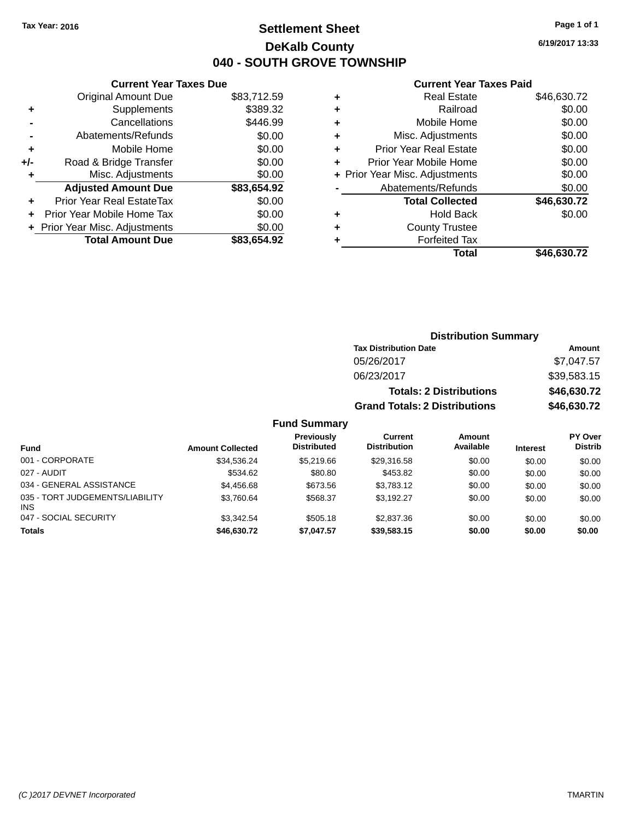# **Settlement Sheet Tax Year: 2016 Page 1 of 1 DeKalb County 040 - SOUTH GROVE TOWNSHIP**

**6/19/2017 13:33**

### **Current Year Taxes Paid**

|     | <b>Current Year Taxes Due</b>  |             |  |
|-----|--------------------------------|-------------|--|
|     | <b>Original Amount Due</b>     | \$83,712.59 |  |
| ٠   | Supplements                    | \$389.32    |  |
|     | Cancellations                  | \$446.99    |  |
|     | Abatements/Refunds             | \$0.00      |  |
| ٠   | Mobile Home                    | \$0.00      |  |
| +/- | Road & Bridge Transfer         | \$0.00      |  |
| ٠   | Misc. Adjustments              | \$0.00      |  |
|     | <b>Adjusted Amount Due</b>     | \$83,654.92 |  |
| ٠   | Prior Year Real EstateTax      | \$0.00      |  |
| ÷   | Prior Year Mobile Home Tax     | \$0.00      |  |
|     | + Prior Year Misc. Adjustments | \$0.00      |  |
|     | <b>Total Amount Due</b>        | \$83,654.92 |  |

|   | <b>Real Estate</b>             | \$46,630.72 |
|---|--------------------------------|-------------|
| ٠ | Railroad                       | \$0.00      |
| ٠ | Mobile Home                    | \$0.00      |
| ٠ | Misc. Adjustments              | \$0.00      |
| ٠ | <b>Prior Year Real Estate</b>  | \$0.00      |
| ٠ | Prior Year Mobile Home         | \$0.00      |
|   | + Prior Year Misc. Adjustments | \$0.00      |
|   | Abatements/Refunds             | \$0.00      |
|   | <b>Total Collected</b>         | \$46,630.72 |
| ٠ | <b>Hold Back</b>               | \$0.00      |
| ٠ | <b>County Trustee</b>          |             |
| ٠ | <b>Forfeited Tax</b>           |             |
|   | Total                          | \$46,630.72 |
|   |                                |             |

| <b>Distribution Summary</b>          |             |
|--------------------------------------|-------------|
| <b>Tax Distribution Date</b>         | Amount      |
| 05/26/2017                           | \$7,047.57  |
| 06/23/2017                           | \$39,583.15 |
| <b>Totals: 2 Distributions</b>       | \$46,630.72 |
| <b>Grand Totals: 2 Distributions</b> | \$46,630.72 |

## **Fund Summary**

| <b>Fund</b>                             | <b>Amount Collected</b> | Previously<br><b>Distributed</b> | Current<br><b>Distribution</b> | Amount<br>Available | <b>Interest</b> | PY Over<br><b>Distrib</b> |
|-----------------------------------------|-------------------------|----------------------------------|--------------------------------|---------------------|-----------------|---------------------------|
| 001 - CORPORATE                         | \$34.536.24             | \$5.219.66                       | \$29,316.58                    | \$0.00              | \$0.00          | \$0.00                    |
| 027 - AUDIT                             | \$534.62                | \$80.80                          | \$453.82                       | \$0.00              | \$0.00          | \$0.00                    |
| 034 - GENERAL ASSISTANCE                | \$4,456.68              | \$673.56                         | \$3,783.12                     | \$0.00              | \$0.00          | \$0.00                    |
| 035 - TORT JUDGEMENTS/LIABILITY<br>INS. | \$3,760.64              | \$568.37                         | \$3.192.27                     | \$0.00              | \$0.00          | \$0.00                    |
| 047 - SOCIAL SECURITY                   | \$3.342.54              | \$505.18                         | \$2,837.36                     | \$0.00              | \$0.00          | \$0.00                    |
| <b>Totals</b>                           | \$46,630,72             | \$7,047.57                       | \$39,583,15                    | \$0.00              | \$0.00          | \$0.00                    |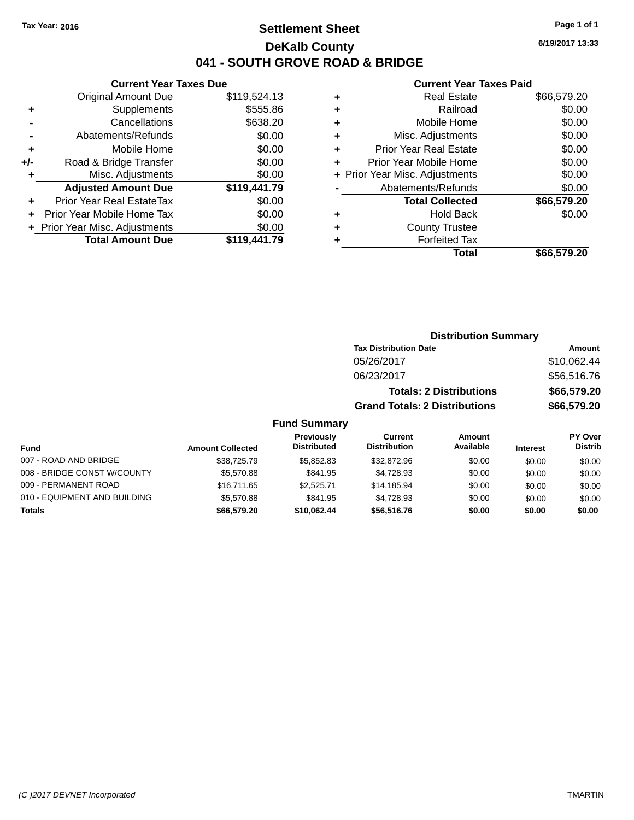# **Settlement Sheet Tax Year: 2016 Page 1 of 1 DeKalb County 041 - SOUTH GROVE ROAD & BRIDGE**

**6/19/2017 13:33**

## **Current Year Taxes Paid**

|     | <b>Current Year Taxes Due</b>  |              |  |  |  |  |
|-----|--------------------------------|--------------|--|--|--|--|
|     | <b>Original Amount Due</b>     | \$119,524.13 |  |  |  |  |
| ٠   | Supplements                    | \$555.86     |  |  |  |  |
|     | Cancellations                  | \$638.20     |  |  |  |  |
|     | Abatements/Refunds             | \$0.00       |  |  |  |  |
| ٠   | Mobile Home                    | \$0.00       |  |  |  |  |
| +/- | Road & Bridge Transfer         | \$0.00       |  |  |  |  |
| ٠   | \$0.00<br>Misc. Adjustments    |              |  |  |  |  |
|     | <b>Adjusted Amount Due</b>     | \$119,441.79 |  |  |  |  |
|     | Prior Year Real EstateTax      | \$0.00       |  |  |  |  |
|     | Prior Year Mobile Home Tax     | \$0.00       |  |  |  |  |
|     | + Prior Year Misc. Adjustments | \$0.00       |  |  |  |  |
|     | <b>Total Amount Due</b>        | \$119,441.79 |  |  |  |  |
|     |                                |              |  |  |  |  |

| ٠ | <b>Real Estate</b>             | \$66,579.20 |
|---|--------------------------------|-------------|
| ٠ | Railroad                       | \$0.00      |
| ٠ | Mobile Home                    | \$0.00      |
| ٠ | Misc. Adjustments              | \$0.00      |
| ٠ | <b>Prior Year Real Estate</b>  | \$0.00      |
| ٠ | Prior Year Mobile Home         | \$0.00      |
|   | + Prior Year Misc. Adjustments | \$0.00      |
|   | Abatements/Refunds             | \$0.00      |
|   | <b>Total Collected</b>         | \$66,579.20 |
| ٠ | <b>Hold Back</b>               | \$0.00      |
| ٠ | <b>County Trustee</b>          |             |
| ٠ | <b>Forfeited Tax</b>           |             |
|   | Total                          | \$66,579.20 |
|   |                                |             |

|                     | <b>Distribution Summary</b>          |             |
|---------------------|--------------------------------------|-------------|
|                     | <b>Tax Distribution Date</b>         | Amount      |
|                     | 05/26/2017                           | \$10,062.44 |
|                     | 06/23/2017                           | \$56,516.76 |
|                     | <b>Totals: 2 Distributions</b>       | \$66,579.20 |
|                     | <b>Grand Totals: 2 Distributions</b> | \$66,579.20 |
| <b>Fund Summary</b> |                                      |             |

#### **Fund Interest Amount Collected Distributed PY Over Distrib Amount Available Current Distribution Previously** 007 - ROAD AND BRIDGE 60.00 \$38,725.79 \$5,852.83 \$32,872.96 \$0.00 \$0.00 \$0.00 \$0.00 008 - BRIDGE CONST W/COUNTY  $$5,570.88$   $$841.95$   $$4,728.93$   $$0.00$   $$0.00$   $$0.00$ 009 - PERMANENT ROAD \$16,711.65 \$2,525.71 \$14,185.94 \$0.00 \$0.00 \$0.00 \$0.00 010 - EQUIPMENT AND BUILDING \$5,570.88 \$841.95 \$4,728.93 \$0.00 \$0.00 \$0.00 \$0.00 **Totals \$66,579.20 \$10,062.44 \$56,516.76 \$0.00 \$0.00 \$0.00**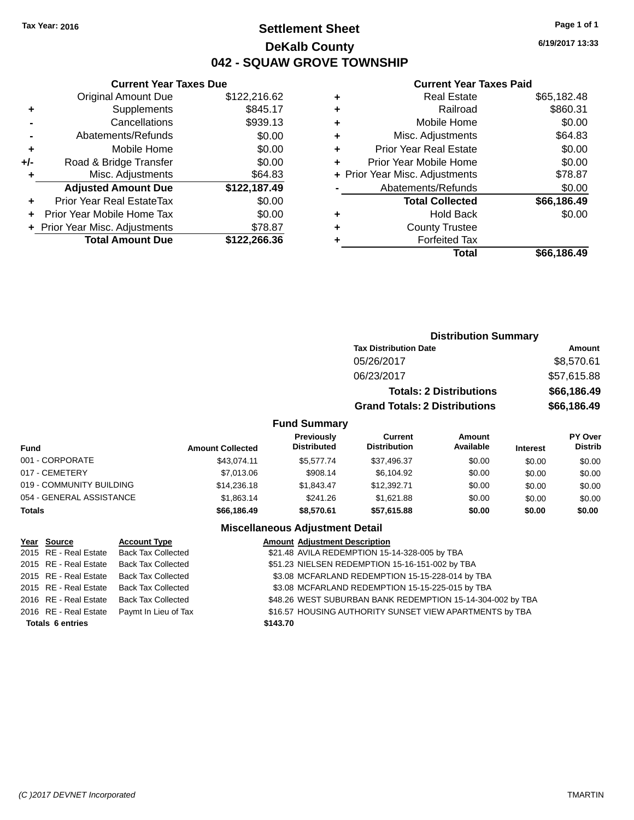# **Settlement Sheet Tax Year: 2016 Page 1 of 1 DeKalb County 042 - SQUAW GROVE TOWNSHIP**

**6/19/2017 13:33**

# **Current Year Taxes Paid**

|       | <b>Current Year Taxes Due</b>  |              |  |  |  |  |
|-------|--------------------------------|--------------|--|--|--|--|
|       | <b>Original Amount Due</b>     | \$122,216.62 |  |  |  |  |
| ٠     | Supplements                    | \$845.17     |  |  |  |  |
|       | Cancellations                  | \$939.13     |  |  |  |  |
|       | Abatements/Refunds             | \$0.00       |  |  |  |  |
| ÷     | Mobile Home                    | \$0.00       |  |  |  |  |
| $+/-$ | Road & Bridge Transfer         | \$0.00       |  |  |  |  |
|       | Misc. Adjustments<br>\$64.83   |              |  |  |  |  |
|       | <b>Adjusted Amount Due</b>     | \$122,187.49 |  |  |  |  |
|       | Prior Year Real EstateTax      | \$0.00       |  |  |  |  |
|       | Prior Year Mobile Home Tax     | \$0.00       |  |  |  |  |
|       | + Prior Year Misc. Adjustments | \$78.87      |  |  |  |  |
|       | <b>Total Amount Due</b>        | \$122,266.36 |  |  |  |  |
|       |                                |              |  |  |  |  |

|   | Total                          | \$66,186.49 |
|---|--------------------------------|-------------|
|   | <b>Forfeited Tax</b>           |             |
| ٠ | <b>County Trustee</b>          |             |
| ٠ | <b>Hold Back</b>               | \$0.00      |
|   | <b>Total Collected</b>         | \$66,186.49 |
|   | Abatements/Refunds             | \$0.00      |
|   | + Prior Year Misc. Adjustments | \$78.87     |
| ٠ | Prior Year Mobile Home         | \$0.00      |
| ٠ | Prior Year Real Estate         | \$0.00      |
| ٠ | Misc. Adjustments              | \$64.83     |
| ٠ | Mobile Home                    | \$0.00      |
| ٠ | Railroad                       | \$860.31    |
| ٠ | <b>Real Estate</b>             | \$65,182.48 |
|   |                                |             |

|                    |                                      | <b>Distribution Summary</b> |                 |
|--------------------|--------------------------------------|-----------------------------|-----------------|
|                    | <b>Tax Distribution Date</b>         |                             | <b>Amount</b>   |
|                    | 05/26/2017                           |                             | \$8,570.61      |
|                    | 06/23/2017                           |                             | \$57,615.88     |
|                    | <b>Totals: 2 Distributions</b>       | \$66,186.49                 |                 |
|                    | <b>Grand Totals: 2 Distributions</b> |                             | \$66,186.49     |
| <b>und Summary</b> |                                      |                             |                 |
| Previously         | <b>Current</b>                       | Amount                      | <b>PY Over</b>  |
| Diotributed        | Djatellentian                        | A                           | <b>Diaseile</b> |

# **Fund Summary**

| Fund                     | <b>Amount Collected</b> | Previously<br><b>Distributed</b> | Current<br><b>Distribution</b> | <b>Amount</b><br>Available | <b>Interest</b> | PY Over<br><b>Distrib</b> |
|--------------------------|-------------------------|----------------------------------|--------------------------------|----------------------------|-----------------|---------------------------|
| 001 - CORPORATE          | \$43.074.11             | \$5.577.74                       | \$37,496.37                    | \$0.00                     | \$0.00          | \$0.00                    |
| 017 - CEMETERY           | \$7,013,06              | \$908.14                         | \$6,104.92                     | \$0.00                     | \$0.00          | \$0.00                    |
| 019 - COMMUNITY BUILDING | \$14,236.18             | \$1.843.47                       | \$12,392.71                    | \$0.00                     | \$0.00          | \$0.00                    |
| 054 - GENERAL ASSISTANCE | \$1,863.14              | \$241.26                         | \$1.621.88                     | \$0.00                     | \$0.00          | \$0.00                    |
| <b>Totals</b>            | \$66,186.49             | \$8,570.61                       | \$57,615.88                    | \$0.00                     | \$0.00          | \$0.00                    |

| Year Source             | <b>Account Type</b>                        |          | <b>Amount Adjustment Description</b>                       |
|-------------------------|--------------------------------------------|----------|------------------------------------------------------------|
| 2015 RE - Real Estate   | <b>Back Tax Collected</b>                  |          | \$21.48 AVILA REDEMPTION 15-14-328-005 by TBA              |
| 2015 RE - Real Estate   | <b>Back Tax Collected</b>                  |          | \$51.23 NIELSEN REDEMPTION 15-16-151-002 by TBA            |
| 2015 RE - Real Estate   | <b>Back Tax Collected</b>                  |          | \$3.08 MCFARLAND REDEMPTION 15-15-228-014 by TBA           |
| 2015 RE - Real Estate   | <b>Back Tax Collected</b>                  |          | \$3.08 MCFARLAND REDEMPTION 15-15-225-015 by TBA           |
|                         | 2016 RE - Real Estate Back Tax Collected   |          | \$48.26 WEST SUBURBAN BANK REDEMPTION 15-14-304-002 by TBA |
|                         | 2016 RE - Real Estate Paymt In Lieu of Tax |          | \$16.57 HOUSING AUTHORITY SUNSET VIEW APARTMENTS by TBA    |
| <b>Totals 6 entries</b> |                                            | \$143.70 |                                                            |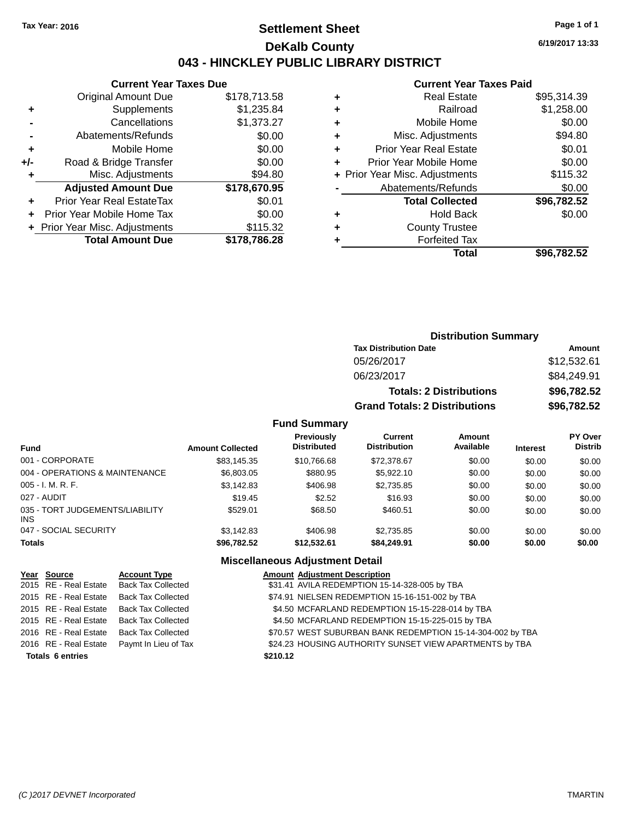# **Settlement Sheet Tax Year: 2016 Page 1 of 1 DeKalb County 043 - HINCKLEY PUBLIC LIBRARY DISTRICT**

**6/19/2017 13:33**

# **Current Year Taxes Paid**

|       | Gurrent rear laxes Due         |              |
|-------|--------------------------------|--------------|
|       | <b>Original Amount Due</b>     | \$178,713.58 |
| ٠     | Supplements                    | \$1,235.84   |
|       | Cancellations                  | \$1,373.27   |
|       | Abatements/Refunds             | \$0.00       |
| ÷     | Mobile Home                    | \$0.00       |
| $+/-$ | Road & Bridge Transfer         | \$0.00       |
|       | Misc. Adjustments              | \$94.80      |
|       | <b>Adjusted Amount Due</b>     | \$178,670.95 |
| ÷     | Prior Year Real EstateTax      | \$0.01       |
|       | Prior Year Mobile Home Tax     | \$0.00       |
|       | + Prior Year Misc. Adjustments | \$115.32     |
|       | <b>Total Amount Due</b>        | \$178,786.28 |
|       |                                |              |

**Current Year Taxes Due**

|   | Total                          | \$96,782.52 |
|---|--------------------------------|-------------|
| ٠ | <b>Forfeited Tax</b>           |             |
| ٠ | <b>County Trustee</b>          |             |
| ٠ | <b>Hold Back</b>               | \$0.00      |
|   | <b>Total Collected</b>         | \$96,782.52 |
|   | Abatements/Refunds             | \$0.00      |
|   | + Prior Year Misc. Adjustments | \$115.32    |
| ٠ | Prior Year Mobile Home         | \$0.00      |
| ٠ | <b>Prior Year Real Estate</b>  | \$0.01      |
| ٠ | Misc. Adjustments              | \$94.80     |
| ٠ | Mobile Home                    | \$0.00      |
| ÷ | Railroad                       | \$1,258.00  |
| ٠ | <b>Real Estate</b>             | \$95,314.39 |
|   |                                |             |

## **Distribution Summary Tax Distribution Date Amount** 05/26/2017 \$12,532.61 06/23/2017 \$84,249.91 **Totals: 2 Distributions \$96,782.52 Grand Totals: 2 Distributions \$96,782.52**

#### **Fund Summary**

| <b>Fund</b>                                   | <b>Amount Collected</b> | Previously<br><b>Distributed</b> | Current<br><b>Distribution</b> | Amount<br>Available | <b>Interest</b> | <b>PY Over</b><br><b>Distrib</b> |
|-----------------------------------------------|-------------------------|----------------------------------|--------------------------------|---------------------|-----------------|----------------------------------|
| 001 - CORPORATE                               | \$83,145.35             | \$10.766.68                      | \$72,378.67                    | \$0.00              | \$0.00          | \$0.00                           |
| 004 - OPERATIONS & MAINTENANCE                | \$6,803.05              | \$880.95                         | \$5,922.10                     | \$0.00              | \$0.00          | \$0.00                           |
| $005 - I. M. R. F.$                           | \$3,142.83              | \$406.98                         | \$2,735.85                     | \$0.00              | \$0.00          | \$0.00                           |
| 027 - AUDIT                                   | \$19.45                 | \$2.52                           | \$16.93                        | \$0.00              | \$0.00          | \$0.00                           |
| 035 - TORT JUDGEMENTS/LIABILITY<br><b>INS</b> | \$529.01                | \$68.50                          | \$460.51                       | \$0.00              | \$0.00          | \$0.00                           |
| 047 - SOCIAL SECURITY                         | \$3.142.83              | \$406.98                         | \$2.735.85                     | \$0.00              | \$0.00          | \$0.00                           |
| <b>Totals</b>                                 | \$96,782.52             | \$12.532.61                      | \$84.249.91                    | \$0.00              | \$0.00          | \$0.00                           |

| Year Source             | <b>Account Type</b>                        |          | <b>Amount Adjustment Description</b>                       |
|-------------------------|--------------------------------------------|----------|------------------------------------------------------------|
| 2015 RE - Real Estate   | <b>Back Tax Collected</b>                  |          | \$31.41 AVILA REDEMPTION 15-14-328-005 by TBA              |
| 2015 RE - Real Estate   | <b>Back Tax Collected</b>                  |          | \$74.91 NIELSEN REDEMPTION 15-16-151-002 by TBA            |
| 2015 RE - Real Estate   | <b>Back Tax Collected</b>                  |          | \$4.50 MCFARLAND REDEMPTION 15-15-228-014 by TBA           |
| 2015 RE - Real Estate   | <b>Back Tax Collected</b>                  |          | \$4.50 MCFARLAND REDEMPTION 15-15-225-015 by TBA           |
|                         | 2016 RE - Real Estate Back Tax Collected   |          | \$70.57 WEST SUBURBAN BANK REDEMPTION 15-14-304-002 by TBA |
|                         | 2016 RE - Real Estate Paymt In Lieu of Tax |          | \$24.23 HOUSING AUTHORITY SUNSET VIEW APARTMENTS by TBA    |
| <b>Totals 6 entries</b> |                                            | \$210.12 |                                                            |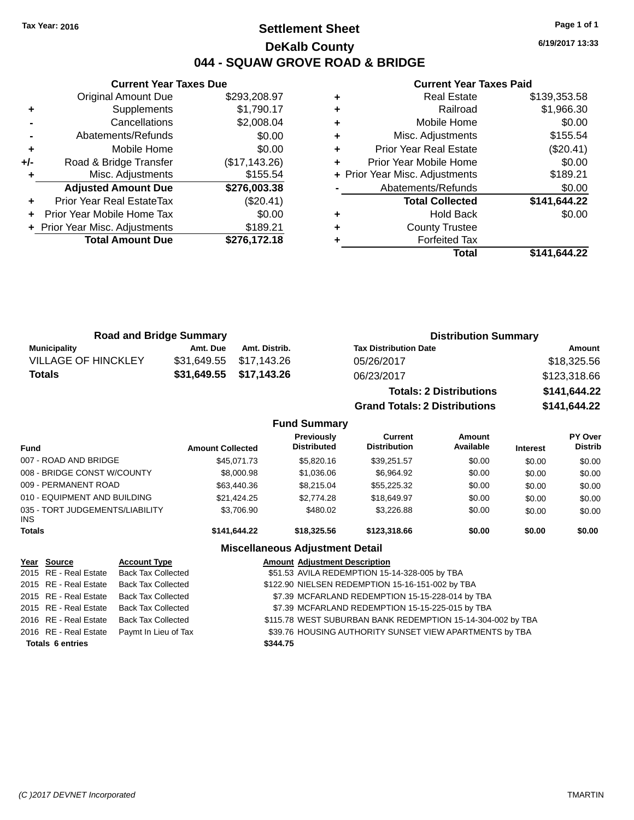# **Settlement Sheet Tax Year: 2016 Page 1 of 1 DeKalb County 044 - SQUAW GROVE ROAD & BRIDGE**

**6/19/2017 13:33**

#### **Current Year Taxes Paid**

|     | <b>Current Year Taxes Due</b>  |               |
|-----|--------------------------------|---------------|
|     | <b>Original Amount Due</b>     | \$293,208.97  |
| ٠   | Supplements                    | \$1,790.17    |
|     | Cancellations                  | \$2,008.04    |
|     | Abatements/Refunds             | \$0.00        |
| ٠   | Mobile Home                    | \$0.00        |
| +/- | Road & Bridge Transfer         | (\$17,143.26) |
|     | Misc. Adjustments              | \$155.54      |
|     | <b>Adjusted Amount Due</b>     | \$276,003.38  |
| ٠   | Prior Year Real EstateTax      | (\$20.41)     |
|     | Prior Year Mobile Home Tax     | \$0.00        |
|     | + Prior Year Misc. Adjustments | \$189.21      |
|     | <b>Total Amount Due</b>        | \$276,172.18  |
|     |                                |               |

| <b>Real Estate</b>            | \$139,353.58                   |
|-------------------------------|--------------------------------|
| Railroad                      | \$1,966.30                     |
| Mobile Home                   | \$0.00                         |
| Misc. Adjustments             | \$155.54                       |
| <b>Prior Year Real Estate</b> | (\$20.41)                      |
| Prior Year Mobile Home        | \$0.00                         |
|                               | \$189.21                       |
| Abatements/Refunds            | \$0.00                         |
| <b>Total Collected</b>        | \$141,644.22                   |
| <b>Hold Back</b>              | \$0.00                         |
| <b>County Trustee</b>         |                                |
| <b>Forfeited Tax</b>          |                                |
| Total                         | \$141,644.22                   |
|                               | + Prior Year Misc. Adjustments |

| <b>Road and Bridge Summary</b> |          |                         | <b>Distribution Summary</b>    |              |  |
|--------------------------------|----------|-------------------------|--------------------------------|--------------|--|
| Municipality                   | Amt. Due | Amt. Distrib.           | <b>Tax Distribution Date</b>   | Amount       |  |
| <b>VILLAGE OF HINCKLEY</b>     |          | \$31,649.55 \$17,143.26 | 05/26/2017                     | \$18,325.56  |  |
| Totals                         |          | \$31,649.55 \$17,143.26 | 06/23/2017                     | \$123,318.66 |  |
|                                |          |                         | <b>Totals: 2 Distributions</b> | \$141,644.22 |  |

**Grand Totals: 2 Distributions \$141,644.22**

## **Fund Summary**

| <b>Fund</b>                                   | <b>Amount Collected</b> | Previously<br><b>Distributed</b> | Current<br><b>Distribution</b> | Amount<br>Available | <b>Interest</b> | <b>PY Over</b><br><b>Distrib</b> |
|-----------------------------------------------|-------------------------|----------------------------------|--------------------------------|---------------------|-----------------|----------------------------------|
| 007 - ROAD AND BRIDGE                         | \$45,071,73             | \$5,820.16                       | \$39,251.57                    | \$0.00              | \$0.00          | \$0.00                           |
| 008 - BRIDGE CONST W/COUNTY                   | \$8,000.98              | \$1,036.06                       | \$6.964.92                     | \$0.00              | \$0.00          | \$0.00                           |
| 009 - PERMANENT ROAD                          | \$63,440.36             | \$8,215,04                       | \$55,225,32                    | \$0.00              | \$0.00          | \$0.00                           |
| 010 - EQUIPMENT AND BUILDING                  | \$21.424.25             | \$2,774.28                       | \$18,649.97                    | \$0.00              | \$0.00          | \$0.00                           |
| 035 - TORT JUDGEMENTS/LIABILITY<br><b>INS</b> | \$3,706.90              | \$480.02                         | \$3,226.88                     | \$0.00              | \$0.00          | \$0.00                           |
| <b>Totals</b>                                 | \$141.644.22            | \$18,325.56                      | \$123,318,66                   | \$0.00              | \$0.00          | \$0.00                           |

| Year Source             | <b>Account Type</b>       | <b>Amount Adjustment Description</b>                        |
|-------------------------|---------------------------|-------------------------------------------------------------|
| 2015 RE - Real Estate   | Back Tax Collected        | \$51.53 AVILA REDEMPTION 15-14-328-005 by TBA               |
| 2015 RE - Real Estate   | <b>Back Tax Collected</b> | \$122.90 NIELSEN REDEMPTION 15-16-151-002 by TBA            |
| 2015 RE - Real Estate   | <b>Back Tax Collected</b> | \$7.39 MCFARLAND REDEMPTION 15-15-228-014 by TBA            |
| 2015 RE - Real Estate   | Back Tax Collected        | \$7.39 MCFARLAND REDEMPTION 15-15-225-015 by TBA            |
| 2016 RE - Real Estate   | Back Tax Collected        | \$115.78 WEST SUBURBAN BANK REDEMPTION 15-14-304-002 by TBA |
| 2016 RE - Real Estate   | Paymt In Lieu of Tax      | \$39.76 HOUSING AUTHORITY SUNSET VIEW APARTMENTS by TBA     |
| <b>Totals 6 entries</b> |                           | \$344.75                                                    |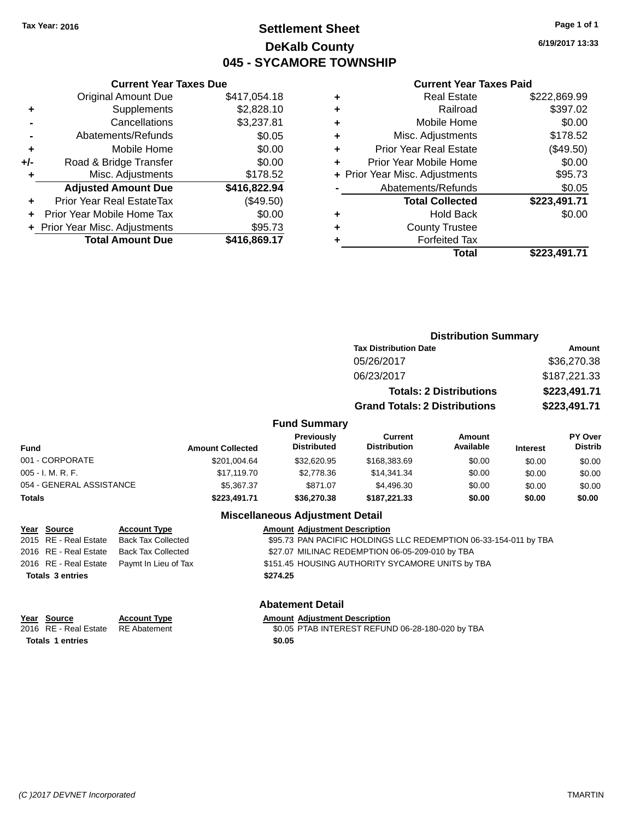# **Settlement Sheet Tax Year: 2016 Page 1 of 1 DeKalb County 045 - SYCAMORE TOWNSHIP**

**6/19/2017 13:33**

### **Current Year Taxes Paid**

| <b>Current Year Taxes Due</b> |                                                           |
|-------------------------------|-----------------------------------------------------------|
| <b>Original Amount Due</b>    | \$417,054.18                                              |
| Supplements                   | \$2,828.10                                                |
| Cancellations                 | \$3,237.81                                                |
| Abatements/Refunds            | \$0.05                                                    |
| Mobile Home                   | \$0.00                                                    |
| Road & Bridge Transfer        | \$0.00                                                    |
| Misc. Adjustments             | \$178.52                                                  |
| <b>Adjusted Amount Due</b>    | \$416,822.94                                              |
| Prior Year Real EstateTax     | (\$49.50)                                                 |
| Prior Year Mobile Home Tax    | \$0.00                                                    |
|                               | \$95.73                                                   |
|                               | \$416,869.17                                              |
|                               | + Prior Year Misc. Adjustments<br><b>Total Amount Due</b> |

| <b>Real Estate</b>             | \$222,869.99 |
|--------------------------------|--------------|
| Railroad                       | \$397.02     |
| Mobile Home                    | \$0.00       |
| Misc. Adjustments              | \$178.52     |
| <b>Prior Year Real Estate</b>  | (\$49.50)    |
| Prior Year Mobile Home         | \$0.00       |
| + Prior Year Misc. Adjustments | \$95.73      |
| Abatements/Refunds             | \$0.05       |
| <b>Total Collected</b>         | \$223,491.71 |
| <b>Hold Back</b>               | \$0.00       |
| <b>County Trustee</b>          |              |
| <b>Forfeited Tax</b>           |              |
| Total                          | \$223.491.71 |
|                                |              |

|                     | <b>Distribution Summary</b>          |               |
|---------------------|--------------------------------------|---------------|
|                     | <b>Tax Distribution Date</b>         | <b>Amount</b> |
|                     | 05/26/2017                           | \$36,270.38   |
|                     | 06/23/2017                           | \$187,221.33  |
|                     | <b>Totals: 2 Distributions</b>       | \$223,491.71  |
|                     | <b>Grand Totals: 2 Distributions</b> | \$223,491.71  |
| <b>Fund Summary</b> |                                      |               |

| <b>Fund</b>              | <b>Amount Collected</b> | <b>Previously</b><br><b>Distributed</b> | Current<br><b>Distribution</b> | Amount<br>Available | <b>Interest</b> | <b>PY Over</b><br><b>Distrib</b> |
|--------------------------|-------------------------|-----------------------------------------|--------------------------------|---------------------|-----------------|----------------------------------|
| 001 - CORPORATE          | \$201,004.64            | \$32,620.95                             | \$168,383,69                   | \$0.00              | \$0.00          | \$0.00                           |
| $005 - I. M. R. F.$      | \$17.119.70             | \$2,778.36                              | \$14,341.34                    | \$0.00              | \$0.00          | \$0.00                           |
| 054 - GENERAL ASSISTANCE | \$5,367,37              | \$871.07                                | \$4,496,30                     | \$0.00              | \$0.00          | \$0.00                           |
| <b>Totals</b>            | \$223,491.71            | \$36,270,38                             | \$187.221.33                   | \$0.00              | \$0.00          | \$0.00                           |

## **Miscellaneous Adjustment Detail**

| <u>Year Source</u>      | <b>Account Type</b>                        |          | <b>Amount Adjustment Description</b>                             |
|-------------------------|--------------------------------------------|----------|------------------------------------------------------------------|
| 2015 RE - Real Estate   | Back Tax Collected                         |          | \$95.73 PAN PACIFIC HOLDINGS LLC REDEMPTION 06-33-154-011 by TBA |
| 2016 RE - Real Estate   | Back Tax Collected                         |          | \$27.07 MILINAC REDEMPTION 06-05-209-010 by TBA                  |
|                         | 2016 RE - Real Estate Paymt In Lieu of Tax |          | \$151.45 HOUSING AUTHORITY SYCAMORE UNITS by TBA                 |
| <b>Totals 3 entries</b> |                                            | \$274.25 |                                                                  |
|                         |                                            |          |                                                                  |

## **Abatement Detail**

| Year Source                        | <b>Account Type</b> | <b>Amount Adiustment Description</b>             |
|------------------------------------|---------------------|--------------------------------------------------|
| 2016 RE - Real Estate RE Abatement |                     | \$0.05 PTAB INTEREST REFUND 06-28-180-020 by TBA |
| <b>Totals 1 entries</b>            |                     | \$0.05                                           |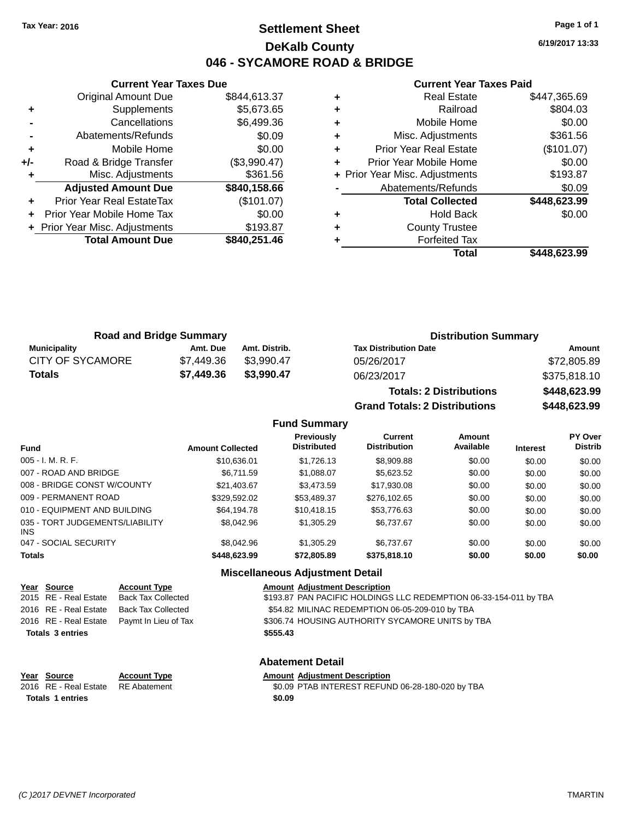# **Settlement Sheet Tax Year: 2016 Page 1 of 1 DeKalb County 046 - SYCAMORE ROAD & BRIDGE**

**6/19/2017 13:33**

#### **Current Year Taxes Paid**

|     | <b>Current Year Taxes Due</b>    |              |
|-----|----------------------------------|--------------|
|     | <b>Original Amount Due</b>       | \$844,613.37 |
| ٠   | Supplements                      | \$5,673.65   |
|     | Cancellations                    | \$6,499.36   |
|     | Abatements/Refunds               | \$0.09       |
| ٠   | Mobile Home                      | \$0.00       |
| +/- | Road & Bridge Transfer           | (\$3,990.47) |
| ٠   | Misc. Adjustments                | \$361.56     |
|     | <b>Adjusted Amount Due</b>       | \$840,158.66 |
| ٠   | <b>Prior Year Real EstateTax</b> | (\$101.07)   |
|     | Prior Year Mobile Home Tax       | \$0.00       |
|     | + Prior Year Misc. Adjustments   | \$193.87     |
|     | <b>Total Amount Due</b>          | \$840,251.46 |
|     |                                  |              |

|   | <b>Real Estate</b>             | \$447,365.69 |
|---|--------------------------------|--------------|
| ٠ | Railroad                       | \$804.03     |
| ٠ | Mobile Home                    | \$0.00       |
| ٠ | Misc. Adjustments              | \$361.56     |
| ٠ | <b>Prior Year Real Estate</b>  | (\$101.07)   |
|   | Prior Year Mobile Home         | \$0.00       |
|   | + Prior Year Misc. Adjustments | \$193.87     |
|   | Abatements/Refunds             | \$0.09       |
|   | <b>Total Collected</b>         | \$448,623.99 |
| ٠ | <b>Hold Back</b>               | \$0.00       |
| ٠ | <b>County Trustee</b>          |              |
|   | <b>Forfeited Tax</b>           |              |
|   | Total                          | \$448,623.99 |
|   |                                |              |

|                  | <b>Road and Bridge Summary</b> |               | <b>Distribution Summary</b>  |              |
|------------------|--------------------------------|---------------|------------------------------|--------------|
| Municipality     | Amt. Due                       | Amt. Distrib. | <b>Tax Distribution Date</b> | Amount       |
| CITY OF SYCAMORE | \$7.449.36                     | \$3.990.47    | 05/26/2017                   | \$72,805.89  |
| <b>Totals</b>    | \$7,449.36                     | \$3.990.47    | 06/23/2017                   | \$375.818.10 |

| <b>Totals: 2 Distributions</b> | \$448,623.99 |
|--------------------------------|--------------|
| Grand Totals: 2 Distributions  | \$448,623.99 |

#### **Fund Summary**

| <b>Fund</b>                             | <b>Amount Collected</b> | <b>Previously</b><br><b>Distributed</b> | <b>Current</b><br><b>Distribution</b> | Amount<br>Available | <b>Interest</b> | PY Over<br><b>Distrib</b> |
|-----------------------------------------|-------------------------|-----------------------------------------|---------------------------------------|---------------------|-----------------|---------------------------|
| $005 - I. M. R. F.$                     | \$10,636.01             | \$1,726.13                              | \$8,909.88                            | \$0.00              | \$0.00          | \$0.00                    |
| 007 - ROAD AND BRIDGE                   | \$6,711.59              | \$1,088.07                              | \$5,623.52                            | \$0.00              | \$0.00          | \$0.00                    |
| 008 - BRIDGE CONST W/COUNTY             | \$21,403.67             | \$3,473.59                              | \$17,930.08                           | \$0.00              | \$0.00          | \$0.00                    |
| 009 - PERMANENT ROAD                    | \$329,592.02            | \$53,489.37                             | \$276,102.65                          | \$0.00              | \$0.00          | \$0.00                    |
| 010 - EQUIPMENT AND BUILDING            | \$64,194.78             | \$10,418.15                             | \$53,776.63                           | \$0.00              | \$0.00          | \$0.00                    |
| 035 - TORT JUDGEMENTS/LIABILITY<br>INS. | \$8,042.96              | \$1,305.29                              | \$6.737.67                            | \$0.00              | \$0.00          | \$0.00                    |
| 047 - SOCIAL SECURITY                   | \$8,042.96              | \$1,305.29                              | \$6,737.67                            | \$0.00              | \$0.00          | \$0.00                    |
| <b>Totals</b>                           | \$448,623,99            | \$72,805.89                             | \$375,818.10                          | \$0.00              | \$0.00          | \$0.00                    |

## **Miscellaneous Adjustment Detail**

| Year Source             | <b>Account Type</b>  | <b>Amount Adjustment Description</b>                              |
|-------------------------|----------------------|-------------------------------------------------------------------|
| 2015 RE - Real Estate   | Back Tax Collected   | \$193.87 PAN PACIFIC HOLDINGS LLC REDEMPTION 06-33-154-011 by TBA |
| 2016 RE - Real Estate   | Back Tax Collected   | \$54.82 MILINAC REDEMPTION 06-05-209-010 by TBA                   |
| 2016 RE - Real Estate   | Paymt In Lieu of Tax | \$306.74 HOUSING AUTHORITY SYCAMORE UNITS by TBA                  |
| <b>Totals 3 entries</b> |                      | \$555.43                                                          |
|                         |                      | <b>Abatement Detail</b>                                           |
|                         |                      |                                                                   |

**Totals 1 entries** \$0.09

**Year Source Account Type Amount Adjustment Description**<br>2016 RE - Real Estate RE Abatement **Amount Adjustment Description** \$0.09 PTAB INTEREST REFUND 06-28-180-020 by TBA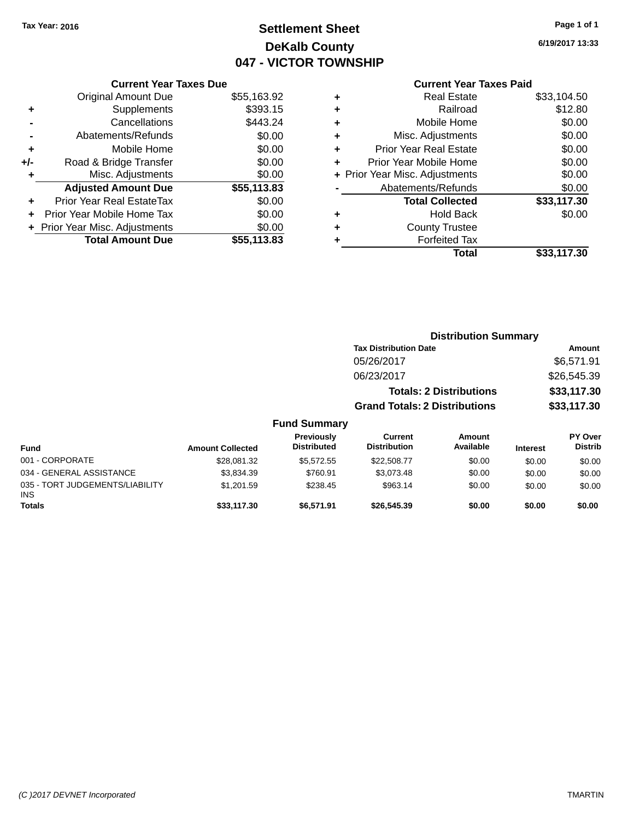# **Settlement Sheet Tax Year: 2016 Page 1 of 1 DeKalb County 047 - VICTOR TOWNSHIP**

**6/19/2017 13:33**

## **Current Year Taxes Paid**

|     | <b>Current Year Taxes Due</b>  |             |  |  |  |
|-----|--------------------------------|-------------|--|--|--|
|     | <b>Original Amount Due</b>     | \$55,163.92 |  |  |  |
| ٠   | Supplements                    | \$393.15    |  |  |  |
|     | Cancellations                  | \$443.24    |  |  |  |
|     | Abatements/Refunds             | \$0.00      |  |  |  |
| ٠   | Mobile Home                    | \$0.00      |  |  |  |
| +/- | Road & Bridge Transfer         | \$0.00      |  |  |  |
|     | Misc. Adjustments              | \$0.00      |  |  |  |
|     | <b>Adjusted Amount Due</b>     | \$55,113.83 |  |  |  |
| ÷   | Prior Year Real EstateTax      | \$0.00      |  |  |  |
|     | Prior Year Mobile Home Tax     | \$0.00      |  |  |  |
|     | + Prior Year Misc. Adjustments | \$0.00      |  |  |  |
|     | <b>Total Amount Due</b>        | \$55,113.83 |  |  |  |
|     |                                |             |  |  |  |

|   | <b>Real Estate</b>             | \$33,104.50 |
|---|--------------------------------|-------------|
| ٠ | Railroad                       | \$12.80     |
| ٠ | Mobile Home                    | \$0.00      |
| ٠ | Misc. Adjustments              | \$0.00      |
| ٠ | <b>Prior Year Real Estate</b>  | \$0.00      |
| ٠ | Prior Year Mobile Home         | \$0.00      |
|   | + Prior Year Misc. Adjustments | \$0.00      |
|   | Abatements/Refunds             | \$0.00      |
|   | <b>Total Collected</b>         | \$33,117.30 |
| ٠ | Hold Back                      | \$0.00      |
| ٠ | <b>County Trustee</b>          |             |
| ٠ | <b>Forfeited Tax</b>           |             |
|   | Total                          | \$33,117.30 |
|   |                                |             |

|                                 |                         |                                         | <b>Distribution Summary</b>          |                                |                 |                           |
|---------------------------------|-------------------------|-----------------------------------------|--------------------------------------|--------------------------------|-----------------|---------------------------|
|                                 |                         |                                         | <b>Tax Distribution Date</b>         |                                | Amount          |                           |
|                                 |                         |                                         | 05/26/2017                           |                                |                 | \$6,571.91                |
|                                 |                         |                                         | 06/23/2017                           |                                |                 | \$26,545.39               |
|                                 |                         |                                         |                                      | <b>Totals: 2 Distributions</b> |                 | \$33,117.30               |
|                                 |                         |                                         | <b>Grand Totals: 2 Distributions</b> |                                |                 | \$33,117.30               |
|                                 |                         | <b>Fund Summary</b>                     |                                      |                                |                 |                           |
| <b>Fund</b>                     | <b>Amount Collected</b> | <b>Previously</b><br><b>Distributed</b> | Current<br><b>Distribution</b>       | Amount<br>Available            | <b>Interest</b> | PY Over<br><b>Distrib</b> |
| 001 - CORPORATE                 | \$28.081.32             | \$5,572.55                              | \$22,508.77                          | \$0.00                         | \$0.00          | \$0.00                    |
| 034 - GENERAL ASSISTANCE        | \$3,834.39              | \$760.91                                | \$3,073.48                           | \$0.00                         | \$0.00          | \$0.00                    |
| 035 - TORT JUDGEMENTS/LIABILITY | \$1,201.59              | \$238.45                                | \$963.14                             | \$0.00                         | \$0.00          | \$0.00                    |

**Totals \$33,117.30 \$6,571.91 \$26,545.39 \$0.00 \$0.00 \$0.00**

INS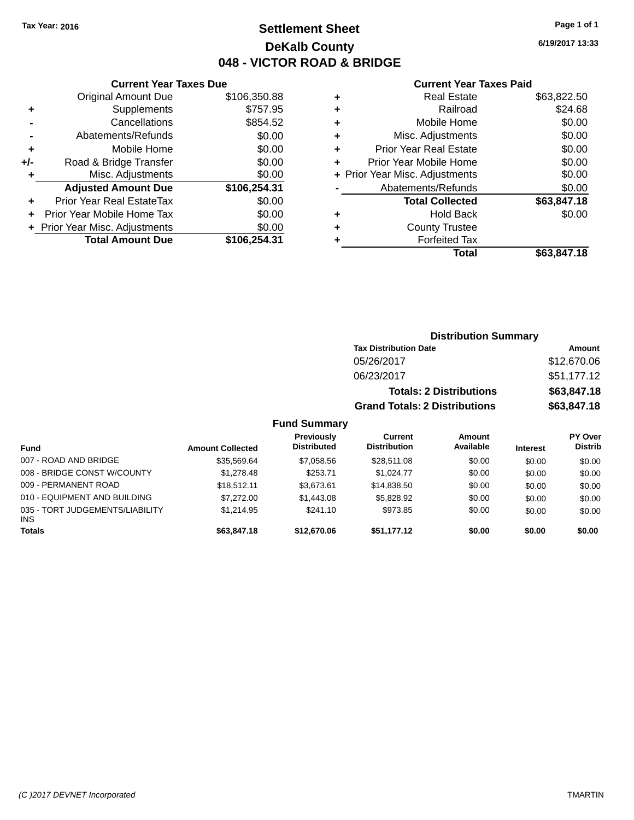# **Settlement Sheet Tax Year: 2016 Page 1 of 1 DeKalb County 048 - VICTOR ROAD & BRIDGE**

**6/19/2017 13:33**

#### **Current Year Taxes Paid**

|     | <b>Current Year Taxes Due</b>  |              |  |  |
|-----|--------------------------------|--------------|--|--|
|     | <b>Original Amount Due</b>     | \$106,350.88 |  |  |
| ٠   | Supplements                    | \$757.95     |  |  |
|     | Cancellations                  | \$854.52     |  |  |
|     | Abatements/Refunds             | \$0.00       |  |  |
| ÷   | Mobile Home                    | \$0.00       |  |  |
| +/- | Road & Bridge Transfer         | \$0.00       |  |  |
|     | Misc. Adjustments              | \$0.00       |  |  |
|     | <b>Adjusted Amount Due</b>     | \$106,254.31 |  |  |
|     | Prior Year Real EstateTax      | \$0.00       |  |  |
|     | Prior Year Mobile Home Tax     | \$0.00       |  |  |
|     | + Prior Year Misc. Adjustments | \$0.00       |  |  |
|     | <b>Total Amount Due</b>        | \$106.254.31 |  |  |
|     |                                |              |  |  |

| ٠ | <b>Real Estate</b>             | \$63,822.50 |
|---|--------------------------------|-------------|
| ٠ | Railroad                       | \$24.68     |
| ٠ | Mobile Home                    | \$0.00      |
| ٠ | Misc. Adjustments              | \$0.00      |
| ٠ | <b>Prior Year Real Estate</b>  | \$0.00      |
| ٠ | Prior Year Mobile Home         | \$0.00      |
|   | + Prior Year Misc. Adjustments | \$0.00      |
|   | Abatements/Refunds             | \$0.00      |
|   | <b>Total Collected</b>         | \$63,847.18 |
| ٠ | <b>Hold Back</b>               | \$0.00      |
| ٠ | <b>County Trustee</b>          |             |
| ٠ | <b>Forfeited Tax</b>           |             |
|   | Total                          | \$63,847.18 |
|   |                                |             |

| <b>Distribution Summary</b>          |             |
|--------------------------------------|-------------|
| <b>Tax Distribution Date</b>         | Amount      |
| 05/26/2017                           | \$12,670.06 |
| 06/23/2017                           | \$51,177.12 |
| <b>Totals: 2 Distributions</b>       | \$63,847.18 |
| <b>Grand Totals: 2 Distributions</b> | \$63,847.18 |

## **Fund Summary**

| <b>Fund</b>                            | <b>Amount Collected</b> | <b>Previously</b><br><b>Distributed</b> | Current<br><b>Distribution</b> | Amount<br>Available | <b>Interest</b> | <b>PY Over</b><br><b>Distrib</b> |
|----------------------------------------|-------------------------|-----------------------------------------|--------------------------------|---------------------|-----------------|----------------------------------|
| 007 - ROAD AND BRIDGE                  | \$35,569.64             | \$7,058.56                              | \$28,511.08                    | \$0.00              | \$0.00          | \$0.00                           |
| 008 - BRIDGE CONST W/COUNTY            | \$1,278,48              | \$253.71                                | \$1.024.77                     | \$0.00              | \$0.00          | \$0.00                           |
| 009 - PERMANENT ROAD                   | \$18,512.11             | \$3.673.61                              | \$14.838.50                    | \$0.00              | \$0.00          | \$0.00                           |
| 010 - EQUIPMENT AND BUILDING           | \$7,272,00              | \$1,443.08                              | \$5,828,92                     | \$0.00              | \$0.00          | \$0.00                           |
| 035 - TORT JUDGEMENTS/LIABILITY<br>INS | \$1.214.95              | \$241.10                                | \$973.85                       | \$0.00              | \$0.00          | \$0.00                           |
| <b>Totals</b>                          | \$63,847.18             | \$12,670.06                             | \$51.177.12                    | \$0.00              | \$0.00          | \$0.00                           |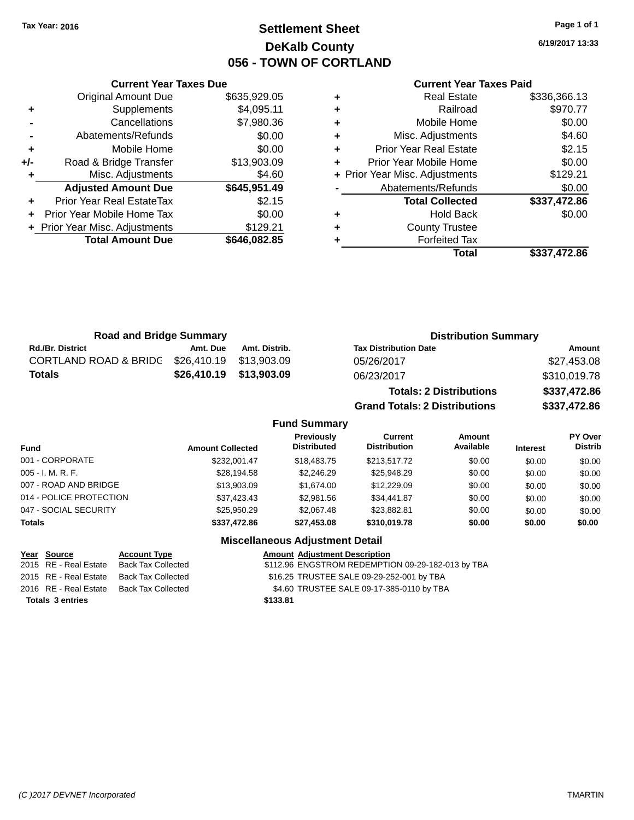# **Settlement Sheet Tax Year: 2016 Page 1 of 1 DeKalb County 056 - TOWN OF CORTLAND**

**6/19/2017 13:33**

#### **Current Year Taxes Paid**

|     | <b>Current Year Taxes Due</b>  |              |  |  |  |
|-----|--------------------------------|--------------|--|--|--|
|     | <b>Original Amount Due</b>     | \$635,929.05 |  |  |  |
| ٠   | Supplements                    | \$4,095.11   |  |  |  |
|     | Cancellations                  | \$7,980.36   |  |  |  |
|     | Abatements/Refunds             | \$0.00       |  |  |  |
| ٠   | Mobile Home                    | \$0.00       |  |  |  |
| +/- | Road & Bridge Transfer         | \$13,903.09  |  |  |  |
|     | \$4.60<br>Misc. Adjustments    |              |  |  |  |
|     | <b>Adjusted Amount Due</b>     | \$645,951.49 |  |  |  |
| ٠   | Prior Year Real EstateTax      | \$2.15       |  |  |  |
|     | Prior Year Mobile Home Tax     | \$0.00       |  |  |  |
|     | + Prior Year Misc. Adjustments | \$129.21     |  |  |  |
|     | <b>Total Amount Due</b>        | \$646,082.85 |  |  |  |
|     |                                |              |  |  |  |

| ٠ | <b>Real Estate</b>             | \$336,366.13 |
|---|--------------------------------|--------------|
| ٠ | Railroad                       | \$970.77     |
| ٠ | Mobile Home                    | \$0.00       |
| ٠ | Misc. Adjustments              | \$4.60       |
| ٠ | <b>Prior Year Real Estate</b>  | \$2.15       |
| ٠ | Prior Year Mobile Home         | \$0.00       |
|   | + Prior Year Misc. Adjustments | \$129.21     |
|   | Abatements/Refunds             | \$0.00       |
|   | <b>Total Collected</b>         | \$337,472.86 |
| ٠ | <b>Hold Back</b>               | \$0.00       |
| ٠ | <b>County Trustee</b>          |              |
| ٠ | <b>Forfeited Tax</b>           |              |
|   | Total                          | \$337,472.86 |
|   |                                |              |

| <b>Road and Bridge Summary</b>   |                         |                         | <b>Distribution Summary</b>    |              |  |
|----------------------------------|-------------------------|-------------------------|--------------------------------|--------------|--|
| <b>Rd./Br. District</b>          | Amt. Due                | Amt. Distrib.           | <b>Tax Distribution Date</b>   | Amount       |  |
| <b>CORTLAND ROAD &amp; BRIDG</b> | \$26,410.19 \$13,903.09 |                         | 05/26/2017                     | \$27,453.08  |  |
| Totals                           |                         | \$26,410.19 \$13,903.09 | 06/23/2017                     | \$310,019.78 |  |
|                                  |                         |                         | <b>Totals: 2 Distributions</b> | \$337,472.86 |  |

**Grand Totals: 2 Distributions \$337,472.86**

## **Fund Summary**

| <b>Fund</b>             | <b>Amount Collected</b> | Previously<br><b>Distributed</b> | Current<br><b>Distribution</b> | Amount<br>Available | <b>Interest</b> | PY Over<br><b>Distrib</b> |
|-------------------------|-------------------------|----------------------------------|--------------------------------|---------------------|-----------------|---------------------------|
| 001 - CORPORATE         | \$232,001.47            | \$18,483,75                      | \$213,517.72                   | \$0.00              | \$0.00          | \$0.00                    |
| $005 - I. M. R. F.$     | \$28,194.58             | \$2,246.29                       | \$25,948.29                    | \$0.00              | \$0.00          | \$0.00                    |
| 007 - ROAD AND BRIDGE   | \$13,903.09             | \$1.674.00                       | \$12,229.09                    | \$0.00              | \$0.00          | \$0.00                    |
| 014 - POLICE PROTECTION | \$37.423.43             | \$2,981.56                       | \$34.441.87                    | \$0.00              | \$0.00          | \$0.00                    |
| 047 - SOCIAL SECURITY   | \$25,950.29             | \$2,067.48                       | \$23.882.81                    | \$0.00              | \$0.00          | \$0.00                    |
| <b>Totals</b>           | \$337,472.86            | \$27,453.08                      | \$310,019.78                   | \$0.00              | \$0.00          | \$0.00                    |

| <u>Year Source</u>      | <b>Account Type</b>       | <b>Amount Adjustment Description</b>              |
|-------------------------|---------------------------|---------------------------------------------------|
| 2015 RE - Real Estate   | <b>Back Tax Collected</b> | \$112.96 ENGSTROM REDEMPTION 09-29-182-013 by TBA |
| 2015 RE - Real Estate   | Back Tax Collected        | \$16.25 TRUSTEE SALE 09-29-252-001 by TBA         |
| 2016 RE - Real Estate   | <b>Back Tax Collected</b> | \$4.60 TRUSTEE SALE 09-17-385-0110 by TBA         |
| <b>Totals 3 entries</b> |                           | \$133.81                                          |
|                         |                           |                                                   |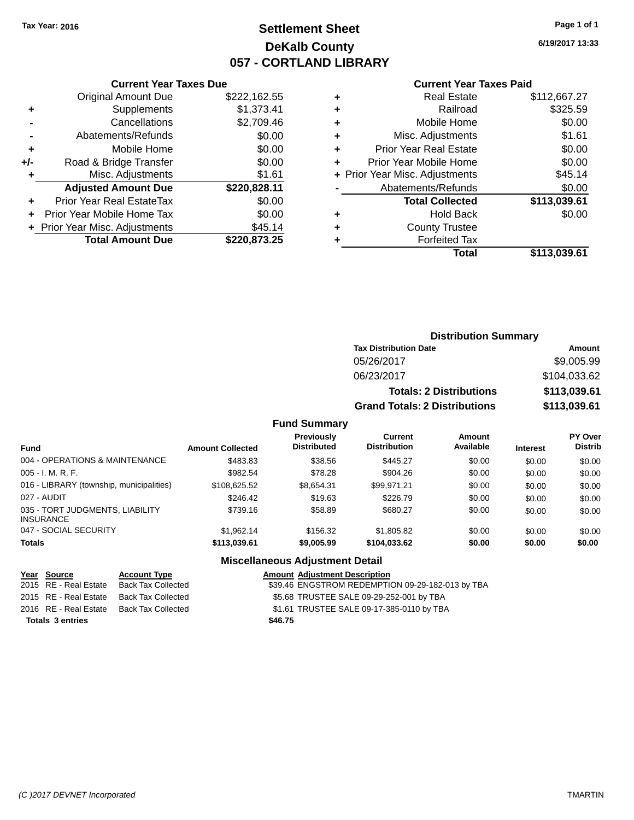# **Settlement Sheet Tax Year: 2016 Page 1 of 1 DeKalb County 057 - CORTLAND LIBRARY**

**6/19/2017 13:33**

## **Current Year Taxes Paid**

|       | <b>Current Year Taxes Due</b>  |              |  |  |  |
|-------|--------------------------------|--------------|--|--|--|
|       | <b>Original Amount Due</b>     | \$222,162.55 |  |  |  |
| ÷     | Supplements                    | \$1,373.41   |  |  |  |
|       | Cancellations                  | \$2,709.46   |  |  |  |
|       | Abatements/Refunds             | \$0.00       |  |  |  |
| ٠     | Mobile Home                    | \$0.00       |  |  |  |
| $+/-$ | Road & Bridge Transfer         | \$0.00       |  |  |  |
|       | \$1.61<br>Misc. Adjustments    |              |  |  |  |
|       | <b>Adjusted Amount Due</b>     | \$220,828.11 |  |  |  |
| ÷     | Prior Year Real EstateTax      | \$0.00       |  |  |  |
|       | Prior Year Mobile Home Tax     | \$0.00       |  |  |  |
|       | + Prior Year Misc. Adjustments | \$45.14      |  |  |  |
|       | <b>Total Amount Due</b>        | \$220,873.25 |  |  |  |
|       |                                |              |  |  |  |

| ٠ | <b>Real Estate</b>             | \$112,667.27 |
|---|--------------------------------|--------------|
| ٠ | Railroad                       | \$325.59     |
| ٠ | Mobile Home                    | \$0.00       |
| ٠ | Misc. Adjustments              | \$1.61       |
| ٠ | <b>Prior Year Real Estate</b>  | \$0.00       |
| ٠ | Prior Year Mobile Home         | \$0.00       |
|   | + Prior Year Misc. Adjustments | \$45.14      |
|   | Abatements/Refunds             | \$0.00       |
|   | <b>Total Collected</b>         | \$113,039.61 |
| ٠ | <b>Hold Back</b>               | \$0.00       |
| ٠ | <b>County Trustee</b>          |              |
| ٠ | <b>Forfeited Tax</b>           |              |
|   | Total                          | \$113,039.61 |
|   |                                |              |

## **Distribution Summary Tax Distribution Date Amount** 05/26/2017 \$9,005.99 06/23/2017 \$104,033.62 **Totals: 2 Distributions \$113,039.61 Grand Totals: 2 Distributions \$113,039.61**

## **Fund Summary**

| <b>Fund</b>                                         | <b>Amount Collected</b> | <b>Previously</b><br><b>Distributed</b> | Current<br><b>Distribution</b> | Amount<br>Available | <b>Interest</b> | <b>PY Over</b><br><b>Distrib</b> |
|-----------------------------------------------------|-------------------------|-----------------------------------------|--------------------------------|---------------------|-----------------|----------------------------------|
| 004 - OPERATIONS & MAINTENANCE                      | \$483.83                | \$38.56                                 | \$445.27                       | \$0.00              | \$0.00          | \$0.00                           |
| $005 - I. M. R. F.$                                 | \$982.54                | \$78.28                                 | \$904.26                       | \$0.00              | \$0.00          | \$0.00                           |
| 016 - LIBRARY (township, municipalities)            | \$108,625.52            | \$8.654.31                              | \$99.971.21                    | \$0.00              | \$0.00          | \$0.00                           |
| 027 - AUDIT                                         | \$246.42                | \$19.63                                 | \$226.79                       | \$0.00              | \$0.00          | \$0.00                           |
| 035 - TORT JUDGMENTS, LIABILITY<br><b>INSURANCE</b> | \$739.16                | \$58.89                                 | \$680.27                       | \$0.00              | \$0.00          | \$0.00                           |
| 047 - SOCIAL SECURITY                               | \$1.962.14              | \$156.32                                | \$1,805.82                     | \$0.00              | \$0.00          | \$0.00                           |
| <b>Totals</b>                                       | \$113,039.61            | \$9,005.99                              | \$104.033.62                   | \$0.00              | \$0.00          | \$0.00                           |

| Year Source             | <b>Account Type</b>                      | <b>Amount Adjustment Description</b>             |
|-------------------------|------------------------------------------|--------------------------------------------------|
| 2015 RE - Real Estate   | Back Tax Collected                       | \$39.46 ENGSTROM REDEMPTION 09-29-182-013 by TBA |
| 2015 RE - Real Estate   | Back Tax Collected                       | \$5.68 TRUSTEE SALE 09-29-252-001 by TBA         |
|                         | 2016 RE - Real Estate Back Tax Collected | \$1.61 TRUSTEE SALE 09-17-385-0110 by TBA        |
| <b>Totals 3 entries</b> |                                          | \$46.75                                          |
|                         |                                          |                                                  |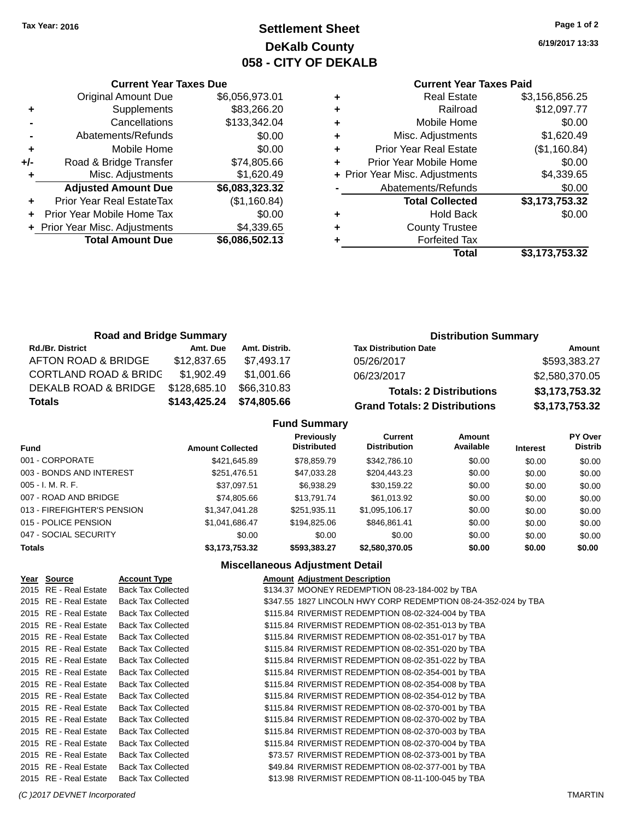# **Settlement Sheet Tax Year: 2016 Page 1 of 2 DeKalb County 058 - CITY OF DEKALB**

**6/19/2017 13:33**

|     | <b>Current Year Taxes Due</b>  |                |  |  |
|-----|--------------------------------|----------------|--|--|
|     | Original Amount Due            | \$6,056,973.01 |  |  |
| ÷   | Supplements                    | \$83,266.20    |  |  |
|     | Cancellations                  | \$133,342.04   |  |  |
|     | Abatements/Refunds             | \$0.00         |  |  |
| ٠   | Mobile Home                    | \$0.00         |  |  |
| +/- | Road & Bridge Transfer         | \$74,805.66    |  |  |
| ٠   | Misc. Adjustments              | \$1,620.49     |  |  |
|     | <b>Adjusted Amount Due</b>     | \$6,083,323.32 |  |  |
| ٠   | Prior Year Real EstateTax      | (\$1,160.84)   |  |  |
|     | Prior Year Mobile Home Tax     | \$0.00         |  |  |
|     | + Prior Year Misc. Adjustments | \$4,339.65     |  |  |
|     | <b>Total Amount Due</b>        | \$6,086,502.13 |  |  |
|     |                                |                |  |  |

## **Current Year Taxes Paid**

|   | <b>Real Estate</b>             | \$3,156,856.25 |
|---|--------------------------------|----------------|
| ٠ | Railroad                       | \$12,097.77    |
| ٠ | Mobile Home                    | \$0.00         |
| ٠ | Misc. Adjustments              | \$1,620.49     |
|   | <b>Prior Year Real Estate</b>  | (\$1,160.84)   |
|   | Prior Year Mobile Home         | \$0.00         |
|   | + Prior Year Misc. Adjustments | \$4,339.65     |
|   | Abatements/Refunds             | \$0.00         |
|   | <b>Total Collected</b>         | \$3,173,753.32 |
| ٠ | <b>Hold Back</b>               | \$0.00         |
|   | <b>County Trustee</b>          |                |
|   | <b>Forfeited Tax</b>           |                |
|   | Total                          | \$3,173,753.32 |
|   |                                |                |

| <b>Road and Bridge Summary</b>   |              |               | <b>Distribution Summary</b>          |                |  |
|----------------------------------|--------------|---------------|--------------------------------------|----------------|--|
| <b>Rd./Br. District</b>          | Amt. Due     | Amt. Distrib. | <b>Tax Distribution Date</b>         | Amount         |  |
| AFTON ROAD & BRIDGE              | \$12,837.65  | \$7.493.17    | 05/26/2017                           | \$593,383.27   |  |
| <b>CORTLAND ROAD &amp; BRIDG</b> | \$1.902.49   | \$1.001.66    | 06/23/2017                           | \$2,580,370.05 |  |
| DEKALB ROAD & BRIDGE             | \$128,685.10 | \$66,310.83   | <b>Totals: 2 Distributions</b>       | \$3,173,753.32 |  |
| <b>Totals</b>                    | \$143,425.24 | \$74,805.66   | <b>Grand Totals: 2 Distributions</b> | \$3,173,753.32 |  |

## **Fund Summary**

| <b>Fund</b>                 | <b>Amount Collected</b> | <b>Previously</b><br><b>Distributed</b> | <b>Current</b><br><b>Distribution</b> | Amount<br>Available | <b>Interest</b> | PY Over<br><b>Distrib</b> |
|-----------------------------|-------------------------|-----------------------------------------|---------------------------------------|---------------------|-----------------|---------------------------|
| 001 - CORPORATE             | \$421,645.89            | \$78,859.79                             | \$342,786.10                          | \$0.00              | \$0.00          | \$0.00                    |
| 003 - BONDS AND INTEREST    | \$251,476.51            | \$47,033.28                             | \$204.443.23                          | \$0.00              | \$0.00          | \$0.00                    |
| $005 - I. M. R. F.$         | \$37,097.51             | \$6,938.29                              | \$30,159.22                           | \$0.00              | \$0.00          | \$0.00                    |
| 007 - ROAD AND BRIDGE       | \$74.805.66             | \$13,791,74                             | \$61,013.92                           | \$0.00              | \$0.00          | \$0.00                    |
| 013 - FIREFIGHTER'S PENSION | \$1,347,041.28          | \$251.935.11                            | \$1,095,106.17                        | \$0.00              | \$0.00          | \$0.00                    |
| 015 - POLICE PENSION        | \$1,041,686.47          | \$194.825.06                            | \$846,861.41                          | \$0.00              | \$0.00          | \$0.00                    |
| 047 - SOCIAL SECURITY       | \$0.00                  | \$0.00                                  | \$0.00                                | \$0.00              | \$0.00          | \$0.00                    |
| <b>Totals</b>               | \$3,173,753.32          | \$593.383.27                            | \$2,580,370,05                        | \$0.00              | \$0.00          | \$0.00                    |

| Year Source           | <b>Account Type</b>       | <b>Amount Adjustment Description</b>                           |
|-----------------------|---------------------------|----------------------------------------------------------------|
| 2015 RE - Real Estate | <b>Back Tax Collected</b> | \$134.37 MOONEY REDEMPTION 08-23-184-002 by TBA                |
| 2015 RE - Real Estate | <b>Back Tax Collected</b> | \$347.55 1827 LINCOLN HWY CORP REDEMPTION 08-24-352-024 by TBA |
| 2015 RE - Real Estate | <b>Back Tax Collected</b> | \$115.84 RIVERMIST REDEMPTION 08-02-324-004 by TBA             |
| 2015 RE - Real Estate | <b>Back Tax Collected</b> | \$115.84 RIVERMIST REDEMPTION 08-02-351-013 by TBA             |
| 2015 RE - Real Estate | <b>Back Tax Collected</b> | \$115.84 RIVERMIST REDEMPTION 08-02-351-017 by TBA             |
| 2015 RE - Real Estate | <b>Back Tax Collected</b> | \$115.84 RIVERMIST REDEMPTION 08-02-351-020 by TBA             |
| 2015 RE - Real Estate | <b>Back Tax Collected</b> | \$115.84 RIVERMIST REDEMPTION 08-02-351-022 by TBA             |
| 2015 RE - Real Estate | <b>Back Tax Collected</b> | \$115.84 RIVERMIST REDEMPTION 08-02-354-001 by TBA             |
| 2015 RE - Real Estate | <b>Back Tax Collected</b> | \$115.84 RIVERMIST REDEMPTION 08-02-354-008 by TBA             |
| 2015 RE - Real Estate | <b>Back Tax Collected</b> | \$115.84 RIVERMIST REDEMPTION 08-02-354-012 by TBA             |
| 2015 RE - Real Estate | <b>Back Tax Collected</b> | \$115.84 RIVERMIST REDEMPTION 08-02-370-001 by TBA             |
| 2015 RE - Real Estate | <b>Back Tax Collected</b> | \$115.84 RIVERMIST REDEMPTION 08-02-370-002 by TBA             |
| 2015 RE - Real Estate | <b>Back Tax Collected</b> | \$115.84 RIVERMIST REDEMPTION 08-02-370-003 by TBA             |
| 2015 RE - Real Estate | <b>Back Tax Collected</b> | \$115.84 RIVERMIST REDEMPTION 08-02-370-004 by TBA             |
| 2015 RE - Real Estate | <b>Back Tax Collected</b> | \$73.57 RIVERMIST REDEMPTION 08-02-373-001 by TBA              |
| 2015 RE - Real Estate | <b>Back Tax Collected</b> | \$49.84 RIVERMIST REDEMPTION 08-02-377-001 by TBA              |
| 2015 RE - Real Estate | <b>Back Tax Collected</b> | \$13.98 RIVERMIST REDEMPTION 08-11-100-045 by TBA              |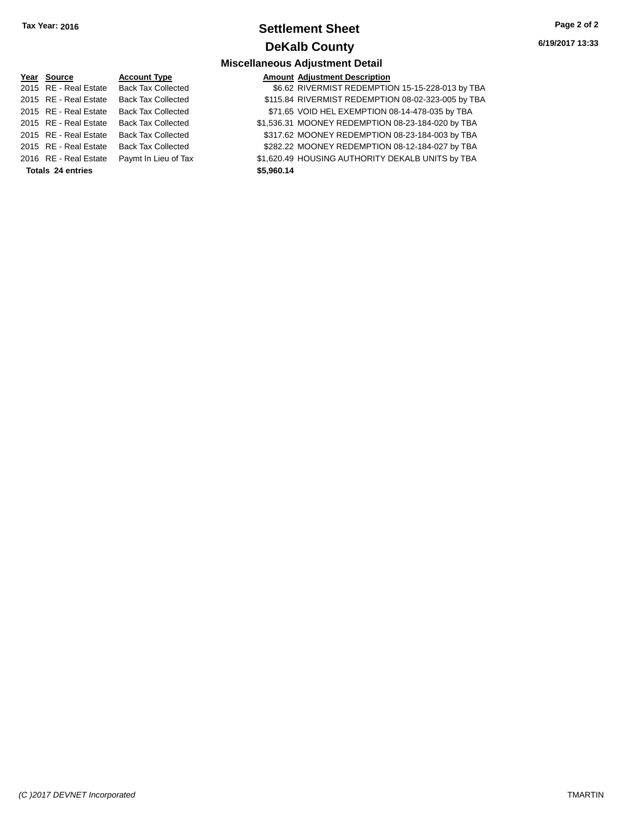# **Settlement Sheet Tax Year: 2016 Page 2 of 2 DeKalb County**

**6/19/2017 13:33**

| Year Source              | <b>Account Type</b>       | <b>Amount Adjustment Description</b>               |
|--------------------------|---------------------------|----------------------------------------------------|
| 2015 RE - Real Estate    | <b>Back Tax Collected</b> | \$6.62 RIVERMIST REDEMPTION 15-15-228-013 by TBA   |
| 2015 RE - Real Estate    | <b>Back Tax Collected</b> | \$115.84 RIVERMIST REDEMPTION 08-02-323-005 by TBA |
| 2015 RE - Real Estate    | <b>Back Tax Collected</b> | \$71.65 VOID HEL EXEMPTION 08-14-478-035 by TBA    |
| 2015 RE - Real Estate    | <b>Back Tax Collected</b> | \$1,536.31 MOONEY REDEMPTION 08-23-184-020 by TBA  |
| 2015 RE - Real Estate    | <b>Back Tax Collected</b> | \$317.62 MOONEY REDEMPTION 08-23-184-003 by TBA    |
| 2015 RE - Real Estate    | <b>Back Tax Collected</b> | \$282.22 MOONEY REDEMPTION 08-12-184-027 by TBA    |
| 2016 RE - Real Estate    | Paymt In Lieu of Tax      | \$1,620.49 HOUSING AUTHORITY DEKALB UNITS by TBA   |
| <b>Totals 24 entries</b> |                           | \$5,960.14                                         |
|                          |                           |                                                    |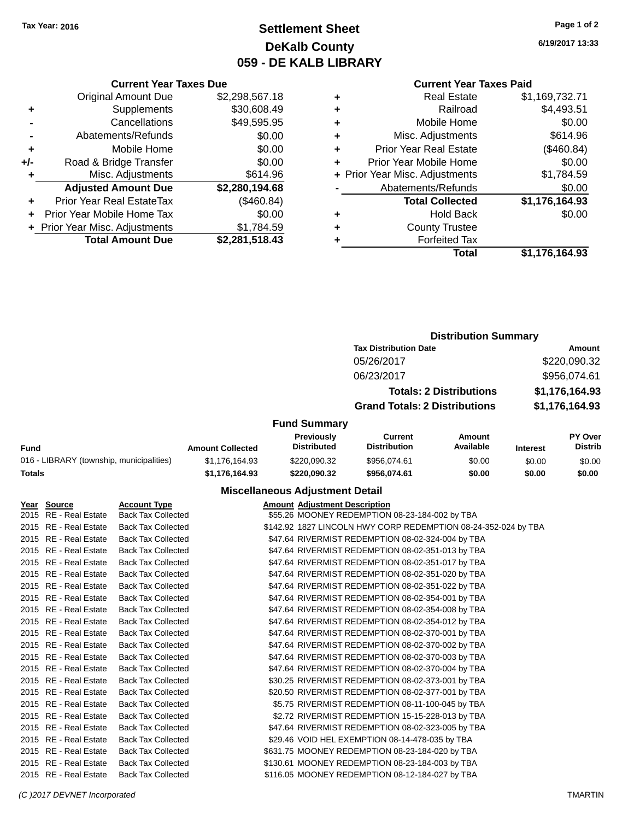# **Settlement Sheet Tax Year: 2016 Page 1 of 2 DeKalb County 059 - DE KALB LIBRARY**

**6/19/2017 13:33**

#### **Current Year Taxes Paid**

|     | <b>Current Year Taxes Due</b>  |                |
|-----|--------------------------------|----------------|
|     | <b>Original Amount Due</b>     | \$2,298,567.18 |
| ٠   | Supplements                    | \$30,608.49    |
|     | Cancellations                  | \$49,595.95    |
|     | Abatements/Refunds             | \$0.00         |
| ٠   | Mobile Home                    | \$0.00         |
| +/- | Road & Bridge Transfer         | \$0.00         |
| ٠   | Misc. Adjustments              | \$614.96       |
|     | <b>Adjusted Amount Due</b>     | \$2,280,194.68 |
| ٠   | Prior Year Real EstateTax      | (\$460.84)     |
| ÷   | Prior Year Mobile Home Tax     | \$0.00         |
|     | + Prior Year Misc. Adjustments | \$1,784.59     |
|     | <b>Total Amount Due</b>        | \$2,281,518.43 |

| ٠ | <b>Real Estate</b>             | \$1,169,732.71 |
|---|--------------------------------|----------------|
| ٠ | Railroad                       | \$4,493.51     |
| ٠ | Mobile Home                    | \$0.00         |
| ٠ | Misc. Adjustments              | \$614.96       |
| ٠ | <b>Prior Year Real Estate</b>  | (\$460.84)     |
| ٠ | Prior Year Mobile Home         | \$0.00         |
|   | + Prior Year Misc. Adjustments | \$1,784.59     |
|   | Abatements/Refunds             | \$0.00         |
|   | <b>Total Collected</b>         | \$1,176,164.93 |
| ٠ | <b>Hold Back</b>               | \$0.00         |
| ٠ | <b>County Trustee</b>          |                |
| ٠ | <b>Forfeited Tax</b>           |                |
|   | Total                          | \$1,176,164.93 |
|   |                                |                |

# **Distribution Summary Tax Distribution Date Amount** 05/26/2017 \$220,090.32 06/23/2017 \$956,074.61 **Totals: 2 Distributions \$1,176,164.93 Grand Totals: 2 Distributions \$1,176,164.93**

## **Fund Summary**

|                                          |                         | Previouslv         | Current             | Amount    |                 | PY Over        |
|------------------------------------------|-------------------------|--------------------|---------------------|-----------|-----------------|----------------|
| Fund                                     | <b>Amount Collected</b> | <b>Distributed</b> | <b>Distribution</b> | Available | <b>Interest</b> | <b>Distrib</b> |
| 016 - LIBRARY (township, municipalities) | \$1.176.164.93          | \$220,090.32       | \$956.074.61        | \$0.00    | \$0.00          | \$0.00         |
| Totals                                   | \$1.176.164.93          | \$220.090.32       | \$956.074.61        | \$0.00    | \$0.00          | \$0.00         |

| Year Source           | <b>Account Type</b>       | <b>Amount Adjustment Description</b>                           |
|-----------------------|---------------------------|----------------------------------------------------------------|
| 2015 RE - Real Estate | <b>Back Tax Collected</b> | \$55.26 MOONEY REDEMPTION 08-23-184-002 by TBA                 |
| 2015 RE - Real Estate | <b>Back Tax Collected</b> | \$142.92 1827 LINCOLN HWY CORP REDEMPTION 08-24-352-024 by TBA |
| 2015 RE - Real Estate | <b>Back Tax Collected</b> | \$47.64 RIVERMIST REDEMPTION 08-02-324-004 by TBA              |
| 2015 RE - Real Estate | <b>Back Tax Collected</b> | \$47.64 RIVERMIST REDEMPTION 08-02-351-013 by TBA              |
| 2015 RE - Real Estate | <b>Back Tax Collected</b> | \$47.64 RIVERMIST REDEMPTION 08-02-351-017 by TBA              |
| 2015 RE - Real Estate | <b>Back Tax Collected</b> | \$47.64 RIVERMIST REDEMPTION 08-02-351-020 by TBA              |
| 2015 RE - Real Estate | <b>Back Tax Collected</b> | \$47.64 RIVERMIST REDEMPTION 08-02-351-022 by TBA              |
| 2015 RE - Real Estate | <b>Back Tax Collected</b> | \$47.64 RIVERMIST REDEMPTION 08-02-354-001 by TBA              |
| 2015 RE - Real Estate | <b>Back Tax Collected</b> | \$47.64 RIVERMIST REDEMPTION 08-02-354-008 by TBA              |
| 2015 RE - Real Estate | <b>Back Tax Collected</b> | \$47.64 RIVERMIST REDEMPTION 08-02-354-012 by TBA              |
| 2015 RE - Real Estate | <b>Back Tax Collected</b> | \$47.64 RIVERMIST REDEMPTION 08-02-370-001 by TBA              |
| 2015 RE - Real Estate | <b>Back Tax Collected</b> | \$47.64 RIVERMIST REDEMPTION 08-02-370-002 by TBA              |
| 2015 RE - Real Estate | <b>Back Tax Collected</b> | \$47.64 RIVERMIST REDEMPTION 08-02-370-003 by TBA              |
| 2015 RE - Real Estate | <b>Back Tax Collected</b> | \$47.64 RIVERMIST REDEMPTION 08-02-370-004 by TBA              |
| 2015 RE - Real Estate | <b>Back Tax Collected</b> | \$30.25 RIVERMIST REDEMPTION 08-02-373-001 by TBA              |
| 2015 RE - Real Estate | <b>Back Tax Collected</b> | \$20.50 RIVERMIST REDEMPTION 08-02-377-001 by TBA              |
| 2015 RE - Real Estate | <b>Back Tax Collected</b> | \$5.75 RIVERMIST REDEMPTION 08-11-100-045 by TBA               |
| 2015 RE - Real Estate | <b>Back Tax Collected</b> | \$2.72 RIVERMIST REDEMPTION 15-15-228-013 by TBA               |
| 2015 RE - Real Estate | <b>Back Tax Collected</b> | \$47.64 RIVERMIST REDEMPTION 08-02-323-005 by TBA              |
| 2015 RE - Real Estate | <b>Back Tax Collected</b> | \$29.46 VOID HEL EXEMPTION 08-14-478-035 by TBA                |
| 2015 RE - Real Estate | <b>Back Tax Collected</b> | \$631.75 MOONEY REDEMPTION 08-23-184-020 by TBA                |
| 2015 RE - Real Estate | <b>Back Tax Collected</b> | \$130.61 MOONEY REDEMPTION 08-23-184-003 by TBA                |
| 2015 RE - Real Estate | <b>Back Tax Collected</b> | \$116.05 MOONEY REDEMPTION 08-12-184-027 by TBA                |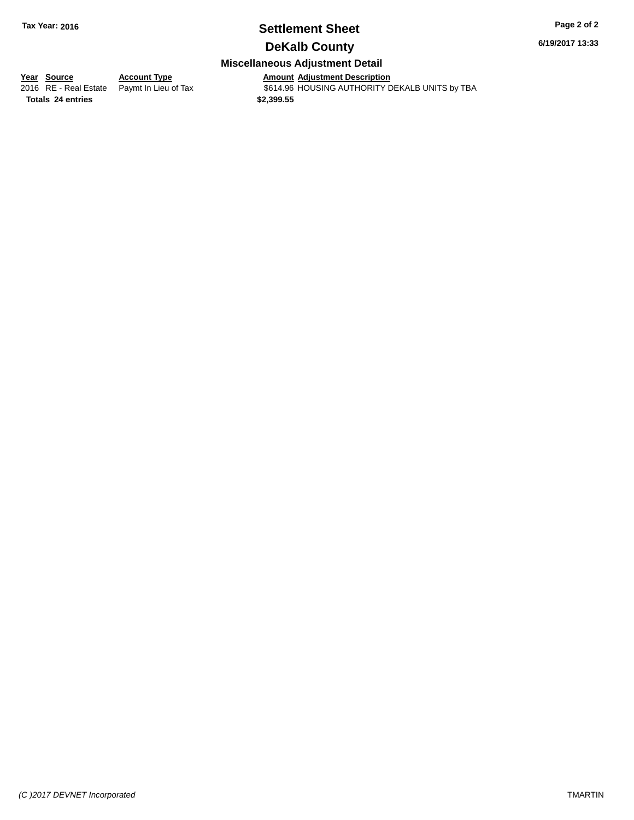# **Settlement Sheet Tax Year: 2016 Page 2 of 2**

**6/19/2017 13:33**

# **DeKalb County Miscellaneous Adjustment Detail**

**<u>Year Source</u> Account Type**<br>
2016 RE - Real Estate Paymt In Lieu of Tax

**Totals \$2,399.55 24 entries**

Amount Adjustment Description<br>\$614.96 HOUSING AUTHORITY DEKALB UNITS by TBA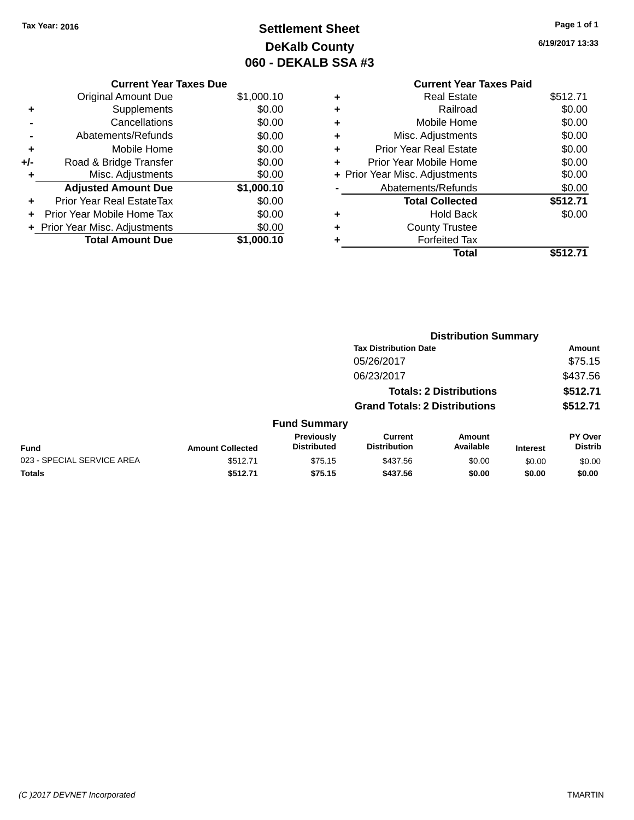# **Settlement Sheet Tax Year: 2016 Page 1 of 1 DeKalb County 060 - DEKALB SSA #3**

**6/19/2017 13:33**

|     | <b>Current Year Taxes Due</b>  |            |
|-----|--------------------------------|------------|
|     | <b>Original Amount Due</b>     | \$1,000.10 |
| ٠   | Supplements                    | \$0.00     |
|     | Cancellations                  | \$0.00     |
|     | Abatements/Refunds             | \$0.00     |
| ٠   | Mobile Home                    | \$0.00     |
| +/- | Road & Bridge Transfer         | \$0.00     |
| ٠   | Misc. Adjustments              | \$0.00     |
|     | <b>Adjusted Amount Due</b>     | \$1,000.10 |
| ÷   | Prior Year Real EstateTax      | \$0.00     |
|     | Prior Year Mobile Home Tax     | \$0.00     |
|     | + Prior Year Misc. Adjustments | \$0.00     |
|     | <b>Total Amount Due</b>        | \$1.000.10 |

|   | <b>Current Year Taxes Paid</b> |          |
|---|--------------------------------|----------|
| ٠ | Real Estate                    | \$512.71 |
| ٠ | Railroad                       | \$0.00   |
| ٠ | Mobile Home                    | \$0.00   |
| ٠ | Misc. Adjustments              | \$0.00   |
| ٠ | <b>Prior Year Real Estate</b>  | \$0.00   |
| ٠ | Prior Year Mobile Home         | \$0.00   |
|   | + Prior Year Misc. Adjustments | \$0.00   |
|   | Abatements/Refunds             | \$0.00   |
|   | <b>Total Collected</b>         | \$512.71 |
| ٠ | Hold Back                      | \$0.00   |
|   | <b>County Trustee</b>          |          |
|   | <b>Forfeited Tax</b>           |          |
|   | Total                          | \$512.71 |
|   |                                |          |

|                            |                         |                                  |                                       | <b>Distribution Summary</b>    |                 |                                  |
|----------------------------|-------------------------|----------------------------------|---------------------------------------|--------------------------------|-----------------|----------------------------------|
|                            |                         |                                  | <b>Tax Distribution Date</b>          |                                |                 | <b>Amount</b>                    |
|                            |                         |                                  | 05/26/2017                            |                                |                 | \$75.15                          |
|                            |                         |                                  | 06/23/2017                            |                                |                 | \$437.56                         |
|                            |                         |                                  |                                       | <b>Totals: 2 Distributions</b> |                 | \$512.71                         |
|                            |                         |                                  | <b>Grand Totals: 2 Distributions</b>  |                                |                 | \$512.71                         |
|                            |                         | <b>Fund Summary</b>              |                                       |                                |                 |                                  |
| <b>Fund</b>                | <b>Amount Collected</b> | Previously<br><b>Distributed</b> | <b>Current</b><br><b>Distribution</b> | <b>Amount</b><br>Available     | <b>Interest</b> | <b>PY Over</b><br><b>Distrib</b> |
| 023 - SPECIAL SERVICE AREA | \$512.71                | \$75.15                          | \$437.56                              | \$0.00                         | \$0.00          | \$0.00                           |
| <b>Totals</b>              | \$512.71                | \$75.15                          | \$437.56                              | \$0.00                         | \$0.00          | \$0.00                           |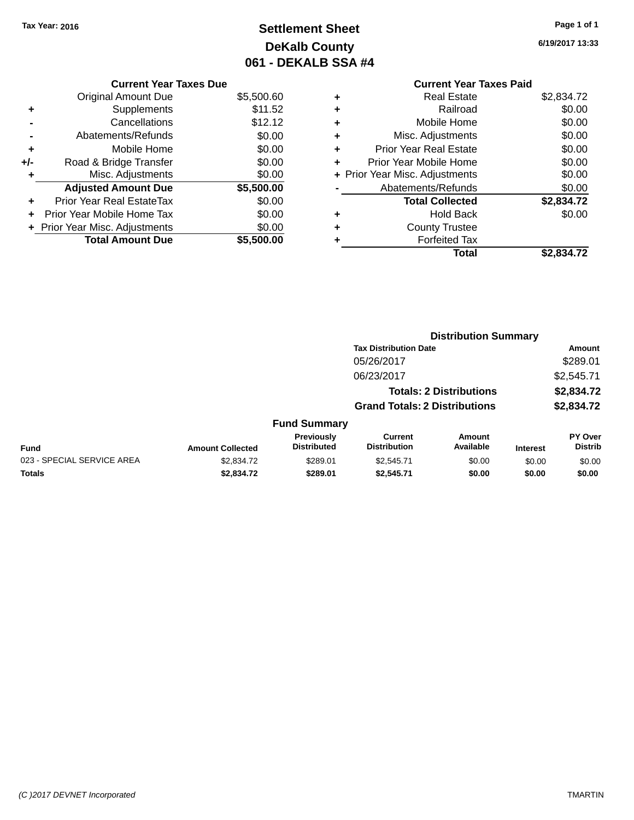# **Settlement Sheet Tax Year: 2016 Page 1 of 1 DeKalb County 061 - DEKALB SSA #4**

**6/19/2017 13:33**

# **Current Year Taxes Paid +** Real Estate \$2,834.72 **+** Railroad \$0.00 **+** Mobile Home \$0.00 **+** Misc. Adjustments \$0.00 **+** Prior Year Real Estate \$0.00 **+** Prior Year Mobile Home \$0.00<br> **+** Prior Year Misc. Adjustments \$0.00 **+ Prior Year Misc. Adjustments**

|           | Total                  | \$2,834.72 |
|-----------|------------------------|------------|
| $\ddot{}$ | <b>Forfeited Tax</b>   |            |
| $\ddot{}$ | <b>County Trustee</b>  |            |
| $\ddot{}$ | <b>Hold Back</b>       | \$0.00     |
|           | <b>Total Collected</b> | \$2,834.72 |
|           | Abatements/Refunds     | \$0.00     |
|           |                        |            |

|                            |                         |                                  |                                       | <b>Distribution Summary</b>    |                 |                           |
|----------------------------|-------------------------|----------------------------------|---------------------------------------|--------------------------------|-----------------|---------------------------|
|                            |                         |                                  | <b>Tax Distribution Date</b>          |                                |                 | <b>Amount</b>             |
|                            |                         |                                  | 05/26/2017                            |                                |                 | \$289.01                  |
|                            |                         |                                  | 06/23/2017                            |                                |                 | \$2,545.71                |
|                            |                         |                                  |                                       | <b>Totals: 2 Distributions</b> |                 | \$2,834.72                |
|                            |                         |                                  | <b>Grand Totals: 2 Distributions</b>  |                                |                 | \$2,834.72                |
|                            |                         | <b>Fund Summary</b>              |                                       |                                |                 |                           |
| <b>Fund</b>                | <b>Amount Collected</b> | Previously<br><b>Distributed</b> | <b>Current</b><br><b>Distribution</b> | Amount<br>Available            | <b>Interest</b> | PY Over<br><b>Distrib</b> |
| 023 - SPECIAL SERVICE AREA | \$2,834.72              | \$289.01                         | \$2,545.71                            | \$0.00                         | \$0.00          | \$0.00                    |
| Totals                     | \$2,834.72              | \$289.01                         | \$2.545.71                            | \$0.00                         | \$0.00          | \$0.00                    |

# **Current Year Taxes Due**

|       | <b>Original Amount Due</b>     | \$5,500.60 |
|-------|--------------------------------|------------|
| ٠     | Supplements                    | \$11.52    |
|       | Cancellations                  | \$12.12    |
|       | Abatements/Refunds             | \$0.00     |
| ٠     | Mobile Home                    | \$0.00     |
| $+/-$ | Road & Bridge Transfer         | \$0.00     |
| ٠     | Misc. Adjustments              | \$0.00     |
|       | <b>Adjusted Amount Due</b>     | \$5,500.00 |
|       |                                |            |
| ٠     | Prior Year Real EstateTax      | \$0.00     |
| ÷     | Prior Year Mobile Home Tax     | \$0.00     |
|       | + Prior Year Misc. Adjustments | \$0.00     |
|       | <b>Total Amount Due</b>        | \$5,500.00 |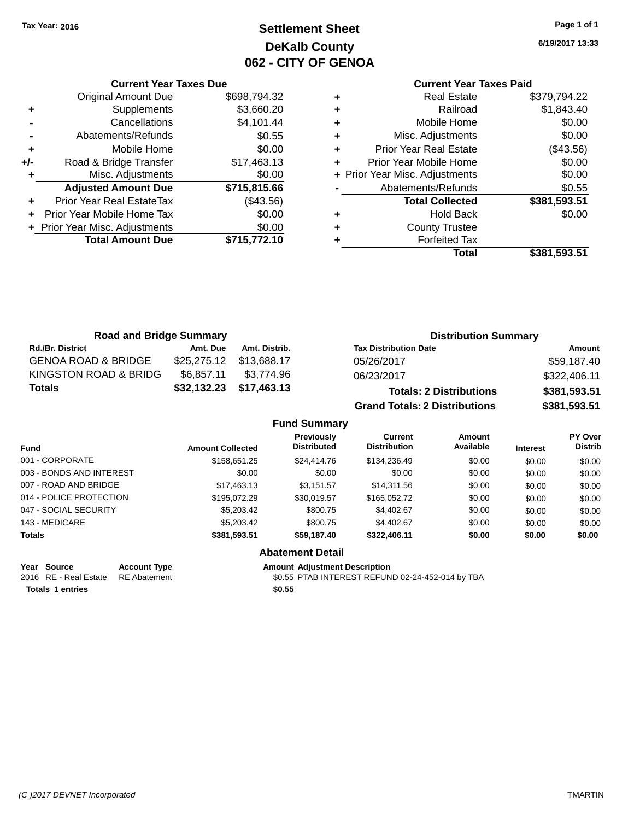# **Settlement Sheet Tax Year: 2016 Page 1 of 1 DeKalb County 062 - CITY OF GENOA**

**6/19/2017 13:33**

## **Current Year Taxes Paid**

|     | <b>Current Year Taxes Due</b>  |              |  |  |  |  |
|-----|--------------------------------|--------------|--|--|--|--|
|     | <b>Original Amount Due</b>     | \$698,794.32 |  |  |  |  |
| ٠   | Supplements                    | \$3,660.20   |  |  |  |  |
|     | Cancellations                  | \$4,101.44   |  |  |  |  |
|     | Abatements/Refunds             | \$0.55       |  |  |  |  |
| ٠   | Mobile Home                    | \$0.00       |  |  |  |  |
| +/- | Road & Bridge Transfer         | \$17,463.13  |  |  |  |  |
| ٠   | Misc. Adjustments              | \$0.00       |  |  |  |  |
|     | <b>Adjusted Amount Due</b>     | \$715,815.66 |  |  |  |  |
|     | Prior Year Real EstateTax      | (\$43.56)    |  |  |  |  |
|     | Prior Year Mobile Home Tax     | \$0.00       |  |  |  |  |
|     | + Prior Year Misc. Adjustments | \$0.00       |  |  |  |  |
|     | <b>Total Amount Due</b>        | \$715,772.10 |  |  |  |  |
|     |                                |              |  |  |  |  |

|   | <b>Real Estate</b>             | \$379,794.22 |
|---|--------------------------------|--------------|
| ٠ | Railroad                       | \$1,843.40   |
| ٠ | Mobile Home                    | \$0.00       |
| ٠ | Misc. Adjustments              | \$0.00       |
| ٠ | <b>Prior Year Real Estate</b>  | $(\$43.56)$  |
| ٠ | Prior Year Mobile Home         | \$0.00       |
|   | + Prior Year Misc. Adjustments | \$0.00       |
|   | Abatements/Refunds             | \$0.55       |
|   | <b>Total Collected</b>         | \$381,593.51 |
| ٠ | <b>Hold Back</b>               | \$0.00       |
| ٠ | <b>County Trustee</b>          |              |
| ٠ | <b>Forfeited Tax</b>           |              |
|   | Total                          | \$381,593.51 |
|   |                                |              |

| <b>Road and Bridge Summary</b> |                         |               | <b>Distribution Summary</b>    |              |  |
|--------------------------------|-------------------------|---------------|--------------------------------|--------------|--|
| <b>Rd./Br. District</b>        | Amt. Due                | Amt. Distrib. | <b>Tax Distribution Date</b>   | Amount       |  |
| <b>GENOA ROAD &amp; BRIDGE</b> | \$25,275.12 \$13,688.17 |               | 05/26/2017                     | \$59,187.40  |  |
| KINGSTON ROAD & BRIDG          | \$6.857.11              | \$3.774.96    | 06/23/2017                     | \$322,406.11 |  |
| <b>Totals</b>                  | \$32,132.23 \$17,463.13 |               | <b>Totals: 2 Distributions</b> | \$381,593.51 |  |

**Grand Totals: 2 Distributions \$381,593.51**

| <b>Fund Summary</b>                                                                         |                         |                                  |                                |                     |                 |                                  |
|---------------------------------------------------------------------------------------------|-------------------------|----------------------------------|--------------------------------|---------------------|-----------------|----------------------------------|
| <b>Fund</b>                                                                                 | <b>Amount Collected</b> | Previously<br><b>Distributed</b> | Current<br><b>Distribution</b> | Amount<br>Available | <b>Interest</b> | <b>PY Over</b><br><b>Distrib</b> |
| 001 - CORPORATE                                                                             | \$158,651,25            | \$24,414.76                      | \$134,236,49                   | \$0.00              | \$0.00          | \$0.00                           |
| 003 - BONDS AND INTEREST                                                                    | \$0.00                  | \$0.00                           | \$0.00                         | \$0.00              | \$0.00          | \$0.00                           |
|                                                                                             | \$17,463.13             | \$3,151.57                       | \$14,311.56                    | \$0.00              | \$0.00          | \$0.00                           |
|                                                                                             | \$195,072.29            | \$30,019.57                      | \$165,052.72                   | \$0.00              | \$0.00          | \$0.00                           |
|                                                                                             | \$5,203.42              | \$800.75                         | \$4,402.67                     | \$0.00              | \$0.00          | \$0.00                           |
|                                                                                             | \$5,203.42              | \$800.75                         | \$4,402.67                     | \$0.00              | \$0.00          | \$0.00                           |
| Totals                                                                                      | \$381,593.51            | \$59,187.40                      | \$322,406.11                   | \$0.00              | \$0.00          | \$0.00                           |
| 007 - ROAD AND BRIDGE<br>014 - POLICE PROTECTION<br>047 - SOCIAL SECURITY<br>143 - MEDICARE |                         |                                  |                                |                     |                 |                                  |

## **Abatement Detail**

**Totals 1 entries** \$0.55

**Year Source Account Type Amount Adjustment Description**<br>2016 RE - Real Estate RE Abatement **Amount 1996 ADJUSTER ST ADJUSTER** ACCORD **ARRIST ASSESS**  $\overline{$0.55$}$  PTAB INTEREST REFUND 02-24-452-014 by TBA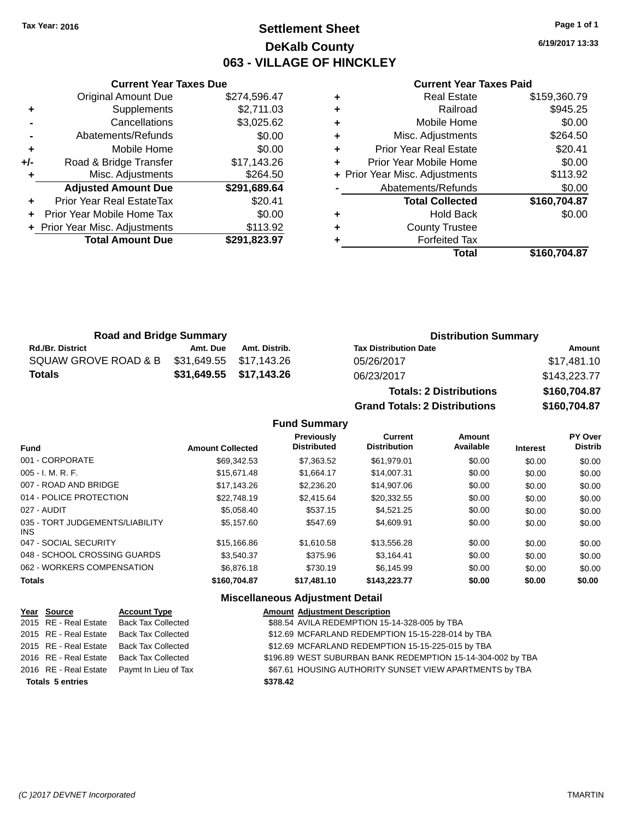# **Settlement Sheet Tax Year: 2016 Page 1 of 1 DeKalb County 063 - VILLAGE OF HINCKLEY**

**6/19/2017 13:33**

#### **Current Year Taxes Paid**

|     | <b>Original Amount Due</b>       | \$274,596.47 |
|-----|----------------------------------|--------------|
| ٠   | Supplements                      | \$2,711.03   |
|     | Cancellations                    | \$3,025.62   |
|     | Abatements/Refunds               | \$0.00       |
| ÷   | Mobile Home                      | \$0.00       |
| +/- | Road & Bridge Transfer           | \$17,143.26  |
|     | Misc. Adjustments                | \$264.50     |
|     | <b>Adjusted Amount Due</b>       | \$291,689.64 |
| ÷   | <b>Prior Year Real EstateTax</b> | \$20.41      |
| ÷   | Prior Year Mobile Home Tax       | \$0.00       |
|     | + Prior Year Misc. Adjustments   | \$113.92     |
|     | <b>Total Amount Due</b>          | \$291,823.97 |
|     |                                  |              |

**Current Year Taxes Due**

| ٠ | <b>Real Estate</b>             | \$159,360.79 |
|---|--------------------------------|--------------|
| ٠ | Railroad                       | \$945.25     |
| ٠ | Mobile Home                    | \$0.00       |
| ٠ | Misc. Adjustments              | \$264.50     |
| ٠ | <b>Prior Year Real Estate</b>  | \$20.41      |
| ٠ | Prior Year Mobile Home         | \$0.00       |
|   | + Prior Year Misc. Adjustments | \$113.92     |
|   | Abatements/Refunds             | \$0.00       |
|   | <b>Total Collected</b>         | \$160,704.87 |
| ٠ | <b>Hold Back</b>               | \$0.00       |
| ٠ | <b>County Trustee</b>          |              |
| ٠ | <b>Forfeited Tax</b>           |              |
|   | Total                          | \$160,704.87 |
|   |                                |              |

| <b>Road and Bridge Summary</b> |                         |                         | <b>Distribution Summary</b>  |              |  |
|--------------------------------|-------------------------|-------------------------|------------------------------|--------------|--|
| <b>Rd./Br. District</b>        | Amt. Due                | Amt. Distrib.           | <b>Tax Distribution Date</b> | Amount       |  |
| SQUAW GROVE ROAD & B           | \$31,649.55 \$17,143.26 |                         | 05/26/2017                   | \$17,481.10  |  |
| <b>Totals</b>                  |                         | \$31,649.55 \$17,143.26 | 06/23/2017                   | \$143,223.77 |  |
|                                |                         |                         | _ _ _                        | **** -** **  |  |

**Totals: 2 Distributions \$160,704.87 Grand Totals: 2 Distributions \$160,704.87**

#### **Fund Summary**

| <b>Fund</b>                             | <b>Amount Collected</b> | <b>Previously</b><br><b>Distributed</b> | <b>Current</b><br><b>Distribution</b> | Amount<br>Available | <b>Interest</b> | <b>PY Over</b><br><b>Distrib</b> |
|-----------------------------------------|-------------------------|-----------------------------------------|---------------------------------------|---------------------|-----------------|----------------------------------|
| 001 - CORPORATE                         | \$69,342.53             | \$7,363.52                              | \$61.979.01                           | \$0.00              | \$0.00          | \$0.00                           |
| $005 - I. M. R. F.$                     | \$15,671.48             | \$1.664.17                              | \$14.007.31                           | \$0.00              | \$0.00          | \$0.00                           |
| 007 - ROAD AND BRIDGE                   | \$17.143.26             | \$2,236,20                              | \$14,907.06                           | \$0.00              | \$0.00          | \$0.00                           |
| 014 - POLICE PROTECTION                 | \$22,748.19             | \$2.415.64                              | \$20.332.55                           | \$0.00              | \$0.00          | \$0.00                           |
| 027 - AUDIT                             | \$5.058.40              | \$537.15                                | \$4.521.25                            | \$0.00              | \$0.00          | \$0.00                           |
| 035 - TORT JUDGEMENTS/LIABILITY<br>INS. | \$5.157.60              | \$547.69                                | \$4,609.91                            | \$0.00              | \$0.00          | \$0.00                           |
| 047 - SOCIAL SECURITY                   | \$15,166.86             | \$1,610.58                              | \$13,556.28                           | \$0.00              | \$0.00          | \$0.00                           |
| 048 - SCHOOL CROSSING GUARDS            | \$3.540.37              | \$375.96                                | \$3.164.41                            | \$0.00              | \$0.00          | \$0.00                           |
| 062 - WORKERS COMPENSATION              | \$6,876.18              | \$730.19                                | \$6.145.99                            | \$0.00              | \$0.00          | \$0.00                           |
| <b>Totals</b>                           | \$160,704.87            | \$17,481.10                             | \$143,223,77                          | \$0.00              | \$0.00          | \$0.00                           |

#### **Miscellaneous Adjustment Detail Year Source Account Type Amount Adjustment Description** \$88.54 AVILA REDEMPTION 15-14-328-005 by TBA 2015 RE - Real Estate Back Tax Collected \$12.69 MCFARLAND REDEMPTION 15-15-228-014 by TBA 2015 RE - Real Estate Back Tax Collected \$12.69 MCFARLAND REDEMPTION 15-15-225-015 by TBA 2016 RE - Real Estate Back Tax Collected \$196.89 WEST SUBURBAN BANK REDEMPTION 15-14-304-002 by TBA 2016 RE - Real Estate Paymt In Lieu of Tax **67.61 HOUSING AUTHORITY SUNSET VIEW APARTMENTS by TBA Totals \$378.42 5 entries**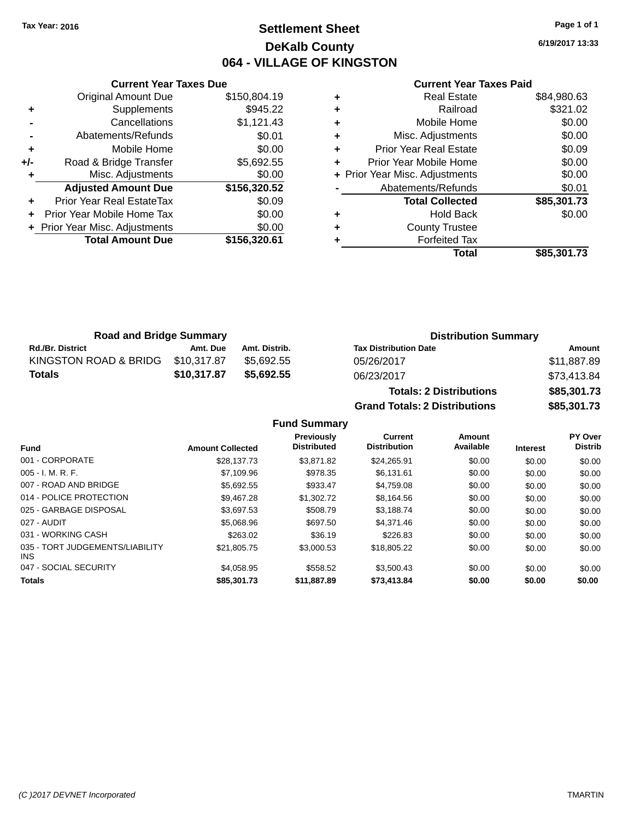# **Settlement Sheet Tax Year: 2016 Page 1 of 1 DeKalb County 064 - VILLAGE OF KINGSTON**

**6/19/2017 13:33**

#### **Current Year Taxes Paid**

|     | <b>Current Year Taxes Due</b>  |              |  |  |  |  |
|-----|--------------------------------|--------------|--|--|--|--|
|     | <b>Original Amount Due</b>     | \$150,804.19 |  |  |  |  |
| ٠   | Supplements                    | \$945.22     |  |  |  |  |
|     | Cancellations                  | \$1,121.43   |  |  |  |  |
|     | Abatements/Refunds             | \$0.01       |  |  |  |  |
| ÷   | Mobile Home                    | \$0.00       |  |  |  |  |
| +/- | Road & Bridge Transfer         | \$5,692.55   |  |  |  |  |
|     | Misc. Adjustments              | \$0.00       |  |  |  |  |
|     | <b>Adjusted Amount Due</b>     | \$156,320.52 |  |  |  |  |
| ٠   | Prior Year Real EstateTax      | \$0.09       |  |  |  |  |
|     | Prior Year Mobile Home Tax     | \$0.00       |  |  |  |  |
|     | + Prior Year Misc. Adjustments | \$0.00       |  |  |  |  |
|     | <b>Total Amount Due</b>        | \$156.320.61 |  |  |  |  |
|     |                                |              |  |  |  |  |

|   | <b>Real Estate</b>             | \$84,980.63 |
|---|--------------------------------|-------------|
| ٠ | Railroad                       | \$321.02    |
| ٠ | Mobile Home                    | \$0.00      |
| ٠ | Misc. Adjustments              | \$0.00      |
| ٠ | <b>Prior Year Real Estate</b>  | \$0.09      |
| ÷ | Prior Year Mobile Home         | \$0.00      |
|   | + Prior Year Misc. Adjustments | \$0.00      |
|   | Abatements/Refunds             | \$0.01      |
|   | <b>Total Collected</b>         | \$85,301.73 |
| ٠ | <b>Hold Back</b>               | \$0.00      |
| ٠ | <b>County Trustee</b>          |             |
| ٠ | <b>Forfeited Tax</b>           |             |
|   | Total                          | \$85,301.73 |
|   |                                |             |

| <b>Road and Bridge Summary</b> |             |               | <b>Distribution Summary</b>                                                                                                                                                                                                    |             |  |
|--------------------------------|-------------|---------------|--------------------------------------------------------------------------------------------------------------------------------------------------------------------------------------------------------------------------------|-------------|--|
| <b>Rd./Br. District</b>        | Amt. Due    | Amt. Distrib. | <b>Tax Distribution Date</b>                                                                                                                                                                                                   | Amount      |  |
| KINGSTON ROAD & BRIDG          | \$10.317.87 | \$5.692.55    | 05/26/2017                                                                                                                                                                                                                     | \$11,887.89 |  |
| Totals                         | \$10,317.87 | \$5.692.55    | 06/23/2017                                                                                                                                                                                                                     | \$73.413.84 |  |
|                                |             |               | The second contract of the second contract of the second contract of the second contract of the second contract of the second contract of the second contract of the second contract of the second contract of the second cont |             |  |

| <b>Totals: 2 Distributions</b>       | \$85,301.73 |
|--------------------------------------|-------------|
| <b>Grand Totals: 2 Distributions</b> | \$85,301.73 |
|                                      |             |

## **Fund Summary**

|                                               |                         | <b>Previously</b>  | <b>Current</b>      | <b>Amount</b> |                 | <b>PY Over</b> |
|-----------------------------------------------|-------------------------|--------------------|---------------------|---------------|-----------------|----------------|
| <b>Fund</b>                                   | <b>Amount Collected</b> | <b>Distributed</b> | <b>Distribution</b> | Available     | <b>Interest</b> | <b>Distrib</b> |
| 001 - CORPORATE                               | \$28,137.73             | \$3,871.82         | \$24.265.91         | \$0.00        | \$0.00          | \$0.00         |
| $005 - I. M. R. F.$                           | \$7,109.96              | \$978.35           | \$6.131.61          | \$0.00        | \$0.00          | \$0.00         |
| 007 - ROAD AND BRIDGE                         | \$5,692.55              | \$933.47           | \$4,759.08          | \$0.00        | \$0.00          | \$0.00         |
| 014 - POLICE PROTECTION                       | \$9.467.28              | \$1,302.72         | \$8,164.56          | \$0.00        | \$0.00          | \$0.00         |
| 025 - GARBAGE DISPOSAL                        | \$3,697.53              | \$508.79           | \$3.188.74          | \$0.00        | \$0.00          | \$0.00         |
| 027 - AUDIT                                   | \$5,068.96              | \$697.50           | \$4,371.46          | \$0.00        | \$0.00          | \$0.00         |
| 031 - WORKING CASH                            | \$263.02                | \$36.19            | \$226.83            | \$0.00        | \$0.00          | \$0.00         |
| 035 - TORT JUDGEMENTS/LIABILITY<br><b>INS</b> | \$21,805.75             | \$3,000.53         | \$18,805.22         | \$0.00        | \$0.00          | \$0.00         |
| 047 - SOCIAL SECURITY                         | \$4.058.95              | \$558.52           | \$3.500.43          | \$0.00        | \$0.00          | \$0.00         |
| <b>Totals</b>                                 | \$85,301.73             | \$11,887.89        | \$73,413,84         | \$0.00        | \$0.00          | \$0.00         |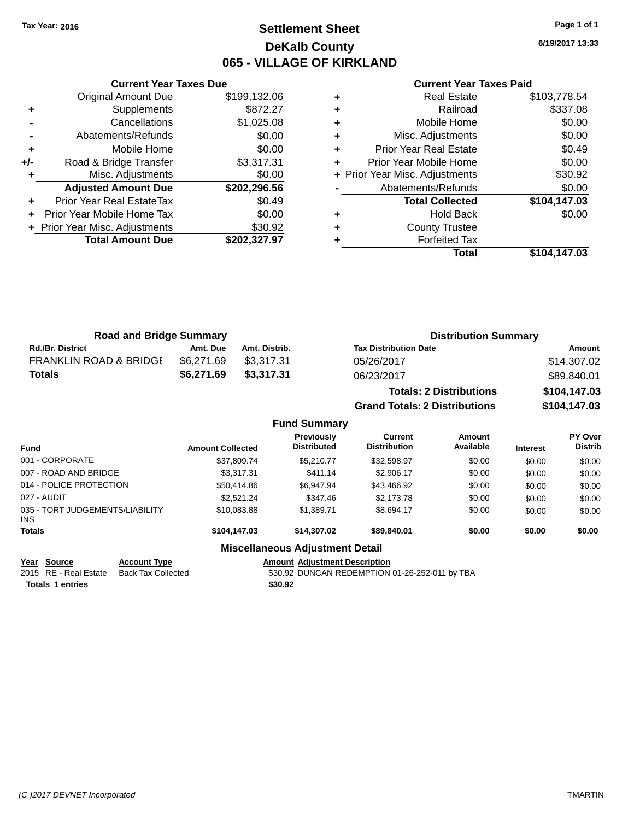# **Settlement Sheet Tax Year: 2016 Page 1 of 1 DeKalb County 065 - VILLAGE OF KIRKLAND**

**6/19/2017 13:33**

|     | <b>Current Year Taxes Due</b>  |              |
|-----|--------------------------------|--------------|
|     | <b>Original Amount Due</b>     | \$199,132.06 |
| ٠   | Supplements                    | \$872.27     |
|     | Cancellations                  | \$1,025.08   |
|     | Abatements/Refunds             | \$0.00       |
| ٠   | Mobile Home                    | \$0.00       |
| +/- | Road & Bridge Transfer         | \$3,317.31   |
|     | Misc. Adjustments              | \$0.00       |
|     | <b>Adjusted Amount Due</b>     | \$202,296.56 |
| ٠   | Prior Year Real EstateTax      | \$0.49       |
|     | Prior Year Mobile Home Tax     | \$0.00       |
|     | + Prior Year Misc. Adjustments | \$30.92      |
|     | <b>Total Amount Due</b>        | \$202.327.97 |
|     |                                |              |

#### **Current Year Taxes Paid**

|   | <b>Real Estate</b>             | \$103,778.54 |
|---|--------------------------------|--------------|
| ٠ | Railroad                       | \$337.08     |
| ٠ | Mobile Home                    | \$0.00       |
| ٠ | Misc. Adjustments              | \$0.00       |
| ٠ | <b>Prior Year Real Estate</b>  | \$0.49       |
|   | Prior Year Mobile Home         | \$0.00       |
|   | + Prior Year Misc. Adjustments | \$30.92      |
|   | Abatements/Refunds             | \$0.00       |
|   | <b>Total Collected</b>         | \$104,147.03 |
| ٠ | <b>Hold Back</b>               | \$0.00       |
| ٠ | <b>County Trustee</b>          |              |
|   | <b>Forfeited Tax</b>           |              |
|   | Total                          | \$104,147.03 |
|   |                                |              |

| <b>Road and Bridge Summary</b>    |            |               | <b>Distribution Summary</b>  |             |
|-----------------------------------|------------|---------------|------------------------------|-------------|
| <b>Rd./Br. District</b>           | Amt. Due   | Amt. Distrib. | <b>Tax Distribution Date</b> | Amount      |
| <b>FRANKLIN ROAD &amp; BRIDGE</b> | \$6.271.69 | \$3.317.31    | 05/26/2017                   | \$14,307.02 |
| <b>Totals</b>                     | \$6,271.69 | \$3.317.31    | 06/23/2017                   | \$89.840.01 |
|                                   |            |               |                              |             |

| <b>Totals: 2 Distributions</b>       | \$104,147.03 |
|--------------------------------------|--------------|
| <b>Grand Totals: 2 Distributions</b> | \$104,147.03 |

# **Fund Summary**

| <b>Fund</b>                             | <b>Amount Collected</b> | Previously<br><b>Distributed</b>       | <b>Current</b><br><b>Distribution</b> | Amount<br>Available | <b>Interest</b> | PY Over<br><b>Distrib</b> |
|-----------------------------------------|-------------------------|----------------------------------------|---------------------------------------|---------------------|-----------------|---------------------------|
| 001 - CORPORATE                         | \$37,809.74             | \$5,210,77                             | \$32,598.97                           | \$0.00              | \$0.00          | \$0.00                    |
| 007 - ROAD AND BRIDGE                   | \$3,317.31              | \$411.14                               | \$2,906.17                            | \$0.00              | \$0.00          | \$0.00                    |
| 014 - POLICE PROTECTION                 | \$50,414.86             | \$6,947.94                             | \$43,466.92                           | \$0.00              | \$0.00          | \$0.00                    |
| 027 - AUDIT                             | \$2,521.24              | \$347.46                               | \$2,173.78                            | \$0.00              | \$0.00          | \$0.00                    |
| 035 - TORT JUDGEMENTS/LIABILITY<br>INS. | \$10.083.88             | \$1,389.71                             | \$8.694.17                            | \$0.00              | \$0.00          | \$0.00                    |
| <b>Totals</b>                           | \$104,147.03            | \$14,307.02                            | \$89,840,01                           | \$0.00              | \$0.00          | \$0.00                    |
|                                         |                         | <b>Miscellaneous Adjustment Detail</b> |                                       |                     |                 |                           |

Amount Adjustment Description<br>\$30.92 DUNCAN REDEMPTION 01-26-252-011 by TBA

**<u>Year Source</u> Account Type<br>
2015 RE - Real Estate Back Tax Collected Totals \$30.92 1 entries**

*(C )2017 DEVNET Incorporated* TMARTIN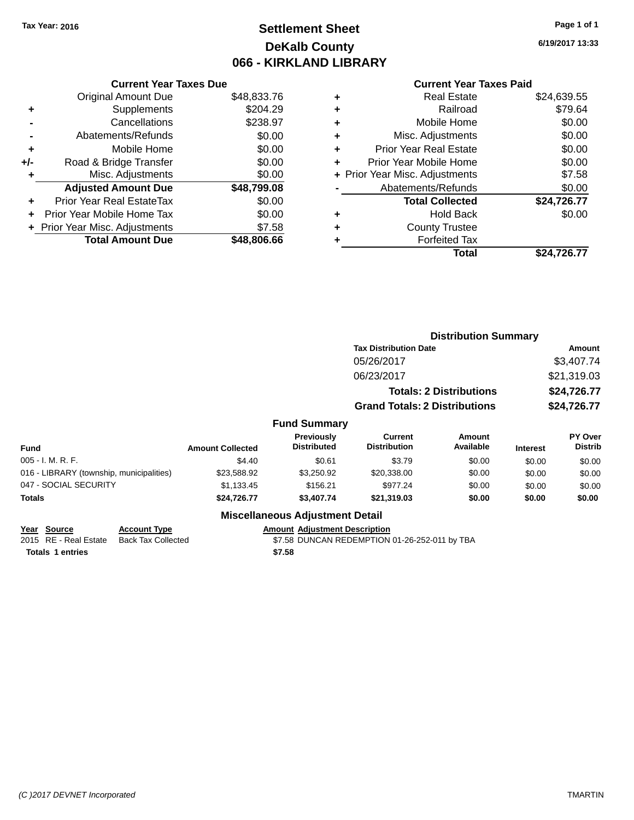# **Settlement Sheet Tax Year: 2016 Page 1 of 1 DeKalb County 066 - KIRKLAND LIBRARY**

**6/19/2017 13:33**

## **Current Year Taxes Paid**

| <b>Original Amount Due</b>     | \$48,833.76                   |
|--------------------------------|-------------------------------|
| Supplements                    | \$204.29                      |
| Cancellations                  | \$238.97                      |
| Abatements/Refunds             | \$0.00                        |
| Mobile Home                    | \$0.00                        |
| Road & Bridge Transfer         | \$0.00                        |
| Misc. Adjustments              | \$0.00                        |
| <b>Adjusted Amount Due</b>     | \$48,799.08                   |
| Prior Year Real EstateTax      | \$0.00                        |
| Prior Year Mobile Home Tax     | \$0.00                        |
| + Prior Year Misc. Adjustments | \$7.58                        |
| <b>Total Amount Due</b>        | \$48,806.66                   |
|                                | <b>Current Year Taxes Due</b> |

|   | <b>Real Estate</b>             | \$24,639.55 |
|---|--------------------------------|-------------|
| ٠ | Railroad                       | \$79.64     |
| ٠ | Mobile Home                    | \$0.00      |
| ٠ | Misc. Adjustments              | \$0.00      |
| ٠ | <b>Prior Year Real Estate</b>  | \$0.00      |
| ٠ | Prior Year Mobile Home         | \$0.00      |
|   | + Prior Year Misc. Adjustments | \$7.58      |
|   | Abatements/Refunds             | \$0.00      |
|   | <b>Total Collected</b>         | \$24,726.77 |
| ٠ | <b>Hold Back</b>               | \$0.00      |
| ٠ | <b>County Trustee</b>          |             |
| ٠ | <b>Forfeited Tax</b>           |             |
|   | Total                          | \$24,726.77 |
|   |                                |             |

|      |                                         |                                       | <b>Distribution Summary</b>    |                 |                                  |
|------|-----------------------------------------|---------------------------------------|--------------------------------|-----------------|----------------------------------|
|      |                                         | <b>Tax Distribution Date</b>          |                                |                 | Amount                           |
|      |                                         | 05/26/2017                            |                                |                 | \$3,407.74                       |
|      |                                         | 06/23/2017                            |                                |                 | \$21,319.03                      |
|      |                                         |                                       | <b>Totals: 2 Distributions</b> |                 | \$24,726.77                      |
|      |                                         | <b>Grand Totals: 2 Distributions</b>  |                                |                 | \$24,726.77                      |
|      | <b>Fund Summary</b>                     |                                       |                                |                 |                                  |
| :ted | <b>Previously</b><br><b>Distributed</b> | <b>Current</b><br><b>Distribution</b> | Amount<br>Available            | <b>Interest</b> | <b>PY Over</b><br><b>Distrib</b> |

| <b>Fund</b>                              | <b>Amount Collected</b> | <b>Previousiv</b><br><b>Distributed</b> | Current<br><b>Distribution</b> | Amount<br>Available | <b>Interest</b> | <b>PT OVER</b><br><b>Distrib</b> |
|------------------------------------------|-------------------------|-----------------------------------------|--------------------------------|---------------------|-----------------|----------------------------------|
| $005 - I. M. R. F.$                      | \$4.40                  | \$0.61                                  | \$3.79                         | \$0.00              | \$0.00          | \$0.00                           |
| 016 - LIBRARY (township, municipalities) | \$23.588.92             | \$3.250.92                              | \$20,338,00                    | \$0.00              | \$0.00          | \$0.00                           |
| 047 - SOCIAL SECURITY                    | \$1.133.45              | \$156.21                                | \$977.24                       | \$0.00              | \$0.00          | \$0.00                           |
| <b>Totals</b>                            | \$24.726.77             | \$3.407.74                              | \$21,319.03                    | \$0.00              | \$0.00          | \$0.00                           |

| Year Source           | <b>Account Type</b> | <b>Amount Adiustment Description</b>          |
|-----------------------|---------------------|-----------------------------------------------|
| 2015 RE - Real Estate | Back Tax Collected  | \$7.58 DUNCAN REDEMPTION 01-26-252-011 by TBA |
| Totals 1 entries      |                     | \$7.58                                        |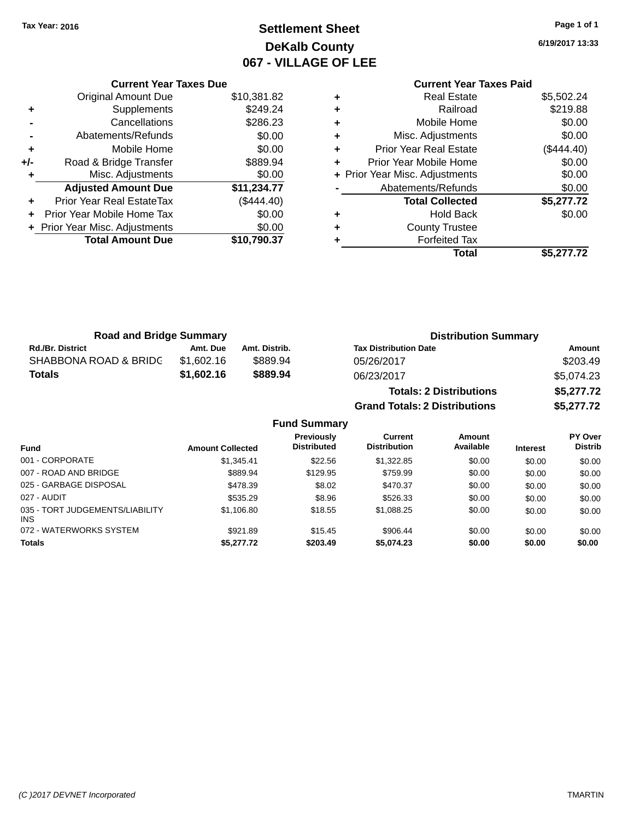# **Settlement Sheet Tax Year: 2016 Page 1 of 1 DeKalb County 067 - VILLAGE OF LEE**

**6/19/2017 13:33**

# **Current Year Taxes Paid**

|     | <b>Current Year Taxes Due</b>  |             |
|-----|--------------------------------|-------------|
|     | <b>Original Amount Due</b>     | \$10,381.82 |
| ٠   | Supplements                    | \$249.24    |
|     | Cancellations                  | \$286.23    |
|     | Abatements/Refunds             | \$0.00      |
| ٠   | Mobile Home                    | \$0.00      |
| +/- | Road & Bridge Transfer         | \$889.94    |
|     | Misc. Adjustments              | \$0.00      |
|     | <b>Adjusted Amount Due</b>     | \$11,234.77 |
| ÷   | Prior Year Real EstateTax      | (\$444.40)  |
| ٠   | Prior Year Mobile Home Tax     | \$0.00      |
|     | + Prior Year Misc. Adjustments | \$0.00      |
|     | <b>Total Amount Due</b>        | \$10,790.37 |
|     |                                |             |

| ٠ | <b>Real Estate</b>             | \$5,502.24   |
|---|--------------------------------|--------------|
| ٠ | Railroad                       | \$219.88     |
| ٠ | Mobile Home                    | \$0.00       |
| ٠ | Misc. Adjustments              | \$0.00       |
| ٠ | Prior Year Real Estate         | $(\$444.40)$ |
| ٠ | Prior Year Mobile Home         | \$0.00       |
|   | + Prior Year Misc. Adjustments | \$0.00       |
|   | Abatements/Refunds             | \$0.00       |
|   | <b>Total Collected</b>         | \$5,277.72   |
| ٠ | <b>Hold Back</b>               | \$0.00       |
|   | <b>County Trustee</b>          |              |
| ٠ | <b>Forfeited Tax</b>           |              |
|   | Total                          | \$5,277.72   |
|   |                                |              |

**Grand Totals: 2 Distributions \$5,277.72**

| <b>Road and Bridge Summary</b> |            |               | <b>Distribution Summary</b>    |            |  |
|--------------------------------|------------|---------------|--------------------------------|------------|--|
| <b>Rd./Br. District</b>        | Amt. Due   | Amt. Distrib. | <b>Tax Distribution Date</b>   | Amount     |  |
| SHABBONA ROAD & BRIDC          | \$1.602.16 | \$889.94      | 05/26/2017                     | \$203.49   |  |
| <b>Totals</b>                  | \$1,602.16 | \$889.94      | 06/23/2017                     | \$5.074.23 |  |
|                                |            |               | <b>Totals: 2 Distributions</b> | \$5,277.72 |  |

**Fund Summary Fund Interest Amount Collected Distributed PY Over Distrib Amount Available Current Distribution Previously** 001 - CORPORATE 60.00 \$1,345.41 \$1,345.41 \$22.56 \$1,322.85 \$0.00 \$0.00 \$0.00 \$0.00 007 - ROAD AND BRIDGE 60.00 \$889.94 \$129.95 \$759.99 \$0.00 \$0.00 \$0.00 \$0.00 025 - GARBAGE DISPOSAL \$478.39 \$470.37 \$0.00 \$0.00 \$0.00 \$0.00 027 - AUDIT \$535.29 \$8.96 \$526.33 \$0.00 \$0.00 \$0.00 035 - TORT JUDGEMENTS/LIABILITY INS \$1,106.80 \$18.55 \$1,088.25 \$0.00 \$0.00 \$0.00 072 - WATERWORKS SYSTEM \$921.89 \$15.45 \$906.44 \$0.00 \$0.00 \$0.00 \$0.00 **Totals \$5,277.72 \$203.49 \$5,074.23 \$0.00 \$0.00 \$0.00**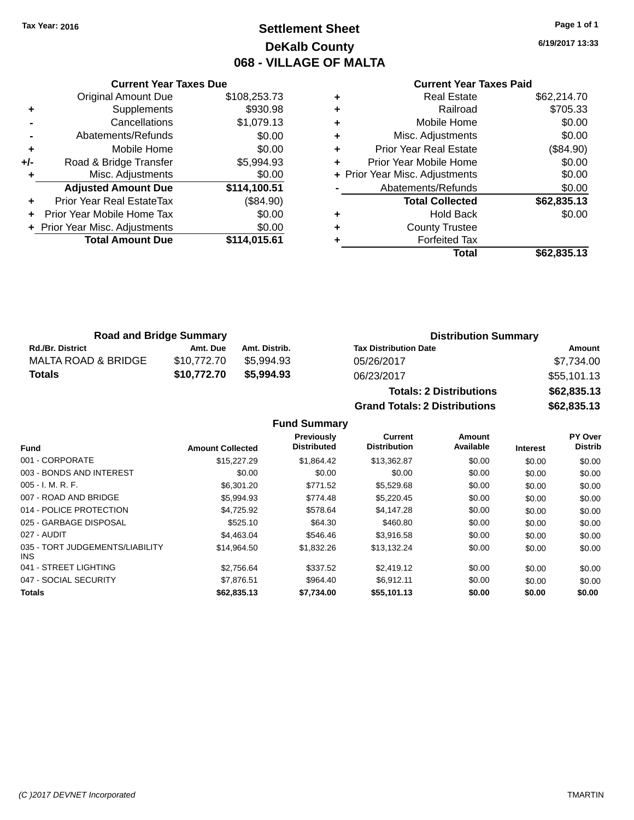# **Settlement Sheet Tax Year: 2016 Page 1 of 1 DeKalb County 068 - VILLAGE OF MALTA**

**6/19/2017 13:33**

## **Current Year Taxes Paid**

|       | <b>Current Year Taxes Due</b>  |              |
|-------|--------------------------------|--------------|
|       | <b>Original Amount Due</b>     | \$108,253.73 |
| ٠     | Supplements                    | \$930.98     |
|       | Cancellations                  | \$1,079.13   |
|       | Abatements/Refunds             | \$0.00       |
| ٠     | Mobile Home                    | \$0.00       |
| $+/-$ | Road & Bridge Transfer         | \$5,994.93   |
| ٠     | Misc. Adjustments              | \$0.00       |
|       | <b>Adjusted Amount Due</b>     | \$114,100.51 |
|       | Prior Year Real EstateTax      | (\$84.90)    |
|       | Prior Year Mobile Home Tax     | \$0.00       |
|       | + Prior Year Misc. Adjustments | \$0.00       |
|       | <b>Total Amount Due</b>        | \$114,015.61 |
|       |                                |              |

|   | <b>Real Estate</b>             | \$62,214.70 |
|---|--------------------------------|-------------|
| ٠ | Railroad                       | \$705.33    |
| ٠ | Mobile Home                    | \$0.00      |
| ٠ | Misc. Adjustments              | \$0.00      |
| ٠ | Prior Year Real Estate         | (\$84.90)   |
| ÷ | Prior Year Mobile Home         | \$0.00      |
|   | + Prior Year Misc. Adjustments | \$0.00      |
|   | Abatements/Refunds             | \$0.00      |
|   | <b>Total Collected</b>         | \$62,835.13 |
| ٠ | <b>Hold Back</b>               | \$0.00      |
| ٠ | <b>County Trustee</b>          |             |
| ٠ | <b>Forfeited Tax</b>           |             |
|   | Total                          | \$62,835.13 |
|   |                                |             |

| <b>Road and Bridge Summary</b> |             |               | <b>Distribution Summary</b>  |             |  |
|--------------------------------|-------------|---------------|------------------------------|-------------|--|
| <b>Rd./Br. District</b>        | Amt. Due    | Amt. Distrib. | <b>Tax Distribution Date</b> | Amount      |  |
| MALTA ROAD & BRIDGE            | \$10.772.70 | \$5.994.93    | 05/26/2017                   | \$7,734.00  |  |
| <b>Totals</b>                  | \$10.772.70 | \$5,994.93    | 06/23/2017                   | \$55,101.13 |  |

| <b>Totals: 2 Distributions</b> | \$62,835.13 |
|--------------------------------|-------------|
| Grand Totals: 2 Distributions  | \$62,835.13 |

## **Fund Summary**

|                                               |                         | Previously<br><b>Distributed</b> | Current<br><b>Distribution</b> | Amount<br>Available |                 | PY Over<br><b>Distrib</b> |
|-----------------------------------------------|-------------------------|----------------------------------|--------------------------------|---------------------|-----------------|---------------------------|
| <b>Fund</b>                                   | <b>Amount Collected</b> |                                  |                                |                     | <b>Interest</b> |                           |
| 001 - CORPORATE                               | \$15,227.29             | \$1.864.42                       | \$13,362.87                    | \$0.00              | \$0.00          | \$0.00                    |
| 003 - BONDS AND INTEREST                      | \$0.00                  | \$0.00                           | \$0.00                         | \$0.00              | \$0.00          | \$0.00                    |
| $005 - I. M. R. F.$                           | \$6,301.20              | \$771.52                         | \$5,529.68                     | \$0.00              | \$0.00          | \$0.00                    |
| 007 - ROAD AND BRIDGE                         | \$5,994.93              | \$774.48                         | \$5,220.45                     | \$0.00              | \$0.00          | \$0.00                    |
| 014 - POLICE PROTECTION                       | \$4.725.92              | \$578.64                         | \$4,147.28                     | \$0.00              | \$0.00          | \$0.00                    |
| 025 - GARBAGE DISPOSAL                        | \$525.10                | \$64.30                          | \$460.80                       | \$0.00              | \$0.00          | \$0.00                    |
| 027 - AUDIT                                   | \$4.463.04              | \$546.46                         | \$3.916.58                     | \$0.00              | \$0.00          | \$0.00                    |
| 035 - TORT JUDGEMENTS/LIABILITY<br><b>INS</b> | \$14.964.50             | \$1,832.26                       | \$13.132.24                    | \$0.00              | \$0.00          | \$0.00                    |
| 041 - STREET LIGHTING                         | \$2.756.64              | \$337.52                         | \$2.419.12                     | \$0.00              | \$0.00          | \$0.00                    |
| 047 - SOCIAL SECURITY                         | \$7.876.51              | \$964.40                         | \$6.912.11                     | \$0.00              | \$0.00          | \$0.00                    |
| <b>Totals</b>                                 | \$62,835.13             | \$7,734.00                       | \$55,101.13                    | \$0.00              | \$0.00          | \$0.00                    |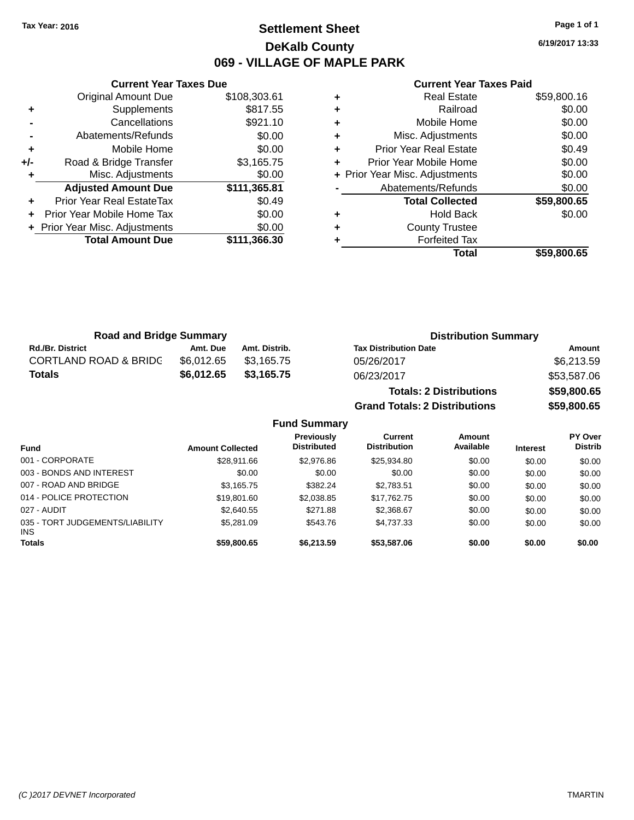# **Settlement Sheet Tax Year: 2016 Page 1 of 1 DeKalb County 069 - VILLAGE OF MAPLE PARK**

**6/19/2017 13:33**

#### **Current Year Taxes Paid**

|     | Original Amount Due            | \$108,303.61 |
|-----|--------------------------------|--------------|
| ٠   | Supplements                    | \$817.55     |
|     | Cancellations                  | \$921.10     |
|     | Abatements/Refunds             | \$0.00       |
| ٠   | Mobile Home                    | \$0.00       |
| +/- | Road & Bridge Transfer         | \$3,165.75   |
|     | Misc. Adjustments              | \$0.00       |
|     | <b>Adjusted Amount Due</b>     | \$111,365.81 |
|     | Prior Year Real EstateTax      | \$0.49       |
|     | Prior Year Mobile Home Tax     | \$0.00       |
|     | + Prior Year Misc. Adjustments | \$0.00       |
|     | <b>Total Amount Due</b>        | \$111,366.30 |
|     |                                |              |

**Current Year Taxes Due**

| ٠ | <b>Real Estate</b>             | \$59,800.16 |
|---|--------------------------------|-------------|
| ٠ | Railroad                       | \$0.00      |
| ٠ | Mobile Home                    | \$0.00      |
| ٠ | Misc. Adjustments              | \$0.00      |
| ٠ | <b>Prior Year Real Estate</b>  | \$0.49      |
| ٠ | Prior Year Mobile Home         | \$0.00      |
|   | + Prior Year Misc. Adjustments | \$0.00      |
|   | Abatements/Refunds             | \$0.00      |
|   | <b>Total Collected</b>         | \$59,800.65 |
| ٠ | <b>Hold Back</b>               | \$0.00      |
| ٠ | <b>County Trustee</b>          |             |
|   | <b>Forfeited Tax</b>           |             |
|   | Total                          | \$59,800,65 |

**Grand Totals: 2 Distributions \$59,800.65**

| <b>Road and Bridge Summary</b>   |            |               | <b>Distribution Summary</b>    |             |  |
|----------------------------------|------------|---------------|--------------------------------|-------------|--|
| <b>Rd./Br. District</b>          | Amt. Due   | Amt. Distrib. | <b>Tax Distribution Date</b>   | Amount      |  |
| <b>CORTLAND ROAD &amp; BRIDG</b> | \$6.012.65 | \$3.165.75    | 05/26/2017                     | \$6,213.59  |  |
| <b>Totals</b>                    | \$6,012.65 | \$3,165.75    | 06/23/2017                     | \$53,587.06 |  |
|                                  |            |               | <b>Totals: 2 Distributions</b> | \$59,800.65 |  |

**Fund Summary Fund Interest Amount Collected Distributed PY Over Distrib Amount Available Current Distribution Previously** 001 - CORPORATE \$28,911.66 \$2,976.86 \$25,934.80 \$0.00 \$0.00 \$0.00 003 - BONDS AND INTEREST  $$0.00$   $$0.00$   $$0.00$   $$0.00$   $$0.00$   $$0.00$   $$0.00$   $$0.00$ 007 - ROAD AND BRIDGE \$3,165.75 \$382.24 \$2,783.51 \$0.00 \$0.00 \$0.00 \$0.00 014 - POLICE PROTECTION \$19,801.60 \$2,038.85 \$17,762.75 \$0.00 \$0.00 \$0.00 \$0.00 027 - AUDIT \$2,640.55 \$271.88 \$2,368.67 \$0.00 \$0.00 \$0.00 035 - TORT JUDGEMENTS/LIABILITY INS \$5,281.09 \$543.76 \$4,737.33 \$0.00 \$0.00 \$0.00 **Totals \$59,800.65 \$6,213.59 \$53,587.06 \$0.00 \$0.00 \$0.00**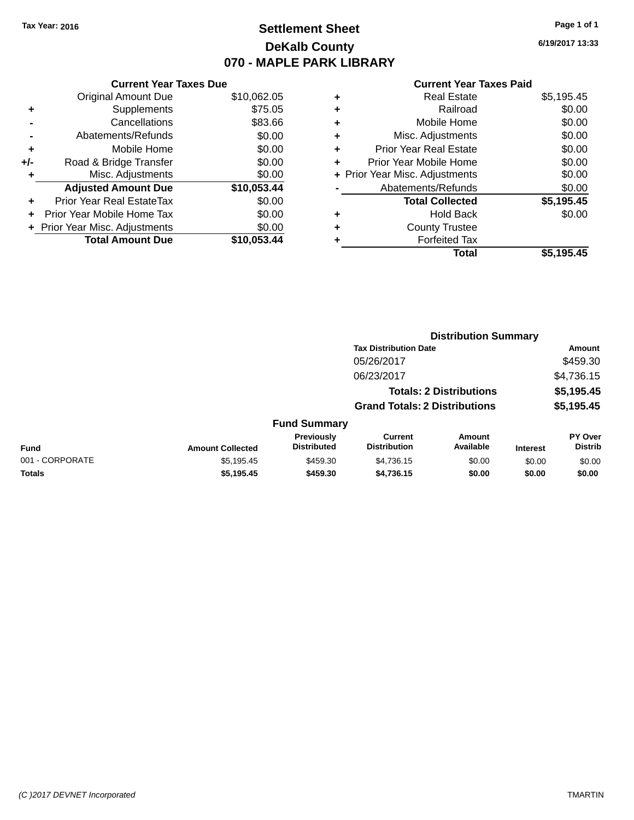# **Settlement Sheet Tax Year: 2016 Page 1 of 1 DeKalb County 070 - MAPLE PARK LIBRARY**

**6/19/2017 13:33**

#### **Current Year Taxes Paid**

| \$10,062.05 |
|-------------|
| \$75.05     |
| \$83.66     |
| \$0.00      |
| \$0.00      |
| \$0.00      |
| \$0.00      |
| \$10,053.44 |
| \$0.00      |
| \$0.00      |
| \$0.00      |
| \$10,053,44 |
|             |

|   | <b>Real Estate</b>             | \$5,195.45 |
|---|--------------------------------|------------|
| ٠ | Railroad                       | \$0.00     |
| ٠ | Mobile Home                    | \$0.00     |
| ٠ | Misc. Adjustments              | \$0.00     |
| ٠ | <b>Prior Year Real Estate</b>  | \$0.00     |
| ٠ | Prior Year Mobile Home         | \$0.00     |
|   | + Prior Year Misc. Adjustments | \$0.00     |
|   | Abatements/Refunds             | \$0.00     |
|   | <b>Total Collected</b>         | \$5,195.45 |
| ٠ | <b>Hold Back</b>               | \$0.00     |
| ٠ | <b>County Trustee</b>          |            |
| ٠ | <b>Forfeited Tax</b>           |            |
|   | Total                          | \$5,195.45 |
|   |                                |            |

|                 |                         |                                  | <b>Distribution Summary</b>           |                                |                 |                           |  |
|-----------------|-------------------------|----------------------------------|---------------------------------------|--------------------------------|-----------------|---------------------------|--|
|                 |                         |                                  | <b>Tax Distribution Date</b>          |                                |                 | <b>Amount</b>             |  |
|                 |                         |                                  | 05/26/2017                            |                                |                 | \$459.30                  |  |
|                 |                         |                                  | 06/23/2017                            |                                |                 | \$4,736.15                |  |
|                 |                         |                                  |                                       | <b>Totals: 2 Distributions</b> |                 | \$5,195.45                |  |
|                 |                         |                                  | <b>Grand Totals: 2 Distributions</b>  |                                |                 | \$5,195.45                |  |
|                 |                         | <b>Fund Summary</b>              |                                       |                                |                 |                           |  |
| <b>Fund</b>     | <b>Amount Collected</b> | Previously<br><b>Distributed</b> | <b>Current</b><br><b>Distribution</b> | Amount<br>Available            | <b>Interest</b> | PY Over<br><b>Distrib</b> |  |
| 001 - CORPORATE | \$5,195.45              | \$459.30                         | \$4,736.15                            | \$0.00                         | \$0.00          | \$0.00                    |  |
| <b>Totals</b>   | \$5,195.45              | \$459.30                         | \$4,736.15                            | \$0.00                         | \$0.00          | \$0.00                    |  |
|                 |                         |                                  |                                       |                                |                 |                           |  |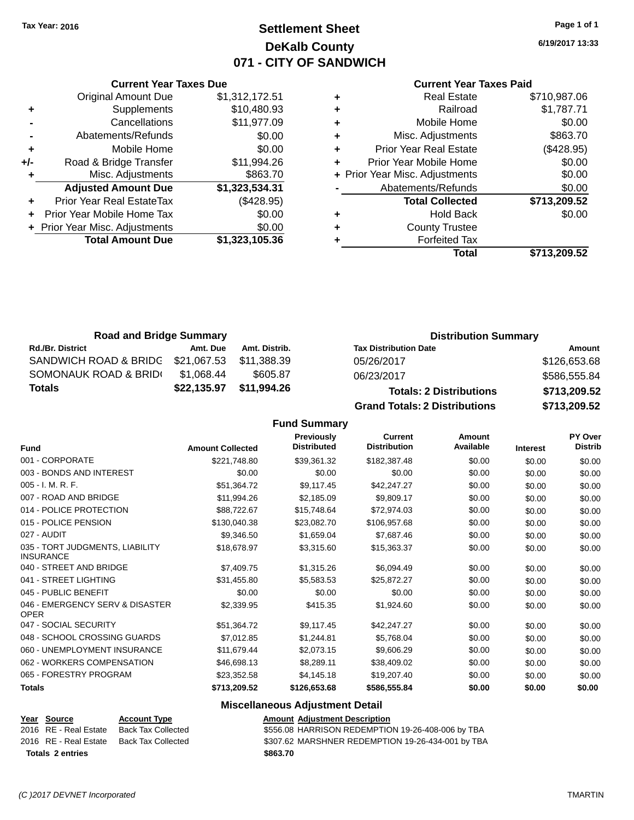# **Settlement Sheet Tax Year: 2016 Page 1 of 1 DeKalb County 071 - CITY OF SANDWICH**

**6/19/2017 13:33**

#### **Current Year Taxes Paid**

|   | <b>Real Estate</b>             | \$710,987.06 |
|---|--------------------------------|--------------|
| ٠ | Railroad                       | \$1,787.71   |
| ٠ | Mobile Home                    | \$0.00       |
| ٠ | Misc. Adjustments              | \$863.70     |
| ٠ | <b>Prior Year Real Estate</b>  | (\$428.95)   |
| ٠ | Prior Year Mobile Home         | \$0.00       |
|   | + Prior Year Misc. Adjustments | \$0.00       |
|   | Abatements/Refunds             | \$0.00       |
|   | <b>Total Collected</b>         | \$713,209.52 |
| ٠ | <b>Hold Back</b>               | \$0.00       |
| ٠ | <b>County Trustee</b>          |              |
|   | <b>Forfeited Tax</b>           |              |
|   | Total                          | \$713,209.52 |
|   |                                |              |

| ÷         | Mobile Home                    | \$0.00         |        |
|-----------|--------------------------------|----------------|--------|
| +/-       | Road & Bridge Transfer         | \$11,994.26    |        |
| $\ddot{}$ | Misc. Adjustments              | \$863.70       | + Prio |
|           | <b>Adjusted Amount Due</b>     | \$1,323,534.31 |        |
|           | Prior Year Real EstateTax      | (\$428.95)     |        |
|           | Prior Year Mobile Home Tax     | \$0.00         |        |
|           | + Prior Year Misc. Adjustments | \$0.00         |        |
|           | <b>Total Amount Due</b>        | \$1,323,105.36 |        |
|           |                                |                |        |
|           |                                |                |        |

**Current Year Taxes Due** Original Amount Due \$1,312,172.51

Abatements/Refunds \$0.00

**+** Supplements \$10,480.93 **-** Cancellations \$11,977.09

| <b>Road and Bridge Summary</b>    |             |               | <b>Distribution Summary</b>          |              |  |
|-----------------------------------|-------------|---------------|--------------------------------------|--------------|--|
| <b>Rd./Br. District</b>           | Amt. Due    | Amt. Distrib. | <b>Tax Distribution Date</b>         | Amount       |  |
| SANDWICH ROAD & BRIDG \$21,067.53 |             | \$11,388.39   | 05/26/2017                           | \$126,653.68 |  |
| SOMONAUK ROAD & BRID(             | \$1.068.44  | \$605.87      | 06/23/2017                           | \$586,555.84 |  |
| <b>Totals</b>                     | \$22,135.97 | \$11,994.26   | <b>Totals: 2 Distributions</b>       | \$713,209.52 |  |
|                                   |             |               | <b>Grand Totals: 2 Distributions</b> | \$713,209.52 |  |

## **Fund Summary**

| <b>Fund</b>                                         | <b>Amount Collected</b> | Previously<br><b>Distributed</b> | Current<br><b>Distribution</b> | Amount<br>Available | <b>Interest</b> | PY Over<br><b>Distrib</b> |
|-----------------------------------------------------|-------------------------|----------------------------------|--------------------------------|---------------------|-----------------|---------------------------|
| 001 - CORPORATE                                     | \$221,748.80            | \$39,361.32                      | \$182,387.48                   | \$0.00              | \$0.00          | \$0.00                    |
| 003 - BONDS AND INTEREST                            | \$0.00                  | \$0.00                           | \$0.00                         | \$0.00              | \$0.00          | \$0.00                    |
| $005 - I. M. R. F.$                                 | \$51,364.72             | \$9,117.45                       | \$42,247.27                    | \$0.00              | \$0.00          | \$0.00                    |
| 007 - ROAD AND BRIDGE                               | \$11,994.26             | \$2,185.09                       | \$9,809.17                     | \$0.00              | \$0.00          | \$0.00                    |
| 014 - POLICE PROTECTION                             | \$88,722.67             | \$15,748.64                      | \$72,974.03                    | \$0.00              | \$0.00          | \$0.00                    |
| 015 - POLICE PENSION                                | \$130,040.38            | \$23,082.70                      | \$106,957.68                   | \$0.00              | \$0.00          | \$0.00                    |
| 027 - AUDIT                                         | \$9,346.50              | \$1,659.04                       | \$7,687.46                     | \$0.00              | \$0.00          | \$0.00                    |
| 035 - TORT JUDGMENTS, LIABILITY<br><b>INSURANCE</b> | \$18,678.97             | \$3,315.60                       | \$15,363.37                    | \$0.00              | \$0.00          | \$0.00                    |
| 040 - STREET AND BRIDGE                             | \$7,409.75              | \$1,315.26                       | \$6,094.49                     | \$0.00              | \$0.00          | \$0.00                    |
| 041 - STREET LIGHTING                               | \$31,455.80             | \$5,583.53                       | \$25,872.27                    | \$0.00              | \$0.00          | \$0.00                    |
| 045 - PUBLIC BENEFIT                                | \$0.00                  | \$0.00                           | \$0.00                         | \$0.00              | \$0.00          | \$0.00                    |
| 046 - EMERGENCY SERV & DISASTER<br><b>OPER</b>      | \$2,339.95              | \$415.35                         | \$1,924.60                     | \$0.00              | \$0.00          | \$0.00                    |
| 047 - SOCIAL SECURITY                               | \$51,364.72             | \$9,117.45                       | \$42,247.27                    | \$0.00              | \$0.00          | \$0.00                    |
| 048 - SCHOOL CROSSING GUARDS                        | \$7,012.85              | \$1,244.81                       | \$5,768.04                     | \$0.00              | \$0.00          | \$0.00                    |
| 060 - UNEMPLOYMENT INSURANCE                        | \$11,679.44             | \$2,073.15                       | \$9,606.29                     | \$0.00              | \$0.00          | \$0.00                    |
| 062 - WORKERS COMPENSATION                          | \$46,698.13             | \$8,289.11                       | \$38,409.02                    | \$0.00              | \$0.00          | \$0.00                    |
| 065 - FORESTRY PROGRAM                              | \$23,352.58             | \$4,145.18                       | \$19,207.40                    | \$0.00              | \$0.00          | \$0.00                    |
| <b>Totals</b>                                       | \$713,209.52            | \$126,653.68                     | \$586,555.84                   | \$0.00              | \$0.00          | \$0.00                    |

## **Miscellaneous Adjustment Detail**

#### **Year Source Account Type Amount Adjustment Description** 2016 RE - Real Estate Back Tax Collected \$556.08 HARRISON REDEMPTION 19-26-408-006 by TBA 2016 RE - Real Estate Back Tax Collected \$307.62 MARSHNER REDEMPTION 19-26-434-001 by TBA **Totals \$863.70 2 entries**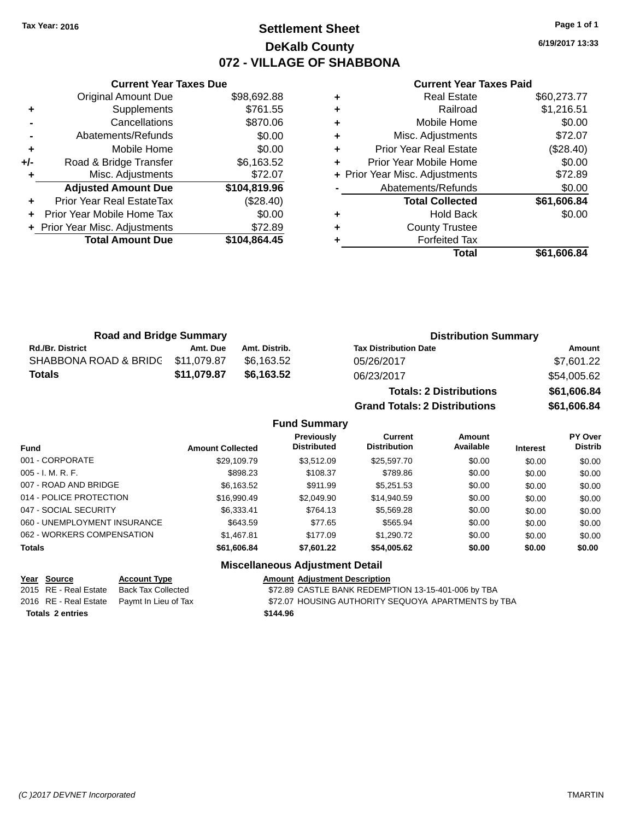# **Settlement Sheet Tax Year: 2016 Page 1 of 1 DeKalb County 072 - VILLAGE OF SHABBONA**

**6/19/2017 13:33**

#### **Current Year Taxes Paid**

|     | <b>Original Amount Due</b>     | \$98,692.88  |
|-----|--------------------------------|--------------|
| ٠   | Supplements                    | \$761.55     |
|     | Cancellations                  | \$870.06     |
|     | Abatements/Refunds             | \$0.00       |
| ٠   | Mobile Home                    | \$0.00       |
| +/- | Road & Bridge Transfer         | \$6,163.52   |
|     | Misc. Adjustments              | \$72.07      |
|     | <b>Adjusted Amount Due</b>     | \$104,819.96 |
| ÷   | Prior Year Real EstateTax      | (\$28.40)    |
| ٠   | Prior Year Mobile Home Tax     | \$0.00       |
|     | + Prior Year Misc. Adjustments | \$72.89      |
|     | <b>Total Amount Due</b>        | \$104,864.45 |
|     |                                |              |

**Current Year Taxes Due**

| <b>Real Estate</b>             | \$60,273.77 |
|--------------------------------|-------------|
| Railroad                       | \$1,216.51  |
| Mobile Home                    | \$0.00      |
| Misc. Adjustments              | \$72.07     |
| <b>Prior Year Real Estate</b>  | (\$28.40)   |
| Prior Year Mobile Home         | \$0.00      |
| + Prior Year Misc. Adjustments | \$72.89     |
| Abatements/Refunds             | \$0.00      |
| <b>Total Collected</b>         | \$61,606.84 |
| Hold Back                      | \$0.00      |
| <b>County Trustee</b>          |             |
| <b>Forfeited Tax</b>           |             |
| Total                          | \$61,606.84 |
|                                |             |

| <b>Road and Bridge Summary</b> |             |               | <b>Distribution Summary</b>    |             |  |
|--------------------------------|-------------|---------------|--------------------------------|-------------|--|
| <b>Rd./Br. District</b>        | Amt. Due    | Amt. Distrib. | <b>Tax Distribution Date</b>   | Amount      |  |
| SHABBONA ROAD & BRIDC          | \$11,079.87 | \$6.163.52    | 05/26/2017                     | \$7,601.22  |  |
| Totals                         | \$11,079.87 | \$6,163.52    | 06/23/2017                     | \$54,005.62 |  |
|                                |             |               | <b>Totals: 2 Distributions</b> | \$61,606.84 |  |

**Grand Totals: 2 Distributions \$61,606.84**

| <b>2 Distributions</b> |  |
|------------------------|--|
|                        |  |

|                              |                         | <b>Fund Summary</b>              |                                       |                            |                 |                                  |
|------------------------------|-------------------------|----------------------------------|---------------------------------------|----------------------------|-----------------|----------------------------------|
| <b>Fund</b>                  | <b>Amount Collected</b> | Previously<br><b>Distributed</b> | <b>Current</b><br><b>Distribution</b> | <b>Amount</b><br>Available | <b>Interest</b> | <b>PY Over</b><br><b>Distrib</b> |
| 001 - CORPORATE              | \$29.109.79             | \$3.512.09                       | \$25.597.70                           | \$0.00                     | \$0.00          | \$0.00                           |
| 005 - I. M. R. F.            | \$898.23                | \$108.37                         | \$789.86                              | \$0.00                     | \$0.00          | \$0.00                           |
| 007 - ROAD AND BRIDGE        | \$6,163.52              | \$911.99                         | \$5.251.53                            | \$0.00                     | \$0.00          | \$0.00                           |
| 014 - POLICE PROTECTION      | \$16,990.49             | \$2,049.90                       | \$14,940.59                           | \$0.00                     | \$0.00          | \$0.00                           |
| 047 - SOCIAL SECURITY        | \$6.333.41              | \$764.13                         | \$5,569.28                            | \$0.00                     | \$0.00          | \$0.00                           |
| 060 - UNEMPLOYMENT INSURANCE | \$643.59                | \$77.65                          | \$565.94                              | \$0.00                     | \$0.00          | \$0.00                           |
| 062 - WORKERS COMPENSATION   | \$1,467.81              | \$177.09                         | \$1,290.72                            | \$0.00                     | \$0.00          | \$0.00                           |
| <b>Totals</b>                | \$61,606.84             | \$7,601.22                       | \$54,005.62                           | \$0.00                     | \$0.00          | \$0.00                           |
|                              | --- --                  |                                  |                                       |                            |                 |                                  |

# **Miscellaneous Adjustment Detail**

**Year Source Account Type Account Type Amount Adjustment Description**<br>2015 RE - Real Estate Back Tax Collected \$72.89 CASTLE BANK REDEMP \$72.89 CASTLE BANK REDEMPTION 13-15-401-006 by TBA 2016 RE - Real Estate Paymt In Lieu of Tax S72.07 HOUSING AUTHORITY SEQUOYA APARTMENTS by TBA **Totals \$144.96 2 entries**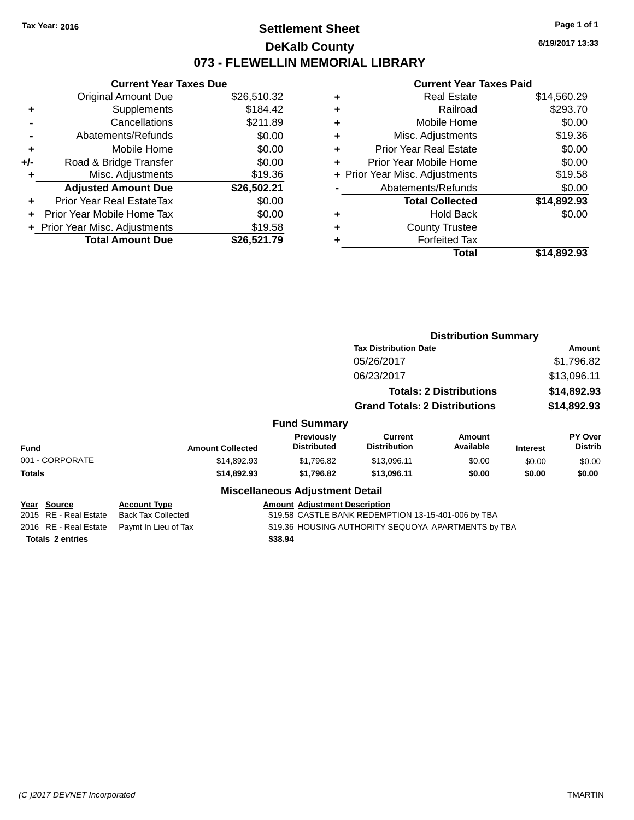# **Settlement Sheet Tax Year: 2016 Page 1 of 1 DeKalb County 073 - FLEWELLIN MEMORIAL LIBRARY**

**6/19/2017 13:33**

#### **Current Year Taxes Paid**

|     | <b>Current Year Taxes Due</b>    |             |  |  |  |  |  |
|-----|----------------------------------|-------------|--|--|--|--|--|
|     | <b>Original Amount Due</b>       | \$26,510.32 |  |  |  |  |  |
| ٠   | Supplements                      | \$184.42    |  |  |  |  |  |
|     | Cancellations                    | \$211.89    |  |  |  |  |  |
|     | Abatements/Refunds               | \$0.00      |  |  |  |  |  |
| ٠   | Mobile Home                      | \$0.00      |  |  |  |  |  |
| +/- | Road & Bridge Transfer           | \$0.00      |  |  |  |  |  |
| ٠   | Misc. Adjustments                | \$19.36     |  |  |  |  |  |
|     | <b>Adjusted Amount Due</b>       | \$26,502.21 |  |  |  |  |  |
| ÷   | <b>Prior Year Real EstateTax</b> | \$0.00      |  |  |  |  |  |
|     | Prior Year Mobile Home Tax       | \$0.00      |  |  |  |  |  |
|     | + Prior Year Misc. Adjustments   | \$19.58     |  |  |  |  |  |
|     | <b>Total Amount Due</b>          | \$26.521.79 |  |  |  |  |  |

|   | Total                          | \$14,892.93 |
|---|--------------------------------|-------------|
| ٠ | <b>Forfeited Tax</b>           |             |
| ٠ | <b>County Trustee</b>          |             |
| ٠ | Hold Back                      | \$0.00      |
|   | <b>Total Collected</b>         | \$14,892.93 |
|   | Abatements/Refunds             | \$0.00      |
|   | + Prior Year Misc. Adjustments | \$19.58     |
| ٠ | Prior Year Mobile Home         | \$0.00      |
| ÷ | <b>Prior Year Real Estate</b>  | \$0.00      |
| ٠ | Misc. Adjustments              | \$19.36     |
| ÷ | Mobile Home                    | \$0.00      |
| ٠ | Railroad                       | \$293.70    |
| ٠ | <b>Real Estate</b>             | \$14,560.29 |
|   |                                |             |

|                         |                              |                                                     | <b>Distribution Summary</b>    |                     |                            |                           |  |  |
|-------------------------|------------------------------|-----------------------------------------------------|--------------------------------|---------------------|----------------------------|---------------------------|--|--|
|                         | <b>Tax Distribution Date</b> |                                                     |                                |                     | Amount<br>\$1,796.82       |                           |  |  |
|                         | 05/26/2017<br>06/23/2017     |                                                     |                                |                     |                            |                           |  |  |
|                         |                              |                                                     |                                |                     | \$13,096.11                |                           |  |  |
|                         |                              |                                                     | <b>Totals: 2 Distributions</b> |                     | \$14,892.93<br>\$14,892.93 |                           |  |  |
|                         |                              | <b>Grand Totals: 2 Distributions</b>                |                                |                     |                            |                           |  |  |
|                         |                              | <b>Fund Summary</b>                                 |                                |                     |                            |                           |  |  |
| <b>Fund</b>             | <b>Amount Collected</b>      | Previously<br><b>Distributed</b>                    | Current<br><b>Distribution</b> | Amount<br>Available | <b>Interest</b>            | PY Over<br><b>Distrib</b> |  |  |
| 001 - CORPORATE         | \$14,892.93                  | \$1,796.82                                          | \$13,096.11                    | \$0.00              | \$0.00                     | \$0.00                    |  |  |
| Totals                  | \$14,892.93                  | \$1,796.82                                          | \$13,096.11                    | \$0.00              | \$0.00                     | \$0.00                    |  |  |
|                         |                              | <b>Miscellaneous Adjustment Detail</b>              |                                |                     |                            |                           |  |  |
| Year Source             | <b>Account Type</b>          | <b>Amount Adjustment Description</b>                |                                |                     |                            |                           |  |  |
| 2015 RE - Real Estate   | <b>Back Tax Collected</b>    | \$19.58 CASTLE BANK REDEMPTION 13-15-401-006 by TBA |                                |                     |                            |                           |  |  |
| 2016 RE - Real Estate   | Paymt In Lieu of Tax         | \$19.36 HOUSING AUTHORITY SEQUOYA APARTMENTS by TBA |                                |                     |                            |                           |  |  |
| <b>Totals 2 entries</b> |                              | \$38.94                                             |                                |                     |                            |                           |  |  |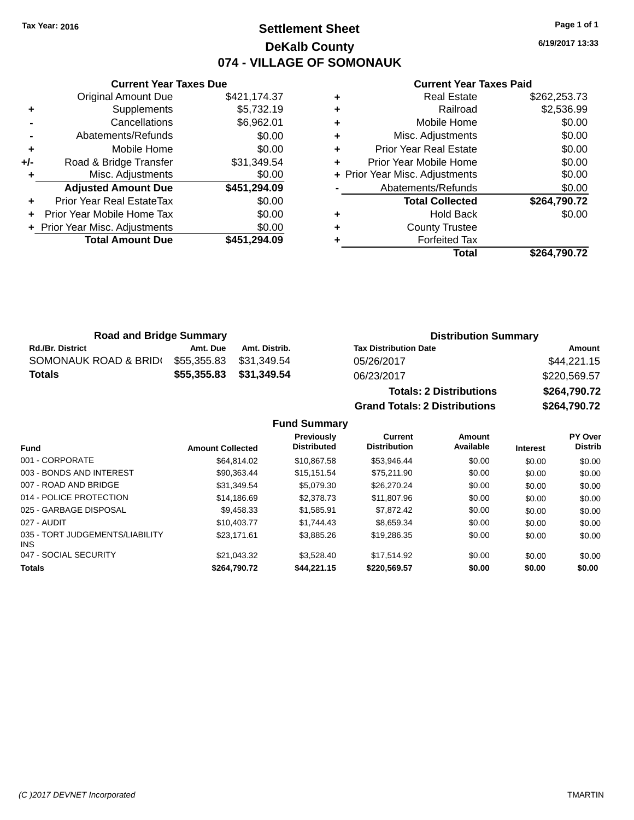# **Settlement Sheet Tax Year: 2016 Page 1 of 1 DeKalb County 074 - VILLAGE OF SOMONAUK**

**6/19/2017 13:33**

### **Current Year Taxes Paid**

|     | <b>Current Year Taxes Due</b>  |              |
|-----|--------------------------------|--------------|
|     | <b>Original Amount Due</b>     | \$421,174.37 |
| ٠   | Supplements                    | \$5,732.19   |
|     | Cancellations                  | \$6,962.01   |
|     | Abatements/Refunds             | \$0.00       |
| ٠   | Mobile Home                    | \$0.00       |
| +/- | Road & Bridge Transfer         | \$31,349.54  |
|     | Misc. Adjustments              | \$0.00       |
|     | <b>Adjusted Amount Due</b>     | \$451,294.09 |
| ٠   | Prior Year Real EstateTax      | \$0.00       |
| ÷   | Prior Year Mobile Home Tax     | \$0.00       |
|     | + Prior Year Misc. Adjustments | \$0.00       |
|     | <b>Total Amount Due</b>        | \$451.294.09 |
|     |                                |              |

|   | <b>Real Estate</b>             | \$262,253.73 |
|---|--------------------------------|--------------|
| ٠ | Railroad                       | \$2,536.99   |
| ٠ | Mobile Home                    | \$0.00       |
| ٠ | Misc. Adjustments              | \$0.00       |
| ٠ | <b>Prior Year Real Estate</b>  | \$0.00       |
| ٠ | Prior Year Mobile Home         | \$0.00       |
|   | + Prior Year Misc. Adjustments | \$0.00       |
|   | Abatements/Refunds             | \$0.00       |
|   | <b>Total Collected</b>         | \$264,790.72 |
| ٠ | Hold Back                      | \$0.00       |
| ٠ | <b>County Trustee</b>          |              |
|   | <b>Forfeited Tax</b>           |              |
|   | Total                          | \$264,790.72 |
|   |                                |              |

| <b>Road and Bridge Summary</b> |             |                         | <b>Distribution Summary</b>    |              |  |
|--------------------------------|-------------|-------------------------|--------------------------------|--------------|--|
| <b>Rd./Br. District</b>        | Amt. Due    | Amt. Distrib.           | <b>Tax Distribution Date</b>   | Amount       |  |
| SOMONAUK ROAD & BRIDI          | \$55,355.83 | \$31.349.54             | 05/26/2017                     | \$44,221.15  |  |
| <b>Totals</b>                  |             | \$55,355.83 \$31,349.54 | 06/23/2017                     | \$220,569.57 |  |
|                                |             |                         | <b>Totals: 2 Distributions</b> | \$264,790.72 |  |

**Grand Totals: 2 Distributions \$264,790.72**

**Fund Summary**

| <b>Fund</b>                                   | <b>Amount Collected</b> | <b>Previously</b><br><b>Distributed</b> | Current<br><b>Distribution</b> | <b>Amount</b><br>Available | <b>Interest</b> | PY Over<br><b>Distrib</b> |
|-----------------------------------------------|-------------------------|-----------------------------------------|--------------------------------|----------------------------|-----------------|---------------------------|
| 001 - CORPORATE                               | \$64.814.02             | \$10.867.58                             | \$53.946.44                    | \$0.00                     | \$0.00          | \$0.00                    |
| 003 - BONDS AND INTEREST                      | \$90.363.44             | \$15.151.54                             | \$75.211.90                    | \$0.00                     | \$0.00          | \$0.00                    |
| 007 - ROAD AND BRIDGE                         | \$31.349.54             | \$5,079.30                              | \$26,270.24                    | \$0.00                     | \$0.00          | \$0.00                    |
| 014 - POLICE PROTECTION                       | \$14,186.69             | \$2,378.73                              | \$11,807.96                    | \$0.00                     | \$0.00          | \$0.00                    |
| 025 - GARBAGE DISPOSAL                        | \$9.458.33              | \$1,585.91                              | \$7,872.42                     | \$0.00                     | \$0.00          | \$0.00                    |
| 027 - AUDIT                                   | \$10,403.77             | \$1.744.43                              | \$8.659.34                     | \$0.00                     | \$0.00          | \$0.00                    |
| 035 - TORT JUDGEMENTS/LIABILITY<br><b>INS</b> | \$23.171.61             | \$3,885.26                              | \$19,286,35                    | \$0.00                     | \$0.00          | \$0.00                    |
| 047 - SOCIAL SECURITY                         | \$21.043.32             | \$3.528.40                              | \$17.514.92                    | \$0.00                     | \$0.00          | \$0.00                    |
| <b>Totals</b>                                 | \$264,790.72            | \$44.221.15                             | \$220,569.57                   | \$0.00                     | \$0.00          | \$0.00                    |
|                                               |                         |                                         |                                |                            |                 |                           |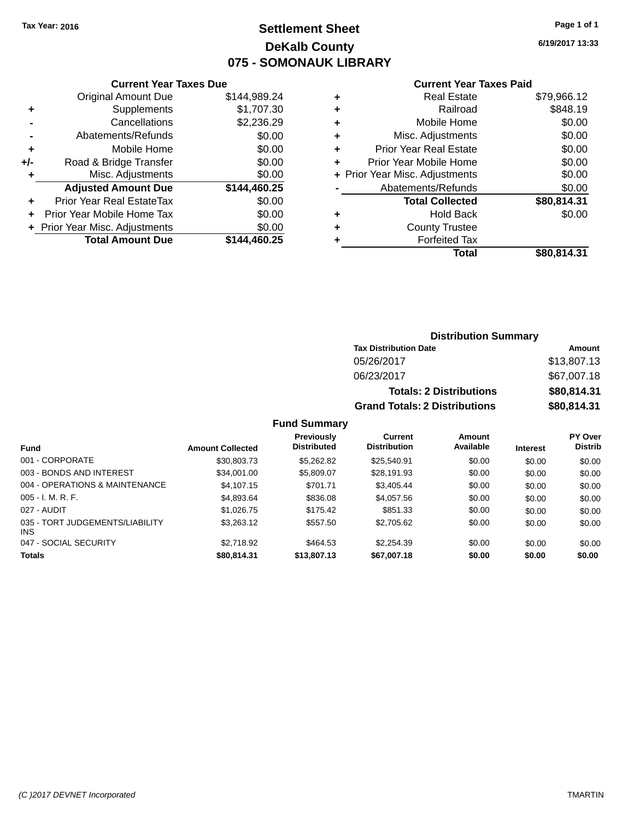# **Settlement Sheet Tax Year: 2016 Page 1 of 1 DeKalb County 075 - SOMONAUK LIBRARY**

**6/19/2017 13:33**

### **Current Year Taxes Paid**

|       | <b>Current Year Taxes Due</b>    |              |  |  |  |  |
|-------|----------------------------------|--------------|--|--|--|--|
|       | <b>Original Amount Due</b>       | \$144,989.24 |  |  |  |  |
| ٠     | \$1,707.30<br>Supplements        |              |  |  |  |  |
|       | Cancellations                    | \$2,236.29   |  |  |  |  |
|       | \$0.00<br>Abatements/Refunds     |              |  |  |  |  |
| ٠     | \$0.00<br>Mobile Home            |              |  |  |  |  |
| $+/-$ | \$0.00<br>Road & Bridge Transfer |              |  |  |  |  |
| ٠     | Misc. Adjustments<br>\$0.00      |              |  |  |  |  |
|       | <b>Adjusted Amount Due</b>       | \$144,460.25 |  |  |  |  |
| ÷     | Prior Year Real EstateTax        | \$0.00       |  |  |  |  |
|       | Prior Year Mobile Home Tax       | \$0.00       |  |  |  |  |
|       | + Prior Year Misc. Adjustments   | \$0.00       |  |  |  |  |
|       | <b>Total Amount Due</b>          | \$144.460.25 |  |  |  |  |
|       |                                  |              |  |  |  |  |

|   | <b>Real Estate</b>             | \$79,966.12 |
|---|--------------------------------|-------------|
| ٠ | Railroad                       | \$848.19    |
| ٠ | Mobile Home                    | \$0.00      |
| ٠ | Misc. Adjustments              | \$0.00      |
| ٠ | <b>Prior Year Real Estate</b>  | \$0.00      |
| ÷ | Prior Year Mobile Home         | \$0.00      |
|   | + Prior Year Misc. Adjustments | \$0.00      |
|   | Abatements/Refunds             | \$0.00      |
|   | <b>Total Collected</b>         | \$80,814.31 |
|   | Hold Back                      | \$0.00      |
| ٠ | <b>County Trustee</b>          |             |
|   | <b>Forfeited Tax</b>           |             |
|   | Total                          | \$80,814.31 |
|   |                                |             |

### **Distribution Summary Tax Distribution Date Amount** 05/26/2017 \$13,807.13 06/23/2017 \$67,007.18 **Totals: 2 Distributions \$80,814.31 Grand Totals: 2 Distributions \$80,814.31**

### **Fund Summary**

| <b>Fund</b>                                   | <b>Amount Collected</b> | <b>Previously</b><br><b>Distributed</b> | Current<br><b>Distribution</b> | Amount<br>Available | <b>Interest</b> | <b>PY Over</b><br><b>Distrib</b> |
|-----------------------------------------------|-------------------------|-----------------------------------------|--------------------------------|---------------------|-----------------|----------------------------------|
| 001 - CORPORATE                               | \$30,803.73             | \$5,262.82                              | \$25,540.91                    | \$0.00              | \$0.00          | \$0.00                           |
| 003 - BONDS AND INTEREST                      | \$34,001.00             | \$5,809.07                              | \$28,191.93                    | \$0.00              | \$0.00          | \$0.00                           |
| 004 - OPERATIONS & MAINTENANCE                | \$4.107.15              | \$701.71                                | \$3,405.44                     | \$0.00              | \$0.00          | \$0.00                           |
| $005 - I. M. R. F.$                           | \$4,893.64              | \$836.08                                | \$4,057.56                     | \$0.00              | \$0.00          | \$0.00                           |
| 027 - AUDIT                                   | \$1,026.75              | \$175.42                                | \$851.33                       | \$0.00              | \$0.00          | \$0.00                           |
| 035 - TORT JUDGEMENTS/LIABILITY<br><b>INS</b> | \$3,263.12              | \$557.50                                | \$2,705.62                     | \$0.00              | \$0.00          | \$0.00                           |
| 047 - SOCIAL SECURITY                         | \$2,718.92              | \$464.53                                | \$2,254.39                     | \$0.00              | \$0.00          | \$0.00                           |
| <b>Totals</b>                                 | \$80,814.31             | \$13,807.13                             | \$67,007.18                    | \$0.00              | \$0.00          | \$0.00                           |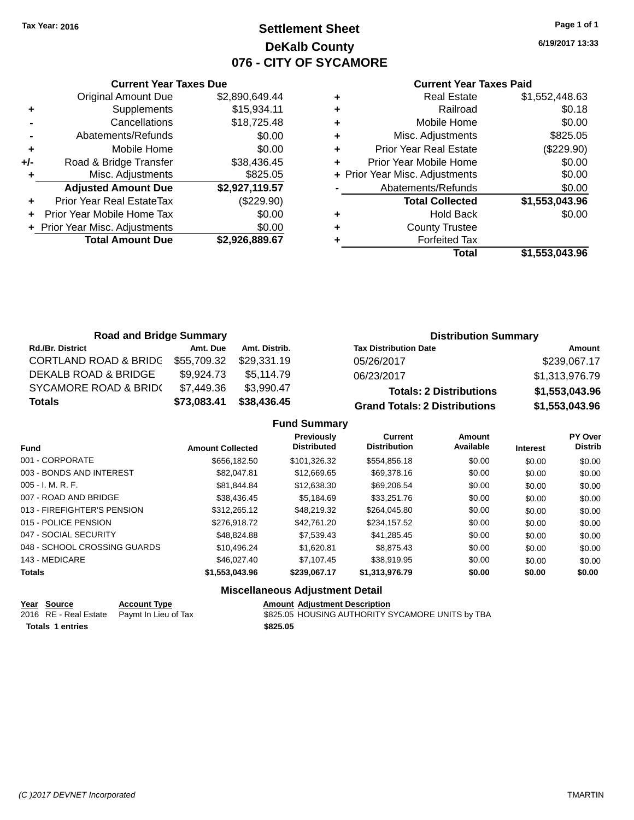# **Settlement Sheet Tax Year: 2016 Page 1 of 1 DeKalb County 076 - CITY OF SYCAMORE**

**6/19/2017 13:33**

### **Current Year Taxes Paid**

|     | <b>Current Year Taxes Due</b>  |                |
|-----|--------------------------------|----------------|
|     | <b>Original Amount Due</b>     | \$2,890,649.44 |
| ٠   | Supplements                    | \$15,934.11    |
|     | Cancellations                  | \$18,725.48    |
|     | Abatements/Refunds             | \$0.00         |
| ٠   | Mobile Home                    | \$0.00         |
| +/- | Road & Bridge Transfer         | \$38,436.45    |
|     | Misc. Adjustments              | \$825.05       |
|     | <b>Adjusted Amount Due</b>     | \$2,927,119.57 |
| ÷   | Prior Year Real EstateTax      | (\$229.90)     |
|     | Prior Year Mobile Home Tax     | \$0.00         |
|     | + Prior Year Misc. Adjustments | \$0.00         |
|     | <b>Total Amount Due</b>        | \$2,926,889.67 |
|     |                                |                |

|   | <b>Real Estate</b>             | \$1,552,448.63 |
|---|--------------------------------|----------------|
| ٠ | Railroad                       | \$0.18         |
| ٠ | Mobile Home                    | \$0.00         |
| ٠ | Misc. Adjustments              | \$825.05       |
| ٠ | Prior Year Real Estate         | (\$229.90)     |
| ٠ | Prior Year Mobile Home         | \$0.00         |
|   | + Prior Year Misc. Adjustments | \$0.00         |
|   | Abatements/Refunds             | \$0.00         |
|   | <b>Total Collected</b>         | \$1,553,043.96 |
| ٠ | <b>Hold Back</b>               | \$0.00         |
|   | <b>County Trustee</b>          |                |
| ٠ | <b>Forfeited Tax</b>           |                |
|   | Total                          | \$1,553,043.96 |
|   |                                |                |

| <b>Road and Bridge Summary</b>   |             |               | <b>Distribution Summary</b>          |                |  |
|----------------------------------|-------------|---------------|--------------------------------------|----------------|--|
| <b>Rd./Br. District</b>          | Amt. Due    | Amt. Distrib. | <b>Tax Distribution Date</b>         | Amount         |  |
| <b>CORTLAND ROAD &amp; BRIDC</b> | \$55,709.32 | \$29.331.19   | 05/26/2017                           | \$239,067.17   |  |
| DEKALB ROAD & BRIDGE             | \$9.924.73  | \$5.114.79    | 06/23/2017                           | \$1,313,976.79 |  |
| <b>SYCAMORE ROAD &amp; BRID(</b> | \$7,449.36  | \$3,990.47    | <b>Totals: 2 Distributions</b>       | \$1,553,043.96 |  |
| Totals                           | \$73,083.41 | \$38,436.45   | <b>Grand Totals: 2 Distributions</b> | \$1,553,043.96 |  |

### **Fund Summary**

| <b>Fund</b>                  | <b>Amount Collected</b> | <b>Previously</b><br><b>Distributed</b> | <b>Current</b><br><b>Distribution</b> | Amount<br>Available | <b>Interest</b> | PY Over<br><b>Distrib</b> |
|------------------------------|-------------------------|-----------------------------------------|---------------------------------------|---------------------|-----------------|---------------------------|
| 001 - CORPORATE              | \$656,182,50            | \$101,326.32                            | \$554,856.18                          | \$0.00              | \$0.00          | \$0.00                    |
| 003 - BONDS AND INTEREST     | \$82,047.81             | \$12,669.65                             | \$69,378.16                           | \$0.00              | \$0.00          | \$0.00                    |
| $005 - I. M. R. F.$          | \$81.844.84             | \$12,638.30                             | \$69,206.54                           | \$0.00              | \$0.00          | \$0.00                    |
| 007 - ROAD AND BRIDGE        | \$38.436.45             | \$5.184.69                              | \$33,251.76                           | \$0.00              | \$0.00          | \$0.00                    |
| 013 - FIREFIGHTER'S PENSION  | \$312,265.12            | \$48.219.32                             | \$264.045.80                          | \$0.00              | \$0.00          | \$0.00                    |
| 015 - POLICE PENSION         | \$276,918.72            | \$42.761.20                             | \$234,157.52                          | \$0.00              | \$0.00          | \$0.00                    |
| 047 - SOCIAL SECURITY        | \$48.824.88             | \$7,539.43                              | \$41,285.45                           | \$0.00              | \$0.00          | \$0.00                    |
| 048 - SCHOOL CROSSING GUARDS | \$10.496.24             | \$1.620.81                              | \$8.875.43                            | \$0.00              | \$0.00          | \$0.00                    |
| 143 - MEDICARE               | \$46,027.40             | \$7.107.45                              | \$38.919.95                           | \$0.00              | \$0.00          | \$0.00                    |
| <b>Totals</b>                | \$1,553,043.96          | \$239.067.17                            | \$1,313,976.79                        | \$0.00              | \$0.00          | \$0.00                    |

| Year Source             | <b>Account Type</b>                        |          | <b>Amount Adiustment Description</b>             |
|-------------------------|--------------------------------------------|----------|--------------------------------------------------|
|                         | 2016 RE - Real Estate Paymt In Lieu of Tax |          | \$825.05 HOUSING AUTHORITY SYCAMORE UNITS by TBA |
| <b>Totals 1 entries</b> |                                            | \$825.05 |                                                  |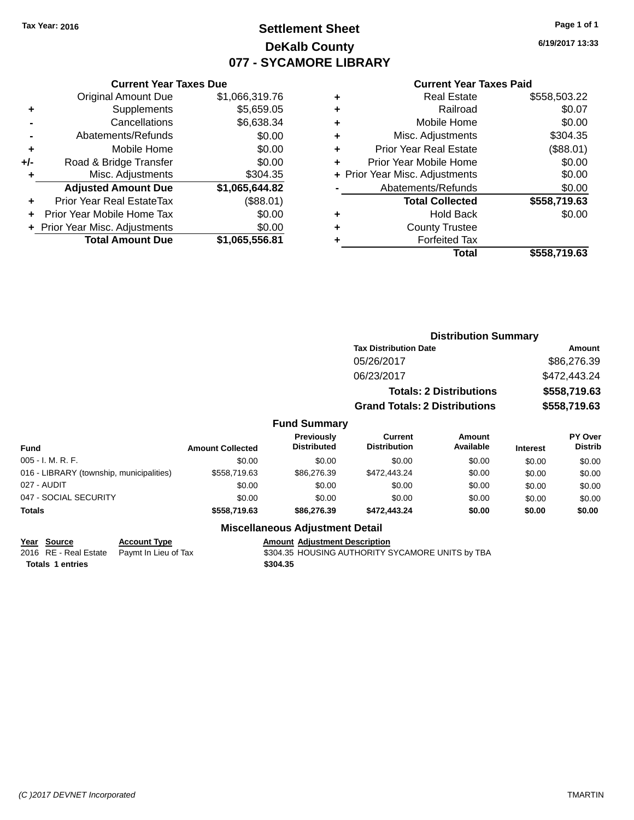# **Settlement Sheet Tax Year: 2016 Page 1 of 1 DeKalb County 077 - SYCAMORE LIBRARY**

**6/19/2017 13:33**

### **Current Year Taxes Paid**

|     | <b>Original Amount Due</b>     | \$1,066,319.76 |
|-----|--------------------------------|----------------|
| ٠   | Supplements                    | \$5,659.05     |
|     | Cancellations                  | \$6,638.34     |
|     | Abatements/Refunds             | \$0.00         |
| ٠   | Mobile Home                    | \$0.00         |
| +/- | Road & Bridge Transfer         | \$0.00         |
| ٠   | Misc. Adjustments              | \$304.35       |
|     | <b>Adjusted Amount Due</b>     | \$1,065,644.82 |
| ٠   | Prior Year Real EstateTax      | (\$88.01)      |
|     | Prior Year Mobile Home Tax     | \$0.00         |
|     | + Prior Year Misc. Adjustments | \$0.00         |
|     | <b>Total Amount Due</b>        | \$1,065,556.81 |
|     |                                |                |

**Current Year Taxes Due**

|   | Real Estate                    | \$558,503.22 |
|---|--------------------------------|--------------|
| ٠ | Railroad                       | \$0.07       |
| ٠ | Mobile Home                    | \$0.00       |
| ٠ | Misc. Adjustments              | \$304.35     |
| ٠ | <b>Prior Year Real Estate</b>  | (\$88.01)    |
|   | Prior Year Mobile Home         | \$0.00       |
|   | + Prior Year Misc. Adjustments | \$0.00       |
|   | Abatements/Refunds             | \$0.00       |
|   | <b>Total Collected</b>         | \$558,719.63 |
| ٠ | Hold Back                      | \$0.00       |
|   | <b>County Trustee</b>          |              |
|   | <b>Forfeited Tax</b>           |              |
|   | Total                          | \$558,719.63 |
|   |                                |              |

|                                          |                         |                                         | <b>Distribution Summary</b>          |                                |                 |                           |
|------------------------------------------|-------------------------|-----------------------------------------|--------------------------------------|--------------------------------|-----------------|---------------------------|
|                                          |                         |                                         | <b>Tax Distribution Date</b>         |                                |                 | Amount                    |
|                                          |                         |                                         | 05/26/2017                           |                                |                 | \$86,276.39               |
|                                          |                         |                                         | 06/23/2017                           |                                |                 | \$472,443.24              |
|                                          |                         |                                         |                                      | <b>Totals: 2 Distributions</b> |                 | \$558,719.63              |
|                                          |                         |                                         | <b>Grand Totals: 2 Distributions</b> |                                |                 | \$558,719.63              |
|                                          |                         | <b>Fund Summary</b>                     |                                      |                                |                 |                           |
| <b>Fund</b>                              | <b>Amount Collected</b> | <b>Previously</b><br><b>Distributed</b> | Current<br><b>Distribution</b>       | Amount<br>Available            | <b>Interest</b> | PY Over<br><b>Distrib</b> |
| $005 - I. M. R. F.$                      | \$0.00                  | \$0.00                                  | \$0.00                               | \$0.00                         | \$0.00          | \$0.00                    |
| 016 - LIBRARY (township, municipalities) | \$558,719.63            | \$86,276.39                             | \$472,443.24                         | \$0.00                         | \$0.00          | \$0.00                    |
| 027 - AUDIT                              | \$0.00                  | \$0.00                                  | \$0.00                               | \$0.00                         | \$0.00          | \$0.00                    |

### **Miscellaneous Adjustment Detail**

047 - SOCIAL SECURITY 60.00 \$0.00 \$0.00 \$0.00 \$0.00 \$0.00 \$0.00 \$0.00 \$0.00 \$0.00 **Totals \$558,719.63 \$86,276.39 \$472,443.24 \$0.00 \$0.00 \$0.00**

**Totals \$304.35 1 entries**

**Year Source Account Type Account Type Amount Adjustment Description**<br>2016 RE - Real Estate Paymt In Lieu of Tax \$304.35 HOUSING AUTHORITY S \$304.35 HOUSING AUTHORITY SYCAMORE UNITS by TBA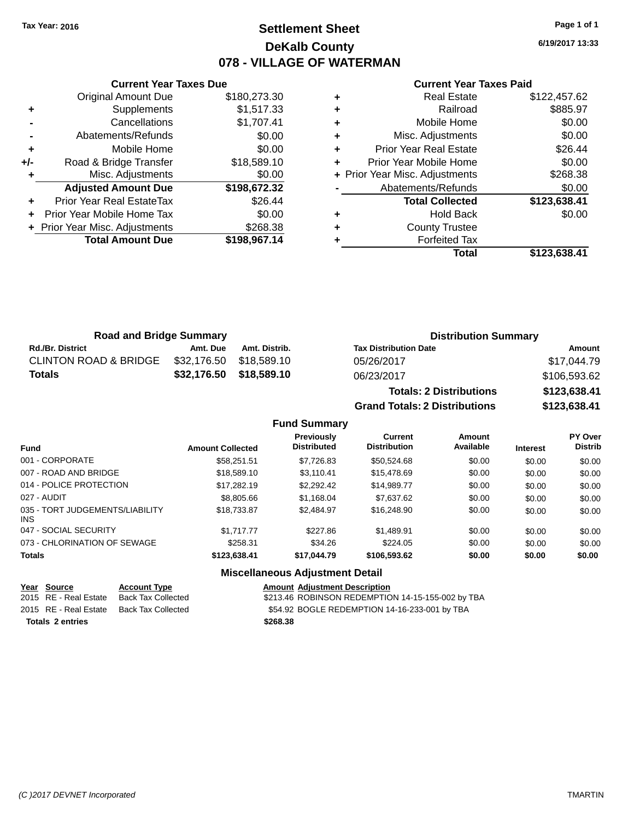# **Settlement Sheet Tax Year: 2016 Page 1 of 1 DeKalb County 078 - VILLAGE OF WATERMAN**

**6/19/2017 13:33**

### **Current Year Taxes Paid**

|     | <b>Current Year Taxes Due</b>  |              |
|-----|--------------------------------|--------------|
|     | <b>Original Amount Due</b>     | \$180,273.30 |
| ٠   | Supplements                    | \$1,517.33   |
|     | Cancellations                  | \$1,707.41   |
|     | Abatements/Refunds             | \$0.00       |
| ٠   | Mobile Home                    | \$0.00       |
| +/- | Road & Bridge Transfer         | \$18,589.10  |
|     | Misc. Adjustments              | \$0.00       |
|     | <b>Adjusted Amount Due</b>     | \$198,672.32 |
| ÷   | Prior Year Real EstateTax      | \$26.44      |
|     | Prior Year Mobile Home Tax     | \$0.00       |
|     | + Prior Year Misc. Adjustments | \$268.38     |
|     | <b>Total Amount Due</b>        | \$198,967.14 |
|     |                                |              |

|   | Total                          | \$123,638.41 |
|---|--------------------------------|--------------|
|   | <b>Forfeited Tax</b>           |              |
| ٠ | <b>County Trustee</b>          |              |
| ٠ | <b>Hold Back</b>               | \$0.00       |
|   | <b>Total Collected</b>         | \$123,638.41 |
|   | Abatements/Refunds             | \$0.00       |
|   | + Prior Year Misc. Adjustments | \$268.38     |
| ٠ | Prior Year Mobile Home         | \$0.00       |
| ٠ | <b>Prior Year Real Estate</b>  | \$26.44      |
| ٠ | Misc. Adjustments              | \$0.00       |
| ٠ | Mobile Home                    | \$0.00       |
| ٠ | Railroad                       | \$885.97     |
|   | <b>Real Estate</b>             | \$122,457.62 |

| <b>Road and Bridge Summary</b>   |             |                         | <b>Distribution Summary</b>    |              |  |
|----------------------------------|-------------|-------------------------|--------------------------------|--------------|--|
| <b>Rd./Br. District</b>          | Amt. Due    | Amt. Distrib.           | <b>Tax Distribution Date</b>   | Amount       |  |
| <b>CLINTON ROAD &amp; BRIDGE</b> | \$32.176.50 | \$18.589.10             | 05/26/2017                     | \$17,044.79  |  |
| <b>Totals</b>                    |             | \$32,176.50 \$18,589.10 | 06/23/2017                     | \$106,593.62 |  |
|                                  |             |                         | <b>Totals: 2 Distributions</b> | \$123,638.41 |  |

**Grand Totals: 2 Distributions \$123,638.41**

### **Fund Summary**

| <b>Fund</b>                                   | <b>Amount Collected</b> | Previously<br><b>Distributed</b> | Current<br><b>Distribution</b> | Amount<br>Available | <b>Interest</b> | <b>PY Over</b><br><b>Distrib</b> |
|-----------------------------------------------|-------------------------|----------------------------------|--------------------------------|---------------------|-----------------|----------------------------------|
| 001 - CORPORATE                               | \$58,251.51             | \$7,726.83                       | \$50,524.68                    | \$0.00              | \$0.00          | \$0.00                           |
| 007 - ROAD AND BRIDGE                         | \$18,589.10             | \$3.110.41                       | \$15,478.69                    | \$0.00              | \$0.00          | \$0.00                           |
| 014 - POLICE PROTECTION                       | \$17,282.19             | \$2,292.42                       | \$14,989.77                    | \$0.00              | \$0.00          | \$0.00                           |
| 027 - AUDIT                                   | \$8,805.66              | \$1,168.04                       | \$7,637.62                     | \$0.00              | \$0.00          | \$0.00                           |
| 035 - TORT JUDGEMENTS/LIABILITY<br><b>INS</b> | \$18,733,87             | \$2,484.97                       | \$16,248.90                    | \$0.00              | \$0.00          | \$0.00                           |
| 047 - SOCIAL SECURITY                         | \$1.717.77              | \$227.86                         | \$1,489.91                     | \$0.00              | \$0.00          | \$0.00                           |
| 073 - CHLORINATION OF SEWAGE                  | \$258.31                | \$34.26                          | \$224.05                       | \$0.00              | \$0.00          | \$0.00                           |
| <b>Totals</b>                                 | \$123,638,41            | \$17.044.79                      | \$106,593.62                   | \$0.00              | \$0.00          | \$0.00                           |

| Year Source           | <b>Account Type</b>                      | <b>Amount Adiustment Description</b>              |
|-----------------------|------------------------------------------|---------------------------------------------------|
| 2015 RE - Real Estate | Back Tax Collected                       | \$213.46 ROBINSON REDEMPTION 14-15-155-002 by TBA |
|                       | 2015 RE - Real Estate Back Tax Collected | \$54.92 BOGLE REDEMPTION 14-16-233-001 by TBA     |
| Totals 2 entries      |                                          | \$268.38                                          |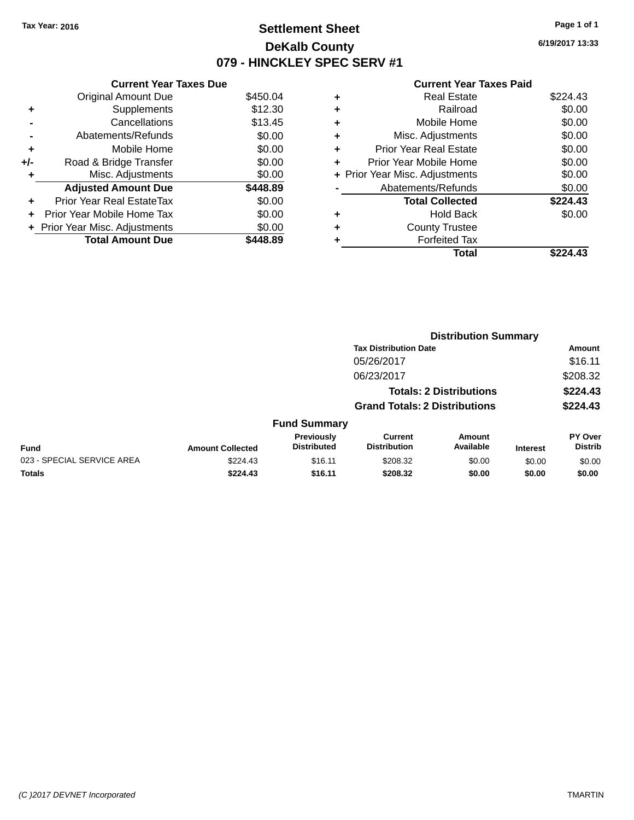# **Settlement Sheet Tax Year: 2016 Page 1 of 1 DeKalb County 079 - HINCKLEY SPEC SERV #1**

**6/19/2017 13:33**

|     | <b>Current Year Taxes Due</b>  |          |  |  |  |
|-----|--------------------------------|----------|--|--|--|
|     | <b>Original Amount Due</b>     | \$450.04 |  |  |  |
| ٠   | Supplements                    | \$12.30  |  |  |  |
|     | Cancellations                  | \$13.45  |  |  |  |
|     | Abatements/Refunds             | \$0.00   |  |  |  |
| ٠   | Mobile Home                    | \$0.00   |  |  |  |
| +/- | Road & Bridge Transfer         | \$0.00   |  |  |  |
| ٠   | Misc. Adjustments              | \$0.00   |  |  |  |
|     | <b>Adjusted Amount Due</b>     | \$448.89 |  |  |  |
| ÷   | Prior Year Real EstateTax      | \$0.00   |  |  |  |
| ÷   | Prior Year Mobile Home Tax     | \$0.00   |  |  |  |
|     | + Prior Year Misc. Adjustments | \$0.00   |  |  |  |
|     | <b>Total Amount Due</b>        | \$448.89 |  |  |  |

| ٠ | <b>Real Estate</b>             | \$224.43 |
|---|--------------------------------|----------|
| ٠ | Railroad                       | \$0.00   |
| ٠ | Mobile Home                    | \$0.00   |
| ٠ | Misc. Adjustments              | \$0.00   |
| ٠ | <b>Prior Year Real Estate</b>  | \$0.00   |
|   | Prior Year Mobile Home         | \$0.00   |
|   | + Prior Year Misc. Adjustments | \$0.00   |
|   | Abatements/Refunds             | \$0.00   |
|   | <b>Total Collected</b>         | \$224.43 |
| ٠ | <b>Hold Back</b>               | \$0.00   |
| ٠ | <b>County Trustee</b>          |          |
| ٠ | <b>Forfeited Tax</b>           |          |
|   | Total                          | \$224.43 |
|   |                                |          |

|                            |                         |                                  | <b>Distribution Summary</b>           |                                |                 |                           |  |
|----------------------------|-------------------------|----------------------------------|---------------------------------------|--------------------------------|-----------------|---------------------------|--|
|                            |                         |                                  | <b>Tax Distribution Date</b>          |                                |                 | <b>Amount</b>             |  |
|                            |                         |                                  | 05/26/2017                            |                                |                 | \$16.11                   |  |
|                            |                         |                                  | 06/23/2017                            |                                |                 | \$208.32                  |  |
|                            |                         |                                  |                                       | <b>Totals: 2 Distributions</b> |                 | \$224.43                  |  |
|                            |                         |                                  | <b>Grand Totals: 2 Distributions</b>  |                                |                 | \$224.43                  |  |
|                            |                         | <b>Fund Summary</b>              |                                       |                                |                 |                           |  |
| <b>Fund</b>                | <b>Amount Collected</b> | Previously<br><b>Distributed</b> | <b>Current</b><br><b>Distribution</b> | <b>Amount</b><br>Available     | <b>Interest</b> | PY Over<br><b>Distrib</b> |  |
| 023 - SPECIAL SERVICE AREA | \$224.43                | \$16.11                          | \$208.32                              | \$0.00                         | \$0.00          | \$0.00                    |  |
| <b>Totals</b>              | \$224.43                | \$16.11                          | \$208.32                              | \$0.00                         | \$0.00          | \$0.00                    |  |
|                            |                         |                                  |                                       |                                |                 |                           |  |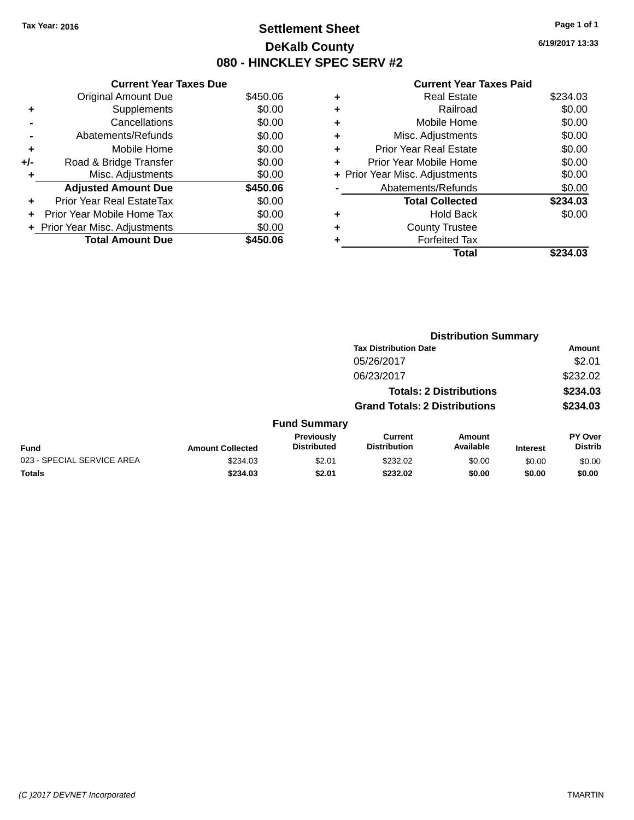# **Settlement Sheet Tax Year: 2016 Page 1 of 1 DeKalb County 080 - HINCKLEY SPEC SERV #2**

**6/19/2017 13:33**

|     | <b>Current Year Taxes Due</b> |          |  |  |  |
|-----|-------------------------------|----------|--|--|--|
|     | <b>Original Amount Due</b>    | \$450.06 |  |  |  |
| ٠   | Supplements                   | \$0.00   |  |  |  |
|     | Cancellations                 | \$0.00   |  |  |  |
|     | Abatements/Refunds            | \$0.00   |  |  |  |
| ٠   | Mobile Home                   | \$0.00   |  |  |  |
| +/- | Road & Bridge Transfer        | \$0.00   |  |  |  |
| ٠   | Misc. Adjustments             | \$0.00   |  |  |  |
|     | <b>Adjusted Amount Due</b>    | \$450.06 |  |  |  |
| ÷   | Prior Year Real EstateTax     | \$0.00   |  |  |  |
| ÷   | Prior Year Mobile Home Tax    | \$0.00   |  |  |  |
|     | Prior Year Misc. Adjustments  | \$0.00   |  |  |  |
|     | <b>Total Amount Due</b>       | \$450.06 |  |  |  |

|   | Total                          | \$234.03 |
|---|--------------------------------|----------|
|   | <b>Forfeited Tax</b>           |          |
|   | <b>County Trustee</b>          |          |
| ٠ | <b>Hold Back</b>               | \$0.00   |
|   | <b>Total Collected</b>         | \$234.03 |
|   | Abatements/Refunds             | \$0.00   |
|   | + Prior Year Misc. Adjustments | \$0.00   |
| ٠ | Prior Year Mobile Home         | \$0.00   |
| ÷ | <b>Prior Year Real Estate</b>  | \$0.00   |
| ٠ | Misc. Adjustments              | \$0.00   |
| ٠ | Mobile Home                    | \$0.00   |
| ٠ | Railroad                       | \$0.00   |
| ٠ | <b>Real Estate</b>             | \$234.03 |
|   |                                |          |

|                            | <b>Distribution Summary</b> |                                  |                                       |                                |                 |                                  |  |
|----------------------------|-----------------------------|----------------------------------|---------------------------------------|--------------------------------|-----------------|----------------------------------|--|
|                            |                             |                                  | <b>Tax Distribution Date</b>          |                                |                 | Amount                           |  |
|                            |                             |                                  | 05/26/2017                            |                                |                 | \$2.01                           |  |
|                            |                             |                                  | 06/23/2017                            |                                |                 | \$232.02                         |  |
|                            |                             |                                  |                                       | <b>Totals: 2 Distributions</b> |                 | \$234.03                         |  |
|                            |                             |                                  | <b>Grand Totals: 2 Distributions</b>  |                                |                 | \$234.03                         |  |
|                            |                             | <b>Fund Summary</b>              |                                       |                                |                 |                                  |  |
| <b>Fund</b>                | <b>Amount Collected</b>     | Previously<br><b>Distributed</b> | <b>Current</b><br><b>Distribution</b> | Amount<br>Available            | <b>Interest</b> | <b>PY Over</b><br><b>Distrib</b> |  |
| 023 - SPECIAL SERVICE AREA | \$234.03                    | \$2.01                           | \$232.02                              | \$0.00                         | \$0.00          | \$0.00                           |  |
| <b>Totals</b>              | \$234.03                    | \$2.01                           | \$232.02                              | \$0.00                         | \$0.00          | \$0.00                           |  |
|                            |                             |                                  |                                       |                                |                 |                                  |  |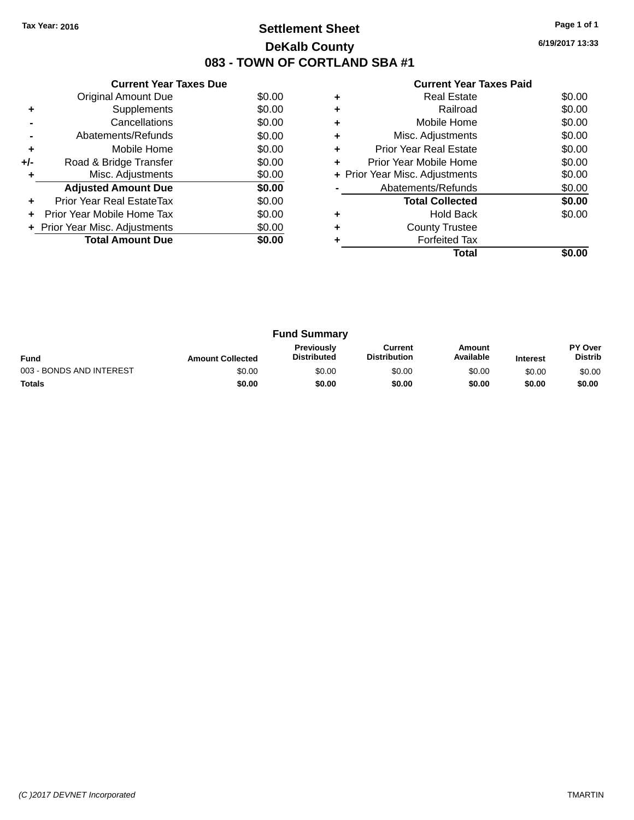# **Settlement Sheet Tax Year: 2016 Page 1 of 1 DeKalb County 083 - TOWN OF CORTLAND SBA #1**

**6/19/2017 13:33**

| <b>Current Year Taxes Paid</b> |  |  |
|--------------------------------|--|--|
|                                |  |  |

|       | <b>Current Year Taxes Due</b>  |        |
|-------|--------------------------------|--------|
|       | <b>Original Amount Due</b>     | \$0.00 |
| ٠     | Supplements                    | \$0.00 |
|       | Cancellations                  | \$0.00 |
|       | Abatements/Refunds             | \$0.00 |
| ٠     | Mobile Home                    | \$0.00 |
| $+/-$ | Road & Bridge Transfer         | \$0.00 |
|       | Misc. Adjustments              | \$0.00 |
|       | <b>Adjusted Amount Due</b>     | \$0.00 |
|       | Prior Year Real EstateTax      | \$0.00 |
|       | Prior Year Mobile Home Tax     | \$0.00 |
|       | + Prior Year Misc. Adjustments | \$0.00 |
|       | <b>Total Amount Due</b>        | \$0.00 |
|       |                                |        |

|   | <b>Real Estate</b>             | \$0.00 |
|---|--------------------------------|--------|
| ٠ | Railroad                       | \$0.00 |
| ٠ | Mobile Home                    | \$0.00 |
| ٠ | Misc. Adjustments              | \$0.00 |
| ٠ | <b>Prior Year Real Estate</b>  | \$0.00 |
| ٠ | Prior Year Mobile Home         | \$0.00 |
|   | + Prior Year Misc. Adjustments | \$0.00 |
|   | Abatements/Refunds             | \$0.00 |
|   | <b>Total Collected</b>         | \$0.00 |
|   | <b>Hold Back</b>               | \$0.00 |
| ٠ | <b>County Trustee</b>          |        |
|   | <b>Forfeited Tax</b>           |        |
|   | Total                          |        |

| <b>Fund Summary</b>      |                         |                                         |                                |                     |                 |                                  |
|--------------------------|-------------------------|-----------------------------------------|--------------------------------|---------------------|-----------------|----------------------------------|
| <b>Fund</b>              | <b>Amount Collected</b> | <b>Previously</b><br><b>Distributed</b> | Current<br><b>Distribution</b> | Amount<br>Available | <b>Interest</b> | <b>PY Over</b><br><b>Distrib</b> |
| 003 - BONDS AND INTEREST | \$0.00                  | \$0.00                                  | \$0.00                         | \$0.00              | \$0.00          | \$0.00                           |
| <b>Totals</b>            | \$0.00                  | \$0.00                                  | \$0.00                         | \$0.00              | \$0.00          | \$0.00                           |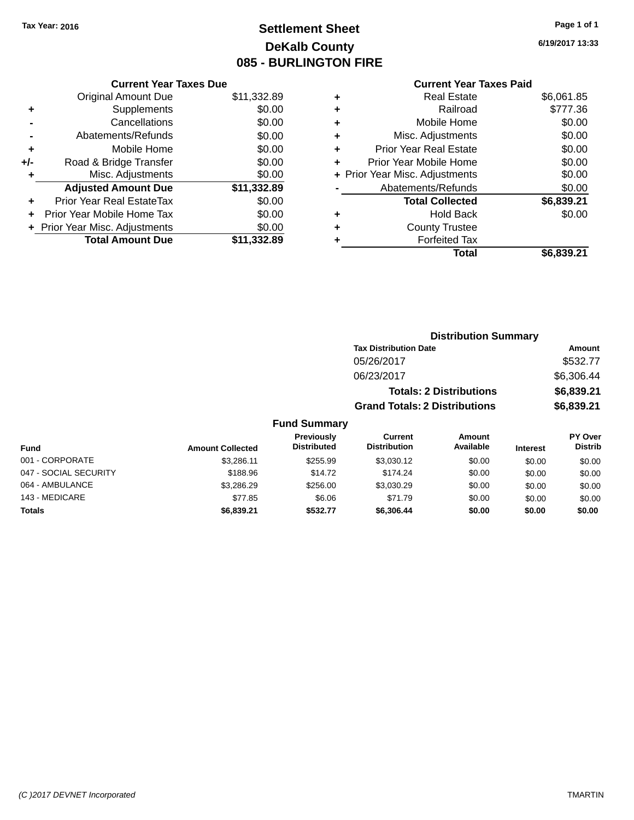# **Settlement Sheet Tax Year: 2016 Page 1 of 1 DeKalb County 085 - BURLINGTON FIRE**

143 - MEDICARE \$77.85 \$6.06 \$71.79 \$0.00 \$0.00 \$0.00 **Totals \$6,839.21 \$532.77 \$6,306.44 \$0.00 \$0.00 \$0.00**

**6/19/2017 13:33**

### **Current Year Taxes Paid**

|     | <b>Current Year Taxes Due</b>  |             |
|-----|--------------------------------|-------------|
|     | <b>Original Amount Due</b>     | \$11,332.89 |
| ٠   | Supplements                    | \$0.00      |
|     | Cancellations                  | \$0.00      |
|     | Abatements/Refunds             | \$0.00      |
| ٠   | Mobile Home                    | \$0.00      |
| +/- | Road & Bridge Transfer         | \$0.00      |
| ٠   | Misc. Adjustments              | \$0.00      |
|     | <b>Adjusted Amount Due</b>     | \$11,332.89 |
| ÷   | Prior Year Real EstateTax      | \$0.00      |
|     | Prior Year Mobile Home Tax     | \$0.00      |
|     | + Prior Year Misc. Adjustments | \$0.00      |
|     | <b>Total Amount Due</b>        | \$11.332.89 |
|     |                                |             |

|   | <b>Real Estate</b>             | \$6,061.85 |
|---|--------------------------------|------------|
| ٠ | Railroad                       | \$777.36   |
| ٠ | Mobile Home                    | \$0.00     |
| ٠ | Misc. Adjustments              | \$0.00     |
| ٠ | <b>Prior Year Real Estate</b>  | \$0.00     |
| ÷ | Prior Year Mobile Home         | \$0.00     |
|   | + Prior Year Misc. Adjustments | \$0.00     |
|   | Abatements/Refunds             | \$0.00     |
|   | <b>Total Collected</b>         | \$6,839.21 |
| ٠ | Hold Back                      | \$0.00     |
| ٠ | <b>County Trustee</b>          |            |
| ٠ | <b>Forfeited Tax</b>           |            |
|   | Total                          | \$6,839.21 |
|   |                                |            |

|                       |                         |                                  | <b>Distribution Summary</b>           |                                |                 |                           |  |
|-----------------------|-------------------------|----------------------------------|---------------------------------------|--------------------------------|-----------------|---------------------------|--|
|                       |                         |                                  | <b>Tax Distribution Date</b>          | Amount                         |                 |                           |  |
|                       |                         |                                  | 05/26/2017                            |                                |                 | \$532.77                  |  |
|                       |                         |                                  | 06/23/2017                            |                                |                 | \$6,306.44                |  |
|                       |                         |                                  |                                       | <b>Totals: 2 Distributions</b> |                 | \$6,839.21                |  |
|                       |                         |                                  | <b>Grand Totals: 2 Distributions</b>  |                                |                 | \$6,839.21                |  |
|                       |                         | <b>Fund Summary</b>              |                                       |                                |                 |                           |  |
| <b>Fund</b>           | <b>Amount Collected</b> | Previously<br><b>Distributed</b> | <b>Current</b><br><b>Distribution</b> | <b>Amount</b><br>Available     | <b>Interest</b> | PY Over<br><b>Distrib</b> |  |
| 001 - CORPORATE       | \$3.286.11              | \$255.99                         | \$3,030.12                            | \$0.00                         | \$0.00          | \$0.00                    |  |
| 047 - SOCIAL SECURITY | \$188.96                | \$14.72                          | \$174.24                              | \$0.00                         | \$0.00          | \$0.00                    |  |
| 064 - AMBULANCE       | \$3.286.29              | \$256.00                         | \$3,030.29                            | \$0.00                         | \$0.00          | \$0.00                    |  |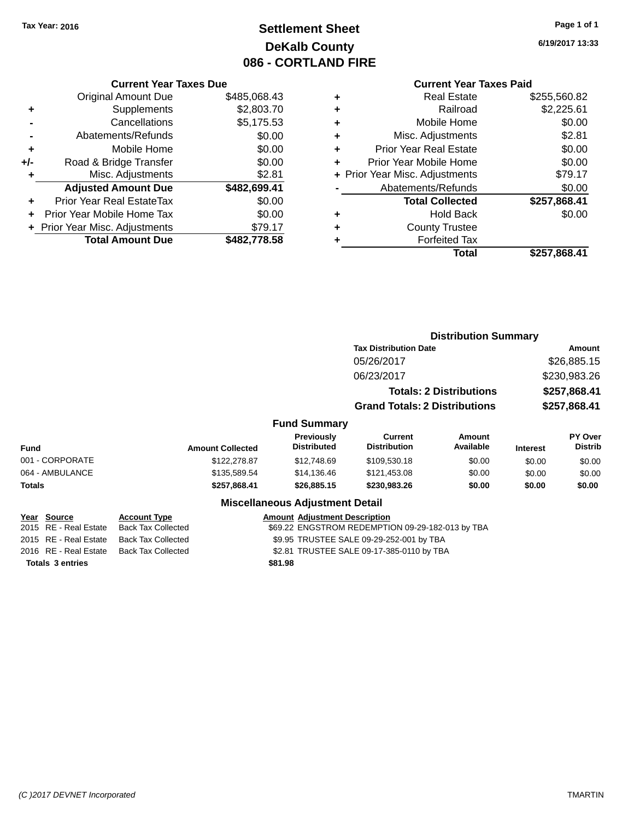# **Settlement Sheet Tax Year: 2016 Page 1 of 1 DeKalb County 086 - CORTLAND FIRE**

**6/19/2017 13:33**

### **Current Year Taxes Due**

|       | <b>Original Amount Due</b>     | \$485,068.43 |
|-------|--------------------------------|--------------|
| ٠     | Supplements                    | \$2,803.70   |
|       | Cancellations                  | \$5,175.53   |
|       | Abatements/Refunds             | \$0.00       |
| ٠     | Mobile Home                    | \$0.00       |
| $+/-$ | Road & Bridge Transfer         | \$0.00       |
| ٠     | Misc. Adjustments              | \$2.81       |
|       | <b>Adjusted Amount Due</b>     | \$482,699.41 |
| ٠     | Prior Year Real EstateTax      | \$0.00       |
|       | Prior Year Mobile Home Tax     | \$0.00       |
|       | + Prior Year Misc. Adjustments | \$79.17      |
|       | <b>Total Amount Due</b>        | \$482.778.58 |
|       |                                |              |

### **Current Year Taxes Paid**

|   | Total                          | \$257,868.41 |
|---|--------------------------------|--------------|
| ٠ | <b>Forfeited Tax</b>           |              |
| ٠ | <b>County Trustee</b>          |              |
| ٠ | <b>Hold Back</b>               | \$0.00       |
|   | <b>Total Collected</b>         | \$257,868.41 |
|   | Abatements/Refunds             | \$0.00       |
|   | + Prior Year Misc. Adjustments | \$79.17      |
| ٠ | Prior Year Mobile Home         | \$0.00       |
| ٠ | <b>Prior Year Real Estate</b>  | \$0.00       |
| ٠ | Misc. Adjustments              | \$2.81       |
| ٠ | Mobile Home                    | \$0.00       |
| ٠ | Railroad                       | \$2,225.61   |
|   | <b>Real Estate</b>             | \$255,560.82 |

|                                                                     |                                                                               |                                         | <b>Distribution Summary</b>                                                                  |                                |                 |                                  |
|---------------------------------------------------------------------|-------------------------------------------------------------------------------|-----------------------------------------|----------------------------------------------------------------------------------------------|--------------------------------|-----------------|----------------------------------|
|                                                                     |                                                                               |                                         | <b>Tax Distribution Date</b>                                                                 | <b>Amount</b>                  |                 |                                  |
|                                                                     |                                                                               |                                         | 05/26/2017                                                                                   |                                | \$26,885.15     |                                  |
|                                                                     |                                                                               |                                         | 06/23/2017                                                                                   |                                | \$230,983.26    |                                  |
|                                                                     |                                                                               |                                         |                                                                                              | <b>Totals: 2 Distributions</b> | \$257,868.41    |                                  |
|                                                                     |                                                                               |                                         | <b>Grand Totals: 2 Distributions</b>                                                         |                                | \$257,868.41    |                                  |
| <b>Fund Summary</b>                                                 |                                                                               |                                         |                                                                                              |                                |                 |                                  |
| <b>Fund</b>                                                         | <b>Amount Collected</b>                                                       | <b>Previously</b><br><b>Distributed</b> | <b>Current</b><br><b>Distribution</b>                                                        | <b>Amount</b><br>Available     | <b>Interest</b> | <b>PY Over</b><br><b>Distrib</b> |
| 001 - CORPORATE                                                     | \$122,278.87                                                                  | \$12,748.69                             | \$109,530.18                                                                                 | \$0.00                         | \$0.00          | \$0.00                           |
| 064 - AMBULANCE                                                     | \$135,589.54                                                                  | \$14,136.46                             | \$121,453.08                                                                                 | \$0.00                         | \$0.00          | \$0.00                           |
| Totals                                                              | \$257,868.41                                                                  | \$26,885.15                             | \$230,983.26                                                                                 | \$0.00                         | \$0.00          | \$0.00                           |
|                                                                     |                                                                               | <b>Miscellaneous Adjustment Detail</b>  |                                                                                              |                                |                 |                                  |
| Source<br>Year<br>RE - Real Estate<br>2015<br>2015 RE - Real Estate | <b>Account Type</b><br><b>Back Tax Collected</b><br><b>Back Tax Collected</b> | <b>Amount Adjustment Description</b>    | \$69.22 ENGSTROM REDEMPTION 09-29-182-013 by TBA<br>\$9.95 TRUSTEE SALE 09-29-252-001 by TBA |                                |                 |                                  |

2016 RE - Real Estate Back Tax Collected \$2.81 TRUSTEE SALE 09-17-385-0110 by TBA

**Totals \$81.98 3 entries**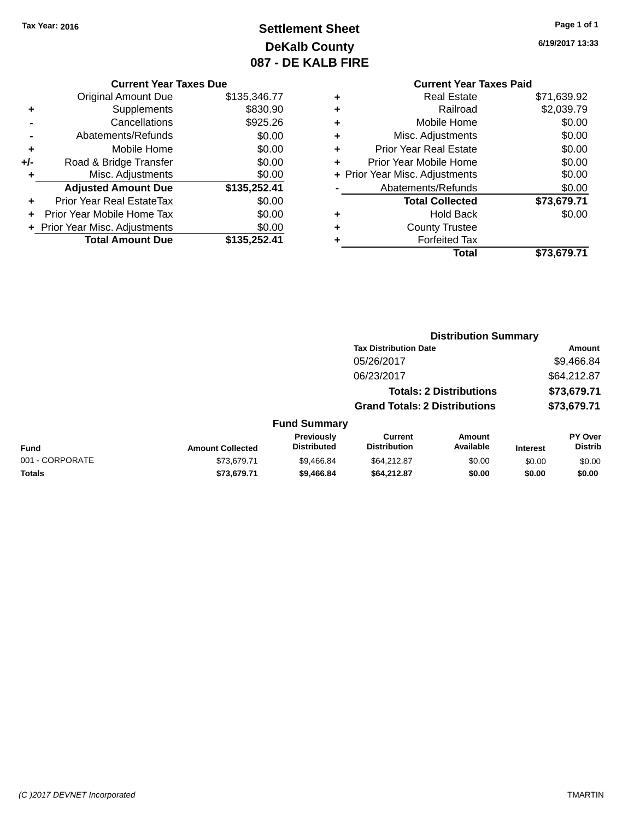# **Settlement Sheet Tax Year: 2016 Page 1 of 1 DeKalb County 087 - DE KALB FIRE**

**6/19/2017 13:33**

**Total \$73,679.71**

|     | <b>Current Year Taxes Due</b>  |              |
|-----|--------------------------------|--------------|
|     | Original Amount Due            | \$135,346.77 |
| ٠   | Supplements                    | \$830.90     |
|     | Cancellations                  | \$925.26     |
|     | Abatements/Refunds             | \$0.00       |
| ٠   | Mobile Home                    | \$0.00       |
| +/- | Road & Bridge Transfer         | \$0.00       |
|     | Misc. Adjustments              | \$0.00       |
|     | <b>Adjusted Amount Due</b>     | \$135,252.41 |
|     | Prior Year Real EstateTax      | \$0.00       |
|     | Prior Year Mobile Home Tax     | \$0.00       |
|     | + Prior Year Misc. Adjustments | \$0.00       |
|     | <b>Total Amount Due</b>        | \$135,252.41 |
|     |                                |              |

### **Current Year Taxes Paid +** Real Estate \$71,639.92 **+** Railroad \$2,039.79 **+** Mobile Home \$0.00 **+** Misc. Adjustments \$0.00 **+** Prior Year Real Estate \$0.00 **+** Prior Year Mobile Home \$0.00<br> **+** Prior Year Misc. Adjustments \$0.00 **+ Prior Year Misc. Adjustments -** Abatements/Refunds \$0.00 **Total Collected \$73,679.71 +** Hold Back \$0.00

| ٠ | <b>Forfeited Tax</b> |  |
|---|----------------------|--|
|   | Total                |  |

|                         |                                  | <b>Distribution Summary</b>          |                                |                 |                                  |  |
|-------------------------|----------------------------------|--------------------------------------|--------------------------------|-----------------|----------------------------------|--|
|                         |                                  | <b>Tax Distribution Date</b>         |                                |                 | Amount                           |  |
|                         |                                  | 05/26/2017                           |                                |                 | \$9,466.84                       |  |
|                         |                                  | 06/23/2017                           |                                |                 | \$64,212.87                      |  |
|                         |                                  |                                      | <b>Totals: 2 Distributions</b> |                 | \$73,679.71                      |  |
|                         |                                  | <b>Grand Totals: 2 Distributions</b> |                                |                 | \$73,679.71                      |  |
|                         | <b>Fund Summary</b>              |                                      |                                |                 |                                  |  |
| <b>Amount Collected</b> | Previously<br><b>Distributed</b> | Current<br><b>Distribution</b>       | Amount<br>Available            | <b>Interest</b> | <b>PY Over</b><br><b>Distrib</b> |  |

**+** County Trustee

|                 |                         | <b>Previously</b>  | Current             | Amount    |                 | PY Over |
|-----------------|-------------------------|--------------------|---------------------|-----------|-----------------|---------|
| Fund            | <b>Amount Collected</b> | <b>Distributed</b> | <b>Distribution</b> | Available | <b>Interest</b> | Distrib |
| 001 - CORPORATE | \$73,679.71             | \$9,466.84         | \$64.212.87         | \$0.00    | \$0.00          | \$0.00  |
| <b>Totals</b>   | \$73,679.71             | \$9,466.84         | \$64,212.87         | \$0.00    | \$0.00          | \$0.00  |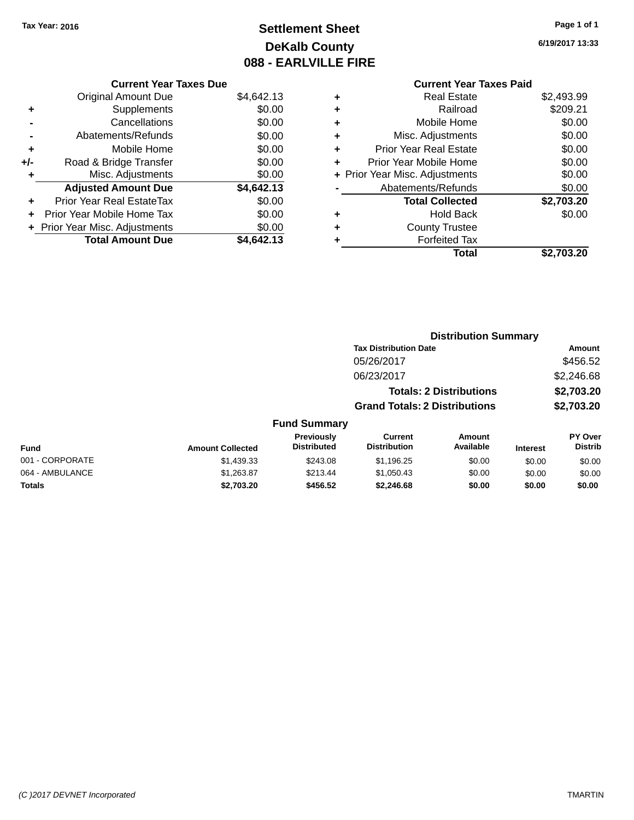# **Settlement Sheet Tax Year: 2016 Page 1 of 1 DeKalb County 088 - EARLVILLE FIRE**

**6/19/2017 13:33**

# **Current Year Taxes Paid +** Real Estate \$2,493.99

|     | <b>Original Amount Due</b><br>Supplements | \$4,642.13<br>\$0.00 |
|-----|-------------------------------------------|----------------------|
| ٠   |                                           |                      |
|     | Cancellations                             | \$0.00               |
|     | Abatements/Refunds                        | \$0.00               |
| ÷   | Mobile Home                               | \$0.00               |
| +/- | Road & Bridge Transfer                    | \$0.00               |
| ÷   | Misc. Adjustments                         | \$0.00               |
|     |                                           |                      |
|     | <b>Adjusted Amount Due</b>                | \$4,642.13           |
|     | Prior Year Real EstateTax                 | \$0.00               |
| ٠   | Prior Year Mobile Home Tax                | \$0.00               |
|     | + Prior Year Misc. Adjustments            | \$0.00               |
|     | <b>Total Amount Due</b>                   | \$4,642.13           |

**Current Year Taxes Due**

| ٠ | Railroad                       | \$209.21   |
|---|--------------------------------|------------|
| ٠ | Mobile Home                    | \$0.00     |
| ٠ | Misc. Adjustments              | \$0.00     |
| ٠ | <b>Prior Year Real Estate</b>  | \$0.00     |
| ٠ | Prior Year Mobile Home         | \$0.00     |
|   | + Prior Year Misc. Adjustments | \$0.00     |
|   | Abatements/Refunds             | \$0.00     |
|   | <b>Total Collected</b>         | \$2,703.20 |
| ٠ | <b>Hold Back</b>               | \$0.00     |
| ٠ | <b>County Trustee</b>          |            |
|   | <b>Forfeited Tax</b>           |            |
|   | Total                          | \$2,703.20 |
|   |                                |            |

|                         |                                  | <b>Distribution Summary</b>          |                     |                 |                                  |
|-------------------------|----------------------------------|--------------------------------------|---------------------|-----------------|----------------------------------|
|                         |                                  | <b>Tax Distribution Date</b>         |                     |                 | Amount                           |
|                         |                                  | 05/26/2017                           |                     |                 | \$456.52                         |
|                         |                                  | 06/23/2017                           |                     |                 | \$2,246.68                       |
|                         |                                  | <b>Totals: 2 Distributions</b>       |                     |                 | \$2,703.20                       |
|                         |                                  | <b>Grand Totals: 2 Distributions</b> |                     |                 | \$2,703.20                       |
|                         | <b>Fund Summary</b>              |                                      |                     |                 |                                  |
| <b>Amount Collected</b> | Previously<br><b>Distributed</b> | Current<br><b>Distribution</b>       | Amount<br>Available | <b>Interest</b> | <b>PY Over</b><br><b>Distrib</b> |
| \$1,439.33              | \$243.08                         | \$1,196.25                           | \$0.00              | \$0.00          | \$0.00                           |

| <b>Fund</b>     | <b>Amount Collected</b> | <b>Distributed</b> | Distribution | Available | <b>Interest</b> | Distrib |
|-----------------|-------------------------|--------------------|--------------|-----------|-----------------|---------|
| 001 - CORPORATE | \$1,439.33              | \$243.08           | \$1.196.25   | \$0.00    | \$0.00          | \$0.00  |
| 064 - AMBULANCE | \$1,263.87              | \$213.44           | \$1.050.43   | \$0.00    | \$0.00          | \$0.00  |
| Totals          | \$2.703.20              | \$456.52           | \$2.246.68   | \$0.00    | \$0.00          | \$0.00  |
|                 |                         |                    |              |           |                 |         |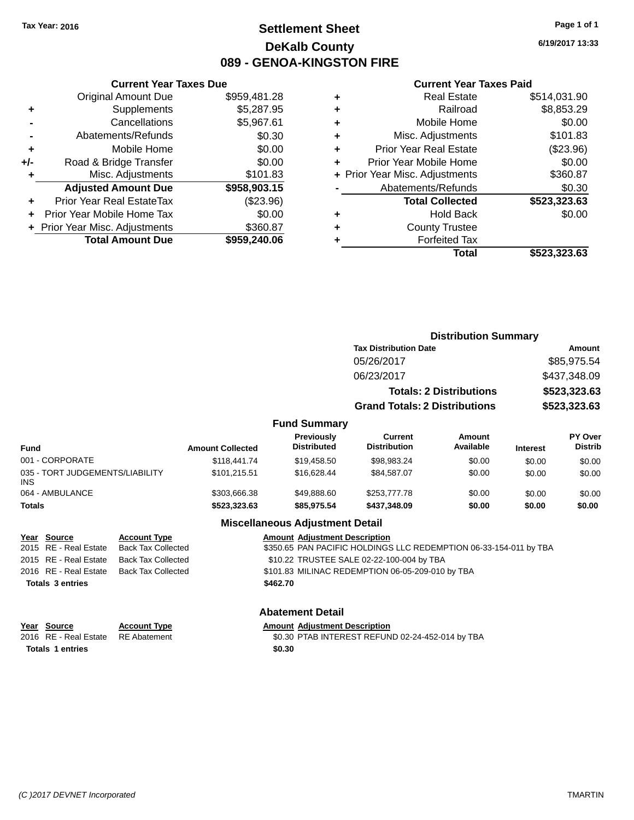# **Settlement Sheet Tax Year: 2016 Page 1 of 1 DeKalb County 089 - GENOA-KINGSTON FIRE**

**6/19/2017 13:33**

### **Current Year Taxes Paid**

|     | <b>Current Year Taxes Due</b>    |              |
|-----|----------------------------------|--------------|
|     | <b>Original Amount Due</b>       | \$959,481.28 |
| ٠   | Supplements                      | \$5,287.95   |
|     | Cancellations                    | \$5,967.61   |
|     | Abatements/Refunds               | \$0.30       |
| ٠   | Mobile Home                      | \$0.00       |
| +/- | Road & Bridge Transfer           | \$0.00       |
| ٠   | Misc. Adjustments                | \$101.83     |
|     | <b>Adjusted Amount Due</b>       | \$958,903.15 |
| ٠   | <b>Prior Year Real EstateTax</b> | $(\$23.96)$  |
|     | Prior Year Mobile Home Tax       | \$0.00       |
|     | + Prior Year Misc. Adjustments   | \$360.87     |
|     | <b>Total Amount Due</b>          | \$959,240.06 |
|     |                                  |              |

|   | <b>Real Estate</b>             | \$514,031.90 |
|---|--------------------------------|--------------|
| ٠ | Railroad                       | \$8,853.29   |
| ٠ | Mobile Home                    | \$0.00       |
| ٠ | Misc. Adjustments              | \$101.83     |
| ٠ | Prior Year Real Estate         | (\$23.96)    |
|   | Prior Year Mobile Home         | \$0.00       |
|   | + Prior Year Misc. Adjustments | \$360.87     |
|   | Abatements/Refunds             | \$0.30       |
|   | <b>Total Collected</b>         | \$523,323.63 |
| ٠ | <b>Hold Back</b>               | \$0.00       |
|   | <b>County Trustee</b>          |              |
|   | <b>Forfeited Tax</b>           |              |
|   | Total                          | \$523,323.63 |
|   |                                |              |

|                                         |                                      | <b>Distribution Summary</b>       |                 |                                  |
|-----------------------------------------|--------------------------------------|-----------------------------------|-----------------|----------------------------------|
|                                         | <b>Tax Distribution Date</b>         |                                   |                 | Amount                           |
|                                         | 05/26/2017                           |                                   |                 | \$85,975.54                      |
|                                         | 06/23/2017                           |                                   |                 | \$437,348.09                     |
|                                         |                                      | <b>Totals: 2 Distributions</b>    |                 | \$523,323.63                     |
|                                         | <b>Grand Totals: 2 Distributions</b> |                                   |                 | \$523,323.63                     |
| <b>Fund Summary</b>                     |                                      |                                   |                 |                                  |
| <b>Previously</b><br><b>Dictributed</b> | Current<br><b>Dictribution</b>       | <b>Amount</b><br><b>Availahla</b> | $1 - 1 - 1 - 1$ | <b>PY Over</b><br><b>Dietrih</b> |

### **Fund Summary**

| Fund                                   | <b>Amount Collected</b> | <b>Previously</b><br><b>Distributed</b> | Current<br><b>Distribution</b> | Amount<br>Available | <b>Interest</b> | <b>PY Over</b><br><b>Distrib</b> |
|----------------------------------------|-------------------------|-----------------------------------------|--------------------------------|---------------------|-----------------|----------------------------------|
| 001 - CORPORATE                        | \$118,441.74            | \$19,458.50                             | \$98,983.24                    | \$0.00              | \$0.00          | \$0.00                           |
| 035 - TORT JUDGEMENTS/LIABILITY<br>INS | \$101.215.51            | \$16,628,44                             | \$84.587.07                    | \$0.00              | \$0.00          | \$0.00                           |
| 064 - AMBULANCE                        | \$303,666,38            | \$49.888.60                             | \$253,777,78                   | \$0.00              | \$0.00          | \$0.00                           |
| Totals                                 | \$523,323.63            | \$85.975.54                             | \$437,348.09                   | \$0.00              | \$0.00          | \$0.00                           |

### **Miscellaneous Adjustment Detail**

| <u>Year Source</u>      | <b>Account Type</b>                      | <b>Amount Adjustment Description</b>                              |
|-------------------------|------------------------------------------|-------------------------------------------------------------------|
| 2015 RE - Real Estate   | Back Tax Collected                       | \$350.65 PAN PACIFIC HOLDINGS LLC REDEMPTION 06-33-154-011 by TBA |
|                         | 2015 RE - Real Estate Back Tax Collected | \$10.22 TRUSTEE SALE 02-22-100-004 by TBA                         |
|                         | 2016 RE - Real Estate Back Tax Collected | \$101.83 MILINAC REDEMPTION 06-05-209-010 by TBA                  |
| <b>Totals 3 entries</b> |                                          | \$462.70                                                          |
|                         |                                          |                                                                   |

# **Year** Source **Account Type Account Adjustment Description Totals 1 entries** \$0.30

# **Abatement Detail**

2016 RE - Real Estate RE Abatement \$0.30 PTAB INTEREST REFUND 02-24-452-014 by TBA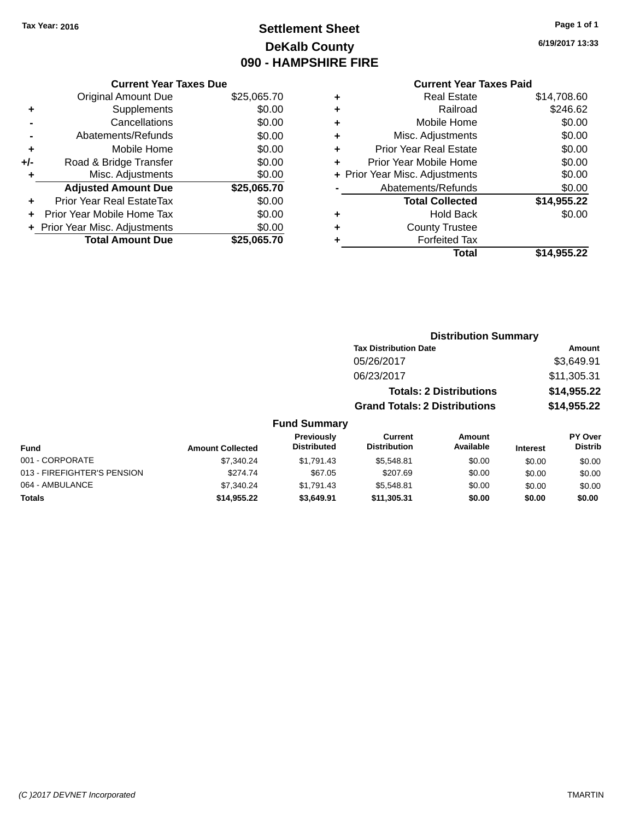# **Settlement Sheet Tax Year: 2016 Page 1 of 1 DeKalb County 090 - HAMPSHIRE FIRE**

**6/19/2017 13:33**

## **Current Year Taxes Paid**

|     | <b>Current Year Taxes Due</b>  |             |  |  |  |
|-----|--------------------------------|-------------|--|--|--|
|     | <b>Original Amount Due</b>     | \$25,065.70 |  |  |  |
| ٠   | Supplements                    | \$0.00      |  |  |  |
|     | Cancellations                  | \$0.00      |  |  |  |
|     | Abatements/Refunds             | \$0.00      |  |  |  |
| ÷   | Mobile Home                    | \$0.00      |  |  |  |
| +/- | Road & Bridge Transfer         | \$0.00      |  |  |  |
|     | Misc. Adjustments              | \$0.00      |  |  |  |
|     | <b>Adjusted Amount Due</b>     | \$25,065.70 |  |  |  |
| ٠   | Prior Year Real EstateTax      | \$0.00      |  |  |  |
|     | Prior Year Mobile Home Tax     | \$0.00      |  |  |  |
|     | + Prior Year Misc. Adjustments | \$0.00      |  |  |  |
|     | <b>Total Amount Due</b>        | \$25,065.70 |  |  |  |
|     |                                |             |  |  |  |

| ٠ | <b>Real Estate</b>             | \$14,708.60 |
|---|--------------------------------|-------------|
| ٠ | Railroad                       | \$246.62    |
| ٠ | Mobile Home                    | \$0.00      |
| ٠ | Misc. Adjustments              | \$0.00      |
| ٠ | <b>Prior Year Real Estate</b>  | \$0.00      |
| ÷ | Prior Year Mobile Home         | \$0.00      |
|   | + Prior Year Misc. Adjustments | \$0.00      |
|   | Abatements/Refunds             | \$0.00      |
|   | <b>Total Collected</b>         | \$14,955.22 |
| ٠ | Hold Back                      | \$0.00      |
| ٠ | <b>County Trustee</b>          |             |
| ٠ | <b>Forfeited Tax</b>           |             |
|   | Total                          | \$14,955.22 |
|   |                                |             |

| <b>Distribution Summary</b>          |             |
|--------------------------------------|-------------|
| <b>Tax Distribution Date</b>         | Amount      |
| 05/26/2017                           | \$3,649.91  |
| 06/23/2017                           | \$11,305.31 |
| <b>Totals: 2 Distributions</b>       | \$14,955.22 |
| <b>Grand Totals: 2 Distributions</b> | \$14,955.22 |

### **Fund Summary**

| <b>Fund</b>                 | <b>Amount Collected</b> | <b>Previously</b><br><b>Distributed</b> | Current<br><b>Distribution</b> | Amount<br>Available | <b>Interest</b> | <b>PY Over</b><br><b>Distrib</b> |
|-----------------------------|-------------------------|-----------------------------------------|--------------------------------|---------------------|-----------------|----------------------------------|
| 001 - CORPORATE             | \$7.340.24              | \$1.791.43                              | \$5.548.81                     | \$0.00              | \$0.00          | \$0.00                           |
| 013 - FIREFIGHTER'S PENSION | \$274.74                | \$67.05                                 | \$207.69                       | \$0.00              | \$0.00          | \$0.00                           |
| 064 - AMBULANCE             | \$7.340.24              | \$1.791.43                              | \$5.548.81                     | \$0.00              | \$0.00          | \$0.00                           |
| <b>Totals</b>               | \$14,955.22             | \$3,649.91                              | \$11,305.31                    | \$0.00              | \$0.00          | \$0.00                           |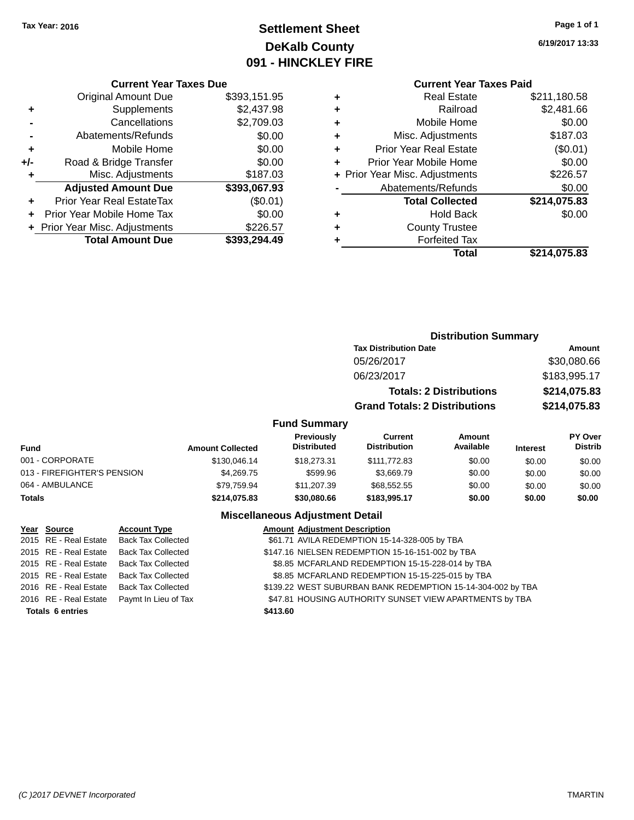# **Settlement Sheet Tax Year: 2016 Page 1 of 1 DeKalb County 091 - HINCKLEY FIRE**

**6/19/2017 13:33**

**+** Real Estate \$211,180.58 **+** Railroad \$2,481.66 **+** Mobile Home \$0.00 \$187.03  $$0.01$  $$0.00$  $$226.57$  $$0.00$ **Total Collected \$214,075.83 +** Hold Back \$0.00

**Total \$214,075.83**

## **Current Year Taxes Paid**

**Distribution Summary**

|          | <b>Real Estate</b>             | ٠ | \$393,151.95 |
|----------|--------------------------------|---|--------------|
| Railroad |                                | ٠ | \$2,437.98   |
|          | Mobile Home                    | ٠ | \$2,709.03   |
|          | Misc. Adjustments              | ٠ | \$0.00       |
|          | <b>Prior Year Real Estate</b>  | ٠ | \$0.00       |
|          | Prior Year Mobile Home         |   | \$0.00       |
|          | + Prior Year Misc. Adjustments |   | \$187.03     |
|          | Abatements/Refunds             |   | \$393,067.93 |
|          | <b>Total Collected</b>         |   | (\$0.01)     |
|          | <b>Hold Back</b>               | ٠ | \$0.00       |
|          | <b>County Trustee</b>          | ٠ | \$226.57     |
|          | <b>Forfeited Tax</b>           |   | \$393,294.49 |
| Total    |                                |   |              |

|                             |                         |                                         | <b>Tax Distribution Date</b>          |                                |                 | Amount                    |
|-----------------------------|-------------------------|-----------------------------------------|---------------------------------------|--------------------------------|-----------------|---------------------------|
|                             |                         |                                         | 05/26/2017                            |                                |                 | \$30,080.66               |
|                             |                         |                                         | 06/23/2017                            |                                |                 | \$183,995.17              |
|                             |                         |                                         |                                       | <b>Totals: 2 Distributions</b> |                 | \$214,075.83              |
|                             |                         |                                         | <b>Grand Totals: 2 Distributions</b>  |                                |                 | \$214,075.83              |
|                             |                         | <b>Fund Summary</b>                     |                                       |                                |                 |                           |
| <b>Fund</b>                 | <b>Amount Collected</b> | <b>Previously</b><br><b>Distributed</b> | <b>Current</b><br><b>Distribution</b> | Amount<br>Available            | <b>Interest</b> | PY Over<br><b>Distrib</b> |
| 001 - CORPORATE             | \$130,046.14            | \$18,273,31                             | \$111,772.83                          | \$0.00                         | \$0.00          | \$0.00                    |
| 013 - FIREFIGHTER'S PENSION | \$4.269.75              | \$599.96                                | \$3,669.79                            | \$0.00                         | \$0.00          | \$0.00                    |
| 064 - AMBULANCE             | \$79,759.94             | \$11,207.39                             | \$68,552.55                           | \$0.00                         | \$0.00          | \$0.00                    |
| <b>Totals</b>               | \$214.075.83            | \$30,080,66                             | \$183,995.17                          | \$0.00                         | \$0.00          | \$0.00                    |

| Year Source             | <b>Account Type</b>       | <b>Amount Adjustment Description</b>                        |
|-------------------------|---------------------------|-------------------------------------------------------------|
| 2015 RE - Real Estate   | <b>Back Tax Collected</b> | \$61.71 AVILA REDEMPTION 15-14-328-005 by TBA               |
| 2015 RE - Real Estate   | <b>Back Tax Collected</b> | \$147.16 NIELSEN REDEMPTION 15-16-151-002 by TBA            |
| 2015 RE - Real Estate   | <b>Back Tax Collected</b> | \$8.85 MCFARLAND REDEMPTION 15-15-228-014 by TBA            |
| 2015 RE - Real Estate   | <b>Back Tax Collected</b> | \$8.85 MCFARLAND REDEMPTION 15-15-225-015 by TBA            |
| 2016 RE - Real Estate   | <b>Back Tax Collected</b> | \$139.22 WEST SUBURBAN BANK REDEMPTION 15-14-304-002 by TBA |
| 2016 RE - Real Estate   | Paymt In Lieu of Tax      | \$47.81 HOUSING AUTHORITY SUNSET VIEW APARTMENTS by TBA     |
| <b>Totals 6 entries</b> |                           | \$413.60                                                    |

|       | <b>Original Amount Due</b>     | \$393,151.95 |
|-------|--------------------------------|--------------|
| ٠     | Supplements                    | \$2,437.98   |
|       | Cancellations                  | \$2,709.03   |
|       | Abatements/Refunds             | \$0.00       |
| ٠     | Mobile Home                    | \$0.00       |
| $+/-$ | Road & Bridge Transfer         | \$0.00       |
|       | Misc. Adjustments              | \$187.03     |
|       | <b>Adjusted Amount Due</b>     | \$393,067.93 |
| ٠     | Prior Year Real EstateTax      | (\$0.01)     |
|       | Prior Year Mobile Home Tax     | \$0.00       |
|       |                                |              |
|       | + Prior Year Misc. Adjustments | \$226.57     |
|       | <b>Total Amount Due</b>        | \$393,294.49 |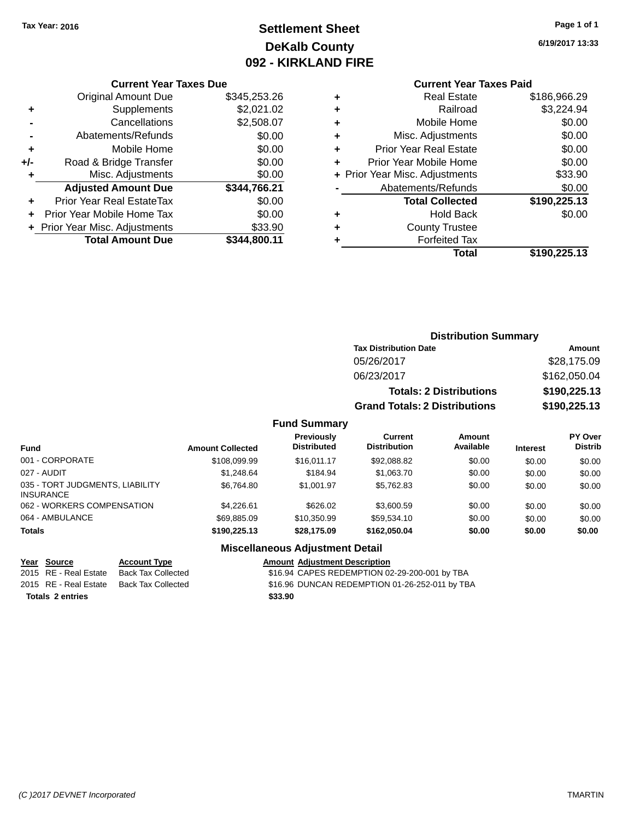# **Settlement Sheet Tax Year: 2016 Page 1 of 1 DeKalb County 092 - KIRKLAND FIRE**

**6/19/2017 13:33**

### **Current Year Taxes Due**

|     | <b>Original Amount Due</b>       | \$345,253.26 |
|-----|----------------------------------|--------------|
| ٠   | Supplements                      | \$2,021.02   |
|     | Cancellations                    | \$2,508.07   |
|     | Abatements/Refunds               | \$0.00       |
| ٠   | Mobile Home                      | \$0.00       |
| +/- | Road & Bridge Transfer           | \$0.00       |
| ٠   | Misc. Adjustments                | \$0.00       |
|     | <b>Adjusted Amount Due</b>       | \$344,766.21 |
| ÷   | <b>Prior Year Real EstateTax</b> | \$0.00       |
|     | Prior Year Mobile Home Tax       | \$0.00       |
|     | + Prior Year Misc. Adjustments   | \$33.90      |
|     | <b>Total Amount Due</b>          | \$344.800.11 |

## **Current Year Taxes Paid**

| ٠ | <b>Real Estate</b>             | \$186,966.29 |
|---|--------------------------------|--------------|
| ٠ | Railroad                       | \$3,224.94   |
| ٠ | Mobile Home                    | \$0.00       |
| ٠ | Misc. Adjustments              | \$0.00       |
| ٠ | <b>Prior Year Real Estate</b>  | \$0.00       |
| ٠ | Prior Year Mobile Home         | \$0.00       |
|   | + Prior Year Misc. Adjustments | \$33.90      |
|   | Abatements/Refunds             | \$0.00       |
|   | <b>Total Collected</b>         | \$190,225.13 |
| ٠ | <b>Hold Back</b>               | \$0.00       |
| ٠ | <b>County Trustee</b>          |              |
| ٠ | <b>Forfeited Tax</b>           |              |
|   | Total                          | \$190,225.13 |
|   |                                |              |

### **Distribution Summary Tax Distribution Date Amount** 05/26/2017 \$28,175.09 06/23/2017 \$162,050.04 **Totals: 2 Distributions \$190,225.13 Grand Totals: 2 Distributions \$190,225.13**

### **Fund Summary**

| <b>Fund</b>                                         | <b>Amount Collected</b> | <b>Previously</b><br><b>Distributed</b> | <b>Current</b><br><b>Distribution</b> | Amount<br>Available | <b>Interest</b> | PY Over<br><b>Distrib</b> |
|-----------------------------------------------------|-------------------------|-----------------------------------------|---------------------------------------|---------------------|-----------------|---------------------------|
| 001 - CORPORATE                                     | \$108.099.99            | \$16.011.17                             | \$92,088.82                           | \$0.00              | \$0.00          | \$0.00                    |
| 027 - AUDIT                                         | \$1.248.64              | \$184.94                                | \$1,063.70                            | \$0.00              | \$0.00          | \$0.00                    |
| 035 - TORT JUDGMENTS, LIABILITY<br><b>INSURANCE</b> | \$6.764.80              | \$1,001.97                              | \$5.762.83                            | \$0.00              | \$0.00          | \$0.00                    |
| 062 - WORKERS COMPENSATION                          | \$4,226.61              | \$626.02                                | \$3,600.59                            | \$0.00              | \$0.00          | \$0.00                    |
| 064 - AMBULANCE                                     | \$69.885.09             | \$10,350.99                             | \$59.534.10                           | \$0.00              | \$0.00          | \$0.00                    |
| <b>Totals</b>                                       | \$190,225.13            | \$28.175.09                             | \$162,050,04                          | \$0.00              | \$0.00          | \$0.00                    |

**Totals \$33.90 2 entries**

### **Miscellaneous Adjustment Detail**

# **Year Source Account Type Amount Adjustment Description**

\$16.94 CAPES REDEMPTION 02-29-200-001 by TBA 2015 RE - Real Estate Back Tax Collected \$16.96 DUNCAN REDEMPTION 01-26-252-011 by TBA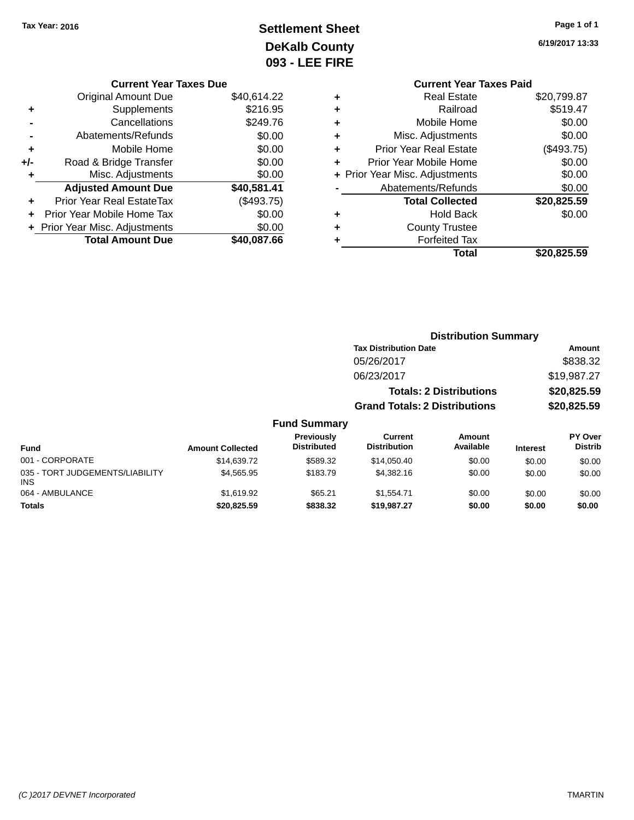# **Settlement Sheet Tax Year: 2016 Page 1 of 1 DeKalb County 093 - LEE FIRE**

**6/19/2017 13:33**

|   | <b>Current Year Taxes Paid</b> |             |
|---|--------------------------------|-------------|
| ٠ | <b>Real Estate</b>             | \$20,799.87 |
| ٠ | Railroad                       | \$519.47    |
| ٠ | Mobile Home                    | \$0.00      |
| ٠ | Misc. Adjustments              | \$0.00      |
| ٠ | <b>Prior Year Real Estate</b>  | (\$493.75)  |
| ÷ | Prior Year Mobile Home         | \$0.00      |
|   | + Prior Year Misc. Adjustments | \$0.00      |
|   | Abatements/Refunds             | \$0.00      |
|   | <b>Total Collected</b>         | \$20,825.59 |
| ٠ | <b>Hold Back</b>               | \$0.00      |
| ٠ | <b>County Trustee</b>          |             |
|   | <b>Forfeited Tax</b>           |             |
|   | Total                          | \$20,825.59 |
|   |                                |             |

|     | <b>Current Year Taxes Due</b>  |             |
|-----|--------------------------------|-------------|
|     | Original Amount Due            | \$40,614.22 |
| ٠   | Supplements                    | \$216.95    |
|     | Cancellations                  | \$249.76    |
|     | Abatements/Refunds             | \$0.00      |
| ٠   | Mobile Home                    | \$0.00      |
| +/- | Road & Bridge Transfer         | \$0.00      |
|     | Misc. Adjustments              | \$0.00      |
|     | <b>Adjusted Amount Due</b>     | \$40,581.41 |
|     | Prior Year Real EstateTax      | (\$493.75)  |
| ÷   | Prior Year Mobile Home Tax     | \$0.00      |
|     | + Prior Year Misc. Adjustments | \$0.00      |
|     | <b>Total Amount Due</b>        | \$40,087.66 |
|     |                                |             |

|                                         |                         |                                  |                                       | <b>Distribution Summary</b>    |                 |                                  |
|-----------------------------------------|-------------------------|----------------------------------|---------------------------------------|--------------------------------|-----------------|----------------------------------|
|                                         |                         |                                  | <b>Tax Distribution Date</b>          |                                |                 | Amount                           |
|                                         |                         |                                  | 05/26/2017                            |                                |                 | \$838.32                         |
|                                         |                         |                                  | 06/23/2017                            |                                |                 | \$19,987.27                      |
|                                         |                         |                                  |                                       | <b>Totals: 2 Distributions</b> |                 | \$20,825.59                      |
|                                         |                         |                                  | <b>Grand Totals: 2 Distributions</b>  |                                |                 | \$20,825.59                      |
|                                         |                         | <b>Fund Summary</b>              |                                       |                                |                 |                                  |
| <b>Fund</b>                             | <b>Amount Collected</b> | Previously<br><b>Distributed</b> | <b>Current</b><br><b>Distribution</b> | Amount<br>Available            | <b>Interest</b> | <b>PY Over</b><br><b>Distrib</b> |
| 001 - CORPORATE                         | \$14,639,72             | \$589.32                         | \$14,050.40                           | \$0.00                         | \$0.00          | \$0.00                           |
| 035 - TORT JUDGEMENTS/LIABILITY<br>INS. | \$4,565.95              | \$183.79                         | \$4,382.16                            | \$0.00                         | \$0.00          | \$0.00                           |
| 064 - AMBULANCE                         | \$1.619.92              | \$65.21                          | \$1.554.71                            | \$0.00                         | \$0.00          | \$0.00                           |

**Totals \$20,825.59 \$838.32 \$19,987.27 \$0.00 \$0.00 \$0.00**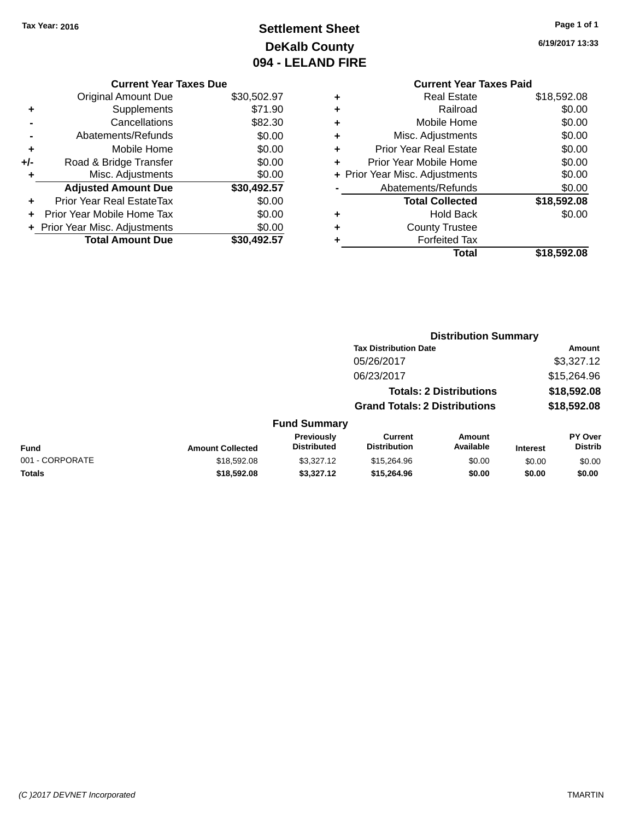# **Settlement Sheet Tax Year: 2016 Page 1 of 1 DeKalb County 094 - LELAND FIRE**

**6/19/2017 13:33**

|     | <b>Current Year Taxes Due</b>  |             |
|-----|--------------------------------|-------------|
|     | <b>Original Amount Due</b>     | \$30,502.97 |
| ÷   | Supplements                    | \$71.90     |
|     | Cancellations                  | \$82.30     |
|     | Abatements/Refunds             | \$0.00      |
| ٠   | Mobile Home                    | \$0.00      |
| +/- | Road & Bridge Transfer         | \$0.00      |
|     | Misc. Adjustments              | \$0.00      |
|     | <b>Adjusted Amount Due</b>     | \$30,492.57 |
| ٠   | Prior Year Real EstateTax      | \$0.00      |
|     | Prior Year Mobile Home Tax     | \$0.00      |
|     | + Prior Year Misc. Adjustments | \$0.00      |
|     | <b>Total Amount Due</b>        | \$30.492.57 |
|     |                                |             |

### **Current Year Taxes Paid +** Real Estate \$18,592.08 **+** Railroad \$0.00 **+** Mobile Home \$0.00 **+** Misc. Adjustments \$0.00 **+** Prior Year Real Estate \$0.00 **+** Prior Year Mobile Home \$0.00 **+ Prior Year Misc. Adjustments**  $$0.00$ **-** Abatements/Refunds \$0.00 **Total Collected \$18,592.08 +** Hold Back \$0.00 **+** County Trustee **+** Forfeited Tax **Total \$18,592.08**

|                 | <b>Distribution Summary</b> |                                         |                                       |                                |                 |                           |
|-----------------|-----------------------------|-----------------------------------------|---------------------------------------|--------------------------------|-----------------|---------------------------|
|                 |                             |                                         | <b>Tax Distribution Date</b>          |                                |                 | <b>Amount</b>             |
|                 |                             |                                         | 05/26/2017                            |                                |                 | \$3,327.12                |
|                 |                             |                                         | 06/23/2017                            |                                |                 | \$15,264.96               |
|                 |                             |                                         |                                       | <b>Totals: 2 Distributions</b> |                 | \$18,592.08               |
|                 |                             |                                         | <b>Grand Totals: 2 Distributions</b>  |                                |                 | \$18,592.08               |
|                 |                             | <b>Fund Summary</b>                     |                                       |                                |                 |                           |
| <b>Fund</b>     | <b>Amount Collected</b>     | <b>Previously</b><br><b>Distributed</b> | <b>Current</b><br><b>Distribution</b> | Amount<br>Available            | <b>Interest</b> | PY Over<br><b>Distrib</b> |
| 001 - CORPORATE | \$18,592.08                 | \$3,327.12                              | \$15,264.96                           | \$0.00                         | \$0.00          | \$0.00                    |
| <b>Totals</b>   | \$18,592.08                 | \$3,327.12                              | \$15,264.96                           | \$0.00                         | \$0.00          | \$0.00                    |
|                 |                             |                                         |                                       |                                |                 |                           |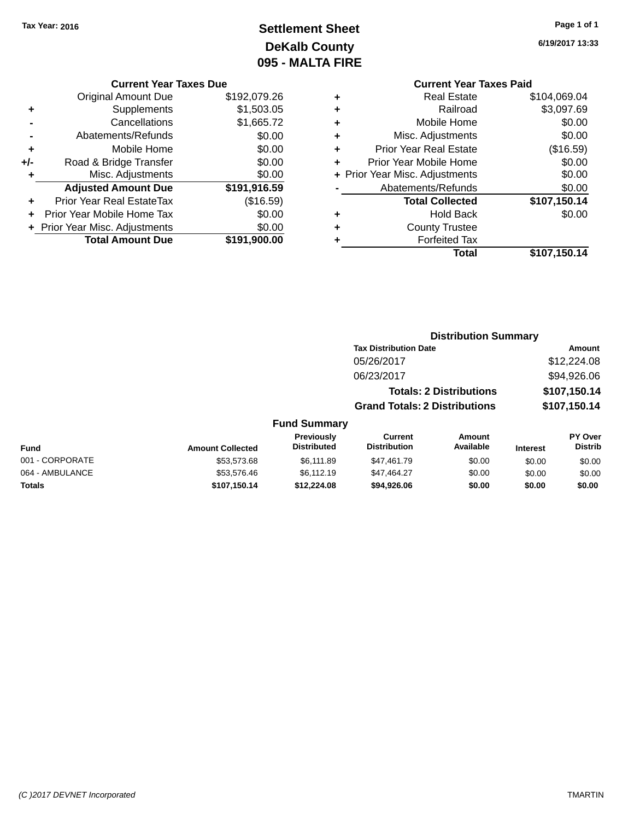# **Settlement Sheet Tax Year: 2016 Page 1 of 1 DeKalb County 095 - MALTA FIRE**

**6/19/2017 13:33**

|     | <b>Original Amount Due</b>     | \$192,079.26 |
|-----|--------------------------------|--------------|
| ٠   | Supplements                    | \$1,503.05   |
|     | Cancellations                  | \$1,665.72   |
|     | Abatements/Refunds             | \$0.00       |
| ÷   | Mobile Home                    | \$0.00       |
| +/- | Road & Bridge Transfer         | \$0.00       |
| ٠   | Misc. Adjustments              | \$0.00       |
|     | <b>Adjusted Amount Due</b>     | \$191,916.59 |
|     | Prior Year Real EstateTax      | (\$16.59)    |
|     | Prior Year Mobile Home Tax     | \$0.00       |
|     | + Prior Year Misc. Adjustments | \$0.00       |
|     | <b>Total Amount Due</b>        | \$191.900.00 |

# **Current Year Taxes Paid**

|   | Total                          | \$107,150.14 |
|---|--------------------------------|--------------|
|   | <b>Forfeited Tax</b>           |              |
| ٠ | <b>County Trustee</b>          |              |
|   | <b>Hold Back</b>               | \$0.00       |
|   | <b>Total Collected</b>         | \$107,150.14 |
|   | Abatements/Refunds             | \$0.00       |
|   | + Prior Year Misc. Adjustments | \$0.00       |
| ÷ | Prior Year Mobile Home         | \$0.00       |
| ٠ | <b>Prior Year Real Estate</b>  | (\$16.59)    |
| ٠ | Misc. Adjustments              | \$0.00       |
| ٠ | Mobile Home                    | \$0.00       |
| ٠ | Railroad                       | \$3,097.69   |
|   | <b>Real Estate</b>             | \$104,069.04 |

### **Distribution Summary Tax Distribution Date Amount** 05/26/2017 \$12,224.08 06/23/2017 \$94,926.06 **Totals: 2 Distributions \$107,150.14 Grand Totals: 2 Distributions \$107,150.14 Fund Summary PY Over Distrib Amount Available Current Distribution Previously Amount Collected Distributed**

| <b>Fund</b>     | <b>Amount Collected</b> | <b>Distributed</b> | <b>Distribution</b> | Available | <b>Interest</b> | <b>Distrib</b> |
|-----------------|-------------------------|--------------------|---------------------|-----------|-----------------|----------------|
| 001 - CORPORATE | \$53,573.68             | \$6.111.89         | \$47.461.79         | \$0.00    | \$0.00          | \$0.00         |
| 064 - AMBULANCE | \$53.576.46             | \$6.112.19         | \$47.464.27         | \$0.00    | \$0.00          | \$0.00         |
| Totals          | \$107.150.14            | \$12,224.08        | \$94.926.06         | \$0.00    | \$0.00          | \$0.00         |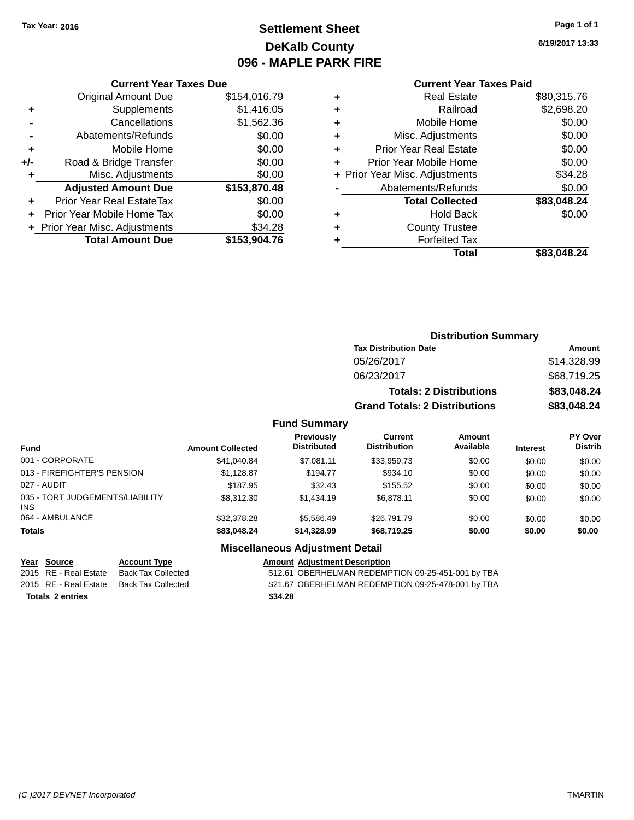# **Settlement Sheet Tax Year: 2016 Page 1 of 1 DeKalb County 096 - MAPLE PARK FIRE**

**6/19/2017 13:33**

### **Current Year Taxes Paid**

|     | <b>Current Year Taxes Due</b>  |              |
|-----|--------------------------------|--------------|
|     | <b>Original Amount Due</b>     | \$154,016.79 |
| ٠   | Supplements                    | \$1,416.05   |
|     | Cancellations                  | \$1,562.36   |
|     | Abatements/Refunds             | \$0.00       |
| ٠   | Mobile Home                    | \$0.00       |
| +/- | Road & Bridge Transfer         | \$0.00       |
| ÷   | Misc. Adjustments              | \$0.00       |
|     | <b>Adjusted Amount Due</b>     | \$153,870.48 |
| ٠   | Prior Year Real EstateTax      | \$0.00       |
|     | Prior Year Mobile Home Tax     | \$0.00       |
|     | + Prior Year Misc. Adjustments | \$34.28      |
|     | <b>Total Amount Due</b>        | \$153,904.76 |
|     |                                |              |

| ٠ | <b>Real Estate</b>             | \$80,315.76 |
|---|--------------------------------|-------------|
| ٠ | Railroad                       | \$2,698.20  |
| ٠ | Mobile Home                    | \$0.00      |
| ٠ | Misc. Adjustments              | \$0.00      |
| ٠ | <b>Prior Year Real Estate</b>  | \$0.00      |
| ٠ | Prior Year Mobile Home         | \$0.00      |
|   | + Prior Year Misc. Adjustments | \$34.28     |
|   | Abatements/Refunds             | \$0.00      |
|   | <b>Total Collected</b>         | \$83,048.24 |
| ٠ | <b>Hold Back</b>               | \$0.00      |
| ٠ | <b>County Trustee</b>          |             |
| ٠ | <b>Forfeited Tax</b>           |             |
|   | Total                          | \$83,048.24 |
|   |                                |             |

| <b>Distribution Summary</b>          |             |
|--------------------------------------|-------------|
| <b>Tax Distribution Date</b>         | Amount      |
| 05/26/2017                           | \$14.328.99 |
| 06/23/2017                           | \$68,719.25 |
| <b>Totals: 2 Distributions</b>       | \$83,048.24 |
| <b>Grand Totals: 2 Distributions</b> | \$83,048.24 |

### **Fund Summary**

| <b>Fund</b>                                   | <b>Amount Collected</b> | <b>Previously</b><br><b>Distributed</b> | Current<br><b>Distribution</b> | Amount<br>Available | <b>Interest</b> | PY Over<br><b>Distrib</b> |
|-----------------------------------------------|-------------------------|-----------------------------------------|--------------------------------|---------------------|-----------------|---------------------------|
| 001 - CORPORATE                               | \$41,040.84             | \$7.081.11                              | \$33.959.73                    | \$0.00              | \$0.00          | \$0.00                    |
| 013 - FIREFIGHTER'S PENSION                   | \$1.128.87              | \$194.77                                | \$934.10                       | \$0.00              | \$0.00          | \$0.00                    |
| 027 - AUDIT                                   | \$187.95                | \$32.43                                 | \$155.52                       | \$0.00              | \$0.00          | \$0.00                    |
| 035 - TORT JUDGEMENTS/LIABILITY<br><b>INS</b> | \$8,312,30              | \$1.434.19                              | \$6,878.11                     | \$0.00              | \$0.00          | \$0.00                    |
| 064 - AMBULANCE                               | \$32,378.28             | \$5.586.49                              | \$26,791.79                    | \$0.00              | \$0.00          | \$0.00                    |
| <b>Totals</b>                                 | \$83,048.24             | \$14,328,99                             | \$68,719.25                    | \$0.00              | \$0.00          | \$0.00                    |

**Totals \$34.28 2 entries**

### **Miscellaneous Adjustment Detail**

**Year Source Account Type Amount Adjustment Description**

\$12.61 OBERHELMAN REDEMPTION 09-25-451-001 by TBA 2015 RE - Real Estate Back Tax Collected \$21.67 OBERHELMAN REDEMPTION 09-25-478-001 by TBA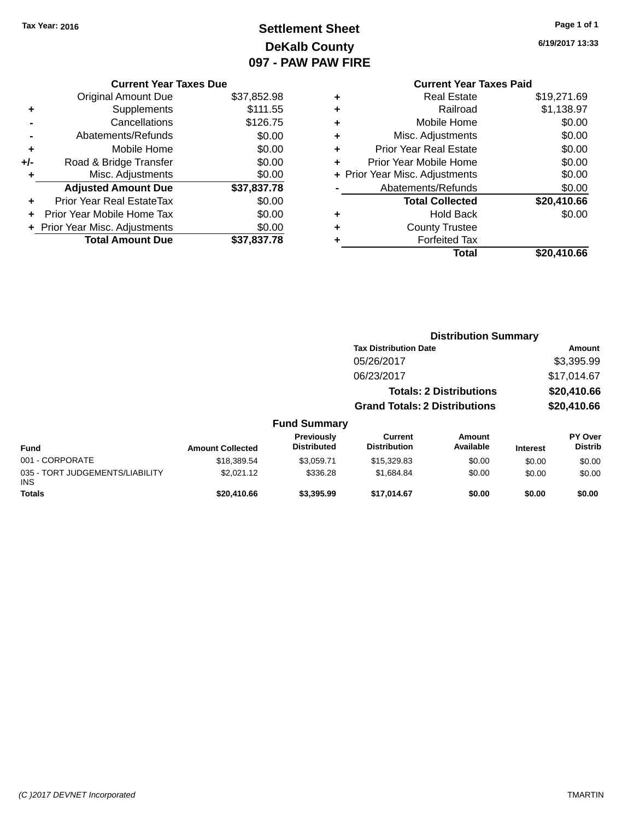# **Settlement Sheet Tax Year: 2016 Page 1 of 1 DeKalb County 097 - PAW PAW FIRE**

**6/19/2017 13:33**

|     | <b>Current Year Taxes Due</b>  |             |  |  |  |  |
|-----|--------------------------------|-------------|--|--|--|--|
|     | <b>Original Amount Due</b>     | \$37,852.98 |  |  |  |  |
| ٠   | Supplements                    | \$111.55    |  |  |  |  |
|     | Cancellations                  | \$126.75    |  |  |  |  |
|     | Abatements/Refunds             | \$0.00      |  |  |  |  |
| ÷   | Mobile Home                    | \$0.00      |  |  |  |  |
| +/- | Road & Bridge Transfer         | \$0.00      |  |  |  |  |
| ٠   | Misc. Adjustments              | \$0.00      |  |  |  |  |
|     | <b>Adjusted Amount Due</b>     | \$37,837.78 |  |  |  |  |
| ٠   | Prior Year Real EstateTax      | \$0.00      |  |  |  |  |
|     | Prior Year Mobile Home Tax     | \$0.00      |  |  |  |  |
|     | + Prior Year Misc. Adjustments | \$0.00      |  |  |  |  |
|     | <b>Total Amount Due</b>        | \$37.837.78 |  |  |  |  |
|     |                                |             |  |  |  |  |

|   | <b>Current Year Taxes Paid</b> |             |
|---|--------------------------------|-------------|
| ٠ | <b>Real Estate</b>             | \$19,271.69 |
| ٠ | Railroad                       | \$1,138.97  |
| ٠ | Mobile Home                    | \$0.00      |
| ٠ | Misc. Adjustments              | \$0.00      |
| ٠ | <b>Prior Year Real Estate</b>  | \$0.00      |
| ٠ | Prior Year Mobile Home         | \$0.00      |
|   | + Prior Year Misc. Adjustments | \$0.00      |
|   | Abatements/Refunds             | \$0.00      |
|   | <b>Total Collected</b>         | \$20,410.66 |
| ٠ | <b>Hold Back</b>               | \$0.00      |
| ٠ | <b>County Trustee</b>          |             |
| ٠ | <b>Forfeited Tax</b>           |             |
|   | Total                          | \$20,410.66 |

|                                               |                         |                                  | <b>Distribution Summary</b>           |                                |                 |                                  |
|-----------------------------------------------|-------------------------|----------------------------------|---------------------------------------|--------------------------------|-----------------|----------------------------------|
|                                               |                         |                                  | <b>Tax Distribution Date</b>          |                                |                 | Amount                           |
|                                               |                         |                                  | 05/26/2017                            |                                |                 | \$3,395.99                       |
|                                               |                         |                                  | 06/23/2017                            |                                |                 | \$17,014.67                      |
|                                               |                         |                                  |                                       | <b>Totals: 2 Distributions</b> |                 | \$20,410.66                      |
|                                               |                         |                                  | <b>Grand Totals: 2 Distributions</b>  |                                | \$20,410.66     |                                  |
|                                               |                         | <b>Fund Summary</b>              |                                       |                                |                 |                                  |
| <b>Fund</b>                                   | <b>Amount Collected</b> | Previously<br><b>Distributed</b> | <b>Current</b><br><b>Distribution</b> | <b>Amount</b><br>Available     | <b>Interest</b> | <b>PY Over</b><br><b>Distrib</b> |
| 001 - CORPORATE                               | \$18,389.54             | \$3,059.71                       | \$15,329.83                           | \$0.00                         | \$0.00          | \$0.00                           |
| 035 - TORT JUDGEMENTS/LIABILITY<br><b>INS</b> | \$2,021.12              | \$336.28                         | \$1,684.84                            | \$0.00                         | \$0.00          | \$0.00                           |
| <b>Totals</b>                                 | \$20,410.66             | \$3,395.99                       | \$17,014.67                           | \$0.00                         | \$0.00          | \$0.00                           |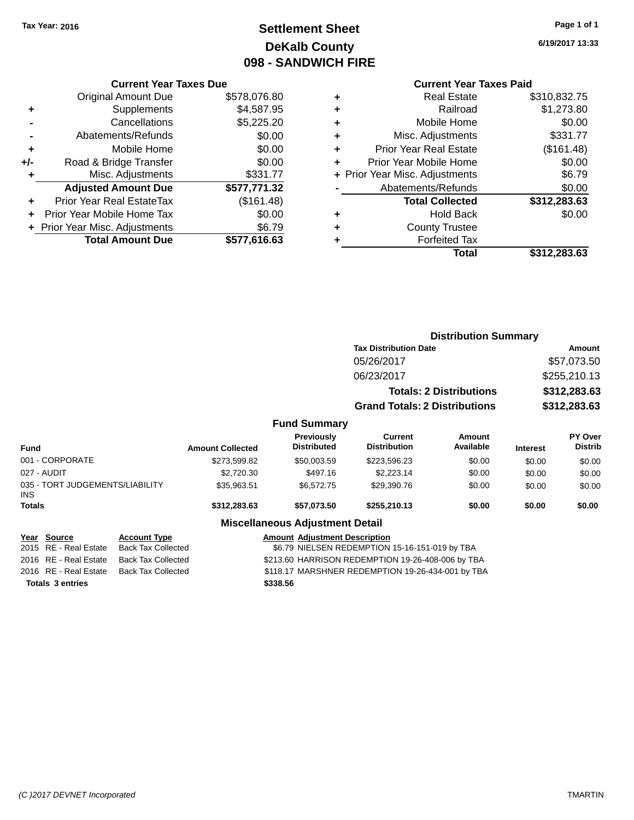# **Settlement Sheet Tax Year: 2016 Page 1 of 1 DeKalb County 098 - SANDWICH FIRE**

**6/19/2017 13:33**

### **Current Year Taxes Paid**

|       | <b>Current Year Taxes Due</b>  |              |  |  |  |
|-------|--------------------------------|--------------|--|--|--|
|       | <b>Original Amount Due</b>     | \$578,076.80 |  |  |  |
| ٠     | Supplements                    | \$4,587.95   |  |  |  |
|       | Cancellations                  | \$5,225.20   |  |  |  |
|       | Abatements/Refunds             | \$0.00       |  |  |  |
| ٠     | Mobile Home                    | \$0.00       |  |  |  |
| $+/-$ | Road & Bridge Transfer         | \$0.00       |  |  |  |
|       | Misc. Adjustments<br>\$331.77  |              |  |  |  |
|       | <b>Adjusted Amount Due</b>     | \$577,771.32 |  |  |  |
| ٠     | Prior Year Real EstateTax      | (\$161.48)   |  |  |  |
|       | Prior Year Mobile Home Tax     | \$0.00       |  |  |  |
|       | + Prior Year Misc. Adjustments | \$6.79       |  |  |  |
|       | <b>Total Amount Due</b>        | \$577.616.63 |  |  |  |
|       |                                |              |  |  |  |

| ٠ | <b>Real Estate</b>             | \$310,832.75 |
|---|--------------------------------|--------------|
| ٠ | Railroad                       | \$1,273.80   |
| ٠ | Mobile Home                    | \$0.00       |
| ٠ | Misc. Adjustments              | \$331.77     |
| ٠ | <b>Prior Year Real Estate</b>  | (\$161.48)   |
| ٠ | Prior Year Mobile Home         | \$0.00       |
|   | + Prior Year Misc. Adjustments | \$6.79       |
|   | Abatements/Refunds             | \$0.00       |
|   | <b>Total Collected</b>         | \$312,283.63 |
| ٠ | <b>Hold Back</b>               | \$0.00       |
| ٠ | <b>County Trustee</b>          |              |
| ٠ | <b>Forfeited Tax</b>           |              |
|   | Total                          | \$312,283.63 |
|   |                                |              |

|                                               |                         |                                        |                                       | <b>Distribution Summary</b>    |                 |                           |
|-----------------------------------------------|-------------------------|----------------------------------------|---------------------------------------|--------------------------------|-----------------|---------------------------|
|                                               |                         |                                        | <b>Tax Distribution Date</b>          |                                | Amount          |                           |
|                                               |                         |                                        | 05/26/2017                            |                                |                 | \$57,073.50               |
|                                               |                         |                                        | 06/23/2017                            |                                |                 | \$255,210.13              |
|                                               |                         |                                        |                                       | <b>Totals: 2 Distributions</b> | \$312,283.63    |                           |
|                                               |                         |                                        | <b>Grand Totals: 2 Distributions</b>  |                                | \$312,283.63    |                           |
|                                               |                         | <b>Fund Summary</b>                    |                                       |                                |                 |                           |
| <b>Fund</b>                                   | <b>Amount Collected</b> | Previously<br><b>Distributed</b>       | <b>Current</b><br><b>Distribution</b> | Amount<br>Available            | <b>Interest</b> | PY Over<br><b>Distrib</b> |
| 001 - CORPORATE                               | \$273,599.82            | \$50,003.59                            | \$223,596.23                          | \$0.00                         | \$0.00          | \$0.00                    |
| 027 - AUDIT                                   | \$2,720.30              | \$497.16                               | \$2,223.14                            | \$0.00                         | \$0.00          | \$0.00                    |
| 035 - TORT JUDGEMENTS/LIABILITY<br><b>INS</b> | \$35,963.51             | \$6,572.75                             | \$29,390.76                           | \$0.00                         | \$0.00          | \$0.00                    |
| Totals                                        | \$312,283.63            | \$57,073.50                            | \$255,210.13                          | \$0.00                         | \$0.00          | \$0.00                    |
|                                               |                         | <b>Miscellaneous Adjustment Detail</b> |                                       |                                |                 |                           |

| Year Source             | <b>Account Type</b> | <b>Amount Adjustment Description</b>              |
|-------------------------|---------------------|---------------------------------------------------|
| 2015 RE - Real Estate   | Back Tax Collected  | \$6.79 NIELSEN REDEMPTION 15-16-151-019 by TBA    |
| 2016 RE - Real Estate   | Back Tax Collected  | \$213.60 HARRISON REDEMPTION 19-26-408-006 by TBA |
| 2016 RE - Real Estate   | Back Tax Collected  | \$118.17 MARSHNER REDEMPTION 19-26-434-001 by TBA |
| <b>Totals 3 entries</b> |                     | \$338.56                                          |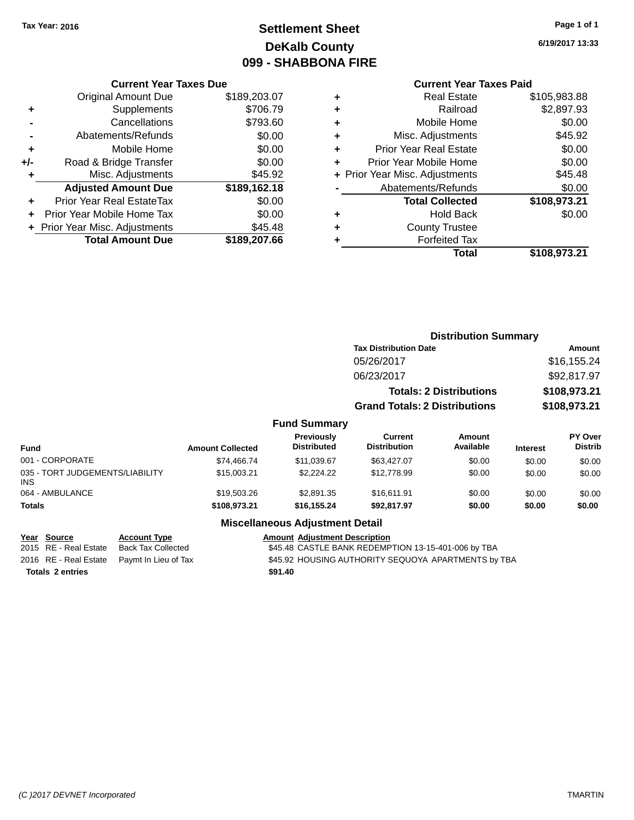# **Settlement Sheet Tax Year: 2016 Page 1 of 1 DeKalb County 099 - SHABBONA FIRE**

**6/19/2017 13:33**

|     | <b>Current Year Taxes Due</b>  |              |  |  |  |  |
|-----|--------------------------------|--------------|--|--|--|--|
|     | <b>Original Amount Due</b>     | \$189,203.07 |  |  |  |  |
| ٠   | Supplements                    | \$706.79     |  |  |  |  |
|     | Cancellations                  | \$793.60     |  |  |  |  |
|     | Abatements/Refunds             | \$0.00       |  |  |  |  |
| ٠   | Mobile Home                    | \$0.00       |  |  |  |  |
| +/- | Road & Bridge Transfer         | \$0.00       |  |  |  |  |
|     | \$45.92<br>Misc. Adjustments   |              |  |  |  |  |
|     | <b>Adjusted Amount Due</b>     | \$189,162.18 |  |  |  |  |
| ÷   | Prior Year Real EstateTax      | \$0.00       |  |  |  |  |
|     | Prior Year Mobile Home Tax     | \$0.00       |  |  |  |  |
|     | + Prior Year Misc. Adjustments | \$45.48      |  |  |  |  |
|     | <b>Total Amount Due</b>        | \$189,207,66 |  |  |  |  |

|   | <b>Current Year Taxes Paid</b> |              |
|---|--------------------------------|--------------|
| ٠ | Real Estate                    | \$105,983.88 |
| ٠ | Railroad                       | \$2,897.93   |
| ٠ | Mobile Home                    | \$0.00       |
| ٠ | Misc. Adjustments              | \$45.92      |
| ٠ | <b>Prior Year Real Estate</b>  | \$0.00       |
| ÷ | Prior Year Mobile Home         | \$0.00       |
|   | + Prior Year Misc. Adjustments | \$45.48      |
|   | Abatements/Refunds             | \$0.00       |
|   | <b>Total Collected</b>         | \$108,973.21 |
| ٠ | <b>Hold Back</b>               | \$0.00       |
|   | <b>County Trustee</b>          |              |
|   | <b>Forfeited Tax</b>           |              |
|   | Total                          | \$108,973.21 |
|   |                                |              |

|                  |                                  | <b>Distribution Summary</b>          |                                |                 |                                  |  |  |
|------------------|----------------------------------|--------------------------------------|--------------------------------|-----------------|----------------------------------|--|--|
|                  |                                  | <b>Tax Distribution Date</b>         | Amount                         |                 |                                  |  |  |
|                  |                                  | 05/26/2017                           |                                |                 | \$16,155.24                      |  |  |
|                  |                                  | 06/23/2017                           |                                |                 | \$92,817.97                      |  |  |
|                  |                                  |                                      | <b>Totals: 2 Distributions</b> |                 | \$108,973.21                     |  |  |
|                  |                                  | <b>Grand Totals: 2 Distributions</b> |                                |                 | \$108,973.21                     |  |  |
|                  | <b>Fund Summary</b>              |                                      |                                |                 |                                  |  |  |
| <b>Collected</b> | Previously<br><b>Distributed</b> | Current<br><b>Distribution</b>       | Amount<br>Available            | <b>Interest</b> | <b>PY Over</b><br><b>Distrib</b> |  |  |
| 74,466.74        | \$11,039.67                      | \$63,427.07                          | \$0.00                         | \$0.00          | \$0.00                           |  |  |

| <b>Fund</b>                             | <b>Amount Collected</b> | <b>Distributed</b> | <b>Distribution</b> | Available | <b>Interest</b> | <b>Distrib</b> |
|-----------------------------------------|-------------------------|--------------------|---------------------|-----------|-----------------|----------------|
| 001 - CORPORATE                         | \$74,466.74             | \$11,039.67        | \$63,427,07         | \$0.00    | \$0.00          | \$0.00         |
| 035 - TORT JUDGEMENTS/LIABILITY<br>INS. | \$15,003.21             | \$2,224.22         | \$12,778.99         | \$0.00    | \$0.00          | \$0.00         |
| 064 - AMBULANCE                         | \$19,503,26             | \$2.891.35         | \$16,611.91         | \$0.00    | \$0.00          | \$0.00         |
| <b>Totals</b>                           | \$108,973.21            | \$16,155.24        | \$92,817.97         | \$0.00    | \$0.00          | \$0.00         |

| Year Source             | <b>Account Type</b>                        | <b>Amount Adjustment Description</b>                |
|-------------------------|--------------------------------------------|-----------------------------------------------------|
| 2015 RE - Real Estate   | Back Tax Collected                         | \$45.48 CASTLE BANK REDEMPTION 13-15-401-006 by TBA |
|                         | 2016 RE - Real Estate Paymt In Lieu of Tax | \$45.92 HOUSING AUTHORITY SEQUOYA APARTMENTS by TBA |
| <b>Totals 2 entries</b> |                                            | \$91.40                                             |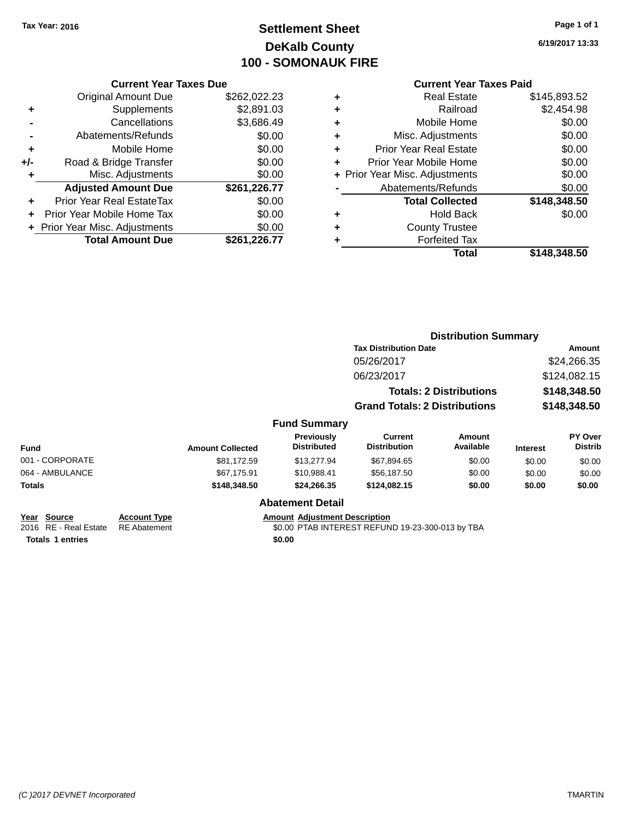# **Settlement Sheet Tax Year: 2016 Page 1 of 1 DeKalb County 100 - SOMONAUK FIRE**

**6/19/2017 13:33**

### **Current Year Taxes Due**

|       | <b>Total Amount Due</b>        | \$261,226.77 |
|-------|--------------------------------|--------------|
|       | + Prior Year Misc. Adjustments | \$0.00       |
|       | Prior Year Mobile Home Tax     | \$0.00       |
| ٠     | Prior Year Real EstateTax      | \$0.00       |
|       | <b>Adjusted Amount Due</b>     | \$261,226.77 |
|       | Misc. Adjustments              | \$0.00       |
| $+/-$ | Road & Bridge Transfer         | \$0.00       |
| ٠     | Mobile Home                    | \$0.00       |
|       | Abatements/Refunds             | \$0.00       |
|       | Cancellations                  | \$3,686.49   |
| ٠     | Supplements                    | \$2,891.03   |
|       | <b>Original Amount Due</b>     | \$262,022.23 |
|       |                                |              |

| ٠ | <b>Real Estate</b>             | \$145,893.52 |
|---|--------------------------------|--------------|
| ٠ | Railroad                       | \$2,454.98   |
| ٠ | Mobile Home                    | \$0.00       |
| ٠ | Misc. Adjustments              | \$0.00       |
| ٠ | <b>Prior Year Real Estate</b>  | \$0.00       |
| ٠ | Prior Year Mobile Home         | \$0.00       |
|   | + Prior Year Misc. Adjustments | \$0.00       |
|   | Abatements/Refunds             | \$0.00       |
|   | <b>Total Collected</b>         | \$148,348.50 |
| ٠ | <b>Hold Back</b>               | \$0.00       |
| ٠ | <b>County Trustee</b>          |              |
| ٠ | <b>Forfeited Tax</b>           |              |
|   | Total                          | \$148,348.50 |
|   |                                |              |

|                                                                 |                                            |                         |                                                | <b>Distribution Summary</b>                      |                                |                 |                           |
|-----------------------------------------------------------------|--------------------------------------------|-------------------------|------------------------------------------------|--------------------------------------------------|--------------------------------|-----------------|---------------------------|
|                                                                 |                                            |                         |                                                | <b>Tax Distribution Date</b>                     |                                |                 | Amount                    |
|                                                                 |                                            |                         |                                                | 05/26/2017                                       |                                |                 | \$24,266.35               |
|                                                                 |                                            |                         |                                                | 06/23/2017                                       |                                |                 | \$124,082.15              |
|                                                                 |                                            |                         |                                                |                                                  | <b>Totals: 2 Distributions</b> |                 | \$148,348.50              |
|                                                                 |                                            |                         |                                                | <b>Grand Totals: 2 Distributions</b>             |                                |                 | \$148,348.50              |
|                                                                 |                                            |                         | <b>Fund Summary</b>                            |                                                  |                                |                 |                           |
| Fund                                                            |                                            | <b>Amount Collected</b> | <b>Previously</b><br><b>Distributed</b>        | Current<br><b>Distribution</b>                   | Amount<br>Available            | <b>Interest</b> | PY Over<br><b>Distrib</b> |
| 001 - CORPORATE                                                 |                                            | \$81,172.59             | \$13,277.94                                    | \$67,894.65                                      | \$0.00                         | \$0.00          | \$0.00                    |
| 064 - AMBULANCE                                                 |                                            | \$67,175.91             | \$10,988.41                                    | \$56,187.50                                      | \$0.00                         | \$0.00          | \$0.00                    |
| Totals                                                          |                                            | \$148,348.50            | \$24,266.35                                    | \$124,082.15                                     | \$0.00                         | \$0.00          | \$0.00                    |
|                                                                 |                                            |                         | <b>Abatement Detail</b>                        |                                                  |                                |                 |                           |
| Year Source<br>2016 RE - Real Estate<br><b>Totals 1 entries</b> | <b>Account Type</b><br><b>RE</b> Abatement |                         | <b>Amount Adjustment Description</b><br>\$0.00 | \$0.00 PTAB INTEREST REFUND 19-23-300-013 by TBA |                                |                 |                           |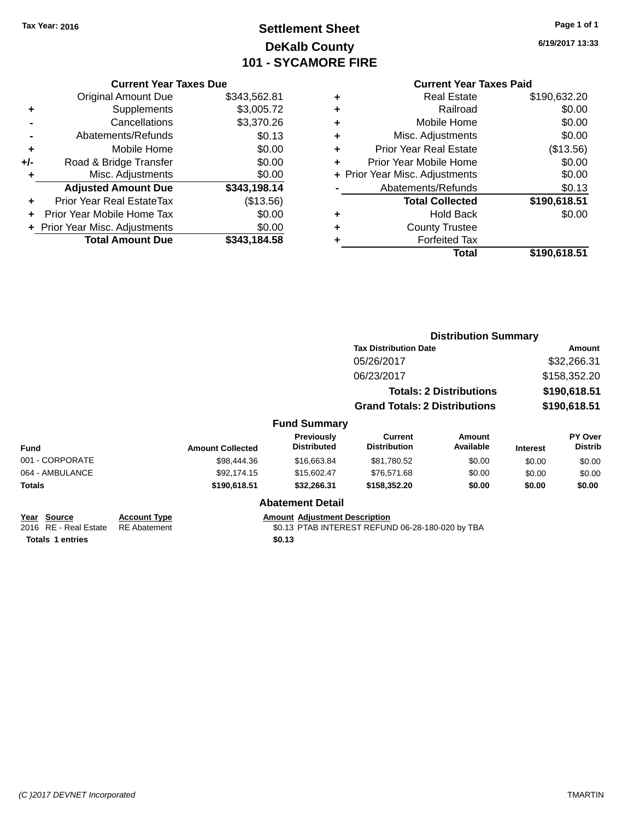# **Settlement Sheet Tax Year: 2016 Page 1 of 1 DeKalb County 101 - SYCAMORE FIRE**

**6/19/2017 13:33**

|       | <b>Current Year Taxes Due</b>  |              |
|-------|--------------------------------|--------------|
|       | <b>Original Amount Due</b>     | \$343,562.81 |
| ٠     | Supplements                    | \$3,005.72   |
|       | Cancellations                  | \$3,370.26   |
|       | Abatements/Refunds             | \$0.13       |
| ٠     | Mobile Home                    | \$0.00       |
| $+/-$ | Road & Bridge Transfer         | \$0.00       |
|       | Misc. Adjustments              | \$0.00       |
|       | <b>Adjusted Amount Due</b>     | \$343,198.14 |
| ÷     | Prior Year Real EstateTax      | (\$13.56)    |
|       | Prior Year Mobile Home Tax     | \$0.00       |
|       | + Prior Year Misc. Adjustments | \$0.00       |
|       | <b>Total Amount Due</b>        | \$343.184.58 |
|       |                                |              |

|   | <b>Real Estate</b>             | \$190,632.20 |
|---|--------------------------------|--------------|
| ٠ | Railroad                       | \$0.00       |
| ٠ | Mobile Home                    | \$0.00       |
| ٠ | Misc. Adjustments              | \$0.00       |
| ٠ | <b>Prior Year Real Estate</b>  | (\$13.56)    |
| ÷ | Prior Year Mobile Home         | \$0.00       |
|   | + Prior Year Misc. Adjustments | \$0.00       |
|   | Abatements/Refunds             | \$0.13       |
|   | <b>Total Collected</b>         | \$190,618.51 |
| ٠ | <b>Hold Back</b>               | \$0.00       |
| ٠ | <b>County Trustee</b>          |              |
| ٠ | <b>Forfeited Tax</b>           |              |
|   | Total                          | \$190,618.51 |
|   |                                |              |

|                                                                 |                                            |                         |                                                |                                                  | <b>Distribution Summary</b>    |                 |                           |
|-----------------------------------------------------------------|--------------------------------------------|-------------------------|------------------------------------------------|--------------------------------------------------|--------------------------------|-----------------|---------------------------|
|                                                                 |                                            |                         |                                                | <b>Tax Distribution Date</b>                     |                                |                 | Amount                    |
|                                                                 |                                            |                         |                                                | 05/26/2017                                       |                                |                 | \$32,266.31               |
|                                                                 |                                            |                         |                                                | 06/23/2017                                       |                                |                 | \$158,352.20              |
|                                                                 |                                            |                         |                                                |                                                  | <b>Totals: 2 Distributions</b> |                 | \$190,618.51              |
|                                                                 |                                            |                         |                                                | <b>Grand Totals: 2 Distributions</b>             |                                |                 | \$190,618.51              |
|                                                                 |                                            |                         | <b>Fund Summary</b>                            |                                                  |                                |                 |                           |
| Fund                                                            |                                            | <b>Amount Collected</b> | Previously<br><b>Distributed</b>               | Current<br><b>Distribution</b>                   | Amount<br>Available            | <b>Interest</b> | PY Over<br><b>Distrib</b> |
| 001 - CORPORATE                                                 |                                            | \$98,444.36             | \$16,663.84                                    | \$81,780.52                                      | \$0.00                         | \$0.00          | \$0.00                    |
| 064 - AMBULANCE                                                 |                                            | \$92,174.15             | \$15,602.47                                    | \$76,571.68                                      | \$0.00                         | \$0.00          | \$0.00                    |
| Totals                                                          |                                            | \$190,618.51            | \$32,266.31                                    | \$158,352.20                                     | \$0.00                         | \$0.00          | \$0.00                    |
|                                                                 |                                            |                         | <b>Abatement Detail</b>                        |                                                  |                                |                 |                           |
| Year Source<br>2016 RE - Real Estate<br><b>Totals 1 entries</b> | <b>Account Type</b><br><b>RE</b> Abatement |                         | <b>Amount Adjustment Description</b><br>\$0.13 | \$0.13 PTAB INTEREST REFUND 06-28-180-020 by TBA |                                |                 |                           |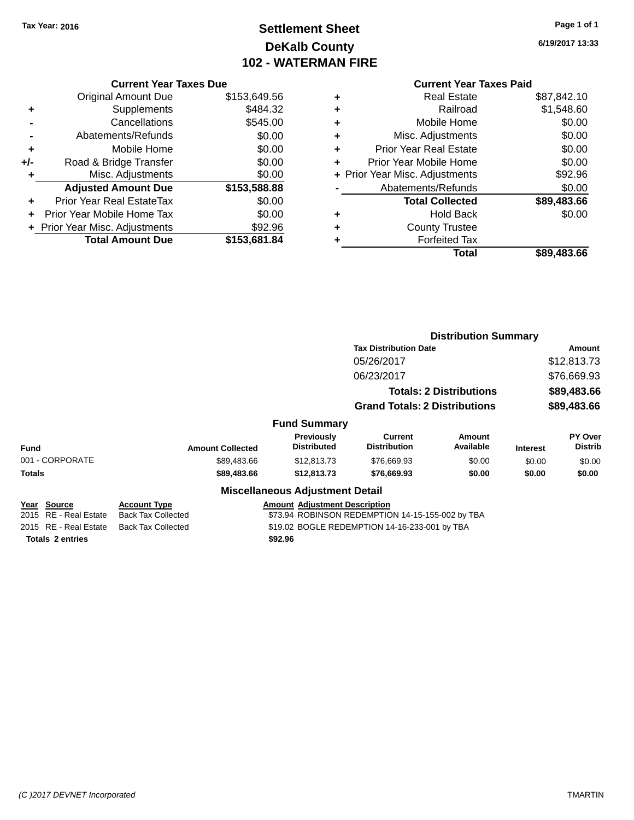# **Settlement Sheet Tax Year: 2016 Page 1 of 1 DeKalb County 102 - WATERMAN FIRE**

**6/19/2017 13:33**

### **Current Year Taxes Due**

|     | <b>Original Amount Due</b>     | \$153,649.56 |
|-----|--------------------------------|--------------|
| ٠   | Supplements                    | \$484.32     |
|     | Cancellations                  | \$545.00     |
|     | Abatements/Refunds             | \$0.00       |
| ٠   | Mobile Home                    | \$0.00       |
| +/- | Road & Bridge Transfer         | \$0.00       |
| ٠   | Misc. Adjustments              | \$0.00       |
|     | <b>Adjusted Amount Due</b>     | \$153,588.88 |
| ÷   | Prior Year Real EstateTax      | \$0.00       |
|     | Prior Year Mobile Home Tax     | \$0.00       |
|     | + Prior Year Misc. Adjustments | \$92.96      |
|     | <b>Total Amount Due</b>        | \$153.681.84 |

|   | Real Estate                    | \$87,842.10 |
|---|--------------------------------|-------------|
| ÷ | Railroad                       | \$1,548.60  |
| ٠ | Mobile Home                    | \$0.00      |
| ٠ | Misc. Adjustments              | \$0.00      |
| ٠ | <b>Prior Year Real Estate</b>  | \$0.00      |
| ٠ | Prior Year Mobile Home         | \$0.00      |
|   | + Prior Year Misc. Adjustments | \$92.96     |
|   | Abatements/Refunds             | \$0.00      |
|   | <b>Total Collected</b>         | \$89,483.66 |
| ٠ | <b>Hold Back</b>               | \$0.00      |
| ٠ | <b>County Trustee</b>          |             |
| ٠ | <b>Forfeited Tax</b>           |             |
|   | Total                          | \$89,483.66 |
|   |                                |             |

|                         |                           |                                        |                                                  | <b>Distribution Summary</b>    |                 |                           |
|-------------------------|---------------------------|----------------------------------------|--------------------------------------------------|--------------------------------|-----------------|---------------------------|
|                         |                           |                                        | <b>Tax Distribution Date</b>                     |                                | Amount          |                           |
|                         |                           |                                        | 05/26/2017                                       |                                |                 | \$12,813.73               |
|                         |                           |                                        | 06/23/2017                                       |                                |                 | \$76,669.93               |
|                         |                           |                                        |                                                  | <b>Totals: 2 Distributions</b> |                 | \$89,483.66               |
|                         |                           |                                        | <b>Grand Totals: 2 Distributions</b>             |                                |                 | \$89,483.66               |
|                         |                           | <b>Fund Summary</b>                    |                                                  |                                |                 |                           |
| <b>Fund</b>             | <b>Amount Collected</b>   | Previously<br><b>Distributed</b>       | <b>Current</b><br><b>Distribution</b>            | Amount<br>Available            | <b>Interest</b> | PY Over<br><b>Distrib</b> |
| 001 - CORPORATE         | \$89,483.66               | \$12,813.73                            | \$76,669.93                                      | \$0.00                         | \$0.00          | \$0.00                    |
| Totals                  | \$89,483.66               | \$12,813.73                            | \$76,669.93                                      | \$0.00                         | \$0.00          | \$0.00                    |
|                         |                           | <b>Miscellaneous Adjustment Detail</b> |                                                  |                                |                 |                           |
| Year Source             | Account Type              | <b>Amount Adjustment Description</b>   |                                                  |                                |                 |                           |
| 2015 RE - Real Estate   | <b>Back Tax Collected</b> |                                        | \$73.94 ROBINSON REDEMPTION 14-15-155-002 by TBA |                                |                 |                           |
| 2015 RE - Real Estate   | <b>Back Tax Collected</b> |                                        | \$19.02 BOGLE REDEMPTION 14-16-233-001 by TBA    |                                |                 |                           |
| <b>Totals 2 entries</b> |                           | \$92.96                                |                                                  |                                |                 |                           |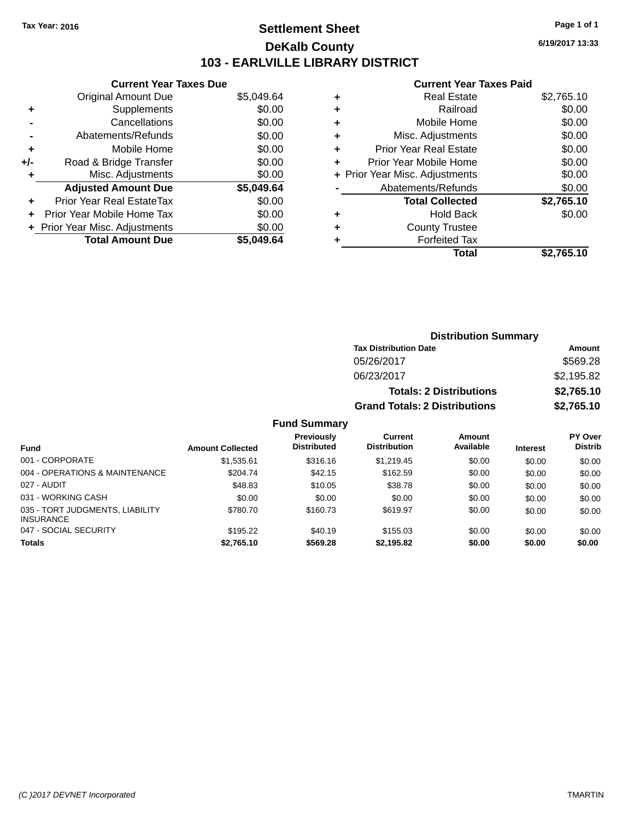# **Settlement Sheet Tax Year: 2016 Page 1 of 1 DeKalb County 103 - EARLVILLE LIBRARY DISTRICT**

**6/19/2017 13:33**

### **Current Year Taxes Paid**

| <b>Current Year Taxes Due</b> |                                |
|-------------------------------|--------------------------------|
| Original Amount Due           | \$5,049.64                     |
| Supplements                   | \$0.00                         |
| Cancellations                 | \$0.00                         |
| Abatements/Refunds            | \$0.00                         |
| Mobile Home                   | \$0.00                         |
| Road & Bridge Transfer        | \$0.00                         |
| Misc. Adjustments             | \$0.00                         |
| <b>Adjusted Amount Due</b>    | \$5,049.64                     |
| Prior Year Real EstateTax     | \$0.00                         |
| Prior Year Mobile Home Tax    | \$0.00                         |
|                               | \$0.00                         |
| <b>Total Amount Due</b>       | \$5.049.64                     |
|                               | + Prior Year Misc. Adjustments |

|   | <b>Real Estate</b>             | \$2,765.10 |
|---|--------------------------------|------------|
| ٠ | Railroad                       | \$0.00     |
| ٠ | Mobile Home                    | \$0.00     |
| ٠ | Misc. Adjustments              | \$0.00     |
| ٠ | <b>Prior Year Real Estate</b>  | \$0.00     |
| ٠ | Prior Year Mobile Home         | \$0.00     |
|   | + Prior Year Misc. Adjustments | \$0.00     |
|   | Abatements/Refunds             | \$0.00     |
|   | <b>Total Collected</b>         | \$2,765.10 |
| ٠ | <b>Hold Back</b>               | \$0.00     |
| ٠ | <b>County Trustee</b>          |            |
| ٠ | <b>Forfeited Tax</b>           |            |
|   | Total                          | \$2,765.10 |
|   |                                |            |

| <b>Distribution Summary</b>          |            |  |  |  |  |
|--------------------------------------|------------|--|--|--|--|
| <b>Tax Distribution Date</b>         | Amount     |  |  |  |  |
| 05/26/2017                           | \$569.28   |  |  |  |  |
| 06/23/2017                           | \$2,195.82 |  |  |  |  |
| <b>Totals: 2 Distributions</b>       | \$2,765.10 |  |  |  |  |
| <b>Grand Totals: 2 Distributions</b> | \$2,765.10 |  |  |  |  |

### **Fund Summary**

|                                                     |                         | <b>Previously</b>  | Current             | Amount    |                 | <b>PY Over</b> |
|-----------------------------------------------------|-------------------------|--------------------|---------------------|-----------|-----------------|----------------|
| Fund                                                | <b>Amount Collected</b> | <b>Distributed</b> | <b>Distribution</b> | Available | <b>Interest</b> | <b>Distrib</b> |
| 001 - CORPORATE                                     | \$1,535.61              | \$316.16           | \$1,219.45          | \$0.00    | \$0.00          | \$0.00         |
| 004 - OPERATIONS & MAINTENANCE                      | \$204.74                | \$42.15            | \$162.59            | \$0.00    | \$0.00          | \$0.00         |
| 027 - AUDIT                                         | \$48.83                 | \$10.05            | \$38.78             | \$0.00    | \$0.00          | \$0.00         |
| 031 - WORKING CASH                                  | \$0.00                  | \$0.00             | \$0.00              | \$0.00    | \$0.00          | \$0.00         |
| 035 - TORT JUDGMENTS, LIABILITY<br><b>INSURANCE</b> | \$780.70                | \$160.73           | \$619.97            | \$0.00    | \$0.00          | \$0.00         |
| 047 - SOCIAL SECURITY                               | \$195.22                | \$40.19            | \$155.03            | \$0.00    | \$0.00          | \$0.00         |
| <b>Totals</b>                                       | \$2,765.10              | \$569.28           | \$2,195.82          | \$0.00    | \$0.00          | \$0.00         |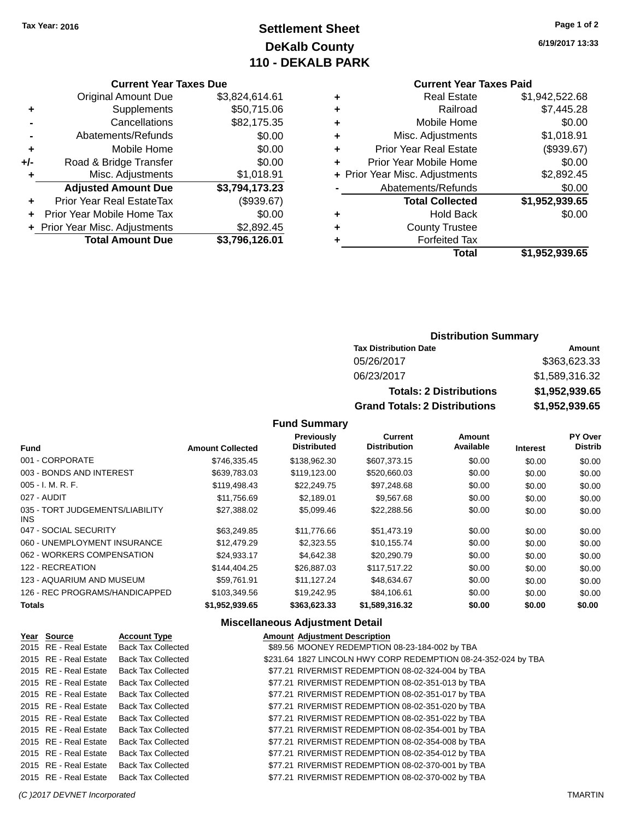# **Settlement Sheet Tax Year: 2016 Page 1 of 2 DeKalb County 110 - DEKALB PARK**

### **Current Year Taxes Due**

|       | <b>Original Amount Due</b>     | \$3,824,614.61 |
|-------|--------------------------------|----------------|
| ٠     | Supplements                    | \$50,715.06    |
|       | Cancellations                  | \$82,175.35    |
|       | Abatements/Refunds             | \$0.00         |
| ٠     | Mobile Home                    | \$0.00         |
| $+/-$ | Road & Bridge Transfer         | \$0.00         |
| ٠     | Misc. Adjustments              | \$1,018.91     |
|       | <b>Adjusted Amount Due</b>     | \$3,794,173.23 |
|       | Prior Year Real EstateTax      | (\$939.67)     |
|       | Prior Year Mobile Home Tax     | \$0.00         |
|       | + Prior Year Misc. Adjustments | \$2,892.45     |
|       | <b>Total Amount Due</b>        | \$3,796,126.01 |

### **Current Year Taxes Paid**

|   | <b>Real Estate</b>             | \$1,942,522.68 |
|---|--------------------------------|----------------|
| ٠ | Railroad                       | \$7,445.28     |
| ٠ | Mobile Home                    | \$0.00         |
| ٠ | Misc. Adjustments              | \$1,018.91     |
| ٠ | <b>Prior Year Real Estate</b>  | (\$939.67)     |
| ÷ | Prior Year Mobile Home         | \$0.00         |
|   | + Prior Year Misc. Adjustments | \$2,892.45     |
|   | Abatements/Refunds             | \$0.00         |
|   | <b>Total Collected</b>         | \$1,952,939.65 |
| ٠ | <b>Hold Back</b>               | \$0.00         |
|   | <b>County Trustee</b>          |                |
| ٠ | <b>Forfeited Tax</b>           |                |
|   | <b>Total</b>                   | \$1,952,939.65 |
|   |                                |                |

### **Distribution Summary**

| <b>Tax Distribution Date</b>         | Amount         |
|--------------------------------------|----------------|
| 05/26/2017                           | \$363,623,33   |
| 06/23/2017                           | \$1,589,316.32 |
| <b>Totals: 2 Distributions</b>       | \$1,952,939.65 |
| <b>Grand Totals: 2 Distributions</b> | \$1,952,939.65 |

### **Fund Summary**

| <b>Fund</b>                                   | <b>Amount Collected</b> | <b>Previously</b><br><b>Distributed</b> | Current<br><b>Distribution</b> | Amount<br>Available | <b>Interest</b> | PY Over<br><b>Distrib</b> |
|-----------------------------------------------|-------------------------|-----------------------------------------|--------------------------------|---------------------|-----------------|---------------------------|
| 001 - CORPORATE                               | \$746.335.45            | \$138,962.30                            | \$607.373.15                   | \$0.00              | \$0.00          | \$0.00                    |
| 003 - BONDS AND INTEREST                      | \$639,783,03            | \$119,123,00                            | \$520,660.03                   | \$0.00              | \$0.00          | \$0.00                    |
| $005 - I. M. R. F.$                           | \$119,498.43            | \$22,249.75                             | \$97,248.68                    | \$0.00              | \$0.00          | \$0.00                    |
| 027 - AUDIT                                   | \$11,756.69             | \$2,189.01                              | \$9,567.68                     | \$0.00              | \$0.00          | \$0.00                    |
| 035 - TORT JUDGEMENTS/LIABILITY<br><b>INS</b> | \$27,388.02             | \$5,099.46                              | \$22,288.56                    | \$0.00              | \$0.00          | \$0.00                    |
| 047 - SOCIAL SECURITY                         | \$63,249.85             | \$11.776.66                             | \$51,473.19                    | \$0.00              | \$0.00          | \$0.00                    |
| 060 - UNEMPLOYMENT INSURANCE                  | \$12,479.29             | \$2,323.55                              | \$10,155.74                    | \$0.00              | \$0.00          | \$0.00                    |
| 062 - WORKERS COMPENSATION                    | \$24.933.17             | \$4.642.38                              | \$20,290.79                    | \$0.00              | \$0.00          | \$0.00                    |
| 122 - RECREATION                              | \$144,404.25            | \$26,887.03                             | \$117,517.22                   | \$0.00              | \$0.00          | \$0.00                    |
| 123 - AQUARIUM AND MUSEUM                     | \$59.761.91             | \$11.127.24                             | \$48,634.67                    | \$0.00              | \$0.00          | \$0.00                    |
| 126 - REC PROGRAMS/HANDICAPPED                | \$103.349.56            | \$19,242.95                             | \$84.106.61                    | \$0.00              | \$0.00          | \$0.00                    |
| <b>Totals</b>                                 | \$1,952,939.65          | \$363.623.33                            | \$1,589,316.32                 | \$0.00              | \$0.00          | \$0.00                    |

| Year Source           | <b>Account Type</b>       | <b>Amount Adjustment Description</b>                           |
|-----------------------|---------------------------|----------------------------------------------------------------|
| 2015 RE - Real Estate | Back Tax Collected        | \$89.56 MOONEY REDEMPTION 08-23-184-002 by TBA                 |
| 2015 RE - Real Estate | <b>Back Tax Collected</b> | \$231.64 1827 LINCOLN HWY CORP REDEMPTION 08-24-352-024 by TBA |
| 2015 RE - Real Estate | <b>Back Tax Collected</b> | \$77.21 RIVERMIST REDEMPTION 08-02-324-004 by TBA              |
| 2015 RE - Real Estate | <b>Back Tax Collected</b> | \$77.21 RIVERMIST REDEMPTION 08-02-351-013 by TBA              |
| 2015 RE - Real Estate | <b>Back Tax Collected</b> | \$77.21 RIVERMIST REDEMPTION 08-02-351-017 by TBA              |
| 2015 RE - Real Estate | <b>Back Tax Collected</b> | \$77.21 RIVERMIST REDEMPTION 08-02-351-020 by TBA              |
| 2015 RE - Real Estate | <b>Back Tax Collected</b> | \$77.21 RIVERMIST REDEMPTION 08-02-351-022 by TBA              |
| 2015 RE - Real Estate | <b>Back Tax Collected</b> | \$77.21 RIVERMIST REDEMPTION 08-02-354-001 by TBA              |
| 2015 RE - Real Estate | <b>Back Tax Collected</b> | \$77.21 RIVERMIST REDEMPTION 08-02-354-008 by TBA              |
| 2015 RE - Real Estate | <b>Back Tax Collected</b> | \$77.21 RIVERMIST REDEMPTION 08-02-354-012 by TBA              |
| 2015 RE - Real Estate | <b>Back Tax Collected</b> | \$77.21 RIVERMIST REDEMPTION 08-02-370-001 by TBA              |
| 2015 RE - Real Estate | <b>Back Tax Collected</b> | \$77.21 RIVERMIST REDEMPTION 08-02-370-002 by TBA              |
|                       |                           |                                                                |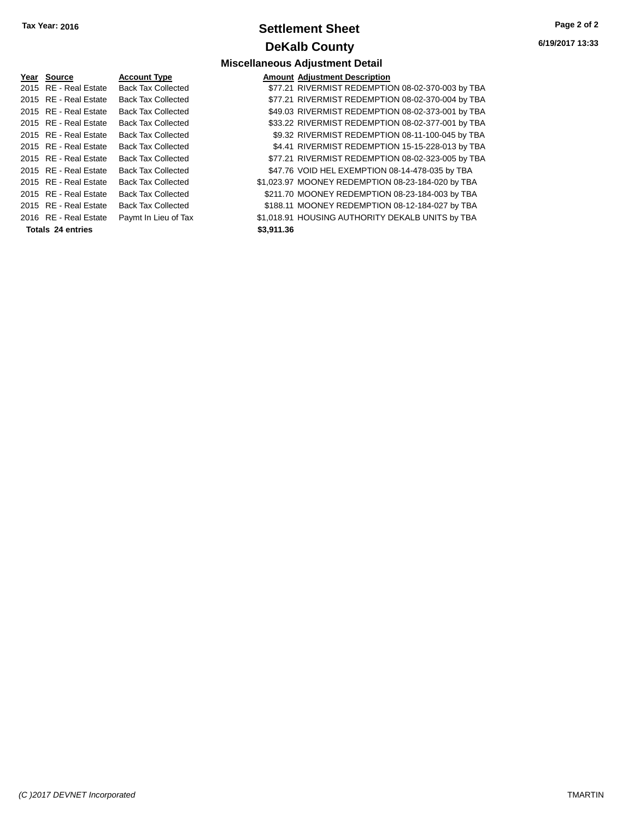# **Settlement Sheet Tax Year: 2016 Page 2 of 2 DeKalb County**

**6/19/2017 13:33**

| 2015 RE - Real Estate<br>\$77.21 RIVERMIST REDEMPTION 08-02-370-003 by TBA<br><b>Back Tax Collected</b><br>\$77.21 RIVERMIST REDEMPTION 08-02-370-004 by TBA<br>2015 RE - Real Estate<br><b>Back Tax Collected</b><br>\$49.03 RIVERMIST REDEMPTION 08-02-373-001 by TBA<br>2015 RE - Real Estate<br><b>Back Tax Collected</b><br>\$33.22 RIVERMIST REDEMPTION 08-02-377-001 by TBA<br>2015 RE - Real Estate<br><b>Back Tax Collected</b><br>\$9.32 RIVERMIST REDEMPTION 08-11-100-045 by TBA<br>2015 RE - Real Estate<br><b>Back Tax Collected</b><br>\$4.41 RIVERMIST REDEMPTION 15-15-228-013 by TBA<br>2015 RE - Real Estate<br><b>Back Tax Collected</b><br>\$77.21 RIVERMIST REDEMPTION 08-02-323-005 by TBA<br>2015 RE - Real Estate<br><b>Back Tax Collected</b><br>\$47.76 VOID HEL EXEMPTION 08-14-478-035 by TBA<br>2015 RE - Real Estate<br><b>Back Tax Collected</b><br>\$1,023.97 MOONEY REDEMPTION 08-23-184-020 by TBA<br>2015 RE - Real Estate<br><b>Back Tax Collected</b><br>\$211.70 MOONEY REDEMPTION 08-23-184-003 by TBA<br>2015 RE - Real Estate<br><b>Back Tax Collected</b><br>\$188.11 MOONEY REDEMPTION 08-12-184-027 by TBA<br>2015 RE - Real Estate<br><b>Back Tax Collected</b><br>\$1,018.91 HOUSING AUTHORITY DEKALB UNITS by TBA<br>2016 RE - Real Estate<br>Paymt In Lieu of Tax<br>\$3.911.36<br>Totals 24 entries | Year Source | <b>Account Type</b> | <b>Amount Adjustment Description</b> |
|-------------------------------------------------------------------------------------------------------------------------------------------------------------------------------------------------------------------------------------------------------------------------------------------------------------------------------------------------------------------------------------------------------------------------------------------------------------------------------------------------------------------------------------------------------------------------------------------------------------------------------------------------------------------------------------------------------------------------------------------------------------------------------------------------------------------------------------------------------------------------------------------------------------------------------------------------------------------------------------------------------------------------------------------------------------------------------------------------------------------------------------------------------------------------------------------------------------------------------------------------------------------------------------------------------------------------------------------------------|-------------|---------------------|--------------------------------------|
|                                                                                                                                                                                                                                                                                                                                                                                                                                                                                                                                                                                                                                                                                                                                                                                                                                                                                                                                                                                                                                                                                                                                                                                                                                                                                                                                                       |             |                     |                                      |
|                                                                                                                                                                                                                                                                                                                                                                                                                                                                                                                                                                                                                                                                                                                                                                                                                                                                                                                                                                                                                                                                                                                                                                                                                                                                                                                                                       |             |                     |                                      |
|                                                                                                                                                                                                                                                                                                                                                                                                                                                                                                                                                                                                                                                                                                                                                                                                                                                                                                                                                                                                                                                                                                                                                                                                                                                                                                                                                       |             |                     |                                      |
|                                                                                                                                                                                                                                                                                                                                                                                                                                                                                                                                                                                                                                                                                                                                                                                                                                                                                                                                                                                                                                                                                                                                                                                                                                                                                                                                                       |             |                     |                                      |
|                                                                                                                                                                                                                                                                                                                                                                                                                                                                                                                                                                                                                                                                                                                                                                                                                                                                                                                                                                                                                                                                                                                                                                                                                                                                                                                                                       |             |                     |                                      |
|                                                                                                                                                                                                                                                                                                                                                                                                                                                                                                                                                                                                                                                                                                                                                                                                                                                                                                                                                                                                                                                                                                                                                                                                                                                                                                                                                       |             |                     |                                      |
|                                                                                                                                                                                                                                                                                                                                                                                                                                                                                                                                                                                                                                                                                                                                                                                                                                                                                                                                                                                                                                                                                                                                                                                                                                                                                                                                                       |             |                     |                                      |
|                                                                                                                                                                                                                                                                                                                                                                                                                                                                                                                                                                                                                                                                                                                                                                                                                                                                                                                                                                                                                                                                                                                                                                                                                                                                                                                                                       |             |                     |                                      |
|                                                                                                                                                                                                                                                                                                                                                                                                                                                                                                                                                                                                                                                                                                                                                                                                                                                                                                                                                                                                                                                                                                                                                                                                                                                                                                                                                       |             |                     |                                      |
|                                                                                                                                                                                                                                                                                                                                                                                                                                                                                                                                                                                                                                                                                                                                                                                                                                                                                                                                                                                                                                                                                                                                                                                                                                                                                                                                                       |             |                     |                                      |
|                                                                                                                                                                                                                                                                                                                                                                                                                                                                                                                                                                                                                                                                                                                                                                                                                                                                                                                                                                                                                                                                                                                                                                                                                                                                                                                                                       |             |                     |                                      |
|                                                                                                                                                                                                                                                                                                                                                                                                                                                                                                                                                                                                                                                                                                                                                                                                                                                                                                                                                                                                                                                                                                                                                                                                                                                                                                                                                       |             |                     |                                      |
|                                                                                                                                                                                                                                                                                                                                                                                                                                                                                                                                                                                                                                                                                                                                                                                                                                                                                                                                                                                                                                                                                                                                                                                                                                                                                                                                                       |             |                     |                                      |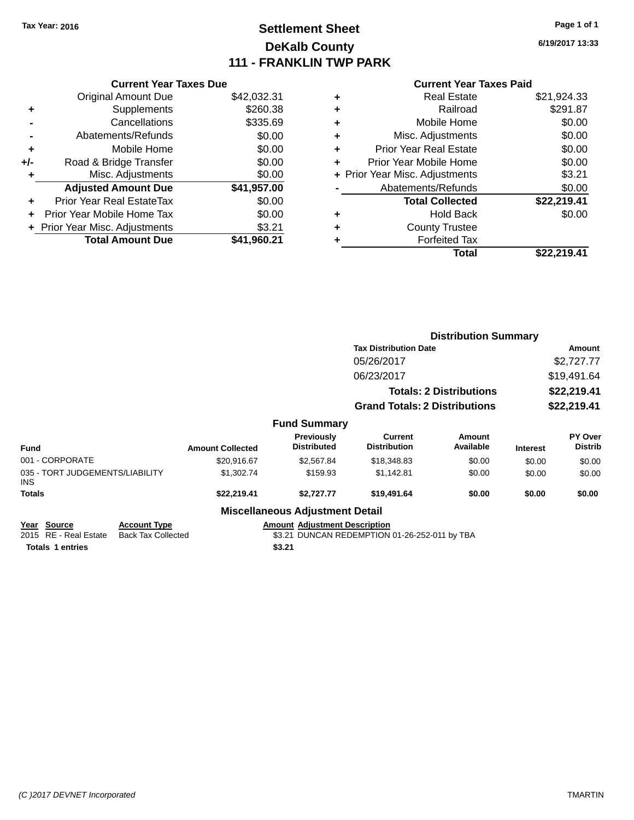# **Settlement Sheet Tax Year: 2016 Page 1 of 1 DeKalb County 111 - FRANKLIN TWP PARK**

**6/19/2017 13:33**

### **Current Year Taxes Paid**

| <b>Current Year Taxes Due</b>  |             |
|--------------------------------|-------------|
| <b>Original Amount Due</b>     | \$42,032.31 |
| Supplements                    | \$260.38    |
| Cancellations                  | \$335.69    |
| Abatements/Refunds             | \$0.00      |
| Mobile Home                    | \$0.00      |
| Road & Bridge Transfer         | \$0.00      |
| Misc. Adjustments              | \$0.00      |
| <b>Adjusted Amount Due</b>     | \$41,957.00 |
| Prior Year Real EstateTax      | \$0.00      |
| Prior Year Mobile Home Tax     | \$0.00      |
| + Prior Year Misc. Adjustments | \$3.21      |
| <b>Total Amount Due</b>        | \$41.960.21 |
|                                |             |

| <b>Real Estate</b>             | \$21,924.33 |
|--------------------------------|-------------|
| Railroad                       | \$291.87    |
| Mobile Home                    | \$0.00      |
| Misc. Adjustments              | \$0.00      |
| <b>Prior Year Real Estate</b>  | \$0.00      |
| Prior Year Mobile Home         | \$0.00      |
| + Prior Year Misc. Adjustments | \$3.21      |
| Abatements/Refunds             | \$0.00      |
| <b>Total Collected</b>         | \$22,219.41 |
| <b>Hold Back</b>               | \$0.00      |
| <b>County Trustee</b>          |             |
| <b>Forfeited Tax</b>           |             |
| Total                          | \$22.219.41 |
|                                |             |

|                                               |                           |                         |                                         | <b>Distribution Summary</b>                   |                                |                 |                           |  |
|-----------------------------------------------|---------------------------|-------------------------|-----------------------------------------|-----------------------------------------------|--------------------------------|-----------------|---------------------------|--|
|                                               |                           |                         |                                         | <b>Tax Distribution Date</b>                  | Amount                         |                 |                           |  |
|                                               |                           |                         |                                         | 05/26/2017                                    |                                |                 | \$2,727.77                |  |
|                                               |                           |                         |                                         | 06/23/2017                                    | \$19,491.64                    |                 |                           |  |
|                                               |                           |                         |                                         |                                               | <b>Totals: 2 Distributions</b> |                 | \$22,219.41               |  |
|                                               |                           |                         |                                         | <b>Grand Totals: 2 Distributions</b>          |                                | \$22,219.41     |                           |  |
|                                               |                           |                         | <b>Fund Summary</b>                     |                                               |                                |                 |                           |  |
| <b>Fund</b>                                   |                           | <b>Amount Collected</b> | <b>Previously</b><br><b>Distributed</b> | <b>Current</b><br><b>Distribution</b>         | Amount<br>Available            | <b>Interest</b> | PY Over<br><b>Distrib</b> |  |
| 001 - CORPORATE                               |                           | \$20,916.67             | \$2,567.84                              | \$18,348.83                                   | \$0.00                         | \$0.00          | \$0.00                    |  |
| 035 - TORT JUDGEMENTS/LIABILITY<br><b>INS</b> |                           | \$1,302.74              | \$159.93                                | \$1,142.81                                    | \$0.00                         | \$0.00          | \$0.00                    |  |
| <b>Totals</b>                                 |                           | \$22,219.41             | \$2,727.77                              | \$19,491.64                                   | \$0.00                         | \$0.00          | \$0.00                    |  |
|                                               |                           |                         | <b>Miscellaneous Adjustment Detail</b>  |                                               |                                |                 |                           |  |
| <b>Source</b><br>Year                         | <b>Account Type</b>       |                         | <b>Amount Adjustment Description</b>    |                                               |                                |                 |                           |  |
| 2015 RE - Real Estate                         | <b>Back Tax Collected</b> |                         |                                         | \$3.21 DUNCAN REDEMPTION 01-26-252-011 by TBA |                                |                 |                           |  |

**Totals \$3.21 1 entries**

\$3.21 DUNCAN REDEMPTION 01-26-252-011 by TBA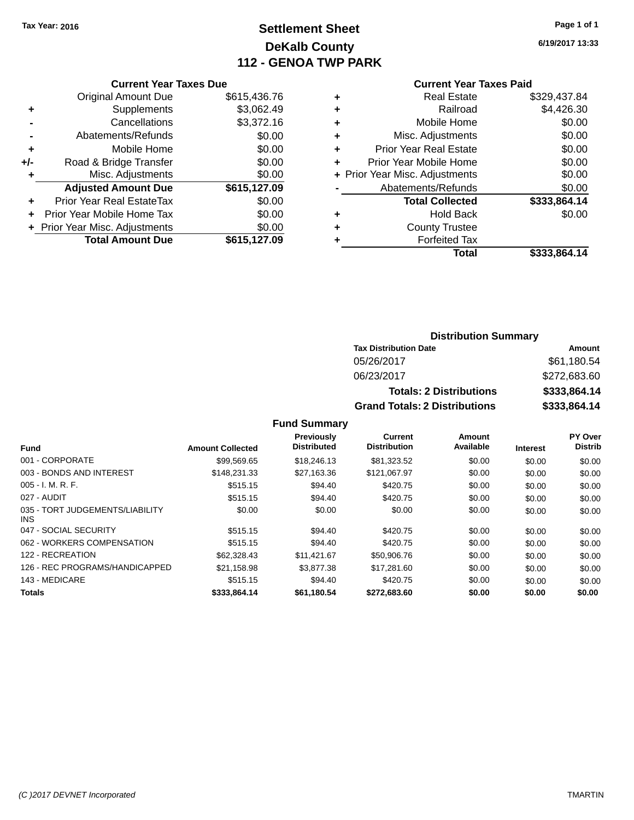# **Settlement Sheet Tax Year: 2016 Page 1 of 1 DeKalb County 112 - GENOA TWP PARK**

**6/19/2017 13:33**

### **Current Year Taxes Paid**

|     | <b>Current Year Taxes Due</b>  |              |  |  |  |  |
|-----|--------------------------------|--------------|--|--|--|--|
|     | <b>Original Amount Due</b>     | \$615,436.76 |  |  |  |  |
| ٠   | Supplements                    | \$3,062.49   |  |  |  |  |
|     | Cancellations                  | \$3,372.16   |  |  |  |  |
|     | Abatements/Refunds             | \$0.00       |  |  |  |  |
| ٠   | Mobile Home                    | \$0.00       |  |  |  |  |
| +/- | Road & Bridge Transfer         | \$0.00       |  |  |  |  |
| ٠   | Misc. Adjustments              | \$0.00       |  |  |  |  |
|     | <b>Adjusted Amount Due</b>     | \$615,127.09 |  |  |  |  |
|     | Prior Year Real EstateTax      | \$0.00       |  |  |  |  |
|     | Prior Year Mobile Home Tax     | \$0.00       |  |  |  |  |
|     | + Prior Year Misc. Adjustments | \$0.00       |  |  |  |  |
|     | <b>Total Amount Due</b>        | \$615,127.09 |  |  |  |  |
|     |                                |              |  |  |  |  |

| ٠ | <b>Real Estate</b>             | \$329,437.84 |
|---|--------------------------------|--------------|
| ٠ | Railroad                       | \$4,426.30   |
| ٠ | Mobile Home                    | \$0.00       |
| ٠ | Misc. Adjustments              | \$0.00       |
| ٠ | <b>Prior Year Real Estate</b>  | \$0.00       |
| ÷ | Prior Year Mobile Home         | \$0.00       |
|   | + Prior Year Misc. Adjustments | \$0.00       |
|   | Abatements/Refunds             | \$0.00       |
|   | <b>Total Collected</b>         | \$333,864.14 |
| ٠ | <b>Hold Back</b>               | \$0.00       |
| ٠ | <b>County Trustee</b>          |              |
| ٠ | <b>Forfeited Tax</b>           |              |
|   | Total                          | \$333,864.14 |
|   |                                |              |

### **Distribution Summary Tax Distribution Date Amount** 05/26/2017 \$61,180.54 06/23/2017 \$272,683.60 **Totals: 2 Distributions \$333,864.14 Grand Totals: 2 Distributions \$333,864.14**

### **Fund Summary**

|                                         |                         | Previously<br><b>Distributed</b> | <b>Current</b><br><b>Distribution</b> | Amount<br>Available |                 | <b>PY Over</b><br><b>Distrib</b> |
|-----------------------------------------|-------------------------|----------------------------------|---------------------------------------|---------------------|-----------------|----------------------------------|
| <b>Fund</b>                             | <b>Amount Collected</b> |                                  |                                       |                     | <b>Interest</b> |                                  |
| 001 - CORPORATE                         | \$99.569.65             | \$18,246.13                      | \$81,323.52                           | \$0.00              | \$0.00          | \$0.00                           |
| 003 - BONDS AND INTEREST                | \$148.231.33            | \$27,163.36                      | \$121.067.97                          | \$0.00              | \$0.00          | \$0.00                           |
| $005 - I. M. R. F.$                     | \$515.15                | \$94.40                          | \$420.75                              | \$0.00              | \$0.00          | \$0.00                           |
| 027 - AUDIT                             | \$515.15                | \$94.40                          | \$420.75                              | \$0.00              | \$0.00          | \$0.00                           |
| 035 - TORT JUDGEMENTS/LIABILITY<br>INS. | \$0.00                  | \$0.00                           | \$0.00                                | \$0.00              | \$0.00          | \$0.00                           |
| 047 - SOCIAL SECURITY                   | \$515.15                | \$94.40                          | \$420.75                              | \$0.00              | \$0.00          | \$0.00                           |
| 062 - WORKERS COMPENSATION              | \$515.15                | \$94.40                          | \$420.75                              | \$0.00              | \$0.00          | \$0.00                           |
| 122 - RECREATION                        | \$62,328.43             | \$11,421.67                      | \$50,906.76                           | \$0.00              | \$0.00          | \$0.00                           |
| 126 - REC PROGRAMS/HANDICAPPED          | \$21,158.98             | \$3,877.38                       | \$17,281.60                           | \$0.00              | \$0.00          | \$0.00                           |
| 143 - MEDICARE                          | \$515.15                | \$94.40                          | \$420.75                              | \$0.00              | \$0.00          | \$0.00                           |
| <b>Totals</b>                           | \$333,864.14            | \$61,180.54                      | \$272,683.60                          | \$0.00              | \$0.00          | \$0.00                           |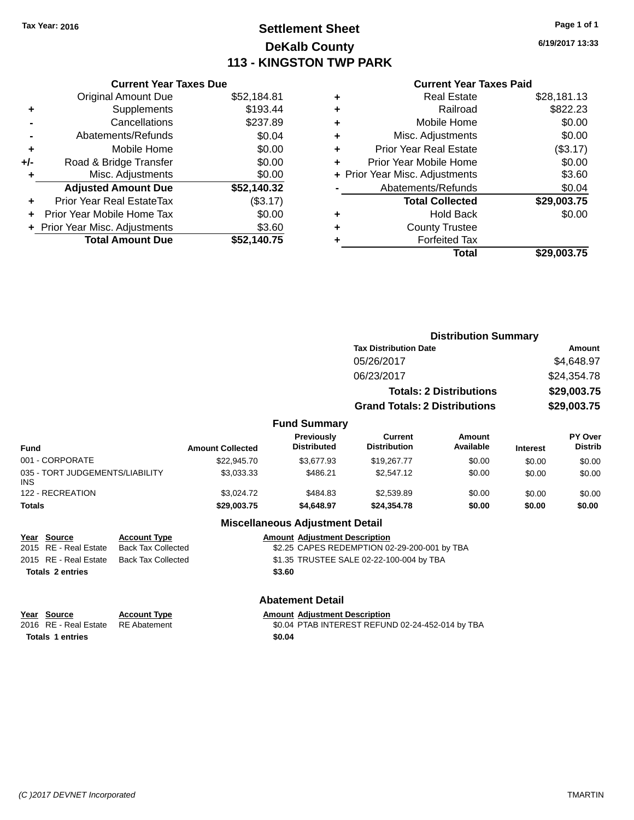# **Settlement Sheet Tax Year: 2016 Page 1 of 1 DeKalb County 113 - KINGSTON TWP PARK**

**6/19/2017 13:33**

### **Current Year Taxes Paid**

|     | <b>Current Year Taxes Due</b>  |             |
|-----|--------------------------------|-------------|
|     | <b>Original Amount Due</b>     | \$52,184.81 |
| ÷   | Supplements                    | \$193.44    |
|     | Cancellations                  | \$237.89    |
|     | Abatements/Refunds             | \$0.04      |
| ٠   | Mobile Home                    | \$0.00      |
| +/- | Road & Bridge Transfer         | \$0.00      |
| ٠   | Misc. Adjustments              | \$0.00      |
|     | <b>Adjusted Amount Due</b>     | \$52,140.32 |
| ÷   | Prior Year Real EstateTax      | (\$3.17)    |
|     | Prior Year Mobile Home Tax     | \$0.00      |
|     | + Prior Year Misc. Adjustments | \$3.60      |
|     | <b>Total Amount Due</b>        | \$52.140.75 |
|     |                                |             |

|   | <b>Real Estate</b>             | \$28,181.13 |
|---|--------------------------------|-------------|
| ٠ | Railroad                       | \$822.23    |
| ٠ | Mobile Home                    | \$0.00      |
| ٠ | Misc. Adjustments              | \$0.00      |
| ٠ | <b>Prior Year Real Estate</b>  | (\$3.17)    |
| ٠ | Prior Year Mobile Home         | \$0.00      |
|   | + Prior Year Misc. Adjustments | \$3.60      |
|   | Abatements/Refunds             | \$0.04      |
|   | <b>Total Collected</b>         | \$29,003.75 |
| ٠ | <b>Hold Back</b>               | \$0.00      |
| ٠ | <b>County Trustee</b>          |             |
| ٠ | <b>Forfeited Tax</b>           |             |
|   | Total                          | \$29,003.75 |

|                 |                         |                                  |                                       | <b>Distribution Summary</b>    |                 |                                  |
|-----------------|-------------------------|----------------------------------|---------------------------------------|--------------------------------|-----------------|----------------------------------|
|                 |                         |                                  | <b>Tax Distribution Date</b>          |                                |                 | <b>Amount</b>                    |
|                 |                         |                                  | 05/26/2017                            |                                |                 | \$4,648.97                       |
|                 |                         |                                  | 06/23/2017                            |                                |                 | \$24,354.78                      |
|                 |                         |                                  |                                       | <b>Totals: 2 Distributions</b> |                 | \$29,003.75                      |
|                 |                         |                                  | <b>Grand Totals: 2 Distributions</b>  |                                |                 | \$29,003.75                      |
|                 |                         | <b>Fund Summary</b>              |                                       |                                |                 |                                  |
| <b>Fund</b>     | <b>Amount Collected</b> | Previously<br><b>Distributed</b> | <b>Current</b><br><b>Distribution</b> | Amount<br>Available            | <b>Interest</b> | <b>PY Over</b><br><b>Distrib</b> |
| 001 - CORPORATE | \$22,945.70             | \$3,677.93                       | \$19,267.77                           | \$0.00                         | \$0.00          | \$0.00                           |
| $\Omega$        | 000000                  | 0.1000                           | 000000000                             | 0.00                           | $\cdots$        | $\cdots$                         |

| <b>Totals</b>                                 | \$29,003,75 | \$4.648.97 | \$24,354,78 | \$0.00 | \$0.00 | \$0.00 |
|-----------------------------------------------|-------------|------------|-------------|--------|--------|--------|
| 122 - RECREATION                              | \$3.024.72  | \$484.83   | \$2,539.89  | \$0.00 | \$0.00 | \$0.00 |
| 035 - TORT JUDGEMENTS/LIABILITY<br><b>INS</b> | \$3.033.33  | \$486.21   | \$2,547.12  | \$0.00 | \$0.00 | \$0.00 |
| 001 - CORPORATE                               | \$22,945.70 | \$3.677.93 | \$19,267.77 | \$0.00 | \$0.00 | \$0.00 |

### **Miscellaneous Adjustment Detail**

| Year Source           | <b>Account Type</b>       | <b>Amount Adjustment Description</b>         |
|-----------------------|---------------------------|----------------------------------------------|
| 2015 RE - Real Estate | <b>Back Tax Collected</b> | \$2.25 CAPES REDEMPTION 02-29-200-001 by TBA |
| 2015 RE - Real Estate | Back Tax Collected        | \$1.35 TRUSTEE SALE 02-22-100-004 by TBA     |
| Totals 2 entries      |                           | \$3.60                                       |
|                       |                           |                                              |

### **Abatement Detail**

| Year Source                        | <b>Account Type</b> | <b>Amount Adiustment Description</b>             |
|------------------------------------|---------------------|--------------------------------------------------|
| 2016 RE - Real Estate RE Abatement |                     | \$0.04 PTAB INTEREST REFUND 02-24-452-014 by TBA |
| <b>Totals 1 entries</b>            |                     | \$0.04                                           |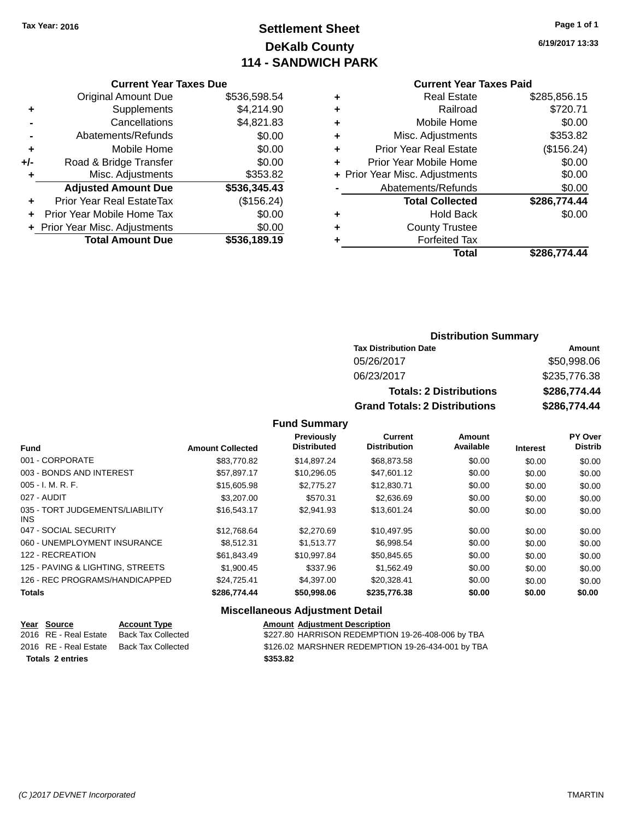# **Settlement Sheet Tax Year: 2016 Page 1 of 1 DeKalb County 114 - SANDWICH PARK**

**6/19/2017 13:33**

### **Current Year Taxes Paid**

|     | <b>Current Year Taxes Due</b>        |              |  |  |  |  |
|-----|--------------------------------------|--------------|--|--|--|--|
|     | <b>Original Amount Due</b>           | \$536,598.54 |  |  |  |  |
| ٠   | Supplements                          | \$4,214.90   |  |  |  |  |
|     | Cancellations                        | \$4,821.83   |  |  |  |  |
|     | Abatements/Refunds                   | \$0.00       |  |  |  |  |
| ٠   | Mobile Home                          | \$0.00       |  |  |  |  |
| +/- | Road & Bridge Transfer               | \$0.00       |  |  |  |  |
| ٠   | Misc. Adjustments                    | \$353.82     |  |  |  |  |
|     | <b>Adjusted Amount Due</b>           | \$536,345.43 |  |  |  |  |
| ÷   | Prior Year Real EstateTax            | (\$156.24)   |  |  |  |  |
|     | \$0.00<br>Prior Year Mobile Home Tax |              |  |  |  |  |
|     | + Prior Year Misc. Adjustments       | \$0.00       |  |  |  |  |
|     | <b>Total Amount Due</b>              | \$536,189.19 |  |  |  |  |

| ٠ | <b>Real Estate</b>             | \$285,856.15 |
|---|--------------------------------|--------------|
| ٠ | Railroad                       | \$720.71     |
| ٠ | Mobile Home                    | \$0.00       |
| ٠ | Misc. Adjustments              | \$353.82     |
| ٠ | <b>Prior Year Real Estate</b>  | (\$156.24)   |
| ÷ | Prior Year Mobile Home         | \$0.00       |
|   | + Prior Year Misc. Adjustments | \$0.00       |
|   | Abatements/Refunds             | \$0.00       |
|   | <b>Total Collected</b>         | \$286,774.44 |
| ٠ | <b>Hold Back</b>               | \$0.00       |
| ٠ | <b>County Trustee</b>          |              |
| ٠ | <b>Forfeited Tax</b>           |              |
|   | Total                          | \$286,774.44 |
|   |                                |              |

### **Distribution Summary Tax Distribution Date Amount** 05/26/2017 \$50,998.06 06/23/2017 \$235,776.38 **Totals: 2 Distributions \$286,774.44 Grand Totals: 2 Distributions \$286,774.44**

### **Fund Summary**

| Fund                                    | <b>Amount Collected</b> | <b>Previously</b><br><b>Distributed</b> | Current<br><b>Distribution</b> | Amount<br>Available | <b>Interest</b> | <b>PY Over</b><br><b>Distrib</b> |
|-----------------------------------------|-------------------------|-----------------------------------------|--------------------------------|---------------------|-----------------|----------------------------------|
| 001 - CORPORATE                         | \$83,770.82             | \$14,897.24                             | \$68,873.58                    | \$0.00              | \$0.00          | \$0.00                           |
| 003 - BONDS AND INTEREST                | \$57.897.17             | \$10,296.05                             | \$47,601.12                    | \$0.00              | \$0.00          | \$0.00                           |
| $005 - I. M. R. F.$                     | \$15,605.98             | \$2,775.27                              | \$12,830.71                    | \$0.00              | \$0.00          | \$0.00                           |
| 027 - AUDIT                             | \$3,207.00              | \$570.31                                | \$2,636.69                     | \$0.00              | \$0.00          | \$0.00                           |
| 035 - TORT JUDGEMENTS/LIABILITY<br>INS. | \$16,543.17             | \$2,941.93                              | \$13.601.24                    | \$0.00              | \$0.00          | \$0.00                           |
| 047 - SOCIAL SECURITY                   | \$12,768.64             | \$2,270.69                              | \$10.497.95                    | \$0.00              | \$0.00          | \$0.00                           |
| 060 - UNEMPLOYMENT INSURANCE            | \$8.512.31              | \$1,513.77                              | \$6,998.54                     | \$0.00              | \$0.00          | \$0.00                           |
| 122 - RECREATION                        | \$61.843.49             | \$10.997.84                             | \$50.845.65                    | \$0.00              | \$0.00          | \$0.00                           |
| 125 - PAVING & LIGHTING, STREETS        | \$1,900.45              | \$337.96                                | \$1.562.49                     | \$0.00              | \$0.00          | \$0.00                           |
| 126 - REC PROGRAMS/HANDICAPPED          | \$24.725.41             | \$4,397.00                              | \$20,328.41                    | \$0.00              | \$0.00          | \$0.00                           |
| <b>Totals</b>                           | \$286,774.44            | \$50,998.06                             | \$235,776.38                   | \$0.00              | \$0.00          | \$0.00                           |

| Year Source             | <b>Account Type</b> | <b>Amount Adjustment Description</b>              |
|-------------------------|---------------------|---------------------------------------------------|
| 2016 RE - Real Estate   | Back Tax Collected  | \$227.80 HARRISON REDEMPTION 19-26-408-006 by TBA |
| 2016 RE - Real Estate   | Back Tax Collected  | \$126.02 MARSHNER REDEMPTION 19-26-434-001 by TBA |
| <b>Totals 2 entries</b> |                     | \$353.82                                          |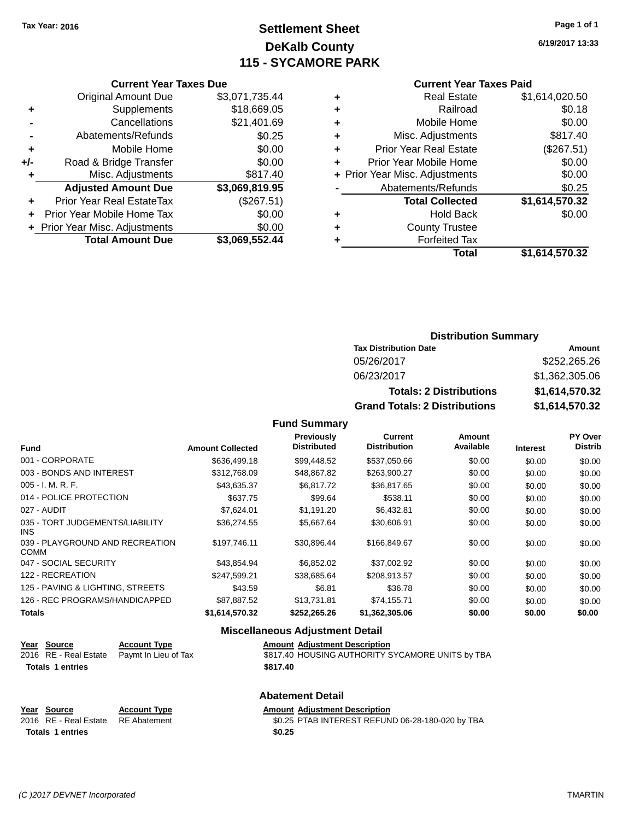# **Settlement Sheet Tax Year: 2016 Page 1 of 1 DeKalb County 115 - SYCAMORE PARK**

**6/19/2017 13:33**

### **Current Year Taxes Paid**

|     | <b>Current Year Taxes Due</b>    |                |      |
|-----|----------------------------------|----------------|------|
|     | <b>Original Amount Due</b>       | \$3,071,735.44 |      |
|     | Supplements                      | \$18,669.05    |      |
|     | Cancellations                    | \$21,401.69    |      |
|     | Abatements/Refunds               | \$0.25         | ٠    |
|     | Mobile Home                      | \$0.00         |      |
| +/- | Road & Bridge Transfer           | \$0.00         |      |
|     | Misc. Adjustments                | \$817.40       | + Pi |
|     | <b>Adjusted Amount Due</b>       | \$3,069,819.95 |      |
|     | <b>Prior Year Real EstateTax</b> | (\$267.51)     |      |
|     | Prior Year Mobile Home Tax       | \$0.00         |      |
|     | + Prior Year Misc. Adjustments   | \$0.00         |      |
|     | <b>Total Amount Due</b>          | \$3,069,552.44 |      |
|     |                                  |                |      |

|   | <b>Real Estate</b>             | \$1,614,020.50 |
|---|--------------------------------|----------------|
|   | Railroad                       | \$0.18         |
| ٠ | Mobile Home                    | \$0.00         |
| ٠ | Misc. Adjustments              | \$817.40       |
| ٠ | <b>Prior Year Real Estate</b>  | (\$267.51)     |
|   | Prior Year Mobile Home         | \$0.00         |
|   | + Prior Year Misc. Adjustments | \$0.00         |
|   | Abatements/Refunds             | \$0.25         |
|   | <b>Total Collected</b>         | \$1,614,570.32 |
|   | <b>Hold Back</b>               | \$0.00         |
| ٠ | <b>County Trustee</b>          |                |
|   | <b>Forfeited Tax</b>           |                |
|   | Total                          | \$1,614,570.32 |
|   |                                |                |

### **Distribution Summary Tax Distribution Date Amount** 05/26/2017 \$252,265.26 06/23/2017 \$1,362,305.06

**Grand Totals: 2 Distributions \$1,614,570.32**

**Totals: 2 Distributions \$1,614,570.32**

**Fund Summary**

| <b>Fund</b>                             | <b>Amount Collected</b> | Previously<br><b>Distributed</b> | <b>Current</b><br><b>Distribution</b> | Amount<br>Available | <b>Interest</b> | <b>PY Over</b><br><b>Distrib</b> |
|-----------------------------------------|-------------------------|----------------------------------|---------------------------------------|---------------------|-----------------|----------------------------------|
| 001 - CORPORATE                         | \$636,499.18            | \$99,448.52                      | \$537,050.66                          | \$0.00              | \$0.00          | \$0.00                           |
| 003 - BONDS AND INTEREST                | \$312,768.09            | \$48,867.82                      | \$263,900.27                          | \$0.00              | \$0.00          | \$0.00                           |
| 005 - I. M. R. F.                       | \$43,635.37             | \$6,817.72                       | \$36,817.65                           | \$0.00              | \$0.00          | \$0.00                           |
| 014 - POLICE PROTECTION                 | \$637.75                | \$99.64                          | \$538.11                              | \$0.00              | \$0.00          | \$0.00                           |
| 027 - AUDIT                             | \$7,624.01              | \$1,191.20                       | \$6,432.81                            | \$0.00              | \$0.00          | \$0.00                           |
| 035 - TORT JUDGEMENTS/LIABILITY<br>INS. | \$36,274.55             | \$5,667.64                       | \$30,606.91                           | \$0.00              | \$0.00          | \$0.00                           |
| 039 - PLAYGROUND AND RECREATION<br>COMM | \$197.746.11            | \$30,896.44                      | \$166,849.67                          | \$0.00              | \$0.00          | \$0.00                           |
| 047 - SOCIAL SECURITY                   | \$43,854.94             | \$6,852.02                       | \$37,002.92                           | \$0.00              | \$0.00          | \$0.00                           |
| 122 - RECREATION                        | \$247,599.21            | \$38,685.64                      | \$208,913.57                          | \$0.00              | \$0.00          | \$0.00                           |
| 125 - PAVING & LIGHTING, STREETS        | \$43.59                 | \$6.81                           | \$36.78                               | \$0.00              | \$0.00          | \$0.00                           |
| 126 - REC PROGRAMS/HANDICAPPED          | \$87,887.52             | \$13,731.81                      | \$74,155.71                           | \$0.00              | \$0.00          | \$0.00                           |
| Totals                                  | \$1,614,570.32          | \$252,265.26                     | \$1,362,305.06                        | \$0.00              | \$0.00          | \$0.00                           |

| <u>Year Source</u>      | <b>Account Type</b>  | <b>Amount Adjustment Description</b>             |
|-------------------------|----------------------|--------------------------------------------------|
| 2016 RE - Real Estate   | Pavmt In Lieu of Tax | \$817.40 HOUSING AUTHORITY SYCAMORE UNITS by TBA |
| <b>Totals 1 entries</b> |                      | \$817.40                                         |
|                         |                      | <b>Abatement Detail</b>                          |

| Year Source                        | <b>Account Type</b> | <b>Amount Adiustment Description</b>             |
|------------------------------------|---------------------|--------------------------------------------------|
| 2016 RE - Real Estate RE Abatement |                     | \$0.25 PTAB INTEREST REFUND 06-28-180-020 by TBA |
| Totals 1 entries                   |                     | \$0.25                                           |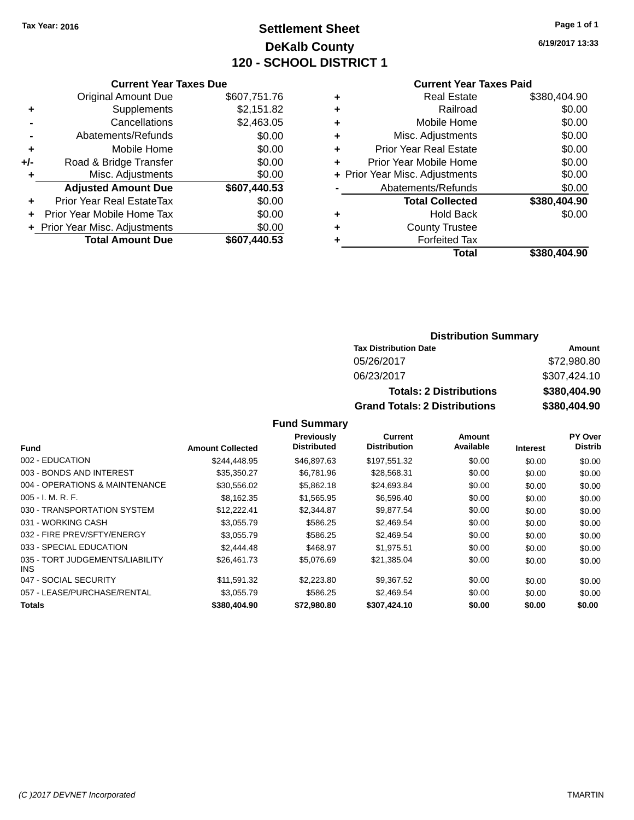# **Settlement Sheet Tax Year: 2016 Page 1 of 1 DeKalb County 120 - SCHOOL DISTRICT 1**

**6/19/2017 13:33**

### **Current Year Taxes Paid**

|     | <b>Current Year Taxes Due</b>  |              |        |
|-----|--------------------------------|--------------|--------|
|     | <b>Original Amount Due</b>     | \$607,751.76 | ٠      |
|     | Supplements                    | \$2,151.82   | ٠      |
|     | Cancellations                  | \$2,463.05   | ٠      |
|     | Abatements/Refunds             | \$0.00       | ٠      |
|     | Mobile Home                    | \$0.00       | ٠      |
| +/- | Road & Bridge Transfer         | \$0.00       | ٠      |
|     | Misc. Adjustments              | \$0.00       | + Prio |
|     | <b>Adjusted Amount Due</b>     | \$607,440.53 |        |
|     | Prior Year Real EstateTax      | \$0.00       |        |
|     | Prior Year Mobile Home Tax     | \$0.00       | ٠      |
|     | + Prior Year Misc. Adjustments | \$0.00       |        |
|     | <b>Total Amount Due</b>        | \$607,440.53 |        |
|     |                                |              |        |

|   | <b>Real Estate</b>             | \$380,404.90 |
|---|--------------------------------|--------------|
| ٠ | Railroad                       | \$0.00       |
| ٠ | Mobile Home                    | \$0.00       |
| ٠ | Misc. Adjustments              | \$0.00       |
| ٠ | <b>Prior Year Real Estate</b>  | \$0.00       |
| ÷ | Prior Year Mobile Home         | \$0.00       |
|   | + Prior Year Misc. Adjustments | \$0.00       |
|   | Abatements/Refunds             | \$0.00       |
|   | <b>Total Collected</b>         | \$380,404.90 |
| ٠ | <b>Hold Back</b>               | \$0.00       |
| ٠ | <b>County Trustee</b>          |              |
| ٠ | <b>Forfeited Tax</b>           |              |
|   | Total                          | \$380,404.90 |
|   |                                |              |

### **Distribution Summary Tax Distribution Date Amount** 05/26/2017 \$72,980.80 06/23/2017 \$307,424.10 **Totals: 2 Distributions \$380,404.90 Grand Totals: 2 Distributions \$380,404.90**

### **Fund Summary**

|                                               |                         | Previously         | <b>Current</b>      | Amount    |                 | PY Over        |
|-----------------------------------------------|-------------------------|--------------------|---------------------|-----------|-----------------|----------------|
| <b>Fund</b>                                   | <b>Amount Collected</b> | <b>Distributed</b> | <b>Distribution</b> | Available | <b>Interest</b> | <b>Distrib</b> |
| 002 - EDUCATION                               | \$244.448.95            | \$46,897.63        | \$197,551.32        | \$0.00    | \$0.00          | \$0.00         |
| 003 - BONDS AND INTEREST                      | \$35,350.27             | \$6,781.96         | \$28,568.31         | \$0.00    | \$0.00          | \$0.00         |
| 004 - OPERATIONS & MAINTENANCE                | \$30,556.02             | \$5,862.18         | \$24,693.84         | \$0.00    | \$0.00          | \$0.00         |
| $005 - I. M. R. F.$                           | \$8,162.35              | \$1,565.95         | \$6,596.40          | \$0.00    | \$0.00          | \$0.00         |
| 030 - TRANSPORTATION SYSTEM                   | \$12,222.41             | \$2,344.87         | \$9,877.54          | \$0.00    | \$0.00          | \$0.00         |
| 031 - WORKING CASH                            | \$3,055.79              | \$586.25           | \$2,469.54          | \$0.00    | \$0.00          | \$0.00         |
| 032 - FIRE PREV/SFTY/ENERGY                   | \$3,055.79              | \$586.25           | \$2,469.54          | \$0.00    | \$0.00          | \$0.00         |
| 033 - SPECIAL EDUCATION                       | \$2,444.48              | \$468.97           | \$1,975.51          | \$0.00    | \$0.00          | \$0.00         |
| 035 - TORT JUDGEMENTS/LIABILITY<br><b>INS</b> | \$26.461.73             | \$5.076.69         | \$21.385.04         | \$0.00    | \$0.00          | \$0.00         |
| 047 - SOCIAL SECURITY                         | \$11.591.32             | \$2,223.80         | \$9,367.52          | \$0.00    | \$0.00          | \$0.00         |
| 057 - LEASE/PURCHASE/RENTAL                   | \$3,055.79              | \$586.25           | \$2.469.54          | \$0.00    | \$0.00          | \$0.00         |
| <b>Totals</b>                                 | \$380,404.90            | \$72,980.80        | \$307.424.10        | \$0.00    | \$0.00          | \$0.00         |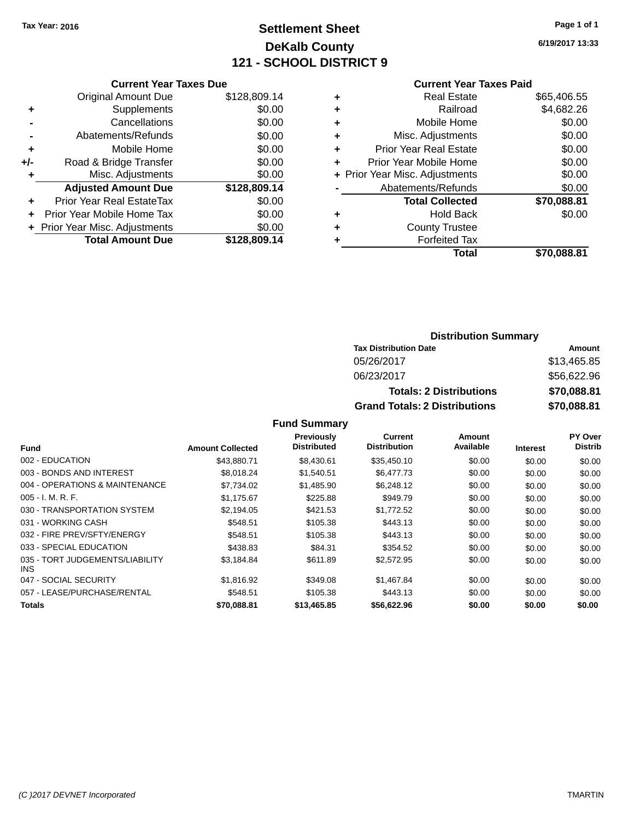# **Settlement Sheet Tax Year: 2016 Page 1 of 1 DeKalb County 121 - SCHOOL DISTRICT 9**

**6/19/2017 13:33**

### **Current Year Taxes Paid**

|     | <b>Current Year Taxes Due</b>  |              |  |  |  |  |
|-----|--------------------------------|--------------|--|--|--|--|
|     | <b>Original Amount Due</b>     | \$128,809.14 |  |  |  |  |
| ٠   | Supplements                    | \$0.00       |  |  |  |  |
|     | Cancellations                  | \$0.00       |  |  |  |  |
|     | Abatements/Refunds             | \$0.00       |  |  |  |  |
| ٠   | Mobile Home                    | \$0.00       |  |  |  |  |
| +/- | Road & Bridge Transfer         | \$0.00       |  |  |  |  |
| ٠   | Misc. Adjustments              | \$0.00       |  |  |  |  |
|     | <b>Adjusted Amount Due</b>     | \$128,809.14 |  |  |  |  |
| ٠   | Prior Year Real EstateTax      | \$0.00       |  |  |  |  |
| ÷   | Prior Year Mobile Home Tax     | \$0.00       |  |  |  |  |
|     | + Prior Year Misc. Adjustments | \$0.00       |  |  |  |  |
|     | <b>Total Amount Due</b>        | \$128,809.14 |  |  |  |  |
|     |                                |              |  |  |  |  |

|   | <b>Real Estate</b>             | \$65,406.55 |
|---|--------------------------------|-------------|
| ٠ | Railroad                       | \$4,682.26  |
| ٠ | Mobile Home                    | \$0.00      |
| ٠ | Misc. Adjustments              | \$0.00      |
| ٠ | <b>Prior Year Real Estate</b>  | \$0.00      |
| ٠ | Prior Year Mobile Home         | \$0.00      |
|   | + Prior Year Misc. Adjustments | \$0.00      |
|   | Abatements/Refunds             | \$0.00      |
|   | <b>Total Collected</b>         | \$70,088.81 |
| ٠ | <b>Hold Back</b>               | \$0.00      |
| ٠ | <b>County Trustee</b>          |             |
| ٠ | <b>Forfeited Tax</b>           |             |
|   | Total                          | \$70.088.81 |
|   |                                |             |

### **Distribution Summary Tax Distribution Date Amount** 05/26/2017 \$13,465.85 06/23/2017 \$56,622.96 **Totals: 2 Distributions \$70,088.81 Grand Totals: 2 Distributions \$70,088.81**

### **Fund Summary**

|                                         |                         | Previously         | Current             | <b>Amount</b> |                 | PY Over        |
|-----------------------------------------|-------------------------|--------------------|---------------------|---------------|-----------------|----------------|
| <b>Fund</b>                             | <b>Amount Collected</b> | <b>Distributed</b> | <b>Distribution</b> | Available     | <b>Interest</b> | <b>Distrib</b> |
| 002 - EDUCATION                         | \$43,880.71             | \$8,430.61         | \$35,450.10         | \$0.00        | \$0.00          | \$0.00         |
| 003 - BONDS AND INTEREST                | \$8.018.24              | \$1,540.51         | \$6,477.73          | \$0.00        | \$0.00          | \$0.00         |
| 004 - OPERATIONS & MAINTENANCE          | \$7,734.02              | \$1,485.90         | \$6,248.12          | \$0.00        | \$0.00          | \$0.00         |
| $005 - I. M. R. F.$                     | \$1,175.67              | \$225.88           | \$949.79            | \$0.00        | \$0.00          | \$0.00         |
| 030 - TRANSPORTATION SYSTEM             | \$2,194.05              | \$421.53           | \$1,772.52          | \$0.00        | \$0.00          | \$0.00         |
| 031 - WORKING CASH                      | \$548.51                | \$105.38           | \$443.13            | \$0.00        | \$0.00          | \$0.00         |
| 032 - FIRE PREV/SFTY/ENERGY             | \$548.51                | \$105.38           | \$443.13            | \$0.00        | \$0.00          | \$0.00         |
| 033 - SPECIAL EDUCATION                 | \$438.83                | \$84.31            | \$354.52            | \$0.00        | \$0.00          | \$0.00         |
| 035 - TORT JUDGEMENTS/LIABILITY<br>INS. | \$3,184.84              | \$611.89           | \$2,572.95          | \$0.00        | \$0.00          | \$0.00         |
| 047 - SOCIAL SECURITY                   | \$1,816.92              | \$349.08           | \$1,467.84          | \$0.00        | \$0.00          | \$0.00         |
| 057 - LEASE/PURCHASE/RENTAL             | \$548.51                | \$105.38           | \$443.13            | \$0.00        | \$0.00          | \$0.00         |
| <b>Totals</b>                           | \$70,088.81             | \$13,465.85        | \$56,622.96         | \$0.00        | \$0.00          | \$0.00         |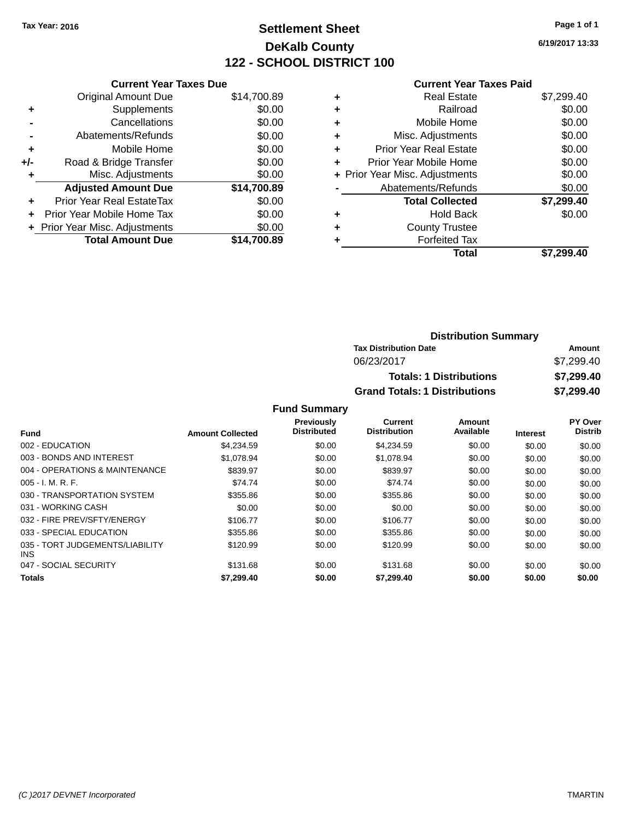# **Settlement Sheet Tax Year: 2016 Page 1 of 1 DeKalb County 122 - SCHOOL DISTRICT 100**

**6/19/2017 13:33**

#### **Current Year Taxes Paid**

|     | <b>Current Year Taxes Due</b>  |             |
|-----|--------------------------------|-------------|
|     | <b>Original Amount Due</b>     | \$14,700.89 |
| ÷   | Supplements                    | \$0.00      |
|     | Cancellations                  | \$0.00      |
|     | Abatements/Refunds             | \$0.00      |
| ٠   | Mobile Home                    | \$0.00      |
| +/- | Road & Bridge Transfer         | \$0.00      |
|     | Misc. Adjustments              | \$0.00      |
|     | <b>Adjusted Amount Due</b>     | \$14,700.89 |
| ÷   | Prior Year Real EstateTax      | \$0.00      |
|     | Prior Year Mobile Home Tax     | \$0.00      |
|     | + Prior Year Misc. Adjustments | \$0.00      |
|     | <b>Total Amount Due</b>        | \$14,700.89 |
|     |                                |             |

|   | <b>Real Estate</b>             | \$7,299.40 |
|---|--------------------------------|------------|
| ٠ | Railroad                       | \$0.00     |
| ٠ | Mobile Home                    | \$0.00     |
| ٠ | Misc. Adjustments              | \$0.00     |
| ٠ | <b>Prior Year Real Estate</b>  | \$0.00     |
| ٠ | Prior Year Mobile Home         | \$0.00     |
|   | + Prior Year Misc. Adjustments | \$0.00     |
|   | Abatements/Refunds             | \$0.00     |
|   | <b>Total Collected</b>         | \$7,299.40 |
| ٠ | Hold Back                      | \$0.00     |
| ٠ | <b>County Trustee</b>          |            |
| ٠ | <b>Forfeited Tax</b>           |            |
|   | Total                          | \$7,299.40 |
|   |                                |            |

| <b>Distribution Summary</b>          |            |
|--------------------------------------|------------|
| <b>Tax Distribution Date</b>         | Amount     |
| 06/23/2017                           | \$7,299.40 |
| <b>Totals: 1 Distributions</b>       | \$7,299.40 |
| <b>Grand Totals: 1 Distributions</b> | \$7,299.40 |

|                                         |                         | <b>Previously</b><br><b>Distributed</b> | Current<br><b>Distribution</b> | Amount<br>Available |          | PY Over<br><b>Distrib</b> |
|-----------------------------------------|-------------------------|-----------------------------------------|--------------------------------|---------------------|----------|---------------------------|
| <b>Fund</b>                             | <b>Amount Collected</b> |                                         |                                |                     | Interest |                           |
| 002 - EDUCATION                         | \$4,234.59              | \$0.00                                  | \$4,234.59                     | \$0.00              | \$0.00   | \$0.00                    |
| 003 - BONDS AND INTEREST                | \$1.078.94              | \$0.00                                  | \$1,078.94                     | \$0.00              | \$0.00   | \$0.00                    |
| 004 - OPERATIONS & MAINTENANCE          | \$839.97                | \$0.00                                  | \$839.97                       | \$0.00              | \$0.00   | \$0.00                    |
| $005 - I. M. R. F.$                     | \$74.74                 | \$0.00                                  | \$74.74                        | \$0.00              | \$0.00   | \$0.00                    |
| 030 - TRANSPORTATION SYSTEM             | \$355.86                | \$0.00                                  | \$355.86                       | \$0.00              | \$0.00   | \$0.00                    |
| 031 - WORKING CASH                      | \$0.00                  | \$0.00                                  | \$0.00                         | \$0.00              | \$0.00   | \$0.00                    |
| 032 - FIRE PREV/SFTY/ENERGY             | \$106.77                | \$0.00                                  | \$106.77                       | \$0.00              | \$0.00   | \$0.00                    |
| 033 - SPECIAL EDUCATION                 | \$355.86                | \$0.00                                  | \$355.86                       | \$0.00              | \$0.00   | \$0.00                    |
| 035 - TORT JUDGEMENTS/LIABILITY<br>INS. | \$120.99                | \$0.00                                  | \$120.99                       | \$0.00              | \$0.00   | \$0.00                    |
| 047 - SOCIAL SECURITY                   | \$131.68                | \$0.00                                  | \$131.68                       | \$0.00              | \$0.00   | \$0.00                    |
| <b>Totals</b>                           | \$7,299.40              | \$0.00                                  | \$7,299.40                     | \$0.00              | \$0.00   | \$0.00                    |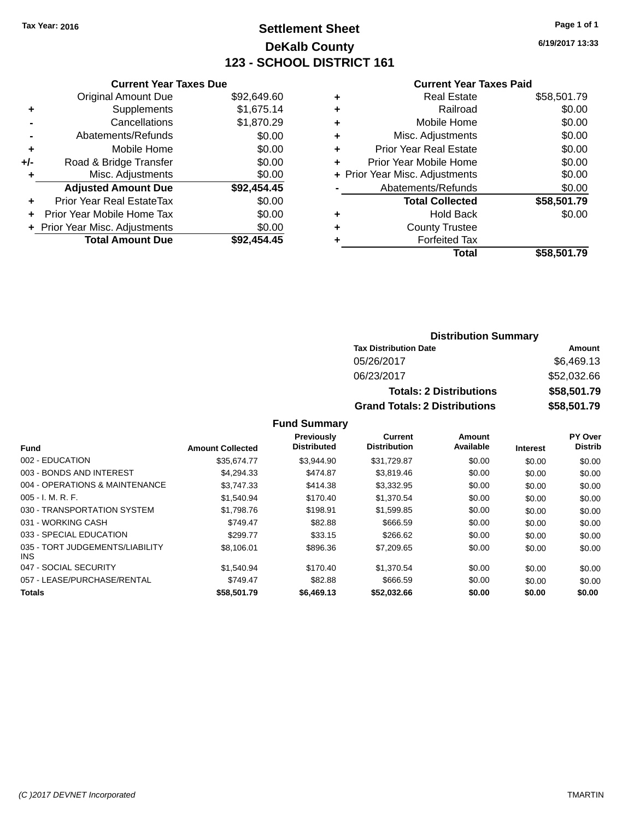# **Settlement Sheet Tax Year: 2016 Page 1 of 1 DeKalb County 123 - SCHOOL DISTRICT 161**

**6/19/2017 13:33**

#### **Current Year Taxes Paid**

| <b>Current Year Taxes Due</b>  |                         |
|--------------------------------|-------------------------|
| <b>Original Amount Due</b>     | \$92,649.60             |
| Supplements                    | \$1,675.14              |
| Cancellations                  | \$1,870.29              |
| Abatements/Refunds             | \$0.00                  |
| Mobile Home                    | \$0.00                  |
| Road & Bridge Transfer         | \$0.00                  |
| Misc. Adjustments              | \$0.00                  |
| <b>Adjusted Amount Due</b>     | \$92,454.45             |
| Prior Year Real EstateTax      | \$0.00                  |
| Prior Year Mobile Home Tax     | \$0.00                  |
| + Prior Year Misc. Adjustments | \$0.00                  |
|                                | \$92,454,45             |
|                                | <b>Total Amount Due</b> |

|   | <b>Real Estate</b>             | \$58,501.79 |
|---|--------------------------------|-------------|
| ٠ | Railroad                       | \$0.00      |
| ٠ | Mobile Home                    | \$0.00      |
| ٠ | Misc. Adjustments              | \$0.00      |
| ٠ | <b>Prior Year Real Estate</b>  | \$0.00      |
| ÷ | Prior Year Mobile Home         | \$0.00      |
|   | + Prior Year Misc. Adjustments | \$0.00      |
|   | Abatements/Refunds             | \$0.00      |
|   | <b>Total Collected</b>         | \$58,501.79 |
| ٠ | Hold Back                      | \$0.00      |
| ٠ | <b>County Trustee</b>          |             |
| ٠ | <b>Forfeited Tax</b>           |             |
|   | Total                          | \$58,501.79 |
|   |                                |             |

# **Distribution Summary Tax Distribution Date Amount** 05/26/2017 \$6,469.13 06/23/2017 \$52,032.66 **Totals: 2 Distributions \$58,501.79 Grand Totals: 2 Distributions \$58,501.79**

| <b>Fund</b>                             | <b>Amount Collected</b> | Previously<br><b>Distributed</b> | Current<br><b>Distribution</b> | <b>Amount</b><br>Available |                 | PY Over<br><b>Distrib</b> |
|-----------------------------------------|-------------------------|----------------------------------|--------------------------------|----------------------------|-----------------|---------------------------|
|                                         |                         |                                  |                                |                            | <b>Interest</b> |                           |
| 002 - EDUCATION                         | \$35.674.77             | \$3.944.90                       | \$31,729.87                    | \$0.00                     | \$0.00          | \$0.00                    |
| 003 - BONDS AND INTEREST                | \$4.294.33              | \$474.87                         | \$3,819.46                     | \$0.00                     | \$0.00          | \$0.00                    |
| 004 - OPERATIONS & MAINTENANCE          | \$3.747.33              | \$414.38                         | \$3,332.95                     | \$0.00                     | \$0.00          | \$0.00                    |
| $005 - I. M. R. F.$                     | \$1,540.94              | \$170.40                         | \$1,370.54                     | \$0.00                     | \$0.00          | \$0.00                    |
| 030 - TRANSPORTATION SYSTEM             | \$1,798.76              | \$198.91                         | \$1,599.85                     | \$0.00                     | \$0.00          | \$0.00                    |
| 031 - WORKING CASH                      | \$749.47                | \$82.88                          | \$666.59                       | \$0.00                     | \$0.00          | \$0.00                    |
| 033 - SPECIAL EDUCATION                 | \$299.77                | \$33.15                          | \$266.62                       | \$0.00                     | \$0.00          | \$0.00                    |
| 035 - TORT JUDGEMENTS/LIABILITY<br>INS. | \$8,106.01              | \$896.36                         | \$7,209.65                     | \$0.00                     | \$0.00          | \$0.00                    |
| 047 - SOCIAL SECURITY                   | \$1.540.94              | \$170.40                         | \$1.370.54                     | \$0.00                     | \$0.00          | \$0.00                    |
| 057 - LEASE/PURCHASE/RENTAL             | \$749.47                | \$82.88                          | \$666.59                       | \$0.00                     | \$0.00          | \$0.00                    |
| <b>Totals</b>                           | \$58,501.79             | \$6,469.13                       | \$52,032.66                    | \$0.00                     | \$0.00          | \$0.00                    |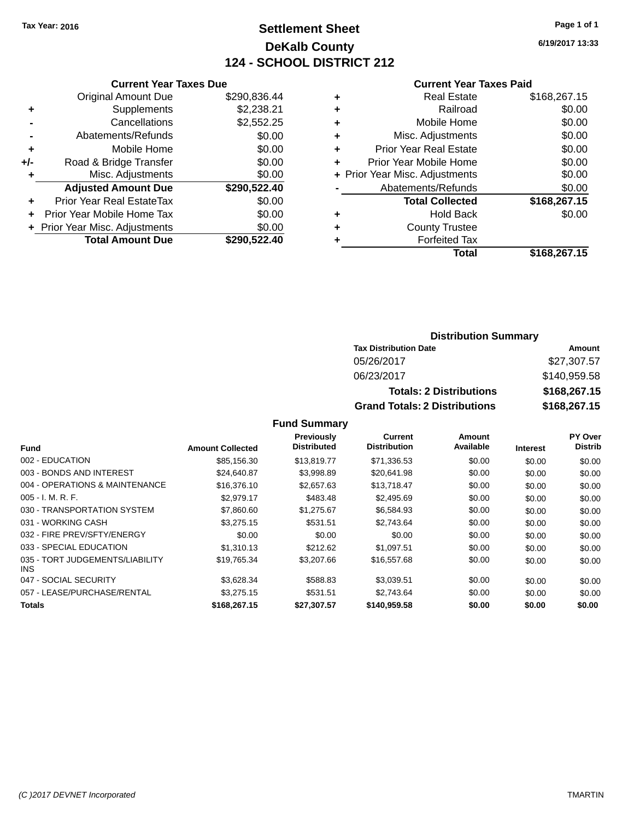# **Settlement Sheet Tax Year: 2016 Page 1 of 1 DeKalb County 124 - SCHOOL DISTRICT 212**

**6/19/2017 13:33**

#### **Current Year Taxes Paid**

|       | <b>Current Year Taxes Due</b>  |              |
|-------|--------------------------------|--------------|
|       | <b>Original Amount Due</b>     | \$290,836.44 |
| ٠     | Supplements                    | \$2,238.21   |
|       | Cancellations                  | \$2,552.25   |
|       | Abatements/Refunds             | \$0.00       |
| ٠     | Mobile Home                    | \$0.00       |
| $+/-$ | Road & Bridge Transfer         | \$0.00       |
|       | Misc. Adjustments              | \$0.00       |
|       | <b>Adjusted Amount Due</b>     | \$290,522.40 |
| ٠     | Prior Year Real EstateTax      | \$0.00       |
|       | Prior Year Mobile Home Tax     | \$0.00       |
|       | + Prior Year Misc. Adjustments | \$0.00       |
|       | <b>Total Amount Due</b>        | \$290,522,40 |
|       |                                |              |

|   | <b>Real Estate</b>             | \$168,267.15 |
|---|--------------------------------|--------------|
| ٠ | Railroad                       | \$0.00       |
| ٠ | Mobile Home                    | \$0.00       |
| ٠ | Misc. Adjustments              | \$0.00       |
| ٠ | <b>Prior Year Real Estate</b>  | \$0.00       |
| ٠ | Prior Year Mobile Home         | \$0.00       |
|   | + Prior Year Misc. Adjustments | \$0.00       |
|   | Abatements/Refunds             | \$0.00       |
|   | <b>Total Collected</b>         | \$168,267.15 |
| ٠ | <b>Hold Back</b>               | \$0.00       |
| ٠ | <b>County Trustee</b>          |              |
| ٠ | <b>Forfeited Tax</b>           |              |
|   | Total                          | \$168,267.15 |
|   |                                |              |

# **Distribution Summary Tax Distribution Date Amount** 05/26/2017 \$27,307.57 06/23/2017 \$140,959.58 **Totals: 2 Distributions \$168,267.15 Grand Totals: 2 Distributions \$168,267.15**

|                                               |                         | Previously         | Current             | Amount    |                 | PY Over        |
|-----------------------------------------------|-------------------------|--------------------|---------------------|-----------|-----------------|----------------|
| <b>Fund</b>                                   | <b>Amount Collected</b> | <b>Distributed</b> | <b>Distribution</b> | Available | <b>Interest</b> | <b>Distrib</b> |
| 002 - EDUCATION                               | \$85,156.30             | \$13,819.77        | \$71,336.53         | \$0.00    | \$0.00          | \$0.00         |
| 003 - BONDS AND INTEREST                      | \$24.640.87             | \$3,998.89         | \$20.641.98         | \$0.00    | \$0.00          | \$0.00         |
| 004 - OPERATIONS & MAINTENANCE                | \$16,376.10             | \$2,657.63         | \$13.718.47         | \$0.00    | \$0.00          | \$0.00         |
| $005 - I. M. R. F.$                           | \$2.979.17              | \$483.48           | \$2,495.69          | \$0.00    | \$0.00          | \$0.00         |
| 030 - TRANSPORTATION SYSTEM                   | \$7,860.60              | \$1,275.67         | \$6,584.93          | \$0.00    | \$0.00          | \$0.00         |
| 031 - WORKING CASH                            | \$3,275.15              | \$531.51           | \$2.743.64          | \$0.00    | \$0.00          | \$0.00         |
| 032 - FIRE PREV/SFTY/ENERGY                   | \$0.00                  | \$0.00             | \$0.00              | \$0.00    | \$0.00          | \$0.00         |
| 033 - SPECIAL EDUCATION                       | \$1.310.13              | \$212.62           | \$1,097.51          | \$0.00    | \$0.00          | \$0.00         |
| 035 - TORT JUDGEMENTS/LIABILITY<br><b>INS</b> | \$19,765.34             | \$3,207.66         | \$16,557.68         | \$0.00    | \$0.00          | \$0.00         |
| 047 - SOCIAL SECURITY                         | \$3,628.34              | \$588.83           | \$3,039.51          | \$0.00    | \$0.00          | \$0.00         |
| 057 - LEASE/PURCHASE/RENTAL                   | \$3,275.15              | \$531.51           | \$2,743.64          | \$0.00    | \$0.00          | \$0.00         |
| Totals                                        | \$168,267.15            | \$27.307.57        | \$140.959.58        | \$0.00    | \$0.00          | \$0.00         |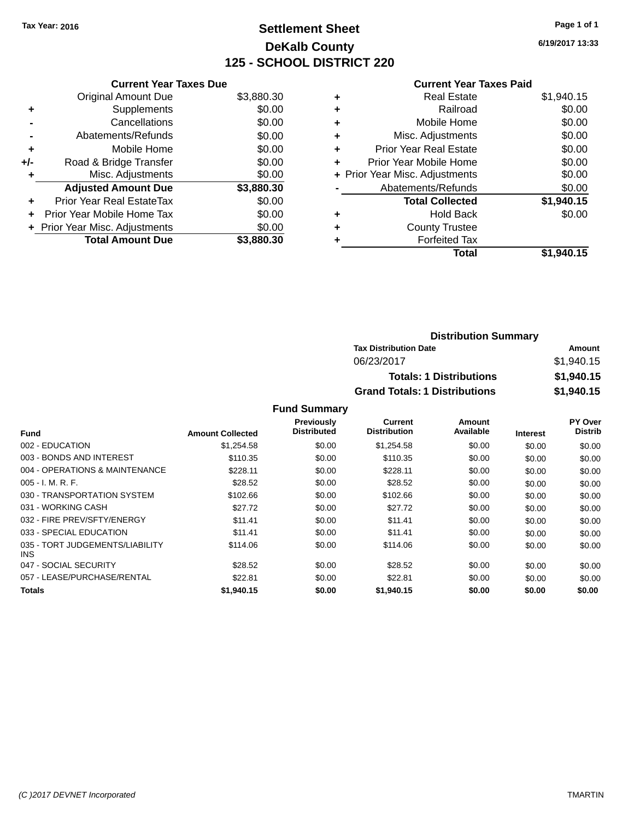# **Settlement Sheet Tax Year: 2016 Page 1 of 1 DeKalb County 125 - SCHOOL DISTRICT 220**

**6/19/2017 13:33**

### **Current Year Taxes Paid**

|     | <b>Current Year Taxes Due</b>  |            |
|-----|--------------------------------|------------|
|     | <b>Original Amount Due</b>     | \$3,880.30 |
| ٠   | Supplements                    | \$0.00     |
|     | Cancellations                  | \$0.00     |
|     | Abatements/Refunds             | \$0.00     |
| ٠   | Mobile Home                    | \$0.00     |
| +/- | Road & Bridge Transfer         | \$0.00     |
|     | Misc. Adjustments              | \$0.00     |
|     | <b>Adjusted Amount Due</b>     | \$3,880.30 |
| ٠   | Prior Year Real EstateTax      | \$0.00     |
| ÷   | Prior Year Mobile Home Tax     | \$0.00     |
|     | + Prior Year Misc. Adjustments | \$0.00     |
|     | <b>Total Amount Due</b>        | \$3.880.30 |

|   | <b>Real Estate</b>             | \$1,940.15 |
|---|--------------------------------|------------|
| ٠ | Railroad                       | \$0.00     |
| ٠ | Mobile Home                    | \$0.00     |
| ٠ | Misc. Adjustments              | \$0.00     |
| ٠ | <b>Prior Year Real Estate</b>  | \$0.00     |
| ٠ | Prior Year Mobile Home         | \$0.00     |
|   | + Prior Year Misc. Adjustments | \$0.00     |
|   | Abatements/Refunds             | \$0.00     |
|   | <b>Total Collected</b>         | \$1,940.15 |
| ٠ | Hold Back                      | \$0.00     |
| ٠ | <b>County Trustee</b>          |            |
| ٠ | <b>Forfeited Tax</b>           |            |
|   | Total                          | \$1,940.15 |
|   |                                |            |

| <b>Distribution Summary</b>          |            |
|--------------------------------------|------------|
| <b>Tax Distribution Date</b>         | Amount     |
| 06/23/2017                           | \$1,940.15 |
| <b>Totals: 1 Distributions</b>       | \$1,940.15 |
| <b>Grand Totals: 1 Distributions</b> | \$1,940.15 |

|                                         |                         | <b>Previously</b>  | Current             | Amount    |                 | PY Over        |
|-----------------------------------------|-------------------------|--------------------|---------------------|-----------|-----------------|----------------|
| <b>Fund</b>                             | <b>Amount Collected</b> | <b>Distributed</b> | <b>Distribution</b> | Available | <b>Interest</b> | <b>Distrib</b> |
| 002 - EDUCATION                         | \$1,254.58              | \$0.00             | \$1,254.58          | \$0.00    | \$0.00          | \$0.00         |
| 003 - BONDS AND INTEREST                | \$110.35                | \$0.00             | \$110.35            | \$0.00    | \$0.00          | \$0.00         |
| 004 - OPERATIONS & MAINTENANCE          | \$228.11                | \$0.00             | \$228.11            | \$0.00    | \$0.00          | \$0.00         |
| $005 - I. M. R. F.$                     | \$28.52                 | \$0.00             | \$28.52             | \$0.00    | \$0.00          | \$0.00         |
| 030 - TRANSPORTATION SYSTEM             | \$102.66                | \$0.00             | \$102.66            | \$0.00    | \$0.00          | \$0.00         |
| 031 - WORKING CASH                      | \$27.72                 | \$0.00             | \$27.72             | \$0.00    | \$0.00          | \$0.00         |
| 032 - FIRE PREV/SFTY/ENERGY             | \$11.41                 | \$0.00             | \$11.41             | \$0.00    | \$0.00          | \$0.00         |
| 033 - SPECIAL EDUCATION                 | \$11.41                 | \$0.00             | \$11.41             | \$0.00    | \$0.00          | \$0.00         |
| 035 - TORT JUDGEMENTS/LIABILITY<br>INS. | \$114.06                | \$0.00             | \$114.06            | \$0.00    | \$0.00          | \$0.00         |
| 047 - SOCIAL SECURITY                   | \$28.52                 | \$0.00             | \$28.52             | \$0.00    | \$0.00          | \$0.00         |
| 057 - LEASE/PURCHASE/RENTAL             | \$22.81                 | \$0.00             | \$22.81             | \$0.00    | \$0.00          | \$0.00         |
| Totals                                  | \$1,940.15              | \$0.00             | \$1,940.15          | \$0.00    | \$0.00          | \$0.00         |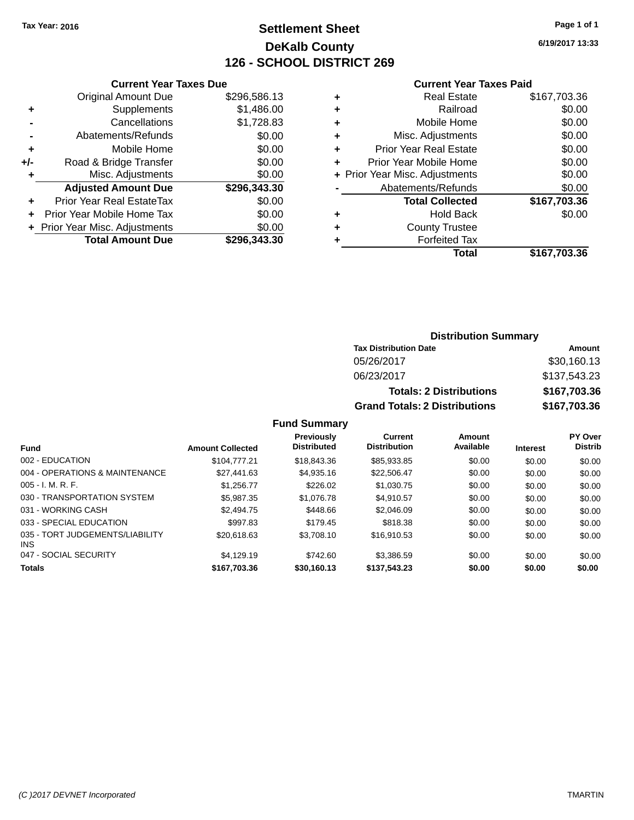# **Settlement Sheet Tax Year: 2016 Page 1 of 1 DeKalb County 126 - SCHOOL DISTRICT 269**

**6/19/2017 13:33**

#### **Current Year Taxes Paid**

| <b>Current Year Taxes Due</b>            |                         |  |  |  |  |
|------------------------------------------|-------------------------|--|--|--|--|
| <b>Original Amount Due</b>               | \$296,586.13            |  |  |  |  |
| Supplements                              | \$1,486.00              |  |  |  |  |
| Cancellations                            | \$1,728.83              |  |  |  |  |
| Abatements/Refunds                       | \$0.00                  |  |  |  |  |
| Mobile Home                              | \$0.00                  |  |  |  |  |
| Road & Bridge Transfer                   | \$0.00                  |  |  |  |  |
| Misc. Adjustments                        |                         |  |  |  |  |
| <b>Adjusted Amount Due</b>               | \$296,343.30            |  |  |  |  |
| Prior Year Real EstateTax                | \$0.00                  |  |  |  |  |
| Prior Year Mobile Home Tax               | \$0.00                  |  |  |  |  |
| \$0.00<br>+ Prior Year Misc. Adjustments |                         |  |  |  |  |
|                                          | \$296.343.30            |  |  |  |  |
|                                          | <b>Total Amount Due</b> |  |  |  |  |

|   | <b>Real Estate</b>             | \$167,703.36 |
|---|--------------------------------|--------------|
| ٠ | Railroad                       | \$0.00       |
| ٠ | Mobile Home                    | \$0.00       |
| ٠ | Misc. Adjustments              | \$0.00       |
| ٠ | <b>Prior Year Real Estate</b>  | \$0.00       |
| ٠ | Prior Year Mobile Home         | \$0.00       |
|   | + Prior Year Misc. Adjustments | \$0.00       |
|   | Abatements/Refunds             | \$0.00       |
|   | <b>Total Collected</b>         | \$167,703.36 |
| ٠ | Hold Back                      | \$0.00       |
|   | <b>County Trustee</b>          |              |
| ٠ | <b>Forfeited Tax</b>           |              |
|   | Total                          | \$167,703.36 |
|   |                                |              |

# **Distribution Summary Tax Distribution Date Amount** 05/26/2017 \$30,160.13 06/23/2017 \$137,543.23 **Totals: 2 Distributions \$167,703.36 Grand Totals: 2 Distributions \$167,703.36**

| <b>Fund</b>                             | <b>Amount Collected</b> | <b>Previously</b><br><b>Distributed</b> | Current<br><b>Distribution</b> | Amount<br>Available | <b>Interest</b> | <b>PY Over</b><br><b>Distrib</b> |
|-----------------------------------------|-------------------------|-----------------------------------------|--------------------------------|---------------------|-----------------|----------------------------------|
| 002 - EDUCATION                         | \$104,777,21            | \$18,843,36                             | \$85.933.85                    | \$0.00              | \$0.00          | \$0.00                           |
| 004 - OPERATIONS & MAINTENANCE          | \$27,441.63             | \$4,935.16                              | \$22,506.47                    | \$0.00              | \$0.00          | \$0.00                           |
| $005 - I. M. R. F.$                     | \$1.256.77              | \$226.02                                | \$1,030.75                     | \$0.00              | \$0.00          | \$0.00                           |
| 030 - TRANSPORTATION SYSTEM             | \$5,987.35              | \$1,076.78                              | \$4.910.57                     | \$0.00              | \$0.00          | \$0.00                           |
| 031 - WORKING CASH                      | \$2,494.75              | \$448.66                                | \$2.046.09                     | \$0.00              | \$0.00          | \$0.00                           |
| 033 - SPECIAL EDUCATION                 | \$997.83                | \$179.45                                | \$818.38                       | \$0.00              | \$0.00          | \$0.00                           |
| 035 - TORT JUDGEMENTS/LIABILITY<br>INS. | \$20,618.63             | \$3,708.10                              | \$16.910.53                    | \$0.00              | \$0.00          | \$0.00                           |
| 047 - SOCIAL SECURITY                   | \$4.129.19              | \$742.60                                | \$3.386.59                     | \$0.00              | \$0.00          | \$0.00                           |
| <b>Totals</b>                           | \$167,703.36            | \$30.160.13                             | \$137,543.23                   | \$0.00              | \$0.00          | \$0.00                           |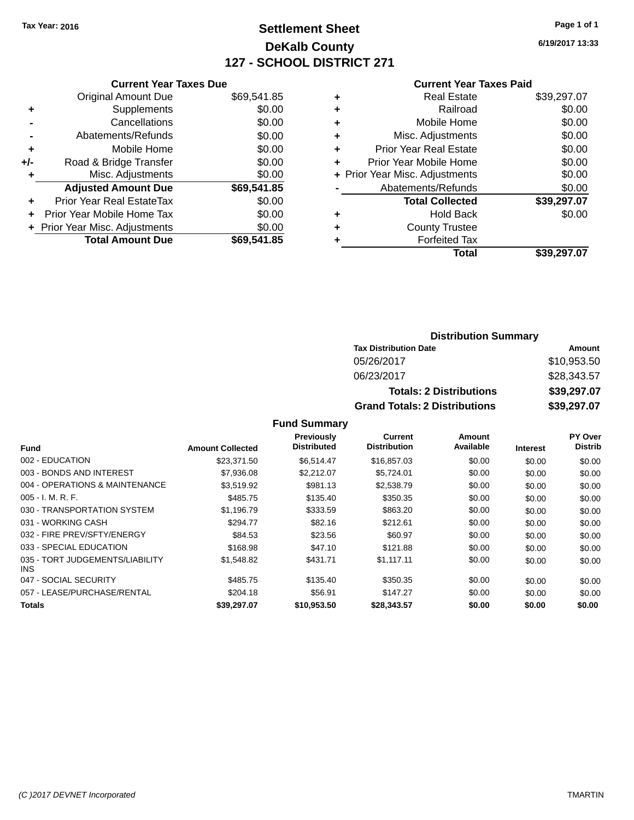# **Settlement Sheet Tax Year: 2016 Page 1 of 1 DeKalb County 127 - SCHOOL DISTRICT 271**

**6/19/2017 13:33**

#### **Current Year Taxes Paid**

|     | <b>Current Year Taxes Due</b>  |             |
|-----|--------------------------------|-------------|
|     | <b>Original Amount Due</b>     | \$69,541.85 |
| ٠   | Supplements                    | \$0.00      |
|     | Cancellations                  | \$0.00      |
|     | Abatements/Refunds             | \$0.00      |
| ٠   | Mobile Home                    | \$0.00      |
| +/- | Road & Bridge Transfer         | \$0.00      |
|     | Misc. Adjustments              | \$0.00      |
|     | <b>Adjusted Amount Due</b>     | \$69,541.85 |
| ٠   | Prior Year Real EstateTax      | \$0.00      |
|     | Prior Year Mobile Home Tax     | \$0.00      |
|     | + Prior Year Misc. Adjustments | \$0.00      |
|     | <b>Total Amount Due</b>        | \$69,541.85 |
|     |                                |             |

|   | <b>Real Estate</b>             | \$39,297.07 |
|---|--------------------------------|-------------|
| ٠ | Railroad                       | \$0.00      |
| ٠ | Mobile Home                    | \$0.00      |
| ٠ | Misc. Adjustments              | \$0.00      |
| ٠ | <b>Prior Year Real Estate</b>  | \$0.00      |
|   | Prior Year Mobile Home         | \$0.00      |
|   | + Prior Year Misc. Adjustments | \$0.00      |
|   | Abatements/Refunds             | \$0.00      |
|   | <b>Total Collected</b>         | \$39,297.07 |
| ٠ | Hold Back                      | \$0.00      |
|   | <b>County Trustee</b>          |             |
| ٠ | <b>Forfeited Tax</b>           |             |
|   | Total                          | \$39,297.07 |
|   |                                |             |

# **Distribution Summary Tax Distribution Date Amount** 05/26/2017 \$10,953.50 06/23/2017 \$28,343.57 **Totals: 2 Distributions \$39,297.07 Grand Totals: 2 Distributions \$39,297.07**

| <b>Fund</b>                             | <b>Amount Collected</b> | <b>Previously</b><br><b>Distributed</b> | <b>Current</b><br><b>Distribution</b> | Amount<br>Available | <b>Interest</b> | PY Over<br><b>Distrib</b> |
|-----------------------------------------|-------------------------|-----------------------------------------|---------------------------------------|---------------------|-----------------|---------------------------|
| 002 - EDUCATION                         | \$23.371.50             | \$6.514.47                              | \$16,857,03                           | \$0.00              |                 |                           |
|                                         |                         |                                         |                                       |                     | \$0.00          | \$0.00                    |
| 003 - BONDS AND INTEREST                | \$7,936.08              | \$2,212.07                              | \$5,724.01                            | \$0.00              | \$0.00          | \$0.00                    |
| 004 - OPERATIONS & MAINTENANCE          | \$3,519.92              | \$981.13                                | \$2,538.79                            | \$0.00              | \$0.00          | \$0.00                    |
| $005 - I. M. R. F.$                     | \$485.75                | \$135.40                                | \$350.35                              | \$0.00              | \$0.00          | \$0.00                    |
| 030 - TRANSPORTATION SYSTEM             | \$1.196.79              | \$333.59                                | \$863.20                              | \$0.00              | \$0.00          | \$0.00                    |
| 031 - WORKING CASH                      | \$294.77                | \$82.16                                 | \$212.61                              | \$0.00              | \$0.00          | \$0.00                    |
| 032 - FIRE PREV/SFTY/ENERGY             | \$84.53                 | \$23.56                                 | \$60.97                               | \$0.00              | \$0.00          | \$0.00                    |
| 033 - SPECIAL EDUCATION                 | \$168.98                | \$47.10                                 | \$121.88                              | \$0.00              | \$0.00          | \$0.00                    |
| 035 - TORT JUDGEMENTS/LIABILITY<br>INS. | \$1,548.82              | \$431.71                                | \$1,117.11                            | \$0.00              | \$0.00          | \$0.00                    |
| 047 - SOCIAL SECURITY                   | \$485.75                | \$135.40                                | \$350.35                              | \$0.00              | \$0.00          | \$0.00                    |
| 057 - LEASE/PURCHASE/RENTAL             | \$204.18                | \$56.91                                 | \$147.27                              | \$0.00              | \$0.00          | \$0.00                    |
| <b>Totals</b>                           | \$39.297.07             | \$10,953.50                             | \$28,343,57                           | \$0.00              | \$0.00          | \$0.00                    |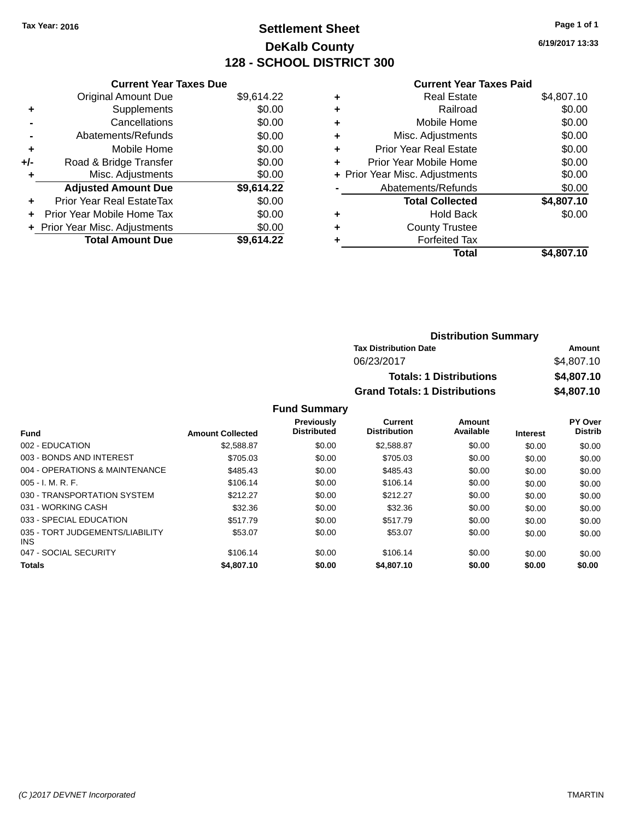# **Settlement Sheet Tax Year: 2016 Page 1 of 1 DeKalb County 128 - SCHOOL DISTRICT 300**

**6/19/2017 13:33**

### **Current Year Taxes Paid**

|     | <b>Current Year Taxes Due</b>  |            |
|-----|--------------------------------|------------|
|     | <b>Original Amount Due</b>     | \$9,614.22 |
| ÷   | Supplements                    | \$0.00     |
|     | Cancellations                  | \$0.00     |
|     | Abatements/Refunds             | \$0.00     |
| ٠   | Mobile Home                    | \$0.00     |
| +/- | Road & Bridge Transfer         | \$0.00     |
| ٠   | Misc. Adjustments              | \$0.00     |
|     | <b>Adjusted Amount Due</b>     | \$9,614.22 |
| ٠   | Prior Year Real EstateTax      | \$0.00     |
| ٠   | Prior Year Mobile Home Tax     | \$0.00     |
|     | + Prior Year Misc. Adjustments | \$0.00     |
|     | <b>Total Amount Due</b>        | \$9.614.22 |

| ٠ | <b>Real Estate</b>             | \$4,807.10 |
|---|--------------------------------|------------|
| ٠ | Railroad                       | \$0.00     |
| ٠ | Mobile Home                    | \$0.00     |
| ٠ | Misc. Adjustments              | \$0.00     |
| ٠ | <b>Prior Year Real Estate</b>  | \$0.00     |
| ÷ | Prior Year Mobile Home         | \$0.00     |
|   | + Prior Year Misc. Adjustments | \$0.00     |
|   | Abatements/Refunds             | \$0.00     |
|   | <b>Total Collected</b>         | \$4,807.10 |
| ٠ | <b>Hold Back</b>               | \$0.00     |
| ٠ | <b>County Trustee</b>          |            |
| ٠ | <b>Forfeited Tax</b>           |            |
|   | Total                          | \$4,807.10 |
|   |                                |            |

| <b>Distribution Summary</b>          |            |  |  |
|--------------------------------------|------------|--|--|
| <b>Tax Distribution Date</b>         | Amount     |  |  |
| 06/23/2017                           | \$4,807.10 |  |  |
| <b>Totals: 1 Distributions</b>       | \$4,807.10 |  |  |
| <b>Grand Totals: 1 Distributions</b> | \$4,807.10 |  |  |

|                                               |                         | <b>Previously</b>  | Current             | Amount    |                 | <b>PY Over</b> |
|-----------------------------------------------|-------------------------|--------------------|---------------------|-----------|-----------------|----------------|
| <b>Fund</b>                                   | <b>Amount Collected</b> | <b>Distributed</b> | <b>Distribution</b> | Available | <b>Interest</b> | <b>Distrib</b> |
| 002 - EDUCATION                               | \$2,588.87              | \$0.00             | \$2,588.87          | \$0.00    | \$0.00          | \$0.00         |
| 003 - BONDS AND INTEREST                      | \$705.03                | \$0.00             | \$705.03            | \$0.00    | \$0.00          | \$0.00         |
| 004 - OPERATIONS & MAINTENANCE                | \$485.43                | \$0.00             | \$485.43            | \$0.00    | \$0.00          | \$0.00         |
| $005 - I. M. R. F.$                           | \$106.14                | \$0.00             | \$106.14            | \$0.00    | \$0.00          | \$0.00         |
| 030 - TRANSPORTATION SYSTEM                   | \$212.27                | \$0.00             | \$212.27            | \$0.00    | \$0.00          | \$0.00         |
| 031 - WORKING CASH                            | \$32.36                 | \$0.00             | \$32.36             | \$0.00    | \$0.00          | \$0.00         |
| 033 - SPECIAL EDUCATION                       | \$517.79                | \$0.00             | \$517.79            | \$0.00    | \$0.00          | \$0.00         |
| 035 - TORT JUDGEMENTS/LIABILITY<br><b>INS</b> | \$53.07                 | \$0.00             | \$53.07             | \$0.00    | \$0.00          | \$0.00         |
| 047 - SOCIAL SECURITY                         | \$106.14                | \$0.00             | \$106.14            | \$0.00    | \$0.00          | \$0.00         |
| <b>Totals</b>                                 | \$4,807.10              | \$0.00             | \$4,807.10          | \$0.00    | \$0.00          | \$0.00         |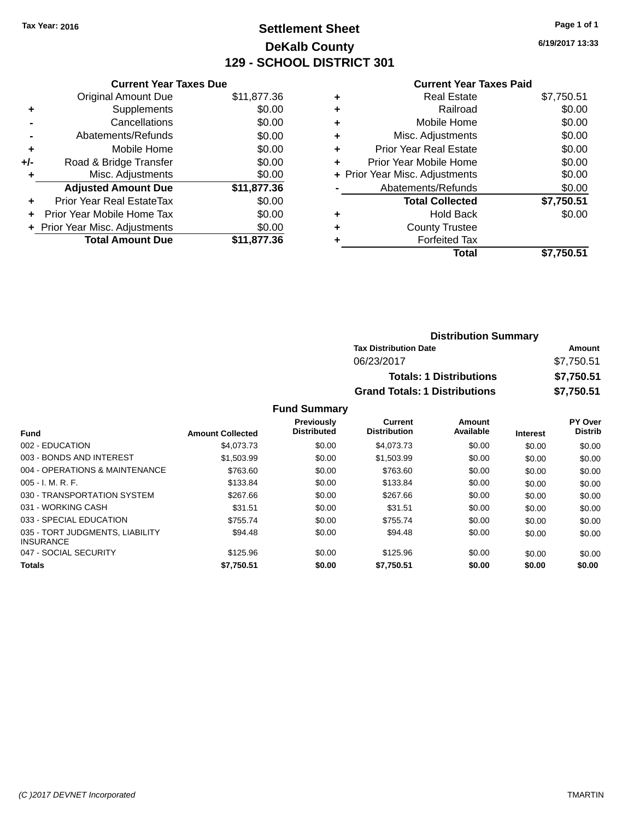# **Settlement Sheet Tax Year: 2016 Page 1 of 1 DeKalb County 129 - SCHOOL DISTRICT 301**

**6/19/2017 13:33**

### **Current Year Taxes Paid**

|     | <b>Current Year Taxes Due</b>    |             |  |  |  |
|-----|----------------------------------|-------------|--|--|--|
|     | <b>Original Amount Due</b>       | \$11,877.36 |  |  |  |
| ٠   | Supplements                      | \$0.00      |  |  |  |
|     | Cancellations                    | \$0.00      |  |  |  |
|     | Abatements/Refunds               | \$0.00      |  |  |  |
| ٠   | Mobile Home                      | \$0.00      |  |  |  |
| +/- | \$0.00<br>Road & Bridge Transfer |             |  |  |  |
| ٠   | \$0.00<br>Misc. Adjustments      |             |  |  |  |
|     | <b>Adjusted Amount Due</b>       | \$11,877.36 |  |  |  |
| ÷   | Prior Year Real EstateTax        | \$0.00      |  |  |  |
|     | Prior Year Mobile Home Tax       | \$0.00      |  |  |  |
|     | + Prior Year Misc. Adjustments   | \$0.00      |  |  |  |
|     | <b>Total Amount Due</b>          | \$11,877.36 |  |  |  |

|   | <b>Real Estate</b>             | \$7,750.51 |
|---|--------------------------------|------------|
| ٠ | Railroad                       | \$0.00     |
| ٠ | Mobile Home                    | \$0.00     |
| ٠ | Misc. Adjustments              | \$0.00     |
| ٠ | <b>Prior Year Real Estate</b>  | \$0.00     |
| ٠ | Prior Year Mobile Home         | \$0.00     |
|   | + Prior Year Misc. Adjustments | \$0.00     |
|   | Abatements/Refunds             | \$0.00     |
|   | <b>Total Collected</b>         | \$7,750.51 |
| ٠ | <b>Hold Back</b>               | \$0.00     |
|   | <b>County Trustee</b>          |            |
| ٠ | <b>Forfeited Tax</b>           |            |
|   | Total                          | \$7,750.51 |
|   |                                |            |

| <b>Distribution Summary</b>          |            |  |  |  |  |
|--------------------------------------|------------|--|--|--|--|
| <b>Tax Distribution Date</b>         | Amount     |  |  |  |  |
| 06/23/2017                           | \$7,750.51 |  |  |  |  |
| <b>Totals: 1 Distributions</b>       | \$7,750.51 |  |  |  |  |
| <b>Grand Totals: 1 Distributions</b> | \$7,750.51 |  |  |  |  |

| <b>Fund</b>                                         | <b>Amount Collected</b> | <b>Previously</b><br><b>Distributed</b> | Current<br><b>Distribution</b> | Amount<br>Available | <b>Interest</b> | PY Over<br><b>Distrib</b> |
|-----------------------------------------------------|-------------------------|-----------------------------------------|--------------------------------|---------------------|-----------------|---------------------------|
|                                                     |                         |                                         |                                |                     |                 |                           |
| 002 - EDUCATION                                     | \$4,073,73              | \$0.00                                  | \$4,073.73                     | \$0.00              | \$0.00          | \$0.00                    |
| 003 - BONDS AND INTEREST                            | \$1.503.99              | \$0.00                                  | \$1,503.99                     | \$0.00              | \$0.00          | \$0.00                    |
| 004 - OPERATIONS & MAINTENANCE                      | \$763.60                | \$0.00                                  | \$763.60                       | \$0.00              | \$0.00          | \$0.00                    |
| $005 - I. M. R. F.$                                 | \$133.84                | \$0.00                                  | \$133.84                       | \$0.00              | \$0.00          | \$0.00                    |
| 030 - TRANSPORTATION SYSTEM                         | \$267.66                | \$0.00                                  | \$267.66                       | \$0.00              | \$0.00          | \$0.00                    |
| 031 - WORKING CASH                                  | \$31.51                 | \$0.00                                  | \$31.51                        | \$0.00              | \$0.00          | \$0.00                    |
| 033 - SPECIAL EDUCATION                             | \$755.74                | \$0.00                                  | \$755.74                       | \$0.00              | \$0.00          | \$0.00                    |
| 035 - TORT JUDGMENTS, LIABILITY<br><b>INSURANCE</b> | \$94.48                 | \$0.00                                  | \$94.48                        | \$0.00              | \$0.00          | \$0.00                    |
| 047 - SOCIAL SECURITY                               | \$125.96                | \$0.00                                  | \$125.96                       | \$0.00              | \$0.00          | \$0.00                    |
| <b>Totals</b>                                       | \$7,750.51              | \$0.00                                  | \$7,750.51                     | \$0.00              | \$0.00          | \$0.00                    |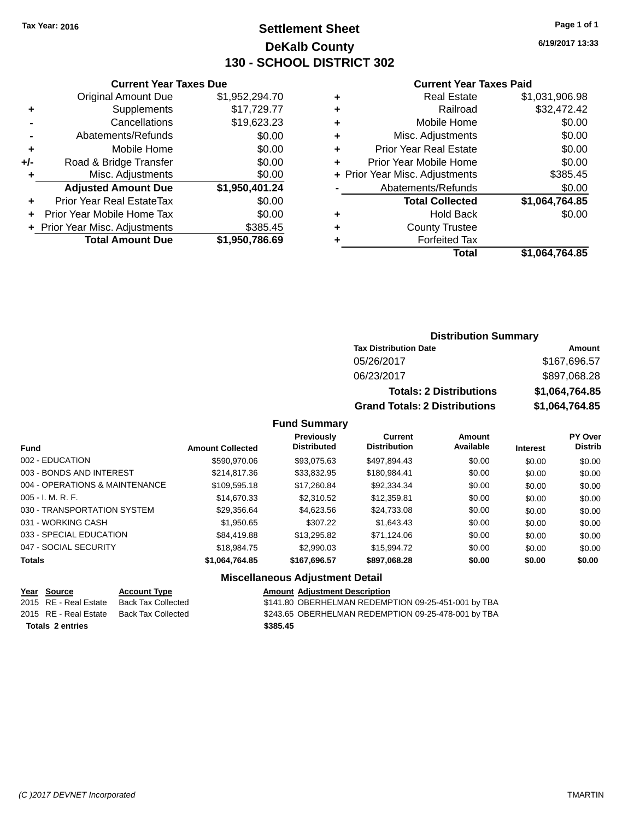# **Settlement Sheet Tax Year: 2016 Page 1 of 1 DeKalb County 130 - SCHOOL DISTRICT 302**

**6/19/2017 13:33**

#### **Current Year Taxes Paid**

|       | <b>Current Year Taxes Due</b>    |                |  |  |  |
|-------|----------------------------------|----------------|--|--|--|
|       | <b>Original Amount Due</b>       | \$1,952,294.70 |  |  |  |
| ٠     | Supplements                      | \$17,729.77    |  |  |  |
|       | Cancellations                    | \$19,623.23    |  |  |  |
|       | Abatements/Refunds               | \$0.00         |  |  |  |
| ٠     | Mobile Home                      | \$0.00         |  |  |  |
| $+/-$ | \$0.00<br>Road & Bridge Transfer |                |  |  |  |
|       | Misc. Adjustments<br>\$0.00      |                |  |  |  |
|       | <b>Adjusted Amount Due</b>       | \$1,950,401.24 |  |  |  |
| ÷     | <b>Prior Year Real EstateTax</b> | \$0.00         |  |  |  |
|       | Prior Year Mobile Home Tax       | \$0.00         |  |  |  |
|       | + Prior Year Misc. Adjustments   | \$385.45       |  |  |  |
|       | <b>Total Amount Due</b>          | \$1,950,786.69 |  |  |  |
|       |                                  |                |  |  |  |

| ٠ | <b>Real Estate</b>             | \$1,031,906.98 |
|---|--------------------------------|----------------|
| ٠ | Railroad                       | \$32,472.42    |
| ٠ | Mobile Home                    | \$0.00         |
| ٠ | Misc. Adjustments              | \$0.00         |
| ٠ | <b>Prior Year Real Estate</b>  | \$0.00         |
| ٠ | Prior Year Mobile Home         | \$0.00         |
|   | + Prior Year Misc. Adjustments | \$385.45       |
|   | Abatements/Refunds             | \$0.00         |
|   | <b>Total Collected</b>         | \$1,064,764.85 |
| ٠ | Hold Back                      | \$0.00         |
| ٠ | <b>County Trustee</b>          |                |
| ٠ | <b>Forfeited Tax</b>           |                |
|   | Total                          | \$1,064,764.85 |
|   |                                |                |

# **Distribution Summary Tax Distribution Date Amount** 05/26/2017 \$167,696.57 06/23/2017 \$897,068.28 **Totals: 2 Distributions \$1,064,764.85 Grand Totals: 2 Distributions \$1,064,764.85**

### **Fund Summary**

| <b>Fund</b>                    | <b>Amount Collected</b> | <b>Previously</b><br><b>Distributed</b> | Current<br><b>Distribution</b> | Amount<br>Available | <b>Interest</b> | <b>PY Over</b><br><b>Distrib</b> |
|--------------------------------|-------------------------|-----------------------------------------|--------------------------------|---------------------|-----------------|----------------------------------|
|                                |                         |                                         |                                |                     |                 |                                  |
| 002 - EDUCATION                | \$590,970.06            | \$93,075.63                             | \$497,894.43                   | \$0.00              | \$0.00          | \$0.00                           |
| 003 - BONDS AND INTEREST       | \$214,817.36            | \$33,832.95                             | \$180,984.41                   | \$0.00              | \$0.00          | \$0.00                           |
| 004 - OPERATIONS & MAINTENANCE | \$109,595.18            | \$17,260.84                             | \$92,334.34                    | \$0.00              | \$0.00          | \$0.00                           |
| $005 - I. M. R. F.$            | \$14,670.33             | \$2,310.52                              | \$12,359.81                    | \$0.00              | \$0.00          | \$0.00                           |
| 030 - TRANSPORTATION SYSTEM    | \$29,356.64             | \$4,623.56                              | \$24,733.08                    | \$0.00              | \$0.00          | \$0.00                           |
| 031 - WORKING CASH             | \$1,950.65              | \$307.22                                | \$1.643.43                     | \$0.00              | \$0.00          | \$0.00                           |
| 033 - SPECIAL EDUCATION        | \$84,419.88             | \$13,295.82                             | \$71.124.06                    | \$0.00              | \$0.00          | \$0.00                           |
| 047 - SOCIAL SECURITY          | \$18,984.75             | \$2,990.03                              | \$15.994.72                    | \$0.00              | \$0.00          | \$0.00                           |
| <b>Totals</b>                  | \$1,064,764.85          | \$167,696.57                            | \$897,068.28                   | \$0.00              | \$0.00          | \$0.00                           |

### **Miscellaneous Adjustment Detail**

# **Year** Source **Account Type Account Adjustment Description**

**Totals \$385.45 2 entries**

2015 RE - Real Estate Back Tax Collected \$141.80 OBERHELMAN REDEMPTION 09-25-451-001 by TBA 2015 RE - Real Estate Back Tax Collected \$243.65 OBERHELMAN REDEMPTION 09-25-478-001 by TBA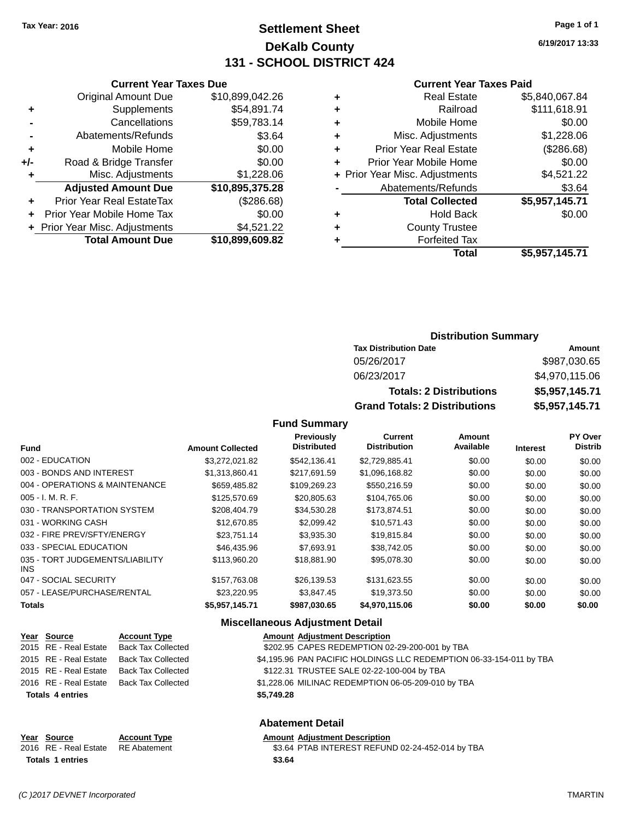# **Settlement Sheet Tax Year: 2016 Page 1 of 1 DeKalb County 131 - SCHOOL DISTRICT 424**

**6/19/2017 13:33**

#### **Current Year Taxes Paid**

|     | <b>Current Year Taxes Due</b>   |                 |  |  |
|-----|---------------------------------|-----------------|--|--|
|     | <b>Original Amount Due</b>      | \$10,899,042.26 |  |  |
| ÷   | Supplements                     | \$54,891.74     |  |  |
|     | Cancellations                   | \$59,783.14     |  |  |
|     | Abatements/Refunds              | \$3.64          |  |  |
| ٠   | Mobile Home                     | \$0.00          |  |  |
| +/- | Road & Bridge Transfer          | \$0.00          |  |  |
| ٠   | Misc. Adjustments<br>\$1,228.06 |                 |  |  |
|     | <b>Adjusted Amount Due</b>      | \$10,895,375.28 |  |  |
|     | Prior Year Real EstateTax       | (\$286.68)      |  |  |
| ÷   | Prior Year Mobile Home Tax      | \$0.00          |  |  |
|     | + Prior Year Misc. Adjustments  | \$4,521.22      |  |  |
|     | <b>Total Amount Due</b>         | \$10,899,609.82 |  |  |
|     |                                 |                 |  |  |

|   | <b>Real Estate</b>             | \$5,840,067.84 |
|---|--------------------------------|----------------|
| ٠ | Railroad                       | \$111,618.91   |
| ٠ | Mobile Home                    | \$0.00         |
| ٠ | Misc. Adjustments              | \$1,228.06     |
| ٠ | <b>Prior Year Real Estate</b>  | (\$286.68)     |
| ÷ | Prior Year Mobile Home         | \$0.00         |
|   | + Prior Year Misc. Adjustments | \$4,521.22     |
|   | Abatements/Refunds             | \$3.64         |
|   | <b>Total Collected</b>         | \$5,957,145.71 |
| ٠ | <b>Hold Back</b>               | \$0.00         |
| ٠ | <b>County Trustee</b>          |                |
| ٠ | <b>Forfeited Tax</b>           |                |
|   | <b>Total</b>                   | \$5,957,145.71 |
|   |                                |                |

### **Distribution Summary Tax Distribution Date Amount** 05/26/2017 \$987,030.65

| 06/23/2017                           | \$4,970,115.06 |
|--------------------------------------|----------------|
| <b>Totals: 2 Distributions</b>       | \$5,957,145.71 |
| <b>Grand Totals: 2 Distributions</b> | \$5,957,145,71 |

## **Fund Summary**

| <b>Fund</b>                                   | <b>Amount Collected</b> | Previously<br><b>Distributed</b> | <b>Current</b><br><b>Distribution</b> | Amount<br>Available | <b>Interest</b> | PY Over<br><b>Distrib</b> |
|-----------------------------------------------|-------------------------|----------------------------------|---------------------------------------|---------------------|-----------------|---------------------------|
| 002 - EDUCATION                               | \$3,272,021.82          | \$542.136.41                     | \$2,729,885.41                        | \$0.00              | \$0.00          | \$0.00                    |
| 003 - BONDS AND INTEREST                      | \$1,313,860.41          | \$217.691.59                     | \$1,096,168.82                        | \$0.00              | \$0.00          | \$0.00                    |
| 004 - OPERATIONS & MAINTENANCE                | \$659,485.82            | \$109,269.23                     | \$550,216.59                          | \$0.00              | \$0.00          | \$0.00                    |
| $005 - I. M. R. F.$                           | \$125,570.69            | \$20,805.63                      | \$104,765.06                          | \$0.00              | \$0.00          | \$0.00                    |
| 030 - TRANSPORTATION SYSTEM                   | \$208,404.79            | \$34.530.28                      | \$173,874.51                          | \$0.00              | \$0.00          | \$0.00                    |
| 031 - WORKING CASH                            | \$12,670.85             | \$2,099.42                       | \$10,571.43                           | \$0.00              | \$0.00          | \$0.00                    |
| 032 - FIRE PREV/SFTY/ENERGY                   | \$23.751.14             | \$3.935.30                       | \$19,815.84                           | \$0.00              | \$0.00          | \$0.00                    |
| 033 - SPECIAL EDUCATION                       | \$46,435.96             | \$7.693.91                       | \$38,742.05                           | \$0.00              | \$0.00          | \$0.00                    |
| 035 - TORT JUDGEMENTS/LIABILITY<br><b>INS</b> | \$113,960,20            | \$18,881.90                      | \$95,078.30                           | \$0.00              | \$0.00          | \$0.00                    |
| 047 - SOCIAL SECURITY                         | \$157,763.08            | \$26,139.53                      | \$131,623.55                          | \$0.00              | \$0.00          | \$0.00                    |
| 057 - LEASE/PURCHASE/RENTAL                   | \$23,220.95             | \$3,847.45                       | \$19,373.50                           | \$0.00              | \$0.00          | \$0.00                    |
| <b>Totals</b>                                 | \$5,957,145.71          | \$987,030.65                     | \$4,970,115.06                        | \$0.00              | \$0.00          | \$0.00                    |

### **Miscellaneous Adjustment Detail**

| Year Source             | <b>Account Type</b> |            | <b>Amount Adjustment Description</b>                                |
|-------------------------|---------------------|------------|---------------------------------------------------------------------|
| 2015 RE - Real Estate   | Back Tax Collected  |            | \$202.95 CAPES REDEMPTION 02-29-200-001 by TBA                      |
| 2015 RE - Real Estate   | Back Tax Collected  |            | \$4,195.96 PAN PACIFIC HOLDINGS LLC REDEMPTION 06-33-154-011 by TBA |
| 2015 RE - Real Estate   | Back Tax Collected  |            | \$122.31 TRUSTEE SALE 02-22-100-004 by TBA                          |
| 2016 RE - Real Estate   | Back Tax Collected  |            | \$1,228.06 MILINAC REDEMPTION 06-05-209-010 by TBA                  |
| <b>Totals 4 entries</b> |                     | \$5,749.28 |                                                                     |
|                         |                     |            |                                                                     |
|                         |                     |            |                                                                     |

### **Abatement Detail**

| Year Source                        | <b>Account Type</b> | <b>Amount Adjust</b> |
|------------------------------------|---------------------|----------------------|
| 2016 RE - Real Estate RE Abatement |                     | \$3.64 PTAB          |
| <b>Totals 1 entries</b>            |                     | \$3.64               |

**<u>Exament Description</u>** INTEREST REFUND 02-24-452-014 by TBA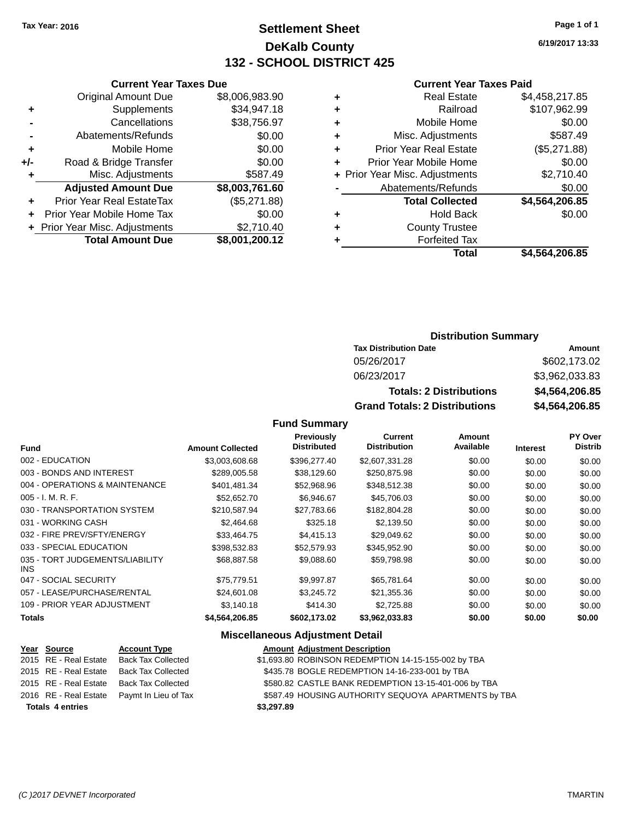**Current Year Taxes Due**

# **Settlement Sheet Tax Year: 2016 Page 1 of 1 DeKalb County 132 - SCHOOL DISTRICT 425**

**6/19/2017 13:33**

#### **Current Year Taxes Paid**

|     |                                  |                |   | Total                          | \$4,564,206.85 |
|-----|----------------------------------|----------------|---|--------------------------------|----------------|
|     | <b>Total Amount Due</b>          | \$8,001,200.12 |   | <b>Forfeited Tax</b>           |                |
|     | + Prior Year Misc. Adjustments   | \$2,710.40     | ٠ | <b>County Trustee</b>          |                |
|     | Prior Year Mobile Home Tax       | \$0.00         | ٠ | <b>Hold Back</b>               | \$0.00         |
| ÷.  | <b>Prior Year Real EstateTax</b> | (\$5,271.88)   |   | <b>Total Collected</b>         | \$4,564,206.85 |
|     | <b>Adjusted Amount Due</b>       | \$8,003,761.60 |   | Abatements/Refunds             | \$0.00         |
|     | Misc. Adjustments                | \$587.49       |   | + Prior Year Misc. Adjustments | \$2,710.40     |
| +/- | Road & Bridge Transfer           | \$0.00         | ٠ | Prior Year Mobile Home         | \$0.00         |
| ٠   | Mobile Home                      | \$0.00         | ٠ | <b>Prior Year Real Estate</b>  | (\$5,271.88)   |
|     | Abatements/Refunds               | \$0.00         | ٠ | Misc. Adjustments              | \$587.49       |
|     | Cancellations                    | \$38,756.97    | ٠ | Mobile Home                    | \$0.00         |
| ٠   | <b>Supplements</b>               | \$34,947.18    | ٠ | Railroad                       | \$107,962.99   |
|     | <b>Original Amount Due</b>       | \$8,006,983.90 | ٠ | <b>Real Estate</b>             | \$4,458,217.85 |
|     |                                  |                |   |                                |                |

### **Distribution Summary Tax Distribution Date Amount**

| 06/23/2017                           | \$3,962,033.83 |
|--------------------------------------|----------------|
| <b>Totals: 2 Distributions</b>       | \$4,564,206.85 |
| <b>Grand Totals: 2 Distributions</b> | \$4,564,206.85 |

#### **Fund Summary**

| Fund                                    | <b>Amount Collected</b> | Previously<br><b>Distributed</b> | Current<br><b>Distribution</b> | Amount<br>Available | <b>Interest</b> | PY Over<br><b>Distrib</b> |
|-----------------------------------------|-------------------------|----------------------------------|--------------------------------|---------------------|-----------------|---------------------------|
| 002 - EDUCATION                         | \$3,003,608.68          | \$396,277.40                     | \$2,607,331.28                 | \$0.00              | \$0.00          | \$0.00                    |
| 003 - BONDS AND INTEREST                | \$289,005.58            | \$38,129.60                      | \$250,875.98                   | \$0.00              | \$0.00          | \$0.00                    |
| 004 - OPERATIONS & MAINTENANCE          | \$401,481.34            | \$52,968.96                      | \$348,512.38                   | \$0.00              | \$0.00          | \$0.00                    |
| $005 - I. M. R. F.$                     | \$52,652.70             | \$6,946.67                       | \$45,706.03                    | \$0.00              | \$0.00          | \$0.00                    |
| 030 - TRANSPORTATION SYSTEM             | \$210,587.94            | \$27,783.66                      | \$182,804.28                   | \$0.00              | \$0.00          | \$0.00                    |
| 031 - WORKING CASH                      | \$2,464.68              | \$325.18                         | \$2,139.50                     | \$0.00              | \$0.00          | \$0.00                    |
| 032 - FIRE PREV/SFTY/ENERGY             | \$33,464.75             | \$4,415.13                       | \$29.049.62                    | \$0.00              | \$0.00          | \$0.00                    |
| 033 - SPECIAL EDUCATION                 | \$398,532.83            | \$52,579.93                      | \$345,952.90                   | \$0.00              | \$0.00          | \$0.00                    |
| 035 - TORT JUDGEMENTS/LIABILITY<br>INS. | \$68,887.58             | \$9,088.60                       | \$59,798.98                    | \$0.00              | \$0.00          | \$0.00                    |
| 047 - SOCIAL SECURITY                   | \$75,779.51             | \$9,997.87                       | \$65,781.64                    | \$0.00              | \$0.00          | \$0.00                    |
| 057 - LEASE/PURCHASE/RENTAL             | \$24,601.08             | \$3,245.72                       | \$21,355.36                    | \$0.00              | \$0.00          | \$0.00                    |
| 109 - PRIOR YEAR ADJUSTMENT             | \$3,140.18              | \$414.30                         | \$2,725.88                     | \$0.00              | \$0.00          | \$0.00                    |
| <b>Totals</b>                           | \$4,564,206.85          | \$602,173.02                     | \$3,962,033.83                 | \$0.00              | \$0.00          | \$0.00                    |

### **Miscellaneous Adjustment Detail**

| Year Source             | <b>Account Type</b>       | <b>Amount Adjustment Description</b>                 |
|-------------------------|---------------------------|------------------------------------------------------|
| 2015 RE - Real Estate   | <b>Back Tax Collected</b> | \$1,693.80 ROBINSON REDEMPTION 14-15-155-002 by TBA  |
| 2015 RE - Real Estate   | <b>Back Tax Collected</b> | \$435.78 BOGLE REDEMPTION 14-16-233-001 by TBA       |
| 2015 RE - Real Estate   | <b>Back Tax Collected</b> | \$580.82 CASTLE BANK REDEMPTION 13-15-401-006 by TBA |
| 2016 RE - Real Estate   | Paymt In Lieu of Tax      | \$587.49 HOUSING AUTHORITY SEQUOYA APARTMENTS by TBA |
| <b>Totals 4 entries</b> |                           | \$3,297.89                                           |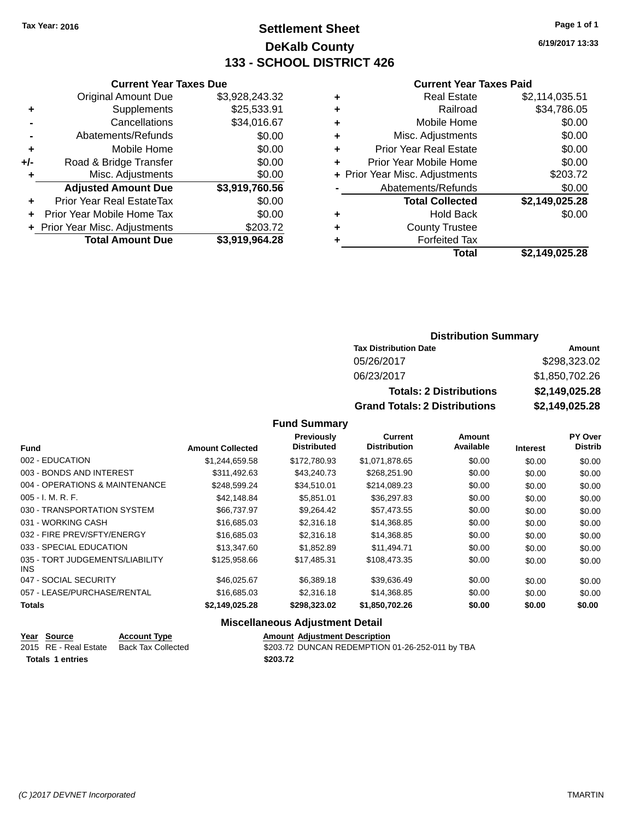# **Settlement Sheet Tax Year: 2016 Page 1 of 1 DeKalb County 133 - SCHOOL DISTRICT 426**

**6/19/2017 13:33**

#### **Current Year Taxes Paid**

|       | <b>Current Year Taxes Due</b>  |                |
|-------|--------------------------------|----------------|
|       | <b>Original Amount Due</b>     | \$3,928,243.32 |
| ٠     | Supplements                    | \$25,533.91    |
|       | Cancellations                  | \$34,016.67    |
|       | Abatements/Refunds             | \$0.00         |
| ٠     | Mobile Home                    | \$0.00         |
| $+/-$ | Road & Bridge Transfer         | \$0.00         |
| ٠     | Misc. Adjustments              | \$0.00         |
|       | <b>Adjusted Amount Due</b>     | \$3,919,760.56 |
| ٠     | Prior Year Real EstateTax      | \$0.00         |
|       | Prior Year Mobile Home Tax     | \$0.00         |
|       | + Prior Year Misc. Adjustments | \$203.72       |
|       | <b>Total Amount Due</b>        | \$3,919,964.28 |
|       |                                |                |

|   | <b>Real Estate</b>             | \$2,114,035.51 |
|---|--------------------------------|----------------|
| ٠ | Railroad                       | \$34,786.05    |
| ٠ | Mobile Home                    | \$0.00         |
| ٠ | Misc. Adjustments              | \$0.00         |
| ٠ | <b>Prior Year Real Estate</b>  | \$0.00         |
| ٠ | Prior Year Mobile Home         | \$0.00         |
|   | + Prior Year Misc. Adjustments | \$203.72       |
|   | Abatements/Refunds             | \$0.00         |
|   | <b>Total Collected</b>         | \$2,149,025.28 |
| ٠ | Hold Back                      | \$0.00         |
| ٠ | <b>County Trustee</b>          |                |
| ٠ | <b>Forfeited Tax</b>           |                |
|   | Total                          | \$2,149,025.28 |
|   |                                |                |

# **Distribution Summary Tax Distribution Date Amount** 05/26/2017 \$298,323.02 06/23/2017 \$1,850,702.26 **Totals: 2 Distributions \$2,149,025.28 Grand Totals: 2 Distributions \$2,149,025.28**

### **Fund Summary**

| <b>Fund</b>                             | <b>Amount Collected</b> | Previously<br><b>Distributed</b> | <b>Current</b><br><b>Distribution</b> | <b>Amount</b><br>Available | <b>Interest</b> | <b>PY Over</b><br><b>Distrib</b> |
|-----------------------------------------|-------------------------|----------------------------------|---------------------------------------|----------------------------|-----------------|----------------------------------|
| 002 - EDUCATION                         | \$1,244,659.58          | \$172,780.93                     | \$1,071,878.65                        | \$0.00                     | \$0.00          | \$0.00                           |
| 003 - BONDS AND INTEREST                | \$311.492.63            | \$43,240.73                      | \$268,251.90                          | \$0.00                     | \$0.00          | \$0.00                           |
| 004 - OPERATIONS & MAINTENANCE          | \$248,599.24            | \$34.510.01                      | \$214,089.23                          | \$0.00                     | \$0.00          | \$0.00                           |
| $005 - I. M. R. F.$                     | \$42,148.84             | \$5.851.01                       | \$36,297.83                           | \$0.00                     | \$0.00          | \$0.00                           |
| 030 - TRANSPORTATION SYSTEM             | \$66,737.97             | \$9,264.42                       | \$57,473.55                           | \$0.00                     | \$0.00          | \$0.00                           |
| 031 - WORKING CASH                      | \$16,685,03             | \$2,316.18                       | \$14,368.85                           | \$0.00                     | \$0.00          | \$0.00                           |
| 032 - FIRE PREV/SFTY/ENERGY             | \$16,685,03             | \$2,316.18                       | \$14,368.85                           | \$0.00                     | \$0.00          | \$0.00                           |
| 033 - SPECIAL EDUCATION                 | \$13,347.60             | \$1,852.89                       | \$11.494.71                           | \$0.00                     | \$0.00          | \$0.00                           |
| 035 - TORT JUDGEMENTS/LIABILITY<br>INS. | \$125,958,66            | \$17,485.31                      | \$108,473,35                          | \$0.00                     | \$0.00          | \$0.00                           |
| 047 - SOCIAL SECURITY                   | \$46,025,67             | \$6,389.18                       | \$39,636.49                           | \$0.00                     | \$0.00          | \$0.00                           |
| 057 - LEASE/PURCHASE/RENTAL             | \$16,685,03             | \$2,316.18                       | \$14,368.85                           | \$0.00                     | \$0.00          | \$0.00                           |
| <b>Totals</b>                           | \$2,149,025.28          | \$298,323,02                     | \$1,850,702.26                        | \$0.00                     | \$0.00          | \$0.00                           |

### **Miscellaneous Adjustment Detail**

| Year Source             | <b>Account Type</b> | <b>Amount Adiustment Description</b>            |
|-------------------------|---------------------|-------------------------------------------------|
| 2015 RE - Real Estate   | Back Tax Collected  | \$203.72 DUNCAN REDEMPTION 01-26-252-011 by TBA |
| <b>Totals 1 entries</b> |                     | \$203.72                                        |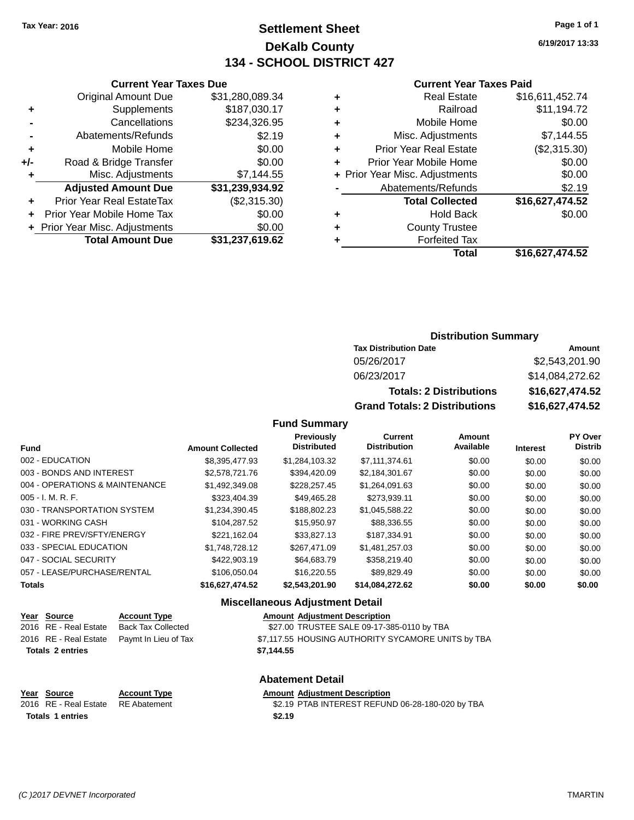# **Settlement Sheet Tax Year: 2016 Page 1 of 1 DeKalb County 134 - SCHOOL DISTRICT 427**

**6/19/2017 13:33**

#### **Current Year Taxes Paid**

|     | <b>Original Amount Due</b>     | \$31,280,089.34 |
|-----|--------------------------------|-----------------|
| ٠   | Supplements                    | \$187,030.17    |
|     | Cancellations                  | \$234,326.95    |
| -   | Abatements/Refunds             | \$2.19          |
| ٠   | Mobile Home                    | \$0.00          |
| +/- | Road & Bridge Transfer         | \$0.00          |
| ٠   | Misc. Adjustments              | \$7,144.55      |
|     | <b>Adjusted Amount Due</b>     | \$31,239,934.92 |
| ÷   | Prior Year Real EstateTax      | (\$2,315.30)    |
| ÷   | Prior Year Mobile Home Tax     | \$0.00          |
|     | + Prior Year Misc. Adjustments | \$0.00          |
|     | <b>Total Amount Due</b>        | \$31,237,619.62 |
|     |                                |                 |

**Current Year Taxes Due**

|   | <b>Real Estate</b>             | \$16,611,452.74 |
|---|--------------------------------|-----------------|
| ٠ | Railroad                       | \$11,194.72     |
| ٠ | Mobile Home                    | \$0.00          |
| ٠ | Misc. Adjustments              | \$7.144.55      |
| ٠ | <b>Prior Year Real Estate</b>  | (\$2,315.30)    |
| ٠ | Prior Year Mobile Home         | \$0.00          |
|   | + Prior Year Misc. Adjustments | \$0.00          |
|   | Abatements/Refunds             | \$2.19          |
|   | <b>Total Collected</b>         | \$16,627,474.52 |
| ٠ | <b>Hold Back</b>               | \$0.00          |
| ٠ | <b>County Trustee</b>          |                 |
| ٠ | <b>Forfeited Tax</b>           |                 |
|   | Total                          | \$16,627,474.52 |
|   |                                |                 |

# **Distribution Summary Tax Distribution Date Amount** 05/26/2017 \$2,543,201.90 06/23/2017 \$14,084,272.62 **Totals: 2 Distributions \$16,627,474.52 Grand Totals: 2 Distributions \$16,627,474.52**

**Fund Summary**

| <b>Fund</b>                    | <b>Amount Collected</b> | <b>Previously</b><br><b>Distributed</b> | <b>Current</b><br><b>Distribution</b> | <b>Amount</b><br>Available | <b>Interest</b> | PY Over<br><b>Distrib</b> |
|--------------------------------|-------------------------|-----------------------------------------|---------------------------------------|----------------------------|-----------------|---------------------------|
| 002 - EDUCATION                | \$8.395.477.93          | \$1.284.103.32                          | \$7.111.374.61                        | \$0.00                     | \$0.00          | \$0.00                    |
| 003 - BONDS AND INTEREST       | \$2,578,721,76          | \$394.420.09                            | \$2,184,301.67                        | \$0.00                     | \$0.00          | \$0.00                    |
| 004 - OPERATIONS & MAINTENANCE | \$1,492,349.08          | \$228,257.45                            | \$1,264,091.63                        | \$0.00                     | \$0.00          | \$0.00                    |
| $005 - I. M. R. F.$            | \$323,404.39            | \$49.465.28                             | \$273.939.11                          | \$0.00                     | \$0.00          | \$0.00                    |
| 030 - TRANSPORTATION SYSTEM    | \$1.234.390.45          | \$188,802.23                            | \$1.045.588.22                        | \$0.00                     | \$0.00          | \$0.00                    |
| 031 - WORKING CASH             | \$104.287.52            | \$15.950.97                             | \$88,336.55                           | \$0.00                     | \$0.00          | \$0.00                    |
| 032 - FIRE PREV/SFTY/ENERGY    | \$221.162.04            | \$33,827.13                             | \$187.334.91                          | \$0.00                     | \$0.00          | \$0.00                    |
| 033 - SPECIAL EDUCATION        | \$1.748.728.12          | \$267.471.09                            | \$1.481.257.03                        | \$0.00                     | \$0.00          | \$0.00                    |
| 047 - SOCIAL SECURITY          | \$422,903.19            | \$64,683.79                             | \$358,219.40                          | \$0.00                     | \$0.00          | \$0.00                    |
| 057 - LEASE/PURCHASE/RENTAL    | \$106.050.04            | \$16,220,55                             | \$89.829.49                           | \$0.00                     | \$0.00          | \$0.00                    |
| <b>Totals</b>                  | \$16,627,474.52         | \$2,543,201.90                          | \$14,084,272.62                       | \$0.00                     | \$0.00          | \$0.00                    |

### **Miscellaneous Adjustment Detail**

|                         | <u>Year Source</u>    | <b>Account Type</b>                        |            | <b>Amount Adjustment Description</b>               |
|-------------------------|-----------------------|--------------------------------------------|------------|----------------------------------------------------|
|                         | 2016 RE - Real Estate | Back Tax Collected                         |            | \$27.00 TRUSTEE SALE 09-17-385-0110 by TBA         |
|                         |                       | 2016 RE - Real Estate Paymt In Lieu of Tax |            | \$7,117.55 HOUSING AUTHORITY SYCAMORE UNITS by TBA |
| <b>Totals 2 entries</b> |                       |                                            | \$7.144.55 |                                                    |

**Totals \$2.19 1 entries**

**Abatement Detail**

### **Year Source Account Type Amount Adjustment Description**

2016 RE - Real Estate RE Abatement \$2.19 PTAB INTEREST REFUND 06-28-180-020 by TBA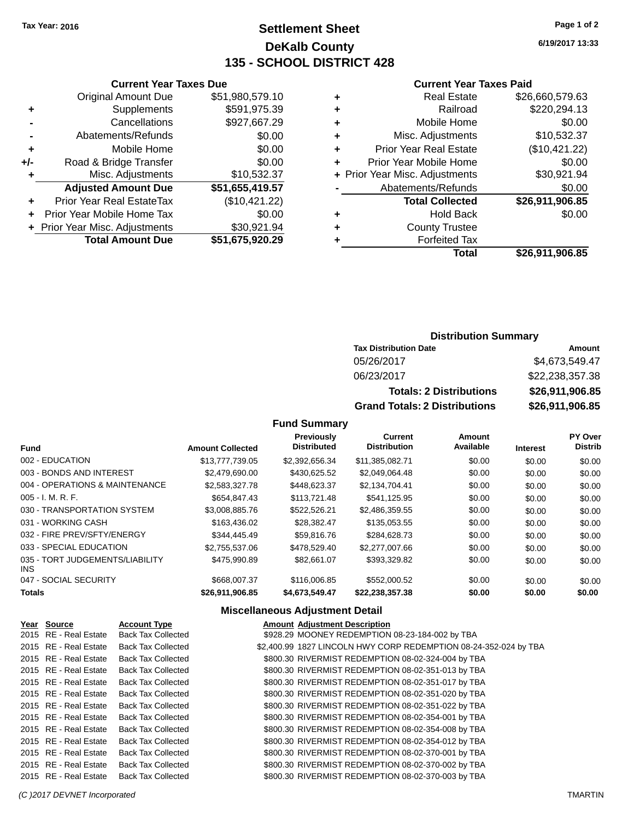# **Settlement Sheet Tax Year: 2016 Page 1 of 2 DeKalb County 135 - SCHOOL DISTRICT 428**

**6/19/2017 13:33**

### **Current Year Taxes Paid**

|   | <b>Real Estate</b>             | \$26,660,579.63 |
|---|--------------------------------|-----------------|
| ٠ | Railroad                       | \$220,294.13    |
| ٠ | Mobile Home                    | \$0.00          |
| ٠ | Misc. Adjustments              | \$10,532.37     |
| ٠ | <b>Prior Year Real Estate</b>  | (\$10,421.22)   |
| ٠ | Prior Year Mobile Home         | \$0.00          |
|   | + Prior Year Misc. Adjustments | \$30,921.94     |
|   | Abatements/Refunds             | \$0.00          |
|   | <b>Total Collected</b>         | \$26,911,906.85 |
| ٠ | Hold Back                      | \$0.00          |
| ٠ | <b>County Trustee</b>          |                 |
|   | <b>Forfeited Tax</b>           |                 |
|   | Total                          | \$26.911.906.85 |

|     | <b>Current Year Taxes Due</b>    |                 |  |  |  |
|-----|----------------------------------|-----------------|--|--|--|
|     | <b>Original Amount Due</b>       | \$51,980,579.10 |  |  |  |
| ÷   | Supplements                      | \$591,975.39    |  |  |  |
|     | Cancellations                    | \$927,667.29    |  |  |  |
|     | Abatements/Refunds               | \$0.00          |  |  |  |
| ٠   | Mobile Home                      | \$0.00          |  |  |  |
| +/- | Road & Bridge Transfer           | \$0.00          |  |  |  |
| ٠   | Misc. Adjustments                | \$10,532.37     |  |  |  |
|     | <b>Adjusted Amount Due</b>       | \$51,655,419.57 |  |  |  |
| ٠   | <b>Prior Year Real EstateTax</b> | (\$10,421.22)   |  |  |  |
|     | Prior Year Mobile Home Tax       | \$0.00          |  |  |  |
|     | + Prior Year Misc. Adjustments   | \$30,921.94     |  |  |  |
|     | <b>Total Amount Due</b>          | \$51,675,920.29 |  |  |  |

# **Distribution Summary**

| <b>Tax Distribution Date</b>         | Amount          |
|--------------------------------------|-----------------|
| 05/26/2017                           | \$4,673,549.47  |
| 06/23/2017                           | \$22,238,357.38 |
| <b>Totals: 2 Distributions</b>       | \$26,911,906.85 |
| <b>Grand Totals: 2 Distributions</b> | \$26,911,906.85 |

# **Fund Summary**

|                                               |                         | <b>Previously</b>  | <b>Current</b>      | Amount    |                 | PY Over        |
|-----------------------------------------------|-------------------------|--------------------|---------------------|-----------|-----------------|----------------|
| <b>Fund</b>                                   | <b>Amount Collected</b> | <b>Distributed</b> | <b>Distribution</b> | Available | <b>Interest</b> | <b>Distrib</b> |
| 002 - EDUCATION                               | \$13,777,739.05         | \$2,392,656.34     | \$11,385,082.71     | \$0.00    | \$0.00          | \$0.00         |
| 003 - BONDS AND INTEREST                      | \$2,479,690,00          | \$430.625.52       | \$2.049.064.48      | \$0.00    | \$0.00          | \$0.00         |
| 004 - OPERATIONS & MAINTENANCE                | \$2,583,327.78          | \$448,623.37       | \$2,134,704.41      | \$0.00    | \$0.00          | \$0.00         |
| $005 - I. M. R. F.$                           | \$654,847.43            | \$113,721.48       | \$541,125.95        | \$0.00    | \$0.00          | \$0.00         |
| 030 - TRANSPORTATION SYSTEM                   | \$3,008,885.76          | \$522.526.21       | \$2,486,359.55      | \$0.00    | \$0.00          | \$0.00         |
| 031 - WORKING CASH                            | \$163,436.02            | \$28,382.47        | \$135,053.55        | \$0.00    | \$0.00          | \$0.00         |
| 032 - FIRE PREV/SFTY/ENERGY                   | \$344,445.49            | \$59,816,76        | \$284.628.73        | \$0.00    | \$0.00          | \$0.00         |
| 033 - SPECIAL EDUCATION                       | \$2,755,537.06          | \$478,529.40       | \$2,277,007.66      | \$0.00    | \$0.00          | \$0.00         |
| 035 - TORT JUDGEMENTS/LIABILITY<br><b>INS</b> | \$475,990.89            | \$82,661.07        | \$393,329.82        | \$0.00    | \$0.00          | \$0.00         |
| 047 - SOCIAL SECURITY                         | \$668,007.37            | \$116,006.85       | \$552,000.52        | \$0.00    | \$0.00          | \$0.00         |
| Totals                                        | \$26,911,906.85         | \$4,673,549.47     | \$22,238,357.38     | \$0.00    | \$0.00          | \$0.00         |

# **Miscellaneous Adjustment Detail**

| Year Source           | <b>Account Type</b>       | <b>Amount Adjustment Description</b>                             |
|-----------------------|---------------------------|------------------------------------------------------------------|
| 2015 RE - Real Estate | <b>Back Tax Collected</b> | \$928.29 MOONEY REDEMPTION 08-23-184-002 by TBA                  |
| 2015 RE - Real Estate | <b>Back Tax Collected</b> | \$2,400.99 1827 LINCOLN HWY CORP REDEMPTION 08-24-352-024 by TBA |
| 2015 RE - Real Estate | <b>Back Tax Collected</b> | \$800.30 RIVERMIST REDEMPTION 08-02-324-004 by TBA               |
| 2015 RE - Real Estate | <b>Back Tax Collected</b> | \$800.30 RIVERMIST REDEMPTION 08-02-351-013 by TBA               |
| 2015 RE - Real Estate | <b>Back Tax Collected</b> | \$800.30 RIVERMIST REDEMPTION 08-02-351-017 by TBA               |
| 2015 RE - Real Estate | <b>Back Tax Collected</b> | \$800.30 RIVERMIST REDEMPTION 08-02-351-020 by TBA               |
| 2015 RE - Real Estate | <b>Back Tax Collected</b> | \$800.30 RIVERMIST REDEMPTION 08-02-351-022 by TBA               |
| 2015 RE - Real Estate | <b>Back Tax Collected</b> | \$800.30 RIVERMIST REDEMPTION 08-02-354-001 by TBA               |
| 2015 RE - Real Estate | <b>Back Tax Collected</b> | \$800.30 RIVERMIST REDEMPTION 08-02-354-008 by TBA               |
| 2015 RE - Real Estate | <b>Back Tax Collected</b> | \$800.30 RIVERMIST REDEMPTION 08-02-354-012 by TBA               |
| 2015 RE - Real Estate | <b>Back Tax Collected</b> | \$800.30 RIVERMIST REDEMPTION 08-02-370-001 by TBA               |
| 2015 RE - Real Estate | <b>Back Tax Collected</b> | \$800.30 RIVERMIST REDEMPTION 08-02-370-002 by TBA               |
| 2015 RE - Real Estate | <b>Back Tax Collected</b> | \$800.30 RIVERMIST REDEMPTION 08-02-370-003 by TBA               |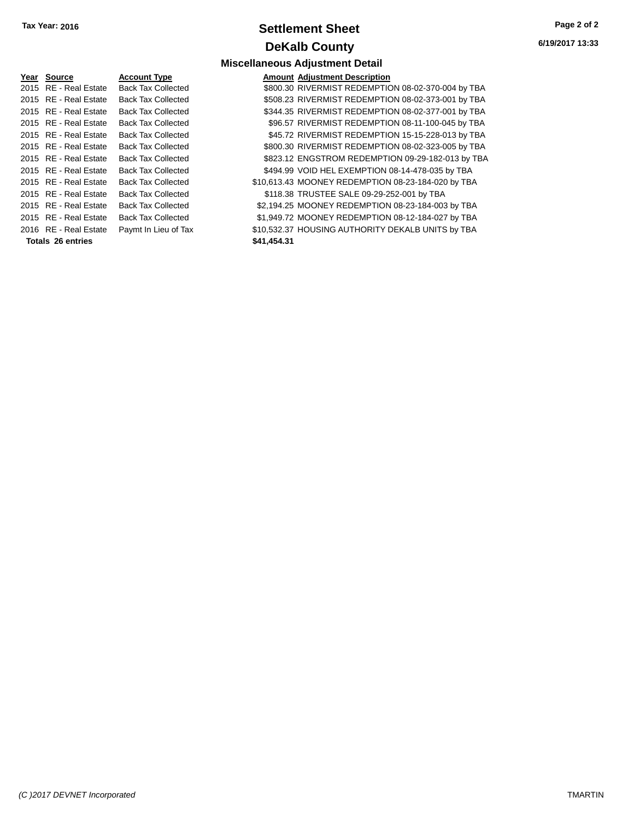# **Settlement Sheet Tax Year: 2016 Page 2 of 2 DeKalb County**

**6/19/2017 13:33**

# **Miscellaneous Adjustment Detail**

| <b>Account Type</b>                                                                                                                                                                                                                                                                                                                                                   |             | <b>Amount Adjustment Description</b>               |
|-----------------------------------------------------------------------------------------------------------------------------------------------------------------------------------------------------------------------------------------------------------------------------------------------------------------------------------------------------------------------|-------------|----------------------------------------------------|
| <b>Back Tax Collected</b>                                                                                                                                                                                                                                                                                                                                             |             | \$800.30 RIVERMIST REDEMPTION 08-02-370-004 by TBA |
| <b>Back Tax Collected</b>                                                                                                                                                                                                                                                                                                                                             |             | \$508.23 RIVERMIST REDEMPTION 08-02-373-001 by TBA |
| <b>Back Tax Collected</b>                                                                                                                                                                                                                                                                                                                                             |             | \$344.35 RIVERMIST REDEMPTION 08-02-377-001 by TBA |
| <b>Back Tax Collected</b>                                                                                                                                                                                                                                                                                                                                             |             | \$96.57 RIVERMIST REDEMPTION 08-11-100-045 by TBA  |
| <b>Back Tax Collected</b>                                                                                                                                                                                                                                                                                                                                             |             | \$45.72 RIVERMIST REDEMPTION 15-15-228-013 by TBA  |
| <b>Back Tax Collected</b>                                                                                                                                                                                                                                                                                                                                             |             | \$800.30 RIVERMIST REDEMPTION 08-02-323-005 by TBA |
| <b>Back Tax Collected</b>                                                                                                                                                                                                                                                                                                                                             |             | \$823.12 ENGSTROM REDEMPTION 09-29-182-013 by TBA  |
| <b>Back Tax Collected</b>                                                                                                                                                                                                                                                                                                                                             |             | \$494.99 VOID HEL EXEMPTION 08-14-478-035 by TBA   |
| <b>Back Tax Collected</b>                                                                                                                                                                                                                                                                                                                                             |             | \$10,613.43 MOONEY REDEMPTION 08-23-184-020 by TBA |
| <b>Back Tax Collected</b>                                                                                                                                                                                                                                                                                                                                             |             | \$118.38 TRUSTEE SALE 09-29-252-001 by TBA         |
| <b>Back Tax Collected</b>                                                                                                                                                                                                                                                                                                                                             |             | \$2,194.25 MOONEY REDEMPTION 08-23-184-003 by TBA  |
| <b>Back Tax Collected</b>                                                                                                                                                                                                                                                                                                                                             |             | \$1,949.72 MOONEY REDEMPTION 08-12-184-027 by TBA  |
| Paymt In Lieu of Tax                                                                                                                                                                                                                                                                                                                                                  |             | \$10,532.37 HOUSING AUTHORITY DEKALB UNITS by TBA  |
|                                                                                                                                                                                                                                                                                                                                                                       | \$41,454.31 |                                                    |
| Year Source<br>2015 RE - Real Estate<br>2015 RE - Real Estate<br>2015 RE - Real Estate<br>2015 RE - Real Estate<br>2015 RE - Real Estate<br>2015 RE - Real Estate<br>2015 RE - Real Estate<br>2015 RE - Real Estate<br>2015 RE - Real Estate<br>2015 RE - Real Estate<br>2015 RE - Real Estate<br>2015 RE - Real Estate<br>2016 RE - Real Estate<br>Totals 26 entries |             |                                                    |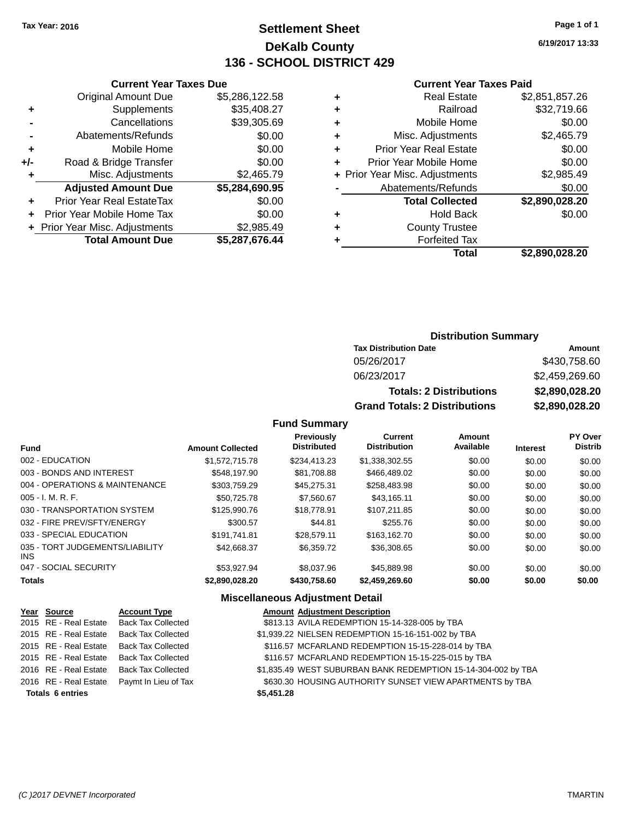# **Settlement Sheet Tax Year: 2016 Page 1 of 1 DeKalb County 136 - SCHOOL DISTRICT 429**

**6/19/2017 13:33**

### **Current Year Taxes Paid**

|     | <b>Current Year Taxes Due</b>  |                |  |  |  |
|-----|--------------------------------|----------------|--|--|--|
|     | <b>Original Amount Due</b>     | \$5,286,122.58 |  |  |  |
| ٠   | Supplements                    | \$35,408.27    |  |  |  |
|     | Cancellations                  | \$39,305.69    |  |  |  |
| -   | Abatements/Refunds             | \$0.00         |  |  |  |
| ٠   | Mobile Home                    | \$0.00         |  |  |  |
| +/- | Road & Bridge Transfer         | \$0.00         |  |  |  |
| ٠   | Misc. Adjustments              | \$2,465.79     |  |  |  |
|     | <b>Adjusted Amount Due</b>     | \$5,284,690.95 |  |  |  |
| ٠   | Prior Year Real EstateTax      | \$0.00         |  |  |  |
|     | Prior Year Mobile Home Tax     | \$0.00         |  |  |  |
|     | + Prior Year Misc. Adjustments | \$2,985.49     |  |  |  |
|     | <b>Total Amount Due</b>        | \$5,287,676.44 |  |  |  |
|     |                                |                |  |  |  |

| ٠ | <b>Real Estate</b>             | \$2,851,857.26 |
|---|--------------------------------|----------------|
| ٠ | Railroad                       | \$32,719.66    |
| ٠ | Mobile Home                    | \$0.00         |
| ٠ | Misc. Adjustments              | \$2,465.79     |
| ٠ | <b>Prior Year Real Estate</b>  | \$0.00         |
| ٠ | Prior Year Mobile Home         | \$0.00         |
|   | + Prior Year Misc. Adjustments | \$2,985.49     |
|   | Abatements/Refunds             | \$0.00         |
|   | <b>Total Collected</b>         | \$2,890,028.20 |
| ٠ | Hold Back                      | \$0.00         |
| ٠ | <b>County Trustee</b>          |                |
| ٠ | <b>Forfeited Tax</b>           |                |
|   | Total                          | \$2,890,028.20 |
|   |                                |                |

# **Distribution Summary**

| <b>Tax Distribution Date</b>         | Amount         |
|--------------------------------------|----------------|
| 05/26/2017                           | \$430,758,60   |
| 06/23/2017                           | \$2,459,269.60 |
| <b>Totals: 2 Distributions</b>       | \$2,890,028.20 |
| <b>Grand Totals: 2 Distributions</b> | \$2,890,028.20 |

| <b>Fund</b>                             | <b>Amount Collected</b> | Previously<br><b>Distributed</b> | <b>Current</b><br><b>Distribution</b> | Amount<br>Available | <b>Interest</b> | PY Over<br><b>Distrib</b> |
|-----------------------------------------|-------------------------|----------------------------------|---------------------------------------|---------------------|-----------------|---------------------------|
| 002 - EDUCATION                         | \$1.572.715.78          | \$234.413.23                     | \$1,338,302.55                        | \$0.00              | \$0.00          | \$0.00                    |
| 003 - BONDS AND INTEREST                | \$548,197.90            | \$81.708.88                      | \$466,489.02                          | \$0.00              | \$0.00          | \$0.00                    |
| 004 - OPERATIONS & MAINTENANCE          | \$303,759.29            | \$45,275.31                      | \$258,483.98                          | \$0.00              | \$0.00          | \$0.00                    |
| $005 - I. M. R. F.$                     | \$50.725.78             | \$7.560.67                       | \$43.165.11                           | \$0.00              | \$0.00          | \$0.00                    |
| 030 - TRANSPORTATION SYSTEM             | \$125,990.76            | \$18,778.91                      | \$107.211.85                          | \$0.00              | \$0.00          | \$0.00                    |
| 032 - FIRE PREV/SFTY/ENERGY             | \$300.57                | \$44.81                          | \$255.76                              | \$0.00              | \$0.00          | \$0.00                    |
| 033 - SPECIAL EDUCATION                 | \$191.741.81            | \$28,579.11                      | \$163,162.70                          | \$0.00              | \$0.00          | \$0.00                    |
| 035 - TORT JUDGEMENTS/LIABILITY<br>INS. | \$42,668.37             | \$6,359.72                       | \$36,308.65                           | \$0.00              | \$0.00          | \$0.00                    |
| 047 - SOCIAL SECURITY                   | \$53.927.94             | \$8,037.96                       | \$45,889.98                           | \$0.00              | \$0.00          | \$0.00                    |
| <b>Totals</b>                           | \$2.890.028.20          | \$430,758,60                     | \$2,459,269.60                        | \$0.00              | \$0.00          | \$0.00                    |

|                         | <b>Miscellaneous Adjustment Detail</b> |                           |                                                               |  |
|-------------------------|----------------------------------------|---------------------------|---------------------------------------------------------------|--|
|                         | Year Source                            | <b>Account Type</b>       | <b>Amount Adjustment Description</b>                          |  |
|                         | 2015 RE - Real Estate                  | <b>Back Tax Collected</b> | \$813.13 AVILA REDEMPTION 15-14-328-005 by TBA                |  |
|                         | 2015 RE - Real Estate                  | <b>Back Tax Collected</b> | \$1,939.22 NIELSEN REDEMPTION 15-16-151-002 by TBA            |  |
|                         | 2015 RE - Real Estate                  | <b>Back Tax Collected</b> | \$116.57 MCFARLAND REDEMPTION 15-15-228-014 by TBA            |  |
|                         | 2015 RE - Real Estate                  | <b>Back Tax Collected</b> | \$116.57 MCFARLAND REDEMPTION 15-15-225-015 by TBA            |  |
|                         | 2016 RE - Real Estate                  | <b>Back Tax Collected</b> | \$1,835.49 WEST SUBURBAN BANK REDEMPTION 15-14-304-002 by TBA |  |
|                         | 2016 RE - Real Estate                  | Paymt In Lieu of Tax      | \$630.30 HOUSING AUTHORITY SUNSET VIEW APARTMENTS by TBA      |  |
| <b>Totals 6 entries</b> |                                        |                           | \$5,451.28                                                    |  |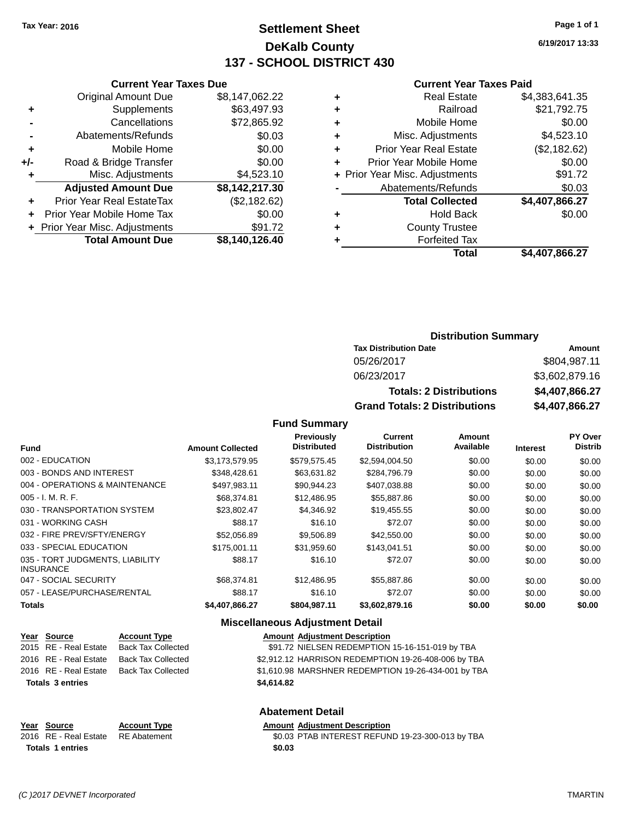# **Settlement Sheet Tax Year: 2016 Page 1 of 1 DeKalb County 137 - SCHOOL DISTRICT 430**

**6/19/2017 13:33**

#### **Current Year Taxes Paid**

|     | <b>Total Amount Due</b>        | \$8,140,126.40 |
|-----|--------------------------------|----------------|
|     | + Prior Year Misc. Adjustments | \$91.72        |
| ÷   | Prior Year Mobile Home Tax     | \$0.00         |
| ٠   | Prior Year Real EstateTax      | (\$2,182.62)   |
|     | <b>Adjusted Amount Due</b>     | \$8,142,217.30 |
| ٠   | Misc. Adjustments              | \$4,523.10     |
| +/- | Road & Bridge Transfer         | \$0.00         |
| ٠   | Mobile Home                    | \$0.00         |
|     | Abatements/Refunds             | \$0.03         |
|     | Cancellations                  | \$72,865.92    |
| ٠   | Supplements                    | \$63,497.93    |
|     | <b>Original Amount Due</b>     | \$8,147,062.22 |
|     | <b>Current Year Taxes Due</b>  |                |

| ٠ | <b>Real Estate</b>             | \$4,383,641.35 |
|---|--------------------------------|----------------|
| ٠ | Railroad                       | \$21,792.75    |
| ٠ | Mobile Home                    | \$0.00         |
| ٠ | Misc. Adjustments              | \$4,523.10     |
| ٠ | <b>Prior Year Real Estate</b>  | (\$2,182.62)   |
| ٠ | Prior Year Mobile Home         | \$0.00         |
|   | + Prior Year Misc. Adjustments | \$91.72        |
|   | Abatements/Refunds             | \$0.03         |
|   | <b>Total Collected</b>         | \$4,407,866.27 |
| ٠ | <b>Hold Back</b>               | \$0.00         |
| ٠ | <b>County Trustee</b>          |                |
| ٠ | <b>Forfeited Tax</b>           |                |
|   | <b>Total</b>                   | \$4,407,866.27 |
|   |                                |                |

### **Distribution Summary Tax Distribution Date Amount** 05/26/2017 \$804,987.11

| 06/23/2017                           | \$3,602,879.16 |  |
|--------------------------------------|----------------|--|
| <b>Totals: 2 Distributions</b>       | \$4,407,866.27 |  |
| <b>Grand Totals: 2 Distributions</b> | \$4,407,866,27 |  |

#### **Fund Summary**

| <b>Fund</b>                                         | <b>Amount Collected</b> | <b>Previously</b><br><b>Distributed</b> | Current<br><b>Distribution</b> | Amount<br>Available | <b>Interest</b> | PY Over<br><b>Distrib</b> |
|-----------------------------------------------------|-------------------------|-----------------------------------------|--------------------------------|---------------------|-----------------|---------------------------|
| 002 - EDUCATION                                     | \$3,173,579.95          | \$579,575.45                            | \$2,594,004.50                 | \$0.00              | \$0.00          | \$0.00                    |
| 003 - BONDS AND INTEREST                            | \$348,428.61            | \$63,631.82                             | \$284,796.79                   | \$0.00              | \$0.00          | \$0.00                    |
| 004 - OPERATIONS & MAINTENANCE                      | \$497.983.11            | \$90.944.23                             | \$407.038.88                   | \$0.00              | \$0.00          | \$0.00                    |
| $005 - I. M. R. F.$                                 | \$68,374.81             | \$12,486.95                             | \$55,887.86                    | \$0.00              | \$0.00          | \$0.00                    |
| 030 - TRANSPORTATION SYSTEM                         | \$23.802.47             | \$4,346.92                              | \$19,455.55                    | \$0.00              | \$0.00          | \$0.00                    |
| 031 - WORKING CASH                                  | \$88.17                 | \$16.10                                 | \$72.07                        | \$0.00              | \$0.00          | \$0.00                    |
| 032 - FIRE PREV/SFTY/ENERGY                         | \$52,056.89             | \$9,506.89                              | \$42,550.00                    | \$0.00              | \$0.00          | \$0.00                    |
| 033 - SPECIAL EDUCATION                             | \$175,001.11            | \$31.959.60                             | \$143,041.51                   | \$0.00              | \$0.00          | \$0.00                    |
| 035 - TORT JUDGMENTS, LIABILITY<br><b>INSURANCE</b> | \$88.17                 | \$16.10                                 | \$72.07                        | \$0.00              | \$0.00          | \$0.00                    |
| 047 - SOCIAL SECURITY                               | \$68,374.81             | \$12,486.95                             | \$55,887.86                    | \$0.00              | \$0.00          | \$0.00                    |
| 057 - LEASE/PURCHASE/RENTAL                         | \$88.17                 | \$16.10                                 | \$72.07                        | \$0.00              | \$0.00          | \$0.00                    |
| <b>Totals</b>                                       | \$4,407,866.27          | \$804,987.11                            | \$3,602,879.16                 | \$0.00              | \$0.00          | \$0.00                    |

### **Miscellaneous Adjustment Detail**

| <u>Year Source</u>      | <b>Account Type</b>       | <b>Amount Adjustment Description</b>                |
|-------------------------|---------------------------|-----------------------------------------------------|
| 2015 RE - Real Estate   | Back Tax Collected        | \$91.72 NIELSEN REDEMPTION 15-16-151-019 by TBA     |
| 2016 RE - Real Estate   | <b>Back Tax Collected</b> | \$2,912.12 HARRISON REDEMPTION 19-26-408-006 by TBA |
| 2016 RE - Real Estate   | Back Tax Collected        | \$1,610.98 MARSHNER REDEMPTION 19-26-434-001 by TBA |
| <b>Totals 3 entries</b> |                           | \$4.614.82                                          |
|                         |                           |                                                     |

### **Abatement Detail**

#### **Year Source Account Type Amount Adjustment Description**<br>2016 RE - Real Estate RE Abatement \$0.03 PTAB INTEREST REFUN \$0.03 PTAB INTEREST REFUND 19-23-300-013 by TBA **Totals \$0.03 1 entries**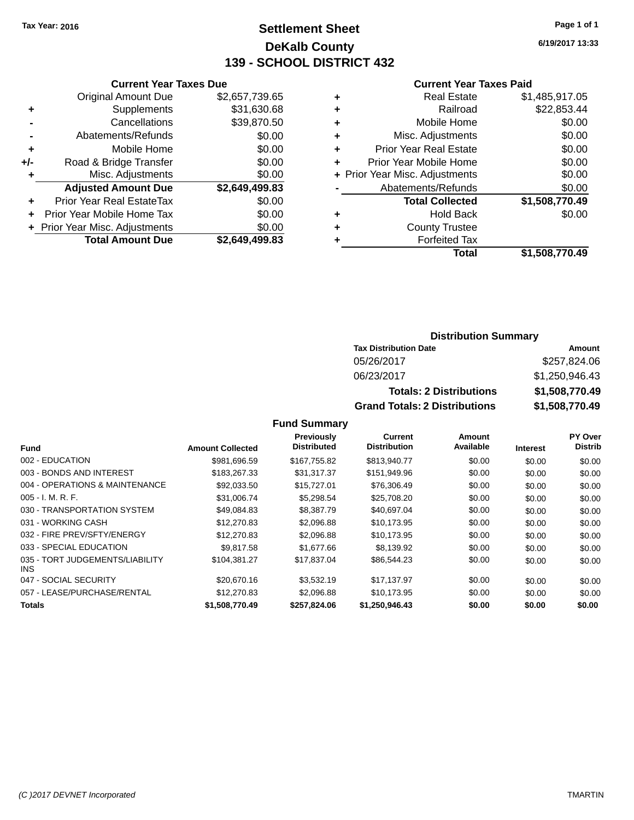# **Settlement Sheet Tax Year: 2016 Page 1 of 1 DeKalb County 139 - SCHOOL DISTRICT 432**

**6/19/2017 13:33**

#### **Current Year Taxes Paid**

| <b>Current Year Taxes Due</b> |                                |
|-------------------------------|--------------------------------|
| <b>Original Amount Due</b>    | \$2,657,739.65                 |
| Supplements                   | \$31,630.68                    |
| Cancellations                 | \$39,870.50                    |
| Abatements/Refunds            | \$0.00                         |
| Mobile Home                   | \$0.00                         |
| Road & Bridge Transfer        | \$0.00                         |
| Misc. Adjustments             | \$0.00                         |
| <b>Adjusted Amount Due</b>    | \$2,649,499.83                 |
| Prior Year Real EstateTax     | \$0.00                         |
| Prior Year Mobile Home Tax    | \$0.00                         |
|                               | \$0.00                         |
| <b>Total Amount Due</b>       | \$2,649,499.83                 |
|                               | + Prior Year Misc. Adjustments |

| ٠ | <b>Real Estate</b>             | \$1,485,917.05 |
|---|--------------------------------|----------------|
| ٠ | Railroad                       | \$22,853.44    |
| ٠ | Mobile Home                    | \$0.00         |
| ٠ | Misc. Adjustments              | \$0.00         |
| ٠ | <b>Prior Year Real Estate</b>  | \$0.00         |
| ٠ | Prior Year Mobile Home         | \$0.00         |
|   | + Prior Year Misc. Adjustments | \$0.00         |
|   | Abatements/Refunds             | \$0.00         |
|   | <b>Total Collected</b>         | \$1,508,770.49 |
| ٠ | <b>Hold Back</b>               | \$0.00         |
| ٠ | <b>County Trustee</b>          |                |
| ٠ | <b>Forfeited Tax</b>           |                |
|   | Total                          | \$1,508,770.49 |
|   |                                |                |

# **Distribution Summary**

| <b>Tax Distribution Date</b>         | Amount         |
|--------------------------------------|----------------|
| 05/26/2017                           | \$257,824.06   |
| 06/23/2017                           | \$1,250,946.43 |
| <b>Totals: 2 Distributions</b>       | \$1,508,770.49 |
| <b>Grand Totals: 2 Distributions</b> | \$1,508,770.49 |

|                                         |                         | Previously         | Current             | Amount    |                 | PY Over        |
|-----------------------------------------|-------------------------|--------------------|---------------------|-----------|-----------------|----------------|
| <b>Fund</b>                             | <b>Amount Collected</b> | <b>Distributed</b> | <b>Distribution</b> | Available | <b>Interest</b> | <b>Distrib</b> |
| 002 - EDUCATION                         | \$981,696.59            | \$167,755.82       | \$813,940.77        | \$0.00    | \$0.00          | \$0.00         |
| 003 - BONDS AND INTEREST                | \$183,267,33            | \$31,317.37        | \$151,949.96        | \$0.00    | \$0.00          | \$0.00         |
| 004 - OPERATIONS & MAINTENANCE          | \$92,033.50             | \$15,727.01        | \$76,306.49         | \$0.00    | \$0.00          | \$0.00         |
| $005 - I. M. R. F.$                     | \$31,006.74             | \$5,298.54         | \$25,708.20         | \$0.00    | \$0.00          | \$0.00         |
| 030 - TRANSPORTATION SYSTEM             | \$49,084.83             | \$8,387.79         | \$40,697.04         | \$0.00    | \$0.00          | \$0.00         |
| 031 - WORKING CASH                      | \$12,270.83             | \$2,096.88         | \$10,173.95         | \$0.00    | \$0.00          | \$0.00         |
| 032 - FIRE PREV/SFTY/ENERGY             | \$12,270.83             | \$2,096.88         | \$10,173.95         | \$0.00    | \$0.00          | \$0.00         |
| 033 - SPECIAL EDUCATION                 | \$9.817.58              | \$1,677,66         | \$8,139.92          | \$0.00    | \$0.00          | \$0.00         |
| 035 - TORT JUDGEMENTS/LIABILITY<br>INS. | \$104,381.27            | \$17,837.04        | \$86,544.23         | \$0.00    | \$0.00          | \$0.00         |
| 047 - SOCIAL SECURITY                   | \$20,670.16             | \$3.532.19         | \$17,137.97         | \$0.00    | \$0.00          | \$0.00         |
| 057 - LEASE/PURCHASE/RENTAL             | \$12,270.83             | \$2,096.88         | \$10,173.95         | \$0.00    | \$0.00          | \$0.00         |
| <b>Totals</b>                           | \$1,508,770.49          | \$257,824.06       | \$1,250,946.43      | \$0.00    | \$0.00          | \$0.00         |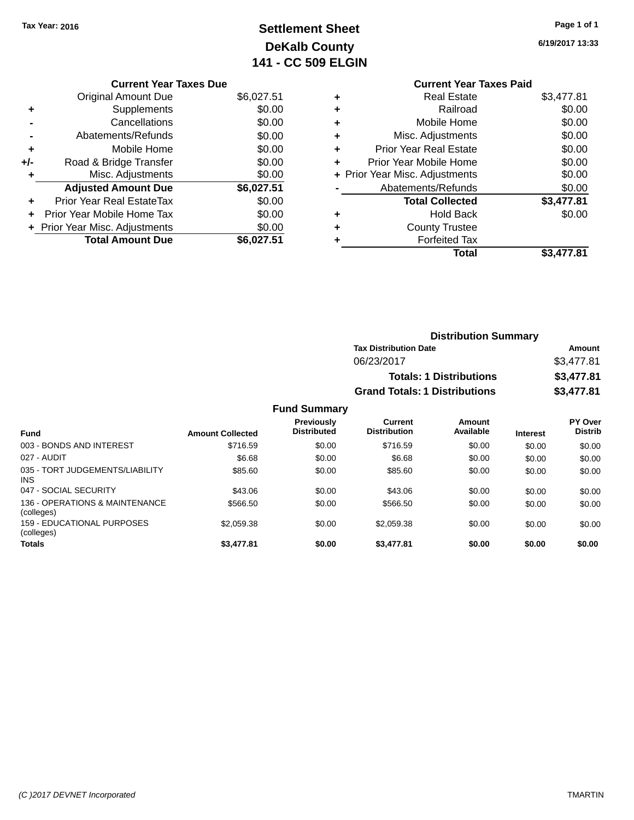# **Settlement Sheet Tax Year: 2016 Page 1 of 1 DeKalb County 141 - CC 509 ELGIN**

**6/19/2017 13:33**

|       | <b>Current Year Taxes Due</b>  |            |
|-------|--------------------------------|------------|
|       | <b>Original Amount Due</b>     | \$6,027.51 |
|       | Supplements                    | \$0.00     |
|       | Cancellations                  | \$0.00     |
|       | Abatements/Refunds             | \$0.00     |
| ٠     | Mobile Home                    | \$0.00     |
| $+/-$ | Road & Bridge Transfer         | \$0.00     |
|       | Misc. Adjustments              | \$0.00     |
|       | <b>Adjusted Amount Due</b>     | \$6,027.51 |
| ÷     | Prior Year Real EstateTax      | \$0.00     |
| ÷     | Prior Year Mobile Home Tax     | \$0.00     |
|       | + Prior Year Misc. Adjustments | \$0.00     |
|       | <b>Total Amount Due</b>        | \$6.027.51 |
|       |                                |            |

### **Current Year Taxes Paid +** Real Estate \$3,477.81 **+** Railroad \$0.00 **+** Mobile Home \$0.00 **+** Misc. Adjustments \$0.00 **+** Prior Year Real Estate \$0.00 **Prior Year Mobile Home**

|           | Total                              | \$3,477.81   |
|-----------|------------------------------------|--------------|
| $\ddot{}$ | <b>Forfeited Tax</b>               |              |
| $\ddot{}$ | <b>County Trustee</b>              |              |
| ÷         | <b>Hold Back</b>                   | \$0.00       |
|           | <b>Total Collected</b>             | \$3,477.81   |
|           | Abatements/Refunds                 | \$0.00       |
|           | + Prior Year Misc. Adjustments     | \$0.00       |
|           | <u>FIIUI TEAI IVIUUIIE LIUITIE</u> | <b>JU.UU</b> |

| <b>Distribution Summary</b>          |            |
|--------------------------------------|------------|
| <b>Tax Distribution Date</b>         | Amount     |
| 06/23/2017                           | \$3,477.81 |
| <b>Totals: 1 Distributions</b>       | \$3,477.81 |
| <b>Grand Totals: 1 Distributions</b> | \$3,477.81 |

| <b>Fund</b>                                   | <b>Amount Collected</b> | Previously<br><b>Distributed</b> | <b>Current</b><br><b>Distribution</b> | Amount<br>Available | <b>Interest</b> | PY Over<br><b>Distrib</b> |
|-----------------------------------------------|-------------------------|----------------------------------|---------------------------------------|---------------------|-----------------|---------------------------|
| 003 - BONDS AND INTEREST                      | \$716.59                | \$0.00                           | \$716.59                              | \$0.00              | \$0.00          | \$0.00                    |
| 027 - AUDIT                                   | \$6.68                  | \$0.00                           | \$6.68                                | \$0.00              | \$0.00          | \$0.00                    |
| 035 - TORT JUDGEMENTS/LIABILITY<br><b>INS</b> | \$85.60                 | \$0.00                           | \$85.60                               | \$0.00              | \$0.00          | \$0.00                    |
| 047 - SOCIAL SECURITY                         | \$43.06                 | \$0.00                           | \$43.06                               | \$0.00              | \$0.00          | \$0.00                    |
| 136 - OPERATIONS & MAINTENANCE<br>(colleges)  | \$566.50                | \$0.00                           | \$566.50                              | \$0.00              | \$0.00          | \$0.00                    |
| 159 - EDUCATIONAL PURPOSES<br>(colleges)      | \$2,059.38              | \$0.00                           | \$2.059.38                            | \$0.00              | \$0.00          | \$0.00                    |
| <b>Totals</b>                                 | \$3,477.81              | \$0.00                           | \$3,477.81                            | \$0.00              | \$0.00          | \$0.00                    |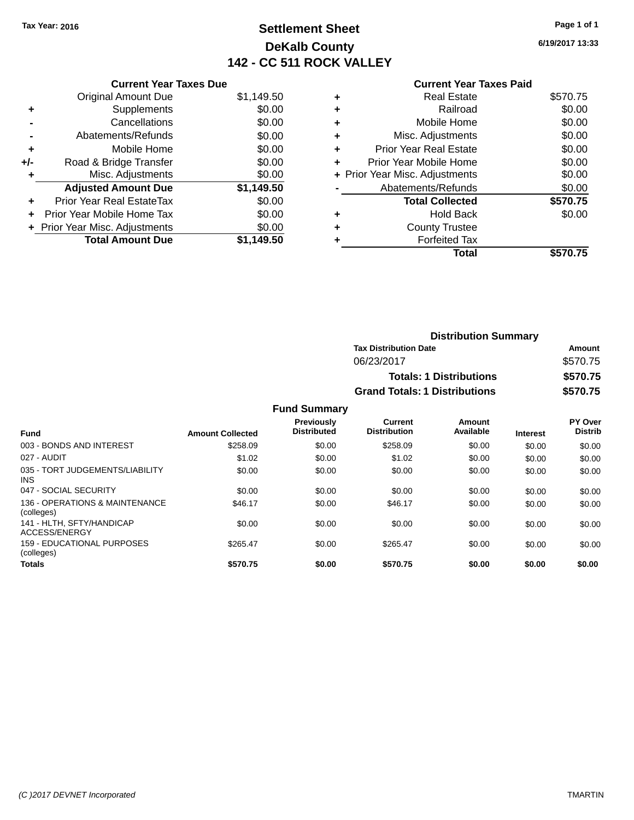# **Settlement Sheet Tax Year: 2016 Page 1 of 1 DeKalb County 142 - CC 511 ROCK VALLEY**

**6/19/2017 13:33**

|     | <b>Current Year Taxes Due</b>    |            |
|-----|----------------------------------|------------|
|     | <b>Original Amount Due</b>       | \$1,149.50 |
| ٠   | Supplements                      | \$0.00     |
|     | Cancellations                    | \$0.00     |
|     | Abatements/Refunds               | \$0.00     |
| ٠   | Mobile Home                      | \$0.00     |
| +/- | Road & Bridge Transfer           | \$0.00     |
|     | Misc. Adjustments                | \$0.00     |
|     | <b>Adjusted Amount Due</b>       | \$1,149.50 |
|     | <b>Prior Year Real EstateTax</b> | \$0.00     |
| ÷   | Prior Year Mobile Home Tax       | \$0.00     |
|     | + Prior Year Misc. Adjustments   | \$0.00     |
|     | <b>Total Amount Due</b>          | \$1.149.50 |

### **Current Year Taxes Paid**

|   | <b>Real Estate</b>             | \$570.75 |
|---|--------------------------------|----------|
| ٠ | Railroad                       | \$0.00   |
| ÷ | Mobile Home                    | \$0.00   |
| ٠ | Misc. Adjustments              | \$0.00   |
| ٠ | <b>Prior Year Real Estate</b>  | \$0.00   |
| ٠ | Prior Year Mobile Home         | \$0.00   |
|   | + Prior Year Misc. Adjustments | \$0.00   |
|   | Abatements/Refunds             | \$0.00   |
|   | <b>Total Collected</b>         | \$570.75 |
| ٠ | Hold Back                      | \$0.00   |
| ٠ | <b>County Trustee</b>          |          |
|   | <b>Forfeited Tax</b>           |          |
|   | Total                          | \$570.75 |
|   |                                |          |

| <b>Distribution Summary</b>          |          |
|--------------------------------------|----------|
| <b>Tax Distribution Date</b>         | Amount   |
| 06/23/2017                           | \$570.75 |
| <b>Totals: 1 Distributions</b>       | \$570.75 |
| <b>Grand Totals: 1 Distributions</b> | \$570.75 |

| <b>Fund</b>                                   | <b>Amount Collected</b> | <b>Previously</b><br><b>Distributed</b> | <b>Current</b><br><b>Distribution</b> | Amount<br>Available | <b>Interest</b> | PY Over<br><b>Distrib</b> |
|-----------------------------------------------|-------------------------|-----------------------------------------|---------------------------------------|---------------------|-----------------|---------------------------|
| 003 - BONDS AND INTEREST                      | \$258.09                | \$0.00                                  | \$258.09                              | \$0.00              | \$0.00          | \$0.00                    |
| 027 - AUDIT                                   | \$1.02                  | \$0.00                                  | \$1.02                                | \$0.00              | \$0.00          | \$0.00                    |
| 035 - TORT JUDGEMENTS/LIABILITY<br><b>INS</b> | \$0.00                  | \$0.00                                  | \$0.00                                | \$0.00              | \$0.00          | \$0.00                    |
| 047 - SOCIAL SECURITY                         | \$0.00                  | \$0.00                                  | \$0.00                                | \$0.00              | \$0.00          | \$0.00                    |
| 136 - OPERATIONS & MAINTENANCE<br>(colleges)  | \$46.17                 | \$0.00                                  | \$46.17                               | \$0.00              | \$0.00          | \$0.00                    |
| 141 - HLTH, SFTY/HANDICAP<br>ACCESS/ENERGY    | \$0.00                  | \$0.00                                  | \$0.00                                | \$0.00              | \$0.00          | \$0.00                    |
| 159 - EDUCATIONAL PURPOSES<br>(colleges)      | \$265.47                | \$0.00                                  | \$265.47                              | \$0.00              | \$0.00          | \$0.00                    |
| <b>Totals</b>                                 | \$570.75                | \$0.00                                  | \$570.75                              | \$0.00              | \$0.00          | \$0.00                    |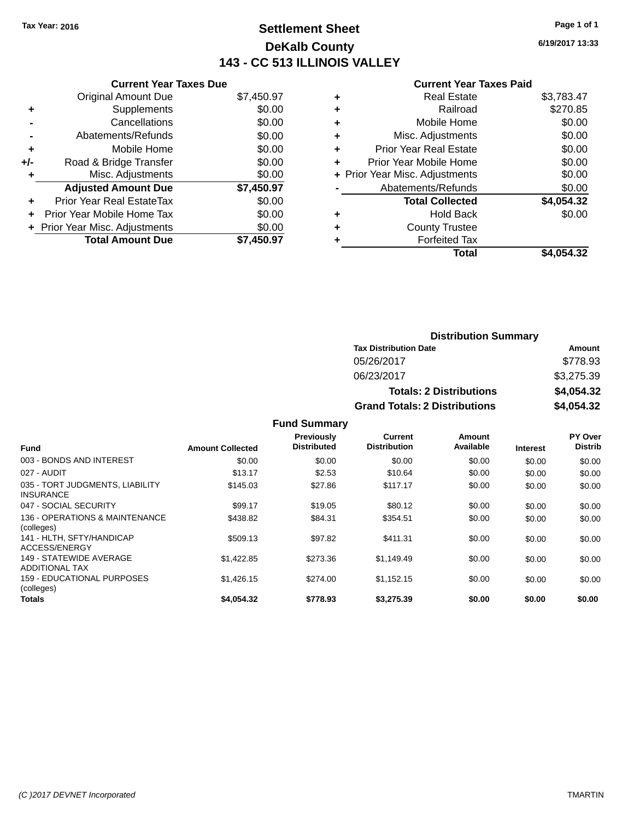# **Settlement Sheet Tax Year: 2016 Page 1 of 1 DeKalb County 143 - CC 513 ILLINOIS VALLEY**

**6/19/2017 13:33**

### **Current Year Taxes Paid**

|     | <b>Current Year Taxes Due</b>  |            |
|-----|--------------------------------|------------|
|     | <b>Original Amount Due</b>     | \$7,450.97 |
| ٠   | Supplements                    | \$0.00     |
|     | Cancellations                  | \$0.00     |
|     | Abatements/Refunds             | \$0.00     |
| ٠   | Mobile Home                    | \$0.00     |
| +/- | Road & Bridge Transfer         | \$0.00     |
| ٠   | Misc. Adjustments              | \$0.00     |
|     | <b>Adjusted Amount Due</b>     | \$7,450.97 |
| ٠   | Prior Year Real EstateTax      | \$0.00     |
|     | Prior Year Mobile Home Tax     | \$0.00     |
|     | + Prior Year Misc. Adjustments | \$0.00     |
|     | <b>Total Amount Due</b>        | \$7,450.97 |

| \$3,783.47 |
|------------|
| \$270.85   |
| \$0.00     |
| \$0.00     |
| \$0.00     |
| \$0.00     |
| \$0.00     |
| \$0.00     |
| \$4,054.32 |
| \$0.00     |
|            |
|            |
| \$4,054.32 |
|            |

| <b>Distribution Summary</b>          |            |  |  |  |  |
|--------------------------------------|------------|--|--|--|--|
| <b>Tax Distribution Date</b>         | Amount     |  |  |  |  |
| 05/26/2017                           | \$778.93   |  |  |  |  |
| 06/23/2017                           | \$3,275.39 |  |  |  |  |
| <b>Totals: 2 Distributions</b>       | \$4,054.32 |  |  |  |  |
| <b>Grand Totals: 2 Distributions</b> | \$4,054.32 |  |  |  |  |

| <b>Fund</b>                                         | <b>Amount Collected</b> | Previously<br><b>Distributed</b> | Current<br><b>Distribution</b> | Amount<br>Available | <b>Interest</b> | PY Over<br><b>Distrib</b> |
|-----------------------------------------------------|-------------------------|----------------------------------|--------------------------------|---------------------|-----------------|---------------------------|
| 003 - BONDS AND INTEREST                            | \$0.00                  | \$0.00                           | \$0.00                         | \$0.00              | \$0.00          | \$0.00                    |
| 027 - AUDIT                                         | \$13.17                 | \$2.53                           | \$10.64                        | \$0.00              | \$0.00          | \$0.00                    |
| 035 - TORT JUDGMENTS, LIABILITY<br><b>INSURANCE</b> | \$145.03                | \$27.86                          | \$117.17                       | \$0.00              | \$0.00          | \$0.00                    |
| 047 - SOCIAL SECURITY                               | \$99.17                 | \$19.05                          | \$80.12                        | \$0.00              | \$0.00          | \$0.00                    |
| 136 - OPERATIONS & MAINTENANCE<br>(colleges)        | \$438.82                | \$84.31                          | \$354.51                       | \$0.00              | \$0.00          | \$0.00                    |
| 141 - HLTH, SFTY/HANDICAP<br>ACCESS/ENERGY          | \$509.13                | \$97.82                          | \$411.31                       | \$0.00              | \$0.00          | \$0.00                    |
| 149 - STATEWIDE AVERAGE<br><b>ADDITIONAL TAX</b>    | \$1,422.85              | \$273.36                         | \$1.149.49                     | \$0.00              | \$0.00          | \$0.00                    |
| <b>159 - EDUCATIONAL PURPOSES</b><br>(colleges)     | \$1.426.15              | \$274.00                         | \$1,152.15                     | \$0.00              | \$0.00          | \$0.00                    |
| <b>Totals</b>                                       | \$4,054.32              | \$778.93                         | \$3.275.39                     | \$0.00              | \$0.00          | \$0.00                    |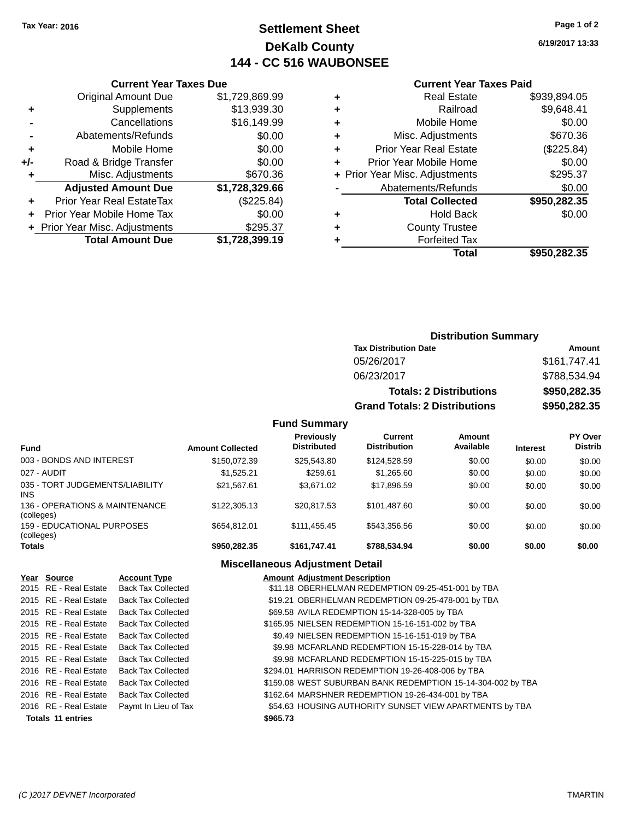# **Settlement Sheet Tax Year: 2016 Page 1 of 2 DeKalb County 144 - CC 516 WAUBONSEE**

**6/19/2017 13:33**

#### **Current Year Taxes Paid**

| Curi                  |   | <b>Current Year Taxes Due</b> |                                  |       |  |  |
|-----------------------|---|-------------------------------|----------------------------------|-------|--|--|
| R٥                    | ٠ | \$1,729,869.99                | Original Amount Due              |       |  |  |
|                       | ٠ | \$13,939.30                   | <b>Supplements</b>               |       |  |  |
| Mot                   | ٠ | \$16,149.99                   | Cancellations                    |       |  |  |
| Misc. Ad              | ٠ | \$0.00                        | Abatements/Refunds               |       |  |  |
| Prior Year Re         | ٠ | \$0.00                        | Mobile Home                      |       |  |  |
| Prior Year Mok        | ÷ | \$0.00                        | Road & Bridge Transfer           | $+/-$ |  |  |
| + Prior Year Misc. Ad |   | \$670.36                      | Misc. Adjustments                |       |  |  |
| Abatements            |   | \$1,728,329.66                | <b>Adjusted Amount Due</b>       |       |  |  |
| Total (               |   | (\$225.84)                    | <b>Prior Year Real EstateTax</b> |       |  |  |
|                       | ٠ | \$0.00                        | Prior Year Mobile Home Tax       |       |  |  |
| Count                 | ٠ | \$295.37                      | + Prior Year Misc. Adjustments   |       |  |  |
| For                   |   | \$1,728,399.19                | <b>Total Amount Due</b>          |       |  |  |
|                       |   |                               |                                  |       |  |  |

|   | <b>Real Estate</b>             | \$939,894.05 |
|---|--------------------------------|--------------|
|   | Railroad                       | \$9,648.41   |
|   | Mobile Home                    | \$0.00       |
| ٠ | Misc. Adjustments              | \$670.36     |
| ٠ | <b>Prior Year Real Estate</b>  | (\$225.84)   |
| ٠ | Prior Year Mobile Home         | \$0.00       |
|   | + Prior Year Misc. Adjustments | \$295.37     |
|   | Abatements/Refunds             | \$0.00       |
|   | <b>Total Collected</b>         | \$950,282.35 |
|   | Hold Back                      | \$0.00       |
|   | <b>County Trustee</b>          |              |
|   | <b>Forfeited Tax</b>           |              |
|   | Total                          | \$950,282,35 |
|   |                                |              |

# **Distribution Summary Tax Distribution Date Amount** 05/26/2017 \$161,747.41 06/23/2017 \$788,534.94 **Totals: 2 Distributions \$950,282.35 Grand Totals: 2 Distributions \$950,282.35**

### **Fund Summary**

| <b>Fund</b>                                   | <b>Amount Collected</b> | <b>Previously</b><br><b>Distributed</b> | Current<br><b>Distribution</b> | Amount<br>Available | <b>Interest</b> | PY Over<br><b>Distrib</b> |
|-----------------------------------------------|-------------------------|-----------------------------------------|--------------------------------|---------------------|-----------------|---------------------------|
| 003 - BONDS AND INTEREST                      | \$150,072.39            | \$25.543.80                             | \$124,528,59                   | \$0.00              | \$0.00          | \$0.00                    |
| 027 - AUDIT                                   | \$1.525.21              | \$259.61                                | \$1,265.60                     | \$0.00              | \$0.00          | \$0.00                    |
| 035 - TORT JUDGEMENTS/LIABILITY<br><b>INS</b> | \$21.567.61             | \$3,671,02                              | \$17,896.59                    | \$0.00              | \$0.00          | \$0.00                    |
| 136 - OPERATIONS & MAINTENANCE<br>(colleges)  | \$122,305.13            | \$20.817.53                             | \$101.487.60                   | \$0.00              | \$0.00          | \$0.00                    |
| 159 - EDUCATIONAL PURPOSES<br>(colleges)      | \$654.812.01            | \$111,455,45                            | \$543.356.56                   | \$0.00              | \$0.00          | \$0.00                    |
| <b>Totals</b>                                 | \$950,282,35            | \$161.747.41                            | \$788,534,94                   | \$0.00              | \$0.00          | \$0.00                    |

### **Miscellaneous Adjustment Detail**

| Year Source              | <b>Account Type</b>       | <b>Amount Adjustment Description</b>                        |
|--------------------------|---------------------------|-------------------------------------------------------------|
| 2015 RE - Real Estate    | <b>Back Tax Collected</b> | \$11.18 OBERHELMAN REDEMPTION 09-25-451-001 by TBA          |
| 2015 RE - Real Estate    | <b>Back Tax Collected</b> | \$19.21 OBERHELMAN REDEMPTION 09-25-478-001 by TBA          |
| 2015 RE - Real Estate    | <b>Back Tax Collected</b> | \$69.58 AVILA REDEMPTION 15-14-328-005 by TBA               |
| 2015 RE - Real Estate    | <b>Back Tax Collected</b> | \$165.95 NIELSEN REDEMPTION 15-16-151-002 by TBA            |
| 2015 RE - Real Estate    | <b>Back Tax Collected</b> | \$9.49 NIELSEN REDEMPTION 15-16-151-019 by TBA              |
| 2015 RE - Real Estate    | <b>Back Tax Collected</b> | \$9.98 MCFARLAND REDEMPTION 15-15-228-014 by TBA            |
| 2015 RE - Real Estate    | <b>Back Tax Collected</b> | \$9.98 MCFARLAND REDEMPTION 15-15-225-015 by TBA            |
| 2016 RE - Real Estate    | <b>Back Tax Collected</b> | \$294.01 HARRISON REDEMPTION 19-26-408-006 by TBA           |
| 2016 RE - Real Estate    | <b>Back Tax Collected</b> | \$159.08 WEST SUBURBAN BANK REDEMPTION 15-14-304-002 by TBA |
| 2016 RE - Real Estate    | Back Tax Collected        | \$162.64 MARSHNER REDEMPTION 19-26-434-001 by TBA           |
| 2016 RE - Real Estate    | Paymt In Lieu of Tax      | \$54.63 HOUSING AUTHORITY SUNSET VIEW APARTMENTS by TBA     |
| <b>Totals 11 entries</b> |                           | \$965.73                                                    |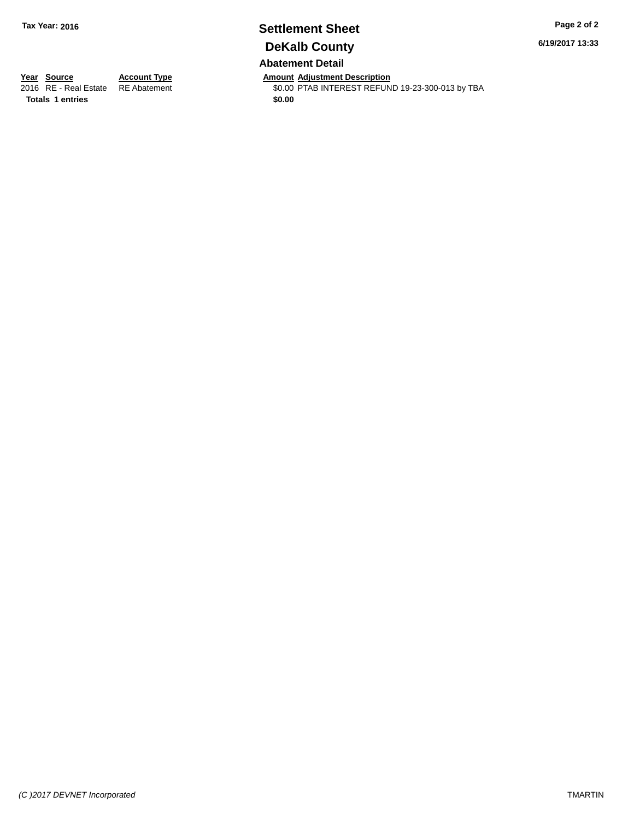# **Settlement Sheet Tax Year: 2016 Page 2 of 2 DeKalb County**

**6/19/2017 13:33**

# **Abatement Detail**

**Year Source Account Type Account Type Amount Adjustment Description**<br>2016 RE - Real Estate RE Abatement **Account 1998 AMOUNT ADDINE ART ARE ADDINE ARE ADDINE ARE A** 

**Totals 1 entries** \$0.00

\$0.00 PTAB INTEREST REFUND 19-23-300-013 by TBA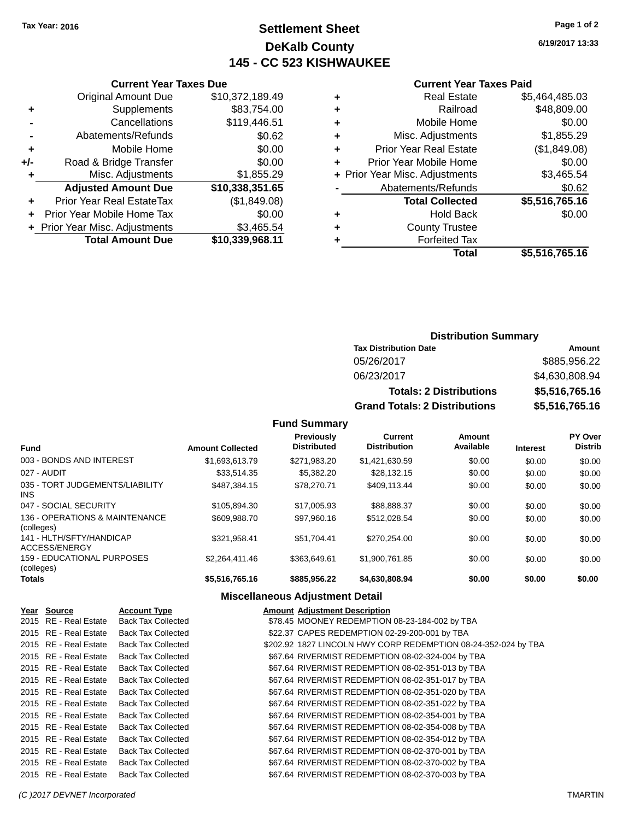# **Settlement Sheet Tax Year: 2016 Page 1 of 2 DeKalb County 145 - CC 523 KISHWAUKEE**

**6/19/2017 13:33**

### **Current Year Taxes Paid**

|     | OGNON, IGAN IGACO DUC            |                 |
|-----|----------------------------------|-----------------|
|     | <b>Original Amount Due</b>       | \$10,372,189.49 |
| ٠   | Supplements                      | \$83,754.00     |
|     | Cancellations                    | \$119,446.51    |
|     | Abatements/Refunds               | \$0.62          |
| ٠   | Mobile Home                      | \$0.00          |
| +/- | Road & Bridge Transfer           | \$0.00          |
| ٠   | Misc. Adjustments                | \$1,855.29      |
|     | <b>Adjusted Amount Due</b>       | \$10,338,351.65 |
| ٠   | <b>Prior Year Real EstateTax</b> | (\$1,849.08)    |
| ٠   | Prior Year Mobile Home Tax       | \$0.00          |
|     | + Prior Year Misc. Adjustments   | \$3,465.54      |
|     | <b>Total Amount Due</b>          | \$10,339,968.11 |
|     |                                  |                 |

**Current Year Taxes Due**

| ٠ | <b>Real Estate</b>             | \$5,464,485.03 |
|---|--------------------------------|----------------|
| ٠ | Railroad                       | \$48,809.00    |
| ٠ | Mobile Home                    | \$0.00         |
| ٠ | Misc. Adjustments              | \$1,855.29     |
| ٠ | <b>Prior Year Real Estate</b>  | (\$1,849.08)   |
| ÷ | Prior Year Mobile Home         | \$0.00         |
|   | + Prior Year Misc. Adjustments | \$3,465.54     |
|   | Abatements/Refunds             | \$0.62         |
|   | <b>Total Collected</b>         | \$5,516,765.16 |
| ٠ | <b>Hold Back</b>               | \$0.00         |
| ٠ | <b>County Trustee</b>          |                |
| ٠ | <b>Forfeited Tax</b>           |                |
|   | Total                          | \$5,516,765.16 |
|   |                                |                |

# **Distribution Summary Tax Distribution Date Amount** 05/26/2017 \$885,956.22 06/23/2017 \$4,630,808.94 **Totals: 2 Distributions \$5,516,765.16 Grand Totals: 2 Distributions \$5,516,765.16**

| <b>Fund</b>                                  | <b>Amount Collected</b> | <b>Previously</b><br><b>Distributed</b> | Current<br><b>Distribution</b> | Amount<br>Available | <b>Interest</b> | PY Over<br><b>Distrib</b> |
|----------------------------------------------|-------------------------|-----------------------------------------|--------------------------------|---------------------|-----------------|---------------------------|
| 003 - BONDS AND INTEREST                     | \$1,693,613.79          | \$271,983.20                            | \$1,421,630.59                 | \$0.00              | \$0.00          | \$0.00                    |
| 027 - AUDIT                                  | \$33.514.35             | \$5,382.20                              | \$28,132.15                    | \$0.00              | \$0.00          | \$0.00                    |
| 035 - TORT JUDGEMENTS/LIABILITY<br>INS.      | \$487.384.15            | \$78,270.71                             | \$409.113.44                   | \$0.00              | \$0.00          | \$0.00                    |
| 047 - SOCIAL SECURITY                        | \$105.894.30            | \$17,005.93                             | \$88,888,37                    | \$0.00              | \$0.00          | \$0.00                    |
| 136 - OPERATIONS & MAINTENANCE<br>(colleges) | \$609,988.70            | \$97.960.16                             | \$512.028.54                   | \$0.00              | \$0.00          | \$0.00                    |
| 141 - HLTH/SFTY/HANDICAP<br>ACCESS/ENERGY    | \$321.958.41            | \$51.704.41                             | \$270.254.00                   | \$0.00              | \$0.00          | \$0.00                    |
| 159 - EDUCATIONAL PURPOSES<br>(colleges)     | \$2.264.411.46          | \$363,649.61                            | \$1.900.761.85                 | \$0.00              | \$0.00          | \$0.00                    |
| <b>Totals</b>                                | \$5,516,765.16          | \$885,956,22                            | \$4,630,808.94                 | \$0.00              | \$0.00          | \$0.00                    |
|                                              |                         | Miscellaneous Adiustment Detail         |                                |                     |                 |                           |

|                       |                           | <b>MISCERATEOUS AUJUSTRIER DETAIL</b>                          |
|-----------------------|---------------------------|----------------------------------------------------------------|
| Year Source           | <b>Account Type</b>       | <b>Amount Adiustment Description</b>                           |
| 2015 RE - Real Estate | <b>Back Tax Collected</b> | \$78.45 MOONEY REDEMPTION 08-23-184-002 by TBA                 |
| 2015 RE - Real Estate | <b>Back Tax Collected</b> | \$22.37 CAPES REDEMPTION 02-29-200-001 by TBA                  |
| 2015 RE - Real Estate | <b>Back Tax Collected</b> | \$202.92 1827 LINCOLN HWY CORP REDEMPTION 08-24-352-024 by TBA |
| 2015 RE - Real Estate | <b>Back Tax Collected</b> | \$67.64 RIVERMIST REDEMPTION 08-02-324-004 by TBA              |
| 2015 RE - Real Estate | <b>Back Tax Collected</b> | \$67.64 RIVERMIST REDEMPTION 08-02-351-013 by TBA              |
| 2015 RE - Real Estate | <b>Back Tax Collected</b> | \$67.64 RIVERMIST REDEMPTION 08-02-351-017 by TBA              |
| 2015 RE - Real Estate | <b>Back Tax Collected</b> | \$67.64 RIVERMIST REDEMPTION 08-02-351-020 by TBA              |
| 2015 RE - Real Estate | <b>Back Tax Collected</b> | \$67.64 RIVERMIST REDEMPTION 08-02-351-022 by TBA              |
| 2015 RE - Real Estate | <b>Back Tax Collected</b> | \$67.64 RIVERMIST REDEMPTION 08-02-354-001 by TBA              |
| 2015 RE - Real Estate | <b>Back Tax Collected</b> | \$67.64 RIVERMIST REDEMPTION 08-02-354-008 by TBA              |
| 2015 RE - Real Estate | <b>Back Tax Collected</b> | \$67.64 RIVERMIST REDEMPTION 08-02-354-012 by TBA              |
| 2015 RE - Real Estate | <b>Back Tax Collected</b> | \$67.64 RIVERMIST REDEMPTION 08-02-370-001 by TBA              |
| 2015 RE - Real Estate | Back Tax Collected        | \$67.64 RIVERMIST REDEMPTION 08-02-370-002 by TBA              |
| 2015 RE - Real Estate | <b>Back Tax Collected</b> | \$67.64 RIVERMIST REDEMPTION 08-02-370-003 by TBA              |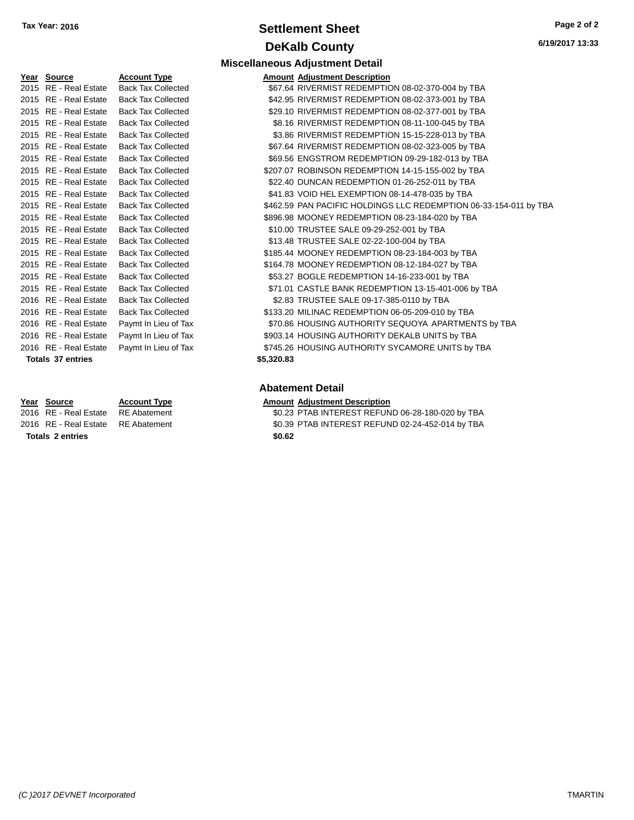# **Settlement Sheet Tax Year: 2016 Page 2 of 2 DeKalb County**

| Year | Source                   | <b>Account Type</b>       |
|------|--------------------------|---------------------------|
| 2015 | <b>RE</b> - Real Estate  | <b>Back Tax Collected</b> |
| 2015 | RE - Real Estate         | <b>Back Tax Collected</b> |
| 2015 | <b>RE</b> - Real Estate  | <b>Back Tax Collected</b> |
| 2015 | <b>RE</b> - Real Estate  | <b>Back Tax Collected</b> |
| 2015 | <b>RE</b> - Real Estate  | <b>Back Tax Collected</b> |
| 2015 | RE - Real Estate         | <b>Back Tax Collected</b> |
| 2015 | <b>RE</b> - Real Estate  | <b>Back Tax Collected</b> |
| 2015 | <b>RE</b> - Real Estate  | <b>Back Tax Collected</b> |
| 2015 | <b>RE</b> - Real Estate  | <b>Back Tax Collected</b> |
| 2015 | <b>RE</b> - Real Estate  | <b>Back Tax Collected</b> |
| 2015 | <b>RE</b> - Real Estate  | <b>Back Tax Collected</b> |
| 2015 | <b>RE</b> - Real Estate  | <b>Back Tax Collected</b> |
| 2015 | RF - Real Estate         | <b>Back Tax Collected</b> |
| 2015 | <b>RE</b> - Real Estate  | <b>Back Tax Collected</b> |
| 2015 | <b>RE</b> - Real Estate  | <b>Back Tax Collected</b> |
| 2015 | RF - Real Estate         | <b>Back Tax Collected</b> |
| 2015 | <b>RE</b> - Real Estate  | <b>Back Tax Collected</b> |
| 2015 | <b>RE</b> - Real Estate  | <b>Back Tax Collected</b> |
| 2016 | <b>RE</b> - Real Estate  | <b>Back Tax Collected</b> |
| 2016 | <b>RE</b> - Real Estate  | <b>Back Tax Collected</b> |
| 2016 | <b>RE</b> - Real Estate  | Paymt In Lieu of Tax      |
| 2016 | <b>RE</b> - Real Estate  | Paymt In Lieu of Tax      |
| 2016 | <b>RE</b> - Real Estate  | Paymt In Lieu of Tax      |
|      | <b>Totals 37 entries</b> |                           |

|                  | Year Source           |  |  |  |  |
|------------------|-----------------------|--|--|--|--|
|                  | 2016 RE - Real Estate |  |  |  |  |
|                  | 2016 RE - Real Estate |  |  |  |  |
| Tatala Alaminian |                       |  |  |  |  |

**Totals \$0.62 2 entries**

| Miscellaneous Adjustment Detail |  |  |
|---------------------------------|--|--|

| Year Source              | <b>Account Type</b>       |            | <b>Amount Adjustment Description</b>                              |
|--------------------------|---------------------------|------------|-------------------------------------------------------------------|
| 2015 RE - Real Estate    | <b>Back Tax Collected</b> |            | \$67.64 RIVERMIST REDEMPTION 08-02-370-004 by TBA                 |
| 2015 RE - Real Estate    | <b>Back Tax Collected</b> |            | \$42.95 RIVERMIST REDEMPTION 08-02-373-001 by TBA                 |
| 2015 RE - Real Estate    | <b>Back Tax Collected</b> |            | \$29.10 RIVERMIST REDEMPTION 08-02-377-001 by TBA                 |
| 2015 RE - Real Estate    | <b>Back Tax Collected</b> |            | \$8.16 RIVERMIST REDEMPTION 08-11-100-045 by TBA                  |
| 2015 RE - Real Estate    | <b>Back Tax Collected</b> |            | \$3.86 RIVERMIST REDEMPTION 15-15-228-013 by TBA                  |
| 2015 RE - Real Estate    | <b>Back Tax Collected</b> |            | \$67.64 RIVERMIST REDEMPTION 08-02-323-005 by TBA                 |
| 2015 RE - Real Estate    | <b>Back Tax Collected</b> |            | \$69.56 ENGSTROM REDEMPTION 09-29-182-013 by TBA                  |
| 2015 RE - Real Estate    | <b>Back Tax Collected</b> |            | \$207.07 ROBINSON REDEMPTION 14-15-155-002 by TBA                 |
| 2015 RE - Real Estate    | <b>Back Tax Collected</b> |            | \$22.40 DUNCAN REDEMPTION 01-26-252-011 by TBA                    |
| 2015 RE - Real Estate    | <b>Back Tax Collected</b> |            | \$41.83 VOID HEL EXEMPTION 08-14-478-035 by TBA                   |
| 2015 RE - Real Estate    | <b>Back Tax Collected</b> |            | \$462.59 PAN PACIFIC HOLDINGS LLC REDEMPTION 06-33-154-011 by TBA |
| 2015 RE - Real Estate    | <b>Back Tax Collected</b> |            | \$896.98 MOONEY REDEMPTION 08-23-184-020 by TBA                   |
| 2015 RE - Real Estate    | <b>Back Tax Collected</b> |            | \$10.00 TRUSTEE SALE 09-29-252-001 by TBA                         |
| 2015 RE - Real Estate    | <b>Back Tax Collected</b> |            | \$13.48 TRUSTEE SALE 02-22-100-004 by TBA                         |
| 2015 RE - Real Estate    | <b>Back Tax Collected</b> |            | \$185.44 MOONEY REDEMPTION 08-23-184-003 by TBA                   |
| 2015 RE - Real Estate    | <b>Back Tax Collected</b> |            | \$164.78 MOONEY REDEMPTION 08-12-184-027 by TBA                   |
| 2015 RE - Real Estate    | <b>Back Tax Collected</b> |            | \$53.27 BOGLE REDEMPTION 14-16-233-001 by TBA                     |
| 2015 RE - Real Estate    | <b>Back Tax Collected</b> |            | \$71.01 CASTLE BANK REDEMPTION 13-15-401-006 by TBA               |
| 2016 RE - Real Estate    | <b>Back Tax Collected</b> |            | \$2.83 TRUSTEE SALE 09-17-385-0110 by TBA                         |
| 2016 RE - Real Estate    | <b>Back Tax Collected</b> |            | \$133.20 MILINAC REDEMPTION 06-05-209-010 by TBA                  |
| 2016 RE - Real Estate    | Paymt In Lieu of Tax      |            | \$70.86 HOUSING AUTHORITY SEQUOYA APARTMENTS by TBA               |
| 2016 RE - Real Estate    | Paymt In Lieu of Tax      |            | \$903.14 HOUSING AUTHORITY DEKALB UNITS by TBA                    |
| 2016 RE - Real Estate    | Paymt In Lieu of Tax      |            | \$745.26 HOUSING AUTHORITY SYCAMORE UNITS by TBA                  |
| <b>Totals 37 entries</b> |                           | \$5,320.83 |                                                                   |
|                          |                           |            |                                                                   |

### **Abatement Detail**

- **Account Type Amount Adjustment Description**
- RE Abatement **2016 CONCERT SO TAB INTEREST REFUND 06-28-180-020 by TBA** RE Abatement **2016 SO.39 PTAB INTEREST REFUND 02-24-452-014 by TBA**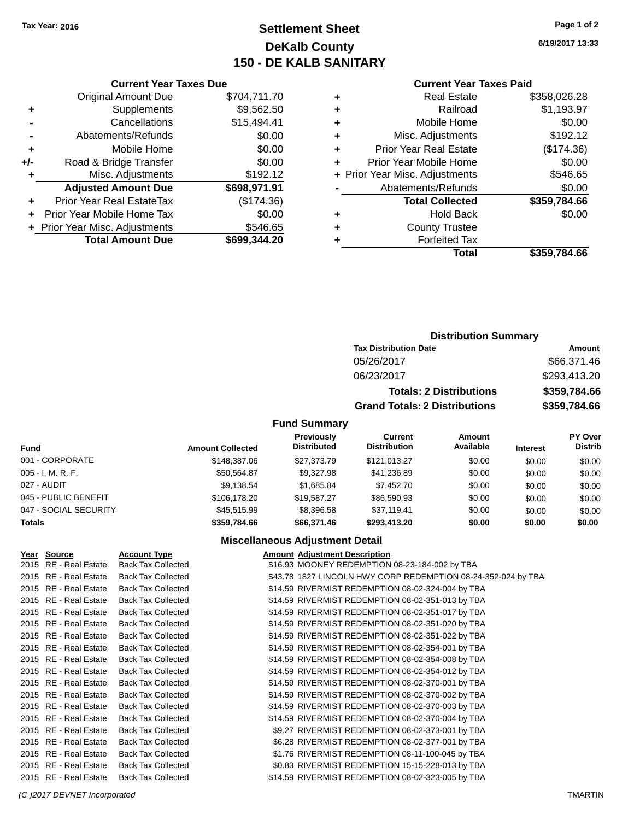**Current Year Taxes Due** Original Amount Due \$704,711.70

**Adjusted Amount Due \$698,971.91**

**Total Amount Due \$699,344.20**

**+** Supplements \$9,562.50 **-** Cancellations \$15,494.41 **-** Abatements/Refunds \$0.00 **+** Mobile Home \$0.00 **+/-** Road & Bridge Transfer \$0.00 **+** Misc. Adjustments \$192.12

**+** Prior Year Real EstateTax (\$174.36) **+** Prior Year Mobile Home Tax \$0.00 **+ Prior Year Misc. Adjustments \$546.65** 

# **Settlement Sheet Tax Year: 2016 Page 1 of 2 DeKalb County 150 - DE KALB SANITARY**

**6/19/2017 13:33**

### **Current Year Taxes Paid**

|   | <b>Forfeited Tax</b>           |              |
|---|--------------------------------|--------------|
| ٠ | <b>County Trustee</b>          |              |
| ٠ | <b>Hold Back</b>               | \$0.00       |
|   | <b>Total Collected</b>         | \$359,784.66 |
|   | Abatements/Refunds             | \$0.00       |
|   | + Prior Year Misc. Adjustments | \$546.65     |
|   | Prior Year Mobile Home         | \$0.00       |
| ٠ | <b>Prior Year Real Estate</b>  | (\$174.36)   |
| ٠ | Misc. Adjustments              | \$192.12     |
| ٠ | Mobile Home                    | \$0.00       |
| ٠ | Railroad                       | \$1,193.97   |
|   |                                |              |
|   | <b>Real Estate</b>             | \$358,026.28 |

| Amount       |
|--------------|
| \$66,371.46  |
| \$293,413.20 |
| \$359,784.66 |
| \$359,784.66 |
|              |

### **Fund Summary**

| Fund                  | <b>Amount Collected</b> | <b>Previously</b><br><b>Distributed</b> | Current<br><b>Distribution</b> | Amount<br>Available | <b>Interest</b> | PY Over<br><b>Distrib</b> |
|-----------------------|-------------------------|-----------------------------------------|--------------------------------|---------------------|-----------------|---------------------------|
| 001 - CORPORATE       | \$148,387.06            | \$27,373,79                             | \$121.013.27                   | \$0.00              | \$0.00          | \$0.00                    |
| $005 - I. M. R. F.$   | \$50.564.87             | \$9,327.98                              | \$41,236.89                    | \$0.00              | \$0.00          | \$0.00                    |
| 027 - AUDIT           | \$9,138.54              | \$1,685.84                              | \$7,452.70                     | \$0.00              | \$0.00          | \$0.00                    |
| 045 - PUBLIC BENEFIT  | \$106,178.20            | \$19,587.27                             | \$86,590.93                    | \$0.00              | \$0.00          | \$0.00                    |
| 047 - SOCIAL SECURITY | \$45,515.99             | \$8,396.58                              | \$37.119.41                    | \$0.00              | \$0.00          | \$0.00                    |
| <b>Totals</b>         | \$359,784.66            | \$66,371.46                             | \$293,413.20                   | \$0.00              | \$0.00          | \$0.00                    |

### **Miscellaneous Adjustment Detail**

| Year Source           | <b>Account Type</b>       | <b>Amount Adjustment Description</b>                          |
|-----------------------|---------------------------|---------------------------------------------------------------|
| 2015 RE - Real Estate | <b>Back Tax Collected</b> | \$16.93 MOONEY REDEMPTION 08-23-184-002 by TBA                |
| 2015 RE - Real Estate | <b>Back Tax Collected</b> | \$43.78 1827 LINCOLN HWY CORP REDEMPTION 08-24-352-024 by TBA |
| 2015 RE - Real Estate | <b>Back Tax Collected</b> | \$14.59 RIVERMIST REDEMPTION 08-02-324-004 by TBA             |
| 2015 RE - Real Estate | <b>Back Tax Collected</b> | \$14.59 RIVERMIST REDEMPTION 08-02-351-013 by TBA             |
| 2015 RE - Real Estate | <b>Back Tax Collected</b> | \$14.59 RIVERMIST REDEMPTION 08-02-351-017 by TBA             |
| 2015 RE - Real Estate | <b>Back Tax Collected</b> | \$14.59 RIVERMIST REDEMPTION 08-02-351-020 by TBA             |
| 2015 RE - Real Estate | <b>Back Tax Collected</b> | \$14.59 RIVERMIST REDEMPTION 08-02-351-022 by TBA             |
| 2015 RE - Real Estate | <b>Back Tax Collected</b> | \$14.59 RIVERMIST REDEMPTION 08-02-354-001 by TBA             |
| 2015 RE - Real Estate | <b>Back Tax Collected</b> | \$14.59 RIVERMIST REDEMPTION 08-02-354-008 by TBA             |
| 2015 RE - Real Estate | <b>Back Tax Collected</b> | \$14.59 RIVERMIST REDEMPTION 08-02-354-012 by TBA             |
| 2015 RE - Real Estate | <b>Back Tax Collected</b> | \$14.59 RIVERMIST REDEMPTION 08-02-370-001 by TBA             |
| 2015 RE - Real Estate | <b>Back Tax Collected</b> | \$14.59 RIVERMIST REDEMPTION 08-02-370-002 by TBA             |
| 2015 RE - Real Estate | <b>Back Tax Collected</b> | \$14.59 RIVERMIST REDEMPTION 08-02-370-003 by TBA             |
| 2015 RE - Real Estate | <b>Back Tax Collected</b> | \$14.59 RIVERMIST REDEMPTION 08-02-370-004 by TBA             |
| 2015 RE - Real Estate | <b>Back Tax Collected</b> | \$9.27 RIVERMIST REDEMPTION 08-02-373-001 by TBA              |
| 2015 RE - Real Estate | <b>Back Tax Collected</b> | \$6.28 RIVERMIST REDEMPTION 08-02-377-001 by TBA              |
| 2015 RE - Real Estate | <b>Back Tax Collected</b> | \$1.76 RIVERMIST REDEMPTION 08-11-100-045 by TBA              |
| 2015 RE - Real Estate | <b>Back Tax Collected</b> | \$0.83 RIVERMIST REDEMPTION 15-15-228-013 by TBA              |
| 2015 RE - Real Estate | <b>Back Tax Collected</b> | \$14.59 RIVERMIST REDEMPTION 08-02-323-005 by TBA             |

#### *(C )2017 DEVNET Incorporated* TMARTIN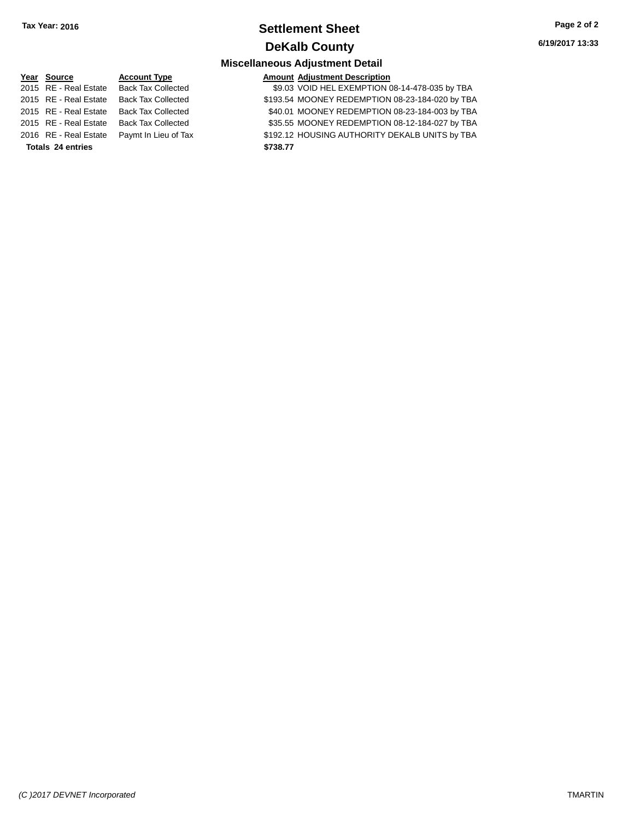# **Settlement Sheet Tax Year: 2016 Page 2 of 2 DeKalb County**

# **Miscellaneous Adjustment Detail**

#### **Year** Source **Account Type Account Adjustment Description**  $\overline{2015}$  RE - Real Estate Back Tax 2015 RE - Real Estate Back Tax 2015 RE - Real Estate Back Tax 2015 RE - Real Estate Back Tax 2016 RE - Real Estate Paymt In **Totals \$738.77 24 entries**

| .           |                                                 |
|-------------|-------------------------------------------------|
| Collected   | \$9.03 VOID HEL EXEMPTION 08-14-478-035 by TBA  |
| Collected   | \$193.54 MOONEY REDEMPTION 08-23-184-020 by TBA |
| Collected   | \$40.01 MOONEY REDEMPTION 08-23-184-003 by TBA  |
| Collected   | \$35.55 MOONEY REDEMPTION 08-12-184-027 by TBA  |
| Lieu of Tax | \$192.12 HOUSING AUTHORITY DEKALB UNITS by TBA  |
|             | \$738.77                                        |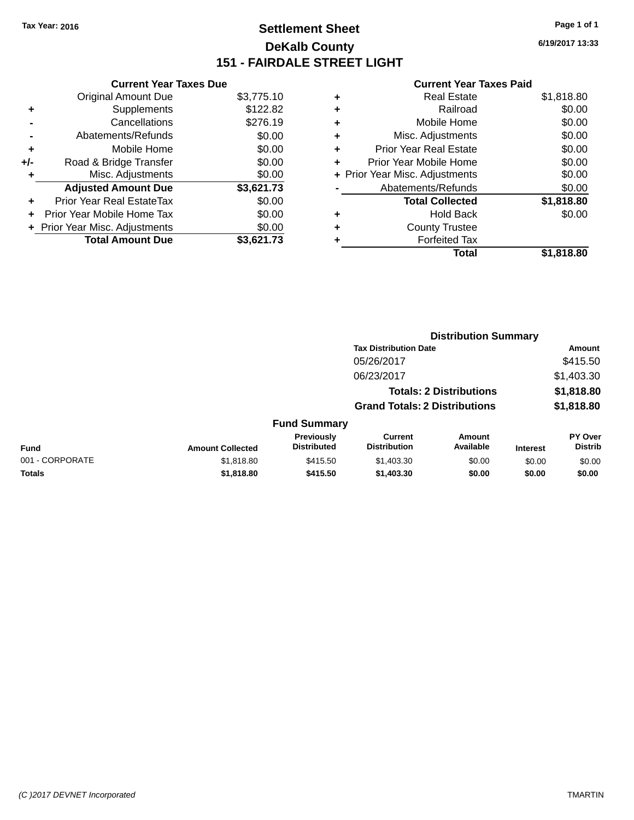# **Settlement Sheet Tax Year: 2016 Page 1 of 1 DeKalb County 151 - FAIRDALE STREET LIGHT**

**6/19/2017 13:33**

|     | <b>Current Year Taxes Due</b>  |            |
|-----|--------------------------------|------------|
|     | <b>Original Amount Due</b>     | \$3,775.10 |
| ٠   | Supplements                    | \$122.82   |
|     | Cancellations                  | \$276.19   |
|     | Abatements/Refunds             | \$0.00     |
| ٠   | Mobile Home                    | \$0.00     |
| +/- | Road & Bridge Transfer         | \$0.00     |
| ٠   | Misc. Adjustments              | \$0.00     |
|     | <b>Adjusted Amount Due</b>     | \$3,621.73 |
| ÷   | Prior Year Real EstateTax      | \$0.00     |
| ÷   | Prior Year Mobile Home Tax     | \$0.00     |
|     | + Prior Year Misc. Adjustments | \$0.00     |
|     | <b>Total Amount Due</b>        | \$3.621.73 |

| ٠ | <b>Real Estate</b>             | \$1,818.80 |
|---|--------------------------------|------------|
| ٠ | Railroad                       | \$0.00     |
| ٠ | Mobile Home                    | \$0.00     |
| ٠ | Misc. Adjustments              | \$0.00     |
| ٠ | <b>Prior Year Real Estate</b>  | \$0.00     |
| ÷ | Prior Year Mobile Home         | \$0.00     |
|   | + Prior Year Misc. Adjustments | \$0.00     |
|   | Abatements/Refunds             | \$0.00     |
|   | <b>Total Collected</b>         | \$1,818.80 |
| ٠ | Hold Back                      | \$0.00     |
| ٠ | <b>County Trustee</b>          |            |
| ٠ | <b>Forfeited Tax</b>           |            |
|   | Total                          | \$1,818.80 |
|   |                                |            |

|                 |                         |                                  |                                       | <b>Distribution Summary</b>    |                 |                           |
|-----------------|-------------------------|----------------------------------|---------------------------------------|--------------------------------|-----------------|---------------------------|
|                 |                         |                                  | <b>Tax Distribution Date</b>          |                                |                 | Amount                    |
|                 |                         |                                  | 05/26/2017                            |                                |                 | \$415.50                  |
|                 |                         |                                  | 06/23/2017                            |                                |                 | \$1,403.30                |
|                 |                         |                                  |                                       | <b>Totals: 2 Distributions</b> |                 | \$1,818.80                |
|                 |                         |                                  | <b>Grand Totals: 2 Distributions</b>  |                                |                 | \$1,818.80                |
|                 |                         | <b>Fund Summary</b>              |                                       |                                |                 |                           |
| <b>Fund</b>     | <b>Amount Collected</b> | Previously<br><b>Distributed</b> | <b>Current</b><br><b>Distribution</b> | Amount<br>Available            | <b>Interest</b> | PY Over<br><b>Distrib</b> |
| 001 - CORPORATE | \$1,818.80              | \$415.50                         | \$1,403.30                            | \$0.00                         | \$0.00          | \$0.00                    |
| <b>Totals</b>   | \$1,818.80              | \$415.50                         | \$1,403.30                            | \$0.00                         | \$0.00          | \$0.00                    |
|                 |                         |                                  |                                       |                                |                 |                           |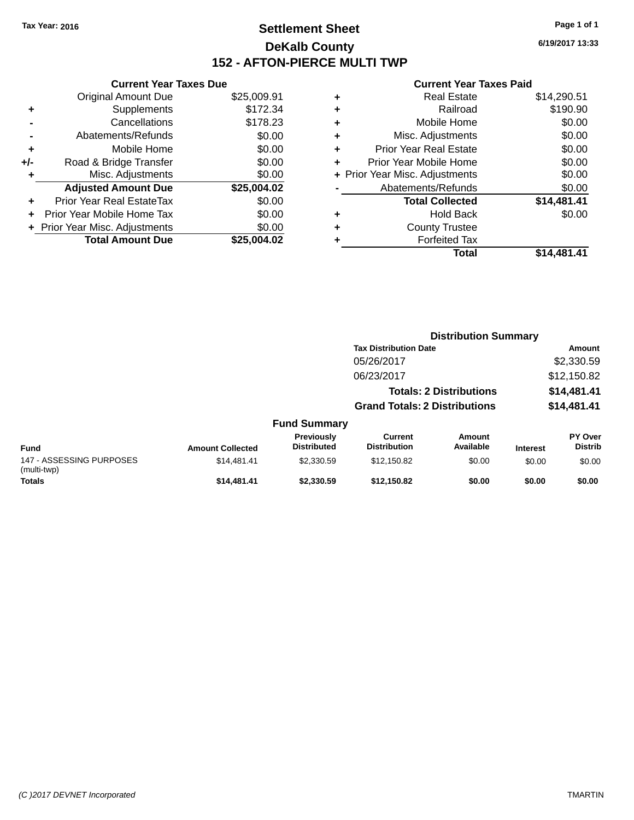**Current Year Taxes Due**

# **Settlement Sheet Tax Year: 2016 Page 1 of 1 DeKalb County 152 - AFTON-PIERCE MULTI TWP**

**6/19/2017 13:33**

|                      |                                  |             |   | Total                          | \$14,481.41 |
|----------------------|----------------------------------|-------------|---|--------------------------------|-------------|
|                      | <b>Total Amount Due</b>          | \$25,004.02 |   | <b>Forfeited Tax</b>           |             |
|                      | + Prior Year Misc. Adjustments   | \$0.00      | ٠ | <b>County Trustee</b>          |             |
|                      | + Prior Year Mobile Home Tax     | \$0.00      | ٠ | <b>Hold Back</b>               | \$0.00      |
| $\ddot{\phantom{1}}$ | <b>Prior Year Real EstateTax</b> | \$0.00      |   | <b>Total Collected</b>         | \$14,481.41 |
|                      | <b>Adjusted Amount Due</b>       | \$25,004.02 |   | Abatements/Refunds             | \$0.00      |
| ٠                    | Misc. Adjustments                | \$0.00      |   | + Prior Year Misc. Adjustments | \$0.00      |
| I-                   | Road & Bridge Transfer           | \$0.00      | ٠ | Prior Year Mobile Home         | \$0.00      |
| ٠                    | Mobile Home                      | \$0.00      | ٠ | <b>Prior Year Real Estate</b>  | \$0.00      |
|                      | Abatements/Refunds               | \$0.00      | ٠ | Misc. Adjustments              | \$0.00      |
|                      | Cancellations                    | \$178.23    | ٠ | Mobile Home                    | \$0.00      |
| $\ddot{\phantom{1}}$ | Supplements                      | \$172.34    | ٠ | Railroad                       | \$190.90    |
|                      | <b>Original Amount Due</b>       | \$25,009.91 | ٠ | <b>Real Estate</b>             | \$14,290.51 |
|                      |                                  |             |   |                                |             |

|                                         |                         |                                         | <b>Distribution Summary</b>           |                                |                 |                           |
|-----------------------------------------|-------------------------|-----------------------------------------|---------------------------------------|--------------------------------|-----------------|---------------------------|
|                                         |                         |                                         | <b>Tax Distribution Date</b>          |                                |                 | Amount                    |
|                                         |                         |                                         | 05/26/2017                            |                                |                 | \$2,330.59                |
|                                         |                         |                                         | 06/23/2017                            |                                |                 | \$12,150.82               |
|                                         |                         |                                         |                                       | <b>Totals: 2 Distributions</b> |                 | \$14,481.41               |
|                                         |                         |                                         | <b>Grand Totals: 2 Distributions</b>  |                                |                 | \$14,481.41               |
|                                         |                         | <b>Fund Summary</b>                     |                                       |                                |                 |                           |
| <b>Fund</b>                             | <b>Amount Collected</b> | <b>Previously</b><br><b>Distributed</b> | <b>Current</b><br><b>Distribution</b> | Amount<br>Available            | <b>Interest</b> | PY Over<br><b>Distrib</b> |
| 147 - ASSESSING PURPOSES<br>(multi-twp) | \$14.481.41             | \$2,330.59                              | \$12,150.82                           | \$0.00                         | \$0.00          | \$0.00                    |
| <b>Totals</b>                           | \$14.481.41             | \$2,330,59                              | \$12.150.82                           | \$0.00                         | \$0.00          | \$0.00                    |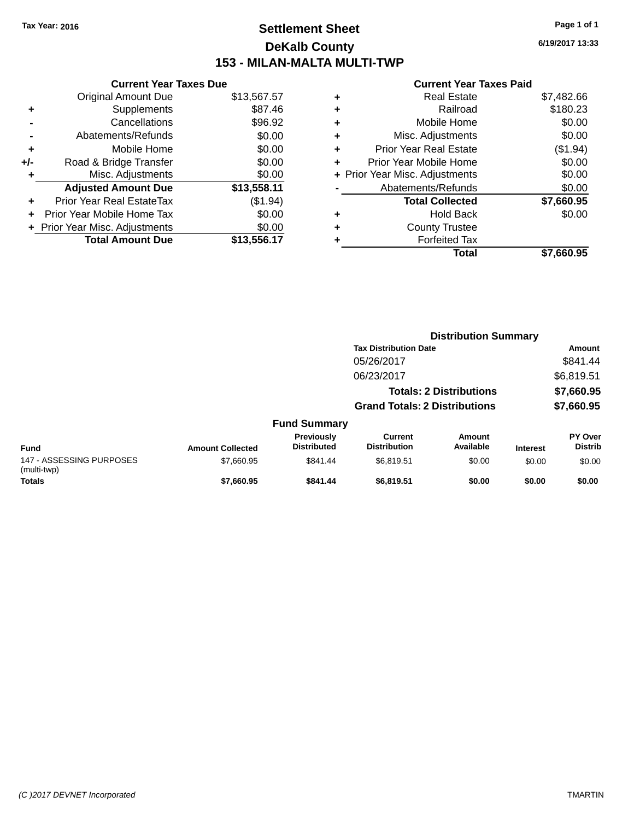# **Settlement Sheet Tax Year: 2016 Page 1 of 1 DeKalb County 153 - MILAN-MALTA MULTI-TWP**

**6/19/2017 13:33**

|       | <b>Current Year Taxes Due</b>  |             |
|-------|--------------------------------|-------------|
|       | <b>Original Amount Due</b>     | \$13,567.57 |
| ٠     | Supplements                    | \$87.46     |
|       | Cancellations                  | \$96.92     |
|       | Abatements/Refunds             | \$0.00      |
| ٠     | Mobile Home                    | \$0.00      |
| $+/-$ | Road & Bridge Transfer         | \$0.00      |
|       | Misc. Adjustments              | \$0.00      |
|       | <b>Adjusted Amount Due</b>     | \$13,558.11 |
| ٠     | Prior Year Real EstateTax      | (\$1.94)    |
|       | Prior Year Mobile Home Tax     | \$0.00      |
|       | + Prior Year Misc. Adjustments | \$0.00      |
|       | <b>Total Amount Due</b>        | \$13,556.17 |
|       |                                |             |

| ٠ | <b>Real Estate</b>             | \$7,482.66 |
|---|--------------------------------|------------|
| ٠ | Railroad                       | \$180.23   |
| ٠ | Mobile Home                    | \$0.00     |
| ٠ | Misc. Adjustments              | \$0.00     |
| ٠ | <b>Prior Year Real Estate</b>  | (\$1.94)   |
| ٠ | Prior Year Mobile Home         | \$0.00     |
|   | + Prior Year Misc. Adjustments | \$0.00     |
|   | Abatements/Refunds             | \$0.00     |
|   | <b>Total Collected</b>         | \$7,660.95 |
| ٠ | <b>Hold Back</b>               | \$0.00     |
| ٠ | <b>County Trustee</b>          |            |
| ٠ | <b>Forfeited Tax</b>           |            |
|   | Total                          | \$7.660.95 |
|   |                                |            |

|                                         |                         |                                  | <b>Distribution Summary</b>           |                                |                 |                           |
|-----------------------------------------|-------------------------|----------------------------------|---------------------------------------|--------------------------------|-----------------|---------------------------|
|                                         |                         |                                  | <b>Tax Distribution Date</b>          |                                |                 | <b>Amount</b>             |
|                                         |                         |                                  | 05/26/2017                            |                                |                 | \$841.44                  |
|                                         |                         |                                  | 06/23/2017                            |                                |                 | \$6,819.51                |
|                                         |                         |                                  |                                       | <b>Totals: 2 Distributions</b> |                 | \$7,660.95                |
|                                         |                         |                                  | <b>Grand Totals: 2 Distributions</b>  |                                |                 | \$7,660.95                |
|                                         |                         | <b>Fund Summary</b>              |                                       |                                |                 |                           |
| <b>Fund</b>                             | <b>Amount Collected</b> | Previously<br><b>Distributed</b> | <b>Current</b><br><b>Distribution</b> | Amount<br>Available            | <b>Interest</b> | PY Over<br><b>Distrib</b> |
| 147 - ASSESSING PURPOSES<br>(multi-twp) | \$7,660.95              | \$841.44                         | \$6,819.51                            | \$0.00                         | \$0.00          | \$0.00                    |
| <b>Totals</b>                           | \$7,660.95              | \$841.44                         | \$6,819.51                            | \$0.00                         | \$0.00          | \$0.00                    |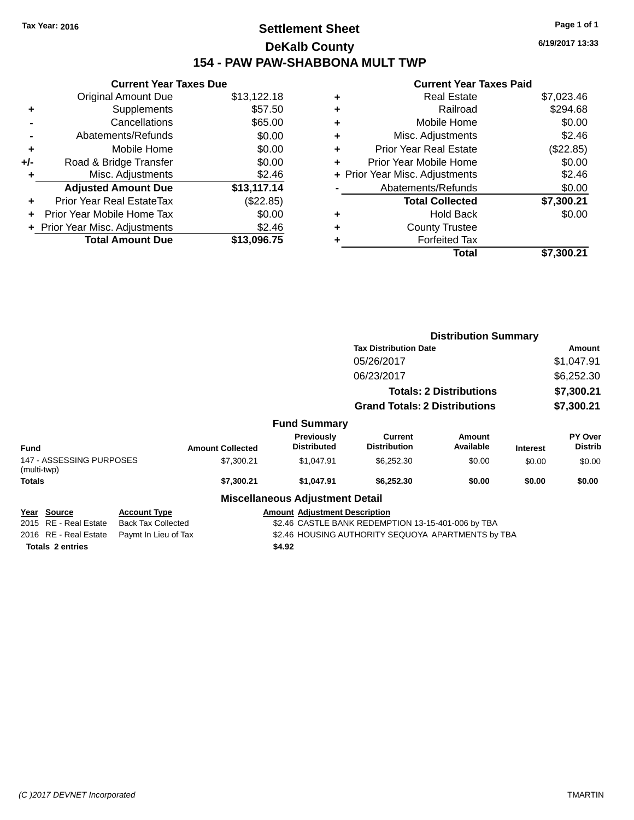# **Settlement Sheet Tax Year: 2016 Page 1 of 1 DeKalb County 154 - PAW PAW-SHABBONA MULT TWP**

**6/19/2017 13:33**

| <b>Current Year Taxes Due</b> |             |
|-------------------------------|-------------|
| <b>Original Amount Due</b>    | \$13,122.18 |
| Supplements                   | \$57.50     |
| Cancellations                 | \$65.00     |
| Abatements/Refunds            | \$0.00      |
| Mobile Home                   | \$0.00      |
| Road & Bridge Transfer        | \$0.00      |
| Misc. Adjustments             | \$2.46      |
| <b>Adjusted Amount Due</b>    | \$13,117.14 |
| Prior Year Real EstateTax     | (\$22.85)   |
| Prior Year Mobile Home Tax    | \$0.00      |
| Prior Year Misc. Adjustments  | \$2.46      |
| <b>Total Amount Due</b>       | \$13.096.75 |
|                               |             |

| ٠ | <b>Real Estate</b>             | \$7,023.46 |
|---|--------------------------------|------------|
| ٠ | Railroad                       | \$294.68   |
| ٠ | Mobile Home                    | \$0.00     |
| ٠ | Misc. Adjustments              | \$2.46     |
| ٠ | <b>Prior Year Real Estate</b>  | (\$22.85)  |
| ٠ | Prior Year Mobile Home         | \$0.00     |
|   | + Prior Year Misc. Adjustments | \$2.46     |
|   | Abatements/Refunds             | \$0.00     |
|   | <b>Total Collected</b>         | \$7,300.21 |
| ٠ | <b>Hold Back</b>               | \$0.00     |
| ٠ | <b>County Trustee</b>          |            |
| ٠ | <b>Forfeited Tax</b>           |            |
|   | Total                          | \$7,300.21 |
|   |                                |            |

|                                         |                                                                                 |                         |                                        |                                      | <b>Distribution Summary</b>    |                 |                           |  |
|-----------------------------------------|---------------------------------------------------------------------------------|-------------------------|----------------------------------------|--------------------------------------|--------------------------------|-----------------|---------------------------|--|
|                                         |                                                                                 |                         |                                        | <b>Tax Distribution Date</b>         |                                |                 | Amount                    |  |
|                                         |                                                                                 |                         |                                        | 05/26/2017                           |                                |                 | \$1,047.91                |  |
|                                         |                                                                                 |                         |                                        | 06/23/2017                           |                                |                 | \$6,252.30                |  |
|                                         |                                                                                 |                         |                                        |                                      | <b>Totals: 2 Distributions</b> |                 | \$7,300.21                |  |
|                                         |                                                                                 |                         |                                        | <b>Grand Totals: 2 Distributions</b> |                                |                 | \$7,300.21                |  |
|                                         |                                                                                 |                         | <b>Fund Summary</b>                    |                                      |                                |                 |                           |  |
| Fund                                    |                                                                                 | <b>Amount Collected</b> | Previously<br><b>Distributed</b>       | Current<br><b>Distribution</b>       | Amount<br>Available            | <b>Interest</b> | PY Over<br><b>Distrib</b> |  |
| 147 - ASSESSING PURPOSES<br>(multi-twp) |                                                                                 | \$7,300.21              | \$1,047.91                             | \$6,252.30                           | \$0.00                         | \$0.00          | \$0.00                    |  |
| <b>Totals</b>                           |                                                                                 | \$7,300.21              | \$1,047.91                             | \$6,252.30                           | \$0.00                         | \$0.00          | \$0.00                    |  |
|                                         |                                                                                 |                         | <b>Miscellaneous Adjustment Detail</b> |                                      |                                |                 |                           |  |
| Year Source                             | <b>Account Type</b>                                                             |                         | <b>Amount Adjustment Description</b>   |                                      |                                |                 |                           |  |
| 2015 RE - Real Estate                   | <b>Back Tax Collected</b><br>\$2.46 CASTLE BANK REDEMPTION 13-15-401-006 by TBA |                         |                                        |                                      |                                |                 |                           |  |
| 2016 RE - Real Estate                   | \$2.46 HOUSING AUTHORITY SEQUOYA APARTMENTS by TBA<br>Paymt In Lieu of Tax      |                         |                                        |                                      |                                |                 |                           |  |
| <b>Totals 2 entries</b>                 |                                                                                 |                         | \$4.92                                 |                                      |                                |                 |                           |  |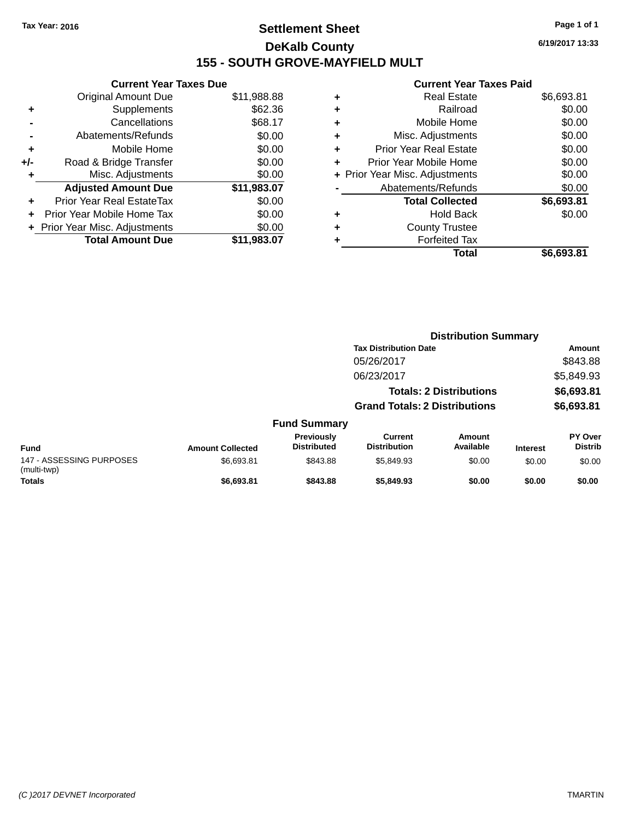# **Settlement Sheet Tax Year: 2016 Page 1 of 1 DeKalb County 155 - SOUTH GROVE-MAYFIELD MULT**

**6/19/2017 13:33**

|     | <b>Current Year Taxes Due</b>  |             |
|-----|--------------------------------|-------------|
|     | <b>Original Amount Due</b>     | \$11,988.88 |
| ÷   | Supplements                    | \$62.36     |
|     | Cancellations                  | \$68.17     |
|     | Abatements/Refunds             | \$0.00      |
| ٠   | Mobile Home                    | \$0.00      |
| +/- | Road & Bridge Transfer         | \$0.00      |
|     | Misc. Adjustments              | \$0.00      |
|     | <b>Adjusted Amount Due</b>     | \$11,983.07 |
| ÷   | Prior Year Real EstateTax      | \$0.00      |
|     | Prior Year Mobile Home Tax     | \$0.00      |
|     | + Prior Year Misc. Adjustments | \$0.00      |
|     | <b>Total Amount Due</b>        | \$11.983.07 |
|     |                                |             |

| ٠ | <b>Real Estate</b>             | \$6,693.81 |
|---|--------------------------------|------------|
| ٠ | Railroad                       | \$0.00     |
| ٠ | Mobile Home                    | \$0.00     |
| ٠ | Misc. Adjustments              | \$0.00     |
| ٠ | <b>Prior Year Real Estate</b>  | \$0.00     |
| ٠ | Prior Year Mobile Home         | \$0.00     |
|   | + Prior Year Misc. Adjustments | \$0.00     |
|   | Abatements/Refunds             | \$0.00     |
|   | <b>Total Collected</b>         | \$6,693.81 |
| ٠ | <b>Hold Back</b>               | \$0.00     |
|   | <b>County Trustee</b>          |            |
| ٠ | <b>Forfeited Tax</b>           |            |
|   | Total                          | \$6,693.81 |
|   |                                |            |

|                                         |                         |                                  | <b>Distribution Summary</b>           |                                |                 |                           |
|-----------------------------------------|-------------------------|----------------------------------|---------------------------------------|--------------------------------|-----------------|---------------------------|
|                                         |                         |                                  | <b>Tax Distribution Date</b>          |                                |                 | <b>Amount</b>             |
|                                         |                         |                                  | 05/26/2017                            |                                |                 | \$843.88                  |
|                                         |                         |                                  | 06/23/2017                            |                                |                 | \$5,849.93                |
|                                         |                         |                                  |                                       | <b>Totals: 2 Distributions</b> |                 | \$6,693.81                |
|                                         |                         |                                  | <b>Grand Totals: 2 Distributions</b>  |                                |                 | \$6,693.81                |
|                                         |                         | <b>Fund Summary</b>              |                                       |                                |                 |                           |
| <b>Fund</b>                             | <b>Amount Collected</b> | Previously<br><b>Distributed</b> | <b>Current</b><br><b>Distribution</b> | Amount<br>Available            | <b>Interest</b> | PY Over<br><b>Distrib</b> |
| 147 - ASSESSING PURPOSES<br>(multi-twp) | \$6,693.81              | \$843.88                         | \$5,849.93                            | \$0.00                         | \$0.00          | \$0.00                    |
| <b>Totals</b>                           | \$6,693.81              | \$843.88                         | \$5,849.93                            | \$0.00                         | \$0.00          | \$0.00                    |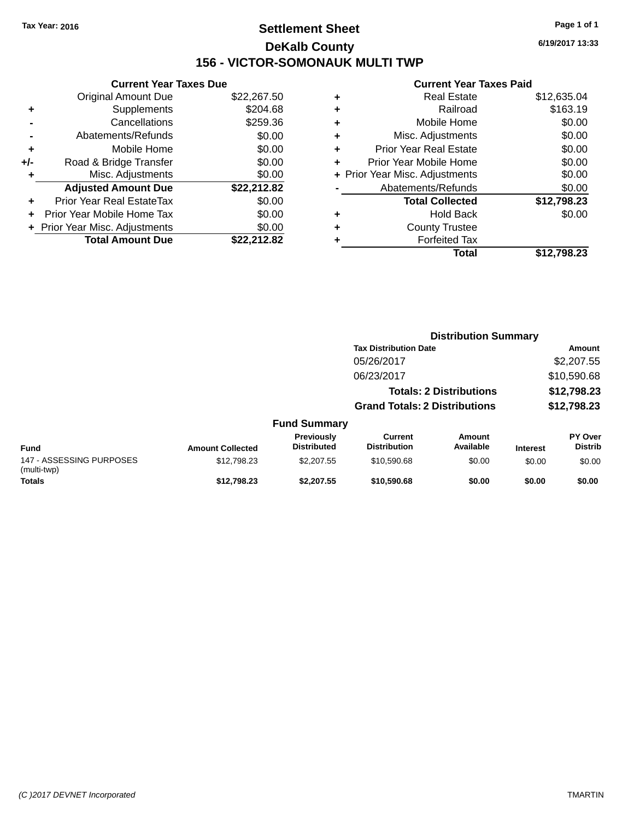# **Settlement Sheet Tax Year: 2016 Page 1 of 1 DeKalb County 156 - VICTOR-SOMONAUK MULTI TWP**

**6/19/2017 13:33**

| <b>Current Year Taxes Due</b>     |             |
|-----------------------------------|-------------|
| <b>Original Amount Due</b>        | \$22,267.50 |
| Supplements                       | \$204.68    |
| Cancellations                     | \$259.36    |
| Abatements/Refunds                | \$0.00      |
| Mobile Home                       | \$0.00      |
| Road & Bridge Transfer            | \$0.00      |
| Misc. Adjustments                 | \$0.00      |
| <b>Adjusted Amount Due</b>        | \$22,212.82 |
| <b>Prior Year Real EstateTax</b>  | \$0.00      |
| <b>Prior Year Mobile Home Tax</b> | \$0.00      |
| + Prior Year Misc. Adjustments    | \$0.00      |
| <b>Total Amount Due</b>           | \$22.212.82 |
|                                   |             |

|   | <b>Real Estate</b>             | \$12,635.04 |
|---|--------------------------------|-------------|
| ٠ | Railroad                       | \$163.19    |
| ٠ | Mobile Home                    | \$0.00      |
| ٠ | Misc. Adjustments              | \$0.00      |
| ٠ | <b>Prior Year Real Estate</b>  | \$0.00      |
| ٠ | Prior Year Mobile Home         | \$0.00      |
|   | + Prior Year Misc. Adjustments | \$0.00      |
|   | Abatements/Refunds             | \$0.00      |
|   | <b>Total Collected</b>         | \$12,798.23 |
| ٠ | <b>Hold Back</b>               | \$0.00      |
| ٠ | <b>County Trustee</b>          |             |
| ٠ | <b>Forfeited Tax</b>           |             |
|   | Total                          | \$12,798.23 |
|   |                                |             |

|                                         |                         |                                         |                                       | <b>Distribution Summary</b>    |                 |                           |
|-----------------------------------------|-------------------------|-----------------------------------------|---------------------------------------|--------------------------------|-----------------|---------------------------|
|                                         |                         |                                         | <b>Tax Distribution Date</b>          |                                |                 | Amount                    |
|                                         |                         |                                         | 05/26/2017                            |                                |                 | \$2,207.55                |
|                                         |                         |                                         | 06/23/2017                            |                                |                 | \$10,590.68               |
|                                         |                         |                                         |                                       | <b>Totals: 2 Distributions</b> |                 | \$12,798.23               |
|                                         |                         |                                         | <b>Grand Totals: 2 Distributions</b>  |                                |                 | \$12,798.23               |
|                                         |                         | <b>Fund Summary</b>                     |                                       |                                |                 |                           |
| Fund                                    | <b>Amount Collected</b> | <b>Previously</b><br><b>Distributed</b> | <b>Current</b><br><b>Distribution</b> | <b>Amount</b><br>Available     | <b>Interest</b> | PY Over<br><b>Distrib</b> |
| 147 - ASSESSING PURPOSES<br>(multi-twp) | \$12,798.23             | \$2,207.55                              | \$10,590.68                           | \$0.00                         | \$0.00          | \$0.00                    |
| <b>Totals</b>                           | \$12,798.23             | \$2.207.55                              | \$10,590.68                           | \$0.00                         | \$0.00          | \$0.00                    |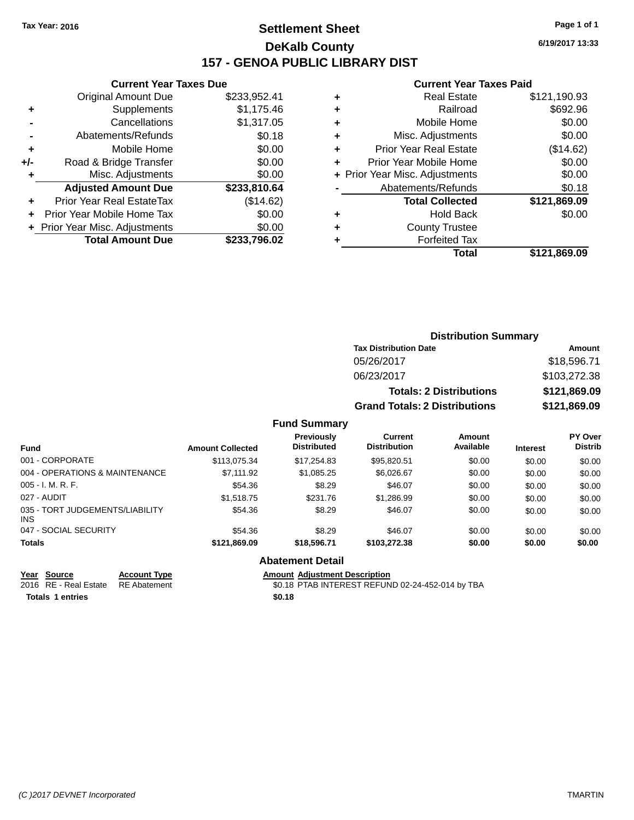# **Settlement Sheet Tax Year: 2016 Page 1 of 1 DeKalb County 157 - GENOA PUBLIC LIBRARY DIST**

**6/19/2017 13:33**

#### **Current Year Taxes Paid**

|     | <b>Current Year Taxes Due</b>  |              |
|-----|--------------------------------|--------------|
|     | <b>Original Amount Due</b>     | \$233,952.41 |
| ٠   | Supplements                    | \$1,175.46   |
|     | Cancellations                  | \$1,317.05   |
|     | Abatements/Refunds             | \$0.18       |
| ٠   | Mobile Home                    | \$0.00       |
| +/- | Road & Bridge Transfer         | \$0.00       |
| ٠   | Misc. Adjustments              | \$0.00       |
|     | <b>Adjusted Amount Due</b>     | \$233,810.64 |
|     | Prior Year Real EstateTax      | (\$14.62)    |
|     | Prior Year Mobile Home Tax     | \$0.00       |
|     | + Prior Year Misc. Adjustments | \$0.00       |
|     | <b>Total Amount Due</b>        | \$233,796.02 |
|     |                                |              |

| ٠ | <b>Real Estate</b>             | \$121,190.93 |
|---|--------------------------------|--------------|
| ٠ | Railroad                       | \$692.96     |
| ٠ | Mobile Home                    | \$0.00       |
| ٠ | Misc. Adjustments              | \$0.00       |
| ٠ | <b>Prior Year Real Estate</b>  | (\$14.62)    |
| ٠ | Prior Year Mobile Home         | \$0.00       |
|   | + Prior Year Misc. Adjustments | \$0.00       |
|   | Abatements/Refunds             | \$0.18       |
|   | <b>Total Collected</b>         | \$121,869.09 |
| ٠ | <b>Hold Back</b>               | \$0.00       |
| ٠ | <b>County Trustee</b>          |              |
| ٠ | <b>Forfeited Tax</b>           |              |
|   | Total                          | \$121,869.09 |
|   |                                |              |

| <b>Distribution Summary</b>          |              |  |  |  |  |
|--------------------------------------|--------------|--|--|--|--|
| <b>Tax Distribution Date</b>         | Amount       |  |  |  |  |
| 05/26/2017                           | \$18,596.71  |  |  |  |  |
| 06/23/2017                           | \$103,272.38 |  |  |  |  |
| <b>Totals: 2 Distributions</b>       | \$121,869.09 |  |  |  |  |
| <b>Grand Totals: 2 Distributions</b> | \$121,869.09 |  |  |  |  |

### **Fund Summary**

| Fund                                          | <b>Amount Collected</b> | Previously<br><b>Distributed</b> | Current<br><b>Distribution</b> | Amount<br>Available | <b>Interest</b> | <b>PY Over</b><br><b>Distrib</b> |
|-----------------------------------------------|-------------------------|----------------------------------|--------------------------------|---------------------|-----------------|----------------------------------|
| 001 - CORPORATE                               | \$113,075.34            | \$17,254.83                      | \$95,820.51                    | \$0.00              | \$0.00          | \$0.00                           |
| 004 - OPERATIONS & MAINTENANCE                | \$7.111.92              | \$1,085.25                       | \$6.026.67                     | \$0.00              | \$0.00          | \$0.00                           |
| $005 - I. M. R. F.$                           | \$54.36                 | \$8.29                           | \$46.07                        | \$0.00              | \$0.00          | \$0.00                           |
| 027 - AUDIT                                   | \$1,518.75              | \$231.76                         | \$1,286.99                     | \$0.00              | \$0.00          | \$0.00                           |
| 035 - TORT JUDGEMENTS/LIABILITY<br><b>INS</b> | \$54.36                 | \$8.29                           | \$46.07                        | \$0.00              | \$0.00          | \$0.00                           |
| 047 - SOCIAL SECURITY                         | \$54.36                 | \$8.29                           | \$46.07                        | \$0.00              | \$0.00          | \$0.00                           |
| <b>Totals</b>                                 | \$121,869.09            | \$18,596,71                      | \$103,272.38                   | \$0.00              | \$0.00          | \$0.00                           |

### **Abatement Detail**

**<u>Year Source</u><br>
2016 RE - Real Estate RE Abatement Totals \$0.18 1 entries**

2016 Amount Adjustment Description<br>\$0.18 PTAB INTEREST REFUND 02-24-452-014 by TBA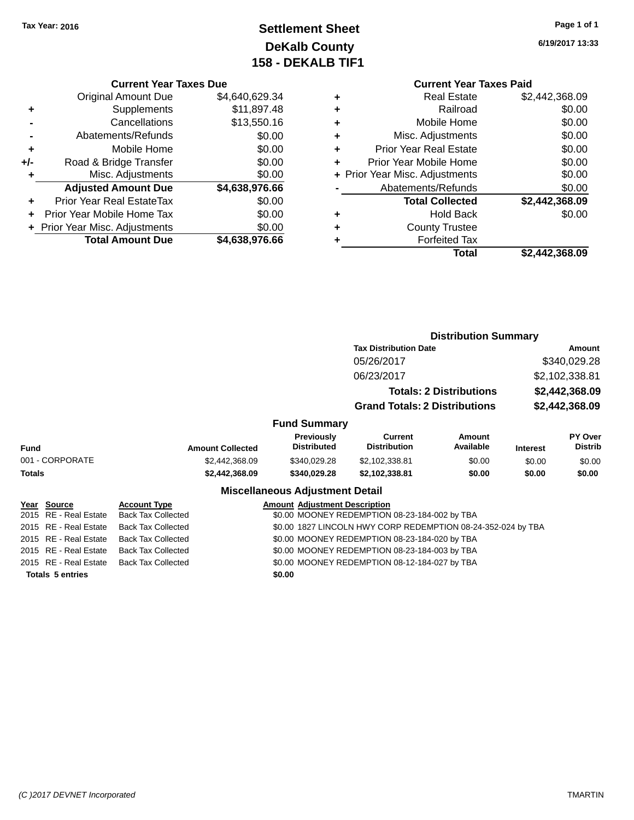# **Settlement Sheet Tax Year: 2016 Page 1 of 1 DeKalb County 158 - DEKALB TIF1**

**6/19/2017 13:33**

# **Current Year Taxes Due**

|       | <b>Original Amount Due</b>     | \$4,640,629.34 |
|-------|--------------------------------|----------------|
| ٠     | Supplements                    | \$11,897.48    |
|       | Cancellations                  | \$13,550.16    |
|       | Abatements/Refunds             | \$0.00         |
| ٠     | Mobile Home                    | \$0.00         |
| $+/-$ | Road & Bridge Transfer         | \$0.00         |
| ٠     | Misc. Adjustments              | \$0.00         |
|       | <b>Adjusted Amount Due</b>     | \$4,638,976.66 |
| ٠     | Prior Year Real EstateTax      | \$0.00         |
|       | Prior Year Mobile Home Tax     | \$0.00         |
|       | + Prior Year Misc. Adjustments | \$0.00         |
|       | <b>Total Amount Due</b>        | \$4,638,976.66 |

|   | <b>Current Year Taxes Paid</b> |                |  |  |  |
|---|--------------------------------|----------------|--|--|--|
| ٠ | <b>Real Estate</b>             | \$2,442,368.09 |  |  |  |
|   | Railroad                       | \$0.00         |  |  |  |
| ÷ | Mobile Home                    | \$0.00         |  |  |  |
|   | Misc. Adjustments              | \$0.00         |  |  |  |
| ٠ | <b>Prior Year Real Estate</b>  | \$0.00         |  |  |  |
| ÷ | Prior Year Mobile Home         | \$0.00         |  |  |  |
|   | + Prior Year Misc. Adjustments | \$0.00         |  |  |  |
|   | Abatements/Refunds             | \$0.00         |  |  |  |
|   | <b>Total Collected</b>         | \$2,442,368.09 |  |  |  |
|   | <b>Hold Back</b>               | \$0.00         |  |  |  |
|   | <b>County Trustee</b>          |                |  |  |  |
|   | <b>Forfeited Tax</b>           |                |  |  |  |
|   | Total                          | \$2,442,368.09 |  |  |  |
|   |                                |                |  |  |  |

#### **Distribution Summary Tax Distribution Date Amount** 05/26/2017 \$340,029.28 06/23/2017 \$2,102,338.81 **Totals: 2 Distributions \$2,442,368.09 Grand Totals: 2 Distributions \$2,442,368.09 Fund Summary Fund Interest Amount Collected Distributed PY Over Distrib Amount Available Current Distribution Previously** 001 - CORPORATE \$2,442,368.09 \$340,029.28 \$2,102,338.81 \$0.00 \$0.00 \$0.00 **Totals \$2,442,368.09 \$340,029.28 \$2,102,338.81 \$0.00 \$0.00 \$0.00 Miscellaneous Adjustment Detail Year Source Account Type Amount Adjustment Description** 2015 RE - Real Estate Back Tax Collected \$0.00 MOONEY REDEMPTION 08-23-184-002 by TBA 2015 RE - Real Estate Back Tax Collected \$0.00 1827 LINCOLN HWY CORP REDEMPTION 08-24-352-024 by TBA 2015 RE - Real Estate Back Tax Collected \$0.00 MOONEY REDEMPTION 08-23-184-020 by TBA 2015 RE - Real Estate Back Tax Collected \$0.00 MOONEY REDEMPTION 08-23-184-003 by TBA 2015 RE - Real Estate Back Tax Collected \$0.00 MOONEY REDEMPTION 08-12-184-027 by TBA

**Totals \$0.00 5 entries**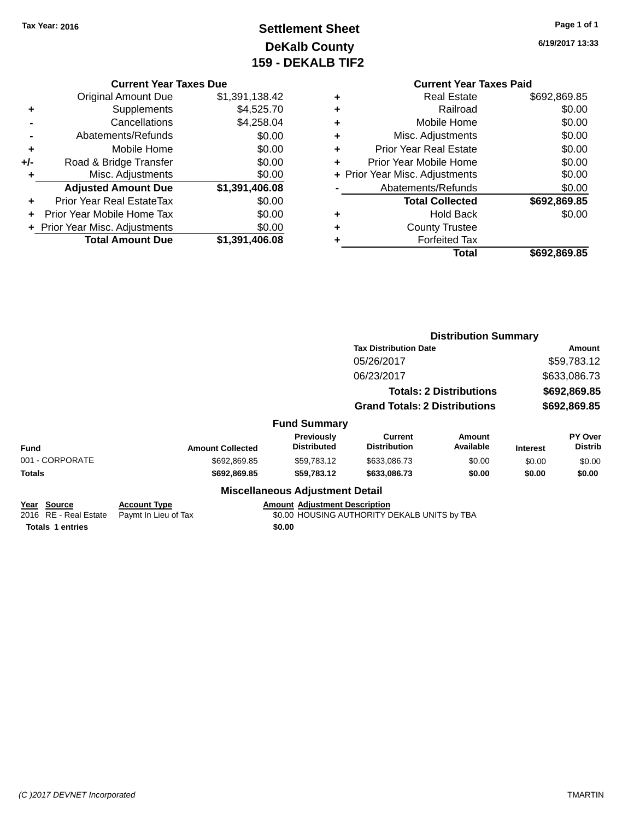# **Settlement Sheet Tax Year: 2016 Page 1 of 1 DeKalb County 159 - DEKALB TIF2**

**6/19/2017 13:33**

### **Current Year Taxes Due**

|     | <b>Original Amount Due</b>     | \$1,391,138.42 |
|-----|--------------------------------|----------------|
| ٠   | Supplements                    | \$4,525.70     |
|     | Cancellations                  | \$4,258.04     |
|     | Abatements/Refunds             | \$0.00         |
| ٠   | Mobile Home                    | \$0.00         |
| +/- | Road & Bridge Transfer         | \$0.00         |
| ٠   | Misc. Adjustments              | \$0.00         |
|     | <b>Adjusted Amount Due</b>     | \$1,391,406.08 |
| ÷   | Prior Year Real EstateTax      | \$0.00         |
|     | Prior Year Mobile Home Tax     | \$0.00         |
|     | + Prior Year Misc. Adjustments | \$0.00         |
|     | <b>Total Amount Due</b>        | \$1,391,406.08 |

|   | <b>Current Year Taxes Paid</b> |              |  |  |  |
|---|--------------------------------|--------------|--|--|--|
| ÷ | <b>Real Estate</b>             | \$692,869.85 |  |  |  |
| ÷ | Railroad                       | \$0.00       |  |  |  |
| ÷ | Mobile Home                    | \$0.00       |  |  |  |
| ÷ | Misc. Adjustments              | \$0.00       |  |  |  |
| ÷ | <b>Prior Year Real Estate</b>  | \$0.00       |  |  |  |
| ÷ | Prior Year Mobile Home         | \$0.00       |  |  |  |
|   | + Prior Year Misc. Adjustments | \$0.00       |  |  |  |
|   | Abatements/Refunds             | \$0.00       |  |  |  |
|   | <b>Total Collected</b>         | \$692,869.85 |  |  |  |
| ٠ | <b>Hold Back</b>               | \$0.00       |  |  |  |
| ÷ | <b>County Trustee</b>          |              |  |  |  |
| ٠ | <b>Forfeited Tax</b>           |              |  |  |  |
|   | Total                          | \$692.869.85 |  |  |  |

|                                         | <b>Distribution Summary</b>          |                     |              |                                  |  |  |
|-----------------------------------------|--------------------------------------|---------------------|--------------|----------------------------------|--|--|
|                                         | <b>Tax Distribution Date</b>         | Amount              |              |                                  |  |  |
|                                         | 05/26/2017                           |                     |              | \$59,783.12                      |  |  |
|                                         | 06/23/2017                           | \$633,086.73        |              |                                  |  |  |
|                                         | <b>Totals: 2 Distributions</b>       |                     | \$692,869.85 |                                  |  |  |
|                                         | <b>Grand Totals: 2 Distributions</b> |                     | \$692,869.85 |                                  |  |  |
| Fund Summary                            |                                      |                     |              |                                  |  |  |
| <b>Previously</b><br><b>Distributed</b> | Current<br><b>Distribution</b>       | Amount<br>Available | Interest     | <b>PY Over</b><br><b>Distrib</b> |  |  |

| <b>Fund</b>             |                      | <b>Amount Collected</b>                      | Previously<br><b>Distributed</b>       | Current<br><b>Distribution</b> | Amount<br>Available | <b>Interest</b> | <b>PY Over</b><br><b>Distrib</b> |
|-------------------------|----------------------|----------------------------------------------|----------------------------------------|--------------------------------|---------------------|-----------------|----------------------------------|
| 001 - CORPORATE         |                      | \$692,869.85                                 | \$59.783.12                            | \$633,086.73                   | \$0.00              | \$0.00          | \$0.00                           |
| <b>Totals</b>           |                      | \$692,869.85                                 | \$59.783.12                            | \$633,086,73                   | \$0.00              | \$0.00          | \$0.00                           |
|                         |                      |                                              | <b>Miscellaneous Adjustment Detail</b> |                                |                     |                 |                                  |
| Year Source             | <b>Account Type</b>  | <b>Amount Adjustment Description</b>         |                                        |                                |                     |                 |                                  |
| 2016 RE - Real Estate   | Paymt In Lieu of Tax | \$0.00 HOUSING AUTHORITY DEKALB UNITS by TBA |                                        |                                |                     |                 |                                  |
| <b>Totals 1 entries</b> |                      |                                              | \$0.00                                 |                                |                     |                 |                                  |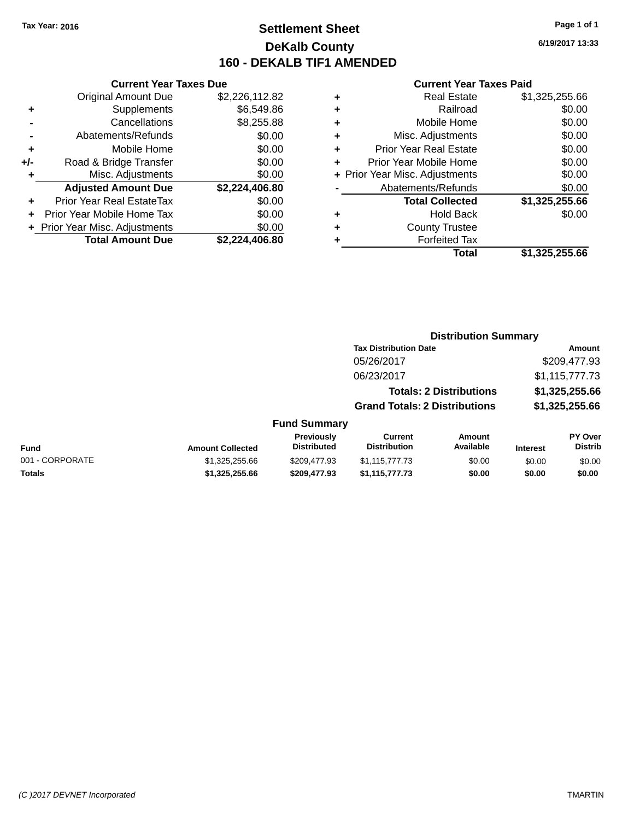### **Settlement Sheet Tax Year: 2016 Page 1 of 1 DeKalb County 160 - DEKALB TIF1 AMENDED**

**6/19/2017 13:33**

|     | <b>Current Year Taxes Due</b>  |                |
|-----|--------------------------------|----------------|
|     | <b>Original Amount Due</b>     | \$2,226,112.82 |
| ٠   | Supplements                    | \$6,549.86     |
|     | Cancellations                  | \$8,255.88     |
|     | Abatements/Refunds             | \$0.00         |
| ٠   | Mobile Home                    | \$0.00         |
| +/- | Road & Bridge Transfer         | \$0.00         |
| ٠   | Misc. Adjustments              | \$0.00         |
|     | <b>Adjusted Amount Due</b>     | \$2,224,406.80 |
| ٠   | Prior Year Real EstateTax      | \$0.00         |
| ÷   | Prior Year Mobile Home Tax     | \$0.00         |
|     | + Prior Year Misc. Adjustments | \$0.00         |
|     | <b>Total Amount Due</b>        | \$2,224,406.80 |

| ٠ | <b>Real Estate</b>             | \$1,325,255.66 |
|---|--------------------------------|----------------|
| ٠ | Railroad                       | \$0.00         |
| ٠ | Mobile Home                    | \$0.00         |
| ٠ | Misc. Adjustments              | \$0.00         |
| ٠ | <b>Prior Year Real Estate</b>  | \$0.00         |
|   | Prior Year Mobile Home         | \$0.00         |
|   | + Prior Year Misc. Adjustments | \$0.00         |
|   | Abatements/Refunds             | \$0.00         |
|   | <b>Total Collected</b>         | \$1,325,255.66 |
| ٠ | <b>Hold Back</b>               | \$0.00         |
|   | <b>County Trustee</b>          |                |
| ٠ | <b>Forfeited Tax</b>           |                |
|   | Total                          | \$1,325,255.66 |
|   |                                |                |

|                 |                         |                                  |                                       |                                | <b>Distribution Summary</b> |                                  |  |  |
|-----------------|-------------------------|----------------------------------|---------------------------------------|--------------------------------|-----------------------------|----------------------------------|--|--|
|                 |                         |                                  | <b>Tax Distribution Date</b>          |                                |                             | Amount                           |  |  |
|                 |                         |                                  | 05/26/2017                            |                                |                             | \$209,477.93                     |  |  |
|                 |                         |                                  | 06/23/2017                            |                                |                             | \$1,115,777.73                   |  |  |
|                 |                         |                                  |                                       | <b>Totals: 2 Distributions</b> |                             | \$1,325,255.66                   |  |  |
|                 |                         |                                  | <b>Grand Totals: 2 Distributions</b>  |                                |                             | \$1,325,255.66                   |  |  |
|                 |                         | <b>Fund Summary</b>              |                                       |                                |                             |                                  |  |  |
| <b>Fund</b>     | <b>Amount Collected</b> | Previously<br><b>Distributed</b> | <b>Current</b><br><b>Distribution</b> | Amount<br>Available            | <b>Interest</b>             | <b>PY Over</b><br><b>Distrib</b> |  |  |
| 001 - CORPORATE | \$1,325,255.66          | \$209.477.93                     | \$1,115,777.73                        | \$0.00                         | \$0.00                      | \$0.00                           |  |  |
| <b>Totals</b>   | \$1,325,255.66          | \$209,477.93                     | \$1,115,777.73                        | \$0.00                         | \$0.00                      | \$0.00                           |  |  |
|                 |                         |                                  |                                       |                                |                             |                                  |  |  |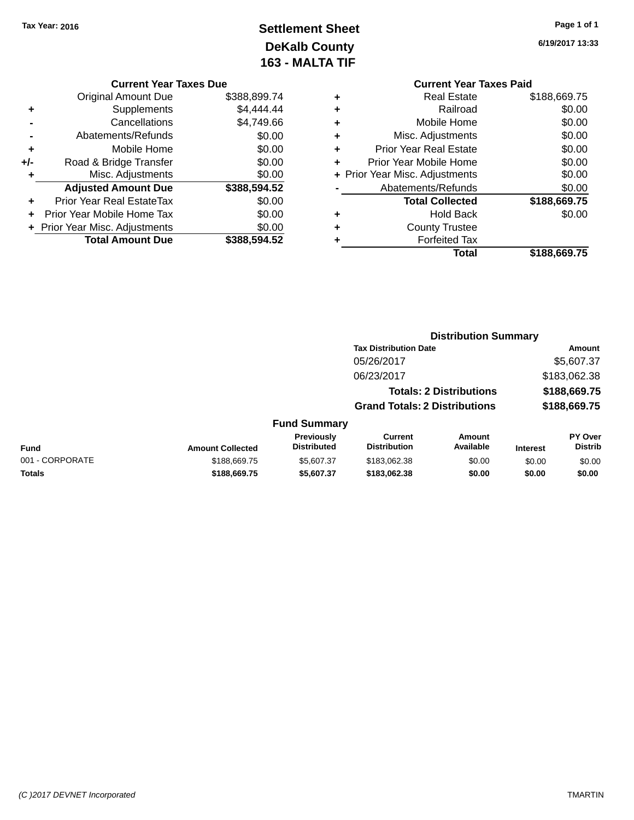# **Settlement Sheet Tax Year: 2016 Page 1 of 1 DeKalb County 163 - MALTA TIF**

**6/19/2017 13:33**

| <b>Current Year Taxes Due</b> |              |
|-------------------------------|--------------|
| Original Amount Due           | \$388,899.74 |

|       | <b>Total Amount Due</b>          | \$388,594.52            |
|-------|----------------------------------|-------------------------|
|       | + Prior Year Misc. Adjustments   | \$0.00                  |
|       | Prior Year Mobile Home Tax       | \$0.00                  |
| ÷     | <b>Prior Year Real EstateTax</b> | \$0.00                  |
|       | <b>Adjusted Amount Due</b>       | \$388,594.52            |
| ٠     | Misc. Adjustments                | \$0.00                  |
| $+/-$ | Road & Bridge Transfer           | \$0.00                  |
| ÷     | Mobile Home                      | \$0.00                  |
|       | Abatements/Refunds               | \$0.00                  |
|       | Cancellations                    | \$4,749.66              |
| ٠     | Supplements                      | \$4,444.44              |
|       | onginar mnoant bac               | 0000000000 <del>1</del> |

|   | <b>Current Year Taxes Paid</b> |              |
|---|--------------------------------|--------------|
|   | Real Estate                    | \$188,669.75 |
| ٠ | Railroad                       | \$0.00       |
|   | Mobile Home                    | \$0.00       |
| ٠ | Misc. Adjustments              | \$0.00       |
| ٠ | <b>Prior Year Real Estate</b>  | \$0.00       |
|   | Prior Year Mobile Home         | \$0.00       |
|   | + Prior Year Misc. Adjustments | \$0.00       |
|   | Abatements/Refunds             | \$0.00       |
|   | <b>Total Collected</b>         | \$188,669.75 |
|   | Hold Back                      | \$0.00       |
|   | <b>County Trustee</b>          |              |
|   | <b>Forfeited Tax</b>           |              |
|   | Total                          | \$188,669.75 |
|   |                                |              |

|                 |                         |                                  |                                       | <b>Distribution Summary</b>    |                 |                           |
|-----------------|-------------------------|----------------------------------|---------------------------------------|--------------------------------|-----------------|---------------------------|
|                 |                         |                                  | <b>Tax Distribution Date</b>          |                                |                 | <b>Amount</b>             |
|                 |                         |                                  | 05/26/2017                            |                                |                 | \$5,607.37                |
|                 |                         |                                  | 06/23/2017                            |                                |                 | \$183,062.38              |
|                 |                         |                                  |                                       | <b>Totals: 2 Distributions</b> |                 | \$188,669.75              |
|                 |                         |                                  | <b>Grand Totals: 2 Distributions</b>  |                                |                 | \$188,669.75              |
|                 |                         | <b>Fund Summary</b>              |                                       |                                |                 |                           |
| <b>Fund</b>     | <b>Amount Collected</b> | Previously<br><b>Distributed</b> | <b>Current</b><br><b>Distribution</b> | Amount<br>Available            | <b>Interest</b> | PY Over<br><b>Distrib</b> |
| 001 - CORPORATE | \$188,669.75            | \$5,607.37                       | \$183,062,38                          | \$0.00                         | \$0.00          | \$0.00                    |
| Totals          | \$188,669.75            | \$5,607.37                       | \$183,062.38                          | \$0.00                         | \$0.00          | \$0.00                    |
|                 |                         |                                  |                                       |                                |                 |                           |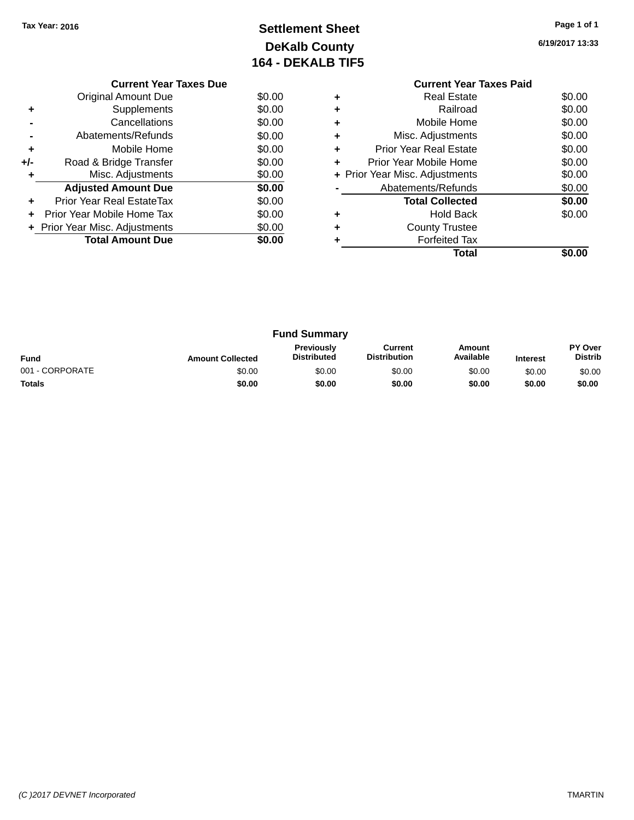# **Settlement Sheet Tax Year: 2016 Page 1 of 1 DeKalb County 164 - DEKALB TIF5**

**6/19/2017 13:33**

|     | <b>Current Year Taxes Due</b>  |        |
|-----|--------------------------------|--------|
|     | <b>Original Amount Due</b>     | \$0.00 |
|     | Supplements                    | \$0.00 |
|     | Cancellations                  | \$0.00 |
|     | Abatements/Refunds             | \$0.00 |
| ٠   | Mobile Home                    | \$0.00 |
| +/- | Road & Bridge Transfer         | \$0.00 |
|     | Misc. Adjustments              | \$0.00 |
|     | <b>Adjusted Amount Due</b>     | \$0.00 |
|     | Prior Year Real EstateTax      | \$0.00 |
|     | Prior Year Mobile Home Tax     | \$0.00 |
|     | + Prior Year Misc. Adjustments | \$0.00 |
|     | <b>Total Amount Due</b>        | \$0.00 |
|     |                                |        |

#### **Current Year Taxes Paid +** Real Estate \$0.00 **+** Railroad \$0.00 **+** Mobile Home \$0.00 **+** Misc. Adjustments \$0.00 **+** Prior Year Real Estate \$0.00 **+** Prior Year Mobile Home \$0.00<br> **+** Prior Year Misc. Adjustments \$0.00 **+ Prior Year Misc. Adjustments -** Abatements/Refunds \$0.00 **Total Collected \$0.00 +** Hold Back \$0.00 **+** County Trustee **+** Forfeited Tax **Total \$0.00**

|                 |                         | <b>Fund Summary</b>                     |                                |                     |                 |                           |
|-----------------|-------------------------|-----------------------------------------|--------------------------------|---------------------|-----------------|---------------------------|
| <b>Fund</b>     | <b>Amount Collected</b> | <b>Previously</b><br><b>Distributed</b> | Current<br><b>Distribution</b> | Amount<br>Available | <b>Interest</b> | PY Over<br><b>Distrib</b> |
| 001 - CORPORATE | \$0.00                  | \$0.00                                  | \$0.00                         | \$0.00              | \$0.00          | \$0.00                    |
| <b>Totals</b>   | \$0.00                  | \$0.00                                  | \$0.00                         | \$0.00              | \$0.00          | \$0.00                    |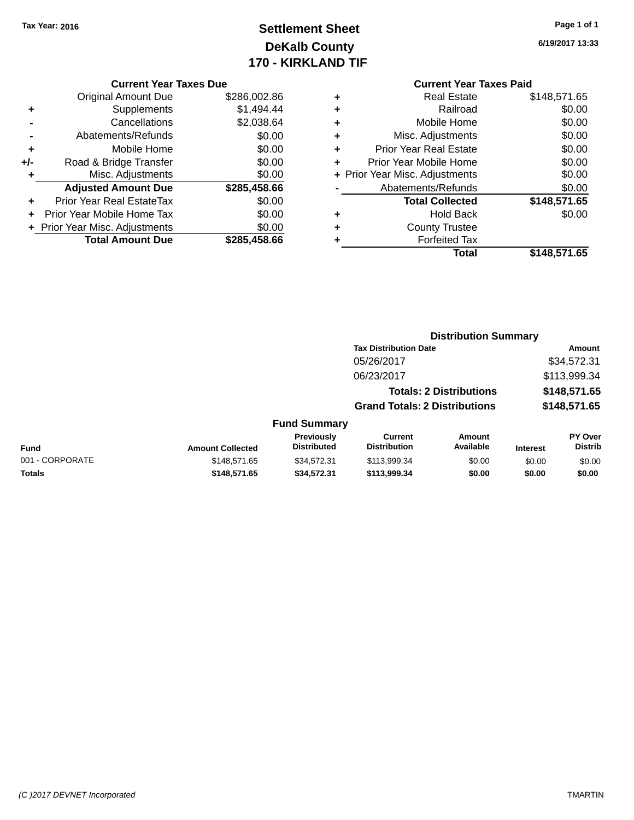# **Settlement Sheet Tax Year: 2016 Page 1 of 1 DeKalb County 170 - KIRKLAND TIF**

### **6/19/2017 13:33**

|     | <b>Current Year Taxes Due</b> |              |
|-----|-------------------------------|--------------|
|     | <b>Original Amount Due</b>    | \$286,002.86 |
| ٠   | Supplements                   | \$1,494.44   |
|     | Cancellations                 | \$2,038.64   |
|     | Abatements/Refunds            | \$0.00       |
| ٠   | Mobile Home                   | \$0.00       |
| +/- | Road & Bridge Transfer        | \$0.00       |
| ٠   | Misc. Adjustments             | \$0.00       |
|     | <b>Adjusted Amount Due</b>    | \$285,458.66 |
| ٠   | Prior Year Real EstateTax     | \$0.00       |
|     | Prior Year Mobile Home Tax    | \$0.00       |
|     | Prior Year Misc. Adjustments  | \$0.00       |
|     | <b>Total Amount Due</b>       | \$285,458.66 |
|     |                               |              |

| ٠ | <b>Real Estate</b>             | \$148,571.65 |
|---|--------------------------------|--------------|
| ٠ | Railroad                       | \$0.00       |
| ٠ | Mobile Home                    | \$0.00       |
| ٠ | Misc. Adjustments              | \$0.00       |
| ٠ | <b>Prior Year Real Estate</b>  | \$0.00       |
| ÷ | Prior Year Mobile Home         | \$0.00       |
|   | + Prior Year Misc. Adjustments | \$0.00       |
|   | Abatements/Refunds             | \$0.00       |
|   | <b>Total Collected</b>         | \$148,571.65 |
| ٠ | <b>Hold Back</b>               | \$0.00       |
| ÷ | <b>County Trustee</b>          |              |
| ٠ | <b>Forfeited Tax</b>           |              |
|   | Total                          | \$148,571.65 |
|   |                                |              |

|                         |                     |                                      | <b>Distribution Summary</b>    |                 |                |
|-------------------------|---------------------|--------------------------------------|--------------------------------|-----------------|----------------|
|                         |                     | <b>Tax Distribution Date</b>         |                                |                 | Amount         |
|                         |                     | 05/26/2017                           |                                |                 | \$34,572.31    |
|                         |                     | 06/23/2017                           |                                |                 | \$113,999.34   |
|                         |                     |                                      | <b>Totals: 2 Distributions</b> |                 | \$148,571.65   |
|                         |                     | <b>Grand Totals: 2 Distributions</b> |                                |                 | \$148,571.65   |
|                         | <b>Fund Summary</b> |                                      |                                |                 |                |
|                         | Previously          | Current                              | Amount                         |                 | <b>PY Over</b> |
| <b>Amount Collected</b> | <b>Distributed</b>  | <b>Distribution</b>                  | Available                      | <b>Interest</b> | <b>Distrib</b> |
|                         |                     |                                      |                                |                 |                |

| <b>Fund</b>     | <b>Amount Collected</b> | <b>Previously</b><br>Distributed | Current<br>Distribution | Amount<br>Available | <b>Interest</b> | <b>PY Over</b><br>Distrib |
|-----------------|-------------------------|----------------------------------|-------------------------|---------------------|-----------------|---------------------------|
| 001 - CORPORATE | \$148.571.65            | \$34.572.31                      | \$113,999.34            | \$0.00              | \$0.00          | \$0.00                    |
| <b>Totals</b>   | \$148,571,65            | \$34,572,31                      | \$113.999.34            | \$0.00              | \$0.00          | \$0.00                    |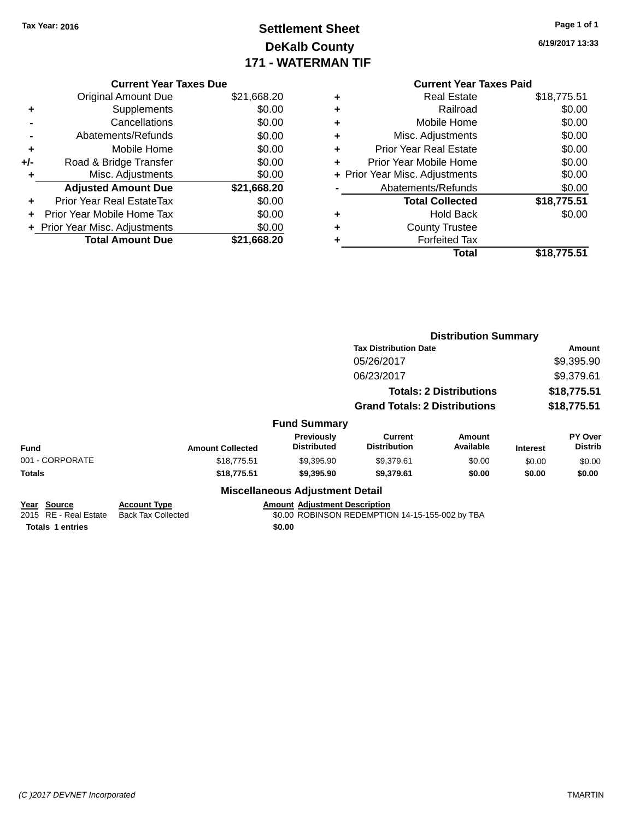# **Settlement Sheet Tax Year: 2016 Page 1 of 1 DeKalb County 171 - WATERMAN TIF**

**6/19/2017 13:33**

|     | <b>Current Year Taxes Due</b>  |             |
|-----|--------------------------------|-------------|
|     | <b>Original Amount Due</b>     | \$21,668.20 |
| ٠   | Supplements                    | \$0.00      |
|     | Cancellations                  | \$0.00      |
|     | Abatements/Refunds             | \$0.00      |
| ٠   | Mobile Home                    | \$0.00      |
| +/- | Road & Bridge Transfer         | \$0.00      |
|     | Misc. Adjustments              | \$0.00      |
|     | <b>Adjusted Amount Due</b>     | \$21,668.20 |
| ٠   | Prior Year Real EstateTax      | \$0.00      |
|     | Prior Year Mobile Home Tax     | \$0.00      |
|     | + Prior Year Misc. Adjustments | \$0.00      |
|     | <b>Total Amount Due</b>        | \$21.668.20 |
|     |                                |             |

| <b>Current Year Taxes Paid</b> |             |
|--------------------------------|-------------|
| <b>Real Estate</b><br>٠        | \$18,775.51 |
| Railroad<br>÷                  | \$0.00      |
| Mobile Home<br>٠               | \$0.00      |
| Misc. Adjustments<br>٠         | \$0.00      |
| Prior Year Real Estate<br>٠    | \$0.00      |
| Prior Year Mobile Home<br>÷    | \$0.00      |
| + Prior Year Misc. Adjustments | \$0.00      |
| Abatements/Refunds             | \$0.00      |
| <b>Total Collected</b>         | \$18,775.51 |
| Hold Back<br>٠                 | \$0.00      |
| <b>County Trustee</b>          |             |
| <b>Forfeited Tax</b><br>÷      |             |
| Total                          | \$18,775.51 |

|                                                                    |                                                  |                                                | <b>Distribution Summary</b>                     |                                |                           |                                  |
|--------------------------------------------------------------------|--------------------------------------------------|------------------------------------------------|-------------------------------------------------|--------------------------------|---------------------------|----------------------------------|
|                                                                    |                                                  |                                                | <b>Tax Distribution Date</b>                    | Amount                         |                           |                                  |
|                                                                    |                                                  |                                                | 05/26/2017                                      |                                | \$9,395.90                |                                  |
|                                                                    |                                                  |                                                | 06/23/2017                                      |                                | \$9,379.61<br>\$18,775.51 |                                  |
|                                                                    |                                                  |                                                |                                                 | <b>Totals: 2 Distributions</b> |                           |                                  |
|                                                                    |                                                  |                                                | <b>Grand Totals: 2 Distributions</b>            |                                | \$18,775.51               |                                  |
|                                                                    |                                                  | <b>Fund Summary</b>                            |                                                 |                                |                           |                                  |
| <b>Fund</b>                                                        | <b>Amount Collected</b>                          | <b>Previously</b><br><b>Distributed</b>        | <b>Current</b><br><b>Distribution</b>           | Amount<br>Available            | <b>Interest</b>           | <b>PY Over</b><br><b>Distrib</b> |
| 001 - CORPORATE                                                    | \$18,775.51                                      | \$9,395.90                                     | \$9,379.61                                      | \$0.00                         | \$0.00                    | \$0.00                           |
| <b>Totals</b>                                                      | \$18,775.51                                      | \$9,395.90                                     | \$9,379.61                                      | \$0.00                         | \$0.00                    | \$0.00                           |
|                                                                    |                                                  | <b>Miscellaneous Adjustment Detail</b>         |                                                 |                                |                           |                                  |
| Year<br>Source<br>2015 RE - Real Estate<br><b>Totals 1 entries</b> | <b>Account Type</b><br><b>Back Tax Collected</b> | <b>Amount Adjustment Description</b><br>\$0.00 | \$0.00 ROBINSON REDEMPTION 14-15-155-002 by TBA |                                |                           |                                  |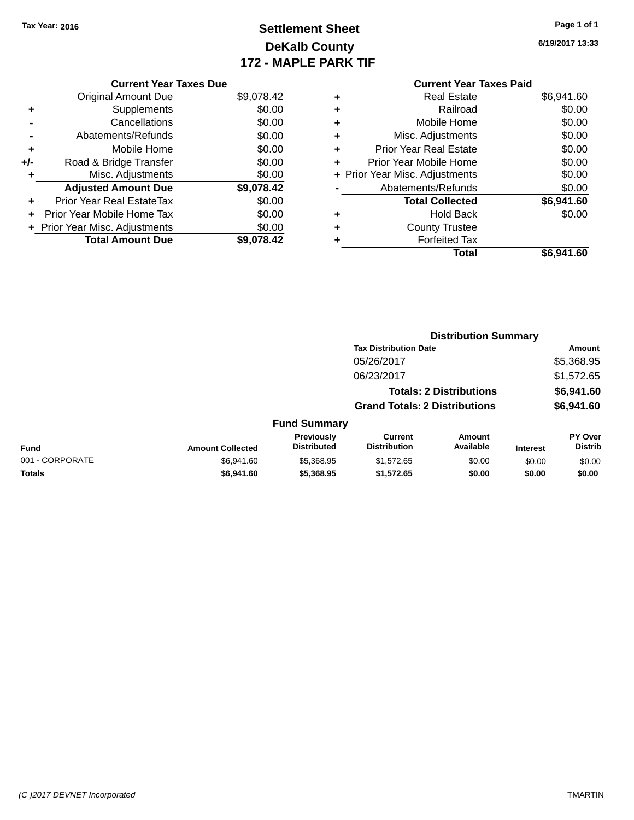# **Settlement Sheet Tax Year: 2016 Page 1 of 1 DeKalb County 172 - MAPLE PARK TIF**

**6/19/2017 13:33**

#### **Current Year Taxes Paid +** Real Estate \$6,941.60 **+** Railroad \$0.00 **+** Mobile Home \$0.00 **+** Misc. Adjustments \$0.00 **+** Prior Year Real Estate \$0.00 **+** Prior Year Mobile Home \$0.00 **+ Prior Year Misc. Adjustments**  $$0.00$ **-** Abatements/Refunds \$0.00 **Total Collected \$6,941.60 +** Hold Back \$0.00 **+** County Trustee **+** Forfeited Tax **Total \$6,941.60**

**Distribution Summary**

|     | <b>Current Year Taxes Due</b>  |            |
|-----|--------------------------------|------------|
|     | Original Amount Due            | \$9,078.42 |
| ٠   | Supplements                    | \$0.00     |
|     | Cancellations                  | \$0.00     |
|     | Abatements/Refunds             | \$0.00     |
| ٠   | Mobile Home                    | \$0.00     |
| +/- | Road & Bridge Transfer         | \$0.00     |
| ٠   | Misc. Adjustments              | \$0.00     |
|     | <b>Adjusted Amount Due</b>     | \$9,078.42 |
|     | Prior Year Real EstateTax      | \$0.00     |
| ÷   | Prior Year Mobile Home Tax     | \$0.00     |
|     | + Prior Year Misc. Adjustments | \$0.00     |
|     | <b>Total Amount Due</b>        | \$9.078.42 |
|     |                                |            |

|                 |                         |                                  | <b>Tax Distribution Date</b>          |                                |                 | Amount                    |
|-----------------|-------------------------|----------------------------------|---------------------------------------|--------------------------------|-----------------|---------------------------|
|                 |                         |                                  | 05/26/2017                            |                                |                 | \$5,368.95                |
|                 |                         |                                  | 06/23/2017                            |                                |                 | \$1,572.65                |
|                 |                         |                                  |                                       | <b>Totals: 2 Distributions</b> |                 | \$6,941.60                |
|                 |                         |                                  | <b>Grand Totals: 2 Distributions</b>  |                                |                 | \$6,941.60                |
|                 |                         | <b>Fund Summary</b>              |                                       |                                |                 |                           |
| <b>Fund</b>     | <b>Amount Collected</b> | Previously<br><b>Distributed</b> | <b>Current</b><br><b>Distribution</b> | <b>Amount</b><br>Available     | <b>Interest</b> | PY Over<br><b>Distrib</b> |
| 001 - CORPORATE | \$6,941.60              | \$5,368.95                       | \$1,572.65                            | \$0.00                         | \$0.00          | \$0.00                    |
| <b>Totals</b>   | \$6,941.60              | \$5,368.95                       | \$1,572.65                            | \$0.00                         | \$0.00          | \$0.00                    |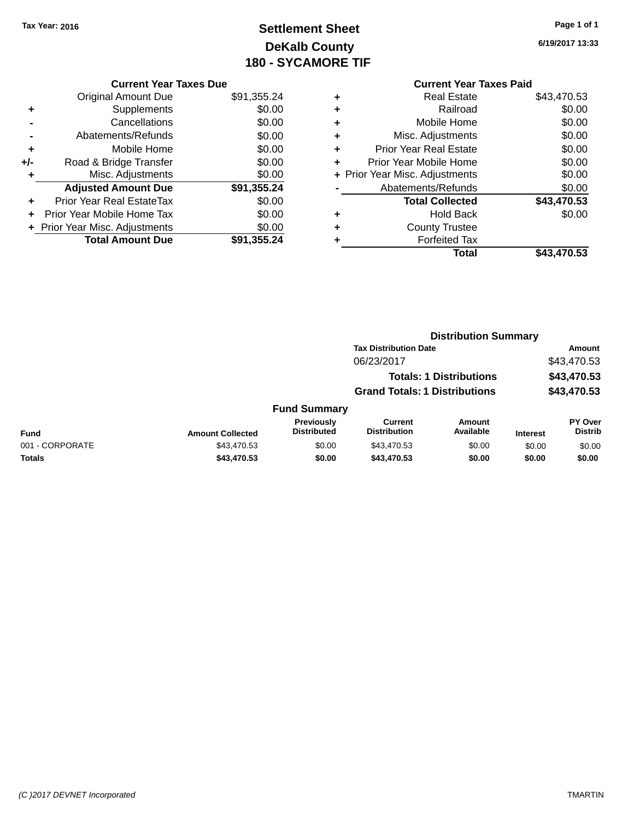# **Settlement Sheet Tax Year: 2016 Page 1 of 1 DeKalb County 180 - SYCAMORE TIF**

**6/19/2017 13:33**

|     | <b>Current Year Taxes Due</b>  |             |
|-----|--------------------------------|-------------|
|     | <b>Original Amount Due</b>     | \$91,355.24 |
| ٠   | Supplements                    | \$0.00      |
|     | Cancellations                  | \$0.00      |
|     | Abatements/Refunds             | \$0.00      |
| ٠   | Mobile Home                    | \$0.00      |
| +/- | Road & Bridge Transfer         | \$0.00      |
| ٠   | Misc. Adjustments              | \$0.00      |
|     | <b>Adjusted Amount Due</b>     | \$91,355.24 |
| ÷   | Prior Year Real EstateTax      | \$0.00      |
| ٠   | Prior Year Mobile Home Tax     | \$0.00      |
|     | + Prior Year Misc. Adjustments | \$0.00      |
|     | <b>Total Amount Due</b>        | \$91,355.24 |
|     |                                |             |

|   | <b>Current Year Taxes Paid</b> |             |
|---|--------------------------------|-------------|
| ٠ | Real Estate                    | \$43,470.53 |
| ٠ | Railroad                       | \$0.00      |
| ٠ | Mobile Home                    | \$0.00      |
| ٠ | Misc. Adjustments              | \$0.00      |
| ٠ | <b>Prior Year Real Estate</b>  | \$0.00      |
| ٠ | Prior Year Mobile Home         | \$0.00      |
|   | + Prior Year Misc. Adjustments | \$0.00      |
|   | Abatements/Refunds             | \$0.00      |
|   | <b>Total Collected</b>         | \$43,470.53 |
| ٠ | Hold Back                      | \$0.00      |
| ÷ | <b>County Trustee</b>          |             |
| ٠ | <b>Forfeited Tax</b>           |             |
|   | Total                          | \$43,470.53 |

|                 |                         |                                         |                                       | <b>Distribution Summary</b>    |                 |                           |
|-----------------|-------------------------|-----------------------------------------|---------------------------------------|--------------------------------|-----------------|---------------------------|
|                 |                         |                                         | <b>Tax Distribution Date</b>          |                                |                 | <b>Amount</b>             |
|                 |                         |                                         | 06/23/2017                            |                                |                 | \$43,470.53               |
|                 |                         |                                         |                                       | <b>Totals: 1 Distributions</b> |                 | \$43,470.53               |
|                 |                         |                                         | <b>Grand Totals: 1 Distributions</b>  |                                |                 | \$43,470.53               |
|                 |                         | <b>Fund Summary</b>                     |                                       |                                |                 |                           |
| <b>Fund</b>     | <b>Amount Collected</b> | <b>Previously</b><br><b>Distributed</b> | <b>Current</b><br><b>Distribution</b> | Amount<br>Available            | <b>Interest</b> | PY Over<br><b>Distrib</b> |
| 001 - CORPORATE | \$43,470.53             | \$0.00                                  | \$43,470.53                           | \$0.00                         | \$0.00          | \$0.00                    |
| <b>Totals</b>   | \$43,470.53             | \$0.00                                  | \$43,470.53                           | \$0.00                         | \$0.00          | \$0.00                    |
|                 |                         |                                         |                                       |                                |                 |                           |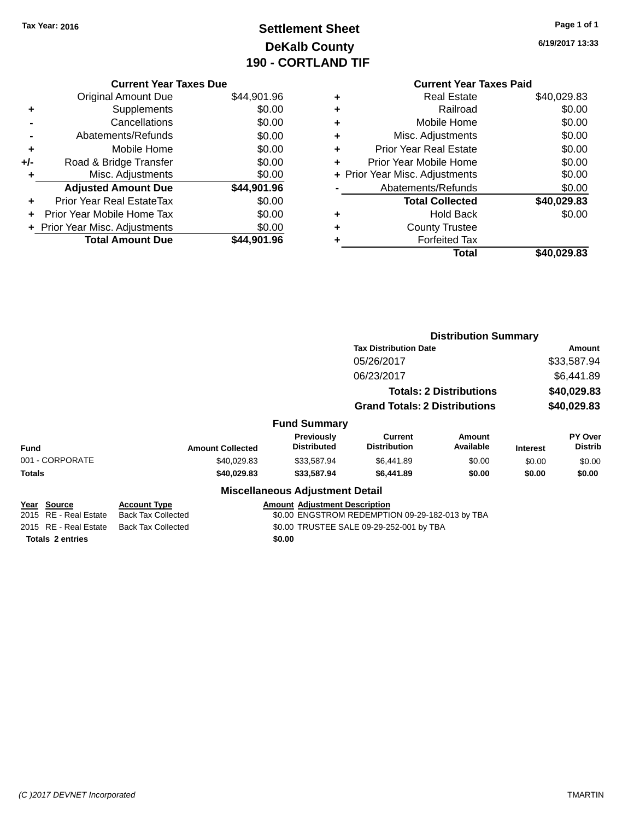# **Settlement Sheet Tax Year: 2016 Page 1 of 1 DeKalb County 190 - CORTLAND TIF**

| Page 1 of 1 |  |
|-------------|--|
|-------------|--|

**6/19/2017 13:33**

|     | <b>Current Year Taxes Due</b>  |             |
|-----|--------------------------------|-------------|
|     | <b>Original Amount Due</b>     | \$44,901.96 |
| ٠   | Supplements                    | \$0.00      |
|     | Cancellations                  | \$0.00      |
|     | Abatements/Refunds             | \$0.00      |
| ٠   | Mobile Home                    | \$0.00      |
| +/- | Road & Bridge Transfer         | \$0.00      |
| ٠   | Misc. Adjustments              | \$0.00      |
|     | <b>Adjusted Amount Due</b>     | \$44,901.96 |
|     | Prior Year Real EstateTax      | \$0.00      |
| ٠   | Prior Year Mobile Home Tax     | \$0.00      |
|     | + Prior Year Misc. Adjustments | \$0.00      |
|     | <b>Total Amount Due</b>        | \$44,901.96 |
|     |                                |             |

#### **Current Year Taxes Paid +** Real Estate \$40,029.83 **+** Railroad \$0.00 **+** Mobile Home \$0.00 **+** Misc. Adjustments \$0.00 **+** Prior Year Real Estate \$0.00 **+** Prior Year Mobile Home \$0.00 **+ Prior Year Misc. Adjustments**  $$0.00$ **-** Abatements/Refunds \$0.00 **Total Collected \$40,029.83 +** Hold Back \$0.00 **+** County Trustee **+** Forfeited Tax

**Total \$40,029.83**

|                         |                           |                                         | <b>Distribution Summary</b>                     |                                |                           |                                  |
|-------------------------|---------------------------|-----------------------------------------|-------------------------------------------------|--------------------------------|---------------------------|----------------------------------|
|                         |                           |                                         | <b>Tax Distribution Date</b>                    |                                | Amount                    |                                  |
|                         |                           |                                         | 05/26/2017<br>06/23/2017                        |                                | \$33,587.94<br>\$6,441.89 |                                  |
|                         |                           |                                         |                                                 |                                |                           |                                  |
|                         |                           |                                         |                                                 | <b>Totals: 2 Distributions</b> | \$40,029.83               |                                  |
|                         |                           |                                         | <b>Grand Totals: 2 Distributions</b>            |                                |                           | \$40,029.83                      |
|                         |                           | <b>Fund Summary</b>                     |                                                 |                                |                           |                                  |
| <b>Fund</b>             | <b>Amount Collected</b>   | <b>Previously</b><br><b>Distributed</b> | <b>Current</b><br><b>Distribution</b>           | <b>Amount</b><br>Available     | <b>Interest</b>           | <b>PY Over</b><br><b>Distrib</b> |
| 001 - CORPORATE         | \$40,029.83               | \$33,587.94                             | \$6,441.89                                      | \$0.00                         | \$0.00                    | \$0.00                           |
| <b>Totals</b>           | \$40,029.83               | \$33,587.94                             | \$6,441.89                                      | \$0.00                         | \$0.00                    | \$0.00                           |
|                         |                           | <b>Miscellaneous Adjustment Detail</b>  |                                                 |                                |                           |                                  |
| Year Source             | <b>Account Type</b>       | <b>Amount Adjustment Description</b>    |                                                 |                                |                           |                                  |
| 2015 RE - Real Estate   | <b>Back Tax Collected</b> |                                         | \$0.00 ENGSTROM REDEMPTION 09-29-182-013 by TBA |                                |                           |                                  |
| 2015 RE - Real Estate   | <b>Back Tax Collected</b> |                                         | \$0.00 TRUSTEE SALE 09-29-252-001 by TBA        |                                |                           |                                  |
| <b>Totals 2 entries</b> |                           | \$0.00                                  |                                                 |                                |                           |                                  |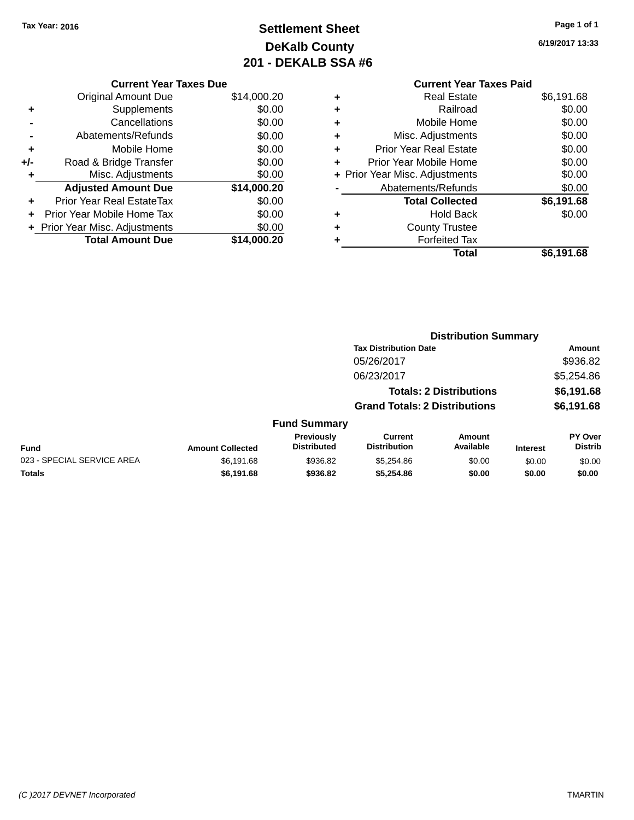# **Settlement Sheet Tax Year: 2016 Page 1 of 1 DeKalb County 201 - DEKALB SSA #6**

**6/19/2017 13:33**

|     | <b>Current Year Taxes Due</b> |             |
|-----|-------------------------------|-------------|
|     | Original Amount Due           | \$14,000.20 |
| ٠   | Supplements                   | \$0.00      |
|     | Cancellations                 | \$0.00      |
|     | Abatements/Refunds            | \$0.00      |
| ٠   | Mobile Home                   | \$0.00      |
| +/- | Road & Bridge Transfer        | \$0.00      |
| ÷   | Misc. Adjustments             | \$0.00      |
|     | <b>Adjusted Amount Due</b>    | \$14,000.20 |
| ÷   | Prior Year Real EstateTax     | \$0.00      |
|     | Prior Year Mobile Home Tax    | \$0.00      |
|     | Prior Year Misc. Adjustments  | \$0.00      |
|     | <b>Total Amount Due</b>       | \$14,000.20 |
|     |                               |             |

#### **Current Year Taxes Paid +** Real Estate \$6,191.68 **+** Railroad \$0.00 **+** Mobile Home \$0.00 **+** Misc. Adjustments \$0.00 **+** Prior Year Real Estate \$0.00 **+** Prior Year Mobile Home \$0.00 **+ Prior Year Misc. Adjustments**  $$0.00$ **-** Abatements/Refunds \$0.00 **Total Collected \$6,191.68 +** Hold Back \$0.00 **+** County Trustee **+** Forfeited Tax **Total \$6,191.68**

|                            |                         |                                  | <b>Distribution Summary</b>           |                                |                 |                                  |
|----------------------------|-------------------------|----------------------------------|---------------------------------------|--------------------------------|-----------------|----------------------------------|
|                            |                         |                                  | <b>Tax Distribution Date</b>          |                                |                 | Amount                           |
|                            |                         |                                  | 05/26/2017                            |                                |                 | \$936.82                         |
|                            |                         |                                  | 06/23/2017                            |                                |                 | \$5,254.86                       |
|                            |                         |                                  |                                       | <b>Totals: 2 Distributions</b> |                 | \$6,191.68                       |
|                            |                         |                                  | <b>Grand Totals: 2 Distributions</b>  |                                |                 | \$6,191.68                       |
|                            |                         | <b>Fund Summary</b>              |                                       |                                |                 |                                  |
| Fund                       | <b>Amount Collected</b> | Previously<br><b>Distributed</b> | <b>Current</b><br><b>Distribution</b> | Amount<br>Available            | <b>Interest</b> | <b>PY Over</b><br><b>Distrib</b> |
| 023 - SPECIAL SERVICE AREA | \$6,191.68              | \$936.82                         | \$5,254.86                            | \$0.00                         | \$0.00          | \$0.00                           |
| <b>Totals</b>              | \$6,191.68              | \$936.82                         | \$5,254.86                            | \$0.00                         | \$0.00          | \$0.00                           |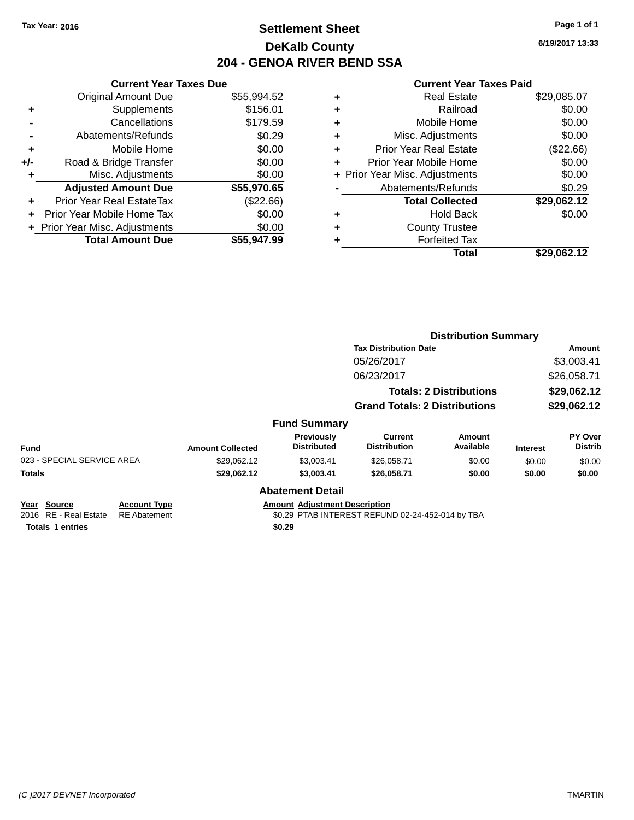## **Settlement Sheet Tax Year: 2016 Page 1 of 1 DeKalb County 204 - GENOA RIVER BEND SSA**

**6/19/2017 13:33**

|     | <b>Current Year Taxes Due</b><br><b>Original Amount Due</b> | \$55,994.52 |
|-----|-------------------------------------------------------------|-------------|
| ٠   | Supplements                                                 | \$156.01    |
|     | Cancellations                                               | \$179.59    |
|     | Abatements/Refunds                                          | \$0.29      |
| ٠   | Mobile Home                                                 | \$0.00      |
| +/- | Road & Bridge Transfer                                      | \$0.00      |
| ٠   | Misc. Adjustments                                           | \$0.00      |
|     |                                                             |             |
|     | <b>Adjusted Amount Due</b>                                  | \$55,970.65 |
| ٠   | Prior Year Real EstateTax                                   | (\$22.66)   |
| ÷   | Prior Year Mobile Home Tax                                  | \$0.00      |
|     | + Prior Year Misc. Adjustments                              | \$0.00      |

|   | <b>Real Estate</b>             | \$29,085.07 |
|---|--------------------------------|-------------|
| ٠ | Railroad                       | \$0.00      |
| ٠ | Mobile Home                    | \$0.00      |
| ٠ | Misc. Adjustments              | \$0.00      |
| ٠ | <b>Prior Year Real Estate</b>  | (\$22.66)   |
| ٠ | Prior Year Mobile Home         | \$0.00      |
|   | + Prior Year Misc. Adjustments | \$0.00      |
|   | Abatements/Refunds             | \$0.29      |
|   | <b>Total Collected</b>         | \$29,062.12 |
| ٠ | Hold Back                      | \$0.00      |
| ٠ | <b>County Trustee</b>          |             |
| ٠ | <b>Forfeited Tax</b>           |             |
|   | Total                          | \$29,062.12 |
|   |                                |             |

|                                                                 |                                            |                         |                                                | <b>Distribution Summary</b>                      |                                |                 |                           |
|-----------------------------------------------------------------|--------------------------------------------|-------------------------|------------------------------------------------|--------------------------------------------------|--------------------------------|-----------------|---------------------------|
|                                                                 |                                            |                         |                                                | <b>Tax Distribution Date</b>                     |                                |                 | <b>Amount</b>             |
|                                                                 |                                            |                         |                                                | 05/26/2017                                       |                                |                 | \$3,003.41                |
|                                                                 |                                            |                         |                                                | 06/23/2017                                       |                                |                 | \$26,058.71               |
|                                                                 |                                            |                         |                                                |                                                  | <b>Totals: 2 Distributions</b> |                 | \$29,062.12               |
|                                                                 |                                            |                         |                                                | <b>Grand Totals: 2 Distributions</b>             |                                |                 | \$29,062.12               |
|                                                                 |                                            |                         | <b>Fund Summary</b>                            |                                                  |                                |                 |                           |
| <b>Fund</b>                                                     |                                            | <b>Amount Collected</b> | Previously<br><b>Distributed</b>               | <b>Current</b><br><b>Distribution</b>            | <b>Amount</b><br>Available     | <b>Interest</b> | PY Over<br><b>Distrib</b> |
| 023 - SPECIAL SERVICE AREA                                      |                                            | \$29,062.12             | \$3,003.41                                     | \$26,058.71                                      | \$0.00                         | \$0.00          | \$0.00                    |
| <b>Totals</b>                                                   |                                            | \$29,062.12             | \$3,003.41                                     | \$26,058.71                                      | \$0.00                         | \$0.00          | \$0.00                    |
|                                                                 |                                            |                         | <b>Abatement Detail</b>                        |                                                  |                                |                 |                           |
| Year Source<br>2016 RE - Real Estate<br><b>Totals 1 entries</b> | <b>Account Type</b><br><b>RE</b> Abatement |                         | <b>Amount Adjustment Description</b><br>\$0.29 | \$0.29 PTAB INTEREST REFUND 02-24-452-014 by TBA |                                |                 |                           |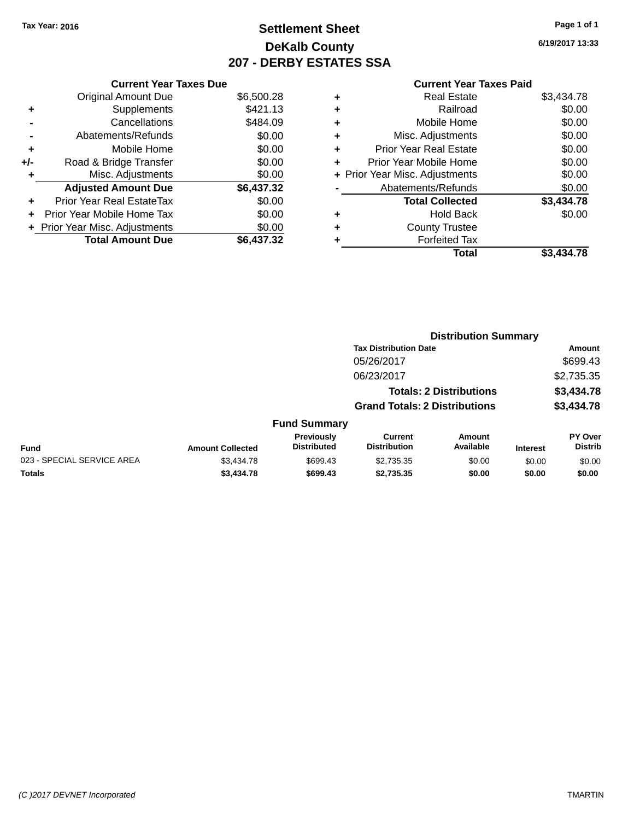## **Settlement Sheet Tax Year: 2016 Page 1 of 1 DeKalb County 207 - DERBY ESTATES SSA**

**6/19/2017 13:33**

|     | <b>Current Year Taxes Due</b>  |            |
|-----|--------------------------------|------------|
|     | <b>Original Amount Due</b>     | \$6,500.28 |
| ٠   | Supplements                    | \$421.13   |
|     | Cancellations                  | \$484.09   |
|     | Abatements/Refunds             | \$0.00     |
| ٠   | Mobile Home                    | \$0.00     |
| +/- | Road & Bridge Transfer         | \$0.00     |
| ٠   | Misc. Adjustments              | \$0.00     |
|     | <b>Adjusted Amount Due</b>     | \$6,437.32 |
| ÷   | Prior Year Real EstateTax      | \$0.00     |
| ÷   | Prior Year Mobile Home Tax     | \$0.00     |
|     | + Prior Year Misc. Adjustments | \$0.00     |
|     | <b>Total Amount Due</b>        | \$6.437.32 |

| ٠ | <b>Real Estate</b>             | \$3,434.78 |
|---|--------------------------------|------------|
| ٠ | Railroad                       | \$0.00     |
| ٠ | Mobile Home                    | \$0.00     |
| ٠ | Misc. Adjustments              | \$0.00     |
| ٠ | <b>Prior Year Real Estate</b>  | \$0.00     |
| ٠ | Prior Year Mobile Home         | \$0.00     |
|   | + Prior Year Misc. Adjustments | \$0.00     |
|   | Abatements/Refunds             | \$0.00     |
|   | <b>Total Collected</b>         | \$3,434.78 |
| ٠ | <b>Hold Back</b>               | \$0.00     |
| ٠ | <b>County Trustee</b>          |            |
|   | <b>Forfeited Tax</b>           |            |
|   | Total                          | \$3.434.78 |
|   |                                |            |

|                            |                         |                                  |                                       | <b>Distribution Summary</b>    |                 |                           |
|----------------------------|-------------------------|----------------------------------|---------------------------------------|--------------------------------|-----------------|---------------------------|
|                            |                         |                                  | <b>Tax Distribution Date</b>          |                                |                 | <b>Amount</b>             |
|                            |                         |                                  | 05/26/2017                            |                                |                 | \$699.43                  |
|                            |                         |                                  | 06/23/2017                            |                                |                 | \$2,735.35                |
|                            |                         |                                  |                                       | <b>Totals: 2 Distributions</b> |                 | \$3,434.78                |
|                            |                         |                                  | <b>Grand Totals: 2 Distributions</b>  |                                |                 | \$3,434.78                |
|                            |                         | <b>Fund Summary</b>              |                                       |                                |                 |                           |
| <b>Fund</b>                | <b>Amount Collected</b> | Previously<br><b>Distributed</b> | <b>Current</b><br><b>Distribution</b> | <b>Amount</b><br>Available     | <b>Interest</b> | PY Over<br><b>Distrib</b> |
| 023 - SPECIAL SERVICE AREA | \$3,434.78              | \$699.43                         | \$2,735.35                            | \$0.00                         | \$0.00          | \$0.00                    |
| <b>Totals</b>              | \$3,434.78              | \$699.43                         | \$2,735.35                            | \$0.00                         | \$0.00          | \$0.00                    |
|                            |                         |                                  |                                       |                                |                 |                           |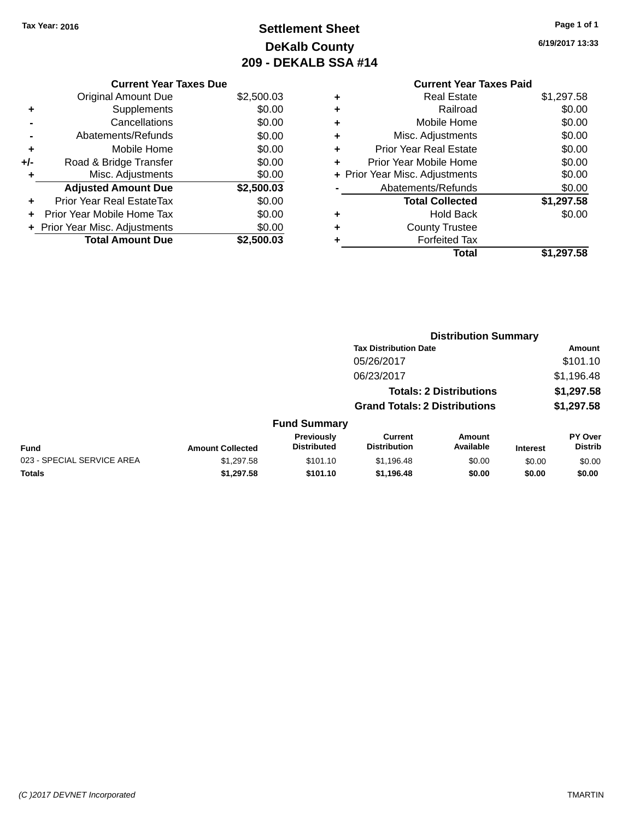# **Settlement Sheet Tax Year: 2016 Page 1 of 1 DeKalb County 209 - DEKALB SSA #14**

**6/19/2017 13:33**

|     | <b>Current Year Taxes Due</b>  |            |
|-----|--------------------------------|------------|
|     | <b>Original Amount Due</b>     | \$2,500.03 |
| ٠   | Supplements                    | \$0.00     |
|     | Cancellations                  | \$0.00     |
|     | Abatements/Refunds             | \$0.00     |
| ٠   | Mobile Home                    | \$0.00     |
| +/- | Road & Bridge Transfer         | \$0.00     |
|     | Misc. Adjustments              | \$0.00     |
|     | <b>Adjusted Amount Due</b>     | \$2,500.03 |
|     | Prior Year Real EstateTax      | \$0.00     |
| ÷   | Prior Year Mobile Home Tax     | \$0.00     |
|     | + Prior Year Misc. Adjustments | \$0.00     |
|     | <b>Total Amount Due</b>        | \$2,500.03 |

#### **Current Year Taxes Paid +** Real Estate \$1,297.58 **+** Railroad \$0.00 **+** Mobile Home \$0.00 **+** Misc. Adjustments \$0.00 **+** Prior Year Real Estate \$0.00 **+** Prior Year Mobile Home \$0.00 **+ Prior Year Misc. Adjustments**  $$0.00$ **-** Abatements/Refunds \$0.00 **Total Collected \$1,297.58 +** Hold Back \$0.00 **+** County Trustee **+** Forfeited Tax

**Total \$1,297.58**

|                            |                         |                                  | <b>Distribution Summary</b>           |                                |                 |                           |
|----------------------------|-------------------------|----------------------------------|---------------------------------------|--------------------------------|-----------------|---------------------------|
|                            |                         |                                  | <b>Tax Distribution Date</b>          |                                |                 | <b>Amount</b>             |
|                            |                         |                                  | 05/26/2017                            |                                |                 | \$101.10                  |
|                            |                         |                                  | 06/23/2017                            |                                |                 | \$1,196.48                |
|                            |                         |                                  |                                       | <b>Totals: 2 Distributions</b> |                 | \$1,297.58                |
|                            |                         |                                  | <b>Grand Totals: 2 Distributions</b>  |                                |                 | \$1,297.58                |
|                            |                         | <b>Fund Summary</b>              |                                       |                                |                 |                           |
| Fund                       | <b>Amount Collected</b> | Previously<br><b>Distributed</b> | <b>Current</b><br><b>Distribution</b> | Amount<br>Available            | <b>Interest</b> | PY Over<br><b>Distrib</b> |
| 023 - SPECIAL SERVICE AREA | \$1,297.58              | \$101.10                         | \$1,196.48                            | \$0.00                         | \$0.00          | \$0.00                    |
| <b>Totals</b>              | \$1,297.58              | \$101.10                         | \$1,196.48                            | \$0.00                         | \$0.00          | \$0.00                    |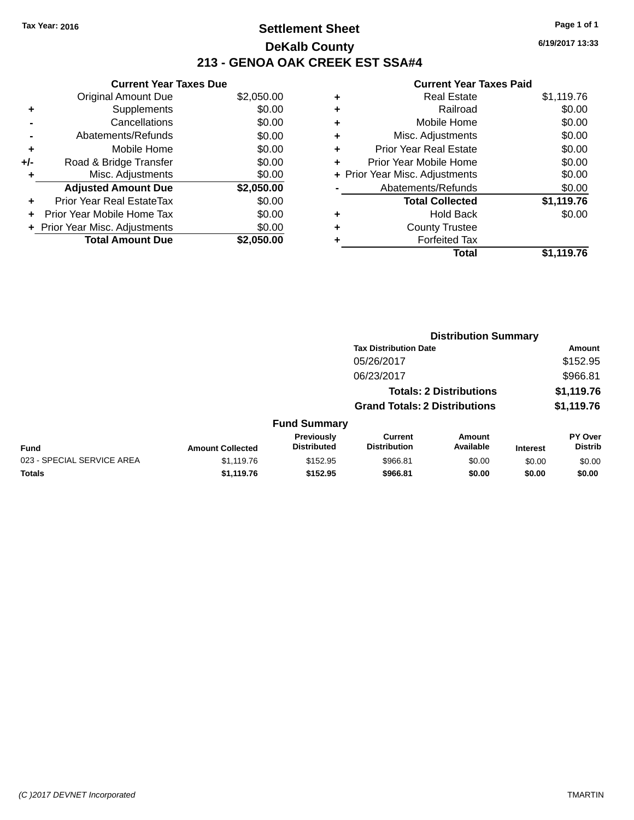### **Settlement Sheet Tax Year: 2016 Page 1 of 1 DeKalb County 213 - GENOA OAK CREEK EST SSA#4**

|     | <b>Current Year Taxes Due</b>  |            |
|-----|--------------------------------|------------|
|     | <b>Original Amount Due</b>     | \$2,050.00 |
| ٠   | Supplements                    | \$0.00     |
|     | Cancellations                  | \$0.00     |
|     | Abatements/Refunds             | \$0.00     |
| ٠   | Mobile Home                    | \$0.00     |
| +/- | Road & Bridge Transfer         | \$0.00     |
| ۰   | Misc. Adjustments              | \$0.00     |
|     | <b>Adjusted Amount Due</b>     | \$2,050.00 |
| ÷   | Prior Year Real EstateTax      | \$0.00     |
|     | Prior Year Mobile Home Tax     | \$0.00     |
|     | + Prior Year Misc. Adjustments | \$0.00     |
|     | <b>Total Amount Due</b>        | \$2,050.00 |

|   | <b>Real Estate</b>             | \$1,119.76 |
|---|--------------------------------|------------|
| ٠ | Railroad                       | \$0.00     |
| ٠ | Mobile Home                    | \$0.00     |
| ٠ | Misc. Adjustments              | \$0.00     |
| ٠ | <b>Prior Year Real Estate</b>  | \$0.00     |
| ٠ | Prior Year Mobile Home         | \$0.00     |
|   | + Prior Year Misc. Adjustments | \$0.00     |
|   | Abatements/Refunds             | \$0.00     |
|   | <b>Total Collected</b>         | \$1,119.76 |
| ۰ | <b>Hold Back</b>               | \$0.00     |
| ٠ | <b>County Trustee</b>          |            |
| ۰ | <b>Forfeited Tax</b>           |            |
|   | Total                          | \$1,119.76 |
|   |                                |            |

|                            | <b>Distribution Summary</b> |                                  |                                       |                                |                 |                                  |
|----------------------------|-----------------------------|----------------------------------|---------------------------------------|--------------------------------|-----------------|----------------------------------|
|                            |                             |                                  | <b>Tax Distribution Date</b>          |                                |                 | Amount                           |
|                            |                             |                                  | 05/26/2017                            |                                |                 | \$152.95                         |
|                            |                             |                                  | 06/23/2017                            |                                |                 | \$966.81                         |
|                            |                             |                                  |                                       | <b>Totals: 2 Distributions</b> |                 | \$1,119.76                       |
|                            |                             |                                  | <b>Grand Totals: 2 Distributions</b>  |                                |                 | \$1,119.76                       |
|                            |                             | <b>Fund Summary</b>              |                                       |                                |                 |                                  |
| <b>Fund</b>                | <b>Amount Collected</b>     | Previously<br><b>Distributed</b> | <b>Current</b><br><b>Distribution</b> | Amount<br>Available            | <b>Interest</b> | <b>PY Over</b><br><b>Distrib</b> |
| 023 - SPECIAL SERVICE AREA | \$1,119.76                  | \$152.95                         | \$966.81                              | \$0.00                         | \$0.00          | \$0.00                           |
| <b>Totals</b>              | \$1,119.76                  | \$152.95                         | \$966.81                              | \$0.00                         | \$0.00          | \$0.00                           |
|                            |                             |                                  |                                       |                                |                 |                                  |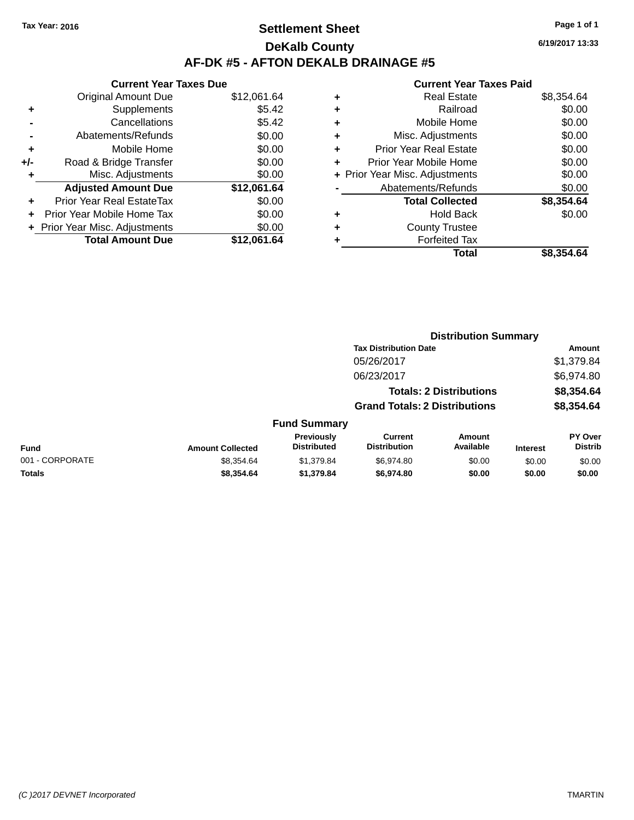### **Settlement Sheet Tax Year: 2016 Page 1 of 1 DeKalb County AF-DK #5 - AFTON DEKALB DRAINAGE #5**

|     | <b>Current Year Taxes Due</b>    |             |  |  |  |  |  |
|-----|----------------------------------|-------------|--|--|--|--|--|
|     | <b>Original Amount Due</b>       | \$12,061.64 |  |  |  |  |  |
|     | Supplements                      | \$5.42      |  |  |  |  |  |
|     | Cancellations                    | \$5.42      |  |  |  |  |  |
|     | Abatements/Refunds               | \$0.00      |  |  |  |  |  |
| ÷   | Mobile Home                      | \$0.00      |  |  |  |  |  |
| +/- | Road & Bridge Transfer           | \$0.00      |  |  |  |  |  |
|     | Misc. Adjustments                | \$0.00      |  |  |  |  |  |
|     | <b>Adjusted Amount Due</b>       | \$12,061.64 |  |  |  |  |  |
|     | <b>Prior Year Real EstateTax</b> | \$0.00      |  |  |  |  |  |
|     | Prior Year Mobile Home Tax       | \$0.00      |  |  |  |  |  |
|     | + Prior Year Misc. Adjustments   | \$0.00      |  |  |  |  |  |
|     | <b>Total Amount Due</b>          | \$12.061.64 |  |  |  |  |  |

#### **Current Year Taxes Paid**

| ٠ | <b>Real Estate</b>             | \$8,354.64 |
|---|--------------------------------|------------|
| ٠ | Railroad                       | \$0.00     |
| ٠ | Mobile Home                    | \$0.00     |
| ٠ | Misc. Adjustments              | \$0.00     |
| ٠ | <b>Prior Year Real Estate</b>  | \$0.00     |
| ٠ | Prior Year Mobile Home         | \$0.00     |
|   | + Prior Year Misc. Adjustments | \$0.00     |
|   | Abatements/Refunds             | \$0.00     |
|   | <b>Total Collected</b>         | \$8,354.64 |
| ٠ | <b>Hold Back</b>               | \$0.00     |
| ٠ | <b>County Trustee</b>          |            |
| ٠ | <b>Forfeited Tax</b>           |            |
|   | Total                          | \$8,354,64 |
|   |                                |            |

| 6/19/2017 13:33 |  |
|-----------------|--|
|                 |  |

|                 |                         |                                  |                                       | <b>Distribution Summary</b>    |                 |                           |
|-----------------|-------------------------|----------------------------------|---------------------------------------|--------------------------------|-----------------|---------------------------|
|                 |                         |                                  | <b>Tax Distribution Date</b>          |                                |                 | Amount                    |
|                 |                         |                                  | 05/26/2017                            |                                |                 | \$1,379.84                |
|                 |                         |                                  | 06/23/2017                            |                                |                 | \$6,974.80                |
|                 |                         |                                  |                                       | <b>Totals: 2 Distributions</b> |                 | \$8,354.64                |
|                 |                         |                                  | <b>Grand Totals: 2 Distributions</b>  |                                |                 | \$8,354.64                |
|                 |                         | <b>Fund Summary</b>              |                                       |                                |                 |                           |
| <b>Fund</b>     | <b>Amount Collected</b> | Previously<br><b>Distributed</b> | <b>Current</b><br><b>Distribution</b> | <b>Amount</b><br>Available     | <b>Interest</b> | PY Over<br><b>Distrib</b> |
| 001 - CORPORATE | \$8,354.64              | \$1,379.84                       | \$6,974.80                            | \$0.00                         | \$0.00          | \$0.00                    |
| <b>Totals</b>   | \$8,354.64              | \$1,379.84                       | \$6,974.80                            | \$0.00                         | \$0.00          | \$0.00                    |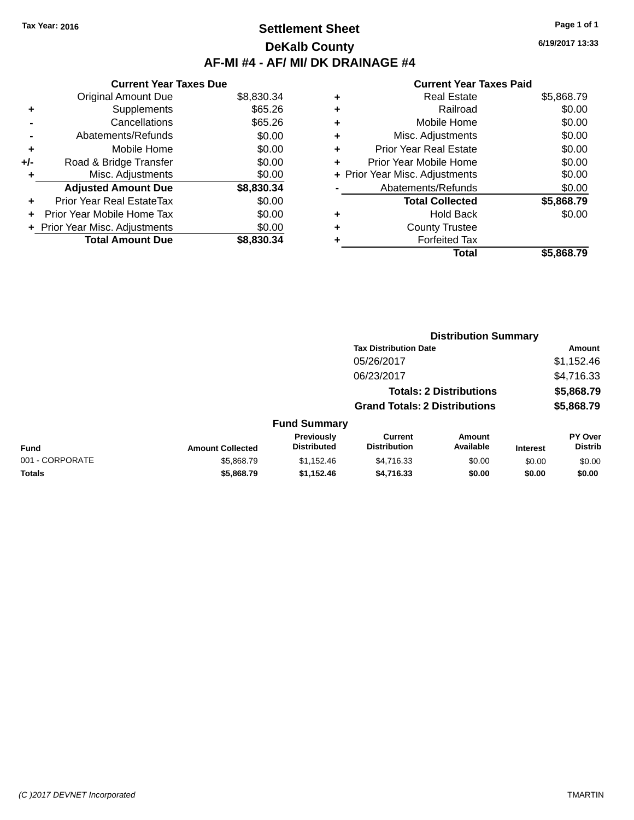### **Settlement Sheet Tax Year: 2016 Page 1 of 1 DeKalb County AF-MI #4 - AF/ MI/ DK DRAINAGE #4**

**6/19/2017 13:33**

|     | <b>Current Year Taxes Due</b>  |            |
|-----|--------------------------------|------------|
|     | <b>Original Amount Due</b>     | \$8,830.34 |
| ٠   | Supplements                    | \$65.26    |
|     | Cancellations                  | \$65.26    |
|     | Abatements/Refunds             | \$0.00     |
| ٠   | Mobile Home                    | \$0.00     |
| +/- | Road & Bridge Transfer         | \$0.00     |
|     | Misc. Adjustments              | \$0.00     |
|     | <b>Adjusted Amount Due</b>     | \$8,830.34 |
| ٠   | Prior Year Real EstateTax      | \$0.00     |
| ÷   | Prior Year Mobile Home Tax     | \$0.00     |
|     | + Prior Year Misc. Adjustments | \$0.00     |
|     | <b>Total Amount Due</b>        | \$8,830,34 |

|   | <b>Real Estate</b>             | \$5,868.79 |
|---|--------------------------------|------------|
| ٠ | Railroad                       | \$0.00     |
| ٠ | Mobile Home                    | \$0.00     |
| ٠ | Misc. Adjustments              | \$0.00     |
| ٠ | <b>Prior Year Real Estate</b>  | \$0.00     |
| ٠ | Prior Year Mobile Home         | \$0.00     |
|   | + Prior Year Misc. Adjustments | \$0.00     |
|   | Abatements/Refunds             | \$0.00     |
|   | <b>Total Collected</b>         | \$5,868.79 |
| ٠ | <b>Hold Back</b>               | \$0.00     |
| ٠ | <b>County Trustee</b>          |            |
| ٠ | <b>Forfeited Tax</b>           |            |
|   | Total                          | \$5.868.79 |
|   |                                |            |

|                 |                         |                                  | <b>Distribution Summary</b>           |                     |                 |                           |
|-----------------|-------------------------|----------------------------------|---------------------------------------|---------------------|-----------------|---------------------------|
|                 |                         |                                  | <b>Tax Distribution Date</b>          |                     |                 | Amount                    |
|                 |                         |                                  | 05/26/2017                            |                     |                 | \$1,152.46                |
|                 |                         |                                  | 06/23/2017                            |                     |                 | \$4,716.33                |
|                 |                         |                                  | <b>Totals: 2 Distributions</b>        |                     |                 | \$5,868.79                |
|                 |                         |                                  | <b>Grand Totals: 2 Distributions</b>  |                     |                 | \$5,868.79                |
|                 |                         | <b>Fund Summary</b>              |                                       |                     |                 |                           |
| <b>Fund</b>     | <b>Amount Collected</b> | Previously<br><b>Distributed</b> | <b>Current</b><br><b>Distribution</b> | Amount<br>Available | <b>Interest</b> | PY Over<br><b>Distrib</b> |
| 001 - CORPORATE | \$5,868,79              | \$1,152.46                       | \$4,716.33                            | \$0.00              | \$0.00          | \$0.00                    |
| <b>Totals</b>   | \$5,868.79              | \$1,152.46                       | \$4,716.33                            | \$0.00              | \$0.00          | \$0.00                    |
|                 |                         |                                  |                                       |                     |                 |                           |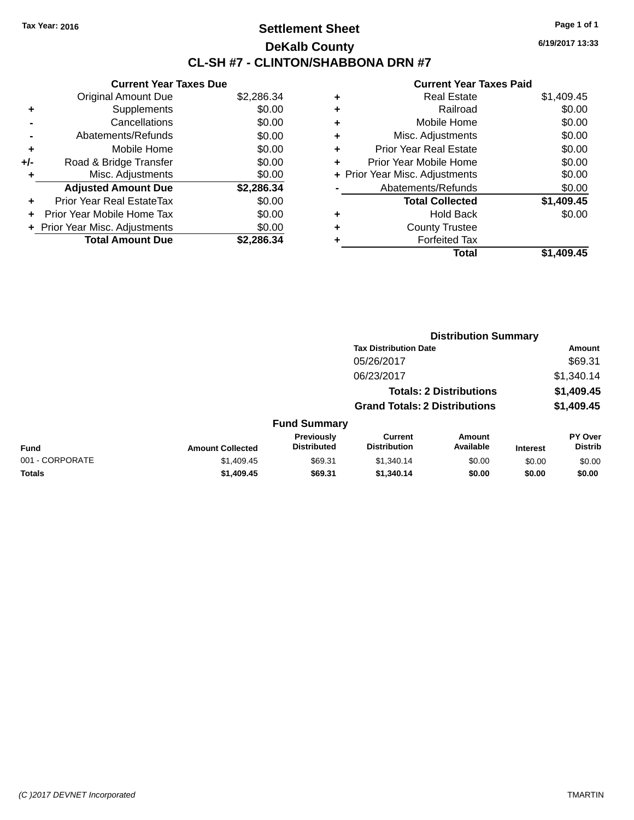### **Settlement Sheet Tax Year: 2016 Page 1 of 1 DeKalb County CL-SH #7 - CLINTON/SHABBONA DRN #7**

**6/19/2017 13:33**

|     | <b>Current Year Taxes Due</b>  |            |
|-----|--------------------------------|------------|
|     | <b>Original Amount Due</b>     | \$2,286.34 |
| ÷   | Supplements                    | \$0.00     |
|     | Cancellations                  | \$0.00     |
|     | Abatements/Refunds             | \$0.00     |
| ٠   | Mobile Home                    | \$0.00     |
| +/- | Road & Bridge Transfer         | \$0.00     |
|     | Misc. Adjustments              | \$0.00     |
|     | <b>Adjusted Amount Due</b>     | \$2,286.34 |
| ÷   | Prior Year Real EstateTax      | \$0.00     |
| ÷   | Prior Year Mobile Home Tax     | \$0.00     |
|     | + Prior Year Misc. Adjustments | \$0.00     |
|     | <b>Total Amount Due</b>        | \$2.286.34 |

|   | <b>Real Estate</b>             | \$1,409.45 |
|---|--------------------------------|------------|
| ٠ | Railroad                       | \$0.00     |
| ٠ | Mobile Home                    | \$0.00     |
| ٠ | Misc. Adjustments              | \$0.00     |
| ٠ | <b>Prior Year Real Estate</b>  | \$0.00     |
| ÷ | Prior Year Mobile Home         | \$0.00     |
|   | + Prior Year Misc. Adjustments | \$0.00     |
|   | Abatements/Refunds             | \$0.00     |
|   | <b>Total Collected</b>         | \$1,409.45 |
| ٠ | <b>Hold Back</b>               | \$0.00     |
| ٠ | <b>County Trustee</b>          |            |
| ٠ | <b>Forfeited Tax</b>           |            |
|   | Total                          | \$1.409.45 |
|   |                                |            |

|                 |                         |                                         | <b>Distribution Summary</b>           |                                |                 |                           |
|-----------------|-------------------------|-----------------------------------------|---------------------------------------|--------------------------------|-----------------|---------------------------|
|                 |                         |                                         | <b>Tax Distribution Date</b>          |                                |                 | <b>Amount</b>             |
|                 |                         |                                         | 05/26/2017                            |                                |                 | \$69.31                   |
|                 |                         |                                         | 06/23/2017                            |                                |                 | \$1,340.14                |
|                 |                         |                                         |                                       | <b>Totals: 2 Distributions</b> |                 | \$1,409.45                |
|                 |                         |                                         | <b>Grand Totals: 2 Distributions</b>  |                                |                 | \$1,409.45                |
|                 |                         | <b>Fund Summary</b>                     |                                       |                                |                 |                           |
| Fund            | <b>Amount Collected</b> | <b>Previously</b><br><b>Distributed</b> | <b>Current</b><br><b>Distribution</b> | Amount<br>Available            | <b>Interest</b> | PY Over<br><b>Distrib</b> |
| 001 - CORPORATE | \$1,409.45              | \$69.31                                 | \$1,340.14                            | \$0.00                         | \$0.00          | \$0.00                    |
| <b>Totals</b>   | \$1,409.45              | \$69.31                                 | \$1,340.14                            | \$0.00                         | \$0.00          | \$0.00                    |
|                 |                         |                                         |                                       |                                |                 |                           |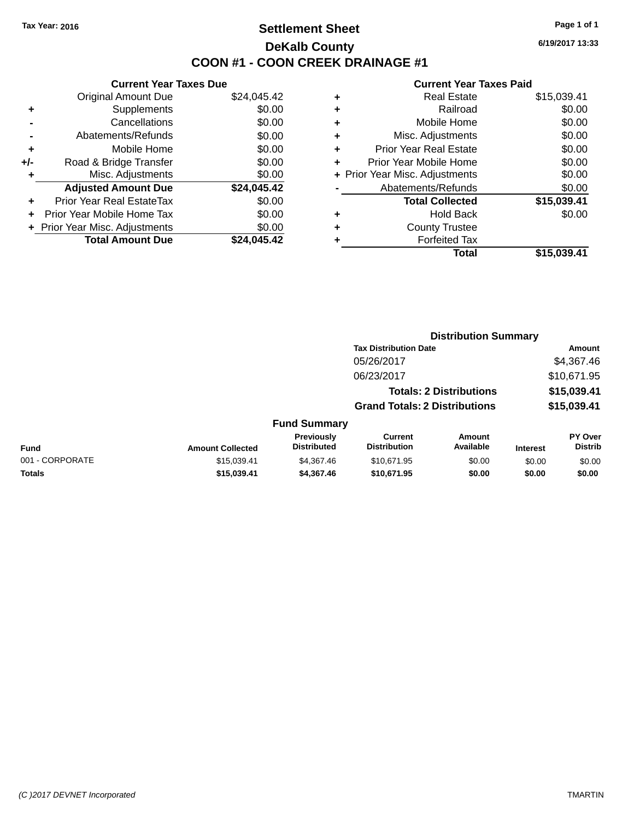### **Settlement Sheet Tax Year: 2016 Page 1 of 1 DeKalb County COON #1 - COON CREEK DRAINAGE #1**

**6/19/2017 13:33**

|     | <b>Current Year Taxes Due</b>  |             |
|-----|--------------------------------|-------------|
|     | <b>Original Amount Due</b>     | \$24,045.42 |
| ٠   | Supplements                    | \$0.00      |
|     | Cancellations                  | \$0.00      |
|     | Abatements/Refunds             | \$0.00      |
| ٠   | Mobile Home                    | \$0.00      |
| +/- | Road & Bridge Transfer         | \$0.00      |
| ٠   | Misc. Adjustments              | \$0.00      |
|     | <b>Adjusted Amount Due</b>     | \$24,045.42 |
| ÷   | Prior Year Real EstateTax      | \$0.00      |
|     | Prior Year Mobile Home Tax     | \$0.00      |
|     | + Prior Year Misc. Adjustments | \$0.00      |
|     | <b>Total Amount Due</b>        | \$24.045.42 |

| ٠ | <b>Real Estate</b>             | \$15,039.41 |
|---|--------------------------------|-------------|
| ٠ | Railroad                       | \$0.00      |
| ٠ | Mobile Home                    | \$0.00      |
| ٠ | Misc. Adjustments              | \$0.00      |
| ٠ | <b>Prior Year Real Estate</b>  | \$0.00      |
| ٠ | Prior Year Mobile Home         | \$0.00      |
|   | + Prior Year Misc. Adjustments | \$0.00      |
|   | Abatements/Refunds             | \$0.00      |
|   | <b>Total Collected</b>         | \$15,039.41 |
| ٠ | <b>Hold Back</b>               | \$0.00      |
| ٠ | <b>County Trustee</b>          |             |
| ٠ | <b>Forfeited Tax</b>           |             |
|   | Total                          | \$15,039.41 |
|   |                                |             |

|                 |                         |                                  |                                       | <b>Distribution Summary</b>    |                 |                                  |
|-----------------|-------------------------|----------------------------------|---------------------------------------|--------------------------------|-----------------|----------------------------------|
|                 |                         |                                  | <b>Tax Distribution Date</b>          |                                |                 | Amount                           |
|                 |                         |                                  | 05/26/2017                            |                                |                 | \$4,367.46                       |
|                 |                         |                                  | 06/23/2017                            |                                |                 | \$10,671.95                      |
|                 |                         |                                  |                                       | <b>Totals: 2 Distributions</b> |                 | \$15,039.41                      |
|                 |                         |                                  | <b>Grand Totals: 2 Distributions</b>  |                                |                 | \$15,039.41                      |
|                 |                         | <b>Fund Summary</b>              |                                       |                                |                 |                                  |
| <b>Fund</b>     | <b>Amount Collected</b> | Previously<br><b>Distributed</b> | <b>Current</b><br><b>Distribution</b> | Amount<br>Available            | <b>Interest</b> | <b>PY Over</b><br><b>Distrib</b> |
| 001 - CORPORATE | \$15,039.41             | \$4.367.46                       | \$10,671.95                           | \$0.00                         | \$0.00          | \$0.00                           |
| <b>Totals</b>   | \$15,039.41             | \$4,367.46                       | \$10,671.95                           | \$0.00                         | \$0.00          | \$0.00                           |
|                 |                         |                                  |                                       |                                |                 |                                  |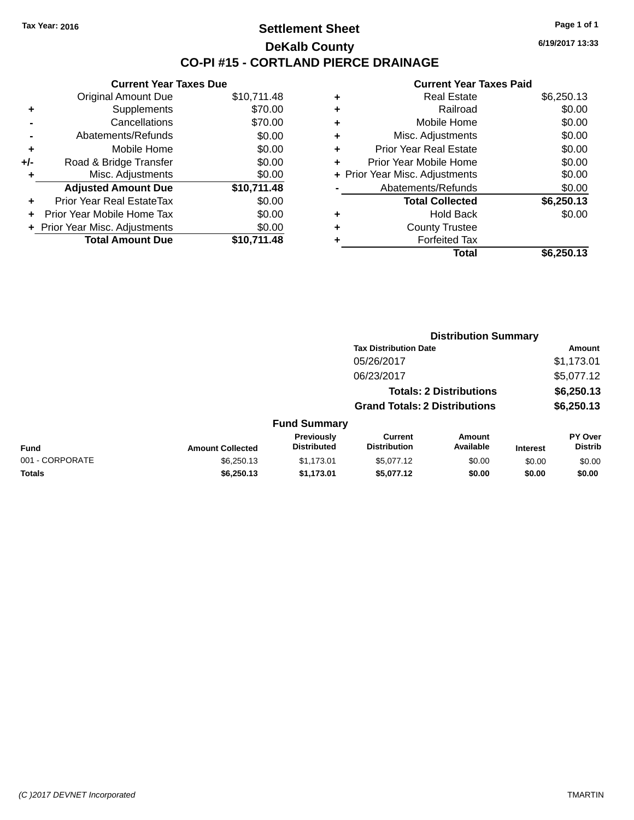#### **Settlement Sheet Tax Year: 2016 Page 1 of 1 DeKalb County CO-PI #15 - CORTLAND PIERCE DRAINAGE**

**Current Year Taxes Due** Original Amount Due \$10,711.48 **+** Supplements \$70.00 **-** Cancellations \$70.00 **-** Abatements/Refunds \$0.00 **+** Mobile Home \$0.00 **+/-** Road & Bridge Transfer \$0.00 **+** Misc. Adjustments \$0.00 **Adjusted Amount Due \$10,711.48 +** Prior Year Real EstateTax \$0.00 **+** Prior Year Mobile Home Tax \$0.00 **+ Prior Year Misc. Adjustments**  $$0.00$ **Total Amount Due \$10,711.48**

| ٠ | <b>Real Estate</b>             | \$6,250.13 |
|---|--------------------------------|------------|
| ÷ | Railroad                       | \$0.00     |
| ٠ | Mobile Home                    | \$0.00     |
| ٠ | Misc. Adjustments              | \$0.00     |
| ٠ | <b>Prior Year Real Estate</b>  | \$0.00     |
| ٠ | Prior Year Mobile Home         | \$0.00     |
|   | + Prior Year Misc. Adjustments | \$0.00     |
|   | Abatements/Refunds             | \$0.00     |
|   | <b>Total Collected</b>         | \$6,250.13 |
| ٠ | <b>Hold Back</b>               | \$0.00     |
| ٠ | <b>County Trustee</b>          |            |
|   | <b>Forfeited Tax</b>           |            |
|   | Total                          | \$6,250.13 |
|   |                                |            |

|                       |                                                    | Amount                                                                                        |
|-----------------------|----------------------------------------------------|-----------------------------------------------------------------------------------------------|
| 05/26/2017            |                                                    | \$1,173.01                                                                                    |
| 06/23/2017            |                                                    | \$5,077.12                                                                                    |
|                       |                                                    | \$6,250.13                                                                                    |
|                       | \$6,250.13<br><b>Grand Totals: 2 Distributions</b> |                                                                                               |
| <b>Fund Summary</b>   |                                                    |                                                                                               |
| Previously<br>Current | <b>Amount</b><br>.                                 | PY Over                                                                                       |
|                       |                                                    | <b>Distribution Summary</b><br><b>Tax Distribution Date</b><br><b>Totals: 2 Distributions</b> |

|                 |                         | Previously         | Current             | Amount    |                 | <b>PY Over</b> |
|-----------------|-------------------------|--------------------|---------------------|-----------|-----------------|----------------|
| Fund            | <b>Amount Collected</b> | <b>Distributed</b> | <b>Distribution</b> | Available | <b>Interest</b> | Distrib        |
| 001 - CORPORATE | \$6,250.13              | \$1.173.01         | \$5,077.12          | \$0.00    | \$0.00          | \$0.00         |
| Totals          | \$6,250.13              | \$1.173.01         | \$5,077.12          | \$0.00    | \$0.00          | \$0.00         |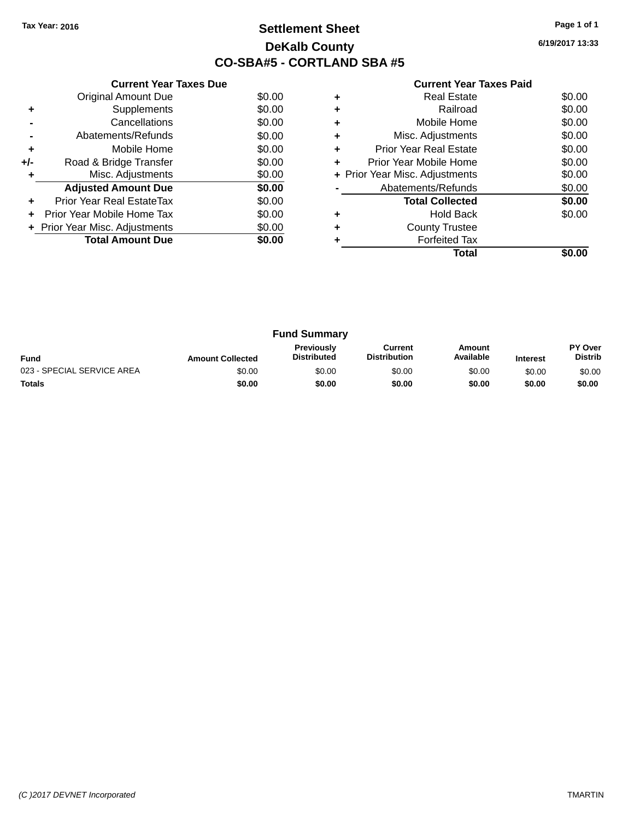## **Settlement Sheet Tax Year: 2016 Page 1 of 1 DeKalb County CO-SBA#5 - CORTLAND SBA #5**

**6/19/2017 13:33**

|     | <b>Current Year Taxes Due</b>  |        |
|-----|--------------------------------|--------|
|     | <b>Original Amount Due</b>     | \$0.00 |
| ٠   | Supplements                    | \$0.00 |
|     | Cancellations                  | \$0.00 |
|     | Abatements/Refunds             | \$0.00 |
| ٠   | Mobile Home                    | \$0.00 |
| +/- | Road & Bridge Transfer         | \$0.00 |
| ٠   | Misc. Adjustments              | \$0.00 |
|     | <b>Adjusted Amount Due</b>     | \$0.00 |
| ÷   | Prior Year Real EstateTax      | \$0.00 |
| ÷   | Prior Year Mobile Home Tax     | \$0.00 |
|     | + Prior Year Misc. Adjustments | \$0.00 |
|     | <b>Total Amount Due</b>        | \$0.00 |
|     |                                |        |

|   | <b>Real Estate</b>             | \$0.00 |
|---|--------------------------------|--------|
| ٠ | Railroad                       | \$0.00 |
| ٠ | Mobile Home                    | \$0.00 |
| ٠ | Misc. Adjustments              | \$0.00 |
| ٠ | <b>Prior Year Real Estate</b>  | \$0.00 |
| ÷ | Prior Year Mobile Home         | \$0.00 |
|   | + Prior Year Misc. Adjustments | \$0.00 |
|   | Abatements/Refunds             | \$0.00 |
|   | <b>Total Collected</b>         | \$0.00 |
| ٠ | <b>Hold Back</b>               | \$0.00 |
| ٠ | <b>County Trustee</b>          |        |
|   | <b>Forfeited Tax</b>           |        |
|   | Total                          |        |

| <b>Fund Summary</b>        |                         |                                         |                                |                     |                 |                           |  |  |
|----------------------------|-------------------------|-----------------------------------------|--------------------------------|---------------------|-----------------|---------------------------|--|--|
| <b>Fund</b>                | <b>Amount Collected</b> | <b>Previously</b><br><b>Distributed</b> | Current<br><b>Distribution</b> | Amount<br>Available | <b>Interest</b> | PY Over<br><b>Distrib</b> |  |  |
| 023 - SPECIAL SERVICE AREA | \$0.00                  | \$0.00                                  | \$0.00                         | \$0.00              | \$0.00          | \$0.00                    |  |  |
| <b>Totals</b>              | \$0.00                  | \$0.00                                  | \$0.00                         | \$0.00              | \$0.00          | \$0.00                    |  |  |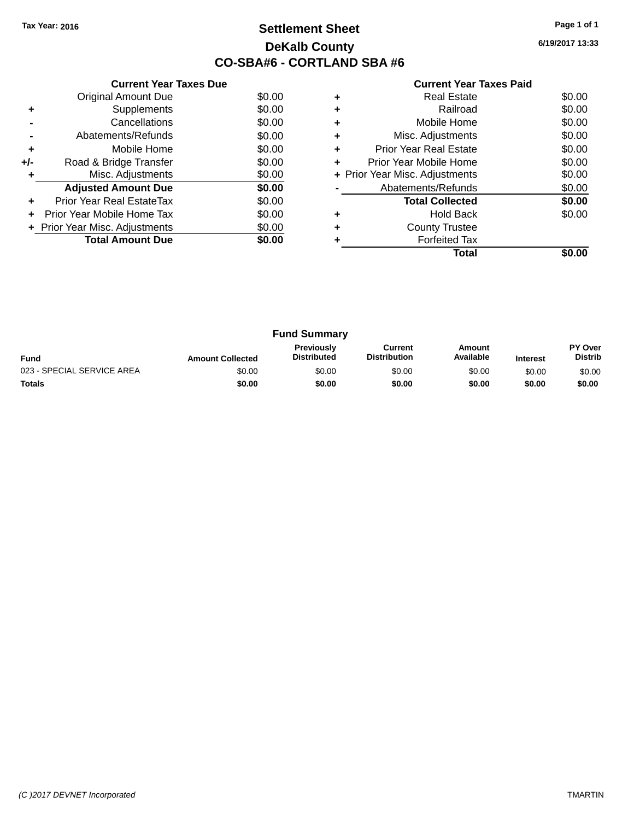## **Settlement Sheet Tax Year: 2016 Page 1 of 1 DeKalb County CO-SBA#6 - CORTLAND SBA #6**

**6/19/2017 13:33**

|     | <b>Current Year Taxes Due</b>  |        |
|-----|--------------------------------|--------|
|     | <b>Original Amount Due</b>     | \$0.00 |
| ٠   | Supplements                    | \$0.00 |
|     | Cancellations                  | \$0.00 |
|     | Abatements/Refunds             | \$0.00 |
| ٠   | Mobile Home                    | \$0.00 |
| +/- | Road & Bridge Transfer         | \$0.00 |
| ٠   | Misc. Adjustments              | \$0.00 |
|     | <b>Adjusted Amount Due</b>     | \$0.00 |
| ÷   | Prior Year Real EstateTax      | \$0.00 |
| ÷   | Prior Year Mobile Home Tax     | \$0.00 |
|     | + Prior Year Misc. Adjustments | \$0.00 |
|     | <b>Total Amount Due</b>        | \$0.00 |
|     |                                |        |

|   | Total                          |        |
|---|--------------------------------|--------|
|   | <b>Forfeited Tax</b>           |        |
| ٠ | <b>County Trustee</b>          |        |
| ٠ | <b>Hold Back</b>               | \$0.00 |
|   | <b>Total Collected</b>         | \$0.00 |
|   | Abatements/Refunds             | \$0.00 |
|   | + Prior Year Misc. Adjustments | \$0.00 |
|   | Prior Year Mobile Home         | \$0.00 |
| ٠ | <b>Prior Year Real Estate</b>  | \$0.00 |
|   | Misc. Adjustments              | \$0.00 |
|   | Mobile Home                    | \$0.00 |
| ٠ | Railroad                       | \$0.00 |
| ٠ | <b>Real Estate</b>             | \$0.00 |

| <b>Fund Summary</b>        |                         |                                         |                                |                     |                 |                           |  |
|----------------------------|-------------------------|-----------------------------------------|--------------------------------|---------------------|-----------------|---------------------------|--|
| <b>Fund</b>                | <b>Amount Collected</b> | <b>Previously</b><br><b>Distributed</b> | Current<br><b>Distribution</b> | Amount<br>Available | <b>Interest</b> | PY Over<br><b>Distrib</b> |  |
| 023 - SPECIAL SERVICE AREA | \$0.00                  | \$0.00                                  | \$0.00                         | \$0.00              | \$0.00          | \$0.00                    |  |
| <b>Totals</b>              | \$0.00                  | \$0.00                                  | \$0.00                         | \$0.00              | \$0.00          | \$0.00                    |  |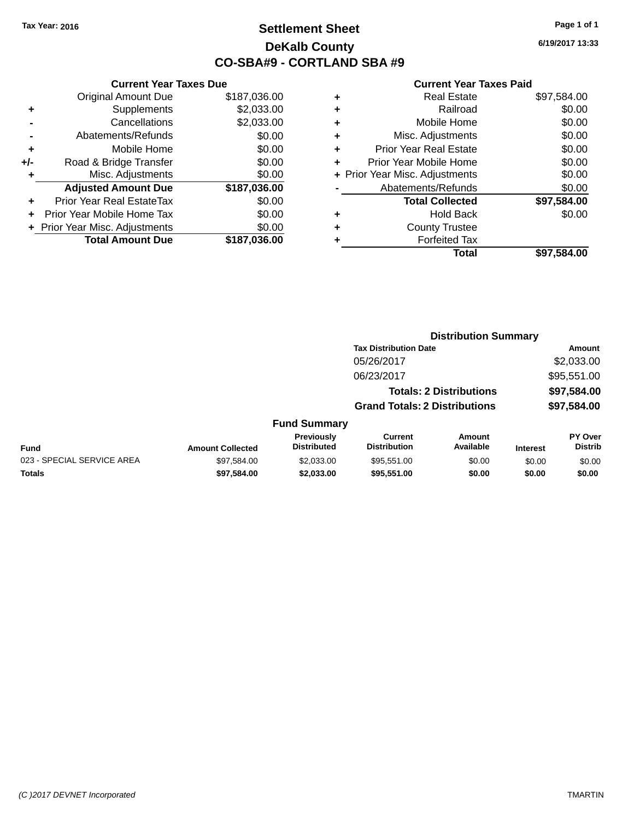### **Settlement Sheet Tax Year: 2016 Page 1 of 1 DeKalb County CO-SBA#9 - CORTLAND SBA #9**

**6/19/2017 13:33**

| Current                   |   |              | <b>Current Year Taxes Due</b>    |       |
|---------------------------|---|--------------|----------------------------------|-------|
| Real I                    | ٠ | \$187,036.00 | Original Amount Due              |       |
| Rε                        | ٠ | \$2,033.00   | <b>Supplements</b>               | ٠     |
| Mobile                    | ٠ | \$2,033.00   | Cancellations                    |       |
| Misc. Adjust              | ٠ | \$0.00       | Abatements/Refunds               |       |
| Prior Year Real I         | ٠ | \$0.00       | Mobile Home                      | ٠     |
| Prior Year Mobile         |   | \$0.00       | Road & Bridge Transfer           | $+/-$ |
| + Prior Year Misc. Adjust |   | \$0.00       | Misc. Adjustments                | ٠     |
| Abatements/Re             |   | \$187,036.00 | <b>Adjusted Amount Due</b>       |       |
| <b>Total Coll</b>         |   | \$0.00       | <b>Prior Year Real EstateTax</b> |       |
| Holc                      | ٠ | \$0.00       | Prior Year Mobile Home Tax       |       |
| County T                  | ٠ | \$0.00       | + Prior Year Misc. Adjustments   |       |
| Forfeite                  |   | \$187,036.00 | <b>Total Amount Due</b>          |       |
|                           |   |              |                                  |       |

| ٠ | <b>Real Estate</b>             | \$97,584.00 |
|---|--------------------------------|-------------|
|   | Railroad                       | \$0.00      |
|   | Mobile Home                    | \$0.00      |
| ٠ | Misc. Adjustments              | \$0.00      |
| ٠ | <b>Prior Year Real Estate</b>  | \$0.00      |
| ÷ | Prior Year Mobile Home         | \$0.00      |
|   | + Prior Year Misc. Adjustments | \$0.00      |
|   | Abatements/Refunds             | \$0.00      |
|   | <b>Total Collected</b>         | \$97,584.00 |
|   | <b>Hold Back</b>               | \$0.00      |
| ٠ | <b>County Trustee</b>          |             |
|   | <b>Forfeited Tax</b>           |             |
|   | <b>Total</b>                   | \$97.584.00 |
|   |                                |             |

|                            |                         |                                  | <b>Distribution Summary</b>          |                                |                 |                           |
|----------------------------|-------------------------|----------------------------------|--------------------------------------|--------------------------------|-----------------|---------------------------|
|                            |                         |                                  | <b>Tax Distribution Date</b>         |                                |                 | <b>Amount</b>             |
|                            |                         |                                  | 05/26/2017                           |                                |                 | \$2,033.00                |
|                            |                         |                                  | 06/23/2017                           |                                |                 | \$95,551.00               |
|                            |                         |                                  |                                      | <b>Totals: 2 Distributions</b> |                 | \$97,584.00               |
|                            |                         |                                  | <b>Grand Totals: 2 Distributions</b> |                                |                 | \$97,584.00               |
|                            |                         | <b>Fund Summary</b>              |                                      |                                |                 |                           |
| <b>Fund</b>                | <b>Amount Collected</b> | Previously<br><b>Distributed</b> | Current<br><b>Distribution</b>       | <b>Amount</b><br>Available     | <b>Interest</b> | PY Over<br><b>Distrib</b> |
| 023 - SPECIAL SERVICE AREA | \$97,584.00             | \$2,033.00                       | \$95,551.00                          | \$0.00                         | \$0.00          | \$0.00                    |
| Totals                     | \$97,584.00             | \$2,033,00                       | \$95,551.00                          | \$0.00                         | \$0.00          | \$0.00                    |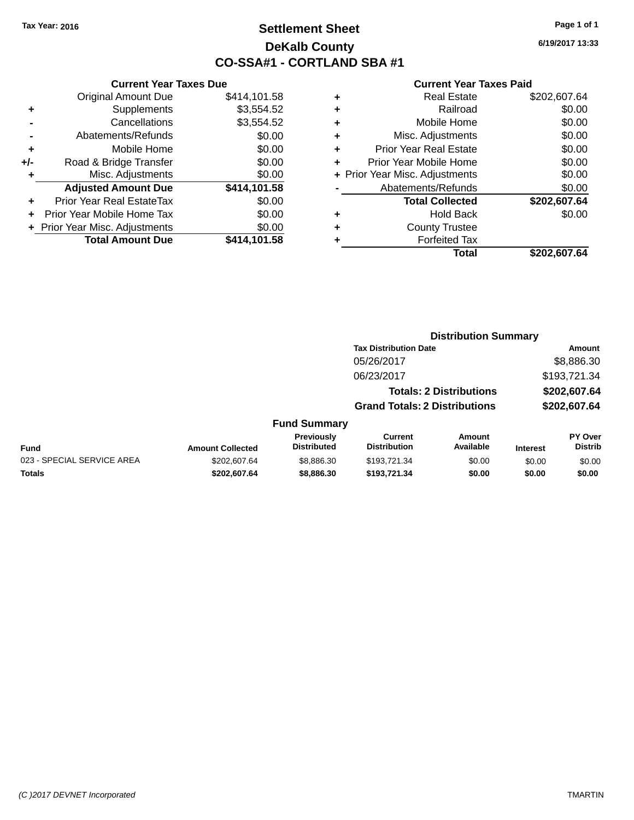**Current Year Taxes Due** Original Amount Due \$414,101.58

**Adjusted Amount Due \$414,101.58**

**Total Amount Due \$414,101.58** 

**+** Supplements \$3,554.52 **-** Cancellations \$3,554.52 **-** Abatements/Refunds \$0.00 **+** Mobile Home \$0.00 **+/-** Road & Bridge Transfer \$0.00<br> **+** Misc. Adjustments \$0.00

**+** Prior Year Real EstateTax \$0.00 **+** Prior Year Mobile Home Tax \$0.00 **+ Prior Year Misc. Adjustments**  $$0.00$ 

**+** Misc. Adjustments

### **Settlement Sheet Tax Year: 2016 Page 1 of 1 DeKalb County CO-SSA#1 - CORTLAND SBA #1**

**6/19/2017 13:33**

|        | \$202.607.64 | Total                          |   |
|--------|--------------|--------------------------------|---|
|        |              | <b>Forfeited Tax</b>           | ٠ |
|        |              | <b>County Trustee</b>          | ٠ |
| \$0.00 |              | <b>Hold Back</b>               | ٠ |
|        | \$202,607.64 | <b>Total Collected</b>         |   |
| \$0.00 |              | Abatements/Refunds             |   |
| \$0.00 |              | + Prior Year Misc. Adjustments |   |
| \$0.00 |              | Prior Year Mobile Home         | ٠ |
| \$0.00 |              | <b>Prior Year Real Estate</b>  | ٠ |
| \$0.00 |              | Misc. Adjustments              | ٠ |
| \$0.00 |              | Mobile Home                    | ٠ |
| \$0.00 |              | Railroad                       | ٠ |
|        | \$202,607.64 | <b>Real Estate</b>             | ٠ |
|        |              |                                |   |

|                            |                         |                                         | <b>Distribution Summary</b>           |                                |                 |                                  |
|----------------------------|-------------------------|-----------------------------------------|---------------------------------------|--------------------------------|-----------------|----------------------------------|
|                            |                         |                                         | <b>Tax Distribution Date</b>          |                                |                 | Amount                           |
|                            |                         |                                         | 05/26/2017                            |                                |                 | \$8,886.30                       |
|                            |                         |                                         | 06/23/2017                            |                                |                 | \$193,721.34                     |
|                            |                         |                                         |                                       | <b>Totals: 2 Distributions</b> |                 | \$202,607.64                     |
|                            |                         |                                         | <b>Grand Totals: 2 Distributions</b>  |                                |                 | \$202,607.64                     |
|                            |                         | <b>Fund Summary</b>                     |                                       |                                |                 |                                  |
| <b>Fund</b>                | <b>Amount Collected</b> | <b>Previously</b><br><b>Distributed</b> | <b>Current</b><br><b>Distribution</b> | <b>Amount</b><br>Available     | <b>Interest</b> | <b>PY Over</b><br><b>Distrib</b> |
| 023 - SPECIAL SERVICE AREA | \$202.607.64            | \$8,886.30                              | \$193.721.34                          | \$0.00                         | \$0.00          | \$0.00                           |
| <b>Totals</b>              | \$202,607.64            | \$8,886.30                              | \$193,721.34                          | \$0.00                         | \$0.00          | \$0.00                           |
|                            |                         |                                         |                                       |                                |                 |                                  |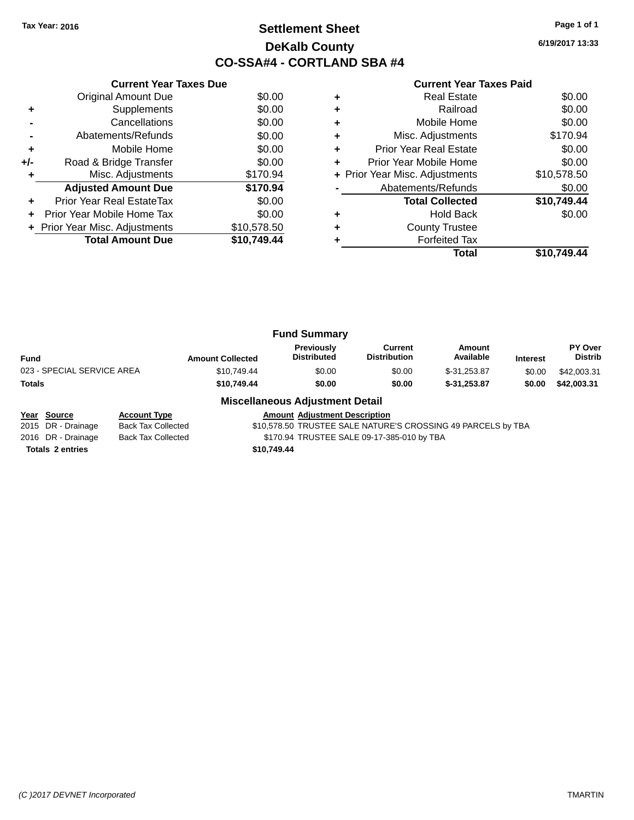### **Settlement Sheet Tax Year: 2016 Page 1 of 1 DeKalb County CO-SSA#4 - CORTLAND SBA #4**

**6/19/2017 13:33**

|     | <b>Current Year Taxes Due</b>  |             |
|-----|--------------------------------|-------------|
|     | Original Amount Due            | \$0.00      |
|     | Supplements                    | \$0.00      |
|     | Cancellations                  | \$0.00      |
|     | Abatements/Refunds             | \$0.00      |
| ٠   | Mobile Home                    | \$0.00      |
| +/- | Road & Bridge Transfer         | \$0.00      |
|     | Misc. Adjustments              | \$170.94    |
|     | <b>Adjusted Amount Due</b>     | \$170.94    |
|     | Prior Year Real EstateTax      | \$0.00      |
| ÷   | Prior Year Mobile Home Tax     | \$0.00      |
|     | + Prior Year Misc. Adjustments | \$10,578.50 |
|     | <b>Total Amount Due</b>        | \$10,749.44 |
|     |                                |             |

#### **Current Year Taxes Paid**

|   | Total                          | \$10.749.44 |
|---|--------------------------------|-------------|
|   | <b>Forfeited Tax</b>           |             |
| ٠ | <b>County Trustee</b>          |             |
| ٠ | <b>Hold Back</b>               | \$0.00      |
|   | <b>Total Collected</b>         | \$10,749.44 |
|   | Abatements/Refunds             | \$0.00      |
|   | + Prior Year Misc. Adjustments | \$10,578.50 |
| ٠ | Prior Year Mobile Home         | \$0.00      |
| ٠ | <b>Prior Year Real Estate</b>  | \$0.00      |
| ٠ | Misc. Adjustments              | \$170.94    |
| ٠ | Mobile Home                    | \$0.00      |
| ÷ | Railroad                       | \$0.00      |
| ٠ | <b>Real Estate</b>             | \$0.00      |

| <b>Fund Summary</b>     |                                         |                                |                     |                 |                           |
|-------------------------|-----------------------------------------|--------------------------------|---------------------|-----------------|---------------------------|
| <b>Amount Collected</b> | <b>Previously</b><br><b>Distributed</b> | Current<br><b>Distribution</b> | Amount<br>Available | <b>Interest</b> | PY Over<br><b>Distrib</b> |
| \$10.749.44             | \$0.00                                  | \$0.00                         | $$-31.253.87$       | \$0.00          | \$42,003.31               |
| \$10,749.44             | \$0.00                                  | \$0.00                         | $$-31,253,87$       | \$0.00          | \$42,003.31               |
|                         |                                         |                                |                     |                 |                           |

#### **Miscellaneous Adjustment Detail**

**Year Source Account Type Amount Adjustment Description** \$10,578.50 TRUSTEE SALE NATURE'S CROSSING 49 PARCELS by TBA 2016 DR - Drainage Back Tax Collected \$170.94 TRUSTEE SALE 09-17-385-010 by TBA **Totals \$10,749.44 2 entries**

*(C )2017 DEVNET Incorporated* TMARTIN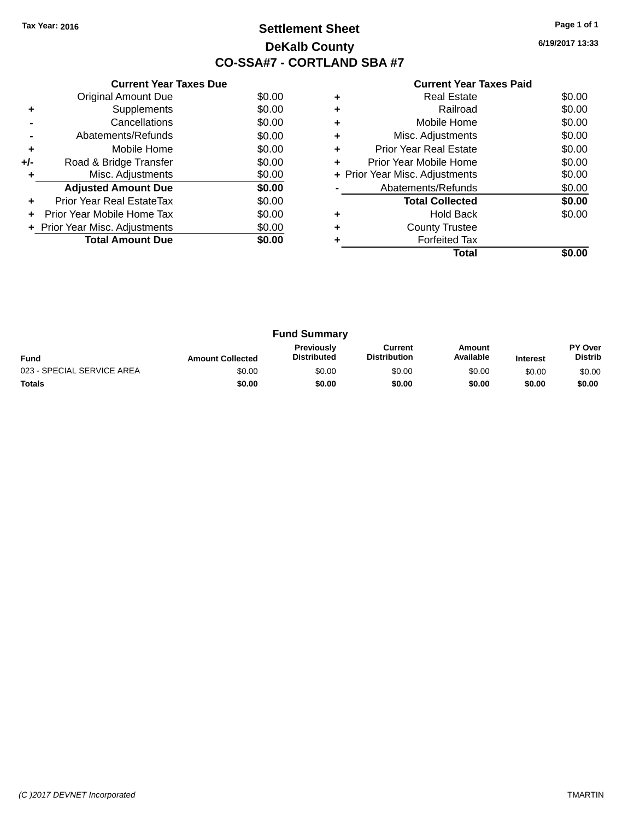## **Settlement Sheet Tax Year: 2016 Page 1 of 1 DeKalb County CO-SSA#7 - CORTLAND SBA #7**

**6/19/2017 13:33**

|     | <b>Current Year Taxes Due</b>  |        |
|-----|--------------------------------|--------|
|     | <b>Original Amount Due</b>     | \$0.00 |
| ٠   | Supplements                    | \$0.00 |
|     | Cancellations                  | \$0.00 |
|     | Abatements/Refunds             | \$0.00 |
| ٠   | Mobile Home                    | \$0.00 |
| +/- | Road & Bridge Transfer         | \$0.00 |
| ٠   | Misc. Adjustments              | \$0.00 |
|     | <b>Adjusted Amount Due</b>     | \$0.00 |
| ÷   | Prior Year Real EstateTax      | \$0.00 |
| ٠   | Prior Year Mobile Home Tax     | \$0.00 |
|     | + Prior Year Misc. Adjustments | \$0.00 |
|     | <b>Total Amount Due</b>        | \$0.00 |
|     |                                |        |

|   | <b>Real Estate</b>             | \$0.00 |
|---|--------------------------------|--------|
|   | Railroad                       | \$0.00 |
| ٠ | Mobile Home                    | \$0.00 |
| ٠ | Misc. Adjustments              | \$0.00 |
| ٠ | Prior Year Real Estate         | \$0.00 |
| ٠ | Prior Year Mobile Home         | \$0.00 |
|   | + Prior Year Misc. Adjustments | \$0.00 |
|   | Abatements/Refunds             | \$0.00 |
|   | <b>Total Collected</b>         | \$0.00 |
|   | <b>Hold Back</b>               | \$0.00 |
| ٠ | <b>County Trustee</b>          |        |
|   | <b>Forfeited Tax</b>           |        |
|   | Total                          |        |

| <b>Fund Summary</b>                                                                                                                                           |        |        |        |        |        |                           |
|---------------------------------------------------------------------------------------------------------------------------------------------------------------|--------|--------|--------|--------|--------|---------------------------|
| <b>Previously</b><br>Current<br>Amount<br><b>Distribution</b><br>Available<br><b>Distributed</b><br><b>Fund</b><br><b>Amount Collected</b><br><b>Interest</b> |        |        |        |        |        | PY Over<br><b>Distrib</b> |
| 023 - SPECIAL SERVICE AREA                                                                                                                                    | \$0.00 | \$0.00 | \$0.00 | \$0.00 | \$0.00 | \$0.00                    |
| <b>Totals</b>                                                                                                                                                 | \$0.00 | \$0.00 | \$0.00 | \$0.00 | \$0.00 | \$0.00                    |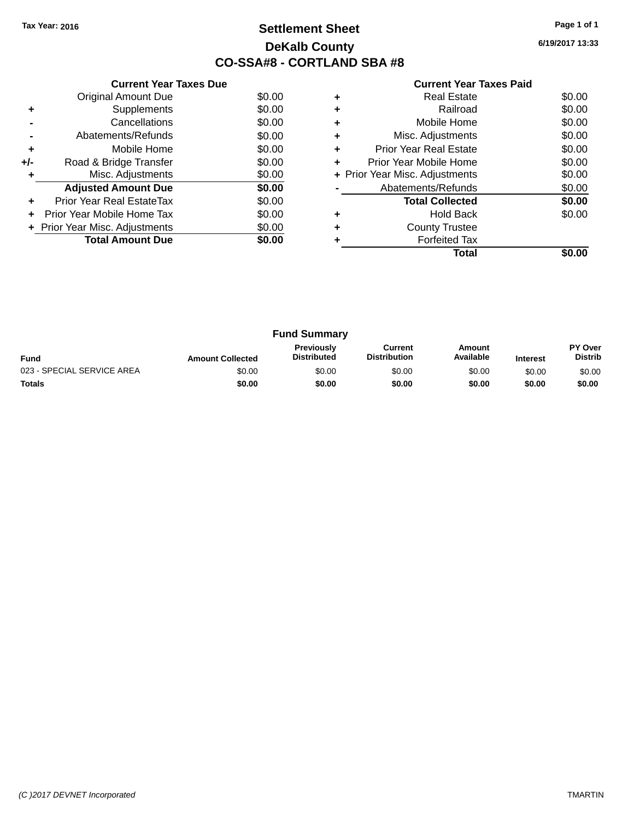### **Settlement Sheet Tax Year: 2016 Page 1 of 1 DeKalb County CO-SSA#8 - CORTLAND SBA #8**

**6/19/2017 13:33**

| <b>Current Year Taxes Paid</b> |  |  |  |
|--------------------------------|--|--|--|
|--------------------------------|--|--|--|

|     | <b>Current Year Taxes Due</b>  |        |
|-----|--------------------------------|--------|
|     | <b>Original Amount Due</b>     | \$0.00 |
| ٠   | Supplements                    | \$0.00 |
|     | Cancellations                  | \$0.00 |
|     | Abatements/Refunds             | \$0.00 |
| ٠   | Mobile Home                    | \$0.00 |
| +/- | Road & Bridge Transfer         | \$0.00 |
| ٠   | Misc. Adjustments              | \$0.00 |
|     | <b>Adjusted Amount Due</b>     | \$0.00 |
| ÷   | Prior Year Real EstateTax      | \$0.00 |
| ÷   | Prior Year Mobile Home Tax     | \$0.00 |
|     | + Prior Year Misc. Adjustments | \$0.00 |
|     | <b>Total Amount Due</b>        | \$0.00 |
|     |                                |        |

|   | <b>Real Estate</b>             | \$0.00 |
|---|--------------------------------|--------|
| ٠ | Railroad                       | \$0.00 |
| ٠ | Mobile Home                    | \$0.00 |
| ٠ | Misc. Adjustments              | \$0.00 |
| ٠ | <b>Prior Year Real Estate</b>  | \$0.00 |
| ٠ | Prior Year Mobile Home         | \$0.00 |
|   | + Prior Year Misc. Adjustments | \$0.00 |
|   | Abatements/Refunds             | \$0.00 |
|   | <b>Total Collected</b>         | \$0.00 |
| ٠ | <b>Hold Back</b>               | \$0.00 |
| ÷ | <b>County Trustee</b>          |        |
|   | <b>Forfeited Tax</b>           |        |
|   | Total                          |        |

| <b>Fund Summary</b>        |                         |                                         |                                |                     |                 |                                  |
|----------------------------|-------------------------|-----------------------------------------|--------------------------------|---------------------|-----------------|----------------------------------|
| <b>Fund</b>                | <b>Amount Collected</b> | <b>Previously</b><br><b>Distributed</b> | Current<br><b>Distribution</b> | Amount<br>Available | <b>Interest</b> | <b>PY Over</b><br><b>Distrib</b> |
| 023 - SPECIAL SERVICE AREA | \$0.00                  | \$0.00                                  | \$0.00                         | \$0.00              | \$0.00          | \$0.00                           |
| <b>Totals</b>              | \$0.00                  | \$0.00                                  | \$0.00                         | \$0.00              | \$0.00          | \$0.00                           |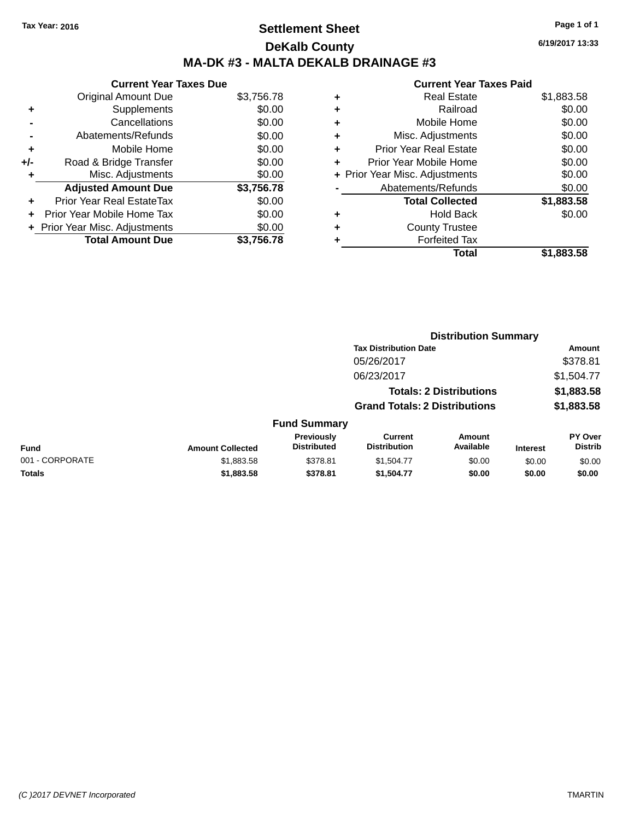## **Settlement Sheet Tax Year: 2016 Page 1 of 1 DeKalb County MA-DK #3 - MALTA DEKALB DRAINAGE #3**

#### **Current Year Taxes Due** Original Amount Due \$3,756.78 **+** Supplements \$0.00 **-** Cancellations \$0.00 **-** Abatements/Refunds \$0.00 **+** Mobile Home \$0.00 **+/-** Road & Bridge Transfer \$0.00 **+** Misc. Adjustments \$0.00 **Adjusted Amount Due \$3,756.78 +** Prior Year Real EstateTax \$0.00 **+** Prior Year Mobile Home Tax \$0.00 **+ Prior Year Misc. Adjustments**  $$0.00$ **Total Amount Due \$3,756.78**

#### **Current Year Taxes Paid**

|   | <b>Real Estate</b>             | \$1,883.58 |
|---|--------------------------------|------------|
| ٠ | Railroad                       | \$0.00     |
| ٠ | Mobile Home                    | \$0.00     |
| ٠ | Misc. Adjustments              | \$0.00     |
| ٠ | <b>Prior Year Real Estate</b>  | \$0.00     |
| ٠ | Prior Year Mobile Home         | \$0.00     |
|   | + Prior Year Misc. Adjustments | \$0.00     |
|   | Abatements/Refunds             | \$0.00     |
|   | <b>Total Collected</b>         | \$1,883.58 |
| ٠ | Hold Back                      | \$0.00     |
| ٠ | <b>County Trustee</b>          |            |
| ٠ | <b>Forfeited Tax</b>           |            |
|   | Total                          | \$1,883.58 |
|   |                                |            |

**Distribution Summary**

|                 |                         |                                  | <b>Tax Distribution Date</b>          |                                |                 | Amount                           |
|-----------------|-------------------------|----------------------------------|---------------------------------------|--------------------------------|-----------------|----------------------------------|
|                 |                         |                                  | 05/26/2017                            |                                |                 | \$378.81                         |
|                 |                         |                                  | 06/23/2017                            |                                |                 | \$1,504.77                       |
|                 |                         |                                  |                                       | <b>Totals: 2 Distributions</b> |                 | \$1,883.58                       |
|                 |                         |                                  | <b>Grand Totals: 2 Distributions</b>  |                                |                 | \$1,883.58                       |
|                 |                         | <b>Fund Summary</b>              |                                       |                                |                 |                                  |
| Fund            | <b>Amount Collected</b> | Previously<br><b>Distributed</b> | <b>Current</b><br><b>Distribution</b> | Amount<br>Available            | <b>Interest</b> | <b>PY Over</b><br><b>Distrib</b> |
| 001 - CORPORATE | \$1,883.58              | \$378.81                         | \$1,504.77                            | \$0.00                         | \$0.00          | \$0.00                           |
| <b>Totals</b>   | \$1,883.58              | \$378.81                         | \$1,504.77                            | \$0.00                         | \$0.00          | \$0.00                           |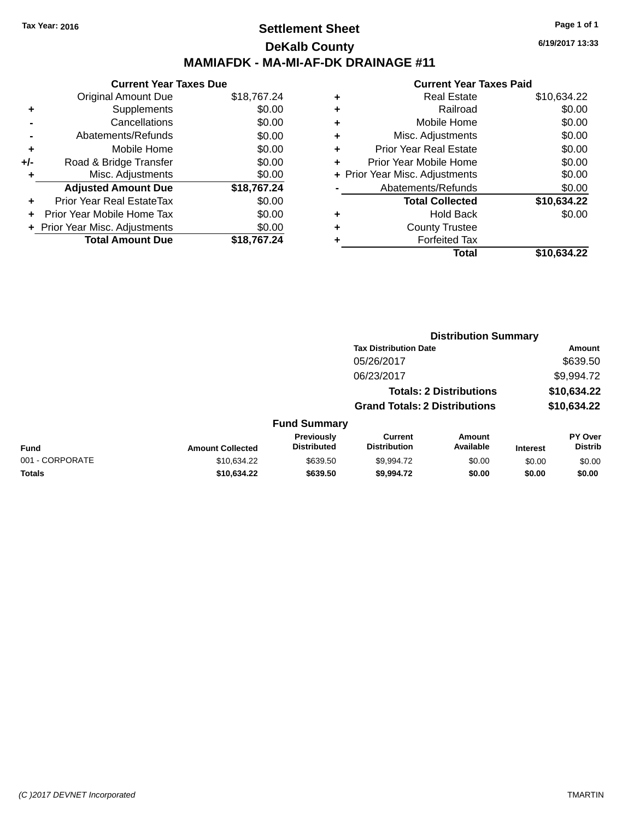### **Settlement Sheet Tax Year: 2016 Page 1 of 1 DeKalb County MAMIAFDK - MA-MI-AF-DK DRAINAGE #11**

**Current Year Taxes Due** Original Amount Due \$18,767.24 **+** Supplements \$0.00 **-** Cancellations \$0.00 **-** Abatements/Refunds \$0.00 **+** Mobile Home \$0.00 **+/-** Road & Bridge Transfer \$0.00 **+** Misc. Adjustments \$0.00 **Adjusted Amount Due \$18,767.24 +** Prior Year Real EstateTax \$0.00 **+** Prior Year Mobile Home Tax \$0.00 **+ Prior Year Misc. Adjustments**  $$0.00$ **Total Amount Due \$18,767.24**

| ٠ | <b>Real Estate</b>             | \$10,634.22 |
|---|--------------------------------|-------------|
| ٠ | Railroad                       | \$0.00      |
| ٠ | Mobile Home                    | \$0.00      |
| ٠ | Misc. Adjustments              | \$0.00      |
| ٠ | <b>Prior Year Real Estate</b>  | \$0.00      |
| ٠ | Prior Year Mobile Home         | \$0.00      |
|   | + Prior Year Misc. Adjustments | \$0.00      |
|   | Abatements/Refunds             | \$0.00      |
|   | <b>Total Collected</b>         | \$10,634.22 |
| ٠ | <b>Hold Back</b>               | \$0.00      |
| ٠ | <b>County Trustee</b>          |             |
| ٠ | <b>Forfeited Tax</b>           |             |
|   | Total                          | \$10,634.22 |
|   |                                |             |

|                 |                         |                                         |                                       | <b>Distribution Summary</b>    |                 |                           |
|-----------------|-------------------------|-----------------------------------------|---------------------------------------|--------------------------------|-----------------|---------------------------|
|                 |                         |                                         | <b>Tax Distribution Date</b>          |                                |                 | Amount                    |
|                 |                         |                                         | 05/26/2017                            |                                |                 | \$639.50                  |
|                 |                         |                                         | 06/23/2017                            |                                |                 | \$9,994.72                |
|                 |                         |                                         |                                       | <b>Totals: 2 Distributions</b> |                 | \$10,634.22               |
|                 |                         |                                         | <b>Grand Totals: 2 Distributions</b>  |                                |                 | \$10,634.22               |
|                 |                         | <b>Fund Summary</b>                     |                                       |                                |                 |                           |
| Fund            | <b>Amount Collected</b> | <b>Previously</b><br><b>Distributed</b> | <b>Current</b><br><b>Distribution</b> | Amount<br>Available            | <b>Interest</b> | PY Over<br><b>Distrib</b> |
| 001 - CORPORATE | \$10,634.22             | \$639.50                                | \$9,994.72                            | \$0.00                         | \$0.00          | \$0.00                    |
| <b>Totals</b>   | \$10.634.22             | \$639.50                                | \$9.994.72                            | \$0.00                         | \$0.00          | \$0.00                    |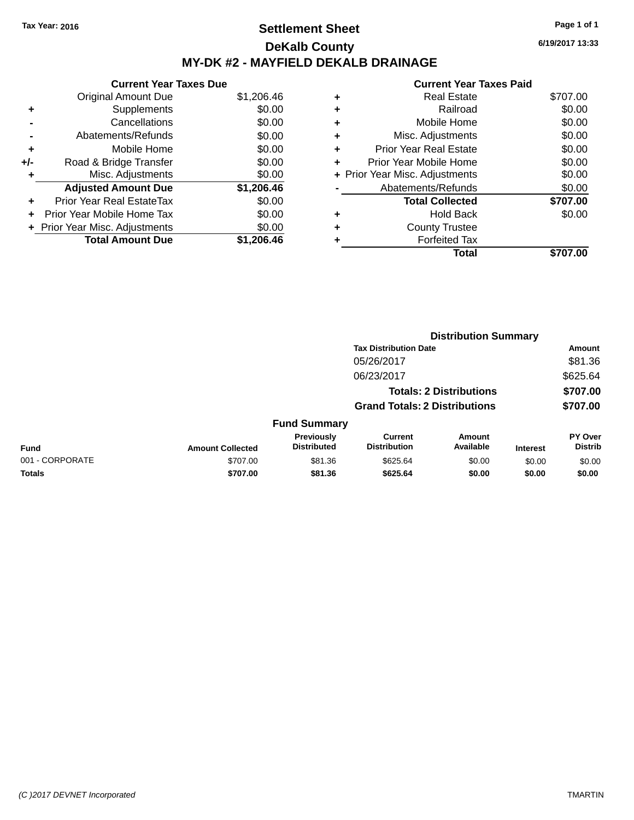### **Settlement Sheet Tax Year: 2016 Page 1 of 1 DeKalb County MY-DK #2 - MAYFIELD DEKALB DRAINAGE**

**6/19/2017 13:33**

| <b>Current Year Taxes Due</b>  |            |
|--------------------------------|------------|
| <b>Original Amount Due</b>     | \$1,206.46 |
| Supplements                    | \$0.00     |
| Cancellations                  | \$0.00     |
| Abatements/Refunds             | \$0.00     |
| Mobile Home                    | \$0.00     |
| Road & Bridge Transfer         | \$0.00     |
| Misc. Adjustments              | \$0.00     |
| <b>Adjusted Amount Due</b>     | \$1,206.46 |
| Prior Year Real EstateTax      | \$0.00     |
| Prior Year Mobile Home Tax     | \$0.00     |
| + Prior Year Misc. Adjustments | \$0.00     |
| <b>Total Amount Due</b>        | \$1.206.46 |
|                                |            |

|   | Total                          | \$707.00 |
|---|--------------------------------|----------|
|   | <b>Forfeited Tax</b>           |          |
| ٠ | <b>County Trustee</b>          |          |
| ٠ | <b>Hold Back</b>               | \$0.00   |
|   | <b>Total Collected</b>         | \$707.00 |
|   | Abatements/Refunds             | \$0.00   |
|   | + Prior Year Misc. Adjustments | \$0.00   |
|   | Prior Year Mobile Home         | \$0.00   |
| ٠ | <b>Prior Year Real Estate</b>  | \$0.00   |
| ٠ | Misc. Adjustments              | \$0.00   |
| ٠ | Mobile Home                    | \$0.00   |
| ٠ | Railroad                       | \$0.00   |
|   | <b>Real Estate</b>             | \$707.00 |
|   |                                |          |

| <b>Amount</b><br>\$81.36<br>\$625.64<br>\$707.00 |
|--------------------------------------------------|
|                                                  |
|                                                  |
|                                                  |
|                                                  |
| \$707.00                                         |
|                                                  |
| PY Over<br><b>Distrib</b>                        |
| \$0.00                                           |
| \$0.00                                           |
| <b>Interest</b><br>\$0.00<br>\$0.00              |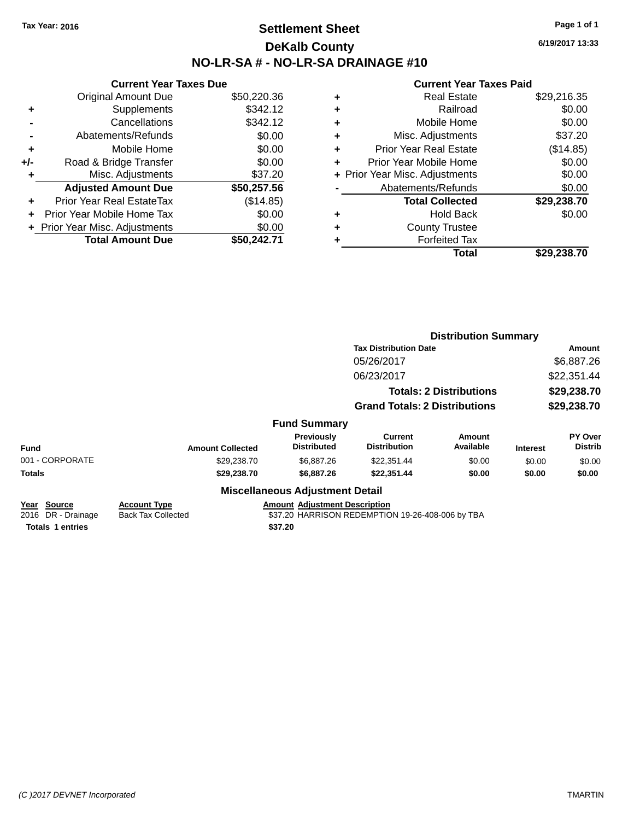### **Settlement Sheet Tax Year: 2016 Page 1 of 1 DeKalb County NO-LR-SA # - NO-LR-SA DRAINAGE #10**

**6/19/2017 13:33**

|     | <b>Current Year Taxes Due</b>     |             |
|-----|-----------------------------------|-------------|
|     | <b>Original Amount Due</b>        | \$50,220.36 |
| ٠   | Supplements                       | \$342.12    |
|     | Cancellations                     | \$342.12    |
|     | Abatements/Refunds                | \$0.00      |
| ٠   | Mobile Home                       | \$0.00      |
| +/- | Road & Bridge Transfer            | \$0.00      |
|     | Misc. Adjustments                 | \$37.20     |
|     | <b>Adjusted Amount Due</b>        | \$50,257.56 |
| ÷   | <b>Prior Year Real EstateTax</b>  | (\$14.85)   |
| ÷   | <b>Prior Year Mobile Home Tax</b> | \$0.00      |
|     | + Prior Year Misc. Adjustments    | \$0.00      |
|     | <b>Total Amount Due</b>           | \$50.242.71 |

| ٠ | <b>Real Estate</b>             | \$29,216.35 |
|---|--------------------------------|-------------|
| ٠ | Railroad                       | \$0.00      |
| ٠ | Mobile Home                    | \$0.00      |
| ٠ | Misc. Adjustments              | \$37.20     |
| ٠ | Prior Year Real Estate         | (\$14.85)   |
| ٠ | Prior Year Mobile Home         | \$0.00      |
|   | + Prior Year Misc. Adjustments | \$0.00      |
|   | Abatements/Refunds             | \$0.00      |
|   | <b>Total Collected</b>         | \$29,238.70 |
| ٠ | <b>Hold Back</b>               | \$0.00      |
|   | <b>County Trustee</b>          |             |
| ٠ | <b>Forfeited Tax</b>           |             |
|   | Total                          | \$29,238.70 |
|   |                                |             |

|                                                                                                                                                                                                                         |                         |                                        |                                      | <b>Distribution Summary</b>    |                 |                           |
|-------------------------------------------------------------------------------------------------------------------------------------------------------------------------------------------------------------------------|-------------------------|----------------------------------------|--------------------------------------|--------------------------------|-----------------|---------------------------|
|                                                                                                                                                                                                                         |                         |                                        | <b>Tax Distribution Date</b>         |                                | Amount          |                           |
|                                                                                                                                                                                                                         |                         |                                        | 05/26/2017                           |                                | \$6,887.26      |                           |
|                                                                                                                                                                                                                         |                         |                                        | 06/23/2017                           |                                |                 | \$22,351.44               |
|                                                                                                                                                                                                                         |                         |                                        |                                      | <b>Totals: 2 Distributions</b> |                 | \$29,238.70               |
|                                                                                                                                                                                                                         |                         |                                        | <b>Grand Totals: 2 Distributions</b> |                                | \$29,238.70     |                           |
|                                                                                                                                                                                                                         |                         | <b>Fund Summary</b>                    |                                      |                                |                 |                           |
| <b>Fund</b>                                                                                                                                                                                                             | <b>Amount Collected</b> | Previously<br><b>Distributed</b>       | Current<br><b>Distribution</b>       | <b>Amount</b><br>Available     | <b>Interest</b> | PY Over<br><b>Distrib</b> |
| 001 - CORPORATE                                                                                                                                                                                                         | \$29,238.70             | \$6,887.26                             | \$22,351.44                          | \$0.00                         | \$0.00          | \$0.00                    |
| Totals                                                                                                                                                                                                                  | \$29,238.70             | \$6,887.26                             | \$22,351.44                          | \$0.00                         | \$0.00          | \$0.00                    |
|                                                                                                                                                                                                                         |                         | <b>Miscellaneous Adjustment Detail</b> |                                      |                                |                 |                           |
| <b>Amount Adjustment Description</b><br>Year Source<br><b>Account Type</b><br>2016 DR - Drainage<br><b>Back Tax Collected</b><br>\$37.20 HARRISON REDEMPTION 19-26-408-006 by TBA<br><b>Totals 1 entries</b><br>\$37.20 |                         |                                        |                                      |                                |                 |                           |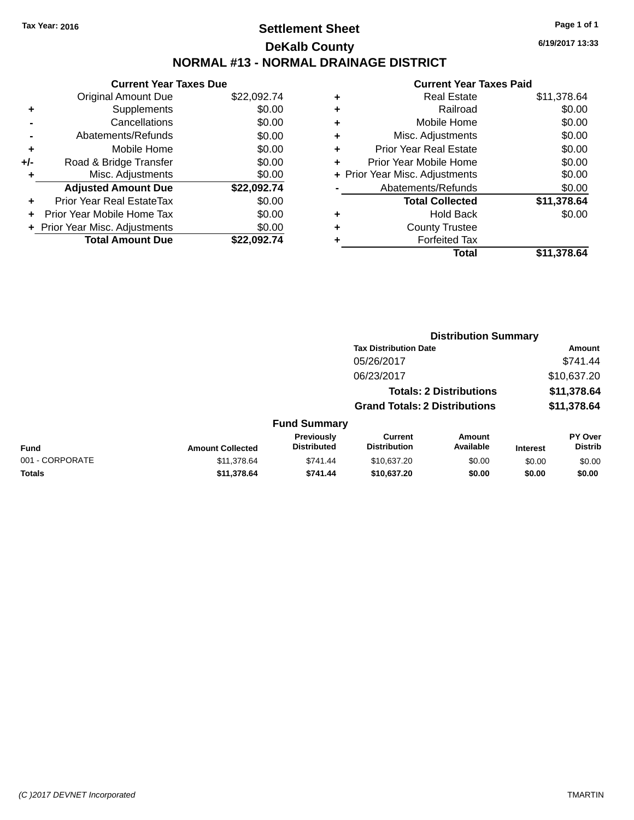## **Settlement Sheet Tax Year: 2016 Page 1 of 1 DeKalb County NORMAL #13 - NORMAL DRAINAGE DISTRICT**

**6/19/2017 13:33**

|     | <b>Current Year Taxes Due</b>  |             |
|-----|--------------------------------|-------------|
|     | <b>Original Amount Due</b>     | \$22,092.74 |
|     | Supplements                    | \$0.00      |
|     | Cancellations                  | \$0.00      |
|     | Abatements/Refunds             | \$0.00      |
| ٠   | Mobile Home                    | \$0.00      |
| +/- | Road & Bridge Transfer         | \$0.00      |
| ٠   | Misc. Adjustments              | \$0.00      |
|     | <b>Adjusted Amount Due</b>     | \$22,092.74 |
|     | Prior Year Real EstateTax      | \$0.00      |
|     | Prior Year Mobile Home Tax     | \$0.00      |
|     | + Prior Year Misc. Adjustments | \$0.00      |
|     | <b>Total Amount Due</b>        | \$22.092.74 |
|     |                                |             |

|   | <b>Current Year Taxes Paid</b> |             |
|---|--------------------------------|-------------|
| ٠ | <b>Real Estate</b>             | \$11,378.64 |
| ٠ | Railroad                       | \$0.00      |
| ٠ | Mobile Home                    | \$0.00      |
| ٠ | Misc. Adjustments              | \$0.00      |
| ٠ | <b>Prior Year Real Estate</b>  | \$0.00      |
| ٠ | Prior Year Mobile Home         | \$0.00      |
|   | + Prior Year Misc. Adjustments | \$0.00      |
|   | Abatements/Refunds             | \$0.00      |
|   | <b>Total Collected</b>         | \$11,378.64 |
| ٠ | <b>Hold Back</b>               | \$0.00      |
|   | <b>County Trustee</b>          |             |
|   | <b>Forfeited Tax</b>           |             |
|   | Total                          | \$11,378.64 |
|   |                                |             |

|                 |                         |                                  |                                       | <b>Distribution Summary</b>    |                 |                                  |
|-----------------|-------------------------|----------------------------------|---------------------------------------|--------------------------------|-----------------|----------------------------------|
|                 |                         |                                  | <b>Tax Distribution Date</b>          |                                |                 | Amount                           |
|                 |                         |                                  | 05/26/2017                            |                                |                 | \$741.44                         |
|                 |                         |                                  | 06/23/2017                            |                                |                 | \$10,637.20                      |
|                 |                         |                                  |                                       | <b>Totals: 2 Distributions</b> |                 | \$11,378.64                      |
|                 |                         |                                  | <b>Grand Totals: 2 Distributions</b>  |                                |                 | \$11,378.64                      |
|                 |                         | <b>Fund Summary</b>              |                                       |                                |                 |                                  |
| Fund            | <b>Amount Collected</b> | Previously<br><b>Distributed</b> | <b>Current</b><br><b>Distribution</b> | Amount<br>Available            | <b>Interest</b> | <b>PY Over</b><br><b>Distrib</b> |
| 001 - CORPORATE | \$11,378.64             | \$741.44                         | \$10,637.20                           | \$0.00                         | \$0.00          | \$0.00                           |
| <b>Totals</b>   | \$11,378.64             | \$741.44                         | \$10,637.20                           | \$0.00                         | \$0.00          | \$0.00                           |
|                 |                         |                                  |                                       |                                |                 |                                  |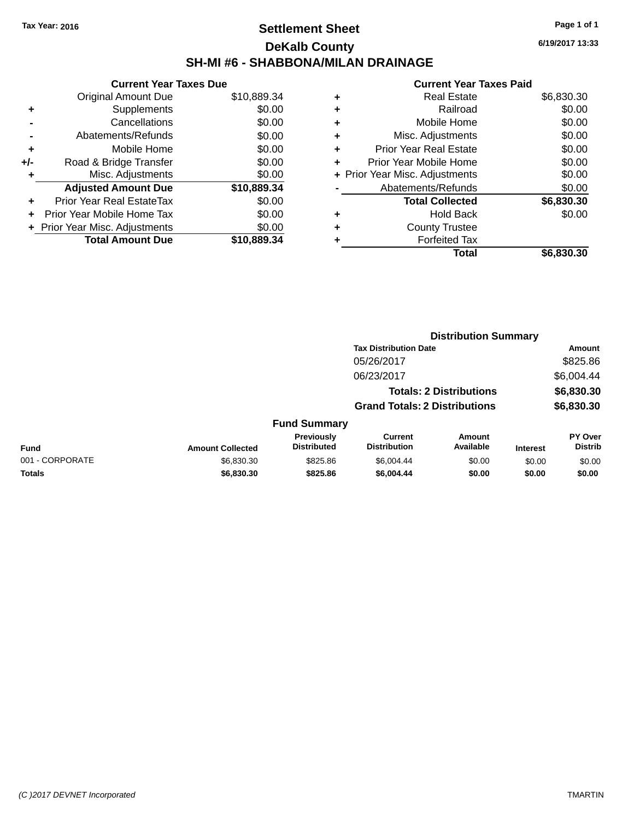### **Settlement Sheet Tax Year: 2016 Page 1 of 1 DeKalb County SH-MI #6 - SHABBONA/MILAN DRAINAGE**

**6/19/2017 13:33**

|     | <b>Current Year Taxes Due</b> |             |  |  |  |
|-----|-------------------------------|-------------|--|--|--|
|     | <b>Original Amount Due</b>    | \$10,889.34 |  |  |  |
| ٠   | Supplements                   | \$0.00      |  |  |  |
|     | Cancellations                 | \$0.00      |  |  |  |
|     | Abatements/Refunds            | \$0.00      |  |  |  |
| ٠   | Mobile Home                   | \$0.00      |  |  |  |
| +/- | Road & Bridge Transfer        | \$0.00      |  |  |  |
|     | Misc. Adjustments             | \$0.00      |  |  |  |
|     | <b>Adjusted Amount Due</b>    | \$10,889.34 |  |  |  |
| ÷   | Prior Year Real EstateTax     | \$0.00      |  |  |  |
|     | Prior Year Mobile Home Tax    | \$0.00      |  |  |  |
|     | Prior Year Misc. Adjustments  | \$0.00      |  |  |  |
|     | <b>Total Amount Due</b>       | \$10.889.34 |  |  |  |

| ٠ | <b>Real Estate</b>             | \$6,830.30 |
|---|--------------------------------|------------|
| ٠ | Railroad                       | \$0.00     |
| ٠ | Mobile Home                    | \$0.00     |
| ٠ | Misc. Adjustments              | \$0.00     |
| ٠ | <b>Prior Year Real Estate</b>  | \$0.00     |
| ٠ | Prior Year Mobile Home         | \$0.00     |
|   | + Prior Year Misc. Adjustments | \$0.00     |
|   | Abatements/Refunds             | \$0.00     |
|   | <b>Total Collected</b>         | \$6,830.30 |
| ٠ | <b>Hold Back</b>               | \$0.00     |
| ٠ | <b>County Trustee</b>          |            |
|   | <b>Forfeited Tax</b>           |            |
|   | Total                          | \$6,830.30 |
|   |                                |            |

|                 |                         |                                  |                                       | <b>Distribution Summary</b>    |                 |                           |
|-----------------|-------------------------|----------------------------------|---------------------------------------|--------------------------------|-----------------|---------------------------|
|                 |                         |                                  | <b>Tax Distribution Date</b>          |                                |                 | Amount                    |
|                 |                         |                                  | 05/26/2017                            |                                |                 | \$825.86                  |
|                 |                         |                                  | 06/23/2017                            |                                |                 | \$6,004.44                |
|                 |                         |                                  |                                       | <b>Totals: 2 Distributions</b> |                 | \$6,830.30                |
|                 |                         |                                  | <b>Grand Totals: 2 Distributions</b>  |                                |                 | \$6,830.30                |
|                 |                         | <b>Fund Summary</b>              |                                       |                                |                 |                           |
| Fund            | <b>Amount Collected</b> | Previously<br><b>Distributed</b> | <b>Current</b><br><b>Distribution</b> | Amount<br>Available            | <b>Interest</b> | PY Over<br><b>Distrib</b> |
| 001 - CORPORATE | \$6,830.30              | \$825.86                         | \$6,004.44                            | \$0.00                         | \$0.00          | \$0.00                    |
| <b>Totals</b>   | \$6,830.30              | \$825.86                         | \$6,004.44                            | \$0.00                         | \$0.00          | \$0.00                    |
|                 |                         |                                  |                                       |                                |                 |                           |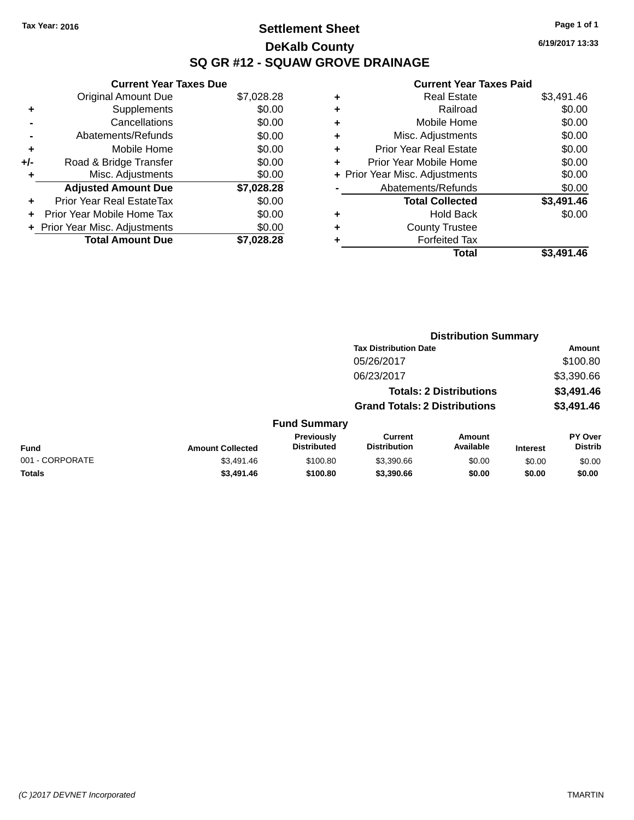## **Settlement Sheet Tax Year: 2016 Page 1 of 1 DeKalb County SQ GR #12 - SQUAW GROVE DRAINAGE**

**6/19/2017 13:33**

|     | <b>Current Year Taxes Due</b>  |            |
|-----|--------------------------------|------------|
|     | <b>Original Amount Due</b>     | \$7,028.28 |
|     | Supplements                    | \$0.00     |
|     | Cancellations                  | \$0.00     |
|     | Abatements/Refunds             | \$0.00     |
| ٠   | Mobile Home                    | \$0.00     |
| +/- | Road & Bridge Transfer         | \$0.00     |
| ٠   | Misc. Adjustments              | \$0.00     |
|     | <b>Adjusted Amount Due</b>     | \$7,028.28 |
| ٠   | Prior Year Real EstateTax      | \$0.00     |
|     | Prior Year Mobile Home Tax     | \$0.00     |
|     | + Prior Year Misc. Adjustments | \$0.00     |
|     | <b>Total Amount Due</b>        | \$7.028.28 |
|     |                                |            |

|   | Total                          | \$3,491.46 |
|---|--------------------------------|------------|
| ٠ | <b>Forfeited Tax</b>           |            |
| ٠ | <b>County Trustee</b>          |            |
| ٠ | Hold Back                      | \$0.00     |
|   | <b>Total Collected</b>         | \$3,491.46 |
|   | Abatements/Refunds             | \$0.00     |
|   | + Prior Year Misc. Adjustments | \$0.00     |
| ٠ | Prior Year Mobile Home         | \$0.00     |
| ٠ | <b>Prior Year Real Estate</b>  | \$0.00     |
| ٠ | Misc. Adjustments              | \$0.00     |
| ٠ | Mobile Home                    | \$0.00     |
| ٠ | Railroad                       | \$0.00     |
| ٠ | Real Estate                    | \$3,491.46 |
|   |                                |            |

|                 |                         |                                  |                                       | <b>Distribution Summary</b>    |                 |                           |
|-----------------|-------------------------|----------------------------------|---------------------------------------|--------------------------------|-----------------|---------------------------|
|                 |                         |                                  | <b>Tax Distribution Date</b>          |                                |                 | <b>Amount</b>             |
|                 |                         |                                  | 05/26/2017                            |                                |                 | \$100.80                  |
|                 |                         |                                  | 06/23/2017                            |                                |                 | \$3,390.66                |
|                 |                         |                                  |                                       | <b>Totals: 2 Distributions</b> |                 | \$3,491.46                |
|                 |                         |                                  | <b>Grand Totals: 2 Distributions</b>  |                                |                 | \$3,491.46                |
|                 |                         | <b>Fund Summary</b>              |                                       |                                |                 |                           |
| <b>Fund</b>     | <b>Amount Collected</b> | Previously<br><b>Distributed</b> | <b>Current</b><br><b>Distribution</b> | Amount<br>Available            | <b>Interest</b> | PY Over<br><b>Distrib</b> |
| 001 - CORPORATE | \$3,491.46              | \$100.80                         | \$3,390.66                            | \$0.00                         | \$0.00          | \$0.00                    |
| <b>Totals</b>   | \$3,491.46              | \$100.80                         | \$3,390.66                            | \$0.00                         | \$0.00          | \$0.00                    |
|                 |                         |                                  |                                       |                                |                 |                           |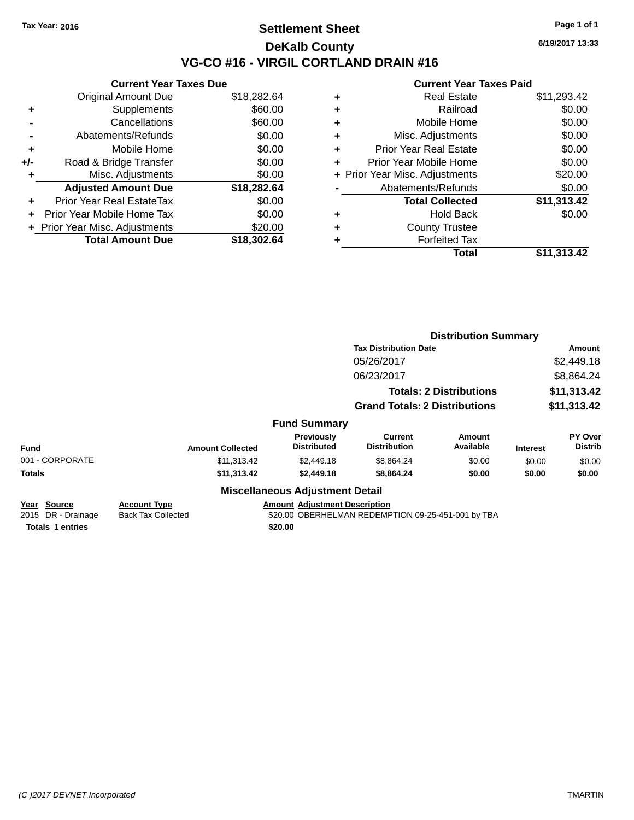### **Settlement Sheet Tax Year: 2016 Page 1 of 1 DeKalb County VG-CO #16 - VIRGIL CORTLAND DRAIN #16**

**6/19/2017 13:33**

|     | <b>Current Year Taxes Due</b>  |             |
|-----|--------------------------------|-------------|
|     | <b>Original Amount Due</b>     | \$18,282.64 |
| ٠   | Supplements                    | \$60.00     |
|     | Cancellations                  | \$60.00     |
|     | Abatements/Refunds             | \$0.00      |
| ٠   | Mobile Home                    | \$0.00      |
| +/- | Road & Bridge Transfer         | \$0.00      |
|     | Misc. Adjustments              | \$0.00      |
|     | <b>Adjusted Amount Due</b>     | \$18,282.64 |
| ÷   | Prior Year Real EstateTax      | \$0.00      |
|     | Prior Year Mobile Home Tax     | \$0.00      |
|     | + Prior Year Misc. Adjustments | \$20.00     |
|     | <b>Total Amount Due</b>        | \$18,302.64 |
|     |                                |             |

| ٠ | <b>Real Estate</b>             | \$11,293.42 |
|---|--------------------------------|-------------|
| ٠ | Railroad                       | \$0.00      |
| ÷ | Mobile Home                    | \$0.00      |
| ٠ | Misc. Adjustments              | \$0.00      |
| ٠ | <b>Prior Year Real Estate</b>  | \$0.00      |
| ÷ | Prior Year Mobile Home         | \$0.00      |
|   | + Prior Year Misc. Adjustments | \$20.00     |
|   | Abatements/Refunds             | \$0.00      |
|   | <b>Total Collected</b>         | \$11,313.42 |
| ٠ | <b>Hold Back</b>               | \$0.00      |
| ٠ | <b>County Trustee</b>          |             |
| ٠ | <b>Forfeited Tax</b>           |             |
|   | Total                          | \$11,313.42 |
|   |                                |             |

|                                                              |                                                  |                                                 | <b>Distribution Summary</b>                        |                                |                      |                           |
|--------------------------------------------------------------|--------------------------------------------------|-------------------------------------------------|----------------------------------------------------|--------------------------------|----------------------|---------------------------|
|                                                              |                                                  |                                                 | <b>Tax Distribution Date</b>                       |                                | Amount<br>\$2,449.18 |                           |
|                                                              |                                                  |                                                 | 05/26/2017                                         |                                |                      |                           |
|                                                              |                                                  | 06/23/2017                                      |                                                    | \$8,864.24                     |                      |                           |
|                                                              |                                                  |                                                 |                                                    | <b>Totals: 2 Distributions</b> | \$11,313.42          |                           |
|                                                              |                                                  |                                                 | <b>Grand Totals: 2 Distributions</b>               |                                | \$11,313.42          |                           |
|                                                              |                                                  | <b>Fund Summary</b>                             |                                                    |                                |                      |                           |
| <b>Fund</b>                                                  | <b>Amount Collected</b>                          | Previously<br><b>Distributed</b>                | <b>Current</b><br><b>Distribution</b>              | Amount<br>Available            | <b>Interest</b>      | PY Over<br><b>Distrib</b> |
| 001 - CORPORATE                                              | \$11,313.42                                      | \$2,449.18                                      | \$8,864.24                                         | \$0.00                         | \$0.00               | \$0.00                    |
| Totals                                                       | \$11,313.42                                      | \$2,449.18                                      | \$8,864.24                                         | \$0.00                         | \$0.00               | \$0.00                    |
|                                                              |                                                  | <b>Miscellaneous Adjustment Detail</b>          |                                                    |                                |                      |                           |
| Year Source<br>2015 DR - Drainage<br><b>Totals 1 entries</b> | <b>Account Type</b><br><b>Back Tax Collected</b> | <b>Amount Adjustment Description</b><br>\$20.00 | \$20.00 OBERHELMAN REDEMPTION 09-25-451-001 by TBA |                                |                      |                           |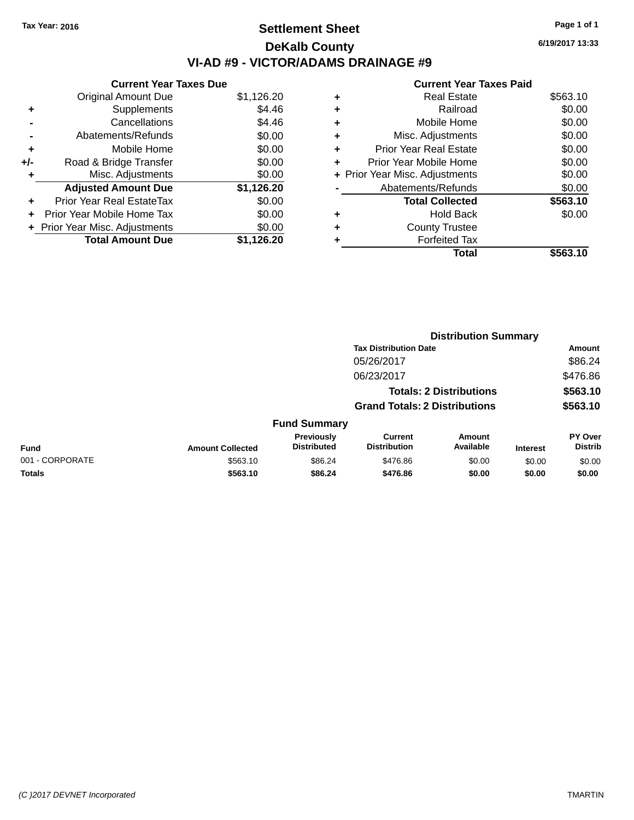## **Settlement Sheet Tax Year: 2016 Page 1 of 1 DeKalb County VI-AD #9 - VICTOR/ADAMS DRAINAGE #9**

**Current Year Taxes Due** Original Amount Due \$1,126.20 **+** Supplements \$4.46 **-** Cancellations \$4.46 **-** Abatements/Refunds \$0.00 **+** Mobile Home \$0.00 **+/-** Road & Bridge Transfer \$0.00 **+** Misc. Adjustments \$0.00 **Adjusted Amount Due \$1,126.20 +** Prior Year Real EstateTax \$0.00 **+** Prior Year Mobile Home Tax \$0.00 **+** Prior Year Misc. Adjustments  $$0.00$ **Total Amount Due \$1,126.20**

#### **Current Year Taxes Paid +** Real Estate \$563.10 **+** Railroad \$0.00 **+** Mobile Home \$0.00 **+** Misc. Adjustments \$0.00 **+** Prior Year Real Estate \$0.00 **+** Prior Year Mobile Home \$0.00 **+** Prior Year Misc. Adjustments  $$0.00$ Abatements/Refunds \$0.00 **Total Collected \$563.10 +** Hold Back \$0.00 **+** County Trustee **+** Forfeited Tax **Total \$563.10**

|                 |                         |                                  |                                                                                                                                    | <b>Distribution Summary</b> |                 |                                           |
|-----------------|-------------------------|----------------------------------|------------------------------------------------------------------------------------------------------------------------------------|-----------------------------|-----------------|-------------------------------------------|
|                 |                         |                                  | <b>Tax Distribution Date</b><br>05/26/2017<br>06/23/2017<br><b>Totals: 2 Distributions</b><br><b>Grand Totals: 2 Distributions</b> |                             |                 | Amount<br>\$86.24<br>\$476.86<br>\$563.10 |
|                 |                         |                                  |                                                                                                                                    |                             |                 |                                           |
|                 |                         |                                  |                                                                                                                                    |                             |                 |                                           |
|                 |                         |                                  |                                                                                                                                    |                             |                 |                                           |
|                 |                         |                                  |                                                                                                                                    |                             |                 | \$563.10                                  |
|                 |                         | <b>Fund Summary</b>              |                                                                                                                                    |                             |                 |                                           |
| <b>Fund</b>     | <b>Amount Collected</b> | Previously<br><b>Distributed</b> | <b>Current</b><br><b>Distribution</b>                                                                                              | Amount<br>Available         | <b>Interest</b> | <b>PY Over</b><br><b>Distrib</b>          |
| 001 - CORPORATE | \$563.10                | \$86.24                          | \$476.86                                                                                                                           | \$0.00                      | \$0.00          | \$0.00                                    |
| <b>Totals</b>   | \$563.10                | \$86.24                          | \$476.86                                                                                                                           | \$0.00                      | \$0.00          | \$0.00                                    |
|                 |                         |                                  |                                                                                                                                    |                             |                 |                                           |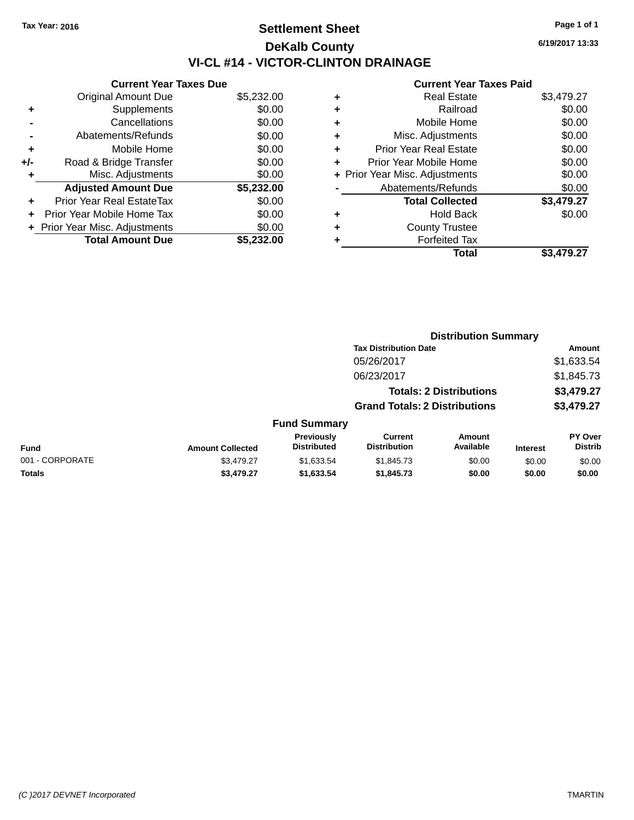## **Settlement Sheet Tax Year: 2016 Page 1 of 1 DeKalb County VI-CL #14 - VICTOR-CLINTON DRAINAGE**

|     | <b>Current Year Taxes Due</b>  |            |  |  |  |  |
|-----|--------------------------------|------------|--|--|--|--|
|     | <b>Original Amount Due</b>     | \$5,232.00 |  |  |  |  |
| ٠   | Supplements                    | \$0.00     |  |  |  |  |
|     | Cancellations                  | \$0.00     |  |  |  |  |
|     | Abatements/Refunds             | \$0.00     |  |  |  |  |
| ٠   | Mobile Home                    | \$0.00     |  |  |  |  |
| +/- | Road & Bridge Transfer         | \$0.00     |  |  |  |  |
| ٠   | Misc. Adjustments              | \$0.00     |  |  |  |  |
|     | <b>Adjusted Amount Due</b>     | \$5,232.00 |  |  |  |  |
| ٠   | Prior Year Real EstateTax      | \$0.00     |  |  |  |  |
|     | Prior Year Mobile Home Tax     | \$0.00     |  |  |  |  |
|     | + Prior Year Misc. Adjustments | \$0.00     |  |  |  |  |
|     | <b>Total Amount Due</b>        | \$5,232.00 |  |  |  |  |

|   | <b>Real Estate</b>             | \$3,479.27 |
|---|--------------------------------|------------|
| ٠ | Railroad                       | \$0.00     |
| ٠ | Mobile Home                    | \$0.00     |
| ٠ | Misc. Adjustments              | \$0.00     |
| ٠ | <b>Prior Year Real Estate</b>  | \$0.00     |
|   | Prior Year Mobile Home         | \$0.00     |
|   | + Prior Year Misc. Adjustments | \$0.00     |
|   | Abatements/Refunds             | \$0.00     |
|   | <b>Total Collected</b>         | \$3,479.27 |
| ٠ | <b>Hold Back</b>               | \$0.00     |
|   | <b>County Trustee</b>          |            |
|   | <b>Forfeited Tax</b>           |            |
|   | Total                          | \$3.479.27 |
|   |                                |            |

|                 |                         |                                  |                                                                        | <b>Distribution Summary</b> |                 |                           |  |
|-----------------|-------------------------|----------------------------------|------------------------------------------------------------------------|-----------------------------|-----------------|---------------------------|--|
|                 |                         |                                  | <b>Tax Distribution Date</b><br>05/26/2017                             |                             |                 | Amount<br>\$1,633.54      |  |
|                 |                         |                                  |                                                                        |                             |                 |                           |  |
|                 |                         |                                  | 06/23/2017                                                             |                             |                 | \$1,845.73                |  |
|                 |                         |                                  | <b>Totals: 2 Distributions</b><br><b>Grand Totals: 2 Distributions</b> |                             |                 | \$3,479.27<br>\$3,479.27  |  |
|                 |                         |                                  |                                                                        |                             |                 |                           |  |
|                 |                         | <b>Fund Summary</b>              |                                                                        |                             |                 |                           |  |
| <b>Fund</b>     | <b>Amount Collected</b> | Previously<br><b>Distributed</b> | <b>Current</b><br><b>Distribution</b>                                  | Amount<br>Available         | <b>Interest</b> | PY Over<br><b>Distrib</b> |  |
| 001 - CORPORATE | \$3,479.27              | \$1,633.54                       | \$1,845.73                                                             | \$0.00                      | \$0.00          | \$0.00                    |  |
| <b>Totals</b>   | \$3,479.27              | \$1,633.54                       | \$1,845.73                                                             | \$0.00                      | \$0.00          | \$0.00                    |  |